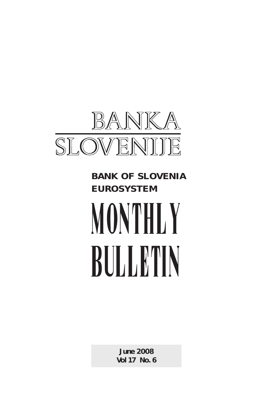

# **BANK OF SLOVENIA EUROSYSTEM**

# MONTHLY **BULLETIN**

**June 2008 Vol 17 No. 6**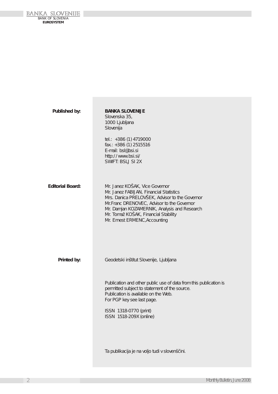

| Published by:           | <b>BANKA SLOVENIJE</b><br>Slovenska 35,<br>1000 Ljubljana<br>Slovenija                                                                                                                                                                                                                              |
|-------------------------|-----------------------------------------------------------------------------------------------------------------------------------------------------------------------------------------------------------------------------------------------------------------------------------------------------|
|                         | tel.: +386 (1) 4719000<br>fax.: $+386$ (1) 2515516<br>E-mail: bsl@bsi.si<br>http://www.bsi.si/<br>SWIFT: BSLJ SI 2X                                                                                                                                                                                 |
| <b>Editorial Board:</b> | Mr. Janez KOŠAK, Vice Governor<br>Mr. Janez FABIJAN, Financial Statistics<br>Mrs. Danica PRELOVŠEK, Advisor to the Governor<br>Mr. Franc DRENOVEC, Advisor to the Governor<br>Mr. Damjan KOZAMERNIK, Analysis and Research<br>Mr. Tomaž KOŠAK, Financial Stability<br>Mr. Ernest ERMENC, Accounting |
| Printed by:             | Geodetski inštitut Slovenije, Ljubljana                                                                                                                                                                                                                                                             |
|                         | Publication and other public use of data from this publication is<br>permitted subject to statement of the source.<br>Publication is available on the Web.<br>For PGP key see last page.<br>ISSN 1318-0770 (print)<br>ISSN 1518-209X (online)                                                       |
|                         | Ta publikacija je na voljo tudi v slovenš ini.                                                                                                                                                                                                                                                      |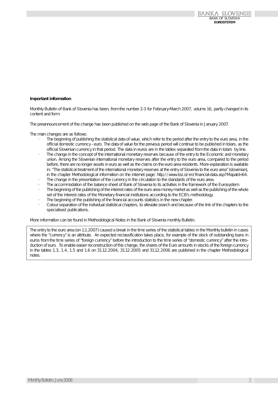#### **Important information**

Monthly Bulletin of Bank of Slovenia has been, from the number 2-3 for February-March 2007, volume 16, partly changed in its content and form.

The preannouncement of the change has been published on the web page of the Bank of Slovenia in January 2007.

The main changes are as follows:

- The beginning of publishing the statistical data of value, which refer to the period after the entry to the euro area, in the official domestic currency - euro. The data of value for the previous period will continue to be published in tolars, as the official Slovenian currency in that period. The data in euros are in the tables separated from the data in tolars by line.
- The change in the concept of the international monetary reserves because of the entry to the Economic and monetary union. Among the Slovenian international monetary reserves after the entry to the euro area, compared to the period before, there are no longer assets in euro as well as the claims on the euro area residents. More explanation is available in: "The statistical treatment of the international monetary reserves at the entry of Slovenia to the euro area" (slovenian), in the chapter Methodological information on the internet page: http://www.bsi.si/en/financial-data.asp?MapaId=64.
- The change in the presentation of the currency in the circulation to the standards of the euro area.
- · The accommodation of the balance sheet of Bank of Slovenia to its activities in the framework of the Eurosystem.
- The beginning of the publishing of the interest rates of the euro area money market as well as the publishing of the whole set of the interest rates of the Monetary financial institutions according to the ECB's methodology.
- The beginning of the publishing of the financial accounts statistics in the new chapter.
- · Colour separation of the individual statistical chapters, to alleviate search and because of the link of the chapters to the specialised publications.

More information can be found in Methodological Notes in the Bank of Slovenia monthly Bulletin.

The entry to the euro area (on 1.1.2007) caused a break in the time series of the statistical tables in the Monthly bulletin in cases where the "currency" is an attribute. An expected reclassification takes place, for example of the stock of outstanding loans in euros from the time series of "foreign currency" before the introduction to the time series of "domestic currency" after the introduction of euro. To enable easier reconstruction of this change, the shares of the Euro amounts in stocks of the foreign currency in the tables 1.3, 1.4, 1.5 and 1.6 on 31.12.2004, 31.12.2005 and 31.12.2006 are published in the chapter Methodological notes.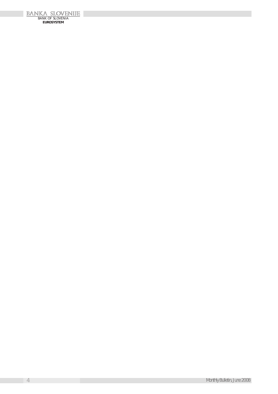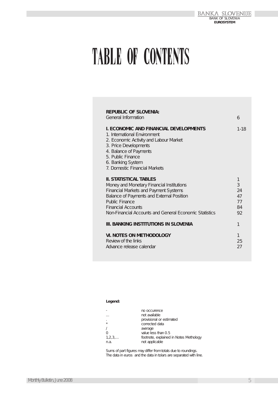# TABLE OF CONTENTS

#### **REPUBLIC OF SLOVENIA:** General Information **I. ECONOMIC AND FINANCIAL DEVELOPMENTS** 1. International Environment 2. Economic Activity and Labour Market 3. Price Developments 4. Balance of Payments 5. Public Finance 6. Banking System 7. Domestic Financial Markets **II. STATISTICAL TABLES** Money and Monetary Financial Institutions Financial Markets and Payment Systems Balance of Payments and External Position Public Finance Financial Accounts Non-Financial Accounts and General Economic Statistics **III. BANKING INSTITUTIONS IN SLOVENIA VI. NOTES ON METHODOLOGY** Review of the links Advance release calendar 6 1-18 1 3 24 47 77 84 92 1 1 25 27

#### **Legend:**

|                   | no occurence                           |
|-------------------|----------------------------------------|
|                   | not available                          |
|                   | provisional or estimated               |
| $\star$           | corrected data                         |
|                   | average                                |
|                   | value less than 0.5                    |
| $1, 2, 3, \ldots$ | footnote, explained in Notes Methology |
| n.a.              | not applicable                         |

Sums of part figures may differ from totals due to roundings. The data in euros and the data in tolars are separated with line.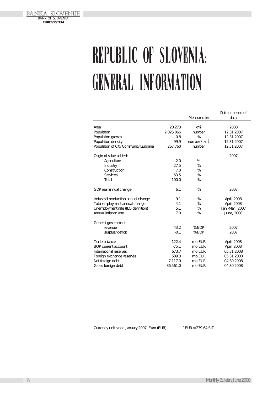# REPUBLIC OF SLOVENIA: GENERAL INFORMATION

|                                        |           |                 | Date or period of |
|----------------------------------------|-----------|-----------------|-------------------|
|                                        |           | Measured in:    | data:             |
|                                        |           |                 |                   |
| Area                                   | 20,273    | km <sup>2</sup> | 2008              |
| Population                             | 2,025,866 | number          | 12.31.2007        |
| Population growth                      | 0.8       | %               | 12.31.2007        |
| Population density                     | 99.9      | number / $km^2$ | 12.31.2007        |
| Population of City Community Ljubljana | 267,760   | number          | 12.31.2007        |
| Origin of value added:                 |           |                 | 2007              |
| Agriculture                            | 2.0       | %               |                   |
| Industry                               | 27.5      | %               |                   |
| Construction                           | 7.0       | %               |                   |
| <b>Services</b>                        | 63.5      | %               |                   |
| Total                                  | 100.0     | %               |                   |
| GDP real annual change                 | 6.1       | %               | 2007              |
| Industrial production annual change    | 9.1       | %               | April, 2008       |
| Total employment annual change         | 4.1       | %               | April, 2008       |
| Unemployment rate (ILO definition)     | 5.1       | %               | Jan.-Mar., 2007   |
| Annual inflation rate                  | 7.0       | %               | June, 2008        |
| General government:                    |           |                 |                   |
| revenue                                | 43.2      | % BDP           | 2007              |
| surplus/deficit                        | $-0.1$    | % BDP           | 2007              |
| Trade balance                          | $-122.4$  | mio EUR         | April, 2008       |
| BOP current account                    | $-75.1$   | mio EUR         | April, 2008       |
| International reserves                 | 673.7     | mio EUR         | 05.31.2008        |
| Foreign exchange reserves              | 589.3     | mio EUR         | 05.31.2008        |
| Net foreign debt                       | 7,117.0   | mio EUR         | 04.30.2008        |
| Gross foreign debt                     | 36,561.0  | mio EUR         | 04.30.2008        |

Currency unit since January 2007: Euro (EUR) 1EUR = 239.64 SIT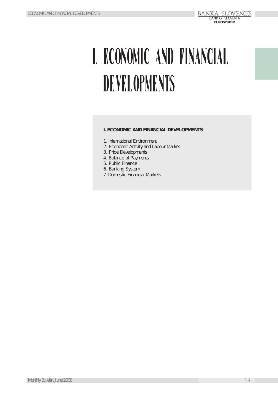# I. ECONOMIC AND FINANCIAL DEVELOPMENTS

#### **I. ECONOMIC AND FINANCIAL DEVELOPMENTS**

- 1. International Environment
- 2. Economic Activity and Labour Market
- 3. Price Developments
- 4. Balance of Payments
- 5. Public Finance
- 6. Banking System
- 7. Domestic Financial Markets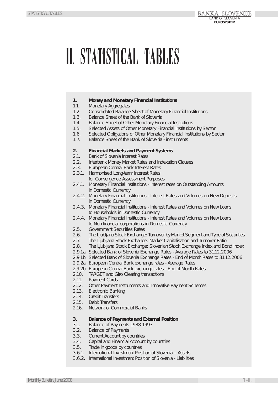# II. STATISTICAL TABLES

- **1. Money and Monetary Financial Institutions**
- 1.1. Monetary Aggregates
- 1.2. Consolidated Balance Sheet of Monetary Financial Institutions
- 1.3. Balance Sheet of the Bank of Slovenia
- 1.4. Balance Sheet of Other Monetary Financial Institutions
- 1.5. Selected Assets of Other Monetary Financial Institutions by Sector
- 1.6. Selected Obligations of Other Monetary Financial Institutions by Sector
- 1.7. Balance Sheet of the Bank of Slovenia - instruments

#### **2. Financial Markets and Payment Systems**

- 2.1. Bank of Slovenia Interest Rates
- 2.2. Interbank Money Market Rates and Indexation Clauses
- 2.3. European Central Bank Interest Rates
- 2.3.1. Harmonised Long-term Interest Rates
- for Convergence Assessment Purposes
- 2.4.1. Monetary Financial Institutions - Interest rates on Outstanding Amounts in Domestic Currency
- 2.4.2. Monetary Financial Institutions Interest Rates and Volumes on New Deposits in Domestic Currency
- 2.4.3. Monetary Financial Institutions Interest Rates and Volumes on New Loans to Households in Domestic Currency
- 2.4.4. Monetary Financial Institutions Interest Rates and Volumes on New Loans to Non-financial corporations in Domestic Currency
- 2.5. Government Securities Rates
- 2.6. The Ljubljana Stock Exchange: Turnover by Market Segment and Type of Securities
- 2.7. The Ljubljana Stock Exchange: Market Capitalisation and Turnover Ratio
- 2.8. The Ljubljana Stock Exchange: Slovenian Stock Exchange Index and Bond Index
- 2.9.1a. Selected Bank of Slovenia Exchange Rates Average Rates to 31.12.2006
- 2.9.1b. Selected Bank of Slovenia Exchange Rates End of Month Rates to 31.12.2006
- 2.9.2a. European Central Bank exchange rates Average Rates
- 2.9.2b. European Central Bank exchange rates End of Month Rates
- 2.10. TARGET and Giro Clearing transactions
- 2.11. Payment Cards
- 2.12. Other Payment Instruments and Innovative Payment Schemes
- 2.13. Electronic Banking
- 2.14. Credit Transfers
- 2.15. Debit Transfers
- 2.16. Network of Commercial Banks

#### **3. Balance of Payments and External Position**

- 3.1. Balance of Payments 1988-1993
- 3.2. Balance of Payments
- 3.3. Current Account by countries
- 3.4. Capital and Financial Account by countries
- 3.5. Trade in goods by countries
- 3.6.1. International Investment Position of Slovenia Assets
- 3.6.2. International Investment Position of Slovenia Liabilities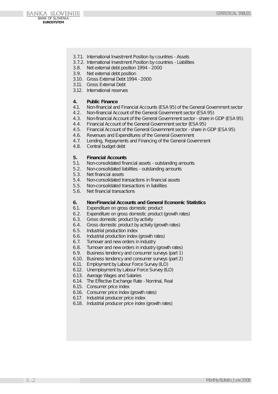- 3.7.1. International Investment Position by countries Assets
- 3.7.2. International Investment Position by countries Liabilities
- 3.8. Net external debt position 1994 2000
- 3.9. Net external debt position
- 3.10. Gross External Debt 1994 2000
- 3.11. Gross External Debt
- 3.12. International reserves

#### **4. Public Finance**

- 4.1. Non-financial and Financial Accounts (ESA 95) of the General Government sector
- 4.2. Non-financial Account of the General Government sector (ESA 95)
- 4.3. Non-financial Account of the General Government sector - share in GDP (ESA 95)
- 4.4. Financial Account of the General Government sector (ESA 95)
- 4.5. Financial Account of the General Government sector share in GDP (ESA 95)
- 4.6. Revenues and Expenditures of the General Government
- 4.7. Lending, Repayments and Financing of the General Government
- 4.8. Central budget debt

#### **5. Financial Accounts**

- 5.1. Non-consolidated financial assets outstanding amounts
- 5.2. Non-consolidated liabilities outstanding amounts
- 5.3. Net financial assets
- 5.4. Non-consolidated transactions in financial assets
- 5.5. Non-consolidated transactions in liabilities
- 5.6. Net financial transactions

#### **6. Non-Financial Accounts and General Economic Statistics**

- 6.1. Expenditure on gross domestic product
- 6.2. Expenditure on gross domestic product (growth rates)
- 6.3. Gross domestic product by activity
- 6.4. Gross domestic product by activity (growth rates)
- 6.5. Industrial production index
- 6.6. Industrial production index (growth rates)
- 6.7. Turnover and new orders in industry
- 6.8. Turnover and new orders in industry (growth rates)
- 6.9. Business tendency and consumer surveys (part 1)
- 6.10. Business tendency and consumer surveys (part 2)
- 6.11. Employment by Labour Force Survey (ILO)
- 6.12. Unemployment by Labour Force Survey (ILO)
- 6.13. Average Wages and Salaries
- 6.14. The Effective Exchange Rate Nominal, Real
- 6.15. Consumer price index
- 6.16. Consumer price index (growth rates)
- 6.17. Industrial producer price index
- 6.18. Industrial producer price index (growth rates)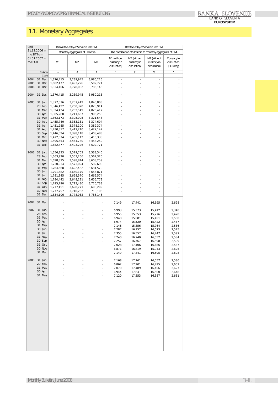# 1.1. Monetary Aggregates

| Until        |                           |                                                          | Before the entry of Slovenia into EMU |                        |                             | After the entry of Slovenia into EMU                       |                             |                          |  |  |
|--------------|---------------------------|----------------------------------------------------------|---------------------------------------|------------------------|-----------------------------|------------------------------------------------------------|-----------------------------|--------------------------|--|--|
|              | 31.12.2006 in             |                                                          | Monetary aggregates of Slovenia       |                        |                             | The contribution of Slovenia to monetary aggregates of EMU |                             |                          |  |  |
| mio SIT from |                           | M2 (without<br>M3 (without<br>M1 (without<br>Currency in |                                       |                        |                             |                                                            |                             |                          |  |  |
|              | 01.01.2007 in             |                                                          |                                       |                        |                             |                                                            |                             |                          |  |  |
| mio EUR      |                           | M1                                                       | M2                                    | M3                     | currency in<br>circulation) | currency in<br>circulation)                                | currency in<br>circulation) | circulation<br>(ECB key) |  |  |
|              |                           |                                                          |                                       |                        |                             |                                                            |                             |                          |  |  |
|              | Column<br>Code            | $\overline{1}$                                           | $\overline{2}$                        | 3                      | $\overline{4}$              | 5                                                          | 6                           | 7                        |  |  |
| 2004         | 31. Dec.                  | 1,370,415                                                | 3,239,945                             | 3,980,215              |                             |                                                            | ÷                           |                          |  |  |
| 2005         | 31. Dec.                  | 1,682,477                                                | 3,493,226                             | 3,502,771              |                             |                                                            | i,                          |                          |  |  |
| 2006         | 31. Dec.                  | 1,834,106                                                | 3,778,032                             | 3,786,146              |                             |                                                            |                             |                          |  |  |
|              |                           |                                                          |                                       |                        |                             |                                                            |                             |                          |  |  |
| 2004         | 31. Dec.                  | 1,370,415                                                | 3,239,945                             | 3,980,215              |                             |                                                            |                             |                          |  |  |
| 2005         | 31. Jan.                  | 1,377,076                                                | 3,257,449                             | 4,040,803              |                             |                                                            |                             |                          |  |  |
|              | 28. Feb.                  | 1,346,492                                                | 3,260,370                             | 4,028,914              |                             |                                                            | í.                          |                          |  |  |
|              | 31. Mar.                  | 1,324,424                                                | 3,252,549                             | 4,026,417              |                             |                                                            |                             |                          |  |  |
|              | 30. Apr.                  | 1,385,288                                                | 3,241,657                             | 3,995,258              |                             |                                                            | ä,                          |                          |  |  |
|              | 31. May.                  | 1,363,173                                                | 3,305,095                             | 3,321,548              |                             |                                                            | í.                          |                          |  |  |
|              | 30. Jun.                  | 1,455,740                                                | 3,363,131                             | 3,374,604              |                             |                                                            | í.                          |                          |  |  |
|              | 31. Jul.<br>31. Aug.      | 1,451,285<br>1,430,317                                   | 3,378,100<br>3,417,210                | 3,389,374<br>3,427,142 |                             |                                                            | í.<br>i,                    |                          |  |  |
|              | 30. Sep.                  | 1,446,094                                                | 3,398,118                             | 3,408,483              |                             |                                                            |                             |                          |  |  |
|              | 31. Oct.                  | 1,472,574                                                | 3,405,112                             | 3,415,338              |                             |                                                            | i.                          |                          |  |  |
|              | 30. Nov.                  | 1,495,553                                                | 3,444,730                             | 3,453,259              |                             |                                                            |                             |                          |  |  |
|              | 31. Dec.                  | 1,682,477                                                | 3,493,226                             | 3,502,771              |                             |                                                            | ä,                          |                          |  |  |
|              |                           |                                                          |                                       |                        |                             |                                                            |                             |                          |  |  |
| 2006         | 31. Jan.<br>28. Feb.      | 1,656,833<br>1,663,920                                   | 3,529,763                             | 3,538,540              |                             |                                                            | í.                          |                          |  |  |
|              | 31. Mar.                  | 1,698,375                                                | 3,553,256<br>3,598,844                | 3,562,320<br>3,608,259 |                             |                                                            | i,                          |                          |  |  |
|              | 30. Apr.                  | 1,730,934                                                | 3,573,024                             | 3,582,690              |                             |                                                            |                             |                          |  |  |
|              | 31. May.                  | 1,764,568                                                | 3,622,482                             | 3,631,570              |                             |                                                            | ä,                          |                          |  |  |
|              | 30. Jun.                  | 1,791,682                                                | 3,650,179                             | 3,656,871              |                             |                                                            |                             |                          |  |  |
|              | 31. Jul.                  | 1,781,345                                                | 3,658,570                             | 3,665,574              |                             |                                                            |                             |                          |  |  |
|              | 31. Aug.                  | 1,784,442                                                | 3,648,121                             | 3,655,773              |                             |                                                            |                             |                          |  |  |
|              | 30. Sep.<br>31. Oct.      | 1,795,790<br>1,777,451                                   | 3,713,480<br>3,690,771                | 3,720,733<br>3,698,299 |                             |                                                            |                             |                          |  |  |
|              | 30. Nov.                  | 1,777,757                                                | 3,710,262                             | 3,718,196              |                             |                                                            |                             |                          |  |  |
|              | 31. Dec.                  | 1,834,106                                                | 3,778,032                             | 3,786,146              |                             |                                                            |                             |                          |  |  |
| 2007         | 31. Dec.                  |                                                          |                                       |                        | 7,149                       | 17,441                                                     | 16,595                      | 2,698                    |  |  |
|              |                           |                                                          |                                       |                        |                             |                                                            |                             |                          |  |  |
| 2007         | 31. Jan.<br>28. Feb.      |                                                          |                                       | Ĭ.                     | 6,993                       | 15,373                                                     | 15,412                      | 2,340                    |  |  |
|              | 31. Mar.                  |                                                          |                                       | í,                     | 6,955<br>6,948              | 15,353<br>15,581                                           | 15,276<br>15,451            | 2,420<br>2,500           |  |  |
|              | 30. Apr.                  |                                                          |                                       | ×,                     | 6,974                       | 15,520                                                     | 15,422                      | 2,487                    |  |  |
|              | 31. May.                  |                                                          |                                       |                        | 7,146                       | 15,856                                                     | 15,764                      | 2,536                    |  |  |
|              | 30. Jun.                  |                                                          |                                       | í.                     | 7,287                       | 16,157                                                     | 16,073                      | 2,575                    |  |  |
|              | 31. Jul.                  |                                                          |                                       |                        | 7,355                       | 16,557                                                     | 16,447                      | 2,597                    |  |  |
|              | 31. Aug.<br>30. Sep.      |                                                          |                                       | ä,                     | 7,240                       | 16,740                                                     | 16,552                      | 2,584                    |  |  |
|              | 31. Oct.                  |                                                          |                                       |                        | 7,257<br>7,028              | 16,767<br>17,106                                           | 16,598<br>16,686            | 2,599<br>2,587           |  |  |
|              | 30. Nov.                  |                                                          |                                       | ł,                     | 6,871                       | 16,819                                                     | 15,943                      | 2,625                    |  |  |
|              | 31. Dec.                  |                                                          |                                       |                        | 7,149                       | 17,441                                                     | 16,595                      | 2,698                    |  |  |
|              |                           |                                                          |                                       |                        |                             |                                                            |                             |                          |  |  |
|              | 2008 31. Jan.<br>29. Feb. |                                                          |                                       |                        | 7,168                       | 17,261                                                     | 16,557                      | 2,580                    |  |  |
|              | 31. Mar.                  |                                                          |                                       |                        | 6,862<br>7,070              | 17,201<br>17,489                                           | 16,425<br>16,456            | 2,601<br>2,627           |  |  |
|              | 30. Apr.                  |                                                          |                                       | ×,                     | 6,944                       | 17,641                                                     | 16,500                      | 2,648                    |  |  |
|              | 31. May.                  |                                                          |                                       |                        | 7,120                       | 17,853                                                     | 16,387                      | 2,681                    |  |  |
|              |                           |                                                          |                                       |                        |                             |                                                            |                             |                          |  |  |
|              |                           |                                                          |                                       |                        |                             |                                                            |                             |                          |  |  |
|              |                           |                                                          |                                       |                        |                             |                                                            |                             |                          |  |  |
|              |                           |                                                          |                                       |                        |                             |                                                            |                             |                          |  |  |
|              |                           |                                                          |                                       |                        |                             |                                                            |                             |                          |  |  |
|              |                           |                                                          |                                       |                        |                             |                                                            |                             |                          |  |  |
|              |                           |                                                          |                                       |                        |                             |                                                            |                             |                          |  |  |
|              |                           |                                                          |                                       |                        |                             |                                                            |                             |                          |  |  |
|              |                           |                                                          |                                       |                        |                             |                                                            |                             |                          |  |  |
|              |                           |                                                          |                                       |                        |                             |                                                            |                             |                          |  |  |
|              |                           |                                                          |                                       |                        |                             |                                                            |                             |                          |  |  |
|              |                           |                                                          |                                       |                        |                             |                                                            |                             |                          |  |  |
|              |                           |                                                          |                                       |                        |                             |                                                            |                             |                          |  |  |
|              |                           |                                                          |                                       |                        |                             |                                                            |                             |                          |  |  |
|              |                           |                                                          |                                       |                        |                             |                                                            |                             |                          |  |  |
|              |                           |                                                          |                                       |                        |                             |                                                            |                             |                          |  |  |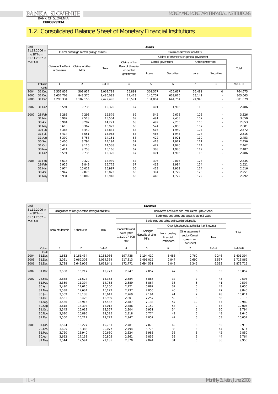**EUROSYSTEM**

# 1.2. Consolidated Balance Sheet of Monetary Financial Institutions

| Until        |               |                                   | Assets                                     |             |                                              |                |                                            |                             |                |           |  |  |  |  |
|--------------|---------------|-----------------------------------|--------------------------------------------|-------------|----------------------------------------------|----------------|--------------------------------------------|-----------------------------|----------------|-----------|--|--|--|--|
|              | 31.12.2006 in |                                   | Claims on foreign sectors (foreign assets) |             |                                              |                |                                            | Claims on domestic non-MFIs |                |           |  |  |  |  |
| mio SIT from | 01.01.2007 in |                                   |                                            |             |                                              |                | Claims of other MFIs on general government |                             |                |           |  |  |  |  |
| mio EUR      |               |                                   |                                            |             | Claims of the                                |                | Central government                         | Other government            |                |           |  |  |  |  |
|              |               | Claims of the Bank<br>of Slovenia | Claims of other<br><b>MFIs</b>             | Total       | Bank of Slovenia<br>on central<br>government | Loans          | Securities                                 | Loans                       | Securities     | Total     |  |  |  |  |
|              | Column        | $\overline{1}$                    | $\overline{2}$                             | $3 = 1 + 2$ | $\overline{4}$                               | $\overline{5}$ | 6                                          | $\overline{7}$              | $\overline{8}$ | $9=5+.48$ |  |  |  |  |
|              | Code          |                                   |                                            |             |                                              |                |                                            |                             |                |           |  |  |  |  |
| 2004         | 31.Dec.       | 1,553,852                         | 509,937                                    | 2,063,789   | 25,891                                       | 301.577        | 426,617                                    | 36,481                      | $\mathbf 0$    | 764,675   |  |  |  |  |
| 2005         | 31.Dec.       | 1,637,708                         | 848,375                                    | 2,486,083   | 17,423                                       | 140,707        | 639,815                                    | 23,141                      | ٠              | 803,663   |  |  |  |  |
| 2006         | 31.Dec.       | 1,290,334                         | 1,182,156                                  | 2,472,490   | 16,591                                       | 131,884        | 644,754                                    | 24,940                      | ×,             | 801,579   |  |  |  |  |
| 2007         | 31.Dec.       | 5,591                             | 9,735                                      | 15,326      | 67                                           | 401            | 1,966                                      | 118                         |                | 2,486     |  |  |  |  |
| 2007         | 28.Feb.       | 5,286                             | 7,293                                      | 12.579      | 69                                           | 542            | 2,678                                      | 106                         |                | 3,326     |  |  |  |  |
|              | 31.Mar.       | 5,987                             | 7,518                                      | 13.504      | 69                                           | 491            | 2,453                                      | 107                         |                | 3,050     |  |  |  |  |
|              | 30.Apr.       | 5,984                             | 8.287                                      | 14,271      | 68                                           | 492            | 2,255                                      | 105                         |                | 2,853     |  |  |  |  |
|              | 31.May        | 5,610                             | 8,362                                      | 13.972      | 68                                           | 524            | 2.050                                      | 107                         |                | 2,681     |  |  |  |  |
|              | 30.Jun.       | 5,385                             | 8,449                                      | 13,834      | 68                                           | 516            | 1,949                                      | 107                         | ×,             | 2,572     |  |  |  |  |
|              | 31.Jul.       | 5,414                             | 8,551                                      | 13,965      | 68                                           | 466            | 1,943                                      | 107                         |                | 2,515     |  |  |  |  |
|              | 31.Aug.       | 5,392                             | 8,758                                      | 14,151      | 68                                           | 422            | 1,921                                      | 110                         | ٠              | 2,453     |  |  |  |  |
|              | 30.Sep.       | 5,400                             | 8,794                                      | 14,194      | 67                                           | 418            | 1,927                                      | 111                         |                | 2,456     |  |  |  |  |
|              | 31.Oct.       | 5,422                             | 9,116                                      | 14,538      | 67                                           | 422            | 1,926                                      | 114                         |                | 2,462     |  |  |  |  |
|              | 30.Nov.       | 5,414                             | 9.753                                      | 15.166      | 67                                           | 388            | 1,986                                      | 112                         |                | 2,487     |  |  |  |  |
|              | 31.Dec.       | 5,591                             | 9.735                                      | 15.326      | 67                                           | 401            | 1.966                                      | 118                         |                | 2.486     |  |  |  |  |
|              |               |                                   |                                            |             |                                              |                |                                            |                             |                |           |  |  |  |  |
| 2008         | 31.Jan.       | 5,616                             | 9.322                                      | 14,939      | 67                                           | 396            | 2,016                                      | 123                         |                | 2,535     |  |  |  |  |
|              | 29.Feb.       | 5,926                             | 9.849                                      | 15,775      | 67                                           | 413            | 1.984                                      | 124                         | ×,             | 2,521     |  |  |  |  |
|              | 31.Mar.       | 5,974                             | 10,022                                     | 15,997      | 66                                           | 423            | 1,969                                      | 124                         | ٠              | 2,516     |  |  |  |  |
|              | 30.Apr.       | 5,947                             | 9,875                                      | 15,823      | 66                                           | 394            | 1,729                                      | 128                         | ٠              | 2,251     |  |  |  |  |
|              | 31.May        | 5,931                             | 10,009                                     | 15,940      | 66                                           | 440            | 1,722                                      | 129                         |                | 2,292     |  |  |  |  |
|              |               |                                   |                                            |             |                                              |                |                                            |                             |                |           |  |  |  |  |

| Until                         |         |                  |                                                      |             |                                                                                                     | Liabilities                      |                                            |                                                                |       |           |  |
|-------------------------------|---------|------------------|------------------------------------------------------|-------------|-----------------------------------------------------------------------------------------------------|----------------------------------|--------------------------------------------|----------------------------------------------------------------|-------|-----------|--|
| 31.12.2006 in                 |         |                  | Obligations to foreign sectors (foreign liabilities) |             |                                                                                                     |                                  |                                            | Banknotes and coins and instruments up to 2 years              |       |           |  |
| mio SIT from<br>01.01.2007 in |         |                  |                                                      |             |                                                                                                     |                                  |                                            | Banknotes and coins and deposits up to 2 years                 |       |           |  |
| mio EUR                       |         |                  |                                                      |             |                                                                                                     |                                  | Banknotes and coins and overnight deposits |                                                                |       |           |  |
|                               |         |                  |                                                      |             |                                                                                                     |                                  |                                            | Overnight deposits at the Bank of Slovenia                     |       |           |  |
|                               |         | Bank of Slovenia | Other MFIs                                           | Total       | Banknotes and                                                                                       | Overnight                        |                                            |                                                                |       |           |  |
|                               |         |                  |                                                      |             | coins (after<br>1.1.2007 ECB<br>key)                                                                | deposits at other<br><b>MFIs</b> | Non-monetary<br>financial<br>institutions  | Other government<br>sector (Central<br>government<br>excluded) | Total | Total     |  |
|                               | Column  | $\mathbf{1}$     | $\overline{2}$                                       | $3 = 1 + 2$ | $\overline{5}$<br>$\overline{7}$<br>$\overline{4}$<br>$6\overline{6}$<br>$8=6+7$<br>$9 = 4 + 5 + 8$ |                                  |                                            |                                                                |       |           |  |
|                               | Code    |                  |                                                      |             |                                                                                                     |                                  |                                            |                                                                |       |           |  |
| 2004                          | 31.Dec. | 1,652            | 1,161,434                                            | 1,163,086   | 197.738                                                                                             | 1,194,410                        | 6.486                                      | 2.760                                                          | 9.246 | 1,401,394 |  |
| 2005                          | 31.Dec. | 2,061            | 2,062,303                                            | 2,064,364   | 217,313                                                                                             | 1,491,012                        | 2,847                                      | 2,690                                                          | 5.537 | 1,713,862 |  |
| 2006                          | 31.Dec. | 3,738            | 2,649,902                                            | 2,653,641   | 172,771                                                                                             | 1,694,551                        | 5,048                                      | 1,345                                                          | 6,393 | 1,873,715 |  |
| 2007                          | 31.Dec. | 3,560            | 16,217                                               | 19,777      | 2,947                                                                                               | 7,057                            | 47                                         | 6                                                              | 53    | 10,057    |  |
| 2007                          | 28.Feb. | 2,838            | 11,527                                               | 14,365      | 2,684                                                                                               | 6,866                            | 37                                         | $\overline{7}$                                                 | 43    | 9,593     |  |
|                               | 31.Mar. | 3,359            | 11.394                                               | 14.753      | 2.689                                                                                               | 6.867                            | 36                                         | 5                                                              | 41    | 9.597     |  |
|                               | 30.Apr. | 3,490            | 12,610                                               | 16.100      | 2,721                                                                                               | 6,887                            | 37                                         | 5                                                              | 43    | 9.650     |  |
|                               | 31.May  | 3,538            | 12,634                                               | 16,172      | 2,737                                                                                               | 7,056                            | 40                                         | 6                                                              | 47    | 9,840     |  |
|                               | 30.Jun. | 3,509            | 13,138                                               | 16,647      | 2,769                                                                                               | 7,194                            | 41                                         | $\overline{7}$                                                 | 48    | 10,011    |  |
|                               | 31.Jul. | 3,561            | 13,428                                               | 16.989      | 2,801                                                                                               | 7,257                            | 50                                         | 8                                                              | 58    | 10.116    |  |
|                               | 31.Aug. | 3,566            | 13,916                                               | 17,482      | 2,787                                                                                               | 7,134                            | 57                                         | 10                                                             | 67    | 9,989     |  |
|                               | 30.Sep. | 3,618            | 14,394                                               | 18,012      | 2,786                                                                                               | 7,152                            | 58                                         | 9                                                              | 67    | 10.005    |  |
|                               | 31.Oct. | 3,545            | 15,012                                               | 18,557      | 2,804                                                                                               | 6,931                            | 54                                         | 6                                                              | 60    | 9.794     |  |
|                               | 30.Nov. | 3,630            | 15.895                                               | 19,525      | 2,818                                                                                               | 6,774                            | 42                                         | 6                                                              | 48    | 9.640     |  |
|                               | 31.Dec. | 3,560            | 16,217                                               | 19,777      | 2,947                                                                                               | 7,057                            | 47                                         | 6                                                              | 53    | 10,057    |  |
| 2008                          | 31.Jan. | 3,524            | 16,227                                               | 19,751      | 2,781                                                                                               | 7,073                            | 49                                         | 6                                                              | 55    | 9,910     |  |
|                               | 29.Feb. | 3,695            | 16,383                                               | 20,077      | 2,794                                                                                               | 6,776                            | 38                                         | 6                                                              | 44    | 9,614     |  |
|                               | 31.Mar. | 3,720            | 16,940                                               | 20,660      | 2,824                                                                                               | 6,985                            | 36                                         | 5                                                              | 42    | 9,850     |  |
|                               | 30.Apr. | 3,652            | 17,153                                               | 20,805      | 2,861                                                                                               | 6,859                            | 38                                         | 6                                                              | 44    | 9,764     |  |
|                               | 31.May  | 3,544            | 17,591                                               | 21,135      | 2,870                                                                                               | 7,044                            | 31                                         | 5                                                              | 36    | 9,950     |  |
|                               |         |                  |                                                      |             |                                                                                                     |                                  |                                            |                                                                |       |           |  |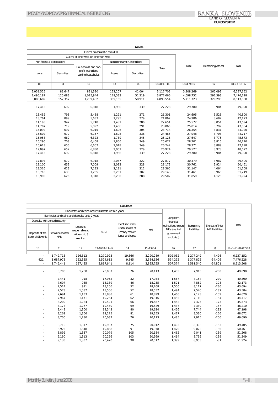**EUROSYSTEM**

|                            |                 |                                                                  |                 | Assets                        |                  |                  |                  |                    |
|----------------------------|-----------------|------------------------------------------------------------------|-----------------|-------------------------------|------------------|------------------|------------------|--------------------|
|                            |                 | Claims on domestic non-MFIs                                      |                 |                               |                  |                  |                  |                    |
|                            |                 | Claims of other MFIs on other non-MFIs                           |                 |                               |                  |                  |                  |                    |
| Non-financial corporations |                 |                                                                  |                 | Non-monetary fin.institutions |                  |                  |                  |                    |
| Loans                      | Securities      | Households and non-<br>profit institutions<br>serving households | Loans           | Securities                    | Total            | Total            | Remaining Assets | Total              |
| 10                         | $\overline{11}$ | $\overline{12}$                                                  | $\overline{13}$ | $\overline{14}$               | $15=10++14$      | $16=4+9+15$      | 17               | $18 = 3 + 16 + 17$ |
| 2,051,525                  | 81,647          | 821,320                                                          | 122,207         | 41,004                        | 3,117,703        | 3,908,269        | 265,093          | 6,237,152          |
| 2,495,187                  | 125,683         | 1,025,944                                                        | 179,533         | 51,319                        | 3,877,666        | 4.698.752        | 291,393          | 7,476,228          |
| 3,083,689                  | 152,357         | 1,289,432                                                        | 309,165         | 58,911                        | 4,893,554        | 5,711,723        | 329,295          | 8,513,508          |
| 17,413                     | 692             | 6.818                                                            | 1.966           | 339                           | 27,228           | 29.780           | 3.984            | 49.090             |
| 13,452                     | 798             | 5,488                                                            | 1,291           | 271                           | 21,301           | 24,695           | 3,525            | 40.800             |
| 13.761                     | 899             | 5,633                                                            | 1.295           | 279                           | 21.867           | 24.986           | 3.682            | 42,173             |
| 14.195                     | 947             | 5.748                                                            | 1.481           | 280                           | 22.651           | 25.572           | 3.851            | 43.694             |
| 14,707                     | 719             | 5,892                                                            | 1,456           | 291                           | 23,065           | 25,814           | 3,797            | 43,584             |
| 15,092                     | 697             | 6,015                                                            | 1,606           | 305                           | 23,714           | 26,354           | 3,831            | 44,020             |
| 15,602                     | 672             | 6,157                                                            | 1,698           | 336                           | 24,465           | 27,048           | 3,703            | 44,717             |
| 16,058                     | 662             | 6,323                                                            | 1.739           | 345                           | 25,126           | 27.647           | 3.775            | 45.573             |
| 16,296                     | 708             | 6,468                                                            | 1,856           | 349                           | 25,677           | 28,201           | 3,816            | 46,210             |
| 16,613                     | 656             | 6,607                                                            | 2,018           | 349                           | 26,242           | 28,771           | 3,889            | 47,198             |
| 17.097                     | 652             | 6.830                                                            | 2.067           | 329                           | 26.974           | 29.527           | 3.978            | 48.672             |
| 17,413                     | 692             | 6,818                                                            | 1.966           | 339                           | 27,228           | 29.780           | 3.984            | 49.090             |
| 17.897<br>18,100           | 672<br>653      | 6,918<br>7,009                                                   | 2.067<br>2,083  | 322<br>328                    | 27.877<br>28,173 | 30.479<br>30,761 | 3.987<br>3,924   | 49.405<br>50,461   |
| 18,316                     | 623             | 7,133                                                            | 2,181           | 312                           | 28,565           | 31,147           | 4,064            | 51,208             |
| 18,718                     | 633             | 7,235                                                            | 2,251           | 307                           | 29,143           | 31,461           | 3,965            | 51,249             |
| 18.990                     | 626             | 7,318                                                            | 2,280           | 288                           | 29,502           | 31.859           | 4,125            | 51.924             |

|                                     |                                                |                                                       |                                                   | Liabilities                                                            |                        |                                                                              |                          |                                            |                        |
|-------------------------------------|------------------------------------------------|-------------------------------------------------------|---------------------------------------------------|------------------------------------------------------------------------|------------------------|------------------------------------------------------------------------------|--------------------------|--------------------------------------------|------------------------|
|                                     |                                                |                                                       | Banknotes and coins and instruments up to 2 years |                                                                        |                        |                                                                              |                          |                                            |                        |
|                                     | Banknotes and coins and deposits up to 2 years |                                                       |                                                   |                                                                        |                        |                                                                              |                          |                                            |                        |
| Deposits with agreed maturity       |                                                |                                                       |                                                   |                                                                        |                        | Long-term                                                                    |                          |                                            |                        |
| Deposits at the<br>Bank of Slovenia | Deposits at other<br><b>MFIS</b>               | Deposits<br>reedemable at<br>notice up to 3<br>months | Total                                             | Debt securities.<br>units/shares of<br>money market<br>funds and repos | Total                  | financial<br>obligations to non-<br>MFIs (central<br>government<br>excluded) | Remaining<br>liabilities | Excess of inter-<br><b>MFI</b> liabilities | Total                  |
| 10                                  | 11                                             | $\overline{12}$                                       | $13=9+10+11+12$                                   | 14                                                                     | $15 = 13 + 14$         | $\overline{16}$                                                              | $\overline{17}$          | 18                                         | $19=3+15+16+17+18$     |
| 421                                 | 1,742,718<br>1,687,973                         | 126,812<br>122,355                                    | 3,270,923<br>3,524,612                            | 19,366<br>9,545                                                        | 3,290,289<br>3,534,156 | 502,032<br>534,292                                                           | 1,277,249<br>1,377,822   | 4,496<br>$-34,406$                         | 6,237,152<br>7,476,228 |
| ×                                   | 1,746,441                                      | 197,485                                               | 3,817,641                                         | 8,114                                                                  | 3,825,755              | 507,374                                                                      | 1,581,540                | $-54,801$                                  | 8,513,508              |
|                                     | 8,700                                          | 1,280                                                 | 20,037                                            | 76                                                                     | 20,113                 | 1,485                                                                        | 7,915                    | $-200$                                     | 49,090                 |
|                                     | 7,441                                          | 918                                                   | 17,952                                            | 32                                                                     | 17,984                 | 1,567                                                                        | 7,154                    | $-270$                                     | 40,800                 |
|                                     | 7,607                                          | 985                                                   | 18,189                                            | 46                                                                     | 18,235                 | 1,521                                                                        | 7,862                    | $-198$                                     | 42,173                 |
|                                     | 7,514                                          | 991                                                   | 18,156                                            | 52                                                                     | 18,208                 | 1,500                                                                        | 8,117                    | $-230$                                     | 43,694                 |
|                                     | 7,578                                          | 1,087                                                 | 18,506                                            | 52                                                                     | 18,557                 | 1,494                                                                        | 7,546                    | $-187$                                     | 43,584                 |
|                                     | 7,694                                          | 1,133                                                 | 18,838                                            | 61                                                                     | 18,899                 | 1,460                                                                        | 7,173                    | $-159$                                     | 44,020                 |
|                                     | 7.967                                          | 1,171                                                 | 19,254                                            | 62                                                                     | 19,316                 | 1,455                                                                        | 7,110                    | $-154$                                     | 44,717                 |
|                                     | 8,209                                          | 1,224                                                 | 19,421                                            | 66                                                                     | 19,487                 | 1,452                                                                        | 7,325                    | $-173$                                     | 45,573                 |
|                                     | 8,178                                          | 1,277                                                 | 19,460                                            | 69                                                                     | 19,529                 | 1,437                                                                        | 7,389                    | $-157$                                     | 46,210                 |
|                                     | 8.449                                          | 1,300                                                 | 19,543                                            | 80                                                                     | 19,624                 | 1,456                                                                        | 7,744                    | $-182$                                     | 47,198                 |
|                                     | 8,269                                          | 1,366                                                 | 19,275                                            | 81                                                                     | 19,355                 | 1,427                                                                        | 8,530                    | $-166$                                     | 48,672                 |
|                                     | 8,700                                          | 1,280                                                 | 20,037                                            | 76                                                                     | 20,113                 | 1,485                                                                        | 7,915                    | $-200$                                     | 49,090                 |
|                                     | 8,710<br>8,925                                 | 1,317<br>1,348                                        | 19,937<br>19,888                                  | 75<br>91                                                               | 20,012<br>19,978       | 1,493<br>1,470                                                               | 8,303<br>9,072           | $-153$<br>$-136$                           | 49,405<br>50,461       |
|                                     | 8,892                                          | 1,337                                                 | 20,079                                            | 105                                                                    | 20,184                 | 1,462                                                                        | 9,041                    | $-139$                                     | 51,208                 |
|                                     | 9,190<br>9,133                                 | 1,313<br>1,337                                        | 20,266<br>20,420                                  | 103<br>98                                                              | 20,369<br>20,517       | 1,414<br>1,399                                                               | 8,799<br>8,953           | $-139$<br>$-81$                            | 51,249<br>51,924       |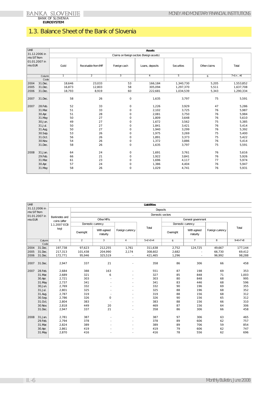**EUROSYSTEM**

#### 1.3. Balance Sheet of the Bank of Slovenia

| Until        |               |                |                     |                     | Assets                                        |                |       |                |  |
|--------------|---------------|----------------|---------------------|---------------------|-----------------------------------------------|----------------|-------|----------------|--|
| mio SIT from | 31.12.2006 in |                |                     |                     | Claims on foreign sectors (foreign assets)    |                |       |                |  |
| mio EUR      | 01.01.2007 in | Gold           | Receivable from IMF | Foreign cash        | Loans, deposits<br>Securities<br>Other claims |                |       |                |  |
|              | Column        | $\overline{1}$ | $\overline{2}$      | $\overline{3}$      | $\overline{4}$                                | $\overline{5}$ | 6     | $7 = 1 +  + 6$ |  |
|              | Code          |                |                     |                     |                                               |                |       |                |  |
| 2004         | 31.Dec.       | 18,646         | 23,033              | 53                  | 166,184                                       | 1,340,730      | 5,205 | 1,553,852      |  |
| 2005         | 31.Dec.       | 16,873         | 12,803              | 58                  | 305,094                                       | 1,297,370      | 5,511 | 1,637,708      |  |
| 2006         | 31.Dec.       | 18,793         | 8,919               | 60                  | 222,681                                       | 1,034,539      | 5,343 | 1,290,334      |  |
| 2007         | 31.Dec.       | 58             | 26                  | $\mathsf{O}\xspace$ | 1,635                                         | 3,797          | 75    | 5,591          |  |
| 2007         | 28.Feb.       | 52             | 33                  | $\mathsf{O}\xspace$ | 1,226                                         | 3,929          | 47    | 5,286          |  |
|              | 31.Mar.       | 51             | 33                  | $\mathbf 0$         | 2,102                                         | 3,725          | 76    | 5,987          |  |
|              | 30.Apr.       | 51             | 28                  | $\mathsf{O}\xspace$ | 2,081                                         | 3,750          | 76    | 5,984          |  |
|              | 31.May        | 50             | 27                  | $\mathbf 0$         | 1,809                                         | 3,648          | 76    | 5,610          |  |
|              | 30.Jun.       | 49             | 27                  | $\mathsf{O}\xspace$ | 1,672                                         | 3,562          | 75    | 5,385          |  |
|              | $31$ .Jul.    | 50             | 27                  | $\mathbf 0$         | 1,841                                         | 3,421          | 76    | 5,414          |  |
|              | 31.Aug.       | 50             | 27                  | $\mathsf{O}\xspace$ | 1,940                                         | 3,299          | 76    | 5,392          |  |
|              | 30.Sep.       | 53             | 26                  | $\mathbf 0$         | 1,975                                         | 3,269          | 75    | 5,400          |  |
|              | 31.Oct.       | 56             | 26                  | $\mathsf{O}\xspace$ | 1,891                                         | 3,373          | 75    | 5,422          |  |
|              | 30.Nov.       | 54             | 26                  | 0                   | 1,372                                         | 3,886          | 76    | 5,414          |  |
|              | 31.Dec.       | 58             | 26                  | $\mathbf 0$         | 1,635                                         | 3,797          | 75    | 5,591          |  |
| 2008         | 31.Jan.       | 64             | 24                  | $\mathbf 0$         | 1,691                                         | 3,761          | 76    | 5,616          |  |
|              | 29.Feb.       | 66             | 21                  | $\mathsf{O}\xspace$ | 1,922                                         | 3,841          | 76    | 5,926          |  |
|              | 31.Mar.       | 61             | 23                  | $\mathbf 0$         | 1,696                                         | 4,117          | 77    | 5,974          |  |
|              | 30.Apr.       | 57             | 24                  | $\mathsf{O}\xspace$ | 1,386                                         | 4,404          | 76    | 5,947          |  |
|              | 31.May        | 58             | 26                  | $\mathbf 0$         | 1,029                                         | 4,741          | 76    | 5,931          |  |

| Until        |               |                               | Liabilities    |                         |                  |                  |           |                         |                  |           |  |  |  |  |  |
|--------------|---------------|-------------------------------|----------------|-------------------------|------------------|------------------|-----------|-------------------------|------------------|-----------|--|--|--|--|--|
| mio SIT from | 31.12.2006 in |                               |                |                         |                  | Deposits         |           |                         |                  |           |  |  |  |  |  |
|              | 01.01.2007 in |                               |                |                         |                  | Domestic sectors |           |                         |                  |           |  |  |  |  |  |
| mio EUR      |               | Banknotes and<br>coins (after |                | Other MFIs              |                  |                  |           | General government      |                  |           |  |  |  |  |  |
|              |               | 1.1.2007 ECB                  |                | Domestic currency       |                  |                  |           | Domestic currency       |                  |           |  |  |  |  |  |
|              |               | key)                          | Overnight      | With agreed<br>maturity | Foreign currency | Total            | Overnight | With agreed<br>maturity | Foreign currency | Total     |  |  |  |  |  |
|              | Column        | $\mathbf{1}$                  | $\overline{2}$ | $\overline{3}$          | $\overline{4}$   | $5 = 2 + 3 + 4$  | 6         | $\overline{7}$          | $\overline{8}$   | $9=6+7+8$ |  |  |  |  |  |
|              | Code          |                               |                |                         |                  |                  |           |                         |                  |           |  |  |  |  |  |
| 2004         | 31.Dec.       | 197,738                       | 97,623         | 212,255                 | 1,761            | 311,638          | 2,752     | 124,725                 | 49,667           | 177,144   |  |  |  |  |  |
| 2005         | 31.Dec.       | 217,313                       | 101,438        | 204,990                 | 2,174            | 308,602          | 2,682     |                         | 66,730           | 69,412    |  |  |  |  |  |
| 2006         | 31.Dec.       | 172,771                       | 95,946         | 325,519                 | $\cdot$          | 421,465          | 1,296     |                         | 96,992           | 98,288    |  |  |  |  |  |
|              | 2007 31.Dec.  | 2,947                         | 337            | 21                      |                  | 358              | 86        | 306                     | 66               | 458       |  |  |  |  |  |
| 2007         | 28.Feb.       | 2,684                         | 388            | 163                     |                  | 551              | 87        | 198                     | 69               | 353       |  |  |  |  |  |
|              | 31.Mar.       | 2,689                         | 321            | 6                       |                  | 327              | 85        | 848                     | 71               | 1,003     |  |  |  |  |  |
|              | 30.Apr.       | 2,721                         | 303            |                         |                  | 303              | 80        | 848                     | 68               | 995       |  |  |  |  |  |
|              | 31.May        | 2,737                         | 341            |                         |                  | 341              | 83        | 446                     | 68               | 596       |  |  |  |  |  |
|              | 30.Jun.       | 2,769                         | 332            |                         |                  | 332              | 90        | 196                     | 69               | 355       |  |  |  |  |  |
|              | 31.Jul.       | 2,801                         | 325            |                         |                  | 325              | 88        | 196                     | 68               | 352       |  |  |  |  |  |
|              | 31.Aug.       | 2.787                         | 319            |                         |                  | 319              | 88        | 156                     | 68               | 312       |  |  |  |  |  |
|              | 30.Sep.       | 2,786                         | 326            | $\Omega$                |                  | 326              | 90        | 156                     | 65               | 312       |  |  |  |  |  |
|              | 31.Oct.       | 2,804                         | 383            |                         |                  | 383              | 88        | 156                     | 66               | 310       |  |  |  |  |  |
|              | 30.Nov.       | 2,818                         | 449            | 20                      |                  | 469              | 87        | 156                     | 64               | 306       |  |  |  |  |  |
|              | 31.Dec.       | 2,947                         | 337            | 21                      |                  | 358              | 86        | 306                     | 66               | 458       |  |  |  |  |  |
| 2008         | 31.Jan.       | 2.781                         | 387            |                         |                  | 387              | 97        | 306                     | 63               | 465       |  |  |  |  |  |
|              | 29.Feb.       | 2,794                         | 378            |                         |                  | 378              | 89        | 606                     | 62               | 757       |  |  |  |  |  |
|              | 31.Mar.       | 2,824                         | 389            |                         |                  | 389              | 89        | 706                     | 59               | 854       |  |  |  |  |  |
|              | 30.Apr.       | 2,861                         | 419            |                         |                  | 419              | 79        | 606                     | 62               | 747       |  |  |  |  |  |
|              | 31.May        | 2,870                         | 416            |                         |                  | 416              | 78        | 556                     | 62               | 696       |  |  |  |  |  |
|              |               |                               |                |                         |                  |                  |           |                         |                  |           |  |  |  |  |  |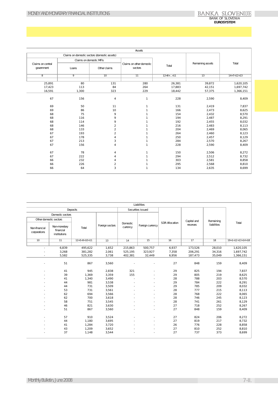25,891 80 131 280 26,381 39,872 1,620,105 17,423 113 84 264 17,883 42,151 1,697,742 16,591 1,300 323 229 18,442 57,375 1,366,151 67 156 4 1 228 2,590 8,409 69 50 50 11 1 1 1 1 1 1 1 1 2,419 7,837 69 86 10 1 166 2,473 8,625 68 75 9 1 154 2,432 8,570 68 116 9 1 194 2,487 8,291 68 114 9 1 192 2,455 8,032 68 146 2 1 216 2,483 8,113 68 133 2 1 204 2,469 8,065 67 193 2 1 264 2,460 8,123 67 178 4 1 250 2,457 8,129 67 213 3 1 284 2,570 8,267 67 156 4 1 228 2,590 8,409 67 78 4 1 150 2,506 8,272 67 222 4 1 294 2,512 8,732 66 232 4 1 303 2,581 8,858 66 226 2 1 295 2,568 8,810 66 64 3 3 1 134 2,635 8,699 Claims on domestic MFIs Claims on other domestic Loans Claims on other domestic<br>
Other claims cectors<br>
Other claims cectors 8 | 9 | 10 | 11 Claims on central government Assets 12=8+…+11 13 14=7+12+13 Claims on domestic sectors (domestic assets) Remaining assets | Total

|                               |                                           |                |                 |          | Liabilities       |                       |                         |                          |                    |
|-------------------------------|-------------------------------------------|----------------|-----------------|----------|-------------------|-----------------------|-------------------------|--------------------------|--------------------|
|                               |                                           | Deposits       |                 |          | Securities issued |                       |                         |                          |                    |
|                               | Domestic sectors                          |                |                 |          |                   |                       |                         |                          |                    |
|                               | Other domestic sectors                    |                |                 |          |                   |                       |                         |                          |                    |
|                               |                                           |                |                 | Domestic |                   | <b>SDR Allocation</b> | Capital and<br>reserves | Remaining<br>liabilities | Total              |
| Non-financial<br>corporations | Non-monetary<br>financial<br>institutions | Total          | Foreign sectors | currency | Foreign currency  |                       |                         |                          |                    |
| 10                            | $\overline{11}$                           | $12=5+9+10+11$ | 13              | 14       | $\overline{15}$   | $\overline{16}$       | $\overline{17}$         | $\overline{18}$          | $19=1+12+13+14+18$ |
|                               |                                           |                |                 |          |                   |                       |                         |                          |                    |
| ×.                            | 6,839                                     | 495,622        | 1,652           | 215,863  | 500,757           | 6,937                 | 173,526                 | 28,010                   | 1,620,105          |
|                               | 3,268                                     | 381.282        | 2,061           | 525,195  | 323,927           | 7,358                 | 206,291                 | 34,316                   | 1,697,742          |
|                               | 5,582                                     | 525,335        | 3,738           | 402,381  | 32,449            | 6,956                 | 187,473                 | 35,049                   | 1,366,151          |
|                               | 51                                        | 867            | 3,560           |          |                   | 27                    | 848                     | 159                      | 8,409              |
|                               | 41                                        | 945            | 2,838           | 321      |                   | 29                    | 825                     | 194                      | 7,837              |
|                               | 39                                        | 1,369          | 3,359           | 155      |                   | 29                    | 805                     | 219                      | 8,625              |
|                               | 41                                        | 1,340          | 3,490           | ×        |                   | 28                    | 788                     | 203                      | 8,570              |
|                               | 44                                        | 981            | 3,538           |          |                   | 29                    | 784                     | 222                      | 8,291              |
|                               | 44                                        | 731            | 3,509           |          |                   | 29                    | 785                     | 209                      | 8,032              |
|                               | 53                                        | 731            | 3,561           |          |                   | 28                    | 777                     | 215                      | 8,113              |
|                               | 62                                        | 694            | 3,566           |          |                   | 28                    | 768                     | 222                      | 8,065              |
|                               | 62                                        | 700            | 3,618           |          |                   | 28                    | 746                     | 245                      | 8,123              |
|                               | 58                                        | 751            | 3,545           |          |                   | 28                    | 741                     | 261                      | 8,129              |
|                               | 46                                        | 821            | 3,630           |          |                   | 27                    | 718                     | 252                      | 8,267              |
|                               | 51                                        | 867            | 3,560           |          |                   | 27                    | 848                     | 159                      | 8,409              |
|                               |                                           |                |                 |          |                   |                       |                         |                          |                    |
|                               | 57                                        | 910            | 3,524           |          |                   | 27                    | 824                     | 206                      | 8,272              |
|                               | 44                                        | 1,180          | 3,695           |          |                   | 27                    | 819                     | 217                      | 8,732              |
|                               | 41                                        | 1,284          | 3,720           |          | ä,                | 26                    | 776                     | 228                      | 8,858              |
|                               | 43                                        | 1,209          | 3,652           |          |                   | 27                    | 810                     | 252                      | 8,810              |
|                               | 37                                        | 1,148          | 3,544           |          |                   | 27                    | 737                     | 373                      | 8,699              |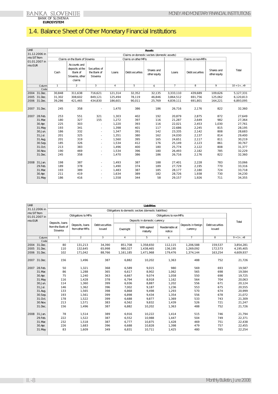**EUROSYSTEM**

# 1.4. Balance Sheet of Other Monetary Financial Institutions

| Until                    |              | Assets                                                                  |                                          |                      |                                              |                            |                |                    |                            |                 |  |  |
|--------------------------|--------------|-------------------------------------------------------------------------|------------------------------------------|----------------------|----------------------------------------------|----------------------------|----------------|--------------------|----------------------------|-----------------|--|--|
| 31.12.2006 in            |              |                                                                         |                                          |                      | Claims on domestic sectors (domestic assets) |                            |                |                    |                            |                 |  |  |
| mio SIT from             |              | Claims on the Bank of Slovenia                                          |                                          | Claims on other MFIs |                                              |                            |                | Claims on non-MFIs |                            |                 |  |  |
| 01.01.2007 in<br>mio EUR | Cash         | Accounts and<br>deposits at the<br>Bank of<br>Slovenia, other<br>claims | Securities of<br>the Bank of<br>Slovenia | Loans                | Debt securities                              | Shares and<br>other equity | Loans          | Debt securities    | Shares and<br>other equity | Total           |  |  |
| Column                   | $\mathbf{1}$ | $\overline{2}$                                                          | $\overline{3}$                           | $\overline{4}$       | 5                                            | 6                          | $\overline{7}$ | $_{8}$             | $\overline{9}$             | $10 = 1 +  + 9$ |  |  |
| Code                     |              |                                                                         |                                          |                      |                                              |                            |                |                    |                            |                 |  |  |
| 2004 31.Dec.             | 30,848       | 311,638                                                                 | 716,621                                  | 121,314              | 32,352                                       | 32,135                     | 3,333,110      | 439,689            | 109,626                    | 5,127,331       |  |  |
| 2005 31.Dec.             | 31,302       | 308,602                                                                 | 849,121                                  | 125,494              | 78,119                                       | 46,846                     | 3,864,512      | 691,756            | 125,062                    | 6,120,813       |  |  |
| 2006 31.Dec.             | 39,286       | 421,465                                                                 | 434,830                                  | 186,601              | 90,011                                       | 25,769                     | 4,839,111      | 691,801            | 164,221                    | 6,893,095       |  |  |
| 2007 31.Dec.             | 245          | 358                                                                     |                                          | 1,470                | 386                                          | 186                        | 26,716         | 2,176              | 822                        | 32,360          |  |  |
| 2007 28.Feb.             | 253          | 551                                                                     | 321                                      | 1,303                | 402                                          | 192                        | 20,879         | 2,875              | 872                        | 27,649          |  |  |
| 31.Mar.                  | 180          | 327                                                                     | 155                                      | 1.272                | 397                                          | 116                        | 21,287         | 2,649              | 982                        | 27,364          |  |  |
| 30.Apr.                  | 225          | 303                                                                     | ٠                                        | 1,220                | 393                                          | 116                        | 22,021         | 2,453              | 1,030                      | 27,761          |  |  |
| 31.May                   | 193          | 341                                                                     | ٠                                        | 1,398                | 401                                          | 117                        | 22,686         | 2,245              | 815                        | 28,195          |  |  |
| 30.Jun.                  | 186          | 332                                                                     | ٠                                        | 1,347                | 391                                          | 142                        | 23,335         | 2,142              | 808                        | 28,683          |  |  |
| $31$ .Jul.               | 201          | 325                                                                     | ÷.                                       | 1,351                | 380                                          | 162                        | 24,030         | 2,137              | 814                        | 29,400          |  |  |
| 31.Aug.                  | 201          | 319                                                                     |                                          | 1,560                | 395                                          | 165                        | 24,651         | 2,117              | 811                        | 30,219          |  |  |
| 30.Sep.                  | 185          | 326                                                                     | ÷.                                       | 1,534                | 412                                          | 176                        | 25,149         | 2,123              | 861                        | 30,767          |  |  |
| 31.Oct.                  | 213          | 383                                                                     | ÷.                                       | 1,496                | 400                                          | 180                        | 25,774         | 2,122              | 808                        | 31,377          |  |  |
| 30.Nov.                  | 190          | 469                                                                     | ٠                                        | 1,534                | 396                                          | 180                        | 26,493         | 2,182              | 785                        | 32,229          |  |  |
| 31.Dec.                  | 245          | 358                                                                     |                                          | 1,470                | 386                                          | 186                        | 26.716         | 2,176              | 822                        | 32,360          |  |  |
|                          |              |                                                                         |                                          |                      |                                              |                            |                |                    |                            |                 |  |  |
| 2008 31.Jan.             | 198          | 387                                                                     |                                          | 1,493                | 387                                          | 188                        | 27,401         | 2,228              | 783                        | 33,066          |  |  |
| 29.Feb.                  | 189          | 378                                                                     | ٠                                        | 1,490                | 374                                          | 189                        | 27,729         | 2,195              | 770                        | 33,316          |  |  |
| 31.Mar.                  | 193          | 389                                                                     | ×.                                       | 1,483                | 387                                          | 185                        | 28,177         | 2,180              | 724                        | 33,718          |  |  |
| 30.Apr.                  | 211          | 419                                                                     | ÷.                                       | 1,634                | 389                                          | 182                        | 28,726         | 1,938              | 730                        | 34,230          |  |  |
| 31.May                   | 186          | 416                                                                     |                                          | 1,558                | 344                                          | 58                         | 29,157         | 1,926              | 711                        | 34,355          |  |  |

| 31.12.2006 in<br>Obligations to domestic sectors (domestic liabilities)<br>mio SIT from<br>Obligations to MFIs<br>Obligations to non-MFIs<br>01.01.2007 in<br>Deposits in domestic currency<br>mio EUR<br>Total<br>Deposits, Ioans<br>Deposits, Ioans<br>Debt securities<br>Deposits in foreign<br>Debt securities<br>from the Bank of<br>With agreed<br>Reedemable at<br>from other MFIs<br>issued<br>issued<br>currency<br>Overnight<br>Slovenia<br>notice<br>maturity<br>$\overline{3}$<br>$\overline{5}$<br>$\overline{8}$<br>$\overline{a}$<br>$\overline{4}$<br>$\overline{7}$<br>$9 = 1 +  + 8$<br>$\mathbf{1}$<br>Column<br>6<br>Code<br>2004 31.Dec.<br>80<br>131,213<br>34,390<br>1,358,650<br>112,115<br>851.708<br>1,206,588<br>159,537<br>2005 31.Dec.<br>110<br>65.998<br>980.327<br>136.195<br>1,269,092<br>132.645<br>1.438.465<br>172,573<br>2006 31.Dec.<br>102<br>171,042<br>88,766<br>1,471,968<br>163,254<br>1,161,185<br>179,476<br>1,374,144<br>2007 31.Dec.<br>156<br>1,496<br>387<br>6,882<br>10,202<br>1,363<br>488<br>752<br>2007 28.Feb.<br>50<br>1,321<br>368<br>6.589<br>9.015<br>980<br>569<br>693<br>86<br>1,288<br>365<br>6,617<br>8,902<br>565<br>698<br>31.Mar.<br>1.062<br>75<br>1,240<br>363<br>6,667<br>9.074<br>1.058<br>550<br>698<br>30.Apr.<br>116<br>1,428<br>378<br>6,794<br>8,918<br>1,162<br>564<br>704<br>31.May<br>114<br>1,202<br>556<br>671<br>30.Jun.<br>1,360<br>399<br>6,936<br>8,887<br>31.Jul.<br>146<br>1,362<br>396<br>7,002<br>9,187<br>1,236<br>553<br>675<br>31.Aug.<br>133<br>1,565<br>398<br>6.868<br>9.498<br>1.293<br>570<br>674<br>30.Sep.<br>193<br>1,561<br>399<br>6,898<br>1,354<br>556<br>678<br>9,434<br>31.Oct.<br>178<br>1,522<br>399<br>6,688<br>9,877<br>533<br>1,369<br>743<br>30.Nov.<br>213<br>1,571<br>383<br>6,562<br>9,832<br>1.439<br>526<br>721<br>31.Dec.<br>156<br>387<br>752<br>1,496<br>6,882<br>10,202<br>1,363<br>488<br>2008 31.Jan.<br>78<br>1,514<br>389<br>6,916<br>10,222<br>1,414<br>515<br>746<br>222<br>749<br>29.Feb.<br>1,522<br>387<br>6,552<br>10,988<br>1,447<br>504<br>232<br>387<br>6,777<br>31.Mar.<br>1,518<br>10,875<br>1,428<br>469<br>751<br>226<br>1,683<br>396<br>6,688<br>10,828<br>1,398<br>479<br>757<br>30.Apr.<br>83<br>1,609<br>349<br>6,831<br>10,711<br>1,425<br>480<br>765<br>31.May | Until | Liabilities |  |  |  |  |  |  |  |           |  |  |  |
|-------------------------------------------------------------------------------------------------------------------------------------------------------------------------------------------------------------------------------------------------------------------------------------------------------------------------------------------------------------------------------------------------------------------------------------------------------------------------------------------------------------------------------------------------------------------------------------------------------------------------------------------------------------------------------------------------------------------------------------------------------------------------------------------------------------------------------------------------------------------------------------------------------------------------------------------------------------------------------------------------------------------------------------------------------------------------------------------------------------------------------------------------------------------------------------------------------------------------------------------------------------------------------------------------------------------------------------------------------------------------------------------------------------------------------------------------------------------------------------------------------------------------------------------------------------------------------------------------------------------------------------------------------------------------------------------------------------------------------------------------------------------------------------------------------------------------------------------------------------------------------------------------------------------------------------------------------------------------------------------------------------------------------------------------------------------------------------------------------------------------------------------------------------------------------------------------------------------------------------------------------------------------------------------------------------|-------|-------------|--|--|--|--|--|--|--|-----------|--|--|--|
|                                                                                                                                                                                                                                                                                                                                                                                                                                                                                                                                                                                                                                                                                                                                                                                                                                                                                                                                                                                                                                                                                                                                                                                                                                                                                                                                                                                                                                                                                                                                                                                                                                                                                                                                                                                                                                                                                                                                                                                                                                                                                                                                                                                                                                                                                                             |       |             |  |  |  |  |  |  |  |           |  |  |  |
|                                                                                                                                                                                                                                                                                                                                                                                                                                                                                                                                                                                                                                                                                                                                                                                                                                                                                                                                                                                                                                                                                                                                                                                                                                                                                                                                                                                                                                                                                                                                                                                                                                                                                                                                                                                                                                                                                                                                                                                                                                                                                                                                                                                                                                                                                                             |       |             |  |  |  |  |  |  |  |           |  |  |  |
|                                                                                                                                                                                                                                                                                                                                                                                                                                                                                                                                                                                                                                                                                                                                                                                                                                                                                                                                                                                                                                                                                                                                                                                                                                                                                                                                                                                                                                                                                                                                                                                                                                                                                                                                                                                                                                                                                                                                                                                                                                                                                                                                                                                                                                                                                                             |       |             |  |  |  |  |  |  |  |           |  |  |  |
|                                                                                                                                                                                                                                                                                                                                                                                                                                                                                                                                                                                                                                                                                                                                                                                                                                                                                                                                                                                                                                                                                                                                                                                                                                                                                                                                                                                                                                                                                                                                                                                                                                                                                                                                                                                                                                                                                                                                                                                                                                                                                                                                                                                                                                                                                                             |       |             |  |  |  |  |  |  |  |           |  |  |  |
|                                                                                                                                                                                                                                                                                                                                                                                                                                                                                                                                                                                                                                                                                                                                                                                                                                                                                                                                                                                                                                                                                                                                                                                                                                                                                                                                                                                                                                                                                                                                                                                                                                                                                                                                                                                                                                                                                                                                                                                                                                                                                                                                                                                                                                                                                                             |       |             |  |  |  |  |  |  |  |           |  |  |  |
|                                                                                                                                                                                                                                                                                                                                                                                                                                                                                                                                                                                                                                                                                                                                                                                                                                                                                                                                                                                                                                                                                                                                                                                                                                                                                                                                                                                                                                                                                                                                                                                                                                                                                                                                                                                                                                                                                                                                                                                                                                                                                                                                                                                                                                                                                                             |       |             |  |  |  |  |  |  |  |           |  |  |  |
|                                                                                                                                                                                                                                                                                                                                                                                                                                                                                                                                                                                                                                                                                                                                                                                                                                                                                                                                                                                                                                                                                                                                                                                                                                                                                                                                                                                                                                                                                                                                                                                                                                                                                                                                                                                                                                                                                                                                                                                                                                                                                                                                                                                                                                                                                                             |       |             |  |  |  |  |  |  |  | 3,854,281 |  |  |  |
|                                                                                                                                                                                                                                                                                                                                                                                                                                                                                                                                                                                                                                                                                                                                                                                                                                                                                                                                                                                                                                                                                                                                                                                                                                                                                                                                                                                                                                                                                                                                                                                                                                                                                                                                                                                                                                                                                                                                                                                                                                                                                                                                                                                                                                                                                                             |       |             |  |  |  |  |  |  |  | 4,195,405 |  |  |  |
|                                                                                                                                                                                                                                                                                                                                                                                                                                                                                                                                                                                                                                                                                                                                                                                                                                                                                                                                                                                                                                                                                                                                                                                                                                                                                                                                                                                                                                                                                                                                                                                                                                                                                                                                                                                                                                                                                                                                                                                                                                                                                                                                                                                                                                                                                                             |       |             |  |  |  |  |  |  |  | 4,609,937 |  |  |  |
|                                                                                                                                                                                                                                                                                                                                                                                                                                                                                                                                                                                                                                                                                                                                                                                                                                                                                                                                                                                                                                                                                                                                                                                                                                                                                                                                                                                                                                                                                                                                                                                                                                                                                                                                                                                                                                                                                                                                                                                                                                                                                                                                                                                                                                                                                                             |       |             |  |  |  |  |  |  |  | 21,726    |  |  |  |
|                                                                                                                                                                                                                                                                                                                                                                                                                                                                                                                                                                                                                                                                                                                                                                                                                                                                                                                                                                                                                                                                                                                                                                                                                                                                                                                                                                                                                                                                                                                                                                                                                                                                                                                                                                                                                                                                                                                                                                                                                                                                                                                                                                                                                                                                                                             |       |             |  |  |  |  |  |  |  | 19.587    |  |  |  |
|                                                                                                                                                                                                                                                                                                                                                                                                                                                                                                                                                                                                                                                                                                                                                                                                                                                                                                                                                                                                                                                                                                                                                                                                                                                                                                                                                                                                                                                                                                                                                                                                                                                                                                                                                                                                                                                                                                                                                                                                                                                                                                                                                                                                                                                                                                             |       |             |  |  |  |  |  |  |  | 19,584    |  |  |  |
|                                                                                                                                                                                                                                                                                                                                                                                                                                                                                                                                                                                                                                                                                                                                                                                                                                                                                                                                                                                                                                                                                                                                                                                                                                                                                                                                                                                                                                                                                                                                                                                                                                                                                                                                                                                                                                                                                                                                                                                                                                                                                                                                                                                                                                                                                                             |       |             |  |  |  |  |  |  |  | 19,725    |  |  |  |
|                                                                                                                                                                                                                                                                                                                                                                                                                                                                                                                                                                                                                                                                                                                                                                                                                                                                                                                                                                                                                                                                                                                                                                                                                                                                                                                                                                                                                                                                                                                                                                                                                                                                                                                                                                                                                                                                                                                                                                                                                                                                                                                                                                                                                                                                                                             |       |             |  |  |  |  |  |  |  | 20,063    |  |  |  |
|                                                                                                                                                                                                                                                                                                                                                                                                                                                                                                                                                                                                                                                                                                                                                                                                                                                                                                                                                                                                                                                                                                                                                                                                                                                                                                                                                                                                                                                                                                                                                                                                                                                                                                                                                                                                                                                                                                                                                                                                                                                                                                                                                                                                                                                                                                             |       |             |  |  |  |  |  |  |  | 20,124    |  |  |  |
|                                                                                                                                                                                                                                                                                                                                                                                                                                                                                                                                                                                                                                                                                                                                                                                                                                                                                                                                                                                                                                                                                                                                                                                                                                                                                                                                                                                                                                                                                                                                                                                                                                                                                                                                                                                                                                                                                                                                                                                                                                                                                                                                                                                                                                                                                                             |       |             |  |  |  |  |  |  |  | 20,555    |  |  |  |
|                                                                                                                                                                                                                                                                                                                                                                                                                                                                                                                                                                                                                                                                                                                                                                                                                                                                                                                                                                                                                                                                                                                                                                                                                                                                                                                                                                                                                                                                                                                                                                                                                                                                                                                                                                                                                                                                                                                                                                                                                                                                                                                                                                                                                                                                                                             |       |             |  |  |  |  |  |  |  | 20,999    |  |  |  |
|                                                                                                                                                                                                                                                                                                                                                                                                                                                                                                                                                                                                                                                                                                                                                                                                                                                                                                                                                                                                                                                                                                                                                                                                                                                                                                                                                                                                                                                                                                                                                                                                                                                                                                                                                                                                                                                                                                                                                                                                                                                                                                                                                                                                                                                                                                             |       |             |  |  |  |  |  |  |  | 21,072    |  |  |  |
|                                                                                                                                                                                                                                                                                                                                                                                                                                                                                                                                                                                                                                                                                                                                                                                                                                                                                                                                                                                                                                                                                                                                                                                                                                                                                                                                                                                                                                                                                                                                                                                                                                                                                                                                                                                                                                                                                                                                                                                                                                                                                                                                                                                                                                                                                                             |       |             |  |  |  |  |  |  |  | 21,309    |  |  |  |
|                                                                                                                                                                                                                                                                                                                                                                                                                                                                                                                                                                                                                                                                                                                                                                                                                                                                                                                                                                                                                                                                                                                                                                                                                                                                                                                                                                                                                                                                                                                                                                                                                                                                                                                                                                                                                                                                                                                                                                                                                                                                                                                                                                                                                                                                                                             |       |             |  |  |  |  |  |  |  | 21,247    |  |  |  |
|                                                                                                                                                                                                                                                                                                                                                                                                                                                                                                                                                                                                                                                                                                                                                                                                                                                                                                                                                                                                                                                                                                                                                                                                                                                                                                                                                                                                                                                                                                                                                                                                                                                                                                                                                                                                                                                                                                                                                                                                                                                                                                                                                                                                                                                                                                             |       |             |  |  |  |  |  |  |  | 21,726    |  |  |  |
|                                                                                                                                                                                                                                                                                                                                                                                                                                                                                                                                                                                                                                                                                                                                                                                                                                                                                                                                                                                                                                                                                                                                                                                                                                                                                                                                                                                                                                                                                                                                                                                                                                                                                                                                                                                                                                                                                                                                                                                                                                                                                                                                                                                                                                                                                                             |       |             |  |  |  |  |  |  |  | 21,794    |  |  |  |
|                                                                                                                                                                                                                                                                                                                                                                                                                                                                                                                                                                                                                                                                                                                                                                                                                                                                                                                                                                                                                                                                                                                                                                                                                                                                                                                                                                                                                                                                                                                                                                                                                                                                                                                                                                                                                                                                                                                                                                                                                                                                                                                                                                                                                                                                                                             |       |             |  |  |  |  |  |  |  | 22,371    |  |  |  |
|                                                                                                                                                                                                                                                                                                                                                                                                                                                                                                                                                                                                                                                                                                                                                                                                                                                                                                                                                                                                                                                                                                                                                                                                                                                                                                                                                                                                                                                                                                                                                                                                                                                                                                                                                                                                                                                                                                                                                                                                                                                                                                                                                                                                                                                                                                             |       |             |  |  |  |  |  |  |  | 22,438    |  |  |  |
|                                                                                                                                                                                                                                                                                                                                                                                                                                                                                                                                                                                                                                                                                                                                                                                                                                                                                                                                                                                                                                                                                                                                                                                                                                                                                                                                                                                                                                                                                                                                                                                                                                                                                                                                                                                                                                                                                                                                                                                                                                                                                                                                                                                                                                                                                                             |       |             |  |  |  |  |  |  |  | 22,455    |  |  |  |
|                                                                                                                                                                                                                                                                                                                                                                                                                                                                                                                                                                                                                                                                                                                                                                                                                                                                                                                                                                                                                                                                                                                                                                                                                                                                                                                                                                                                                                                                                                                                                                                                                                                                                                                                                                                                                                                                                                                                                                                                                                                                                                                                                                                                                                                                                                             |       |             |  |  |  |  |  |  |  | 22,254    |  |  |  |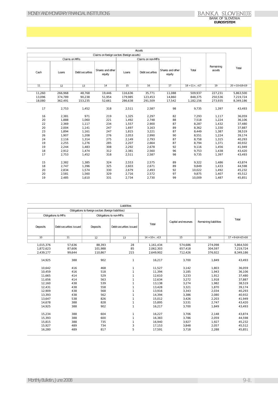| Assets                     |                               |                             |                                            |                               |                              |                            |                                 |                               |                                     |  |  |
|----------------------------|-------------------------------|-----------------------------|--------------------------------------------|-------------------------------|------------------------------|----------------------------|---------------------------------|-------------------------------|-------------------------------------|--|--|
|                            |                               |                             | Claims on foreign sectors (foreign assets) |                               |                              |                            |                                 |                               |                                     |  |  |
|                            | Claims on MFIs                |                             |                                            |                               | Claims on non-MFIs           |                            |                                 |                               |                                     |  |  |
| Cash                       | Loans                         | Debt securities             | Shares and other<br>equity                 | Loans                         | Debt securities              | Shares and other<br>equity | Total                           | Remaining<br>assets           | Total                               |  |  |
| 11                         | 12                            | 13                          | 14                                         | 15                            | $\overline{16}$              | $\overline{17}$            | $18 = 11 +  + 17$               | 19                            | $20 = 10+18+19$                     |  |  |
| 11,260<br>13,096<br>18,080 | 266.968<br>374,789<br>362,491 | 48,768<br>90,238<br>153,235 | 19,446<br>51,954<br>52,661                 | 116.636<br>179,985<br>286,638 | 35,771<br>123,453<br>291,509 | 11.088<br>14,860<br>17,542 | 509.937<br>848,375<br>1,182,156 | 227,231<br>250,536<br>273,935 | 5,863,500<br>7,219,724<br>8,349,186 |  |  |
|                            |                               |                             |                                            |                               |                              |                            |                                 |                               |                                     |  |  |
| 17                         | 2,753                         | 1.452                       | 318                                        | 2,511                         | 2,587                        | 98                         | 9.735                           | 1,397                         | 43,493                              |  |  |
| 16                         | 2,381                         | 971                         | 219                                        | 1,325                         | 2,297                        | 82                         | 7,293                           | 1,117                         | 36,059                              |  |  |
| 20                         | 1,888                         | 1,060                       | 221                                        | 1,492                         | 2,748                        | 88                         | 7,518                           | 1,224                         | 36,106                              |  |  |
| 22                         | 2,369                         | 1.117                       | 234                                        | 1,557                         | 2,900                        | 87                         | 8,287                           | 1,432                         | 37,480                              |  |  |
| 20                         | 2.004                         | 1.141                       | 247                                        | 1.697                         | 3,163                        | 89                         | 8.362                           | 1.330                         | 37.887                              |  |  |
| 23                         | 1,894                         | 1,161                       | 247                                        | 1,815                         | 3,221                        | 87                         | 8,449                           | 1,387                         | 38,519                              |  |  |
| 26                         | 1,907                         | 1,208                       | 276                                        | 2,053                         | 2,990                        | 90                         | 8,551                           | 1,224                         | 39,174                              |  |  |
| 24                         | 2,116                         | 1,314                       | 275                                        | 2,149                         | 2,793                        | 87                         | 8,758                           | 1,315                         | 40,293                              |  |  |
| 19                         | 2,255                         | 1,276                       | 285                                        | 2,207                         | 2,664                        | 87                         | 8,794                           | 1,371                         | 40,932                              |  |  |
| 19                         | 2,244                         | 1.483                       | 308                                        | 2,292                         | 2,678                        | 92                         | 9.116                           | 1,456                         | 41,949                              |  |  |
| 18                         | 2,912                         | 1.474                       | 312                                        | 2,381                         | 2,560                        | 96                         | 9.753                           | 1,438                         | 43,420                              |  |  |
| 17                         | 2,753                         | 1.452                       | 318                                        | 2,511                         | 2,587                        | 98                         | 9.735                           | 1.397                         | 43,493                              |  |  |
| 15                         | 2,382                         | 1,385                       | 324                                        | 2,553                         | 2,575                        | 89                         | 9,322                           | 1,486                         | 43,874                              |  |  |
| 18                         | 2,747                         | 1,396                       | 325                                        | 2,603                         | 2,671                        | 89                         | 9,849                           | 1,433                         | 44,598                              |  |  |
| 20                         | 2,834                         | 1.574                       | 330                                        | 2,679                         | 2,493                        | 92                         | 10,022                          | 1.492                         | 45,232                              |  |  |
| 20                         | 2,581                         | 1,560                       | 329                                        | 2,716                         | 2,572                        | 97                         | 9,875                           | 1,407                         | 45,512                              |  |  |
| 19                         | 2,485                         | 1.610                       | 331                                        | 2.734                         | 2.730                        | 99                         | 10.009                          | 1.487                         | 45,851                              |  |  |

| Liabilities |               |                        |                                                      |                         |                   |                      |                       |                         |  |  |  |
|-------------|---------------|------------------------|------------------------------------------------------|-------------------------|-------------------|----------------------|-----------------------|-------------------------|--|--|--|
|             |               |                        | Obligations to foreign sectors (foreign liabilities) |                         |                   |                      |                       |                         |  |  |  |
|             |               | Obligations to MFIs    |                                                      | Obligations to non-MFIs |                   |                      |                       |                         |  |  |  |
|             | Deposits      | Debt securities issued | Deposits                                             | Debt securities issued  | Total             | Capital and reserves | Remaining liabilities | Total                   |  |  |  |
|             | 10            | 11                     | 12                                                   | 13                      | $14 = 10 +  + 13$ | $\overline{15}$      | 16                    | $17 = 9 + 14 + 15 + 16$ |  |  |  |
|             |               |                        |                                                      |                         |                   |                      |                       |                         |  |  |  |
|             | 1,015,376     | 57,636                 | 88,393                                               | 28                      | 1,161,434         | 574,686              | 274,098               | 5,864,500               |  |  |  |
|             | 1,872,623     | 87,606                 | 101,988                                              | 85                      | 2,062,303         | 657,418              | 304,597               | 7,219,724               |  |  |  |
|             | 2,439,177     | 99,644                 | 110,867                                              | 215                     | 2,649,902         | 712,426              | 376,922               | 8,349,186               |  |  |  |
|             | 14.925        | 388                    | 902                                                  | 1                       | 16,217            | 3.700                | 1,849                 | 43,493                  |  |  |  |
|             | 10,642        | 416                    | 468                                                  | 1                       | 11,527            | 3,142                | 1,803                 | 36,059                  |  |  |  |
|             | 10.459        | 416                    | 518                                                  | 1                       | 11,394            | 3,185                | 1,943                 | 36,106                  |  |  |  |
|             | 11,665        | 414                    | 529                                                  | 1                       | 12,610            | 3,233                | 1,912                 | 37,480                  |  |  |  |
|             | 11,656        | 414                    | 563                                                  | 1                       | 12,634            | 3,272                | 1,918                 | 37,887                  |  |  |  |
|             | 12,160        | 438                    | 539                                                  | 1                       | 13,138            | 3,274                | 1,982                 | 38,519                  |  |  |  |
|             | 12,431        | 438                    | 558                                                  | 1                       | 13,428            | 3,321                | 1,870                 | 39,174                  |  |  |  |
|             | 12,909        | 438                    | 568                                                  | 1                       | 13,916            | 3,343                | 2,034                 | 40,293                  |  |  |  |
|             | 13,393        | 438                    | 562                                                  | 1                       | 14,394            | 3,386                | 2,080                 | 40,932                  |  |  |  |
|             | 13,647        | 538                    | 826                                                  | 1                       | 15,012            | 3,426                | 2,203                 | 41,949                  |  |  |  |
|             | 14,678        | 388                    | 828                                                  | 1                       | 15.895            | 3,531                | 2.747                 | 43,420                  |  |  |  |
|             | 14,925        | 388                    | 902                                                  | 1                       | 16,217            | 3,700                | 1,849                 | 43,493                  |  |  |  |
|             | 15,234        | 388                    | 604                                                  | 1                       | 16,227            | 3,706                | 2,148                 | 43,874                  |  |  |  |
|             | 15,393        | 388                    | 600                                                  | 1                       | 16,383            | 3,786                | 2,059                 | 44,598                  |  |  |  |
|             | 15,815        | 388                    | 735                                                  | 1                       | 16,940            | 3,927                | 1,927                 | 45,232                  |  |  |  |
|             | 15,927        | 489                    | 734                                                  | 3                       | 17,153            | 3,848                | 2,057                 | 45,512                  |  |  |  |
|             | 16,280<br>489 |                        | 817                                                  | 5                       | 17,591            | 3,718                | 2,288                 | 45,851                  |  |  |  |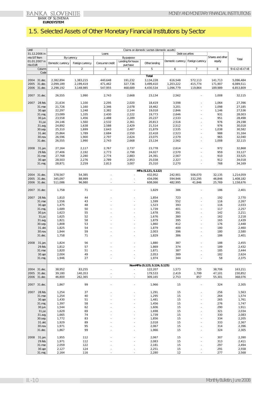**EUROSYSTEM**

# 1.5. Selected Assets of Other Monetary Financial Institutions by Sector

| Until        |                              | Claims on domestic sectors (domestic assets) |                   |                 |                               |                                |                                    |                |                  |                         |  |
|--------------|------------------------------|----------------------------------------------|-------------------|-----------------|-------------------------------|--------------------------------|------------------------------------|----------------|------------------|-------------------------|--|
|              | 31.12.2006 in                |                                              |                   | Loans           |                               |                                | Debt securities                    |                |                  |                         |  |
| mio SIT from |                              |                                              | By currency       |                 | By purpose                    |                                |                                    |                | Shares and other | Total                   |  |
| mio EUR      | 01.01.2007 in                | Domestic currency                            | Foreign currency  | Consumer credit | Lending for house<br>purchase | Other lending                  | Domestic currency Foreign currency |                | equity           |                         |  |
|              | Column                       | $\mathbf{1}$                                 | $\overline{2}$    | 3               | $\overline{4}$                | 5                              | 6                                  | $\overline{7}$ | 8                | $9 = 1 + 2 + 6 + 7 + 8$ |  |
|              | Code                         |                                              |                   |                 |                               |                                |                                    |                |                  |                         |  |
|              |                              |                                              |                   |                 |                               | Total                          |                                    |                |                  |                         |  |
|              | 2004 31.dec.                 | 2,382,894                                    | 1,383,215         | 440,648         | 191,232                       | 3,134,228                      | 616,548                            | 572,113        | 141,713          | 5,096,484               |  |
|              | 2005 31.dec.                 | 2,099,189                                    | 2,199,419         | 471,462         | 327,736                       | 3,499,410                      | 1,203,222                          | 415,774        | 171,907          | 6,089,511               |  |
|              | 2006 31.dec.                 | 2,298,192                                    | 3,148,985         | 547,955         | 468,689                       | 4,430,534                      | 1,096,779                          | 119,864        | 189,989          | 6,853,809               |  |
|              | 2007 31.dec.                 | 26,555                                       | 1,990             | 2,743           | 2,668                         | 23,134                         | 2,562                              |                | 1,008            | 32,115                  |  |
|              |                              |                                              |                   |                 |                               |                                |                                    |                |                  |                         |  |
| 2007         | 28.feb                       | 21,634                                       | 1,100             | 2,295           | 2,020                         | 18,419                         | 3,598                              |                | 1,064            | 27,396                  |  |
|              | 31.mar.                      | 21,726                                       | 1,160             | 2,346           | 2,078                         | 18,462                         | 3,201                              |                | 1,098            | 27,185                  |  |
|              | 30.apr.                      | 22,297                                       | 1,248             | 2,382           | 2,144                         | 19,018                         | 2,846                              |                | 1,146            | 27,536                  |  |
|              | 31.maj                       | 23,089                                       | 1,335             | 2,430           | 2,222                         | 19,773                         | 2,646                              |                | 931              | 28,003                  |  |
|              | $30$ .jun.                   | 23,558                                       | 1,456             | 2,488           | 2,289                         | 20,237                         | 2,533                              |                | 951              | 28,498                  |  |
|              | $31$ .jul<br>31.avg          | 24,146<br>24,892                             | 1,560<br>1,638    | 2,532<br>2,588  | 2,361<br>2,429                | 20,813<br>21,514               | 2,516<br>2,512                     |                | 976<br>976       | 29,198<br>30,018        |  |
|              | 30.sep                       | 25,310                                       | 1,699             | 2,643           | 2,487                         | 21,879                         | 2,535                              |                | 1,038            | 30,582                  |  |
|              | 31.okt                       | 25,864                                       | 1,789             | 2,684           | 2,550                         | 22,418                         | 2,523                              |                | 988              | 31,164                  |  |
|              | 30.nov.                      | 26,596                                       | 1,900             | 2,797           | 2,624                         | 23,075                         | 2,579                              |                | 965              | 32,040                  |  |
|              | 31.dec.                      | 26,555                                       | 1,990             | 2,743           | 2,668                         | 23,134                         | 2,562                              |                | 1,008            | 32,115                  |  |
|              |                              |                                              |                   |                 |                               |                                |                                    |                |                  |                         |  |
| 2008         | 31.jan                       | 27,164                                       | 2,117             | 2,767           | 2,737                         | 23,778                         | 2,614                              |                | 972              | 32,868                  |  |
|              | 29.feb.<br>31.mar.           | 27,406<br>27,768                             | 2,192<br>2,280    | 2,773<br>2,774  | 2,798<br>2,883                | 24,027<br>24,391               | 2,570<br>2,567                     |                | 959<br>910       | 33,127<br>33,525        |  |
|              | 30.apr.                      | 28,503                                       | 2,276             | 2,789           | 2,953                         | 25,038                         | 2,327                              |                | 912              | 34,018                  |  |
|              | 31.maj.                      | 28,871                                       | 2,259             | 2,813           | 3,007                         | 25,310                         | 2,270                              |                | 768              | 34,169                  |  |
|              |                              |                                              |                   |                 |                               |                                |                                    |                |                  |                         |  |
|              |                              |                                              |                   |                 | MFIs (S.121, S.122)           |                                |                                    |                |                  |                         |  |
|              | 2004 31.dec.                 | 378,567                                      | 54,385            |                 |                               | 432,952                        | 242,901                            | 506,070        | 32,135           | 1,214,059               |  |
|              | 2005 31.dec.                 | 345,097                                      | 88,999            |                 |                               | 434,096                        | 594,946                            | 332,295        | 46,846           | 1,408,182               |  |
|              | 2006 31.dec.                 | 511,086                                      | 96,980            |                 |                               | 608,066                        | 482,995                            | 41,846         | 25,769           | 1,158,676               |  |
|              | 2007 31.dec.                 | 1,758                                        | 71                |                 | J.                            | 1,829                          | 386                                |                | 186              | 2,401                   |  |
|              |                              |                                              |                   |                 |                               |                                |                                    |                |                  |                         |  |
| 2007         | 28.feb.                      | 1,810                                        | 44                |                 |                               | 1,854                          | 723                                |                | 192              | 2,770                   |  |
|              | 31.mar.                      | 1,556                                        | 43                |                 |                               | 1,599                          | 552                                |                | 116              | 2,267                   |  |
|              | 30.apr                       | 1,475                                        | 48                |                 |                               | 1,523                          | 393                                |                | 116              | 2,033                   |  |
|              | 31.maj                       | 1,689<br>1,623                               | 50<br>55          |                 |                               | 1,739<br>1,678                 | 401<br>391                         |                | 117<br>142       | 2,257                   |  |
|              | $30$ .jun.<br>$31$ .jul      | 1,625                                        | 52                |                 |                               |                                |                                    |                | 162              | 2,211<br>2,218          |  |
|              | 31.avg.                      | 1,821                                        | 58                |                 |                               | 1,676<br>380<br>1,879<br>395   |                                    |                | 165              | 2,439                   |  |
|              | 30.sep                       | 1,808                                        | 53                |                 |                               | 1,860                          | 412                                |                | 176              | 2,448                   |  |
|              | 31.okt                       | 1,825                                        | 54                |                 |                               | 1,879                          | 400                                |                | 180              | 2,460                   |  |
|              | 30.nov.                      | 1,944                                        | 59                |                 |                               | 2,003                          | 396                                |                | 180              | 2,580                   |  |
|              | 31.dec                       | 1,758                                        | 71                |                 |                               | 1,829                          | 386                                |                | 186              | 2,401                   |  |
|              |                              |                                              |                   |                 |                               |                                |                                    |                |                  |                         |  |
| 2008         | 31.jan<br>29.feb.            | 1,824<br>1,812                               | 56<br>57          |                 |                               | 1,880<br>1,869                 | 387<br>374                         |                | 188<br>189       | 2,455<br>2,432          |  |
|              | 31.mar.                      | 1,820                                        | 51                |                 |                               | 1,871                          | 387                                |                | 185              | 2,444                   |  |
|              | 30.apr.                      | 2,004                                        | 49                |                 |                               | 2,053                          | 389                                |                | 182              | 2,624                   |  |
|              | 31.maj                       | 1,946                                        | 27                |                 | $\overline{\phantom{a}}$      | 1,974                          | 344                                |                | 58               | 2,375                   |  |
|              |                              |                                              |                   |                 |                               |                                |                                    |                |                  |                         |  |
|              |                              |                                              |                   |                 |                               | Non-MFIs (S.123, S.124, S.125) |                                    |                | 38,706           |                         |  |
|              | 2004 31.dec.<br>2005 31.dec. | 38,952<br>39,180                             | 83,255<br>140,353 |                 | ä,                            | 122,207<br>179,533             | 1,573<br>2,419                     | 725<br>1,799   | 47,101           | 163,211<br>230,852      |  |
|              | 2006 31.dec.                 | 46,800                                       | 262,365           |                 |                               | 309,165                        | 2,753                              | 857            | 55,301           | 368,076                 |  |
|              |                              |                                              |                   |                 |                               |                                |                                    |                |                  |                         |  |
|              | 2007 31.dec.                 | 1,867                                        | 99                |                 |                               | 1,966                          | 15                                 |                | 324              | 2,305                   |  |
|              |                              |                                              |                   |                 |                               |                                |                                    |                |                  |                         |  |
|              | 2007 28.feb.                 | 1,254                                        | 37                |                 |                               | 1,291                          | 15                                 |                | 256              | 1,563                   |  |
|              | 31.mar.                      | 1,254<br>1,430                               | 40<br>51          |                 |                               | 1,295                          | 15<br>15                           |                | 264<br>265       | 1,574                   |  |
|              | 30.apr.<br>31.maj            | 1,397                                        | 58                |                 |                               | 1,481<br>1,456                 | 15                                 |                | 276              | 1,761<br>1,747          |  |
|              | 30.jun.                      | 1,544                                        | 62                |                 |                               | 1,606                          | 15                                 |                | 290              | 1,911                   |  |
|              | $31$ .jul.                   | 1,629                                        | 69                |                 |                               | 1,698                          | 15                                 |                | 321              | 2,034                   |  |
|              | 31.avg.                      | 1,665                                        | 74                |                 |                               | 1,739                          | 15                                 |                | 330              | 2,083                   |  |
|              | 30.sep.                      | 1,772                                        | 83                |                 |                               | 1,856                          | 15                                 |                | 334              | 2,205                   |  |
|              | 31.okt.                      | 1,929                                        | 89                |                 |                               | 2,018                          | 15                                 |                | 333              | 2,367                   |  |
|              | 30.nov.                      | 1,971                                        | 95                |                 |                               | 2,067                          | 15                                 |                | 314              | 2,396                   |  |
|              | 31.dec.                      | 1,867                                        | 99                |                 |                               | 1,966                          | 15                                 |                | 324              | 2,305                   |  |
|              | 2008 31.jan.                 | 1,955                                        | 112               |                 |                               | 2,067                          | 15                                 |                | 307              | 2,390                   |  |
|              | 29.feb.                      | 1,971                                        | 112               |                 |                               | 2,083                          | 15                                 |                | 313              | 2,411                   |  |
|              | 31.mar.                      | 2,059                                        | 122               |                 |                               | 2,181                          | 15                                 |                | 297              | 2,494                   |  |
|              | 30.apr.                      | 2,127                                        | 124               |                 |                               | 2,251                          | 15                                 |                | 291              | 2,558                   |  |
|              | 31.maj.                      | 2,164                                        | 116               |                 |                               | 2,280                          | 12                                 |                | 277              | 2,568                   |  |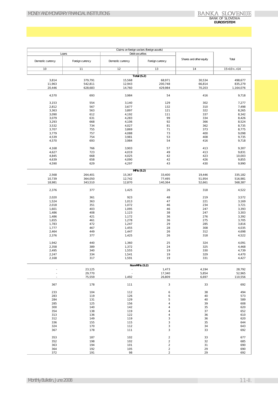|                   |                  |                   | Claims on foreign sectors (foreign assets) |                         |                   |  |  |  |  |
|-------------------|------------------|-------------------|--------------------------------------------|-------------------------|-------------------|--|--|--|--|
| Loans             |                  | Debt securities   |                                            |                         |                   |  |  |  |  |
| Domestic currency | Foreign currency | Domestic currency | Foreign currency                           | Shares and other equity | Total             |  |  |  |  |
| 10                | 11               | 12                | 13                                         | 14                      | $15 = 10 +  + 14$ |  |  |  |  |
|                   |                  |                   |                                            |                         |                   |  |  |  |  |
|                   |                  |                   | Total $(S.2)$                              |                         |                   |  |  |  |  |
| 3,814             | 379,791          | 15,568            | 68,971                                     | 30,534                  | 498,677           |  |  |  |  |
| 11,963            |                  | 12,943            | 200,748                                    | 66,814                  |                   |  |  |  |  |
|                   | 542,811          |                   |                                            |                         | 835,279           |  |  |  |  |
| 20,446            | 628,683          | 14,760            | 429,984                                    | 70,203                  | 1,164,076         |  |  |  |  |
|                   |                  |                   |                                            |                         |                   |  |  |  |  |
| 4,570             | 693              | 3,984             | 54                                         | 416                     | 9,718             |  |  |  |  |
|                   |                  |                   |                                            |                         |                   |  |  |  |  |
| 3,153             | 554              | 3,140             | 129                                        | 302                     | 7,277             |  |  |  |  |
| 2,812             | 567              | 3,677             | 132                                        | 310                     | 7,498             |  |  |  |  |
| 3,363             | 563              | 3,897             | 121                                        | 322                     | 8,265             |  |  |  |  |
| 3,090             | 612              |                   |                                            | 337                     |                   |  |  |  |  |
|                   |                  | 4,192             | 111                                        |                         | 8,342             |  |  |  |  |
| 3,079             | 631              | 4,283             | 99                                         | 334                     | 8,426             |  |  |  |  |
| 3,293             | 668              | 4,106             | 92                                         | 366                     | 8,524             |  |  |  |  |
| 3,532             | 734              | 4,027             | 81                                         | 362                     | 8,735             |  |  |  |  |
| 3,707             | 755              | 3,869             | 71                                         | 373                     | 8,775             |  |  |  |  |
| 3,779             | 757              | 4,088             | 73                                         | 400                     | 9,098             |  |  |  |  |
| 4,539             | 754              | 3,981             | 53                                         | 408                     | 9,735             |  |  |  |  |
|                   |                  |                   |                                            |                         |                   |  |  |  |  |
| 4,570             | 693              | 3,984             | 54                                         | 416                     | 9,718             |  |  |  |  |
|                   |                  |                   |                                            |                         |                   |  |  |  |  |
| 4,168             | 766              | 3,903             | 57                                         | 413                     | 9,307             |  |  |  |  |
| 4,627             | 723              | 4,019             | 49                                         | 413                     | 9,831             |  |  |  |  |
| 4,845             | 668              | 4,025             | 42                                         | 423                     | 10,003            |  |  |  |  |
| 4,639             | 658              | 4,090             | 42                                         | 426                     | 9,855             |  |  |  |  |
| 4,590             | 629              | 4,297             | 43                                         | 430                     | 9,990             |  |  |  |  |
|                   |                  |                   |                                            |                         |                   |  |  |  |  |
|                   |                  |                   | $\overline{\mathsf{MFIs}}$ (S.2)           |                         |                   |  |  |  |  |
|                   |                  |                   |                                            |                         |                   |  |  |  |  |
| 2,568             | 264,401          | 15,367            | 33,400                                     | 19,446                  | 335,182           |  |  |  |  |
| 10,739            | 364,050          | 12,742            | 77,495                                     | 51,954                  | 516,981           |  |  |  |  |
| 18,981            | 343,510          | 12,870            | 140,364                                    | 52,661                  | 568,387           |  |  |  |  |
|                   |                  |                   |                                            |                         |                   |  |  |  |  |
| 2,376             | 377              | 1,425             | 26                                         | 318                     | 4,522             |  |  |  |  |
|                   |                  |                   |                                            |                         |                   |  |  |  |  |
| 2,020             | 361              | 923               | 48                                         | 219                     | 3,572             |  |  |  |  |
|                   |                  |                   |                                            |                         |                   |  |  |  |  |
| 1,524             | 363              | 1,013             | 47                                         | 221                     | 3,169             |  |  |  |  |
| 2,018             | 351              | 1,072             | 46                                         | 234                     | 3,721             |  |  |  |  |
| 1,601             | 403              | 1,095             | 46                                         | 247                     | 3,393             |  |  |  |  |
| 1,486             | 408              | 1,123             | 38                                         | 247                     | 3,303             |  |  |  |  |
| 1,486             | 421              | 1,172             | 36                                         | 276                     | 3,392             |  |  |  |  |
| 1,655             | 461              | 1,278             | 36                                         | 275                     | 3,705             |  |  |  |  |
| 1,783             | 472              | 1,247             | 29                                         | 285                     | 3,816             |  |  |  |  |
|                   |                  |                   |                                            |                         |                   |  |  |  |  |
| 1,777             | 467              | 1,455             | 28                                         | 308                     | 4,035             |  |  |  |  |
| 2,464             | 449              | 1,447             | 26                                         | 312                     | 4,698             |  |  |  |  |
| 2,376             | 377              | 1,425             | 26                                         | 318                     | 4,522             |  |  |  |  |
|                   |                  |                   |                                            |                         |                   |  |  |  |  |
| 1,942             | 440              | 1,360             | 25                                         | 324                     | 4,091             |  |  |  |  |
| 2,358             | 389              | 1,372             | 24                                         | 325                     | 4,468             |  |  |  |  |
| 2,495             | 340              | 1,555             | 19                                         | 330                     | 4,739             |  |  |  |  |
|                   |                  |                   | 19                                         | 329                     |                   |  |  |  |  |
| 2,247             | 334              | 1,541             |                                            |                         | 4,470             |  |  |  |  |
| 2,168             | 317              | 1,591             | 19                                         | 331                     | 4,427             |  |  |  |  |
|                   |                  |                   |                                            |                         |                   |  |  |  |  |
|                   |                  | Non-MFIs (S.2)    |                                            |                         |                   |  |  |  |  |
|                   | 23,125           |                   | 1,473                                      | 4,194                   | 28,792            |  |  |  |  |
|                   | 29,770           | ÷,                | 17,340                                     | 5,854                   | 52,965            |  |  |  |  |
|                   | 75,559           | 1,492             | 26,809                                     | 6,697                   | 110,556           |  |  |  |  |
|                   |                  |                   |                                            |                         |                   |  |  |  |  |
| 367               | 178              | 111               | $\mathbf{3}$                               | 33                      | 692               |  |  |  |  |
|                   |                  |                   |                                            |                         |                   |  |  |  |  |
|                   |                  |                   |                                            |                         |                   |  |  |  |  |
| 233               | 104              | 112               | 6                                          | 38                      | 494               |  |  |  |  |
| 283               | 119              | 126               | 6                                          | 40                      | 573               |  |  |  |  |
| 284               | 131              | 129               | 5                                          | 40                      | 589               |  |  |  |  |
| 285               | 125              | 156               | 4                                          | 39                      | 608               |  |  |  |  |
| 300               | 140              | 142               | 4                                          | 35                      | 620               |  |  |  |  |
| 354               | 138              | 119               | $\overline{4}$                             | 37                      | 652               |  |  |  |  |
|                   |                  |                   |                                            |                         |                   |  |  |  |  |
| 313               | 136              | 122               | $\overline{4}$                             | 36                      | 610               |  |  |  |  |
| 312               | 149              | 119               | 3                                          | 36                      | 620               |  |  |  |  |
| 336               | 155              | 115               | 3                                          | 35                      | 644               |  |  |  |  |
| 324               | 170              | 112               | 3                                          | 34                      | 643               |  |  |  |  |
| 367               | 178              | 111               | $\sqrt{3}$                                 | 33                      | 692               |  |  |  |  |
|                   |                  |                   |                                            |                         |                   |  |  |  |  |
| 353               | 187              | 102               | $\overline{2}$                             | 33                      | 677               |  |  |  |  |
|                   |                  |                   |                                            |                         |                   |  |  |  |  |
| 352               | 198              | 102               | $\sqrt{2}$                                 | 32                      | 685               |  |  |  |  |
| 363               | 194              | 101               | $\mathbf 2$                                | 31                      | 690               |  |  |  |  |
| 364               | 192              | 105               | $\sqrt{2}$                                 | 29                      | 690               |  |  |  |  |
| 372               | 191              | 98                | $\overline{a}$                             | 29                      | 692               |  |  |  |  |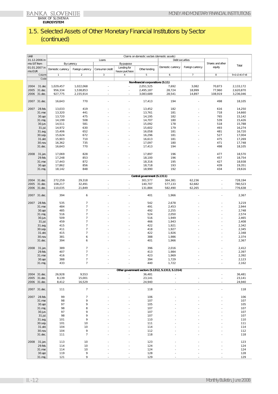#### 1.5. Selected Assets of Other Monetary Financial Institutions by Sector (continued)

| Until        |                              |                   |                     |                 |                | Claims on domestic sectors (domestic assets) |                                                   |                  |                  |                         |
|--------------|------------------------------|-------------------|---------------------|-----------------|----------------|----------------------------------------------|---------------------------------------------------|------------------|------------------|-------------------------|
|              | 31.12.2006 in                |                   |                     | Loans           |                |                                              | Debt securities                                   |                  |                  |                         |
| mio SIT from |                              |                   | By currency         |                 | By purpose     |                                              |                                                   |                  | Shares and other | Total                   |
|              | 01.01.2007 in                | Domestic currency | Foreign currency    | Consumer credit | Lending for    | Other lending                                | Domestic currency                                 | Foreign currency | equity           |                         |
| mio EUR      |                              |                   |                     |                 | house purchase |                                              |                                                   |                  |                  |                         |
|              | Column                       | $\mathbf{1}$      | $\mathbf 2$         | $\mathbf{3}$    | $\overline{4}$ | 5                                            | 6                                                 | $7\overline{ }$  | 8                | $9 = 1 + 2 + 6 + 7 + 8$ |
|              | Code                         |                   |                     |                 |                | Non-financial corporations (S.11)            |                                                   |                  |                  |                         |
| 2004         | 31.dec                       | 1,029,457         | 1,022,068           |                 | ä,             | 2,051,525                                    | 7,692                                             | 3,082            | 70,873           | 2,133,172               |
|              | 2005 31.dec.                 | 956,334           | 1,538,853           |                 | ×,             | 2,495,187                                    | 28,724                                            | 18,999           | 77,960           | 2,620,870               |
|              | 2006 31.dec.                 | 927,775           | 2,155,914           |                 | ×.             | 3,083,689                                    | 28,541                                            | 14,897           | 108,919          | 3,236,046               |
|              |                              |                   |                     |                 |                |                                              |                                                   |                  |                  |                         |
|              | 2007 31.dec.                 | 16,643            | 770                 |                 | ÷.             | 17,413                                       | 194                                               | J.               | 498              | 18,105                  |
|              |                              |                   |                     |                 |                |                                              |                                                   |                  |                  |                         |
| 2007         | 28.feb.                      | 13,033            | 419                 |                 |                | 13,452                                       | 182                                               |                  | 616              | 14,250                  |
|              | 31.mar.                      | 13,320            | 441                 |                 |                | 13,761                                       | 181                                               |                  | 718              | 14,660                  |
|              | 30.apr.                      | 13,720            | 475                 |                 |                | 14.195                                       | 182                                               |                  | 765              | 15,142                  |
|              | 31.maj.                      | 14,199            | 508                 |                 |                | 14,707                                       | 180                                               |                  | 539              | 15,426                  |
|              | 30.jun.                      | 14,511            | 581                 |                 |                | 15,092                                       | 178                                               |                  | 518              | 15,788                  |
|              | $31$ .jul.                   | 14,972            | 630                 |                 |                | 15,602                                       | 179                                               |                  | 493              | 16,274                  |
|              | 31.avg.                      | 15,406            | 652                 |                 |                | 16,058                                       | 181                                               |                  | 481              | 16,720                  |
|              | 30.sep.<br>31.okt.           | 15,624<br>15,903  | 672<br>710          |                 |                | 16,296<br>16,613                             | 181<br>181                                        |                  | 527<br>475       | 17,004<br>17,269        |
|              | 30.nov.                      | 16,362            | 735                 |                 |                | 17,097                                       | 180                                               |                  | 471              | 17,748                  |
|              | 31.dec.                      | 16,643            | 770                 |                 |                | 17,413                                       | 194                                               |                  | 498              | 18,105                  |
|              |                              |                   |                     |                 |                |                                              |                                                   |                  |                  |                         |
| 2008         | 31.jan.                      | 17,069            | 828                 |                 |                | 17,897                                       | 196                                               |                  | 477              | 18,570                  |
|              | 29.feb.                      | 17,248            | 853                 |                 |                | 18,100                                       | 196                                               |                  | 457              | 18,754                  |
|              | 31.mar.                      | 17,443            | 872                 |                 |                | 18,316                                       | 195                                               |                  | 427              | 18,938                  |
|              | 30.apr.                      | 17,862            | 856                 |                 |                | 18,718                                       | 193                                               |                  | 439              | 19,351                  |
|              | 31.maj.                      | 18,142            | 848                 |                 |                | 18,990                                       | 192                                               |                  | 434              | 19,616                  |
|              |                              |                   |                     |                 |                |                                              |                                                   |                  |                  |                         |
|              |                              |                   |                     |                 |                | Central government (S.1311)                  |                                                   |                  |                  |                         |
|              | 2004 31.dec.                 | 272,259           | 29,318              |                 |                | 301,577                                      | 364,381                                           | 62,236           |                  | 728,194                 |
|              | 2005 31.dec.                 | 108,217           | 32,491              |                 | ÷.             | 140,707                                      | 577,133                                           | 62,682           |                  | 780,523                 |
|              | 2006 31.dec.                 | 110,035           | 21,849              |                 |                | 131,884                                      | 582,490                                           | 62,265           |                  | 776,638                 |
|              | 2007 31.dec.                 | 394               | 6                   |                 |                | 401                                          | 1,966                                             |                  |                  | 2,367                   |
|              |                              |                   |                     |                 |                |                                              |                                                   |                  |                  |                         |
|              | 2007 28.feb.                 | 535               | $\overline{7}$      |                 |                | 542                                          | 2,678                                             |                  |                  | 3,219                   |
|              | 31.mar.                      | 484               | 7                   |                 |                | 491                                          | 2,453                                             |                  |                  | 2,944                   |
|              | 30.apr.                      | 485               | $\overline{7}$      |                 |                | 492                                          | 2,255                                             |                  |                  | 2,748                   |
|              | 31.maj.                      | 516               | $\overline{7}$      |                 |                | 524                                          | 2,050                                             |                  |                  | 2,574                   |
|              | 30.jun.                      | 509               | 7                   |                 |                | 516                                          | 1,949                                             |                  |                  | 2,465                   |
|              | 31.jul.                      | 459               | $\overline{7}$      |                 |                | 466                                          | 1,943                                             |                  |                  | 2,408                   |
|              | 31.avg.                      | 415               | $\overline{7}$      |                 |                | 422                                          | 1,921                                             |                  |                  | 2,342                   |
|              | 30.sep.                      | 411               | $\overline{7}$      |                 |                | 418                                          | 1,927                                             |                  |                  | 2,345                   |
|              | 31.okt.                      | 415               | $\overline{7}$      |                 |                | 422                                          | 1,926                                             |                  |                  | 2,348                   |
|              | 30.nov.                      | 381               | 6                   |                 |                | 388                                          | 1,986                                             |                  |                  | 2,374                   |
|              | 31.dec.                      | 394               | 6                   |                 |                | 401                                          | 1,966                                             |                  |                  | 2,367                   |
| 2008         | 31.jan.                      | 389               | 7                   |                 |                | 396                                          | 2,016                                             |                  |                  | 2,412                   |
|              | 29.feb.                      | 407               | $\overline{7}$      |                 |                | 413                                          | 1,984                                             |                  |                  | 2,397                   |
|              | 31.mar.                      | 416               | $\overline{7}$      |                 |                | 423                                          | 1,969                                             |                  |                  | 2,392                   |
|              | 30.apr.                      | 388               | $\overline{7}$      |                 |                | 394                                          | 1,729                                             |                  |                  | 2,123                   |
|              | 31.maj.                      | 433               | 7                   |                 |                | 440                                          | 1,722                                             |                  |                  | 2.162                   |
|              |                              |                   |                     |                 |                |                                              |                                                   |                  |                  |                         |
|              |                              |                   |                     |                 |                |                                              | Other government sectors (S.1312, S.1313, S.1314) |                  |                  |                         |
|              | 2004 31.dec.                 | 26,928            | 9,553               |                 | ä,             | 36,481                                       |                                                   |                  |                  | 36,481                  |
|              | 2005 31.dec.<br>2006 31.dec. | 8,139<br>8,412    | 15,001<br>16,529    |                 | ÷              | 23,141<br>24,940                             |                                                   |                  |                  | 23,141<br>24,940        |
|              |                              |                   |                     |                 |                |                                              |                                                   |                  |                  |                         |
|              | 2007 31.dec.                 | 111               | $\overline{7}$      |                 | ÷.             | 118                                          |                                                   |                  | J.               | 118                     |
|              |                              |                   |                     |                 |                |                                              |                                                   |                  |                  |                         |
| 2007         | 28.feb.                      | 99                | $\overline{7}$      |                 |                | 106                                          |                                                   |                  |                  | 106                     |
|              | 31.mar.                      | 98                | 9                   |                 |                | 107                                          |                                                   |                  |                  | 107                     |
|              | 30.apr.                      | 97                | 9                   |                 |                | 105                                          |                                                   |                  |                  | 105                     |
|              | 31.maj.                      | 98                | 8                   |                 |                | 107                                          |                                                   |                  |                  | 107                     |
|              | 30.jun.                      | 97                | 9                   |                 |                | 107                                          |                                                   |                  |                  | 107                     |
|              | 31.jul.                      | 98                | 9                   |                 |                | 107                                          |                                                   |                  |                  | 107                     |
|              | 31.avg.                      | 101               | 9                   |                 |                | 110                                          |                                                   |                  |                  | 110                     |
|              | 30.sep.                      | 101               | 10                  |                 |                | 111                                          |                                                   |                  |                  | 111                     |
|              | 31.okt.                      | 104               | 10                  |                 |                | 114                                          |                                                   |                  |                  | 114                     |
|              | 30.nov.<br>31.dec.           | 104<br>111        | 9<br>$\overline{7}$ |                 |                | 112<br>118                                   |                                                   |                  |                  | 112<br>118              |
|              |                              |                   |                     |                 |                |                                              |                                                   |                  |                  |                         |
| 2008         | 31.jan.                      | 113               | 10                  |                 |                | 123                                          |                                                   |                  |                  | 123                     |
|              | 29.feb.                      | 114               | 10                  |                 |                | 124                                          |                                                   |                  |                  | 124                     |
|              | 31.mar.                      | 114               | 10                  |                 |                | 124                                          |                                                   |                  |                  | 124                     |
|              | 30.apr.                      | 119               | 9                   |                 |                | 128                                          |                                                   |                  |                  | 128                     |
|              | 31.maj.                      | 121               | 9                   |                 |                | 129                                          |                                                   |                  |                  | 129                     |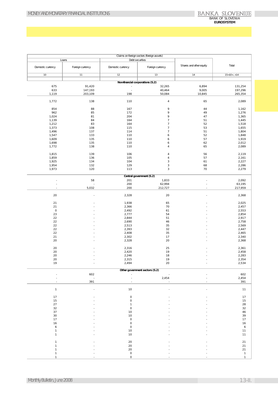|                            |                  | Claims on foreign sectors (foreign assets) |                                    |                         |                   |
|----------------------------|------------------|--------------------------------------------|------------------------------------|-------------------------|-------------------|
| Loans<br>Domestic currency | Foreign currency | Debt securities<br>Domestic currency       | Foreign currency                   | Shares and other equity | Total             |
|                            |                  |                                            |                                    |                         |                   |
| 10                         | 11               | 12                                         | 13                                 | 14                      | $15=10++14$       |
|                            |                  | Non-financial corporations (S.2)           |                                    |                         |                   |
| 675                        | 91,420           | ÷,                                         | 32,265                             | 6,894                   | 131,254           |
| 633                        | 147,193          | $\overline{\phantom{a}}$                   | 40,464                             | 9,005                   | 197,296           |
| 1,119                      | 203,109          | 198                                        | 50,084                             | 10,845                  | 265,354           |
| 1,772                      | 138              | 110                                        | $\sqrt{4}$                         | 65                      | 2,089             |
| 854                        | 88               | 167                                        | 9                                  | $4\,4$                  | 1,162             |
| 962                        | 85               | 172                                        | 9                                  | 49                      | 1,276             |
| 1,024                      | 81               | 204                                        | 9                                  | 47                      | 1,365             |
| 1,139                      | 84               | 164                                        | $\overline{7}$                     | 51                      | 1,445             |
| 1,212                      | 83               | 164                                        | $\overline{7}$<br>$\boldsymbol{7}$ | 52                      | 1,518             |
| 1,373<br>1,496             | 108<br>137       | 115<br>114                                 | $\boldsymbol{7}$                   | 53<br>$51\,$            | 1,655<br>1,804    |
| 1,547                      | 133              | 110                                        | $\boldsymbol{6}$                   | 52                      | 1,848             |
| 1,609                      | 135              | 110                                        | 6                                  | 57                      | 1,919             |
| 1,698                      | 135              | 110                                        | 6                                  | 62                      | 2,012             |
| 1,772                      | 138              | 110                                        | $\sqrt{4}$                         | 65                      | 2,089             |
| 1,815                      | 139              | 106                                        | $\sqrt{4}$                         | 56                      | 2,119             |
| 1,859                      | 136              | 105                                        | $\sqrt{4}$                         | 57                      | 2,161             |
| 1,925                      | 134              | 104                                        | $\mathsf 3$                        | 61                      | 2,227             |
| 1,954                      | 132              | 129                                        | $\ensuremath{\mathsf{3}}$          | 68                      | 2,286             |
| 1,973                      | 120              | 113                                        | $\mathsf 3$                        | 70                      | 2,279             |
|                            |                  |                                            | Central government (S.2)           |                         |                   |
|                            | 58<br>÷,         | 201<br>200                                 | 1,833                              |                         | 2,092             |
|                            | 5,032            | 200                                        | 62,994<br>212,727                  |                         | 63,195<br>217,959 |
| 20                         |                  | 2,328                                      | 20                                 |                         | 2,368             |
| 21                         |                  | 1,938                                      | 65                                 |                         | 2,025             |
| 21                         |                  | 2,366                                      | 70                                 |                         | 2,457             |
| $\mathsf{O}$               |                  | 2,492                                      | 61                                 |                         | 2,553             |
| 23                         |                  | 2,777                                      | 54                                 |                         | 2,854             |
| 22                         |                  | 2,844                                      | 51                                 |                         | 2,917             |
| 22                         |                  | 2,690                                      | 46                                 |                         | 2,758             |
| 22<br>22                   |                  | 2,513<br>2,393                             | 35<br>32                           |                         | 2,569<br>2,447    |
| 22                         |                  | 2,408                                      | 35                                 |                         | 2,465             |
| 21                         |                  | 2,302                                      | $17\,$                             |                         | 2,340             |
| 20                         |                  | 2,328                                      | 20                                 |                         | 2,368             |
| 20                         |                  | 2,316                                      | 25                                 |                         | 2,361             |
| 20                         |                  | 2,420                                      | 19                                 |                         | 2,458             |
| 20                         |                  | 2,246                                      | 18                                 |                         | 2,283             |
| 20                         |                  | 2,315                                      | 19                                 |                         | 2,354             |
| 19                         |                  | 2,494                                      | 20                                 |                         | 2,534             |
|                            |                  |                                            | Other government sectors (S.2)     |                         |                   |
|                            | 602              |                                            |                                    |                         | 602               |
|                            | 391              |                                            | 2,454                              |                         | 2,454<br>391      |
| $\mathbf{1}$               | ٠                | 10                                         |                                    |                         | 11                |
|                            |                  |                                            |                                    |                         |                   |
| 17<br>15                   |                  | $\mathsf{O}\xspace$<br>$\mathsf{O}\xspace$ |                                    |                         | 17<br>15          |
| 27                         |                  | 1                                          |                                    |                         | 28                |
| 32                         |                  | $\mathsf O$                                |                                    |                         | 32                |
| 37                         |                  | 10                                         |                                    |                         | 46                |
| 30                         |                  | 10                                         |                                    |                         | 39                |
| 17                         |                  | $\mathsf O$                                |                                    |                         | 17                |
| 16<br>$\boldsymbol{6}$     |                  | $\mathsf O$<br>$\mathsf O$                 |                                    |                         | 16                |
| $\mathbf{1}$               |                  | 10                                         |                                    |                         | 6<br>11           |
| $\mathbf{1}$               |                  | 10                                         |                                    |                         | 11                |
| 1                          |                  | 20                                         |                                    |                         | 21                |
| 1                          |                  | 20                                         |                                    |                         | 21                |
| 1                          |                  | 20                                         |                                    |                         | 21                |
| 1                          |                  | $\mathbf 0$                                |                                    |                         | $\mathbf{1}$      |
| $\mathbf{1}$               |                  | $\mathsf{O}\xspace$                        |                                    |                         | $\mathbf{1}$      |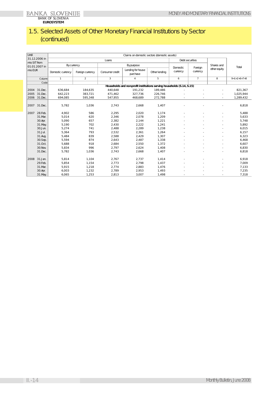#### 1.5. Selected Assets of Other Monetary Financial Institutions by Sector (continued)

| Until        |               |                   |                  |                 | Claims on domestic sectors (domestic assets)                           |               |                      |                     |              |               |
|--------------|---------------|-------------------|------------------|-----------------|------------------------------------------------------------------------|---------------|----------------------|---------------------|--------------|---------------|
|              | 31.12.2006 in |                   |                  | Loans           |                                                                        |               | Debt securities      |                     |              |               |
| mio SIT from | 01.01.2007 in | By currency       |                  |                 | By purpose                                                             |               |                      |                     | Shares and   | Total         |
| mio EUR      |               | Domestic currency | Foreign currency | Consumer credit | Lending for house<br>purchase                                          | Other lending | Domestic<br>currency | Foreign<br>currency | other equity |               |
|              | Column        | $\mathbf{1}$      | $\overline{2}$   | 3               | $\overline{4}$                                                         | 5             | 6                    | $\overline{7}$      | 8            | $9=1+2+6+7+8$ |
|              | Code          |                   |                  |                 |                                                                        |               |                      |                     |              |               |
|              |               |                   |                  |                 | Households and non-profit institutions serving households (S.14, S.15) |               |                      |                     |              |               |
|              | 2004 31.Dec.  | 636,684           | 184,635          | 440,648         | 191,232                                                                | 189,486       |                      |                     |              | 821,367       |
| 2005         | 31.Dec.       | 642,223           | 383,721          | 471,462         | 327.736                                                                | 226,746       |                      |                     | ٠            | 1,025,944     |
|              | 2006 31.Dec.  | 694,085           | 595,348          | 547,955         | 468,689                                                                | 272,788       |                      |                     | ٠            | 1,289,432     |
|              | 2007 31.Dec.  | 5,782             | 1,036            | 2,743           | 2,668                                                                  | 1,407         |                      |                     |              | 6,818         |
| 2007         | 28.Feb.       | 4,902             | 586              | 2,295           | 2,020                                                                  | 1,174         |                      |                     |              | 5,488         |
|              | 31.Mar.       | 5,014             | 620              | 2,346           | 2,078                                                                  | 1,209         |                      |                     |              | 5,633         |
|              | 30.Apr.       | 5,090             | 657              | 2,382           | 2,144                                                                  | 1,221         |                      |                     |              | 5,748         |
|              | 31.May.       | 5,190             | 702              | 2,430           | 2,222                                                                  | 1,241         |                      |                     |              | 5,892         |
|              | 30.Jun.       | 5,274             | 741              | 2,488           | 2,289                                                                  | 1,238         |                      |                     |              | 6,015         |
|              | 31.Jul.       | 5,364             | 793              | 2,532           | 2,361                                                                  | 1,264         |                      |                     |              | 6,157         |
|              | 31.Aug.       | 5,484             | 839              | 2,588           | 2,429                                                                  | 1,307         |                      |                     |              | 6,323         |
|              | 30.Sep.       | 5,594             | 874              | 2,643           | 2,487                                                                  | 1,338         |                      |                     |              | 6,468         |
|              | 31.Oct.       | 5,688             | 918              | 2,684           | 2,550                                                                  | 1,372         |                      |                     |              | 6,607         |
|              | 30.Nov.       | 5,834             | 996              | 2,797           | 2,624                                                                  | 1,408         |                      |                     |              | 6,830         |
|              | 31.Dec.       | 5,782             | 1,036            | 2,743           | 2,668                                                                  | 1,407         |                      |                     |              | 6,818         |
|              |               |                   |                  |                 |                                                                        |               |                      |                     |              |               |
| 2008         | 31.Jan.       | 5,814             | 1,104            | 2,767           | 2,737                                                                  | 1,414         |                      |                     |              | 6,918         |
|              | 29.Feb.       | 5,854             | 1,154            | 2,773           | 2,798                                                                  | 1,437         |                      |                     |              | 7,009         |
|              | 31.Mar.       | 5,915             | 1,218            | 2,774           | 2,883                                                                  | 1,476         |                      |                     |              | 7,133         |
|              | 30.Apr.       | 6,003             | 1,232            | 2,789           | 2,953                                                                  | 1,493         |                      |                     |              | 7,235         |
|              | 31.May.       | 6,065             | 1,253            | 2,813           | 3.007                                                                  | 1.498         |                      |                     |              | 7,318         |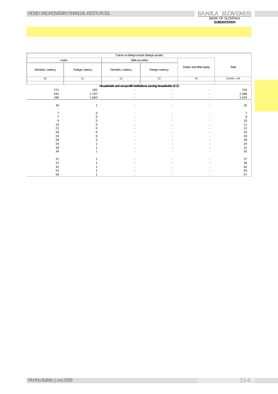

|                   |                  | Claims on foreign sectors (foreign assets)                      |                  |                         |                |
|-------------------|------------------|-----------------------------------------------------------------|------------------|-------------------------|----------------|
| Loans             |                  | Debt securities                                                 |                  |                         |                |
| Domestic currency | Foreign currency | Domestic currency                                               | Foreign currency | Shares and other equity | Total          |
| 10                | 11               | 12                                                              | 13               | 14                      | $15=10++14$    |
|                   |                  |                                                                 |                  |                         |                |
|                   |                  | Households and non-profit institutions serving households (S.2) |                  |                         |                |
| 571               | 185              |                                                                 |                  |                         | 756            |
| 591               | 1,797            |                                                                 |                  |                         | 2,388          |
| 346               | 1,083            |                                                                 |                  |                         | 1,429          |
| 34                |                  |                                                                 |                  |                         | 35             |
| $\overline{7}$    | $\mathbf 0$      |                                                                 |                  |                         | $\overline{7}$ |
| $\overline{7}$    | $\Omega$         |                                                                 |                  |                         | 8              |
| 9                 | $\Omega$         |                                                                 |                  |                         | 10             |
| 10                | $\Omega$         |                                                                 |                  |                         | 11             |
| 21                | $\Omega$         |                                                                 |                  |                         | 22             |
| 28                | 0                |                                                                 |                  |                         | 29             |
| 29                | $\Omega$         |                                                                 |                  |                         | 29             |
| 28                | O                |                                                                 |                  |                         | 28             |
| 29                |                  |                                                                 |                  |                         | 29             |
| 30                |                  |                                                                 |                  |                         | 31             |
| 34                |                  |                                                                 |                  |                         | 35             |
|                   |                  |                                                                 |                  |                         |                |
| 37                |                  |                                                                 |                  |                         | 37             |
| 37                |                  |                                                                 |                  |                         | 38             |
| 41                |                  |                                                                 |                  |                         | 42             |
| 53                |                  |                                                                 |                  |                         | 54             |
| 56                |                  |                                                                 |                  |                         | 57             |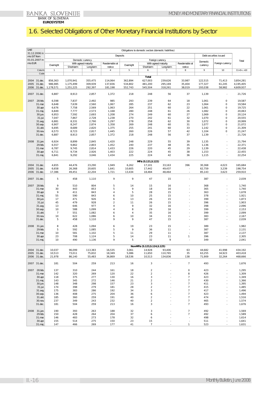**EUROSYSTEM**

# 1.6. Selected Obligations of Other Monetary Financial Institutions by Sector

| Until        |                              | Obligations to domestic sectors (domestic liabilities) |                      |                   |                  |                |                                  |                   |                                  |                      |                          |                    |
|--------------|------------------------------|--------------------------------------------------------|----------------------|-------------------|------------------|----------------|----------------------------------|-------------------|----------------------------------|----------------------|--------------------------|--------------------|
| mio SIT from | 31.12.2006 in                |                                                        |                      |                   | Deposits         |                |                                  |                   |                                  |                      | Debt securities issued   |                    |
|              | 01.01.2007 in                |                                                        | Domestic currency    |                   |                  |                | Foreign currency                 |                   |                                  |                      |                          | Total              |
| mio EUR      |                              | Overnight                                              | With agreed maturity |                   | Reedemable at    | Overnight      | With agreed maturity             |                   | Reedemable at                    | Domestic<br>currency | Foreign currency         |                    |
|              |                              |                                                        | Short-term           | Long-term         | notice           |                | Short-term                       | Long-term         | notice                           |                      |                          |                    |
|              | Column<br>Code               | $\mathbf{1}$                                           | $\overline{a}$       | 3                 | $\overline{4}$   | 5              | 6                                | $\overline{7}$    | $\bf 8$                          | $\overline{9}$       | 10                       | $11 = 3 +  + 10$   |
|              |                              |                                                        |                      |                   |                  |                | Total                            |                   |                                  |                      |                          |                    |
|              | 2004 31.dec.                 | 856,363                                                | 1,070,941            | 355,475           | 114,064          | 362,894        | 627,003                          | 239,626           | 33,987                           | 122,515              | 71,413                   | 3,854,281          |
|              | 2005 31.dec.                 | 986,985                                                | 1,175,499            | 309,939           | 137,836          | 534,802        | 481,200                          | 295,169           | 35,404                           | 177,327              | 61,245                   | 4,195,405          |
|              | 2006 31.dec.                 | 1,178,571                                              | 1,251,225            | 292,397           | 181,198          | 552,743        | 545,504                          | 318,261           | 38,019                           | 193,038              | 58,982                   | 4,609,937          |
|              | 2007 31.dec.                 | 6,887                                                  | 8,913                | 2,857             | 1,372            | 218            | 248                              | 56                | 37                               | 1,139                | $\overline{\phantom{a}}$ | 21,726             |
| 2007         | 28.feb.                      | 6,598                                                  | 7,837                | 2,492             | 985              | 293            | 239                              | 64                | 18                               | 1,061                | $\mathbf 0$              | 19,587             |
|              | 31.mar.<br>30.apr.           | 6,648<br>6,676                                         | 7,639<br>7,758       | 2,560<br>2,569    | 1,067<br>1,063   | 285<br>264     | 237<br>251                       | 62<br>60          | 23<br>22                         | 1,064<br>1,061       | $\mathbf 0$<br>0         | 19,584<br>19,725   |
|              | 31.maj                       | 6,849                                                  | 7,777                | 2,573             | 1,168            | 280            | 248                              | 61                | 26                               | 1,082                | 0                        | 20,063             |
|              | 30.jun.                      | 6,953                                                  | 7,592                | 2,693             | 1,208            | 274            | 249                              | 60                | 27                               | 1,069                | 0                        | 20,124             |
|              | $31$ .jul                    | 7,047                                                  | 7,867                | 2,728             | 1,238            | 270            | 242                              | 61                | 32                               | 1,070                | 0                        | 20,555             |
|              | 31.avg.                      | 6,881                                                  | 8,331                | 2,790             | 1,297            | 278            | 258                              | 62                | 30                               | 1,072                | $\mathbf 0$              | 20,999             |
|              | 30.sep.                      | 6,907                                                  | 8,247                | 2,874             | 1,358            | 269            | 248                              | 60                | 31                               | 1,077                | $\mathbf 0$              | 21,072             |
|              | 31.okt.                      | 6,695                                                  | 8,689                | 2,820             | 1,375            | 255            | 241                              | 60                | 33                               | 1,142                | 0                        | 21,309             |
|              | 30.nov.<br>31.dec.           | 6,573<br>6,887                                         | 8,723<br>8,913       | 2,817<br>2,857    | 1,445<br>1,372   | 260<br>218     | 226<br>248                       | 57<br>56          | 42<br>37                         | 1,104<br>1,139       | 0                        | 21,247<br>21,726   |
|              |                              |                                                        |                      |                   |                  |                |                                  |                   |                                  |                      |                          |                    |
|              | 2008 31.jan.                 | 6,924                                                  | 8,899                | 2,845             | 1,420            | 248            | 229                              | 55                | 39                               | 1,135                |                          | 21,794             |
|              | 29.feb.                      | 6,557                                                  | 9,862                | 2,803             | 1,452            | 240            | 237                              | 48                | 35                               | 1,136                |                          | 22,371             |
|              | 31.mar.                      | 6,787                                                  | 9,745                | 2,814             | 1,433            | 226            | 220                              | 45                | 29                               | 1,139                |                          | 22,438             |
|              | 30.apr.<br>31.maj.           | 6,711<br>6,841                                         | 9,734<br>9,292       | 2,926<br>3,046    | 1,403<br>1,434   | 222<br>225     | 224<br>224                       | 45<br>42          | 38<br>36                         | 1,153<br>1,115       |                          | 22,455<br>22,254   |
|              |                              |                                                        |                      |                   |                  |                |                                  |                   |                                  |                      |                          |                    |
|              | 2004 31.dec.                 | 4,655                                                  | 44,476               | 23,290            | 1,949            | 6,262          | MFIs (S.121, S.122)<br>17,101    | 33,163            | 396                              | 30,368               | 4,023                    | 165,684            |
|              | 2005 31.dec.                 | 6,658                                                  | 26,368               | 20,605            | 1,641            | 10,605         | 17,442                           | 49,437            |                                  | 62,759               | 3,239                    | 198,754            |
|              | 2006 31.dec.                 | 17,386                                                 | 49,451               | 22,204            | 1,721            | 13,434         | 18,484                           | 48,464            |                                  | 85,143               | 3,623                    | 259,910            |
|              | 2007 31.dec.                 | 5                                                      | 458                  | 1,110             | 9                | 9              | 47                               | 15                |                                  | 387                  |                          | 2,039              |
|              | 2007 28.feb.                 | 9                                                      | 510                  | 804               | 5                | 14             | 15                               | 16                |                                  | 368                  |                          | 1,740              |
|              | 31.mar.                      | 30                                                     | 443                  | 853               | 5                | 9              | 18                               | 16                |                                  | 365                  |                          | 1,740              |
|              | 30.apr.                      | 9                                                      | 411                  | 843               | 4                | 5              | 28                               | 15                |                                  | 363                  |                          | 1,678              |
|              | 31.maj                       | 55                                                     | 590                  | 843               | 6                | 10             | 25                               | 15                |                                  | 378                  |                          | 1,921              |
|              | 30.jun<br>$31$ .jul          | 17<br>45                                               | 471<br>479           | 926<br>928        | 6<br>2           | 13<br>11       | 26<br>26                         | 15<br>15          |                                  | 399<br>396           |                          | 1,873<br>1,903     |
|              | 31.avg.                      | 13                                                     | 646                  | 977               | $\overline{4}$   | 9              | 32                               | 16                |                                  | 398                  |                          | 2,096              |
|              | 30.sep.                      | 10                                                     | 588                  | 1,099             | $\overline{4}$   | 8              | 29                               | 16                |                                  | 399                  |                          | 2,153              |
|              | 31.okt                       | 7                                                      | 551                  | 1,082             | 6                | 4              | 35                               | 16                |                                  | 399                  |                          | 2,099              |
|              | 30.nov.                      | 10                                                     | 622                  | 1,086             | 6                | 10             | 34                               | 15                |                                  | 383                  |                          | 2,167              |
|              | 31.dec.                      | 5                                                      | 458                  | 1,110             | 9                | 9              | 47                               | 15                |                                  | 387                  |                          | 2,039              |
|              | 2008 31.jan.                 | 8                                                      | 428                  | 1,094             | 6                | 19             | 23                               | 15                |                                  | 389                  |                          | 1,982              |
|              | 29.feb.                      | 5                                                      | 592                  | 1,085             | 5                | 9              | 36                               | 11                |                                  | 387                  |                          | 2,131              |
|              | 31.mar.                      | 10                                                     | 581                  | 1,102             | 5                | 11             | 29                               | 11                | l,                               | 387                  |                          | 2,137              |
|              | 30.apr.<br>31.maj            | 23<br>10                                               | 708<br>490           | 1,124<br>1,136    | 5<br>9           | 14<br>5        | 23<br>32                         | 11<br>9           | $\mathbf{1}$                     | 396<br>349           |                          | 2,305<br>2,041     |
|              |                              |                                                        |                      |                   |                  |                |                                  |                   |                                  |                      |                          |                    |
|              |                              |                                                        |                      |                   |                  |                | Non-MFIs (S.123, S.124, S.125)   |                   |                                  |                      |                          |                    |
|              | 2004 31.dec.<br>2005 31.dec. | 10,037<br>10,513                                       | 96,099<br>73,011     | 113,383<br>75,832 | 16,535<br>18,349 | 3,061<br>5,086 | 14,928<br>11,650                 | 93,406<br>110,765 | 63<br>35                         | 44,682<br>63,255     | 41,998<br>34,923         | 434,192<br>403,418 |
|              | 2006 31.dec                  | 21,978                                                 | 86,140               | 55.483            | 36.869           | 18,536         | 10,513                           | 134,836           | 138                              | 71,909               | 32,264                   | 468,666            |
|              |                              |                                                        |                      |                   |                  |                |                                  |                   |                                  |                      |                          |                    |
|              | 2007 31.dec.                 | 181                                                    | 504                  | 259               | 213              | 16             | 3                                |                   | $\overline{7}$                   | 493                  |                          | 1,676              |
|              | 2007 28.feb.<br>31.mar.      | 137<br>142                                             | 310<br>320           | 244<br>269        | 161<br>120       | 18<br>22       | $\sqrt{2}$<br>$\overline{c}$     |                   | $\,0\,$<br>8                     | 423<br>426           |                          | 1,295<br>1,309     |
|              | 30.apr.                      | 118                                                    | 375                  | 277               | 130              | 16             | 3                                |                   | $\overline{7}$                   | 423                  |                          | 1,349              |
|              | 31.maj.                      | 143                                                    | 345                  | 272               | 146              | 21             | $\overline{c}$                   |                   | $\overline{7}$                   | 430                  |                          | 1,366              |
|              | 30.jun.                      | 148                                                    | 348                  | 298               | 157              | 23             | 3                                |                   | $\overline{7}$                   | 411                  |                          | 1,395              |
|              | 31.jul.                      | 174                                                    | 398                  | 279               | 181              | 28             | $\overline{c}$                   |                   | $\overline{7}$                   | 415                  |                          | 1,485              |
|              | 31.avg.                      | 175                                                    | 383                  | 286               | 192              | 34             | 3                                |                   | $\overline{7}$                   | 417                  |                          | 1,496              |
|              | 30.sep.                      | 136                                                    | 408                  | 275               | 204              | 36             | 6                                |                   | $\overline{7}$                   | 423                  |                          | 1,494              |
|              | 31.okt.<br>30.nov.           | 185<br>237                                             | 360<br>349           | 259<br>243        | 191<br>232       | 40<br>40       | $\overline{c}$<br>$\overline{c}$ |                   | $\overline{7}$<br>$\overline{7}$ | 474<br>465           | ÷.                       | 1,516<br>1,574     |
|              | 31.dec.                      | 181                                                    | 504                  | 259               | 213              | 16             | 3                                |                   | $\overline{7}$                   | 493                  | $\overline{\phantom{a}}$ | 1,676              |
|              |                              |                                                        |                      |                   |                  |                |                                  |                   |                                  |                      |                          |                    |
|              | 2008 31.jan.                 | 190                                                    | 393                  | 263               | 188              | 32             | 3                                |                   | $\overline{7}$                   | 492                  |                          | 1,569              |
|              | 29.feb.<br>31.mar.           | 150<br>146                                             | 428<br>483           | 264<br>273        | 204<br>178       | 37<br>32       | 6<br>6                           |                   | $\overline{7}$<br>÷,             | 492<br>498           |                          | 1,589<br>1,614     |
|              | 30.apr.                      | 155                                                    | 514                  | 275               | 150              | 23             | 15                               |                   | ÷,                               | 511                  |                          | 1,641              |
|              | 31.maj.                      | 147                                                    | 466                  | 269               | 177              | 41             | $\overline{7}$                   |                   | $\mathbf{1}$                     | 523                  |                          | 1,631              |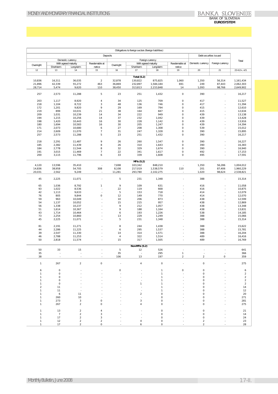|                   |                     |                                    |                          | Obligations to foreign sectors (foreign liabilities) |                      |                  |                                    |                   |                        |                  |
|-------------------|---------------------|------------------------------------|--------------------------|------------------------------------------------------|----------------------|------------------|------------------------------------|-------------------|------------------------|------------------|
|                   |                     |                                    |                          | Deposits                                             |                      |                  |                                    |                   | Debt securities issued |                  |
|                   |                     | Domestic currency                  |                          |                                                      |                      | Foreign currency |                                    |                   |                        | Total            |
| Ovemight          |                     | With agreed maturity               | Reedemable at            | Overnight                                            | With agreed maturity |                  | Reedemable at                      | Domestic currency | Foreign currency       |                  |
|                   | Short-term          | Long-term                          | notice                   |                                                      | Short-term           | Long-term        | notice                             |                   |                        |                  |
| 12                | 13                  | 14                                 | 15                       | 16                                                   | 17                   | 18               | 19                                 | 20                | 21                     | $22=12++21$      |
|                   |                     |                                    |                          |                                                      | Total (S.2)          |                  |                                    |                   |                        |                  |
| 10,836            | 16,311              | 36,035                             | $\overline{c}$           | 32,878                                               | 130,822              | 875,825          | 1,060                              | 1,350             | 56,314                 | 1,161,434        |
| 21,896            | 42,339              | 55,272                             | 463                      | 36,869                                               | 232,897              | 1,584,184        | 691                                | 249               | 87,443                 | 2,062,303        |
| 28,714            | 5,474               | 9,620                              | 110                      | 38,450                                               | 313,813              | 2,153,848        | 14                                 | 1,093             | 98,766                 | 2,649,902        |
|                   |                     |                                    |                          |                                                      |                      |                  |                                    |                   |                        |                  |
| 257               | 2,573               | 11,288                             | 5                        | 23                                                   | 251                  | 1,432            | $\mathsf{O}\xspace$                | 390               | ÷,                     | 16,217           |
|                   |                     |                                    |                          |                                                      |                      |                  |                                    |                   |                        |                  |
| 203<br>218        | 1,117<br>1,104      | 8,920<br>8,722                     | $\overline{4}$<br>3      | 34<br>48                                             | 125<br>136           | 709<br>746       | $\mathbf 0$<br>$\mathsf{O}\xspace$ | 417<br>417        | ×,                     | 11,527<br>11,394 |
| 172               | 1,201               | 9,820                              | 9                        | 29                                                   | 169                  | 794              | $\mathsf{O}\xspace$                | 415               | ×                      | 12,610           |
| 219               | 899                 | 10,031                             | 21                       | 38                                                   | 164                  | 847              | $\mathbf 0$                        | 415               |                        | 12,634           |
| 209               | 1,031               | 10,239                             | 14                       | 34                                                   | 222                  | 949              | $\mathbf 0$                        | 439               | ×                      | 13,138           |
| 194               | 1,215               | 10,256                             | 14                       | 37                                                   | 232                  | 1,042            | $\mathbf 0$                        | 439               |                        | 13,428           |
| 198               | 1,420               | 10,443                             | 16                       | 30                                                   | 228                  | 1,142            | $\mathsf{O}\xspace$                | 439               | ×,                     | 13,916           |
| 180               | 1,694               | 10,583                             | 16                       | 30                                                   | 205                  | 1,247            | $\mathbf 0$                        | 439               | ×,                     | 14,394           |
| 171               | 2,073               | 10,680                             | 6                        | 27                                                   | 208                  | 1,308            | $\mathbf 0$                        | 539               | ×,                     | 15,012           |
| 214<br>257        | 2,609<br>2,573      | 11,070<br>11,288                   | 7<br>5                   | 31<br>23                                             | 247<br>251           | 1,328<br>1,432   | $\mathbf 0$<br>$\mathbf 0$         | 390<br>390        | ×                      | 15,895<br>16,217 |
|                   |                     |                                    |                          |                                                      |                      |                  |                                    |                   |                        |                  |
| 218               | 2,291               | 11,487                             | 9                        | 26                                                   | 260                  | 1,547            | $\mathbf 0$                        | 390               | ×,                     | 16,227           |
| 185               | 2,382               | 11,439                             | 8                        | 26                                                   | 310                  | 1,643            | $\mathbf 0$                        | 390               | ×,                     | 16,383           |
| 184               | 2,778               | 11,544                             | 8                        | 32                                                   | 329                  | 1,674            | $\mathbf 0$                        | 390               | ×                      | 16,940           |
| 191               | 3,015               | 11,469                             | 7                        | 22                                                   | 341                  | 1,617            | $\mathbf 0$                        | 492               |                        | 17,153           |
| 200               | 3,115               | 11,796                             | 6                        | 33                                                   | 339                  | 1,608            | $\mathsf{O}\xspace$                | 495               |                        | 17,591           |
|                   |                     |                                    |                          |                                                      | MFIs (S.2)           |                  |                                    |                   |                        |                  |
| 4,120             | 13,596              | 35,410                             | ×                        | 7,698                                                | 103,342              | 848,210          | ÷,                                 | 1,350             | 56,286                 | 1,004,012        |
| 14,836            | 38,958              | 54,705                             | 308                      | 8,108                                                | 217,019              | 1,538,579        | 110                                | 201               | 87,406                 | 1,960,229        |
| 20,031            | 2,562               | 9,249                              | $\overline{\phantom{a}}$ | 11,281                                               | 293,780              | 2,102,275        |                                    | 1,020             | 98,624                 | 2,538,821        |
|                   |                     |                                    |                          |                                                      |                      |                  |                                    |                   |                        |                  |
| 45                | 2,225               | 11,071                             | ł,                       | 5                                                    | 231                  | 1,348            |                                    | 388               | ×                      | 15,314           |
| 65                | 1,036               | 8,792                              | 1                        | 9                                                    | 109                  | 631              |                                    | 416               | à.                     | 11,058           |
| 93                | 1,022               | 8,536                              | Ī.                       | 22                                                   | 119                  | 668              |                                    | 416               |                        | 10,875           |
| 42                | 1,113               | 9,633                              |                          | 5                                                    | 153                  | 718              |                                    | 414               | ×,                     | 12,079           |
| 76                | 805                 | 9,844                              | 0                        | 12                                                   | 149                  | 770              |                                    | 414               |                        | 12,070           |
| 59                | 963                 | 10,049                             |                          | 10                                                   | 206                  | 873              |                                    | 438               | ×,                     | 12,599           |
| 54                | 1,137               | 10,052                             |                          | 15                                                   | 215                  | 957              | J.                                 | 438               | ×,                     | 12,869           |
| 56                | 1,338               | 10,237                             |                          | 9                                                    | 212                  | 1,057            |                                    | 438               |                        | 13,348           |
| 51                | 1,614               | 10,367                             |                          | 9                                                    | 188                  | 1,164            |                                    | 438               | ×                      | 13,831           |
| 43                | 1,714               | 10,464                             |                          | 6                                                    | 193                  | 1,226            |                                    | 538               |                        | 14,185           |
| 73<br>45          | 2,254<br>2,225      | 10,860<br>11,071                   |                          | 13<br>5                                              | 229<br>231           | 1,249<br>1,348   | J.                                 | 388<br>388        | ×,                     | 15,066<br>15,314 |
|                   |                     |                                    |                          |                                                      |                      |                  |                                    |                   |                        |                  |
| 81                | 2,191               | 11,271                             |                          | 8                                                    | 244                  | 1,438            |                                    | 388               | à.                     | 15,622           |
| 44                | 2,286               | 11,225                             |                          | 6                                                    | 295                  | 1,537            |                                    | 388               |                        | 15,781           |
| 39                | 2,547               | 11,330                             |                          | 14                                                   | 314                  | 1,571            |                                    | 388               |                        | 16,204           |
| 46                | 2,788               | 11,253                             |                          | $\overline{4}$                                       | 322                  | 1,514            |                                    | 489               |                        | 16,416           |
| 50                | 2,818               | 11,574                             |                          | 15                                                   | 317                  | 1,505            |                                    | 489               | ×                      | 16,769           |
|                   |                     |                                    |                          |                                                      | Non-MFIs (S.2)       |                  |                                    |                   |                        |                  |
| 50                | 33                  | 15                                 |                          | 5                                                    | 12                   | 526              |                                    |                   |                        | 641              |
| 35                |                     |                                    |                          | 35                                                   |                      | 295              | $\mathbf{1}$                       |                   |                        | 366              |
| 38                |                     |                                    |                          | 106                                                  | 13                   | 197              | $\sqrt{2}$                         | $\overline{2}$    | 0                      | 359              |
|                   |                     |                                    | 0                        |                                                      |                      | $\circ$          |                                    | $\mathbf 0$       |                        |                  |
| 1                 | 267                 | $\boldsymbol{2}$                   |                          |                                                      | $\overline{4}$       |                  |                                    |                   |                        | 275              |
| 6                 | $\mathsf{O}\xspace$ |                                    |                          | 0                                                    |                      | $\mathbf{1}$     | 0                                  | 0                 |                        | 6                |
| 1                 | 0                   |                                    |                          |                                                      |                      | $\mathbf{1}$     |                                    | 0                 |                        | $\overline{a}$   |
| 1                 | 0                   |                                    |                          |                                                      |                      |                  |                                    | $\Omega$          |                        | $\overline{2}$   |
| 1                 | 0                   |                                    |                          |                                                      |                      |                  |                                    | $\Omega$          |                        | $\sqrt{2}$       |
| 1                 | 0                   |                                    |                          |                                                      | 1                    | 1                |                                    | 0                 |                        | $\sqrt{2}$       |
| $\overline{c}$    | 11                  |                                    |                          |                                                      |                      | $\mathbf{1}$     |                                    | $\Omega$          |                        | 14               |
| 1<br>1            | 11<br>6             | 11                                 |                          |                                                      | $\overline{2}$       | 0                |                                    | $\Omega$          |                        | 12<br>20         |
| 1                 | 260                 | 10                                 |                          |                                                      |                      | $\circ$          |                                    | $\Omega$          |                        | 271              |
| 1                 | 273                 | 3                                  | 0                        |                                                      | 3                    | 0                |                                    | 0                 |                        | 281              |
| 1                 | 267                 | $\sqrt{2}$                         | 0                        |                                                      | $\overline{4}$       | 0                |                                    | $\Omega$          |                        | 275              |
|                   |                     |                                    |                          |                                                      |                      |                  |                                    |                   |                        |                  |
| 1                 | 13                  | $\boldsymbol{2}$                   | 4                        |                                                      |                      | 0                |                                    | 0                 |                        | 21               |
| 1                 | $7\phantom{.0}$     | $\mathbf 2$                        | 3                        |                                                      |                      | 0                |                                    | 0                 |                        | 14               |
| 1<br>$\mathbf{1}$ | 17<br>12            | $\boldsymbol{2}$<br>$\overline{a}$ | 3<br>$\overline{2}$      |                                                      | $\overline{4}$       | 0<br>0           |                                    | 0<br>2            |                        | 24<br>23         |
|                   |                     |                                    |                          |                                                      |                      |                  |                                    |                   |                        |                  |

1 17 2 0 - 6 0 - 2 - 28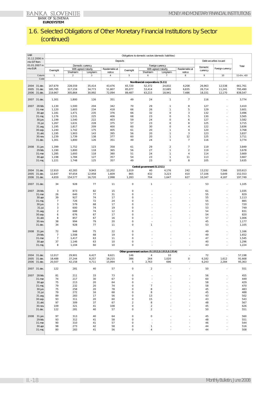### 1.6. Selected Obligations of Other Monetary Financial Institutions by Sector (continued)

| Until        |                              | Obligations to domestic sectors (domestic liabilities) |                      |                  |                |                     |                                                 |                                    |                          |                      |                        |                    |
|--------------|------------------------------|--------------------------------------------------------|----------------------|------------------|----------------|---------------------|-------------------------------------------------|------------------------------------|--------------------------|----------------------|------------------------|--------------------|
| mio SIT from | 31.12.2006 in                |                                                        |                      |                  | Deposits       |                     |                                                 |                                    |                          |                      | Debt securities issued |                    |
|              | 01.01.2007 in                |                                                        | Domestic currency    |                  |                |                     | Foreign currency                                |                                    |                          |                      |                        | Total              |
| mio EUR      |                              | Overnight                                              | With agreed maturity |                  | Reedemable at  | Overnight           | With agreed maturity                            |                                    | Reedemable at            | Domestic<br>currency | Foreign currency       |                    |
|              |                              |                                                        | Short-term           | Long-term        | notice         |                     | Short-term                                      | Long-term                          | notice                   |                      |                        |                    |
|              | Column<br>Code               | $\mathbf{1}$                                           | $\sqrt{2}$           | $\sqrt{3}$       | 4              | $\sqrt{5}$          | 6                                               | $\overline{7}$                     | 8                        | $\overline{9}$       | 10                     | $11 = 3 + + 10$    |
|              |                              |                                                        |                      |                  |                |                     | Non-financial corporations (S.11)               |                                    |                          |                      |                        |                    |
|              | 2004 31.dec.                 | 167,679                                                | 228,559              | 35,414           | 43,476         | 65,720              | 52,372                                          | 24,832                             | 4,208                    | 26,963               | 12,538                 | 661,761            |
|              | 2005 31.dec.                 | 185,785                                                | 317,159              | 34,773           | 51,807         | 85,077              | 53,414                                          | 22,685                             | 6,835                    | 26,714               | 11,241                 | 795,490            |
|              | 2006 31.dec.                 | 219,967                                                | 305,864              | 30,992           | 72,094         | 89,487              | 63,215                                          | 18,941                             | 7,486                    | 18,331               | 12,170                 | 838,547            |
|              | 2007 31.dec.                 | 1,301                                                  | 1,800                | 126              | 351            | 49                  | 24                                              | $\mathbf{1}$                       | $\overline{7}$           | 116                  | ×                      | 3,774              |
|              | 2007 28.feb.                 | 1,130                                                  | 1,500                | 204              | 342            | 70                  | 29                                              | $\mathbf{1}$                       | 8                        | 127                  |                        | 3,410              |
|              | 31.mar.                      | 1,120                                                  | 1,603                | 234              | 418            | 66                  | 26                                              | 1                                  | 5                        | 129                  |                        | 3,601              |
|              | 30.apr.<br>31 maj            | 1,181<br>1,176                                         | 1,471<br>1,531       | 235<br>225       | 376<br>406     | 66<br>68            | 32<br>23                                        | $\mathbf 0$<br>$\mathsf{O}\xspace$ | 3<br>5                   | 132<br>130           |                        | 3,496<br>3,565     |
|              | 30.jun.                      | 1,199                                                  | 1,540                | 222              | 403            | 59                  | 24                                              | $\mathbf 0$                        | 6                        | 127                  |                        | 3,582              |
|              | $31$ .jul.                   | 1,267                                                  | 1,631                | 228              | 375            | 57                  | 23                                              | $\mathsf{O}\xspace$                | 8                        | 125                  |                        | 3,715              |
|              | 31.avg.                      | 1,195                                                  | 1,817                | 209              | 400            | 60                  | 30                                              | $\mathbf 0$                        | $\overline{4}$           | 122                  |                        | 3,836              |
|              | 30.sep.                      | 1,240                                                  | 1,742                | 175              | 405            | 61                  | 20                                              | 1                                  | $\overline{4}$           | 120                  |                        | 3,768              |
|              | 31.okt.                      | 1,195                                                  | 1,903                | 143              | 395            | 56                  | 20                                              | $\mathbf{1}$                       | 3                        | 123                  |                        | 3,837              |
|              | 30.nov.                      | 1,239                                                  | 1,739                | 138              | 377            | 60                  | 20                                              | $\mathbf{1}$                       | 12                       | 125                  |                        | 3,711              |
|              | 31.dec.                      | 1,301                                                  | 1,800                | 126              | 351            | 49                  | 24                                              | $\mathbf{1}$                       | $\overline{7}$           | 116                  |                        | 3,774              |
|              | 2008 31.jan.                 | 1,399                                                  | 1,752                | 123              | 358            | 61                  | 29                                              | $\overline{\mathbf{c}}$            | $\overline{7}$           | 119                  |                        | 3,849              |
|              | 29.feb.                      | 1,190                                                  | 1,800                | 118              | 365            | 56                  | 27                                              | 1                                  | $\overline{2}$           | 119                  |                        | 3,678              |
|              | 31.mar                       | 1,285                                                  | 1,693                | 118              | 380            | 51                  | 24                                              | 1                                  | $\overline{4}$           | 114                  |                        | 3,669              |
|              | 30.apr.                      | 1,198<br>1,221                                         | 1,784<br>1,748       | 127<br>125       | 357<br>357     | 54<br>49            | 23<br>23                                        | $\mathbf{1}$<br>$\circ$            | 11<br>8                  | 113<br>105           |                        | 3,667<br>3,635     |
|              | 31 maj                       |                                                        |                      |                  |                |                     |                                                 |                                    |                          |                      |                        |                    |
|              |                              |                                                        |                      |                  |                |                     | Central government (S.1311)                     |                                    |                          |                      |                        |                    |
|              | 2004 31.dec.                 | 12,910                                                 | 42,283               | 9,943            | 12,202         | 1,019               | 40                                              | 4,176                              | 242                      | 13,232               | 7,566                  | 103,613            |
|              | 2005 31.dec.<br>2006 31.dec. | 12,647<br>4,659                                        | 97,654<br>154,577    | 12,958<br>16,720 | 1,609<br>2,998 | 865<br>1,283        | 432<br>704                                      | 3,223<br>1,647                     | 410<br>627               | 17,106<br>10,347     | 5,649<br>4,187         | 152,553<br>197,749 |
|              |                              |                                                        |                      |                  |                |                     |                                                 |                                    |                          |                      |                        |                    |
|              | 2007 31.dec.                 | 34                                                     | 928                  | 77               | 11             | $\mathbf 0$         | $\mathbf{1}$                                    |                                    |                          | 53                   |                        | 1,105              |
|              | 2007 28.feb.                 | $\sqrt{3}$                                             | 873                  | 82               | 15             | 0                   |                                                 |                                    |                          | 61                   |                        | 1,035              |
|              | 31.mar.<br>30.apr.           | 26<br>39                                               | 640<br>927           | 77<br>74         | 31<br>17       | 0<br>0              |                                                 |                                    |                          | 55<br>55             |                        | 829<br>1,113       |
|              | 31 maj                       | $\overline{7}$                                         | 726                  | 72               | 24             | 0                   |                                                 |                                    |                          | 55                   |                        | 885                |
|              | 30.jun                       | 3                                                      | 579                  | 68               | 17             | 0                   |                                                 |                                    |                          | 53                   |                        | 720                |
|              | $31$ .jul.                   | 3                                                      | 600                  | 74               | 19             | 0                   |                                                 |                                    |                          | 53                   |                        | 749                |
|              | 31.avg.                      | $\sqrt{2}$                                             | 688                  | 74               | 12             | 0                   |                                                 |                                    |                          | 54                   |                        | 831                |
|              | 30.sep.                      | 6                                                      | 676                  | 67               | 17             | 0                   |                                                 |                                    |                          | 54                   |                        | 820                |
|              | 31.okt                       | 8                                                      | 857                  | 67               | 16             | $\mathbf 0$         |                                                 |                                    |                          | 57                   |                        | 1,006              |
|              | 30.00v<br>31.dec.            | 38<br>34                                               | 994<br>928           | 79<br>77         | 20<br>11       | 0<br>0              | $\mathbf{1}$                                    |                                    |                          | 45<br>53             |                        | 1,177<br>1,105     |
|              | 2008 31.jan.                 | 72                                                     | 948                  | 75               | 22             | $\mathbf 0$         |                                                 |                                    |                          | 49                   |                        |                    |
|              | 29.feb.                      | $\overline{7}$                                         | 1,508                | 68               | 19             | 0                   |                                                 |                                    |                          | 49                   |                        | 1,166<br>1,652     |
|              | 31.mar                       | $\overline{7}$                                         | 1,417                | 63               | 11             | $\mathbf 0$         |                                                 |                                    | ÷                        | 47                   |                        | 1,545              |
|              | 30.apr.                      | 37                                                     | 1,146                | 63               | 10             | 0                   |                                                 |                                    |                          | 40                   |                        | 1,296              |
|              | 31.maj.                      | 8                                                      | 1,104                | 60               | 10             | 0                   |                                                 |                                    |                          | 43                   |                        | 1,224              |
|              |                              |                                                        |                      |                  |                |                     | Other government sectors (S.1312,S.1313,S.1314) |                                    |                          |                      |                        |                    |
|              | 2004 31.dec.                 | 12,017                                                 | 29,901               | 6,427            | 8,621          | 146                 | $\overline{4}$                                  | 10                                 |                          | 72                   |                        | 57,198             |
|              | 2005 31.dec.                 | 18,488                                                 | 37,244               | 8,257            | 18,215         | 386                 | 264                                             | 1,020                              | $\mathsf 0$              | 6,182                | 1,612                  | 91,668             |
|              | 2006 31.dec.                 | 20.507                                                 | 42158                | 4 7 1 1          | 15.994         | 5                   | 2.763                                           | 696                                |                          | 6.243                | 2.284                  | 95.363             |
|              | 2007 31.dec.                 | 122                                                    | 281                  | 40               | 57             | $\mathsf 0$         | $\sqrt{2}$                                      |                                    |                          | 50                   |                        | 551                |
|              | 2007 28.feb.                 | 81                                                     | 211                  | 33               | 73             | $\mathsf 0$         |                                                 |                                    | ×                        | 56                   |                        | 455                |
|              | 31.mar.                      | 74                                                     | 217                  | 30               | 67             | 0                   |                                                 |                                    | ×,                       | 60                   |                        | 449                |
|              | 30.apr.                      | 75                                                     | 213                  | 20               | 64             | $\mathbf 0$         |                                                 |                                    |                          | 58                   |                        | 429                |
|              | 31.maj.<br>30.jun.           | 79<br>75                                               | 232<br>258           | 20<br>20         | 74<br>78       | 0<br>0              | $\overline{7}$<br>8                             |                                    | ×,                       | 58<br>45             |                        | 470<br>483         |
|              | 31.jul.                      | 79                                                     | 272                  | 16               | 68             | 0                   | 8                                               |                                    |                          | 45                   |                        | 488                |
|              | 31.avg.                      | 89                                                     | 283                  | 17               | 56             | $\mathsf 0$         | 13                                              |                                    | $\overline{\phantom{a}}$ | 43                   | ÷.                     | 502                |
|              | 30.sep.                      | 93                                                     | 311                  | 20               | 60             | 0                   | 15                                              |                                    |                          | 43                   |                        | 543                |
|              | 31.okt.                      | 97                                                     | 309                  | 37               | 67             | $\overline{2}$      | 8                                               |                                    |                          | 48                   |                        | 567                |
|              | 30.nov.                      | 109                                                    | 321                  | 41               | 108            | 0                   | $\overline{2}$                                  |                                    |                          | 45                   |                        | 626                |
|              | 31.dec.                      | 122                                                    | 281                  | 40               | 57             | $\mathsf 0$         | $\sqrt{2}$                                      |                                    | ÷,                       | 50                   |                        | 551                |
|              | 2008 31.jan.                 | 97                                                     | 313                  | 40               | 64             | $\mathsf{O}\xspace$ | $\mathbf 0$                                     |                                    |                          | 45                   |                        | 560                |
|              | 29.feb.                      | 93                                                     | 312                  | 41               | 58             | 0                   |                                                 |                                    | ×,                       | 48                   |                        | 551                |
|              | 31.mar.                      | 90                                                     | 310                  | 41               | 57             | 0                   | $\overline{\phantom{a}}$                        |                                    |                          | 46                   |                        | 544                |
|              | 30.apr.                      | 98                                                     | 273                  | 42               | 58             | $\mathsf 0$         | 1                                               |                                    | ÷.                       | 44                   |                        | 516                |
|              | 31.maj.                      | 80                                                     | 283                  | 41               | 56             | 0                   | $\overline{4}$                                  |                                    |                          | 44                   |                        | 508                |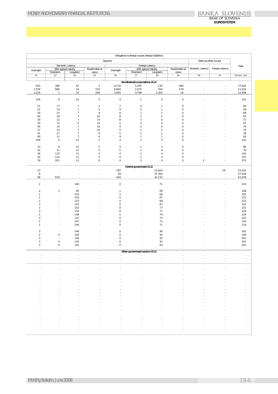

| Obligations to foreign sectors (foreign liabilities) |                             |                                                           |                                                                                                            |                                                                               |                                              |                                    |                                                             |                                                                       |                        |             |
|------------------------------------------------------|-----------------------------|-----------------------------------------------------------|------------------------------------------------------------------------------------------------------------|-------------------------------------------------------------------------------|----------------------------------------------|------------------------------------|-------------------------------------------------------------|-----------------------------------------------------------------------|------------------------|-------------|
|                                                      |                             |                                                           |                                                                                                            | Deposits                                                                      |                                              |                                    |                                                             |                                                                       | Debt securities issued |             |
|                                                      |                             | Domestic currency                                         |                                                                                                            |                                                                               |                                              | Foreign currency                   |                                                             |                                                                       |                        | Total       |
| Overnight                                            | With agreed maturity        |                                                           | Reedemable at                                                                                              | Overnight                                                                     |                                              | With agreed maturity               | Reedemable at                                               | Domestic currency                                                     | Foreign currency       |             |
|                                                      | Short-term                  | Long-term                                                 | notice                                                                                                     |                                                                               | Short-term                                   | Long-term                          | notice                                                      |                                                                       |                        |             |
| 12                                                   | 13                          | 14                                                        | 15                                                                                                         | 16                                                                            | 17                                           | 18                                 | 19                                                          | 20                                                                    | 21                     | $22=12++21$ |
|                                                      |                             |                                                           |                                                                                                            |                                                                               | Non-financial corporations (S.2)             |                                    |                                                             |                                                                       |                        |             |
| 925                                                  | 280                         | 55                                                        | $\sqrt{2}$                                                                                                 | 8,734                                                                         | 1,205                                        | 135                                | 484                                                         |                                                                       |                        | 77,820      |
| 1,329                                                | 686                         | 24                                                        | 155                                                                                                        | 6,864                                                                         | 1,075                                        | 304                                | 579                                                         |                                                                       |                        | 11,016      |
| 1,229                                                | $\mathbf{1}$                | 33                                                        | 109                                                                                                        | 5,955                                                                         | 3,768                                        | 1,352                              | 10                                                          |                                                                       |                        | 12,458      |
|                                                      |                             |                                                           |                                                                                                            |                                                                               |                                              |                                    |                                                             |                                                                       |                        |             |
| 109                                                  | 6                           | 12                                                        | $\sqrt{5}$                                                                                                 | $\sqrt{4}$                                                                    | $\mathbf{1}$                                 | $\sqrt{5}$                         | $\mathsf{O}\xspace$                                         |                                                                       |                        | 142         |
|                                                      |                             |                                                           |                                                                                                            |                                                                               |                                              |                                    |                                                             |                                                                       |                        |             |
| 25<br>22                                             | 17<br>14                    | $\overline{7}$<br>$\overline{7}$                          | 3<br>3                                                                                                     | $\overline{7}$<br>9                                                           | $\mathsf{O}\xspace$<br>3                     | $\mathbf{1}$<br>$\mathbf{1}$       | $\mathsf{O}\xspace$<br>$\mathbf 0$                          |                                                                       |                        | 60<br>58    |
| 30                                                   | 15                          | $\overline{7}$                                            | 9                                                                                                          | 8                                                                             | $\mathbf{1}$                                 | $\mathbf{1}$                       | $\mathbf 0$                                                 |                                                                       |                        | 69          |
| 40                                                   | 18                          | 7                                                         | 20                                                                                                         | 8                                                                             | $\mathbf{1}$                                 | $\mathbf{1}$                       | $\mathbf 0$                                                 |                                                                       |                        | 95          |
| 29                                                   | 12                          | $\overline{7}$                                            | 14                                                                                                         | 8                                                                             | $\sqrt{2}$                                   | $\mathbf 0$                        | $\mathsf{O}\xspace$                                         |                                                                       |                        | 72          |
| 29                                                   | 12                          | 5                                                         | 14                                                                                                         | 5                                                                             | $\sqrt{2}$                                   | $\mathsf{O}\xspace$                | $\mathsf{O}\xspace$                                         |                                                                       |                        | 67          |
| 34                                                   | 14                          | $\overline{7}$                                            | 16                                                                                                         | $\overline{4}$                                                                | $\overline{2}$                               | $\circ$                            | $\mathbf 0$                                                 |                                                                       |                        | 76          |
| 27<br>31                                             | 14<br>27                    | $\overline{7}$<br>$\overline{7}$                          | 16<br>6                                                                                                    | 5<br>5                                                                        | $\overline{1}$<br>$\mathbf{1}$               | $\mathbf{1}$<br>$\mathbf{1}$       | $\mathbf 0$<br>$\mathbf 0$                                  |                                                                       |                        | 70<br>78    |
| 40                                                   | 11                          | $\overline{7}$                                            | 6                                                                                                          | 4                                                                             | $\mathbf{1}$                                 | $\mathbf{1}$                       | $\mathsf{O}\xspace$                                         |                                                                       |                        | 69          |
| 109                                                  | 6                           | 12                                                        | 5                                                                                                          | 4                                                                             | $\mathbf{1}$                                 | $\sqrt{5}$                         | $\mathsf{O}\xspace$                                         |                                                                       |                        | 142         |
|                                                      |                             |                                                           |                                                                                                            |                                                                               |                                              |                                    |                                                             |                                                                       |                        |             |
| 33                                                   | 6                           | 12                                                        | 5                                                                                                          | $\overline{4}$                                                                | $\mathbf{1}$                                 | 5                                  | $\mathbf 0$                                                 |                                                                       |                        | 66          |
| 34                                                   | 11                          | 11                                                        | 5                                                                                                          | 5                                                                             | $\overline{1}$                               | $\overline{4}$                     | $\mathbf 0$                                                 |                                                                       |                        | 70          |
| 36<br>40                                             | 133<br>132                  | 11<br>11                                                  | 5<br>$\sqrt{5}$                                                                                            | 4                                                                             | $\overline{2}$                               | $\overline{4}$<br>$\overline{4}$   | $\mathbf 0$<br>$\mathsf{O}\xspace$                          |                                                                       |                        | 195<br>197  |
| 39                                                   | 201                         | 13                                                        | 6                                                                                                          | 4<br>4                                                                        | $\mathbf{1}$<br>$\sqrt{2}$                   | $\overline{4}$                     | $\mathsf{O}\xspace$                                         | $\overline{a}$                                                        |                        | 270         |
|                                                      |                             |                                                           |                                                                                                            |                                                                               |                                              |                                    |                                                             |                                                                       |                        |             |
|                                                      |                             |                                                           |                                                                                                            |                                                                               | Central government (S.2)                     |                                    |                                                             |                                                                       |                        |             |
| 12                                                   | $\overline{\phantom{a}}$    |                                                           | $\sim$                                                                                                     | 187                                                                           | ÷                                            | 22,924                             | ä,                                                          | ÷                                                                     | 19                     | 23,141      |
| 8                                                    |                             |                                                           |                                                                                                            | 58                                                                            | ÷,                                           | 37,363                             |                                                             |                                                                       |                        | 37,428      |
| 98                                                   | 610                         |                                                           |                                                                                                            | 416                                                                           | ÷                                            | 42,133                             | ä,                                                          |                                                                       | ×,                     | 43,258      |
| $\sqrt{2}$                                           | ÷,                          | 146                                                       |                                                                                                            | $\mathsf{O}\xspace$                                                           | ×                                            | 71                                 |                                                             |                                                                       |                        | 219         |
|                                                      |                             |                                                           |                                                                                                            |                                                                               |                                              |                                    |                                                             |                                                                       |                        |             |
| $\overline{2}$                                       | 3                           | 95                                                        |                                                                                                            | 1                                                                             |                                              | 69                                 |                                                             |                                                                       |                        | 168         |
| $\sqrt{2}$                                           |                             | 155                                                       |                                                                                                            | 1                                                                             |                                              | 68                                 |                                                             |                                                                       |                        | 225         |
| $\overline{2}$                                       |                             | 154                                                       |                                                                                                            | 0                                                                             |                                              | 67                                 |                                                             |                                                                       |                        | 223         |
| $\sqrt{2}$                                           | ÷,                          | 153                                                       |                                                                                                            | 0                                                                             |                                              | 68                                 |                                                             |                                                                       |                        | 223         |
| $\sqrt{2}$<br>$\sqrt{2}$                             |                             | 152<br>152                                                |                                                                                                            | 0<br>0                                                                        |                                              | 67<br>77                           |                                                             |                                                                       |                        | 222<br>231  |
| 3                                                    |                             | 150                                                       |                                                                                                            | 0                                                                             |                                              | 77                                 |                                                             |                                                                       |                        | 229         |
| $\overline{2}$                                       |                             | 148                                                       |                                                                                                            | 0                                                                             |                                              | 74                                 |                                                             |                                                                       |                        | 224         |
| $\sqrt{3}$                                           |                             | 147                                                       |                                                                                                            | 0                                                                             |                                              | 73                                 |                                                             |                                                                       |                        | 222         |
| $\sqrt{2}$                                           | ÷.                          | 147                                                       |                                                                                                            | $\mathsf{O}\xspace$                                                           |                                              | 71                                 |                                                             |                                                                       |                        | 220         |
| $\sqrt{2}$                                           | $\overline{\phantom{a}}$    | 146                                                       |                                                                                                            | 0                                                                             |                                              | 71                                 |                                                             |                                                                       |                        | 219         |
| 3                                                    | ÷,                          | 146                                                       |                                                                                                            | 0                                                                             |                                              | 96                                 |                                                             |                                                                       |                        | 245         |
| $\sqrt{2}$                                           | $\mathsf{O}\xspace$         | 146                                                       |                                                                                                            | 0                                                                             |                                              | 95                                 |                                                             |                                                                       |                        | 244         |
| $\sqrt{3}$                                           | ÷,                          | 146                                                       |                                                                                                            | 0                                                                             |                                              | 92                                 |                                                             |                                                                       |                        | 241         |
| $\ensuremath{\mathsf{3}}$                            | $\mathsf{O}\xspace$         | 145                                                       |                                                                                                            | $\mathsf{O}\xspace$                                                           |                                              | 92                                 |                                                             |                                                                       |                        | 241         |
| $\sqrt{3}$                                           | $\mathsf 0$                 | 145                                                       | $\overline{\phantom{a}}$                                                                                   | $\mathsf 0$                                                                   |                                              | 93                                 |                                                             |                                                                       |                        | 241         |
|                                                      |                             |                                                           |                                                                                                            |                                                                               | Other government sectors (S.2)               |                                    |                                                             |                                                                       |                        |             |
|                                                      |                             |                                                           |                                                                                                            | ×,                                                                            |                                              |                                    |                                                             |                                                                       |                        |             |
|                                                      |                             |                                                           |                                                                                                            |                                                                               |                                              |                                    |                                                             |                                                                       |                        |             |
|                                                      |                             |                                                           |                                                                                                            |                                                                               |                                              |                                    |                                                             |                                                                       |                        |             |
|                                                      |                             |                                                           |                                                                                                            |                                                                               |                                              |                                    |                                                             |                                                                       |                        |             |
|                                                      | $\sim$                      |                                                           |                                                                                                            | $\sim$ 100 $\pm$                                                              |                                              | $\sim 100$                         |                                                             | $\sim 10^{-1}$                                                        |                        |             |
|                                                      | <b>Carl Corp.</b>           | and the company of                                        |                                                                                                            | and the company                                                               |                                              | and the company                    | $\mathcal{L}(\mathcal{A})$ .                                | <b>Contractor</b>                                                     |                        |             |
|                                                      | $\Delta \sim 100$           | $\mathcal{A}^{\mathrm{c}}$ and $\mathcal{A}^{\mathrm{c}}$ | $\mathcal{O}(\mathcal{A}^{\mathcal{A}})$ and $\mathcal{O}(\mathcal{A}^{\mathcal{A}})$<br><b>Contractor</b> | $\sim 10^{-10}$ km s $^{-1}$                                                  | and the company<br>$\sim 10^{-10}$ m $^{-1}$ | $\sim 10^{-11}$                    | $\sim 10^{11}$ km $^{-1}$                                   | $\sim 10^{-11}$                                                       |                        |             |
|                                                      | $\sim 10^{-10}$ km $^{-1}$  | $\mathcal{A}(\mathcal{A})$ and $\mathcal{A}(\mathcal{A})$ | <b>Contractor</b>                                                                                          | $\sim 10^{-10}$                                                               | $\sim 100$ km s $^{-1}$                      | $\sim 100$ km s $^{-1}$            | $\sim 100$ km s $^{-1}$                                     | $\sim 10^{-11}$                                                       | $\sim 10^{-1}$         |             |
|                                                      |                             | <b>Contact Contact</b>                                    |                                                                                                            | <b>Contract</b>                                                               | <b>Contractor</b>                            | <b>Contract</b>                    | <b>Contact Contact</b>                                      | <b>Contract</b>                                                       |                        |             |
|                                                      | $\sim$                      | $\sim$                                                    |                                                                                                            | $\sim$                                                                        | $\mathcal{L}_{\text{max}}$                   | $\sim$                             | $\mathcal{A}^{\mathcal{A}}$ and $\mathcal{A}^{\mathcal{A}}$ | $\sim$                                                                |                        |             |
|                                                      | $\mathcal{L}_{\rm{max}}$    | $\Delta\sim 10^{11}$                                      | <b>Contractor</b>                                                                                          | $\Delta \sim 100$                                                             | $\sim 10^{-10}$ km $^{-1}$                   | $\mathcal{L}_{\rm{max}}$           | $\mathcal{A}^{\mathcal{A}}$ and $\mathcal{A}^{\mathcal{A}}$ | $\mathcal{L}_{\rm{max}}$                                              |                        |             |
|                                                      | $\mathcal{L}_{\rm{max}}$    | $\mathcal{L}^{\text{max}}$                                | $\omega_{\rm{max}}$                                                                                        | $\mathcal{L}_{\rm{max}}$                                                      | $\omega_{\rm{max}}$                          | $\mathcal{L}^{\text{max}}$         | $\mathcal{A}^{\mathcal{A}}$ and $\mathcal{A}^{\mathcal{A}}$ | $\mathcal{L}_{\rm{max}}$                                              |                        |             |
|                                                      | $\sim$<br>$\sim$            | $\Delta \sim 10^{-11}$<br>$\Delta \sim 100$               | $\mathcal{A}^{\mathcal{A}}$ and $\mathcal{A}^{\mathcal{A}}$                                                | $\mathcal{A}^{\mathcal{A}}$ and $\mathcal{A}^{\mathcal{A}}$<br>$\sim 10^{-1}$ | <b>Contractor</b><br>$\Delta \sim 10^{-11}$  | $\sim 10^{-11}$<br>$\sim 10^{-11}$ | <b>Contract</b><br><b>Service</b>                           | $\mathcal{A}^{\mathcal{A}}$ and $\mathcal{A}^{\mathcal{A}}$<br>$\sim$ | $\sim$                 |             |
|                                                      | $\sim$                      |                                                           |                                                                                                            | $\sim$                                                                        |                                              | $\sim$                             | $\sim$                                                      | $\sim$                                                                |                        |             |
|                                                      | $\Delta \sim 100$ m $^{-1}$ | $\mathcal{L}_{\rm{max}}$                                  | $\mathbf{a} = \mathbf{a} \times \mathbf{b}$                                                                | $\sim 10^{-10}$                                                               | $\Delta \sim 100$                            | <b>Contract</b>                    | $\Delta \sim 10^{11}$                                       | $\mathcal{L}_{\rm{max}}$                                              |                        |             |
|                                                      |                             |                                                           |                                                                                                            |                                                                               |                                              |                                    |                                                             |                                                                       |                        |             |
|                                                      | $\sim$                      | $\sim 100$ km s $^{-1}$                                   | <b>Contractor</b>                                                                                          | <b>Contractor</b>                                                             | and a state of                               | <b>Contractor</b>                  | and a state of                                              | <b>Contractor</b>                                                     |                        |             |
|                                                      | $\sim$                      | $\sim$                                                    |                                                                                                            | $\sim$                                                                        | $\Delta \sim 100$                            | $\sim 10^{-1}$                     | $\sim 100$                                                  | $\sim$                                                                |                        |             |
|                                                      |                             |                                                           |                                                                                                            |                                                                               |                                              | $\sim$                             |                                                             |                                                                       |                        |             |
|                                                      |                             |                                                           |                                                                                                            |                                                                               |                                              |                                    |                                                             |                                                                       |                        |             |
|                                                      |                             |                                                           |                                                                                                            |                                                                               |                                              |                                    |                                                             |                                                                       |                        |             |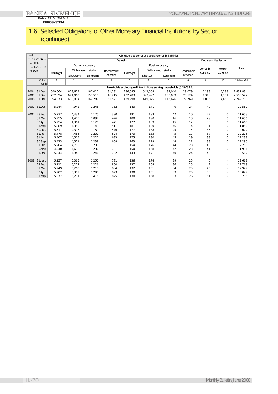### 1.6. Selected Obligations of Other Monetary Financial Institutions by Sector (continued)

|              |               |              |                |                      |                |           |            | Obligations to domestic sectors (domestic liabilities)                 |            |                      |                        |            |
|--------------|---------------|--------------|----------------|----------------------|----------------|-----------|------------|------------------------------------------------------------------------|------------|----------------------|------------------------|------------|
| Until        |               |              |                |                      |                |           |            |                                                                        |            |                      |                        |            |
|              | 31.12.2006 in |              |                |                      |                | Deposits  |            |                                                                        |            |                      | Debt securities issued |            |
| mio SIT from | 01.01.2007 in |              |                | Domestic currency    |                |           |            | Foreign currency                                                       |            |                      |                        |            |
| mio EUR      |               |              |                | With agreed maturity | Reedemable     |           |            | With agreed maturity                                                   | Reedemable | Domestic<br>currency | Foreign<br>currency    | Total      |
|              |               | Overnight    | Short-term     | Long-term            | at notice      | Overnight | Short-term | Long-term                                                              | at notice  |                      |                        |            |
|              | Column        | $\mathbf{1}$ | $\overline{2}$ | 3                    | $\overline{4}$ | 5         | 6          | $\overline{7}$                                                         | 8          | 9                    | 10                     | $11=3++10$ |
|              | Code          |              |                |                      |                |           |            |                                                                        |            |                      |                        |            |
|              |               |              |                |                      |                |           |            | Households and non-profit institutions serving households (S.14, S.15) |            |                      |                        |            |
|              | 2004 31.Dec.  | 649.064      | 629,624        | 167.017              | 31,281         | 286,685   | 542,558    | 84,040                                                                 | 29,079     | 7,198                | 5,288                  | 2,431,834  |
|              | 2005 31.Dec.  | 752.894      | 624,063        | 157,515              | 46,215         | 432.783   | 397,997    | 108,039                                                                | 28,124     | 1,310                | 4,581                  | 2,553,522  |
|              | 2006 31.Dec.  | 894.073      | 613,034        | 162.287              | 51,521         | 429.998   | 449,825    | 113,676                                                                | 29,769     | 1,065                | 4,455                  | 2,749,703  |
|              |               |              |                |                      |                |           |            |                                                                        |            |                      |                        |            |
|              | 2007 31.Dec.  | 5,244        | 4.942          | 1,246                | 732            | 143       | 171        | 40                                                                     | 24         | 40                   |                        | 12,582     |
|              |               |              |                |                      |                |           |            |                                                                        |            |                      |                        |            |
|              | 2007 28.Feb.  | 5,237        | 4,434          | 1.125                | 390            | 191       | 193        | 47                                                                     | 10         | 27                   | 0                      | 11,653     |
|              | 31.Mar.       | 5,255        | 4,415          | 1,097                | 426            | 188       | 190        | 46                                                                     | 10         | 29                   | 0                      | 11,656     |
|              | 30.Apr.       | 5,254        | 4.361          | 1.121                | 471            | 177       | 189        | 45                                                                     | 12         | 30                   | 0                      | 11,660     |
|              | 31.May.       | 5,389        | 4,353          | 1,141                | 511            | 181       | 190        | 46                                                                     | 14         | 31                   | $\Omega$               | 11,856     |
|              | 30.Jun.       | 5,511        | 4,396          | 1,159                | 546            | 177       | 188        | 45                                                                     | 15         | 35                   | 0                      | 12.072     |
|              | 31.Jul.       | 5,478        | 4,486          | 1,202                | 594            | 173       | 183        | 45                                                                     | 17         | 37                   | 0                      | 12,215     |
|              | 31.Aug.       | 5,407        | 4,515          | 1,227                | 633            | 175       | 180        | 45                                                                     | 19         | 38                   | 0                      | 12,238     |
|              | 30.Sep.       | 5,423        | 4,521          | 1,238                | 668            | 163       | 179        | 44                                                                     | 21         | 38                   | $\Omega$               | 12,295     |
|              | 31.Oct.       | 5,204        | 4,710          | 1,233                | 701            | 154       | 176        | 44                                                                     | 23         | 40                   | $\Omega$               | 12,283     |
|              | 30.Nov.       | 4,940        | 4,698          | 1,230                | 701            | 150       | 168        | 42                                                                     | 23         | 41                   | 0                      | 11.991     |
|              | 31.Dec.       | 5,244        | 4,942          | 1,246                | 732            | 143       | 171        | 40                                                                     | 24         | 40                   |                        | 12,582     |
|              |               |              |                |                      |                |           |            |                                                                        |            |                      |                        |            |
|              | 2008 31.Jan.  | 5,157        | 5,065          | 1,250                | 781            | 136       | 174        | 39                                                                     | 25         | 40                   |                        | 12,668     |
|              | 29.Feb.       | 5,112        | 5,222          | 1,226                | 800            | 137       | 168        | 36                                                                     | 25         | 42                   | ٠                      | 12,769     |
|              | 31.Mar.       | 5,249        | 5,260          | 1,218                | 804            | 132       | 161        | 34                                                                     | 25         | 46                   | ٠                      | 12,929     |
|              | 30.Apr.       | 5,202        | 5,309          | 1,295                | 823            | 130       | 161        | 33                                                                     | 26         | 50                   |                        | 13,029     |
|              | 31.May.       | 5.377        | 5.201          | 1.415                | 825            | 130       | 158        | 33                                                                     | 26         | 51                   |                        | 13.215     |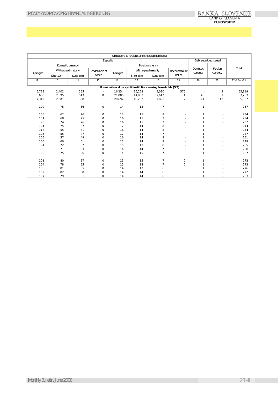

|           |            |                      |               |           | Obligations to foreign sectors (foreign liabilities) |                                                                 |               |                      |                        |             |
|-----------|------------|----------------------|---------------|-----------|------------------------------------------------------|-----------------------------------------------------------------|---------------|----------------------|------------------------|-------------|
|           |            |                      |               | Deposits  |                                                      |                                                                 |               |                      | Debt securities issued |             |
|           |            | Domestic currency    |               |           |                                                      | Foreign currency                                                |               |                      |                        |             |
|           |            | With agreed maturity | Reedemable at |           |                                                      | With agreed maturity                                            | Reedemable at | Domestic<br>currency | Foreign<br>currency    | Total       |
| Overnight | Short-term | Long-term            | notice        | Overnight | Short-term                                           | Long-term                                                       | notice        |                      |                        |             |
| 12        | 13         | 14                   | 15            | 16        | 17                                                   | 18                                                              | 19            | 20                   | 21                     | $22=12++21$ |
|           |            |                      |               |           |                                                      |                                                                 |               |                      |                        |             |
|           |            |                      |               |           |                                                      | Households and non-profit institutions serving households (S.2) |               |                      |                        |             |
| 5,729     | 2,402      | 555                  |               | 16,254    | 26,263                                               | 4,030                                                           | 576           |                      | 9                      | 55,819      |
| 5,688     | 2,695      | 543                  | $\mathbf 0$   | 21,805    | 14,803                                               | 7,642                                                           | $\mathbf{1}$  | 48                   | 37                     | 53,263      |
| 7,319     | 2,301      | 338                  | $\mathbf{1}$  | 20,692    | 16,252                                               | 7,891                                                           | 2             | 71                   | 142                    | 55,007      |
|           |            |                      |               |           |                                                      |                                                                 |               |                      |                        |             |
| 100       | 75         | 56                   | $\mathsf O$   | 14        | 15                                                   | $7\overline{ }$                                                 |               | 1                    |                        | 267         |
|           |            |                      |               |           |                                                      |                                                                 |               |                      |                        |             |
| 105       | 62         | 26                   | 0             | 17        | 15                                                   | 8                                                               |               | 1                    |                        | 234         |
| 101       | 68         | 25                   | $\mathbf 0$   | 16        | 15                                                   | $\overline{7}$                                                  |               | 1                    |                        | 234         |
| 98        | 74         | 26                   | $\mathbf 0$   | 16        | 15                                                   | $\overline{7}$                                                  |               |                      |                        | 237         |
| 101       | 75         | 27                   | 0             | 17        | 14                                                   | 8                                                               |               |                      |                        | 244         |
| 118       | 55         | 31                   | 0             | 16        | 14                                                   | 8                                                               |               |                      |                        | 244         |
| 106       | 55         | 47                   | $\mathbf 0$   | 17        | 14                                                   | $\overline{7}$                                                  |               |                      |                        | 247         |
| 105       | 57         | 49                   | $\mathbf 0$   | 16        | 14                                                   | 8                                                               |               | 1                    |                        | 251         |
| 100       | 60         | 51                   | $\circ$       | 15        | 14                                                   | 8                                                               |               |                      |                        | 248         |
| 94        | 72         | 52                   | $\circ$       | 15        | 13                                                   | 8                                                               |               |                      |                        | 255         |
| 98        | 71         | 53                   | 0             | 14        | 14                                                   | $\overline{7}$                                                  |               | 1                    |                        | 258         |
| 100       | 75         | 56                   | $\mathbf 0$   | 14        | 15                                                   | $7\overline{ }$                                                 |               | 1                    |                        | 267         |
|           |            |                      |               |           |                                                      |                                                                 |               |                      |                        |             |
| 101       | 80         | 57                   | $\mathbf 0$   | 13        | 15                                                   | $\overline{7}$                                                  | 0             | 1                    |                        | 273         |
| 104       | 78         | 55                   | 0             | 15        | 14                                                   | $\overline{7}$                                                  | 0             | 1                    |                        | 273         |
| 106       | 81         | 55                   | $\mathbf 0$   | 14        | 13                                                   | 6                                                               | $\mathbf 0$   |                      |                        | 276         |
| 102       | 82         | 58                   | $\mathbf 0$   | 14        | 14                                                   | 6                                                               | $\circ$       |                      |                        | 277         |
| 107       | 79         | 61                   | $\mathbf 0$   | 14        | 14                                                   | 6                                                               | $\mathbf 0$   |                      |                        | 283         |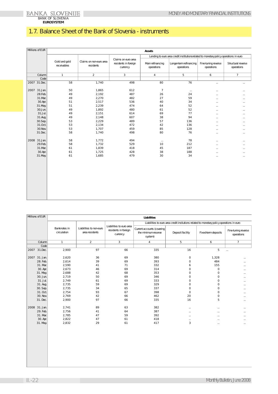**EUROSYSTEM**

#### 1.7. Balance Sheet of the Bank of Slovenia - instruments

| Millions of EUR |         | Assets                       |                                      |                                                         |                                |                                                                                       |                                   |                                  |  |  |  |  |  |
|-----------------|---------|------------------------------|--------------------------------------|---------------------------------------------------------|--------------------------------|---------------------------------------------------------------------------------------|-----------------------------------|----------------------------------|--|--|--|--|--|
|                 |         |                              |                                      |                                                         |                                | Lending to euro area credit institutionsrelated to monetary policy operations in euro |                                   |                                  |  |  |  |  |  |
|                 |         | Gold and gold<br>receivables | Claims on non-euro area<br>residents | Claims on euro area<br>residents in foreign<br>currency | Main refinancing<br>operations | Longer-term refinancing<br>operations                                                 | Fine-tuning reverse<br>operations | Structural reverse<br>operations |  |  |  |  |  |
|                 | Column  | $\mathbf{1}$                 | $\overline{a}$                       | 3                                                       | $\overline{4}$                 | 5                                                                                     | 6                                 | $7\overline{ }$                  |  |  |  |  |  |
|                 | Code    |                              |                                      |                                                         |                                |                                                                                       |                                   |                                  |  |  |  |  |  |
| 2007 31.Dec.    |         | 58                           | 1,740                                | 498                                                     | 80                             | 76                                                                                    | $\ldots$                          | $\cdots$                         |  |  |  |  |  |
|                 |         |                              |                                      |                                                         |                                |                                                                                       |                                   |                                  |  |  |  |  |  |
| 2007 31.Jan.    |         | 50                           | 1,865                                | 612                                                     | $7\phantom{.}$                 | $\ldots$                                                                              | $\ldots$                          | $\ldots$                         |  |  |  |  |  |
|                 | 28.Feb. | 49                           | 2,192                                | 487                                                     | 26                             | 24                                                                                    | $\cdots$                          | $\cdots$                         |  |  |  |  |  |
|                 | 31.Mar. | 49                           | 2,270                                | 482                                                     | 27                             | 59                                                                                    | $\cdots$                          | $\ldots$                         |  |  |  |  |  |
|                 | 30.Apr. | 51                           | 2,517                                | 536                                                     | 40                             | 34                                                                                    | $\cdots$                          | $\cdots$                         |  |  |  |  |  |
|                 | 31.May. | 51                           | 2,239                                | 474                                                     | 64                             | 52                                                                                    | $\cdots$                          | $\cdots$                         |  |  |  |  |  |
|                 | 30.Jun. | 49                           | 1,892                                | 480                                                     | 61                             | 52                                                                                    | $\cdots$                          | $\cdots$                         |  |  |  |  |  |
|                 | 31.Jul. | 49                           | 2,151                                | 614                                                     | 69                             | 77                                                                                    | $\cdots$                          | $\cdots$                         |  |  |  |  |  |
|                 | 31.Aug. | 49                           | 2,148                                | 607                                                     | 38                             | 94                                                                                    | $\cdots$                          | $\cdots$                         |  |  |  |  |  |
|                 | 30.Sep. | 53                           | 2,229                                | 489                                                     | 57                             | 136                                                                                   | $\cdots$                          | $\cdots$                         |  |  |  |  |  |
|                 | 31.Oct. | 53                           | 2,134                                | 472                                                     | 42                             | 136                                                                                   | $\cdots$                          | $\ldots$                         |  |  |  |  |  |
|                 | 30.Nov. | 53                           | 1,707                                | 459                                                     | 85                             | 128                                                                                   | $\cdots$                          | $\cdots$                         |  |  |  |  |  |
|                 | 31.Dec. | 58                           | 1,740                                | 498                                                     | 80                             | 76                                                                                    | $\cdots$                          | $\cdots$                         |  |  |  |  |  |
|                 |         |                              |                                      |                                                         |                                |                                                                                       |                                   |                                  |  |  |  |  |  |
| 2008 31.Jan.    |         | 58                           | 1,772                                | 494                                                     | $\ldots$                       | 78                                                                                    | $\cdots$                          | $\cdots$                         |  |  |  |  |  |
|                 | 29.Feb. | 58                           | 1,732                                | 529                                                     | 10                             | 212                                                                                   | $\cdots$                          | $\cdots$                         |  |  |  |  |  |
|                 | 31.Mar. | 61                           | 1,839                                | 418                                                     | 45                             | 187                                                                                   | $\cdots$                          | $\cdots$                         |  |  |  |  |  |
|                 | 30.Apr. | 61                           | 1,725                                | 428                                                     | 38                             | 188                                                                                   | $\cdots$                          | $\cdots$                         |  |  |  |  |  |
|                 | 31.May. | 61                           | 1,685                                | 479                                                     | 30                             | 34                                                                                    | $\cdots$                          | $\cdots$                         |  |  |  |  |  |
|                 |         |                              |                                      |                                                         |                                |                                                                                       |                                   |                                  |  |  |  |  |  |
|                 |         |                              |                                      |                                                         |                                |                                                                                       |                                   |                                  |  |  |  |  |  |
|                 |         |                              |                                      |                                                         |                                |                                                                                       |                                   |                                  |  |  |  |  |  |
|                 |         |                              |                                      |                                                         |                                |                                                                                       |                                   |                                  |  |  |  |  |  |
|                 |         |                              |                                      |                                                         |                                |                                                                                       |                                   |                                  |  |  |  |  |  |
|                 |         |                              |                                      |                                                         |                                |                                                                                       |                                   |                                  |  |  |  |  |  |
|                 |         |                              |                                      |                                                         |                                |                                                                                       |                                   |                                  |  |  |  |  |  |
|                 |         |                              |                                      |                                                         |                                |                                                                                       |                                   |                                  |  |  |  |  |  |
|                 |         |                              |                                      |                                                         |                                |                                                                                       |                                   |                                  |  |  |  |  |  |
|                 |         |                              |                                      |                                                         |                                |                                                                                       |                                   |                                  |  |  |  |  |  |
|                 |         |                              |                                      |                                                         |                                |                                                                                       |                                   |                                  |  |  |  |  |  |

| Millions of EUR |                             |                                           |                                                              | Liabilities                                                  |                                                                                           |                     |                                   |
|-----------------|-----------------------------|-------------------------------------------|--------------------------------------------------------------|--------------------------------------------------------------|-------------------------------------------------------------------------------------------|---------------------|-----------------------------------|
|                 |                             |                                           |                                                              |                                                              | Liabilities to euro area credit instiutions related to monetary policy operations in euro |                     |                                   |
|                 | Banknotes in<br>circulation | Liabilities to non-euro<br>area residents | Liabilities to euro area<br>residents in foreign<br>currency | Current accounts (covering<br>the minimum reserve<br>system) | Deposit facility                                                                          | Fixed-term deposits | Fine-tuning reverse<br>operations |
| Column          | $\mathbf{1}$                | $\sqrt{2}$                                | 3                                                            | $\overline{4}$                                               | 5                                                                                         | $\boldsymbol{6}$    | $7\overline{ }$                   |
| Code            |                             |                                           |                                                              |                                                              |                                                                                           |                     |                                   |
| 2007 31.Dec.    | 2,900                       | 97                                        | 66                                                           | 335                                                          | 16                                                                                        | 5                   | $\cdots$                          |
|                 |                             |                                           |                                                              |                                                              |                                                                                           |                     |                                   |
| 2007 31. Jan.   | 2,620                       | 36                                        | 69                                                           | 380                                                          | $\mathsf{O}\xspace$                                                                       | 1,328               | $\cdots$                          |
| 28. Feb.        | 2,614                       | 39                                        | 69                                                           | 393                                                          | $\mathsf O$                                                                               | 484                 | $\cdots$                          |
| 31. Mar.        | 2,590                       | 41                                        | 71                                                           | 332                                                          | 6                                                                                         | 155                 | $\cdots$                          |
| 30. Apr.        | 2,673                       | 46                                        | 69                                                           | 314                                                          | $\mathsf{O}\xspace$                                                                       | $\mathsf{O}\xspace$ | $\cdots$                          |
| 31. May.        | 2,688                       | 42                                        | 68                                                           | 353                                                          | $\mathsf{O}\xspace$                                                                       | $\circ$             | $\cdots$                          |
| 30. Jun.        | 2,719                       | 50                                        | 69                                                           | 346                                                          | $\mathsf{O}\xspace$                                                                       | $\mathsf{O}\xspace$ | $\cdots$                          |
| 31. Jul.        | 2,749                       | 61                                        | 69                                                           | 333                                                          | $\mathsf{O}\xspace$                                                                       | $\mathsf{O}\xspace$ | $\cdots$                          |
| 31. Aug.        | 2,735                       | 59                                        | 69                                                           | 329                                                          | $\mathsf{O}\xspace$                                                                       | $\mathbf 0$         | $\cdots$                          |
| 30. Sep.        | 2,735                       | 34                                        | 65                                                           | 337                                                          | $\mathsf{O}\xspace$                                                                       | $\mathsf{O}\xspace$ | $\cdots$                          |
| 31. Oct.        | 2,754                       | 93                                        | 67                                                           | 398                                                          | $\mathsf{O}\xspace$                                                                       | $\mathbf 0$         | $\cdots$                          |
| 30. Nov.        | 2,769                       | 42                                        | 66                                                           | 462                                                          | 20                                                                                        | $\mathbf 0$         | $\cdots$                          |
| 31. Dec.        | 2,900                       | 97                                        | 66                                                           | 335                                                          | 16                                                                                        | 5                   | $\cdots$                          |
|                 |                             |                                           |                                                              |                                                              |                                                                                           |                     |                                   |
| 2008 31. Jan.   | 2,741                       | 89                                        | 63                                                           | 382                                                          | $\cdots$                                                                                  | $\cdots$            | $\cdots$                          |
| 29. Feb.        | 2,756                       | 41                                        | 64                                                           | 387                                                          | $\cdots$                                                                                  | $\cdots$            | $\cdots$                          |
| 31. Mar.        | 2,785                       | 47                                        | 59                                                           | 392                                                          | $\cdots$                                                                                  | $\cdots$            | $\cdots$                          |
| 30. Apr.        | 2,822                       | 47                                        | 61                                                           | 418                                                          | $\cdots$                                                                                  | $\cdots$            | $\cdots$                          |
| 31. May.        | 2,832                       | 29                                        | 61                                                           | 417                                                          | 3                                                                                         | $\ldots$            | $\cdots$                          |
|                 |                             |                                           |                                                              |                                                              |                                                                                           |                     |                                   |
|                 |                             |                                           |                                                              |                                                              |                                                                                           |                     |                                   |
|                 |                             |                                           |                                                              |                                                              |                                                                                           |                     |                                   |
|                 |                             |                                           |                                                              |                                                              |                                                                                           |                     |                                   |
|                 |                             |                                           |                                                              |                                                              |                                                                                           |                     |                                   |
|                 |                             |                                           |                                                              |                                                              |                                                                                           |                     |                                   |
|                 |                             |                                           |                                                              |                                                              |                                                                                           |                     |                                   |
|                 |                             |                                           |                                                              |                                                              |                                                                                           |                     |                                   |
|                 |                             |                                           |                                                              |                                                              |                                                                                           |                     |                                   |
|                 |                             |                                           |                                                              |                                                              |                                                                                           |                     |                                   |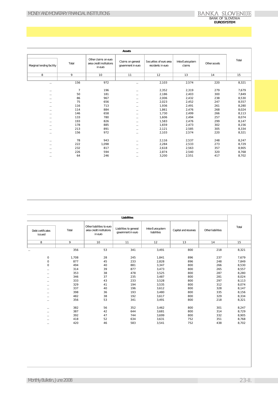|                           |                |                                                             | Assets                                  |                                              |                            |              |       |
|---------------------------|----------------|-------------------------------------------------------------|-----------------------------------------|----------------------------------------------|----------------------------|--------------|-------|
| Marginal lending facility | Total          | Other claims on euro<br>area credit institutions<br>in euro | Claims on general<br>government in euro | Securities of euro area<br>residents in euro | Intra-Eurosystem<br>claims | Other assets | Total |
| 8                         | 9              | 10                                                          | 11                                      | 12                                           | 13                         | 14           | 15    |
|                           |                |                                                             |                                         |                                              |                            |              |       |
| $\cdots$                  | 156            | 972                                                         | $\cdots$                                | 2,103                                        | 2,574                      | 220          | 8,321 |
|                           |                |                                                             |                                         |                                              |                            |              |       |
| $\cdots$                  | $\overline{7}$ | 196                                                         | $\ldots$                                | 2,352                                        | 2,319                      | 279          | 7,679 |
| $\cdots$                  | 50             | 181                                                         | $\cdots$                                | 2,186                                        | 2,403                      | 300          | 7,849 |
| $\cdots$                  | 86             | 967                                                         | $\cdots$                                | 2,006                                        | 2,432                      | 238          | 8,530 |
| $\cdots$                  | 75             | 656                                                         | $\cdots$                                | 2,023                                        | 2,452                      | 247          | 8,557 |
| $\cdots$                  | 116            | 713                                                         | $\ldots$                                | 1,936                                        | 2,491                      | 261          | 8,280 |
| $\cdots$                  | 114            | 884                                                         | $\ldots$                                | 1,861                                        | 2,476                      | 268          | 8,024 |
| $\cdots$                  | 146            | 658                                                         | $\cdots$                                | 1,730                                        | 2,499                      | 266          | 8,113 |
| $\cdots$                  | 133            | 780                                                         | $\ldots$                                | 1,606                                        | 2,494                      | 257          | 8,074 |
|                           | 193            | 826                                                         | $\ldots$                                | 1,583                                        | 2,476                      | 299          | 8,147 |
| $\cdots$                  | 178            | 885                                                         | $\cdots$                                | 1,659                                        | 2,473                      | 302          | 8,156 |
| $\cdots$                  | 213            | 891                                                         | $\cdots$                                | 2,121                                        | 2,585                      | 305          | 8,334 |
| $\cdots$                  | 156            | 972                                                         | $\ldots$                                | 2,103                                        | 2,574                      | 220          | 8,321 |
|                           |                |                                                             |                                         |                                              |                            |              |       |
| $\cdots$                  | 78             | 943                                                         | $\cdots$                                | 2,116                                        | 2,537                      | 248          | 8,247 |
| $\cdots$                  | 222            | 1,098                                                       | $\cdots$                                | 2,284                                        | 2,533                      | 273          | 8,729 |
|                           | 232            | 817                                                         | $\cdots$                                | 2,618                                        | 2,563                      | 357          | 8,905 |
| $\cdots$                  | 226            | 594                                                         | $\cdots$                                | 2,874                                        | 2,540                      | 320          | 8,768 |
| $\cdots$                  | 64             | 246                                                         | $\cdots$                                | 3,200                                        | 2,551                      | 417          | 8,702 |
|                           |                |                                                             |                                         |                                              |                            |              |       |
|                           |                |                                                             |                                         |                                              |                            |              |       |
|                           |                |                                                             |                                         |                                              |                            |              |       |

| Liabilities                 |       |                                                                  |                                              |                                 |                      |                   |       |  |  |  |
|-----------------------------|-------|------------------------------------------------------------------|----------------------------------------------|---------------------------------|----------------------|-------------------|-------|--|--|--|
| Debt certificates<br>issued | Total | Other liabilities to euro<br>area credit institutions<br>in euro | Liabilities to general<br>government in euro | Intra-Eurosystem<br>liabilities | Capital and reserves | Other liabilities | Total |  |  |  |
| 8                           | 9     | 10                                                               | 11                                           | 12                              | 13                   | 14                | 15    |  |  |  |
|                             |       |                                                                  |                                              |                                 |                      |                   |       |  |  |  |
| $\cdots$                    | 356   | 53                                                               | 341                                          | 3,491                           | 800                  | 218               | 8,321 |  |  |  |
| $\mathsf O$                 | 1,708 | 28                                                               | 245                                          | 1,841                           | 896                  | 237               | 7,679 |  |  |  |
| $\mathbf 0$                 | 877   | 45                                                               | 233                                          | 2,828                           | 896                  | 248               | 7,849 |  |  |  |
| $\circ$                     | 494   | 40                                                               | 881                                          | 3,347                           | 800                  | 266               | 8,530 |  |  |  |
| $\cdots$                    | 314   | 39                                                               | 877                                          | 3,473                           | 800                  | 265               | 8,557 |  |  |  |
| $\cdots$                    | 353   | 38                                                               | 478                                          | 3,525                           | 800                  | 287               | 8,280 |  |  |  |
| $\cdots$                    | 346   | 37                                                               | 235                                          | 3,487                           | 800                  | 281               | 8,024 |  |  |  |
| $\cdots$                    | 333   | 43                                                               | 233                                          | 3,528                           | 800                  | 297               | 8,113 |  |  |  |
| $\cdots$                    | 329   | 41                                                               | 194                                          | 3,535                           | 800                  | 312               | 8,074 |  |  |  |
| $\cdots$                    | 337   | 40                                                               | 196                                          | 3,612                           | 800                  | 328               | 8,147 |  |  |  |
| $\cdots$                    | 398   | 36                                                               | 193                                          | 3,480                           | 800                  | 335               | 8,156 |  |  |  |
| $\cdots$                    | 482   | 38                                                               | 192                                          | 3,617                           | 800                  | 329               | 8,334 |  |  |  |
| $\cdots$                    | 356   | 53                                                               | 341                                          | 3,491                           | 800                  | 218               | 8,321 |  |  |  |
|                             |       |                                                                  |                                              |                                 |                      |                   |       |  |  |  |
| $\cdots$                    | 382   | 56                                                               | 352                                          | 3,462                           | 800                  | 301               | 8,247 |  |  |  |
| $\cdots$                    | 387   | 42                                                               | 644                                          | 3,681                           | 800                  | 314               | 8,729 |  |  |  |
| $\cdots$                    | 392   | 47                                                               | 744                                          | 3,699                           | 800                  | 332               | 8,905 |  |  |  |
| $\cdots$                    | 418   | 52                                                               | 634                                          | 3,631                           | 752                  | 351               | 8,768 |  |  |  |
| $\cdots$                    | 420   | 46                                                               | 583                                          | 3,541                           | 752                  | 438               | 8,702 |  |  |  |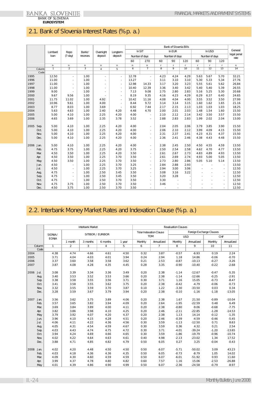**EUROSYSTEM**

# 2.1. Bank of Slovenia Interest Rates (% p. a.)

|              |                |                |                |                |                          | <b>Bank of Slovenia Bills</b> |                |                |                |              |                 |                 |                 |                     |
|--------------|----------------|----------------|----------------|----------------|--------------------------|-------------------------------|----------------|----------------|----------------|--------------|-----------------|-----------------|-----------------|---------------------|
|              | Lombard        | Repo           | Banks'         | Overnight      | Longterm                 |                               | In SIT         |                | In EUR         |              |                 | In USD          |                 | General             |
|              | loan           | $(7-day)$      | reserves       | deposit        | deposit                  |                               | Number of days |                | Number of days |              |                 | Number of days  |                 | legal penal<br>rate |
|              |                |                |                |                |                          | 60                            | 270            | 60             | 90             | 120          | 60              | 90              | 120             |                     |
|              | $\mathsf{n}$   | $\mathsf{n}$   | n              | $\mathsf{n}$   | $\mathsf{n}$             | n                             | $\mathsf{n}$   | r.             | r.             | $\mathbf{r}$ | $\mathsf{r}$    | r.              | $\mathsf{r}$    | n.                  |
| Column       | $\overline{1}$ | $\overline{2}$ | $\overline{3}$ | $\overline{4}$ | 5                        | 6                             | $\overline{7}$ | $\overline{8}$ | $\overline{9}$ | 10           | $\overline{11}$ | $\overline{12}$ | $\overline{13}$ | $\overline{14}$     |
| Code         |                |                |                |                |                          |                               |                |                |                |              |                 |                 |                 |                     |
| 1995         | 12.50          | ÷              | 1.00           | ÷.             | ÷                        | 12.78                         | ä,             | 4.23           | 4.24           | 4.29         | 5.63            | 5.67            | 5.70            | 32.21               |
| 1996         | 11.00          | ٠              | 1.00           | ÷.             | $\overline{\phantom{a}}$ | 13.27                         | ×,             | 3.11           | 3.10           | 3.10         | 5.30            | 5.33            | 5.34            | 27.76               |
| 1997         | 11.00          | ×.             | 1.00           | ÷.             | $\sim$                   | 12.98                         | 14.33          | 3.17           | 3.20           | 3.23         | 5.55            | 5.61            | 5.62            | 26.84               |
| 1998         | 11.00          | ×.             | 1.00           | ÷              | $\cdot$                  | 10.40                         | 12.39          | 3.36           | 3.40           | 3.42         | 5.40            | 5.40            | 5.39            | 26.55               |
| 1999         | 9.00           |                | 1.00           |                | ×.                       | 7.13                          | 9.08           | 2.75           | 2.80           | 2.83         | 5.16            | 5.25            | 5.30            | 20.68               |
| 2000         | 9.67           | 9.56           | 1.00           |                | ÷.                       | 8.19                          | 9.35           | 4.16           | 4.23           | 4.29         | 6.29            | 6.37            | 6.40            | 24.65               |
| 2001         | 11.75          | 11.02          | 1.00           | 4.92           | ÷.                       | 10.42                         | 11.16          | 4.08           | 4.04           | 4.00         | 3.55            | 3.52            | 3.50            | 27.99               |
| 2002         | 10.96          | 9.61           | 1.00           | 4.00           | ٠                        | 8.44                          | 9.72           | 3.14           | 3.14           | 3.15         | 1.60            | 1.62            | 1.65            | 21.16               |
| 2003         | 8.77           | 8.03           | 1.00           | 3.69           |                          | 6.92                          | 7.44           | 2.17           | 2.15           | 2.13         | 1.03            | 1.03            | 1.03            | 18.25               |
| 2004         | 5.63           | 4.63           | 1.00           | 2.40           | 4.20                     | 4.48                          | 4.70           | 2.00           | 2.01           | 2.03         | 1.48            | 1.54            | 1.60            | 15.50               |
| 2005         | 5.00           | 4.10           | 1.00           | 2.25           | 4.20                     | 4.00                          | ٠              | 2.10           | 2.12           | 2.14         | 3.42            | 3.50            | 3.57            | 15.50               |
| 2006         | 4.65           | 3.69           | 1.00           | 2.35           | 3.78                     | 3.52                          | ×,             | 2.88           | 2.83           | 2.83         | 1.99            | 2.02            | 2.04            | 13.00               |
|              |                |                |                |                |                          |                               |                |                |                |              |                 |                 |                 |                     |
| Sep.<br>2005 | 5.00           | 4.10           | 1.00           | 2.25           | 4.20                     | 4.00                          | ä,             | 2.04           | 2.05           | 2.06         | 3.79            | 3.85            | 3.90            | 15.50               |
| Oct.         | 5.00           | 4.10           | 1.00           | 2.25           | 4.20                     | 4.00                          | ×.             | 2.06           | 2.10           | 2.12         | 3.99            | 4.09            | 4.15            | 15.50               |
| Nov.         | 5.00           | 4.10           | 1.00           | 2.25           | 4.20                     | 4.00                          | ä,             | 2.31           | 2.37           | 2.41         | 4.23            | 4.31            | 4.37            | 15.50               |
| Dec.         | 5.00           | 4.10           | 1.00           | 2.25           | 4.20                     | 4.00                          | ٠              | 2.36           | 2.41           | 2.46         | 4.38            | 4.43            | 4.48            | 15.50               |
|              |                |                |                |                |                          |                               |                |                |                |              |                 |                 |                 |                     |
| 2006 Jan.    | 5.00           | 4.10           | 1.00           | 2.25           | 4.20                     | 4.00                          | ä,             | 2.38           | 2.45           | 2.50         | 4.50            | 4.55            | 4.59            | 13.50               |
| Feb.         | 4.75           | 3.75           | 1.00           | 2.25           | 4.20                     | 3.75                          | ×,             | 2.50           | 2.54           | 2.58         | 4.62            | 4.70            | 4.77            | 13.50               |
| Mar.         | 4.50           | 3.50           | 1.00           | 2.25           | 4.20                     | 3.50                          | ä,             | 2.61           | 2.67           | 2.73         | 4.83            | 4.89            | 4.93            | 13.50               |
| Apr.         | 4.50           | 3.50           | 1.00           | 2.25           | 3.70                     | 3.50                          | ×.             | 2.61           | 2.69           | 2.74         | 4.93            | 5.00            | 5.05            | 13.50               |
| May          | 4.50           | 3.50           | 1.00           | 2.25           | 3.70                     | 3.50                          | ä,             | 2.73           | 2.80           | 2.86         | 5.05            | 5.10            | 5.14            | 13.50               |
| Jun.         | 4.50           | ×.             | 1.00           | 2.25           | 3.70                     | 3.25                          | ×,             | 2.84           | 2.88           | 2.93         |                 |                 |                 | 13.50               |
| Jul.         | 4.50           | ٠              | 1.00           | 2.25           | 3.70                     | 3.25                          | ٠              | 2.94           | 3.00           | 3.06         |                 |                 | ٠               | 12.50               |
| Aug.         | 4.75           | ×.             | 1.00           | 2.50           | 3.45                     | 3.50                          | $\epsilon$     | 3.08           | 3.16           | 3.22         |                 |                 | ٠               | 12.50               |
| Sep.         | 4.75           | ×.             | 1.00           | 2.50           | 3.45                     | 3.50                          | ٠              | 3.20           | 3.28           |              |                 |                 | ×.              | 12.50               |
| Oct.         | 4.75           |                | 1.00           | 2.50           | 3.70                     | 3.50                          | $\epsilon$     | 3.30           |                |              |                 |                 | ٠               | 12.50               |
| Nov.         | 4.75           | 3.75           | 1.00           | 2.50           | 3.70                     | 3.50                          | $\epsilon$     | 3.46           |                |              |                 |                 | ٠               | 12.50               |
| Dec.         | 4.50           | 3.75           | 1.00           | 2.50           | 3.70                     | 3.50                          |                |                |                |              |                 |                 |                 | 12.50               |

# 2.2. Interbank Money Market Rates and Indexation Clause (% p. a.)

|      |        | Interbank Market         |         |          |                   |        |         |                                | <b>Revaluation Clauses</b> |                          |         |            |
|------|--------|--------------------------|---------|----------|-------------------|--------|---------|--------------------------------|----------------------------|--------------------------|---------|------------|
|      |        |                          |         |          | SITIBOR / EURIBOR |        |         | <b>Tolar Indexation Clause</b> |                            | Foreign Exchange Clauses |         |            |
|      |        | SIONIA /<br><b>EONIA</b> |         |          |                   |        |         | <b>TOM</b>                     |                            | <b>USD</b>               |         | CHF        |
|      |        |                          | 1 month | 3 months | 6 months          | 1 year | Monthly | Annualized                     | Monthly                    | Annualized               | Monthly | Annualized |
|      | Column | $\mathbf{1}$             | 2       | 3        | $\overline{4}$    | 5      | 6       | $\overline{7}$                 | 8                          | 9                        | 10      | 11         |
|      | Code   |                          |         |          |                   |        |         |                                |                            |                          |         |            |
| 2004 |        | 4.38                     | 4.74    | 4.66     | 4.61              | 4.50   | 0.32    | 3.87                           | $-0.57$                    | $-6.93$                  | 0.19    | 2.24       |
| 2005 |        | 3.71                     | 4.04    | 4.03     | 4.01              | 3.94   | 0.24    | 2.94                           | 1.18                       | 14.86                    | $-0.06$ | $-0.70$    |
| 2006 |        | 3.37                     | 3.60    | 3.58     | 3.58              | 3.62   | 0.21    | 2.53                           | $-0.87$                    | $-10.13$                 | $-0.27$ | $-3.26$    |
| 2007 |        | 3.87                     | 4.08    | 4.28     | 4.35              | 4.45   | 0.28    | 3.35                           | $-0.90$                    | $-10.40$                 | $-0.22$ | $-2.68$    |
|      |        |                          |         |          |                   |        |         |                                |                            |                          |         |            |
| 2006 | Jul.   | 3.08                     | 3.39    | 3.34     | 3.36              | 3.49   | 0.20    | 2.38                           | $-1.14$                    | $-12.67$                 | $-0.47$ | $-5.35$    |
|      | Aug.   | 3.40                     | 3.53    | 3.52     | 3.53              | 3.66   | 0.20    | 2.38                           | $-1.14$                    | $-12.66$                 | $-0.25$ | $-2.91$    |
|      | Sep.   | 3.38                     | 3.58    | 3.55     | 3.56              | 3.71   | 0.30    | 3.71                           | 1.16                       | 15.05                    | $-0.73$ | $-8.47$    |
|      | Oct.   | 3.41                     | 3.58    | 3.55     | 3.62              | 3.75   | 0.20    | 2.38                           | $-0.42$                    | $-4.79$                  | $-0.06$ | $-0.73$    |
|      | Nov.   | 3.32                     | 3.55    | 3.59     | 3.70              | 3.87   | 0.10    | 1.22                           | $-3.30$                    | $-33.50$                 | 0.03    | 0.34       |
|      | Dec.   | 3.28                     | 3.59    | 3.67     | 3.79              | 3.94   | 0.20    | 2.38                           | $-0.10$                    | $-1.16$                  | $-1.18$ | $-13.05$   |
|      |        |                          |         |          |                   |        |         |                                |                            |                          |         |            |
| 2007 | Jan.   | 3.56                     | 3.62    | 3.75     | 3.89              | 4.06   | 0.20    | 2.38                           | 1.67                       | 21.50                    | $-0.89$ | $-10.04$   |
|      | Feb.   | 3.57                     | 3.65    | 3.82     | 3.94              | 4.09   | 0.20    | 2.64                           | $-1.95$                    | $-22.59$                 | 0.48    | 6.49       |
|      | Mar.   | 3.69                     | 3.84    | 3.89     | 4.00              | 4.11   | 0.20    | 2.38                           | $-0.80$                    | $-9.06$                  | $-0.68$ | $-7.75$    |
|      | Apr.   | 3.82                     | 3.86    | 3.98     | 4.10              | 4.25   | 0.20    | 2.46                           | $-2.11$                    | $-22.85$                 | $-1.28$ | $-14.53$   |
|      | May    | 3.79                     | 3.92    | 4.07     | 4.20              | 4.37   | 0.20    | 2.38                           | 1.13                       | 14.14                    | $-0.12$ | $-1.35$    |
|      | Jun.   | 3.96                     | 4.10    | 4.15     | 4.28              | 4.51   | 0.20    | 2.46                           | $-0.39$                    | $-4.59$                  | $-0.46$ | $-5.45$    |
|      | Jul.   | 4.06                     | 4.11    | 4.22     | 4.36              | 4.56   | 0.30    | 3.59                           | $-1.13$                    | $-12.50$                 | 0.71    | 8.63       |
|      | Aug.   | 4.05                     | 4.31    | 4.54     | 4.59              | 4.67   | 0.30    | 3.59                           | 0.36                       | 4.32                     | 0.21    | 2.54       |
|      | Sep.   | 4.03                     | 4.43    | 4.74     | 4.75              | 4.72   | 0.30    | 3.71                           | $-4.01$                    | $-39.24$                 | $-1.20$ | $-13.65$   |
|      | Oct.   | 3.94                     | 4.24    | 4.69     | 4.66              | 4.65   | 0.30    | 3.59                           | $-1.86$                    | $-19.79$                 | $-0.96$ | $-10.74$   |
|      | Nov.   | 4.02                     | 4.22    | 4.64     | 4.63              | 4.61   | 0.40    | 4.98                           | $-2.13$                    | $-23.02$                 | 1.34    | 17.52      |
|      | Dec.   | 3.88                     | 4.71    | 4.85     | 4.82              | 4.79   | 0.50    | 6.05                           | 0.27                       | 3.25                     | $-0.04$ | $-0.43$    |
|      |        |                          |         |          |                   |        |         |                                |                            |                          |         |            |
| 2008 | Jan.   | 4.02                     | 4.20    | 4.48     | 4.50              | 4.50   | 0.50    | 6.07                           | $-5.71$                    | $-50.02$                 | 3.09    | 43.23      |
|      | Feb.   | 4.03                     | 4.18    | 4.36     | 4.36              | 4.35   | 0.50    | 6.05                           | $-0.73$                    | $-8.79$                  | 1.05    | 14.02      |
|      | Mar.   | 4.09                     | 4.30    | 4.60     | 4.59              | 4.59   | 0.50    | 6.07                           | $-6.01$                    | $-51.92$                 | 0.93    | 11.60      |
|      | Apr.   | 3.99                     | 4.37    | 4.78     | 4.80              | 4.82   | 0.60    | 7.57                           | 1.16                       | 15.06                    | $-2.53$ | $-26.88$   |
|      | May    | 4.01                     | 4.39    | 4.86     | 4.90              | 4.99   | 0.50    | 6.07                           | $-2.36$                    | $-24.58$                 | $-0.79$ | $-8.97$    |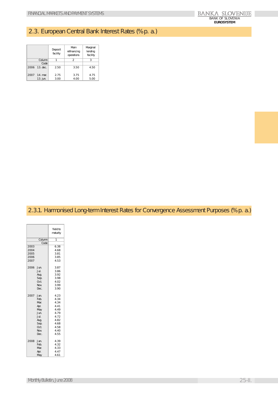### 2.3. European Central Bank Interest Rates (% p. a.)

|      |            | Deposit<br>facility | Main<br>refinancing<br>operations | Marginal<br>lending<br>facility |
|------|------------|---------------------|-----------------------------------|---------------------------------|
|      | Column     |                     | 2                                 | 3                               |
|      | Code       |                     |                                   |                                 |
| 2006 | $13.$ dec. | 2.50                | 3.50                              | 4.50                            |
| 2007 | 14. mar.   | 2.75                | 3.75                              | 4.75                            |
|      | 13. jun.   | 3.00                | 4.00                              | 5.00                            |

# 2.3.1. Harmonised Long-term Interest Rates for Convergence Assessment Purposes (% p. a.)

|                                      |                                                                                             | Yield to<br>maturity                                                                         |
|--------------------------------------|---------------------------------------------------------------------------------------------|----------------------------------------------------------------------------------------------|
|                                      | Column                                                                                      | 1                                                                                            |
|                                      | Code                                                                                        |                                                                                              |
| 2003<br>2004<br>2005<br>2006<br>2007 |                                                                                             | 6.38<br>4.68<br>3.81<br>3.85<br>4.53                                                         |
| 2006                                 | Jun.<br>Jul.<br>Aug.<br>Sep.<br>Oct.<br>Nov.<br>Dec.                                        | 3.87<br>3.86<br>3.92<br>3.98<br>4.02<br>3.99<br>3.90                                         |
| 2007                                 | Jan.<br>Feb.<br>Mar.<br>Apr.<br>May<br>Jun.<br>Jul.<br>Aug.<br>Sep.<br>Oct.<br>Nov.<br>Dec. | 4.23<br>4.34<br>4.34<br>4.41<br>4.49<br>4.79<br>4.72<br>4.82<br>4.68<br>4.58<br>4.40<br>4.55 |
| 2008                                 | Jan.<br>Feb.<br>Mar.<br>Apr.<br>May                                                         | 4.39<br>4.32<br>4.33<br>4.47<br>4.61                                                         |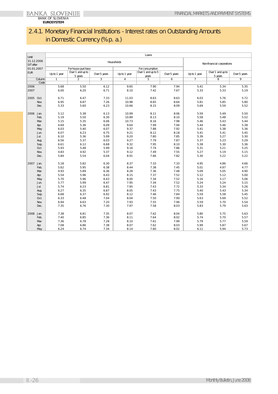### 2.4.1. Monetary Financial Institutions - Interest rates on Outstanding Amounts in Domestic Currency (% p. a.)

| Non-financial corporations<br>Over 5 years<br>$\overline{9}$<br>5.35<br>5.19 |
|------------------------------------------------------------------------------|
|                                                                              |
|                                                                              |
|                                                                              |
|                                                                              |
|                                                                              |
|                                                                              |
|                                                                              |
|                                                                              |
| 5.72                                                                         |
| 5.80                                                                         |
| 5.52                                                                         |
|                                                                              |
| 5.50                                                                         |
| 5.52                                                                         |
| 5.44                                                                         |
| 5.38                                                                         |
| 5.36                                                                         |
| 5.45                                                                         |
| 5.30                                                                         |
| 5.29                                                                         |
| 5.36                                                                         |
| 5.25                                                                         |
| 5.15                                                                         |
| 5.22                                                                         |
|                                                                              |
| 4.66                                                                         |
| 4.77                                                                         |
| 4.90                                                                         |
| 5.00                                                                         |
| 5.06                                                                         |
| 5.15                                                                         |
| 5.26                                                                         |
| 5.34                                                                         |
| 5.45                                                                         |
| 5.52                                                                         |
| 5.54                                                                         |
| 5.63                                                                         |
|                                                                              |
| 5.63                                                                         |
| 5.57                                                                         |
| 5.59                                                                         |
| 5.67                                                                         |
| 5.73                                                                         |
|                                                                              |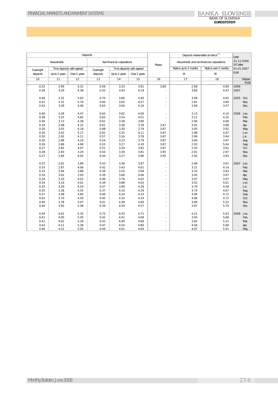| Deposits |                                       |                 |                                        |               |              |                                               | Deposits redeemable at notice <sup>1,2</sup> | Until                   |            |              |
|----------|---------------------------------------|-----------------|----------------------------------------|---------------|--------------|-----------------------------------------------|----------------------------------------------|-------------------------|------------|--------------|
|          | Households                            |                 | Non-financial corporations             |               |              | Repos                                         | Households and non-financial corporations    | 31.12.2006<br>SIT after |            |              |
|          | Time deposits with agreed<br>Ovemight |                 | Time deposits with agreed<br>Overnight |               |              | Notice up to 3 months<br>Notice over 3 months |                                              | 01.01.2007              |            |              |
| deposits | Up to 2 years                         | Over 2 years    | deposits                               | Up to 2 years | Over 2 years |                                               | IR                                           | IR                      | <b>EUR</b> |              |
| 10       | 11                                    | $\overline{12}$ | 13                                     | 14            | 15           | 16                                            | 17                                           | 18                      |            | Stolpec      |
|          |                                       |                 |                                        |               |              |                                               |                                              |                         |            | Koda         |
|          | 0.32<br>2.99                          | 4.31            | 0.56                                   | 3.33          | 3.91         | 3.89                                          | 2.99                                         | 4.09                    | 2006       |              |
|          | 3.29<br>0.36                          | 4.38            | 0.43                                   | 3.93          | 4.19         |                                               | 3.60                                         | 4.47                    | 2007       |              |
|          | 0.46<br>3.32                          | 5.63            | 0.70                                   | 3.66          | 4.40         | ä,                                            | 3.08                                         | 4.65                    | 2005       | Oct.         |
|          | 0.52<br>3.31                          | 5.70            | 0.60                                   | 3.63          | 4.57         | í,                                            | 2.81                                         | 3.80                    |            | Nov.         |
|          | 0.43<br>3.28                          | 4.46            | 0.63                                   | 3.64          | 4.16         | i,                                            | 2.94                                         | 3.47                    |            | Dec.         |
|          |                                       |                 |                                        |               |              |                                               |                                              |                         |            |              |
|          | 0.40<br>3.28                          | 4.47            | 0.63                                   | 3.62          | 4.00         | ×                                             | 3.13                                         | 4.10                    | 2006       | Jan.         |
|          | 0.38<br>3.25                          | 4.65            | 0.65                                   | 3.54          | 4.01         |                                               | 3.11                                         | 4.35                    |            | Feb.         |
|          | 3.13<br>0.36                          | 4.38            | 0.61                                   | 3.39          | 3.80         | ä,                                            | 2.94                                         | 4.06                    |            | Mar.         |
| 0.34     | 3.08<br>3.03                          | 4.22            | 0.61                                   | 3.36<br>3.30  | 3.78<br>3.79 | 3.87                                          | 3.02<br>3.05                                 | 3.96                    |            | Apr.         |
|          | 0.30<br>0.30<br>3.02                  | 4.18<br>5.27    | 0.48<br>0.62                           | 3.25          | 4.11         | 3.87<br>3.87                                  | 2.98                                         | 3.92<br>4.97            |            | May          |
|          | 0.30<br>2.92                          | 4.11            | 0.57                                   | 3.16          | 3.78         | 3.87                                          | 2.99                                         | 3.94                    |            | Jun.<br>Jul. |
|          | 0.30<br>2.88                          | 4.10            | 0.54                                   | 3.23          | 3.79         | 3.87                                          | 3.00                                         | 3.97                    |            |              |
|          | 0.28<br>2.86                          | 4.96            | 0.55                                   | 3.27          | 4.30         | 3.87                                          | 2.93                                         | 5.04                    |            | Aug.<br>Sep. |
|          | 0.27<br>2.82                          | 4.07            | 0.51                                   | 3.29          | 3.82         | 3.87                                          | 2.93                                         | 3.91                    |            | Oct          |
| 0.28     | 2.83                                  | 3.24            | 0.50                                   | 3.30          | 3.81         | 3.95                                          | 2.91                                         | 2.97                    |            | Nov.         |
|          | 0.27<br>2.84                          | 4.05            | 0.44                                   | 3.27          | 3.96         | 3.95                                          | 2.92                                         | 3.83                    |            | Dec.         |
|          |                                       |                 |                                        |               |              |                                               |                                              |                         |            |              |
| 0.33     | 2.81                                  | 3.89            | 0.43                                   | 3.36          | 3.87         | i,                                            | 2.99                                         | 3.91                    | 2007       | Jan.         |
|          | 0.33<br>2.87                          | 4.06            | 0.42                                   | 3.43          | 4.01         | ä,                                            | 3.21                                         | 4.14                    |            | Feb.         |
|          | 2.94<br>0.33                          | 3.88            | 0.39                                   | 3.55          | 3.99         | í,                                            | 3.33                                         | 3.93                    |            | Mar.         |
|          | 3.02<br>0.34                          | 3.93            | 0.39                                   | 3.66          | 4.06         |                                               | 3.45                                         | 3.97                    |            | Apr.         |
| 0.34     | 3.10                                  | 4.02            | 0.46                                   | 3.76          | 4.02         | ä,                                            | 3.47                                         | 3.97                    |            | May          |
| 0.34     | 3.19                                  | 4.01            | 0.39                                   | 3.88          | 4.03         | ä,                                            | 3.52                                         | 4.01                    |            | Jun.         |
|          | 3.29<br>0.35                          | 4.54            | 0.47                                   | 3.99          | 4.28         | ä,                                            | 3.70                                         | 4.58                    |            | Jul.         |
|          | 0.35<br>3.36                          | 4.55            | 0.37                                   | 4.10          | 4.29         | í,                                            | 3.74                                         | 4.67                    |            | Aug.         |
|          | 0.37<br>3.48                          | 4.60            | 0.46                                   | 4.24          | 4.33         | ä,                                            | 3.94                                         | 4.72                    |            | Sep.         |
|          | 0.42<br>3.70                          | 4.59            | 0.45                                   | 4.32          | 4.24         | í,                                            | 4.06                                         | 4.72                    |            | Oct.         |
|          | 3.78<br>0.40                          | 5.07            | 0.41                                   | 4.38          | 4.60         | ä,                                            | 3.89                                         | 5.32                    |            | Nov.         |
| 0.40     | 3.92                                  | 5.38            | 0.39                                   | 4.50          | 4.57         | ä,                                            | 3.87                                         | 5.70                    |            | Dec.         |
|          | 0.44<br>4.01                          | 5.35            | 0.75                                   | 4.43          | 4.71         | í,                                            | 4.21                                         | 5.63                    | 2008       | Jan.         |
|          | 4.00<br>0.41                          | 5.45            | 0.42                                   | 4.41          | 4.68         | í,                                            | 3.93                                         | 5.68                    |            | Feb.         |
|          | 4.02<br>0.41                          | 5.28            | 0.43                                   | 4.49          | 4.68         | ä,                                            | 3.92                                         | 5.31                    |            | Mar.         |
|          | 0.43<br>4.11                          | 5.36            | 0.47                                   | 4.54          | 4.80         |                                               | 4.04                                         | 5.69                    |            | Apr.         |
|          | 4.22<br>0.46                          | 5.05            | 0.49                                   | 4.61          | 4.64         | ä,                                            | 4.07                                         | 5.41                    |            | May          |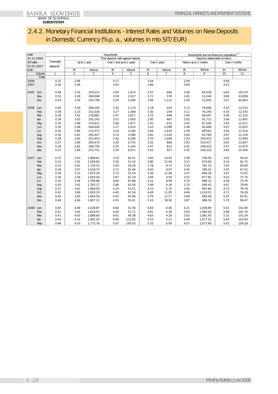### 2.4.2. Monetary Financial Institutions - Interest Rates and Volumes on New Deposits in Domestic Currency (% p. a., volumes in mio SIT/EUR)

| Until        | Households            |                                    |                      |                                   |                |                |        | Households and non-financial corporations <sup>1,2</sup> |                    |               |                |  |
|--------------|-----------------------|------------------------------------|----------------------|-----------------------------------|----------------|----------------|--------|----------------------------------------------------------|--------------------|---------------|----------------|--|
| 31.12.2006   |                       | Time deposits with agreed maturity |                      |                                   |                |                |        | Deposits redeemable at notice                            |                    |               |                |  |
| SIT after    | Overnight             | Up to 1 year                       |                      | Over 1 and up to 2 years          |                | Over 2 years   |        | Notice up to 3 months                                    |                    | Over 3 months |                |  |
| 01.01.2007   | deposits <sup>1</sup> |                                    |                      |                                   |                |                |        |                                                          |                    |               |                |  |
| <b>EUR</b>   |                       | IR.                                | Volume               | $\ensuremath{\mathsf{IR}}\xspace$ | Volume         | IR.            | Volume | <b>IR</b>                                                | Volume             | IR            | Volume         |  |
| Column       | $\overline{1}$        | $\overline{2}$                     | $\overline{3}$       | $\overline{4}$                    | $\overline{5}$ | $\overline{6}$ |        | $\overline{8}$                                           | $\overline{9}$     | 10            | 11             |  |
| Code         |                       |                                    |                      |                                   |                |                |        |                                                          |                    |               |                |  |
| 2006         | 0.32                  | 2.96                               |                      | 3.17                              |                | 3.44           |        | 2.99                                                     |                    | 4.09          |                |  |
| 2007         | 0.36                  | 3.36                               |                      | 3.93                              |                | 3.86           |        | 3.60                                                     |                    | 4.47          |                |  |
| 2005 Oct.    | 0.46                  | 3.32                               | 254,515              | 3.40                              | 1,874          | 3.52           | 668    | 3.08                                                     | 85,028             | 4.65          | 18,570         |  |
| Nov.         | 0.52                  | 3.29                               | 269,098              | 3.59                              | 2,527          | 3.72           | 578    | 2.81                                                     | 52,244             | 3.80          | 43,958         |  |
| Dec.         | 0.43                  | 3.30                               | 293,799              | 3.29                              | 2,590          | 2.96           | 1,122  | 2.94                                                     | 53,059             | 3.47          | 44,963         |  |
|              |                       |                                    |                      |                                   |                |                |        |                                                          |                    |               |                |  |
| 2006<br>Jan. | 0.40                  | 3.30                               | 289,294              | 3.30                              | 2,119          | 3.18           | 429    | 3.13                                                     | 78,669             | 4.10          | 12,514         |  |
| Feb.         | 0.38                  | 3.23                               | 252,026              | 3.27                              | 1,368          | 3.30           | 259    | 3.11                                                     | 76,240             | 4.35          | 12,535         |  |
| Mar.         | 0.36                  | 3.02                               | 276,882              | 2.47                              | 2,617          | 3.70           | 448    | 2.94                                                     | 89,597             | 4.06          | 11,216         |  |
| Apr.         | 0.34                  | 3.03                               | 255,245              | 3.07                              | 1,950          | 2.95           | 667    | 3.02                                                     | 91,715             | 3.96          | 12,497         |  |
| May          | 0.30                  | 2.99                               | 270,812              | 3.08                              | 1,877          | 2.92           | 415    | 3.05                                                     | 87,200             | 3.92          | 12,471         |  |
| Jun.         | 0.30                  | 2.98                               | 269,404              | 3.27                              | 2,610          | 3.43           | 1,288  | 2.98                                                     | 92,668             | 4.97          | 12,625         |  |
| Jul.         | 0.30                  | 2.86                               | 274,373              | 3.10                              | 3,180          | 3.94           | 1,629  | 2.99                                                     | 89,562             | 3.94          | 12,316         |  |
| Aug.         | 0.30                  | 2.81                               | 265,447              | 3.13                              | 3,588          | 3.82           | 1,526  | 3.00                                                     | 93,784             | 3.97          | 12,159         |  |
| Sep.         | 0.28                  | 2.82                               | 251,653              | 3.30                              | 4,189          | 3.70           | 1,099  | 2.93                                                     | 104,410            | 5.04          | 12,400         |  |
| Oct          | 0.27                  | 2.80                               | 264,476              | 3.36                              | 4,725          | 3.32           | 868    | 2.93                                                     | 103,917            | 3.91          | 12,847         |  |
| Nov.         | 0.28                  | 2.81                               | 268,756              | 3.30                              | 5,164          | 3.47           | 815    | 2.91                                                     | 108,423            | 2.97          | 12,674         |  |
| Dec.         | 0.27                  | 2.84                               | 253,751              | 3.39                              | 6,971          | 3.55           | 657    | 2.92                                                     | 109,316            | 3.83          | 14,300         |  |
|              |                       |                                    |                      |                                   |                |                |        |                                                          |                    |               |                |  |
| 2007 Jan.    | 0.33                  | 2.83                               | 1,968.61             | 3.33                              | 82.41          | 3.60           | 14.93  | 2.99                                                     | 709.56             | 3.91          | 56.42          |  |
| Feb.         | 0.33                  | 2.91                               | 1,559.60             | 3.42                              | 52.43          | 3.80           | 12.44  | 3.21                                                     | 670.60             | 4.14          | 61.75          |  |
| Mar.         | 0.33                  | 3.01                               | 1,720.53             | 3.54                              | 50.26          | 2.78           | 9.72   | 3.33                                                     | 781.10             | 3.93          | 63.60          |  |
| Apr.         | 0.34                  | 3.07                               | 1,618.75             | 3.72                              | 61.46          | 4.93           | 9.97   | 3.45                                                     | 780.32             | 3.97          | 67.52          |  |
| May          | 0.34                  | 3.15                               | 1,670.29             | 3.72                              | 51.54          | 3.36           | 11.08  | 3.47                                                     | 846.26             | 3.97          | 72.01          |  |
| Jun.         | 0.34                  | 3.26                               | 1,659.44             | 3.87                              | 61.18          | 3.89           | 4.59   | 3.52                                                     | 877.82             | 4.01          | 75.70          |  |
| Jul.         | 0.35                  | 3.36                               | 1,789.88             | 4.06                              | 87.88          | 4.21           | 9.99   | 3.70                                                     | 896.33             | 4.58          | 75.76          |  |
| Aug.         | 0.35                  | 3.41                               | 1,763.17             | 3.98                              | 63.36          | 3.99           | 4.16   | 3.74                                                     | 956.42             | 4.67          | 79.90          |  |
| Sep.         | 0.37                  | 3.61<br>3.89                       | 1,669.59<br>1,920.19 | 4.19<br>4.40                      | 53.51          | 4.23<br>4.69   | 2.70   | 3.94                                                     | 997.80<br>1,019.52 | 4.72<br>4.72  | 78.78<br>76.28 |  |
| Oct.         | 0.42                  |                                    |                      |                                   | 61.56          |                | 11.05  | 4.06                                                     |                    |               |                |  |
| Nov.         | 0.40                  | 3.83                               | 1,664.59             | 4.42                              | 45.96          | 3.79           | 12.27  | 3.89                                                     | 995.56             | 5.32          | 83.41          |  |
| Dec.         | 0.40                  | 4.04                               | 1,897.12             | 4.55                              | 55.61          | 3.10           | 18.56  | 3.87                                                     | 986.54             | 5.70          | 96.47          |  |
| 2008<br>Jan. | 0.44                  | 4.08                               | 2,028.87             | 4.60                              | 52.36          | 4.65           | 4.06   | 4.21                                                     | 1,036.89           | 5.63          | 102.84         |  |
| Feb.         | 0.41                  | 3.95                               | 1,816.55             | 4.40                              | 51.71          | 4.81           | 4.28   | 3.93                                                     | 1,060.00           | 5.68          | 105.76         |  |
| Mar.         | 0.41                  | 4.03                               | 1,888.64             | 4.61                              | 48.38          | 4.65           | 4.26   | 3.92                                                     | 1,081.93           | 5.31          | 101.54         |  |
| Apr.         | 0.43                  | 4.14                               | 1,992.24             | 4.98                              | 212.05         | 5.23           | 5.21   | 4.04                                                     | 1,077.52           | 5.69          | 102.83         |  |
| May          | 0.46                  | 4.20                               | 1,775.76             | 5.07                              | 195.03         | 5.33           | 6.90   | 4.07                                                     | 1,077.60           | 5.41          | 104.28         |  |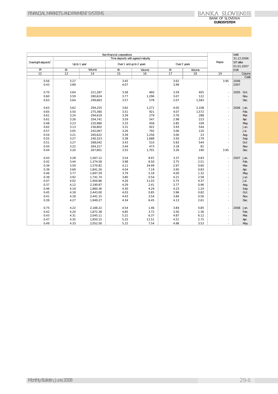|                                 |                                   |          | Non-financial corporations         |        |                                   |                 |       | Until      |            |
|---------------------------------|-----------------------------------|----------|------------------------------------|--------|-----------------------------------|-----------------|-------|------------|------------|
|                                 |                                   |          | Time deposits with agreed maturity |        |                                   |                 |       |            | 31.12.2006 |
| Overnight deposits <sup>1</sup> | Up to 1 year                      |          | Over 1 and up to 2 years           |        |                                   | Over 2 years    | Repos | SIT after  |            |
|                                 |                                   |          |                                    |        |                                   |                 |       | 01.01.2007 |            |
| IR                              | $\ensuremath{\mathsf{IR}}\xspace$ | Volume   | $\ensuremath{\mathsf{IR}}\xspace$  | Volume | $\ensuremath{\mathsf{IR}}\xspace$ | Volume          |       | <b>EUR</b> |            |
| $\overline{12}$                 | $\overline{13}$                   | 14       | 15                                 | 16     | 17                                | $\overline{18}$ | 19    |            | Column     |
|                                 |                                   |          |                                    |        |                                   |                 |       |            | Code       |
| 0.56                            | 3.27                              |          | 3.45                               |        | 3.62                              |                 | 3.95  | 2006       |            |
| 0.43                            | 3.89                              |          | 4.07                               |        | 3.99                              |                 | ×,    | 2007       |            |
| 0.70                            | 3.64                              | 221,287  | 3.58                               | 460    | 3.59                              | 405             | ×,    | 2005 Oct.  |            |
| 0.60                            | 3.59                              | 280,624  | 3.77                               | 1,296  | 3.07                              | 122             |       |            | Nov.       |
| 0.63                            | 3.64                              | 299,663  | 3.57                               | 578    | 2.07                              | 1,583           |       |            | Dec.       |
| 0.63                            | 3.62                              | 294,255  | 3.82                               | 1,271  | 4.05                              | 2,108           | ×,    | 2006       | Jan.       |
| 0.65                            | 3.50                              | 275,360  | 3.51                               | 921    | 4.07                              | 1,572           | ×.    |            | Feb.       |
| 0.61                            | 3.24                              | 294,619  | 3.39                               | 279    | 3.76                              | 288             | ÷.    |            | Mar.       |
| 0.61                            | 3.26                              | 204,741  | 3.59                               | 547    | 2.98                              | 223             |       |            | Apr.       |
| 0.48                            | 3.23                              | 220,980  | 3.33                               | 458    | 2.85                              | 109             |       |            | May        |
| 0.62                            | 3.13                              | 236,802  | 3.31                               | 922    | 3.93                              | 544             |       |            | Jun.       |
| 0.57                            | 3.05                              | 242,067  | 3.26                               | 792    | 3.06                              | 120             | ÷.    |            | Jul.       |
| 0.54                            | 3.21                              | 260,622  | 3.39                               | 1,256  | 3.00                              | 23              |       |            | Aug.       |
| 0.55                            | 3.27                              | 240,323  | 3.38                               | 1,688  | 3.50                              | 179             |       |            | Sep.       |
| 0.51                            | 3.27                              | 268,042  | 3.43                               | 510    | 5.83                              | 544             |       |            | Oct        |
| 0.50                            | 3.22                              | 264,317  | 3.44                               | 473    | 3.18                              | 81              |       |            | Nov.       |
| 0.44                            | 3.20                              | 267,801  | 3.55                               | 1,701  | 3.26                              | 190             | 3.95  |            | Dec.       |
| 0.43                            | 3.28                              | 1,567.12 | 3.54                               | 8.97   | 3.37                              | 0.83            | ×,    | 2007       | Jan.       |
| 0.42                            | 3.44                              | 1,374.58 | 3.98                               | 8.50   | 3.75                              | 2.51            |       |            | Feb.       |
| 0.39                            | 3.59                              | 1,570.82 | 4.11                               | 34.99  | 2.97                              | 0.60            | ÷.    |            | Mar.       |
| 0.39                            | 3.69                              | 1,841.26 | 4.04                               | 7.19   | 3.95                              | 0.83            | ٠     |            | Apr.       |
| 0.46                            | 3.77                              | 1,697.59 | 3.79                               | 5.18   | 4.00                              | 1.32            |       |            | May        |
| 0.39                            | 3.92                              | 1,741.74 | 3.80                               | 0.54   | 4.21                              | 2.58            | ÷.    |            | Jun.       |
| 0.47                            | 4.02                              | 1,904.86 | 4.26                               | 11.03  | 5.75                              | 4.37            |       |            | Jul.       |
| 0.37                            | 4.12                              | 2,190.87 | 4.29                               | 2.41   | 3.77                              | 0.96            |       |            | Aug.       |
| 0.46                            | 4.19                              | 1,860.36 | 4.30                               | 4.29   | 4.23                              | 1.24            | ٠     |            | Sep.       |
| 0.45                            | 4.18                              | 2,443.00 | 4.03                               | 0.85   | 3.96                              | 0.82            |       |            | Oct.       |
| 0.41                            | 4.18                              | 2,441.15 | 4.43                               | 3.54   | 3.84                              | 0.56            | ×     |            | Nov.       |
| 0.39                            | 4.27                              | 1,949.27 | 4.34                               | 6.45   | 4.13                              | 2.61            | ×     |            | Dec.       |
| 0.75                            | 4.22                              | 2,166.22 | 4.54                               | 1.46   | 3.84                              | 0.85            | ä,    | 2008       | Jan.       |
| 0.42                            | 4.20                              | 1,872.38 | 4.85                               | 3.72   | 3.50                              | 1.36            |       |            | Feb.       |
| 0.43                            | 4.31                              | 2,045.11 | 5.21                               | 6.37   | 4.87                              | 6.12            |       |            | Mar.       |
| 0.47                            | 4.35                              | 1,850.15 | 5.25                               | 11.51  | 4.51                              | 2.75            |       |            | Apr.       |
| 0.49                            | 4.33                              | 2,052.56 | 5.15                               | 7.54   | 4.98                              | 3.53            |       |            | May        |
|                                 |                                   |          |                                    |        |                                   |                 |       |            |            |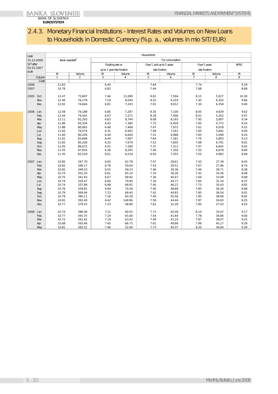BANKA SLOVENIJE BANK OF SLOVENIA **EUROSYSTEM**

### 2.4.3. Monetary Financial Institutions - Interest Rates and Volumes on New Loans to Households in Domestic Currency (% p. a., volumes in mio SIT/EUR)

| Until      |        |                             |                |                            |                | Households               |                 |                |                |                 |
|------------|--------|-----------------------------|----------------|----------------------------|----------------|--------------------------|-----------------|----------------|----------------|-----------------|
| 31.12.2006 |        | Bank overdraft <sup>1</sup> |                |                            |                |                          | For consumption |                |                |                 |
| SIT after  |        |                             |                | Floating rate or           |                | Over 1 and up to 5 years |                 | Over 5 years   |                | <b>APRC</b>     |
| 01.01.2007 |        |                             |                | up to 1 year rate fixation |                | rate fixation            |                 | rate fixation  |                |                 |
| <b>EUR</b> |        | $\overline{IR}$             | Volume         | IR                         | Volume         | IR                       | Volume          | IR             | Volume         | $\overline{IR}$ |
|            | Column | $\overline{1}$              | $\overline{2}$ | 3                          | $\overline{4}$ | $\overline{5}$           | $\overline{6}$  | $\overline{7}$ | $\overline{8}$ | $\overline{9}$  |
|            | Code   |                             |                |                            |                |                          |                 |                |                |                 |
| 2006       |        | 11.83                       |                | 6.49                       |                | 7.64                     |                 | 7.74           |                | 9.18            |
| 2007       |        | 10.78                       |                | 6.82                       |                | 7.44                     |                 | 7.68           |                | 8.68            |
|            |        |                             |                |                            |                |                          |                 |                |                |                 |
| 2005       | Oct.   | 12.47                       | 75,697         | 7.46                       | 11.089         | 9.02                     | 7,594           | 8.15           | 5,027          | 10.30           |
|            | Nov.   | 12.46                       | 76,178         | 7.19                       | 8,044          | 8.22                     | 9,103           | 7.45           | 6,320          | 9.66            |
|            | Dec.   | 12.02                       | 74,644         | 6.81                       | 7,243          | 7.91                     | 9,012           | 7.34           | 6,358          | 9.40            |
|            |        |                             |                |                            |                |                          |                 |                |                |                 |
| 2006       | Jan.   | 12.58                       | 76,188         | 6.85                       | 7,287          | 8.35                     | 7,100           | 8.05           | 4,929          | 9.62            |
|            | Feb.   | 12.44                       | 76,501         | 6.67                       | 7,271          | 8.18                     | 7,496           | 8.01           | 5,352          | 9.47            |
|            | Mar.   | 12.11                       | 82,293         | 6.63                       | 8,744          | 8.08                     | 8,193           | 7.95           | 5,897          | 9.34            |
|            | Apr.   | 11.86                       | 83,334         | 6.42                       | 7,380          | 7.75                     | 6,459           | 7.95           | 4,772          | 9.24            |
|            | May    | 11.88                       | 80,065         | 6.48                       | 7,468          | 7.47                     | 7,972           | 7.61           | 6,018          | 9.52            |
|            | Jun.   | 11.83                       | 76,074         | 6.31                       | 6,942          | 7.49                     | 7,261           | 7.65           | 5,842          | 9.04            |
|            | Jul.   | 11.60                       | 80,204         | 6.44                       | 6,644          | 7.51                     | 6,988           | 7.65           | 5,569          | 9.24            |
|            | Aug.   | 11.61                       | 83,668         | 6.44                       | 7,067          | 7.64                     | 7,181           | 7.70           | 5,893          | 9.13            |
|            | Sep.   | 11.65                       | 85,206         | 6.20                       | 7,679          | 7.53                     | 7,605           | 7.68           | 6,791          | 9.01            |
|            | Oct.   | 11.45                       | 86,072         | 6.52                       | 7,180          | 7.37                     | 7,512           | 7.47           | 6,642          | 9.02            |
|            | Nov.   | 11.55                       | 87,816         | 6.36                       | 8,205          | 7.40                     | 7,350           | 7.55           | 6,678          | 8.84            |
|            | Dec.   | 11.35                       | 82,529         | 6.61                       | 6,534          | 6.93                     | 7,355           | 7.55           | 4,992          | 8.69            |
|            |        |                             |                |                            |                |                          |                 |                |                |                 |
| 2007       | Jan.   | 10.85                       | 347.70         | 6.65                       | 62.78          | 7.47                     | 28.61           | 7.43           | 27.39          | 8.45            |
|            | Feb.   | 10.82                       | 346.17         | 6.78                       | 50.64          | 7.53                     | 29.51           | 7.67           | 27.96          | 8.74            |
|            | Mar.   | 10.82                       | 349.53         | 6.55                       | 69.23          | 7.46                     | 39.36           | 7.46           | 39.71          | 8.38            |
|            | Apr.   | 10.74                       | 352.20         | 6.61                       | 65.14          | 7.33                     | 36.26           | 7.42           | 34.36          | 8.48            |
|            | May    | 10.75                       | 341.93         | 6.67                       | 68.92          | 7.30                     | 40.47           | 7.64           | 33.08          | 9.08            |
|            | Jun.   | 10.74                       | 329.47         | 6.60                       | 79.90          | 7.34                     | 44.77           | 7.60           | 31.54          | 8.37            |
|            | Jul.   | 10.74                       | 337.89         | 6.98                       | 68.92          | 7.40                     | 46.21           | 7.73           | 35.43          | 8.82            |
|            | Aug.   | 10.76                       | 359.81         | 6.94                       | 70.26          | 7.40                     | 48.89           | 7.85           | 36.34          | 8.68            |
|            | Sep.   | 10.79                       | 369.94         | 7.23                       | 68.40          | 7.42                     | 49.83           | 7.85           | 36.54          | 9.01            |
|            | Oct.   | 10.78                       | 380.11         | 7.16                       | 64.28          | 7.40                     | 50.56           | 7.85           | 38.06          | 8.92            |
|            | Nov.   | 10.81                       | 392.49         | 6.42                       | 148.96         | 7.58                     | 44.44           | 7.87           | 34.83          | 8.25            |
|            | Dec.   | 10.77                       | 379.53         | 7.23                       | 48.89          | 7.62                     | 31.28           | 7.85           | 27.03          | 9.03            |
|            |        |                             |                |                            |                |                          |                 |                |                |                 |
| 2008 Jan.  |        | 10.74                       | 386.40         | 7.21                       | 60.55          | 7.73                     | 42.09           | 8.14           | 33.47          | 9.17            |
|            | Feb.   | 10.77                       | 391.75         | 7.19                       | 65.00          | 7.54                     | 41.64           | 7.78           | 36.86          | 9.00            |
|            | Mar.   | 10.72                       | 391.42         | 7.19                       | 63.42          | 7.49                     | 43.19           | 7.87           | 38.07          | 9.25            |
|            | Apr.   | 10.68                       | 393.46         | 7.45                       | 66.75          | 7.61                     | 49.66           | 7.96           | 45.17          | 9.28            |
|            | May    | 10.81                       | 383.31         | 7.46                       | 52.90          | 7.73                     | 40.37           | 8.20           | 36.84          | 9.39            |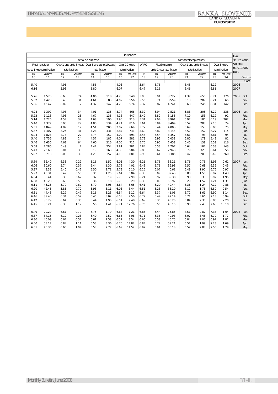| Households<br>Until |                            |      |                |                    |                                                   |           |               |             |                 |                            |                          |                          |                 |               |            |        |
|---------------------|----------------------------|------|----------------|--------------------|---------------------------------------------------|-----------|---------------|-------------|-----------------|----------------------------|--------------------------|--------------------------|-----------------|---------------|------------|--------|
|                     |                            |      |                | For house purchase |                                                   |           |               |             |                 |                            | Loans for other purposes |                          |                 |               | 31.12.2006 |        |
|                     | Floating rate or           |      |                |                    | Over 1 and up to 5 years Over 5 and up to 10years |           | Over 10 years | <b>APRC</b> |                 | Floating rate or           |                          | Over 1 and up to 5 years |                 | Over 5 years  | SIT after  |        |
|                     | up to 1 year rate fixation |      | rate fixation  |                    | rate fixation                                     |           | rate fixation |             |                 | up to 1 year rate fixation |                          | rate fixation            |                 | rate fixation | 01.01.2007 |        |
| IR                  | Volume                     | IR.  | Volume         | IR                 | Volume                                            | <b>IR</b> | Volume        | IR.         | $\overline{IR}$ | Volume                     | IR                       | Volume                   | IR.             | Volume        | <b>EUR</b> |        |
| 10                  | 11                         | 12   | 13             | 14                 | 15                                                | 16        | 17            | 18          | $\overline{19}$ | 20                         | $\overline{21}$          | 22                       | $\overline{23}$ | 24            |            | Column |
|                     |                            |      |                |                    |                                                   |           |               |             |                 |                            |                          |                          |                 |               |            | Code   |
| 5.40                |                            | 4.96 |                | 4.56               |                                                   | 4.03      |               | 5.64        | 6.76            |                            | 6.45                     |                          | 6.12            |               | 2006       |        |
| 6.16                |                            | 5.93 |                | 5.80               |                                                   | 6.07      |               | 6.47        | 6.16            |                            | 6.46                     |                          | 6.81            |               | 2007       |        |
| 5.76                | 1.570                      | 6.63 | 74             | 4.86               | 118                                               | 4.20      | 548           | 5.98        | 6.91            | 3.722                      | 4.37                     | 655                      | 6.71            | 776           | 2005       | Oct.   |
| 5.32                | 1,420                      | 5.43 | 31             | 4.61               | 83                                                | 4.02      | 556           | 5.56        | 6.71            | 3,559                      | 6.13                     | 287                      | 6.21            | 65            |            | Nov.   |
| 5.06                | 1,147                      | 6.09 | $\overline{2}$ | 4.37               | 147                                               | 4.20      | 574           | 5.37        | 6.87            | 4,741                      | 6.63                     | 246                      | 6.31            | 142           |            | Dec.   |
| 4.98                | 1,307                      | 4.93 | 34             | 4.01               | 136                                               | 3.74      | 466           | 5.32        | 6.94            | 2,521                      | 5.88                     | 205                      | 6.22            | 238           | 2006       | Jan.   |
| 5.23                | 1,118                      | 4.98 | 25             | 4.67               | 135                                               | 4.18      | 447           | 5.49        | 6.82            | 3,155                      | 7.10                     | 153                      | 6.19            | 91            |            | Feb.   |
| 5.14                | 1,726                      | 4.57 | 32             | 4.68               | 190                                               | 3.95      | 913           | 5.31        | 7.04            | 3,961                      | 6.97                     | 180                      | 6.19            | 202           |            | Mar.   |
| 5.40                | 1,377                      | 5.05 | 29             | 4.80               | 134                                               | 4.24      | 816           | 5.61        | 6.84            | 3,409                      | 6.52                     | 283                      | 7.16            | 74            |            | Apr.   |
| 5.51                | 1,849                      | 4.87 | 17             | 4.51               | 205                                               | 3.87      | 669           | 5.72        | 6.44            | 4,003                      | 6.69                     | 153                      | 6.03            | 75            |            | May    |
| 5.67                | 1,407                      | 5.24 | 31             | 4.26               | 331                                               | 3.87      | 741           | 5.69        | 6.82            | 3,145                      | 6.52                     | 152                      | 6.27            | 114           |            | Jun.   |
| 5.04                | 1,823                      | 4.73 | 22             | 4.74               | 152                                               | 4.02      | 593           | 5.46        | 6.54            | 3,357                      | 6.61                     | 93                       | 5.81            | 94            |            | Jul.   |
| 5.40                | 1,756                      | 4.83 | 24             | 4.57               | 182                                               | 4.07      | 581           | 5.73        | 6.92            | 2,038                      | 6.80                     | 178                      | 5.48            | 81            |            | Aug.   |
| 5.46                | 1,630                      | 4.68 | 64             | 4.60               | 216                                               | 4.05      | 712           | 5.75        | 6.95            | 2,458                      | 6.40                     | 138                      | 5.59            | 116           |            | Sep.   |
| 5.58                | 2,280                      | 5.49 | $\overline{7}$ | 4.42               | 254                                               | 3.81      | 781           | 5.84        | 6.53            | 2,707                      | 5.64                     | 187                      | 6.38            | 143           |            | Oct.   |
| 5.43                | 2,160                      | 5.01 | 33             | 5.19               | 163                                               | 4.33      | 584           | 5.83        | 6.62            | 2,943                      | 5.79                     | 323                      | 6.61            | 55            |            | Nov.   |
| 5.92                | 3,713                      | 5.09 | 136            | 4.29               | 157                                               | 4.18      | 881           | 5.98        | 6.61            | 3,385                      | 6.47                     | 203                      | 5.49            | 260           |            | Dec.   |
| 5.89                | 32.40                      | 6.38 | 0.29           | 5.16               | 1.52                                              | 6.05      | 4.30          | 6.21        | 5.75            | 38.21                      | 5.76                     | 0.75                     | 5.93            | 0.61          | 2007       | Jan.   |
| 6.06                | 30.60                      | 5.74 | 0.37           | 5.44               | 1.30                                              | 5.78      | 4.01          | 6.43        | 5.71            | 36.98                      | 6.57                     | 0.68                     | 6.39            | 0.43          |            | Feb.   |
| 5.97                | 48.33                      | 5.40 | 0.42           | 5.50               | 2.71                                              | 5.73      | 6.10          | 6.26        | 6.07            | 40.61                      | 6.49                     | 1.90                     | 6.76            | 0.97          |            | Mar.   |
| 5.97                | 45.31                      | 5.47 | 0.55           | 5.35               | 4.25                                              | 5.64      | 6.84          | 6.35        | 6.09            | 32.43                      | 6.80                     | 1.55                     | 6.97            | 1.43          |            | Apr.   |
| 6.04                | 55.44                      | 5.35 | 0.67           | 5.37               | 5.19                                              | 5.75      | 7.99          | 6.24        | 5.97            | 39.38                      | 5.93                     | 5.33                     | 5.92            | 1.95          |            | May    |
| 6.08                | 48.28                      | 5.63 | 0.50           | 5.36               | 3.18                                              | 5.70      | 6.29          | 6.33        | 6.09            | 50.92                      | 6.29                     | 1.52                     | 7.21            | 1.31          |            | Jun.   |
| 6.11                | 45.26                      | 5.79 | 0.62           | 5.79               | 3.06                                              | 5.84      | 5.65          | 6.41        | 6.20            | 40.44                      | 6.36                     | 1.24                     | 7.12            | 0.88          |            | Jul.   |
| 6.20                | 42.46                      | 5.86 | 0.72           | 5.98               | 3.11                                              | 6.03      | 8.44          | 6.51        | 6.28            | 36.10                      | 6.12                     | 1.78                     | 6.80            | 0.54          |            | Aug.   |
| 6.31                | 44.43                      | 6.27 | 0.47           | 6.16               | 3.23                                              | 6.54      | 6.12          | 6.64        | 6.37            | 41.05                      | 6.72                     | 1.61                     | 6.90            | 1.14          |            | Sep.   |
| 6.46                | 39.40                      | 6.31 | 0.52           | 6.45               | 3.02                                              | 6.58      | 7.50          | 6.77        | 6.49            | 42.14                      | 6.71                     | 3.66                     | 7.13            | 0.94          |            | Oct.   |
| 6.42                | 35.79                      | 6.64 | 0.35           | 6.44               | 1.90                                              | 6.54      | 7.48          | 6.69        | 6.35            | 45.20                      | 6.84                     | 2.38                     | 6.86            | 2.20          |            | Nov.   |
| 6.45                | 33.21                      | 6.30 | 1.17           | 6.58               | 1.41                                              | 6.71      | 12.76         | 6.76        | 6.55            | 45.15                      | 6.90                     | 2.43                     | 7.68            | 13.10         |            | Dec.   |
| 6.49                | 29.29                      | 6.61 | 0.79           | 6.75               | 1.79                                              | 6.67      | 7.21          | 6.86        | 6.44            | 25.85                      | 7.51                     | 0.87                     | 7.33            | 1.04          | 2008       | Jan.   |
| 6.37                | 34.16                      | 6.10 | 0.23           | 6.40               | 2.52                                              | 6.66      | 8.08          | 6.71        | 6.36            | 40.93                      | 6.07                     | 3.48                     | 6.79            | 1.77          |            | Feb.   |
| 6.30                | 46.09                      | 6.67 | 0.52           | 6.61               | 2.58                                              | 6.52      | 8.54          | 6.66        | 6.58            | 40.75                      | 6.84                     | 2.06                     | 6.97            | 1.82          |            | Mar.   |
| 6.50                | 58.17                      | 6.84 | 1.11           | 6.53               | 3.36                                              | 6.70      | 14.82         | 6.84        | 6.72            | 59.21                      | 6.51                     | 1.99                     | 7.23            | 1.69          |            | Apr.   |
| 6.61                | 46.36                      | 6.60 | 1.04           | 6.53               | 2.77                                              | 6.69      | 14.52         | 6.92        | 6.91            | 50.13                      | 6.52                     | 2.83                     | 7.55            | 1.79          |            | May    |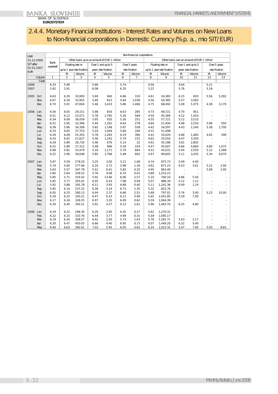BANKA SLOVENIJE BANK OF SLOVENIA **EUROSYSTEM**

### 2.4.4. Monetary Financial Institutions - Interest Rates and Volumes on New Loans to Non-financial corporations in Domestic Currency (% p. a., mio SIT/EUR)

| Until      |        | Non-financial corporations |                         |                                              |                         |                     |                         |                |                          |                            |                         |                                             |                          |               |
|------------|--------|----------------------------|-------------------------|----------------------------------------------|-------------------------|---------------------|-------------------------|----------------|--------------------------|----------------------------|-------------------------|---------------------------------------------|--------------------------|---------------|
| 31.12.2006 |        |                            |                         | Other loans up to an amount of EUR 1 million |                         |                     |                         |                |                          |                            |                         | Other loans over an amount of EUR 1 million |                          |               |
| SIT after  |        | Bank<br>overdraft          |                         | Floating rate or                             |                         | Over 1 and up to 5  |                         | Over 5 years   |                          | Floating rate or           |                         | Over 1 and up to 5                          |                          | Over 5 years  |
| 01.01.2007 |        |                            |                         | up to 1 year rate fixation                   |                         | years rate fixation |                         | rate fixation  |                          | up to 1 year rate fixation |                         | years rate fixation                         |                          | rate fixation |
| <b>EUR</b> |        |                            | $\overline{\mathbb{R}}$ | Volume                                       | $\overline{\mathbb{R}}$ | Volume              | $\overline{\mathbb{R}}$ | Volume         | $\overline{\mathsf{IR}}$ | Volume                     | $\overline{\mathbb{R}}$ | Volume                                      | $\overline{\mathsf{IR}}$ | Volume        |
|            | Column | $\overline{1}$             | $\overline{2}$          | $\overline{3}$                               | $\overline{4}$          | $\overline{5}$      | $\overline{6}$          | $\overline{7}$ | $\overline{8}$           | $\overline{9}$             | 10                      | 11                                          | 12                       | 13            |
|            | Code   |                            |                         |                                              |                         |                     |                         |                |                          |                            |                         |                                             |                          |               |
| 2006       |        | 6.33                       | 5.99                    |                                              | 5.66                    |                     | 5.74                    |                | 4.56                     |                            | 4.64                    |                                             | 5.21                     |               |
| 2007       |        | 5.92                       | 5.91                    |                                              | 6.08                    |                     | 6.35                    |                | 5.22                     |                            | 5.76                    |                                             | 5.18                     |               |
|            |        |                            |                         |                                              |                         |                     |                         |                |                          |                            |                         |                                             |                          |               |
| 2005 Oct   |        | 6.63                       | 6.29                    | 33,993                                       | 5.69                    | 940                 | 6.66                    | 310            | 4.61                     | 34,383                     | 6.15                    | 820                                         | 5.56                     | 5,292         |
|            | Nov.   | 6.67                       | 6.18                    | 32,955                                       | 5.69                    | 812                 | 5.64                    | 1,036          | 4.56                     | 50,385                     | 5.57                    | 3,582                                       |                          |               |
|            | Dec.   | 6.70                       | 5.91                    | 47,604                                       | 5.46                    | 3,433               | 5.86                    | 1,466          | 4.75                     | 68,492                     | 5.08                    | 5,375                                       | 4.38                     | 3,170         |
|            |        |                            |                         |                                              |                         |                     |                         |                |                          |                            |                         |                                             |                          |               |
| 2006       | Jan.   | 6.56                       | 6.05                    | 29,151                                       | 5.98                    | 816                 | 6.63                    | 285            | 4.73                     | 48,721                     | 4.70                    | 851                                         |                          |               |
|            | Feb.   | 6.51                       | 6.12                    | 23,571                                       | 5.78                    | 1,765               | 5.26                    | 569            | 4.50                     | 45,384                     | 4.22                    | 1,503                                       |                          |               |
|            | Mar.   | 6.34                       | 6.09                    | 36,059                                       | 5.95                    | 935                 | 5.26                    | 251            | 4.55                     | 57,721                     | 5.12                    | 3,533                                       |                          |               |
|            | Apr.   | 6.51                       | 5.95                    | 32,396                                       | 5.44                    | 1,281               | 6.63                    | 278            | 4.64                     | 51,404                     | 4.98                    | 2,254                                       | 5.96                     | 550           |
|            | May    | 6.39                       | 5.96                    | 34,308                                       | 5.82                    | 1,168               | 5.87                    | 558            | 4.42                     | 34,597                     | 4.43<br>÷.              | 1,240                                       | 5.38                     | 1,700         |
|            | Jun.   | 6.33                       | 6.05                    | 37,753                                       | 5.24                    | 1,044               | 5.66                    | 169            | 4.51                     | 51,498                     |                         |                                             |                          |               |
|            | Jul.   | 6.29                       | 6.09                    | 25,355                                       | 5.78                    | 1,283               | 6.19                    | 396            | 4.41                     | 35,020                     | 4.66                    | 1,483                                       | 4.65                     | 599           |
|            | Aug.   | 6.24                       | 6.02                    | 21,627                                       | 5.56                    | 1,242               | 5.74                    | 231            | 4.62                     | 35,554                     | 4.47                    | 3,350                                       |                          |               |
|            | Sep.   | 6.29                       | 5.89<br>5.89            | 30,735                                       | 5.46<br>5.48            | 676<br>966          | 5.14                    | 32<br>319      | 4.91                     | 45,186                     | 3.61                    | 2,802                                       | ÷,                       | 1,075         |
|            | Oct.   | 6.25                       |                         | 27,312                                       |                         |                     | 5.34                    |                | 4.47                     | 45,007                     | 4.66                    | 4,660                                       | 4.80                     | 1,588         |
|            | Nov.   | 6.08                       | 5.81                    | 33,479                                       | 5.59                    | 1,171               | 5.70                    | 664            | 4.51                     | 45,031                     | 5.04                    | 2,550                                       | 5.12<br>5.34             |               |
|            | Dec.   | 6.22                       | 5.90                    | 30,048                                       | 5.85                    | 1,768               | 5.48                    | 662            | 4.47                     | 99,605                     | 5.11                    | 3,435                                       |                          | 9,070         |
| 2007       | Jan.   | 5.67                       | 5.59                    | 278.20                                       | 5.25                    | 3.00                | 5.21                    | 1.68           | 4.74                     | 875.73                     | 5.49                    | 4.40                                        |                          |               |
|            | Feb.   | 5.74                       | 5.60                    | 277.66                                       | 6.24                    | 2.72                | 5.98                    | 1.30           | 4.62                     | 871.23                     | 6.53                    | 3.61                                        | 5.22                     | 2.00          |
|            | Mar.   | 5.63                       | 5.57                    | 347.78                                       | 5.52                    | 6.41                | 5.83                    | 0.25           | 4.95                     | 863.40                     | $\cdot$                 | ä,                                          | 5.09                     | 2.00          |
|            | Apr.   | 5.80                       | 5.64                    | 339.52                                       | 5.76                    | 4.08                | 6.70                    | 0.01           | 4.89                     | 1,253.23                   |                         |                                             |                          |               |
|            | May    | 5.85                       | 5.71                    | 319.42                                       | 5.92                    | 13.66               | 6.06                    | 2.57           | 5.10                     | 760.10                     | 4.86                    | 5.56                                        |                          |               |
|            | Jun.   | 5.82                       | 5.77                    | 355.02                                       | 6.05                    | 6.43                | 7.98                    | 0.09           | 5.07                     | 886.34                     | 5.12                    | 1.12                                        |                          |               |
|            | Jul.   | 5.92                       | 5.88                    | 305.78                                       | 6.11                    | 3.93                | 6.68                    | 0.40           | 5.11                     | 1,241.36                   | 6.49                    | 1.24                                        |                          |               |
|            | Aug.   | 5.92                       | 6.14                    | 237.22                                       | 6.39                    | 3.14                | 6.73                    | 1.35           | 5.32                     | 822.76                     |                         |                                             |                          |               |
|            | Sep.   | 6.05                       | 6.25                    | 280.13                                       | 6.44                    | 2.37                | 6.66                    | 2.51           | 5.68                     | 797.01                     | 5.76                    | 3.00                                        | 5.23                     | 10.00         |
|            | Oct.   | 6.18                       | 6.22                    | 320.21                                       | 6.47                    | 6.23                | 6.12                    | 0.90           | 5.65                     | 1,041.85                   | 5.59                    | 7.00                                        |                          |               |
|            | Nov.   | 6.17                       | 6.18                    | 328.25                                       | 6.97                    | 3.35                | 6.09                    | 0.62           | 5.59                     | 1,064.39                   | i,                      |                                             |                          |               |
|            | Dec.   | 6.29                       | 6.40                    | 345.51                                       | 5.91                    | 4.37                | 6.13                    | 2.61           | 5.96                     | 1,463.74                   | 6.25                    | 4.80                                        |                          |               |
|            |        |                            |                         |                                              |                         |                     |                         |                |                          |                            |                         |                                             |                          |               |
| 2008       | Jan.   | 6.19                       | 6.22                    | 268.30                                       | 6.29                    | 2.95                | 6.35                    | 0.27           | 5.62                     | 1,270.31                   |                         |                                             |                          |               |
|            | Feb.   | 6.22                       | 6.15                    | 310.76                                       | 6.44                    | 3.77                | 4.99                    | 0.31           | 5.59                     | 1,085.17                   |                         |                                             |                          |               |
|            | Mar.   | 6.19                       | 6.24                    | 358.57                                       | 6.42                    | 2.50                | 5.73                    | 1.63           | 5.76                     | 1,281.71                   | 5.63                    | 2.17                                        |                          |               |
|            | Apr.   | 6.30                       | 6.47                    | 450.03                                       | 6.66                    | 4.40                | 6.95                    | 0.73           | 6.07                     | 1,449.20                   | 6.32                    | 5.40                                        |                          |               |
|            | May    | 6.40                       | 6.63                    | 382.61                                       | 7.03                    | 5.45                | 6.05                    | 0.81           | 6.24                     | 1,022.31                   | 5.47                    | 7.00                                        | 5.93                     | 8.65          |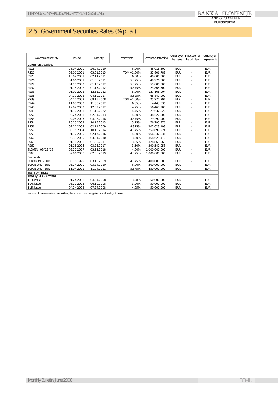# 2.5. Government Securities Rates (% p. a.)

|                           |            |            | Interest rate |                    | Currency of | Indexation of | Currency of  |
|---------------------------|------------|------------|---------------|--------------------|-------------|---------------|--------------|
| Government security       | Issued     | Maturity   |               | Amount outstanding | the issue   | the principal | the payments |
| Government securities     |            |            |               |                    |             |               |              |
| <b>RS18</b>               | 26.04.2000 | 26.04.2010 | 6.00%         | 45,016,600         | <b>EUR</b>  | ×.            | <b>EUR</b>   |
| <b>RS21</b>               | 02.01.2001 | 03.01.2015 | $TOM + 1,00%$ | 32,806,788         | <b>EUR</b>  |               | <b>EUR</b>   |
| <b>RS23</b>               | 13.02.2001 | 02.14.2011 | 6.00%         | 40,000,000         | <b>EUR</b>  |               | <b>EUR</b>   |
| <b>RS26</b>               | 01.06.2001 | 01.06.2011 | 5.375%        | 49,976,500         | <b>EUR</b>  |               | <b>EUR</b>   |
| <b>RS29</b>               | 01.15.2002 | 01.15.2012 | 5.375%        | 55,000,000         | <b>EUR</b>  | ٠             | <b>EUR</b>   |
| <b>RS32</b>               | 01.15.2002 | 01.15.2012 | 5.375%        | 23,865,500         | <b>EUR</b>  | ٠             | <b>EUR</b>   |
| <b>RS33</b>               | 01.01.2002 | 12.31.2022 | 8.00%         | 127,166,004        | <b>EUR</b>  |               | <b>EUR</b>   |
| <b>RS38</b>               | 04.19.2002 | 04.19.2017 | 5.625%        | 68,847,000         | <b>EUR</b>  |               | <b>EUR</b>   |
| <b>RS39</b>               | 04.11.2002 | 09.15.2008 | $TOM + 1,00%$ | 25,271,291         | <b>EUR</b>  |               | <b>EUR</b>   |
| <b>RS44</b>               | 11.08.2002 | 11.08.2012 | 6.65%         | 4,443,536          | <b>EUR</b>  | ×             | <b>EUR</b>   |
| <b>RS48</b>               | 12.02.2002 | 12.02.2012 | 4.75%         | 56,465,200         | <b>EUR</b>  |               | <b>EUR</b>   |
| <b>RS49</b>               | 01.10.2003 | 01.10.2022 | 4.75%         | 29,632,020         | <b>EUR</b>  |               | <b>EUR</b>   |
| <b>RS50</b>               | 02.24.2003 | 02.24.2013 | 4.50%         | 48,527,000         | <b>EUR</b>  | ٠             | <b>EUR</b>   |
| <b>RS53</b>               | 04.08.2003 | 04.08.2018 | 4.875%        | 79,290,900         | <b>EUR</b>  |               | <b>EUR</b>   |
| <b>RS54</b>               | 10.15.2003 | 10.15.2013 | 5.75%         | 76,295,376         | <b>EUR</b>  |               | <b>EUR</b>   |
| <b>RS56</b>               | 02.11.2004 | 02.11.2009 | 4.875%        | 202,023,193        | <b>EUR</b>  |               | <b>EUR</b>   |
| <b>RS57</b>               | 03.15.2004 | 10.15.2014 | 4.875%        | 259,697,224        | <b>EUR</b>  |               | <b>EUR</b>   |
| <b>RS59</b>               | 01.17.2005 | 02.17.2016 | 4.00%         | 1,066,332,031      | <b>EUR</b>  |               | <b>EUR</b>   |
| <b>RS60</b>               | 03.31.2005 | 03.31.2010 | 3.50%         | 368,623,416        | <b>EUR</b>  |               | <b>EUR</b>   |
| <b>RS61</b>               | 01.18.2006 | 01.23.2011 | 3.25%         | 328,861,569        | <b>EUR</b>  |               | <b>EUR</b>   |
| <b>RS62</b>               | 01.18.2006 | 03.23.2017 | 3.50%         | 390,540,053        | <b>EUR</b>  |               | <b>EUR</b>   |
| SLOVEN4 03/22/18          | 03.22.2007 | 03.22.2018 | 4.00%         | 1,000,000,000      | <b>EUR</b>  |               | <b>EUR</b>   |
| <b>RS63</b>               | 02.06.2008 | 02.06.2019 | 4.375%        | 1,000,000,000      | <b>EUR</b>  |               | <b>EUR</b>   |
| Eurobonds                 |            |            |               |                    |             |               |              |
| EUROBOND - EUR            | 03.18.1999 | 03.18.2009 | 4.875%        | 400,000,000        | <b>EUR</b>  |               | <b>EUR</b>   |
| <b>EUROBOND - EUR</b>     | 03.24.2000 | 03.24.2010 | 6.00%         | 500,000,000        | <b>EUR</b>  |               | <b>EUR</b>   |
| <b>EUROBOND - EUR</b>     | 11.04.2001 | 11.04.2011 | 5.375%        | 450,000,000        | <b>EUR</b>  |               | <b>EUR</b>   |
| <b>TREASURY BILLS</b>     |            |            |               |                    |             |               |              |
| Treasury Bills - 3 months |            |            |               |                    |             |               |              |
| 113. issue                | 01.24.2008 | 04.24.2008 | 3.98%         | 50,000,000         | <b>EUR</b>  |               | <b>EUR</b>   |
| 114. issue                | 03.20.2008 | 06.19.2008 | 3.90%         | 50,000,000         | <b>EUR</b>  |               | <b>EUR</b>   |
| 115. issue                | 04.24.2008 | 07.24.2008 | 4.05%         | 50,000,000         | <b>EUR</b>  |               | <b>EUR</b>   |

In case of dematerialised securities, the interest rate is applied from the day of issue.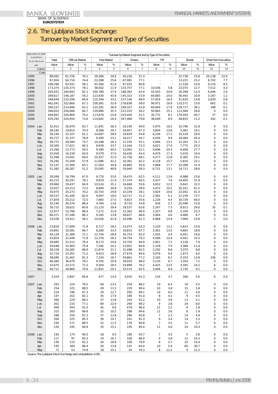## 2.6. The Ljubljana Stock Exchange: Turnover by Market Segment and Type of Securities

| Value until 31.12.2006 |                                      |                  |                  |                |                  |              | Turnover by Market Segment and by Type of Securities |              |                  |                |                |              |                       |            |
|------------------------|--------------------------------------|------------------|------------------|----------------|------------------|--------------|------------------------------------------------------|--------------|------------------|----------------|----------------|--------------|-----------------------|------------|
|                        | in mio SIT from<br>01 01 2007 in min | Total            | Official Market  |                | Free Market      |              | Shares                                               |              | PIF              |                | <b>Bonds</b>   |              | Short-Term Securities |            |
|                        | <b>EUR</b>                           | Value            | Value            | $\%$           | Value            | %            | Value                                                | $\%$         | Value            | $\%$           | Value          | %            | Value                 | $\%$       |
|                        | Column                               | $\overline{1}$   | $\overline{2}$   | $\overline{3}$ | $\overline{4}$   | 5            | $\overline{6}$                                       | 7            | $\overline{8}$   | $\overline{9}$ | 10             | 11           | 12                    | 13         |
|                        | Code                                 |                  |                  |                |                  |              |                                                      |              |                  |                |                |              |                       |            |
| 1995                   |                                      | 88,092           | 61,726           | 70.1           | 26,366           | 29.9         | 45,216                                               | 51.3         | ä,               |                | 22,738         | 25.8         | 20,138                | 22.9       |
| 1996                   |                                      | 87,004           | 64,716           | 74.4           | 22,288           | 25.6         | 67,081                                               | 77.1         |                  | J.             | 13,221         | 15.2         | 6,702                 | 7.7        |
| 1997                   |                                      | 108,296          | 62,931           | 58.1           | 45,366           | 41.9         | 87,555                                               | 80.8         |                  | ×,             | 11,526         | 10.6         | 9,216                 | 8.5        |
| 1998                   |                                      | 173,375          | 135,373          | 78.1           | 38,002           | 21.9         | 133,757                                              | 77.1         | 10,036           | 5.8            | 22,070         | 12.7         | 7,512                 | 4.3        |
| 1999                   |                                      | 265,631          | 164,842          | 62.1           | 100,789          | 37.9         | 168,383                                              | 63.4         | 55,503           | 20.9           | 35,298         | 13.3         | 6,446                 | 2.4        |
| 2000                   |                                      | 269,617          | 146,187          | 54.2           | 123,430          | 45.8         | 145,323                                              | 53.9         | 64,665           | 24.0           | 56,442         | 20.9         | 3,187                 | 1.2        |
| 2001                   |                                      | 348,644          | 233,299          | 66.9           | 115,344          | 33.1         | 237,140                                              | 68.0         | 57,054           | 16.4           | 51,620         | 14.8         | 2,830                 | 0.8        |
| 2002                   |                                      | 481,041          | 322,660          | 67.1           | 158,381          | 32.9         | 278,838                                              | 58.0         | 90,971           | 18.9           | 110,571        | 23.0         | 662                   | 0.1        |
| 2003                   |                                      | 340,237          | 214,846          | 63.1           | 125,391          | 36.9         | 149,327                                              | 43.9         | 60,844           | 17.9           | 129,717        | 38.1         | 348                   | 0.1        |
| 2004                   |                                      | 396,652          | 256,666          | 64.7           | 139,986          | 35.3         | 223,103                                              | 56.2         | 59,965           | 15.1           | 113,584        | 28.6         | 0                     | 0.0        |
| 2005                   |                                      | 440,847          | 326,969          | 74.2           | 113,878          | 25.8         | 225,445                                              | 51.1         | 35,772           | 8.1            | 179,593        | 40.7         | 37                    | 0.0        |
| 2006                   |                                      | 435,292          | 320,450          | 73.6           | 114,842          | 26.4         | 347,468                                              | 79.8         | 38,649           | 8.9            | 48,833         | 11.2         | 342                   | 0.1        |
|                        |                                      |                  |                  |                |                  |              |                                                      |              |                  |                |                |              |                       |            |
| 2004                   | Jan.                                 | 32,911           | 20,970           | 63.7           | 11,941           | 36.3         | 16,140                                               | 49.0         | 5,975            | 18.2           | 10,796         | 32.8         | 0                     | 0.0        |
|                        | Feb.                                 | 28,182           | 19,814           | 70.3           | 8,368            | 29.7         | 18,957                                               | 67.3         | 3,844            | 13.6           | 5,381          | 19.1         | 0                     | 0.0        |
|                        | Mar.                                 | 36,194           | 22,107           | 61.1           | 14,087           | 38.9         | 19,829                                               | 54.8         | 6,236            | 17.2           | 10,128         | 28.0         | 0                     | 0.0        |
|                        | Apr.                                 | 40,727           | 31,337           | 76.9           | 9,390            | 23.1         | 18,217                                               | 44.7         | 4,026            | 9.9            | 18,484         | 45.4         | 0                     | 0.0        |
|                        | May                                  | 38,772           | 28,584           | 73.7           | 10,188           | 26.3         | 21,376                                               | 55.1         | 5,094            | 13.1           | 12,303         | 31.7         | 0                     | 0.0        |
|                        | Jun.                                 | 26,560           | 17,621           | 66.3           | 8,939            | 33.7         | 14,164                                               | 53.3         | 4,621            | 17.4           | 7,775          | 29.3         | 0                     | 0.0        |
|                        | Jul.                                 | 23,166           | 13,773           | 59.5           | 9,394            | 40.5         | 12,062                                               | 52.1         | 4,696            | 20.3           | 6,408          | 27.7         | 0<br>0                | 0.0        |
|                        | Aug.                                 | 25,918           | 16,339           | 63.0           | 9,579            | 37.0<br>31.0 | 16,420                                               | 63.4         | 4,479            | 17.3           | 5,019          | 19.4         | 0                     | 0.0        |
|                        | Sep.<br>Oct.                         | 33,398<br>26,295 | 23,041<br>15,209 | 69.0<br>57.8   | 10,357<br>11,086 | 42.2         | 22,756<br>16,361                                     | 68.1<br>62.2 | 4,277<br>4,118   | 12.8<br>15.7   | 6,365<br>5,816 | 19.1<br>22.1 | 0                     | 0.0<br>0.0 |
|                        | Nov.                                 | 33,147           | 21,584           | 65.1           | 11,563           | 34.9         | 16,882                                               | 50.9         | 5,868            | 17.7           | 10,396         | 31.4         | 0                     | 0.0        |
|                        | Dec.                                 | 51,382           | 26,287           | 51.2           | 25,095           | 48.8         | 29,940                                               | 58.3         | 6,731            | 13.1           | 14,711         | 28.6         | 0                     | 0.0        |
|                        |                                      |                  |                  |                |                  |              |                                                      |              |                  |                |                |              |                       |            |
| 2005                   | Jan.                                 | 29,569           | 19,799           | 67.0           | 9,770            | 33.0         | 18,470                                               | 62.5         | 4,111            | 13.9           | 6,988          | 23.6         | 0                     | 0.0        |
|                        | Feb.                                 | 45,215           | 35,297           | 78.1           | 9,919            | 21.9         | 27,374                                               | 60.5         | 3,437            | 7.6            | 14,405         | 31.9         | 0                     | 0.0        |
|                        | Mar.                                 | 29,960           | 19,437           | 64.9           | 10,524           | 35.1         | 16,668                                               | 55.6         | 3,652            | 12.2           | 9,641          | 32.2         | 0                     | 0.0        |
|                        | Apr.                                 | 33,057           | 24,213           | 73.2           | 8,844            | 26.8         | 9,254                                                | 28.0         | 3,472            | 10.5           | 20,331         | 61.5         | 0                     | 0.0        |
|                        | May                                  | 35,975           | 25,272           | 70.2           | 10,703           | 29.8         | 10,109                                               | 28.1         | 3,824            | 10.6           | 22,042         | 61.3         | 0                     | 0.0        |
|                        | Jun.                                 | 50,537           | 41,440           | 82.0           | 9,097            | 18.0         | 10,717                                               | 21.2         | 2,581            | 5.1            | 37,239         | 73.7         | 0                     | 0.0        |
|                        | Jul.                                 | 27,878           | 20,212           | 72.5           | 7,665            | 27.5         | 9,923                                                | 35.6         | 1,226            | 4.4            | 16,729         | 60.0         | 0                     | 0.0        |
|                        | Aug.                                 | 35,140           | 30,376           | 86.4           | 4,764            | 13.6         | 8,710                                                | 24.8         | 934              | 2.7            | 25,496         | 72.6         | 0                     | 0.0        |
|                        | Sep.                                 | 30,732           | 18,622           | 60.6           | 12,110           | 39.4         | 19,537                                               | 63.6         | 2,247            | 7.3            | 8,913          | 29.0         | 35                    | 0.1        |
|                        | Oct.                                 | 22,977           | 15,706           | 68.4           | 7,272            | 31.6         | 15,362                                               | 66.9         | 2,257            | 9.8            | 5,359          | 23.3         | 0                     | 0.0        |
|                        | Nov.                                 | 66,371           | 57,186           | 86.2           | 9,185            | 13.8         | 58,827                                               | 88.6         | 3,064            | 4.6            | 4,480          | 6.7          | 0                     | 0.0        |
|                        | Dec.                                 | 33,436           | 19,411           | 58.1           | 14,026           | 41.9         | 20,496                                               | 61.3         | 4,968            | 14.9           | 7,969          | 23.8         | $\overline{2}$        | 0.0        |
|                        |                                      |                  |                  |                |                  |              |                                                      |              |                  |                |                |              |                       |            |
| 2006                   | Jan.                                 | 23,816           | 17,099           | 71.8           | 6,717            | 28.2         | 15,073                                               | 63.3         | 3,120            | 13.1           | 5,623          | 23.6         | 0                     | 0.0        |
|                        | Feb.                                 | 24,841           | 16,581           | 66.7           | 8,260            | 33.3         | 16,815                                               | 67.7         | 3,361            | 13.5           | 4,665          | 18.8         | 0                     | 0.0        |
|                        | Mar.                                 | 44,129           | 31,389           | 71.1           | 12,740           | 28.9         | 35,753                                               | 81.0         | 1,935            | 4.4            | 6,441          | 14.6         | 0                     | 0.0        |
|                        | Apr.                                 | 43,824           | 31,448           | 71.8           | 12,376           | 28.2         | 34,754                                               | 79.3         | 4,569            | 10.4           | 4,501          | 10.3         | 0                     | 0.0        |
|                        | May                                  | 39,685           | 31,512           | 79.4           | 8,173            | 20.6         | 33,705                                               | 84.9         | 2,851            | 7.2            | 3,128          | 7.9          | 0                     | 0.0        |
|                        | Jun.                                 | 29,648           | 22,463           | 75.8           | 7,185            | 24.2         | 23,952                                               | 80.8         | 2,328            | 7.9            | 3,368          | 11.4         | 0                     | 0.0        |
|                        | Jul.                                 | 38,159           | 26,285           | 68.9           | 11,874           | 31.1         | 31,498                                               | 82.5         | 3,292            | 8.6            | 3,370          | 8.8          | 0                     | 0.0        |
|                        | Aug.                                 | 32,724           | 23,301           | 71.2           | 9,423            | 28.8         | 27,674                                               | 84.6         | 3,076            | 9.4            | 1,973          | 6.0          | 0                     | 0.0        |
|                        | Sep.<br>Oct.                         | 38,696<br>46,384 | 31,462<br>36,679 | 81.3<br>79.1   | 7,234<br>9,705   | 18.7<br>20.9 | 29,861<br>39,910                                     | 77.2<br>86.0 | 3,165<br>3,120   | 8.2<br>6.7     | 5,333<br>3,354 | 13.8<br>7.2  | 336<br>0              | 0.9<br>0.0 |
|                        | Nov.                                 | 32,675           | 23,372           | 71.5           | 9,304            | 28.5         | 24,899                                               | 76.2         | 4,425            | 13.5           | 3,345          | 10.2         | 6                     | 0.0        |
|                        | Dec.                                 | 40,711           | 28,860           | 70.9           | 11,851           | 29.1         | 33,574                                               | 82.5         | 3,406            | 8.4            | 3,730          | 9.2          | $\mathsf{O}\xspace$   | 0.0        |
|                        |                                      |                  |                  |                |                  |              |                                                      |              |                  |                |                |              |                       |            |
| 2007                   |                                      | 3,324            | 2,847            | 85.6           | 477              | 14.4         | 3,035                                                | 91.3         | 124              | 3.7            | 166            | 5.0          | 0                     | 0.0        |
|                        |                                      |                  |                  |                |                  |              |                                                      |              |                  |                |                |              |                       |            |
| 2007 Jan.              |                                      | 293              | 224              | 76.5           | 69               | 23.5         | 259                                                  | 88.2         | 19               | 6.4            | 16             | $5.5\,$      | 0                     | 0.0        |
|                        | Feb.                                 | 254              | 225              | 88.5           | 29               | 11.5         | 229                                                  | 90.4         | 10               | 3.8            | 15             | 5.8          | 0                     | $0.0\,$    |
|                        | Mar.                                 | 224              | 196              | 87.3           | 29               | 12.7         | 200                                                  | 89.1         | 14               | 6.0            | 11             | 4.9          | 0                     | 0.0        |
|                        | Apr.                                 | 197              | 162              | 82.1           | 35               | 17.9         | 180                                                  | 91.4         | 8                | 4.1            | 9              | 4.5          | 0                     | 0.0        |
|                        | May                                  | 266              | 229              | 86.2           | 37               | 13.8         | 243                                                  | 91.2         | 10               | 3.8            | 13             | 5.1          | 0                     | 0.0        |
|                        | Jun.                                 | 302              | 233              | 77.1           | 69               | 22.9         | 269                                                  | 89.2         | 9                | 2.8            | 24             | 8.0          | 0                     | 0.0        |
|                        | Jul.                                 | 499              | 454              | 91.0           | 45               | 9.0          | 479                                                  | 96.0         | 11               | 2.2            | 9              | 1.8          | 0                     | 0.0        |
|                        | Aug.                                 | 315              | 283              | 89.8           | 32               | 10.2         | 298                                                  | 94.6         | 11               | 3.6            | 6              | 1.9          | 0                     | 0.0        |
|                        | Sep.                                 | 286              | 250              | 87.2           | 37               | 12.8         | 266                                                  | 92.8         | $\overline{7}$   | 2.3            | 14             | 4.9          | 0                     | 0.0        |
|                        | Oct.                                 | 264              | 225              | 85.3           | 39               | 14.7         | 241                                                  | 91.3         | 9                | 3.4            | 14             | 5.3          | 0                     | $0.0\,$    |
|                        | Nov.                                 | 194              | 171              | 88.5           | 22               | 11.5         | 176                                                  | 90.8         | $\boldsymbol{7}$ | 3.5            | 11             | 5.7          | 0                     | 0.0        |
|                        | Dec.                                 | 230              | 195              | 84.9           | 35               | 15.1         | 195                                                  | 85.0         | 11               | 4.6            | 24             | 10.4         | 0                     | 0.0        |
| 2008                   | Jan.                                 | 193              | 174              | 90.5           | 18               | 9.5          | 180                                                  | 93.7         | $\overline{7}$   | 3.5            | 5              | 2.8          | 0                     | 0.0        |
|                        | Feb.                                 | 117              | 97               | 83.3           | 19               | 16.7         | 100                                                  | 86.0         | $\overline{4}$   | 3.8            | 12             | 10.3         | 0                     | 0.0        |
|                        | Mar.                                 | 136              | 110              | 81.2           | 26               | 18.8         | 109                                                  | 79.9         | 8                | 5.7            | 20             | 14.4         | 0                     | 0.0        |
|                        | Apr.                                 | 195              | 169              | 86.4           | 26               | 13.6         | 125                                                  | 64.0         | 10               | 5.4            | 60             | 30.7         | 0                     | 0.0        |
|                        | May                                  | 71               | 53               | 74.9           | 18               | 25.1         | 54                                                   | 76.3         | 8                | 11.5           | 9              | 12.2         | 0                     | 0.0        |

Source: The Ljubljana Stock Exchange and computations in BS.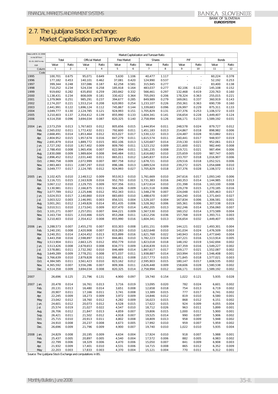### 2.7. The Ljubljana Stock Exchange: Market Capitalisation and Turnover Ratio

| Value until 31.12.2006               |             |                        |                |                        |                |                    |                | Market Capitalization and Turnover Ratio |                |                    |                |                        |                 |
|--------------------------------------|-------------|------------------------|----------------|------------------------|----------------|--------------------|----------------|------------------------------------------|----------------|--------------------|----------------|------------------------|-----------------|
| in mio SIT from<br>01.01.2007 in mio |             | Total                  |                | <b>Official Market</b> |                | Free Market        |                | Shares                                   |                | PIF                |                | <b>Bonds</b>           |                 |
| <b>EUR</b>                           |             | Value                  | Ratio          | Value                  | Ratio          | Value              | Ratio          | Value                                    | Ratio          | Value              | Ratio          | Value                  | Ratio           |
|                                      | Column      | $\overline{1}$         | $\overline{2}$ | $\overline{3}$         | $\overline{4}$ | $\overline{5}$     | 6              | $\overline{7}$                           | $\overline{8}$ | $\overline{9}$     | 10             | 11                     | $\overline{12}$ |
|                                      | Code        |                        |                |                        |                |                    |                |                                          |                |                    |                |                        |                 |
| 1995                                 |             | 100,701                | 0.675          | 95,071                 | 0.649          | 5,630              | 1.106          | 40,477                                   | 1.117          |                    |                | 60,224                 | 0.378           |
| 1996                                 |             | 177,182                | 0.453          | 140,101                | 0.462          | 37,081             | 0.420          | 124,990                                  | 0.537          |                    |                | 52,192                 | 0.253           |
| 1997                                 |             | 399,344                | 0.248          | 337,086                | 0.187          | 62,258             | 0.581          | 315,945                                  | 0.277          |                    |                | 83,400                 | 0.138           |
| 1998                                 |             | 710,252                | 0.234          | 524,334                | 0.258          | 185,918            | 0.164          | 483,037                                  | 0.277          | 82,106             | 0.122          | 145,108                | 0.152           |
| 1999<br>2000                         |             | 919,692<br>1,138,431   | 0.282<br>0.234 | 635,850<br>808,009     | 0.259<br>0.181 | 283,842<br>330,422 | 0.332<br>0.364 | 566,461<br>705,093                       | 0.297<br>0.206 | 132,468<br>178,324 | 0.419<br>0.363 | 220,763<br>255,015     | 0.160<br>0.221  |
| 2001                                 |             | 1,379,969              | 0.251          | 985,291                | 0.237          | 394,677            | 0.285          | 849,989                                  | 0.279          | 169,061            | 0.337          | 360,919                | 0.143           |
| 2002                                 |             | 2,174,207              | 0.221          | 1,553,214              | 0.208          | 620,993            | 0.254          | 1,233,107                                | 0.226          | 250,361            | 0.363          | 690,739                | 0.160           |
| 2003                                 |             | 2,441,991              | 0.122          | 1,696,124              | 0.112          | 745,867            | 0.144          | 1,339,683                                | 0.096          | 226,997            | 0.229          | 875,311                | 0.133           |
| 2004                                 |             | 3,049,777              | 0.130          | 2,124,785              | 0.121          | 924,993            | 0.151          | 1,705,829                                | 0.131          | 237,376            | 0.253          | 1,106,572              | 0.103           |
| 2005                                 |             | 3,210,403              | 0.137          | 2,354,412              | 0.139          | 855,990            | 0.133          | 1,604,341                                | 0.141          | 156,654            | 0.228          | 1,449,407              | 0.124           |
| 2006                                 |             | 4,514,358              | 0.096          | 3,694,034              | 0.087          | 820,325            | 0.140          | 2,758,994                                | 0.126          | 166,171            | 0.233          | 1,589,192              | 0.031           |
|                                      |             |                        |                |                        |                |                    |                |                                          |                |                    |                |                        |                 |
| 2004                                 | Jan.        | 2,573,259              | 0.013          | 1,767,603              | 0.012          | 805,656            | 0.015          | 1,444,954                                | 0.011          | 248,578            | 0.024          | 879,727                | 0.012           |
|                                      | Feb.        | 2,565,032              | 0.011          | 1,772,432              | 0.011          | 792,600            | 0.011          | 1,451,183                                | 0.013          | 214,867            | 0.018          | 898,982                | 0.006           |
|                                      | Mar.        | 2,668,491              | 0.014          | 1,853,464              | 0.012          | 815,027            | 0.017          | 1,530,122                                | 0.013          | 224,487            | 0.028          | 913,882                | 0.011           |
|                                      | Apr.        | 2,804,952<br>2,691,879 | 0.015<br>0.014 | 1,957,674<br>1,889,772 | 0.016<br>0.015 | 847,279<br>802,106 | 0.011<br>0.013 | 1,615,574<br>1,520,687                   | 0.011<br>0.014 | 240,441<br>219,130 | 0.017<br>0.023 | 948,937<br>952,061     | 0.019<br>0.013  |
|                                      | May<br>Jun. | 2,727,192              | 0.010          | 1,917,402              | 0.009          | 809,790            | 0.011          | 1,523,152                                | 0.009          | 221,600            | 0.021          | 982,440                | 0.008           |
|                                      | Jul.        | 2,788,450              | 0.008          | 1,965,456              | 0.007          | 822,994            | 0.011          | 1,581,235                                | 0.008          | 219,721            | 0.021          | 987,494                | 0.006           |
|                                      | Aug.        | 2,830,088              | 0.009          | 1,989,604              | 0.008          | 840,484            | 0.011          | 1,616,682                                | 0.010          | 225,659            | 0.020          | 987,747                | 0.005           |
|                                      | Sep.        | 2,896,452              | 0.012          | 2,031,440              | 0.011          | 865,011            | 0.012          | 1,645,837                                | 0.014          | 233,707            | 0.018          | 1,016,907              | 0.006           |
|                                      | Oct.        | 2,960,758              | 0.009          | 2,072,999              | 0.007          | 887,758            | 0.012          | 1,678,721                                | 0.010          | 229,516            | 0.018          | 1,052,521              | 0.006           |
|                                      | Nov.        | 2,983,483              | 0.011          | 2,087,297              | 0.010          | 896,186            | 0.013          | 1,689,524                                | 0.010          | 239,272            | 0.025          | 1,054,688              | 0.010           |
|                                      | Dec.        | 3,049,777              | 0.017          | 2,124,785              | 0.012          | 924,993            | 0.027          | 1,705,829                                | 0.018          | 237,376            | 0.028          | 1,106,572              | 0.013           |
|                                      |             |                        |                |                        |                |                    |                |                                          |                |                    |                |                        |                 |
| 2005                                 | Jan.        | 3,102,425              | 0.010          | 2,148,512              | 0.009          | 953,913            | 0.010          | 1,761,669                                | 0.010          | 247,616            | 0.017          | 1,093,140              | 0.006           |
|                                      | Feb.        | 3,116,721              | 0.015          | 2,163,928              | 0.016          | 952,793            | 0.010          | 1,731,383                                | 0.016          | 240,353            | 0.014          | 1,144,985              | 0.013           |
|                                      | Mar.        | 3,067,112              | 0.010          | 2,129,755              | 0.009          | 937,356            | 0.011          | 1,672,614                                | 0.010          | 231,398            | 0.016          | 1,163,100              | 0.008           |
|                                      | Apr.        | 3,130,981              | 0.011          | 2,166,875              | 0.011          | 964,106            | 0.009          | 1,631,518                                | 0.006          | 229,278            | 0.015          | 1,270,185              | 0.016           |
|                                      | May<br>Jun. | 3,077,789<br>3,024,553 | 0.012<br>0.017 | 2,125,446<br>2,140,860 | 0.012<br>0.019 | 952,343<br>883,693 | 0.011<br>0.010 | 1,548,278<br>1,488,670                   | 0.007<br>0.007 | 224,048<br>164,240 | 0.017<br>0.016 | 1,305,463<br>1,371,643 | 0.017<br>0.027  |
|                                      | Jul.        | 3,003,522              | 0.003          | 2,146,991              | 0.003          | 856,531            | 0.004          | 1,529,107                                | 0.004          | 167,834            | 0.006          | 1,306,581              | 0.001           |
|                                      | Aug.        | 3,001,261              | 0.012          | 2,149,826              | 0.014          | 851,435            | 0.006          | 1,528,362                                | 0.006          | 165,361            | 0.006          | 1,307,538              | 0.019           |
|                                      | Sep.        | 3,010,511              | 0.010          | 2,173,041              | 0.009          | 837,470            | 0.014          | 1,492,205                                | 0.013          | 162,246            | 0.014          | 1,356,060              | 0.007           |
|                                      | Oct.        | 3,101,271              | 0.007          | 2,257,051              | 0.007          | 844,221            | 0.009          | 1,567,530                                | 0.010          | 160,152            | 0.014          | 1,373,589              | 0.004           |
|                                      | Nov.        | 3,163,734              | 0.021          | 2,310,466              | 0.025          | 853,268            | 0.011          | 1,612,256                                | 0.036          | 157,768            | 0.019          | 1,393,711              | 0.003           |
|                                      | Dec.        | 3,210,403              | 0.010          | 2,354,412              | 0.008          | 855,990            | 0.016          | 1,604,341                                | 0.013          | 156,654            | 0.032          | 1,449,407              | 0.005           |
|                                      |             |                        |                |                        |                |                    |                |                                          |                |                    |                |                        |                 |
| 2006                                 | Jan.        | 3,288,573              | 0.007          | 2,455,270              | 0.007          | 833,303            | 0.008          | 1,651,151                                | 0.009          | 144,121            | 0.022          | 1,493,301              | 0.004           |
|                                      | Feb.        | 3,240,191              | 0.008          | 2,420,908              | 0.007          | 819,283            | 0.010          | 1,622,648                                | 0.010          | 141,034            | 0.024          | 1,476,509              | 0.003           |
|                                      | Mar.        | 3,240,351              | 0.014          | 2,424,452<br>2,598,897 | 0.013          | 815,899            | 0.016          | 1,621,768                                | 0.022<br>0.024 | 140,943            | 0.014          | 1,477,640              | 0.004<br>0.005  |
|                                      | Apr.<br>May | 3,443,358<br>3,513,904 | 0.016<br>0.011 | 2,663,125              | 0.017<br>0.012 | 844,461<br>850,779 | 0.010<br>0.010 | 1,782,223<br>1,823,018                   | 0.018          | 147,221<br>148,192 | 0.016<br>0.019 | 1,513,914<br>1,542,694 | 0.002           |
|                                      | Jun.        | 3,513,426              | 0.008          | 2,678,653              | 0.008          | 834,773            | 0.009          | 1,816,839                                | 0.013          | 147,359            | 0.016          | 1,549,227              | 0.002           |
|                                      | Jul.        | 3,578,881              | 0.011          | 2,732,392              | 0.010          | 846,489            | 0.014          | 1,867,617                                | 0.017          | 159,177            | 0.021          | 1,552,087              | 0.002           |
|                                      | Aug.        | 3,649,289              | 0.009          | 2,778,251              | 0.008          | 871,037            | 0.011          | 1,938,887                                | 0.014          | 163,994            | 0.019          | 1,546,408              | 0.001           |
|                                      | Sep.        | 3,766,639              | 0.010          | 2,879,828              | 0.011          | 886,811            | 0.008          | 2,017,773                                | 0.015          | 171,845            | 0.018          | 1,577,021              | 0.003           |
|                                      | Oct.        | 4,384,585              | 0.011          | 3,561,423              | 0.010          | 823,162            | 0.012          | 2,595,903                                | 0.015          | 180,147            | 0.017          | 1,608,535              | 0.002           |
|                                      | Nov.        | 4,365,592              | 0.007          | 3,556,286              | 0.007          | 809,306            | 0.011          | 2,626,448                                | 0.009          | 158,606            | 0.028          | 1,580,538              | 0.002           |
|                                      | Dec.        | 4,514,358              | 0.009          | 3,694,034              | 0.008          | 820,325            | 0.014          | 2,758,994                                | 0.012          | 166,171            | 0.020          | 1,589,192              | 0.002           |
| 2007                                 |             | 26,696                 | 0.125          | 21,796                 | 0.131          | 4,900              | 0.097          | 19,740                                   | 0.154          | 1,022              | 0.121          | 5,935                  | 0.028           |
| 2007 Jan.                            |             | 20,478                 | 0.014          | 16,761                 | 0.013          | 3,716              | 0.019          | 13,095                                   | 0.020          | 782                | 0.024          | 6,601                  | 0.002           |
|                                      | Feb.        | 20,131                 | 0.013          | 16,480                 | 0.014          | 3,651              | 0.008          | 12,658                                   | 0.018          | 754                | 0.013          | 6,719                  | 0.002           |
|                                      | Mar.        | 20,907                 | 0.011          | 17,166                 | 0.011          | 3,741              | 0.008          | 13,389                                   | 0.015          | 777                | 0.017          | 6,741                  | 0.002           |
|                                      | Apr.        | 22,245                 | 0.009          | 18,273                 | 0.009          | 3,972              | 0.009          | 14,846                                   | 0.012          | 819                | 0.010          | 6,580                  | 0.001           |
|                                      | May         | 23,042                 | 0.012          | 18,760                 | 0.012          | 4,282              | 0.009          | 16,023                                   | 0.015          | 868                | 0.012          | 6,151                  | 0.002           |
|                                      | Jun.        | 24,601                 | 0.012          | 20,073                 | 0.012          | 4,528              | 0.015          | 17,622                                   | 0.015          | 924                | 0.009          | 6,055                  | 0.004           |
|                                      | Jul.        | 25,574                 | 0.019          | 21,027                 | 0.022          | 4,547              | 0.010          | 18,712                                   | 0.026          | 963                | 0.011          | 5,899                  | 0.001           |
|                                      | Aug.        | 26,706                 | 0.012          | 21,847                 | 0.013          | 4,859              | 0.007          | 19,806                                   | 0.015          | 1,000              | 0.011          | 5,900                  | 0.001           |
|                                      | Sep.        | 26,421                 | 0.011          | 21,502                 | 0.012          | 4,918              | 0.007          | 19,525                                   | 0.014          | 990                | 0.007          | 5,906                  | 0.002           |
|                                      | Oct.        | 25,715                 | 0.010          | 20,913                 | 0.011          | 4,802              | 0.008          | 18,809                                   | 0.013          | 958                | 0.009          | 5,948                  | 0.002           |
|                                      | Nov.        | 24,910                 | 0.008          | 20,237                 | 0.008          | 4,673              | 0.005          | 17,992<br>19,740                         | 0.010          | 959                | 0.007          | 5,959                  | 0.002           |
|                                      | Dec.        | 26,696                 | 0.009          | 21,796                 | 0.009          | 4,900              | 0.007          |                                          | 0.010          | 1,022              | 0.010          | 5,935                  | 0.004           |
| 2008                                 | Jan.        | 24,829                 | 0.008          | 20,195                 | 0.009          | 4,634              | 0.004          | 17,924                                   | 0.010          | 918                | 0.007          | 5,988                  | 0.001           |
|                                      | Feb.        | 25,437                 | 0.005          | 20,897                 | 0.005          | 4,540              | 0.004          | 17,572                                   | 0.006          | 882                | 0.005          | 6,983                  | 0.002           |
|                                      | Mar.        | 22,799                 | 0.006          | 18,329                 | 0.006          | 4,470              | 0.006          | 15,050                                   | 0.007          | 841                | 0.009          | 6,908                  | 0.003           |
|                                      | Apr.        | 21,932                 | 0.009          | 17,401                 | 0.010          | 4,531              | 0.006          | 14,715                                   | 0.008          | 865                | 0.012          | 6,352                  | 0.009           |
|                                      | May         | 22,203                 | 0.003          | 17,833                 | 0.003          | 4,370              | 0.004          | 15,121                                   | 0.004          | 770                | 0.011          | 6,312                  | 0.001           |

Source: The Ljubljana Stock Exchange and computations in BS.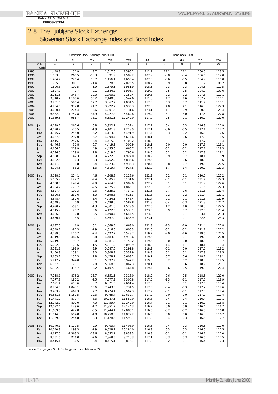### 2.8. The Ljubljana Stock Exchange: Slovenian Stock Exchange Index and Bond Index

|              |              |                      |                      | Slovenian Stock Exchange Index (SBI) |                      |                      |                |                  | Bond Index (BIO) |                |                |
|--------------|--------------|----------------------|----------------------|--------------------------------------|----------------------|----------------------|----------------|------------------|------------------|----------------|----------------|
|              |              | <b>SBI</b>           | dT                   | d%                                   | min                  | max                  | <b>BIO</b>     | dT               | d%               | min            | max            |
|              | Column       | $\mathbf{1}$         | $\overline{2}$       | $\overline{3}$                       | $\overline{4}$       | $\overline{5}$       | 6              | $\overline{7}$   | $\overline{8}$   | $\overline{9}$ | 10             |
|              | Code         |                      |                      |                                      |                      |                      |                |                  |                  |                |                |
| 1995         |              | 1,448.8              | 51.9                 | 3.7                                  | 1,017.0              | 1,590.2              | 111.7          | 11.1             | 11.1             | 100.5          | 113.5          |
| 1996<br>1997 |              | 1,183.3<br>1,404.7   | $-265.5$<br>221.4    | $-18.3$<br>18.7                      | 891.9<br>1,156.1     | 1,589.2<br>1,655.4   | 107.9<br>107.3 | $-3.8$<br>$-0.6$ | $-3.4$<br>$-0.5$ | 106.6<br>104.9 | 112.0<br>111.0 |
| 1998         |              | 1,705.8              | 301.1                | 21.4                                 | 1,378.5              | 2,026.5              | 108.2          | 0.9              | 0.8              | 101.7          | 108.2          |
| 1999         |              | 1,806.3              | 100.5                | 5.9                                  | 1,679.5              | 1,981.9              | 108.5          | 0.3              | 0.3              | 104.5          | 110.5          |
| 2000         |              | 1,807.9              | 1.7                  | 0.1                                  | 1,584.2              | 1,903.7              | 109.0          | 0.5              | 0.5              | 104.0          | 109.6          |
| 2001         |              | 2,151.6              | 343.7                | 19.0                                 | 1,700.2              | 2,159.4              | 109.3          | 0.2              | 0.2              | 107.8          | 110.1          |
| 2002         |              | 3,340.2              | 1,188.6              | 55.2                                 | 2,140.8              | 3,547.6              | 111.0          | 1.7              | 1.6              | 107.2          | 111.1          |
| 2003         |              | 3,931.6              | 591.4                | 17.7                                 | 3,067.7              | 4,034.5              | 117.3          | 6.3              | 5.7              | 111.7          | 118.1          |
| 2004         |              | 4,904.5              | 972.8                | 24.7                                 | 3,922.7              | 4,935.3              | 122.0          | 4.8              | 4.1              | 116.3          | 122.3          |
| 2005<br>2006 |              | 4,630.1<br>6,382.9   | $-274.4$<br>1,752.8  | $-5.6$<br>37.9                       | 4,301.6<br>4,427.2   | 5,131.6<br>6,464.8   | 123.1<br>119.4 | 1.1<br>$-3.7$    | 0.9<br>$-3.0$    | 120.6<br>117.6 | 123.4<br>122.8 |
| 2007         |              | 11,369.6             | 4,986.7              | 78.1                                 | 6,551.5              | 12,242.0             | 117.0          | $-2.5$           | $-2.1$           | 116.2          | 120.0          |
|              |              |                      |                      |                                      |                      |                      |                |                  |                  |                |                |
| 2004 Jan.    |              | 4,199.2              | 267.6                | 6.8                                  | 3,922.7              | 4,252.4              | 117.7          | 0.4              | 0.3              | 116.3          | 117.9          |
|              | Feb.         | 4,120.7              | $-78.5$              | $-1.9$                               | 4,101.9              | 4,219.9              | 117.1          | $-0.6$           | $-0.5$           | 117.1          | 117.7          |
|              | Mar.         | 4,375.7              | 255.0                | 6.2                                  | 4,113.3              | 4,491.9              | 117.4          | 0.3              | 0.2              | 116.6          | 117.6          |
|              | Apr.         | 4,667.6              | 292.0                | 6.7                                  | 4,394.7              | 4,674.6              | 118.1          | 0.7              | 0.6              | 117.3          | 118.5          |
|              | May          | 4,415.0              | $-252.6$             | $-5.4$                               | 4,415.0              | 4,709.2              | 118.0          | $-0.1$           | $-0.1$           | 117.7          | 118.4          |
|              | Jun.         | 4,446.9<br>4,666.7   | 31.8                 | 0.7                                  | 4,419.2              | 4,505.9              | 118.1          | 0.0              | 0.0              | 117.8          | 118.1          |
|              | Jul.         | 4,796.6              | 219.9<br>129.8       | 4.9<br>2.8                           | 4,455.6<br>4,619.5   | 4,666.7<br>4,796.6   | 117.8<br>118.0 | $-0.2$<br>0.2    | $-0.2$<br>0.2    | 117.7<br>117.8 | 118.3<br>118.1 |
|              | Aug.<br>Sep. | 4,838.8              | 42.3                 | 0.9                                  | 4,772.0              | 4,924.0              | 118.9          | 0.9              | 0.7              | 118.1          | 118.9          |
|              | Oct.         | 4,822.5              | $-16.3$              | $-0.3$                               | 4,762.9              | 4,836.6              | 119.6          | 0.7              | 0.6              | 118.9          | 119.6          |
|              | Nov.         | 4,841.3              | 18.8                 | 0.4                                  | 4,823.9              | 4,935.3              | 120.4          | 0.8              | 0.7              | 119.6          | 120.5          |
|              | Dec.         | 4,904.5              | 63.2                 | 1.3                                  | 4,819.4              | 4,927.8              | 122.0          | 1.7              | 1.4              | 120.2          | 122.3          |
|              |              |                      |                      |                                      |                      |                      |                |                  |                  |                |                |
| 2005         | Jan.         | 5,128.6              | 224.1                | 4.6                                  | 4,908.8              | 5,128.6              | 122.2          | 0.2              | 0.1              | 120.6          | 122.2          |
|              | Feb.         | 5,005.9              | $-122.7$             | $-2.4$                               | 5,005.9              | 5,131.6              | 122.1          | $-0.1$           | $-0.1$           | 121.7          | 122.3          |
|              | Mar.         | 4,858.5              | $-147.4$             | $-2.9$                               | 4,764.3              | 4,989.0              | 122.2          | 0.1              | 0.1              | 121.9          | 122.6          |
|              | Apr.         | 4,734.7<br>4,627.4   | $-123.7$<br>$-107.3$ | $-2.5$<br>$-2.3$                     | 4,625.9<br>4,625.2   | 4,865.1<br>4,734.1   | 122.3<br>121.6 | 0.2<br>$-0.7$    | 0.1<br>$-0.6$    | 121.5<br>121.3 | 122.3<br>122.4 |
|              | May<br>Jun.  | 4,396.8              | $-230.6$             | $-5.0$                               | 4,396.8              | 4,615.3              | 121.8          | 0.2              | 0.2              | 121.4          | 122.1          |
|              | Jul.         | 4,548.4              | 151.6                | 3.4                                  | 4,424.1              | 4,548.4              | 121.7          | $-0.1$           | $-0.1$           | 121.3          | 121.9          |
|              | Aug.         | 4,549.3              | 0.9                  | 0.0                                  | 4,499.6              | 4,587.8              | 121.3          | $-0.4$           | $-0.3$           | 121.3          | 121.7          |
|              | Sep.         | 4,490.2              | $-59.1$              | $-1.3$                               | 4,301.6              | 4,579.9              | 122.5          | 1.2              | 1.0              | 120.8          | 122.5          |
|              | Oct.         | 4,515.9              | 25.7                 | 0.6                                  | 4,422.5              | 4,538.1              | 123.3          | 0.9              | 0.7              | 122.5          | 123.4          |
|              | Nov.         | 4,626.6              | 110.8                | 2.5                                  | 4,490.7              | 4,644.5              | 123.2          | $-0.1$           | $-0.1$           | 123.1          | 123.3          |
|              | Dec.         | 4,630.1              | 3.5                  | 0.1                                  | 4,567.0              | 4,636.9              | 123.1          | $-0.1$           | $-0.1$           | 122.6          | 123.3          |
| 2006 Jan.    |              | 4,637.0              | 6.9                  | 0.1                                  | 4,569.5              | 4,663.0              | 121.8          | $-1.3$           | $-1.0$           | 121.4          | 122.8          |
|              | Feb.         | 4,549.7              | $-87.3$              | $-1.9$                               | 4,516.0              | 4,606.3              | 121.6          | $-0.2$           | $-0.2$           | 121.1          | 122.2          |
|              | Mar.         | 4,439.0              | $-110.7$             | $-2.4$                               | 4,427.2              | 4,543.7              | 119.7          | $-2.0$           | $-1.6$           | 119.6          | 121.5          |
|              | Apr.         | 4,919.6              | 480.6                | 10.8                                 | 4,483.8              | 4,919.6              | 119.6          | $-0.1$           | $-0.1$           | 119.3          | 120.0          |
|              | May          | 5,019.3              | 99.7                 | 2.0                                  | 4,881.3              | 5,159.2              | 119.6          | 0.0              | 0.0              | 118.6          | 119.7          |
|              | Jun.         | 5,092.9              | 73.6                 | 1.5                                  | 5,011.9              | 5,092.9              | 118.3          | $-1.4$           | $-1.1$           | 118.1          | 119.4          |
|              | Jul.         | 5,291.8              | 198.9                | 3.9                                  | 5,087.6              | 5,291.8              | 118.2          | $-0.1$           | 0.0              | 117.6          | 118.2          |
|              | Aug.         | 5,450.9              | 159.1                | 3.0                                  | 5,308.9              | 5,537.9              | 118.3          | 0.1              | 0.1              | 117.9          | 118.5          |
|              | Sep.         | 5,603.2              | 152.3                | 2.8                                  | 5,478.7              | 5,603.2              | 119.1          | 0.7              | 0.6              | 118.2          | 119.1          |
|              | Oct.         | 5,947.2<br>6,067.3   | 344.0                | 6.1                                  | 5,597.2              | 5,947.2<br>6,067.3   | 119.3          | 0.2<br>0.7       | 0.2              | 118.8          | 119.5<br>120.1 |
|              | Nov.<br>Dec. | 6,382.9              | 120.1<br>315.7       | 2.0<br>5.2                           | 5,868.5<br>6,107.2   | 6,464.8              | 120.1<br>119.4 | $-0.6$           | 0.6<br>$-0.5$    | 118.9<br>119.3 | 120.4          |
|              |              |                      |                      |                                      |                      |                      |                |                  |                  |                |                |
| 2007 Jan.    |              | 7,258.1              | 875.2                | 13.7                                 | 6,551.5              | 7,318.0              | 118.9          | $-0.6$           | $-0.5$           | 118.5          | 120.0          |
|              | Feb.         | 7,077.9              | $-180.2$             | $-2.5$                               | 7,077.9              | 7,306.8              | 117.5          | $-1.3$           | $-1.1$           | 117.5          | 118.9          |
|              | Mar.         | 7,691.4              | 613.6                | 8.7                                  | 6,871.5              | 7,691.4              | 117.6          | 0.1              | 0.1              | 117.6          | 118.4          |
|              | Apr.         | 8,734.5              | 1,043.1              | 13.6                                 | 7,743.0              | 8,734.5              | 117.3          | $-0.4$           | $-0.3$           | 117.2          | 117.6          |
|              | May          | 9,403.9              | 669.3                | 7.7                                  | 8,774.4              | 9,507.3              | 117.2          | $-0.1$           | $-0.1$           | 117.0          | 117.4          |
|              | Jun.         | 10,561.3             | 1,157.5              | 12.3                                 | 9,465.4              | 10,632.7             | 117.2          | 0.0              | 0.0              | 117.0          | 117.4          |
|              | Jul.<br>Aug. | 11,441.0<br>12,242.0 | 879.7<br>801.0       | 8.3<br>7.0                           | 10,287.5<br>11,459.7 | 11,580.0<br>12,242.0 | 116.8<br>116.7 | $-0.4$<br>$-0.1$ | $-0.4$<br>$-0.1$ | 116.4<br>116.2 | 117.1<br>116.8 |
|              | Sep.         | 12,092.4             | $-149.6$             | $-1.2$                               | 11,851.2             | 12,144.3             | 116.7          | 0.0              | 0.0              | 116.4          | 116.7          |
|              | Oct.         | 11,669.6             | $-422.8$             | $-3.5$                               | 11,244.4             | 12,085.1             | 116.5          | $-0.2$           | $-0.2$           | 116.5          | 116.8          |
|              | Nov.         | 11,114.8             | $-554.8$             | $-4.8$                               | 10,750.6             | 11,872.2             | 116.6          | 0.0              | 0.0              | 116.3          | 116.7          |
|              | Dec.         | 11,369.6             | 254.8                | 2.3                                  | 11,128.6             | 11,590.1             | 117.0          | 0.4              | 0.3              | 116.5          | 117.7          |
|              |              |                      |                      |                                      |                      |                      |                |                  |                  |                |                |
| 2008 Jan.    |              | 10,240.1             | $-1,129.5$           | $-9.9$                               | 9,403.4              | 11,408.0             | 116.6          | $-0.4$           | $-0.3$           | 116.5          | 117.0          |
|              | Feb.         | 10,040.9             | $-199.3$             | $-1.9$                               | 9,528.2              | 10,184.0             | 116.9          | 0.3              | 0.3              | 116.5          | 117.5          |
|              | Mar.         | 8,677.6              | $-1,363.3$           | $-13.6$                              | 8,552.1              | 9,839.3              | 116.8          | $-0.1$           | $-0.1$           | 116.7          | 117.0          |
|              | Apr.         | 8,451.6              | $-226.0$             | $-2.6$                               | 7,368.5              | 8,710.3              | 117.1          | 0.3              | 0.3              | 116.6          | 117.5          |
|              | May          | 8,415.1              | $-36.5$              | $-0.4$                               | 8,415.1              | 8,875.7              | 117.0          | $-0.2$           | $-0.1$           | 116.4          | 117.3          |

Source: The Ljubljana Stock Exchange and computations in BS.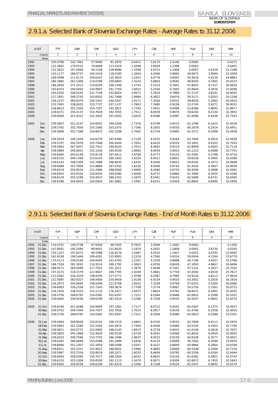## 2.9.1.a. Selected Bank of Slovenia Exchange Rates - Average Rates to 31.12.2006

|      | in SIT | <b>EUR</b>   | GBP            | CHF            | <b>USD</b>     | <b>JPY</b> | <b>CZK</b> | <b>HUF</b>     | PLN            | <b>SKK</b> | <b>HRK</b> |
|------|--------|--------------|----------------|----------------|----------------|------------|------------|----------------|----------------|------------|------------|
|      | Column | $\mathbf{1}$ | $\overline{2}$ | $\overline{3}$ | $\overline{4}$ | 5          | 6          | $\overline{7}$ | $\overline{8}$ | 9          | 10         |
|      | Dode   |              |                |                |                |            |            |                |                |            |            |
| 1992 |        | 105.0788     | 142.7461       | 57.9490        | 81.2870        | 0.6422     | 2.8170     | 1.0106         | 0.0060         |            | 0.4271     |
| 1993 |        | 132.2802     | 170.0252       | 76.6669        | 113.2419       | 1.0248     | 3.8509     | 1.2306         | 0.0063         | ٠          | 0.0491     |
| 1994 |        | 152.3622     | 197.0006       | 94.2149        | 128.8086       | 1.2598     | 4.4723     | 1.2408         | 0.0057         | 4.0159     | 21.2188    |
| 1995 |        | 153.1177     | 186.9737       | 100.2418       | 118.5185       | 1.2644     | 4.4366     | 0.9665         | 49.0672        | 3.9584     | 22.5009    |
| 1996 |        | 169.5098     | 211.4174       | 109.6247       | 135.3654       | 1.2453     | 4.9776     | 0.9097         | 50.3619        | 4.4139     | 24.8883    |
| 1997 |        | 180.3985     | 261.5308       | 110.0789       | 159.6893       | 1.3224     | 5.0803     | 0.8582         | 48.8393        | 4.7465     | 25.9223    |
| 1998 |        | 186.2659     | 275.2013       | 114.6526       | 166.1346       | 1.2743     | 5.1514     | 0.7841         | 47.8055        | 4.7157     | 26.0659    |
| 1999 |        | 193.6253     | 294.0493       | 120.9907       | 181.7704       | 1.6053     | 5.2556     | 0.7665         | 45.8644        | 4.3976     | 25.6099    |
| 2000 |        | 205.0316     | 336.5545       | 131.7159       | 222.6824       | 2.0673     | 5.7624     | 0.7888         | 51.2137        | 4.8181     | 26.9045    |
| 2001 |        | 217.1851     | 349.3743       | 143.8502       | 242.7488       | 1.9989     | 6.3822     | 0.8476         | 59.3171        | 5.0203     | 29.1298    |
| 2002 |        | 226.2237     | 360.0079       | 154.1931       | 240.2447       | 1.9171     | 7.3500     | 0.9332         | 58.8916        | 5.3062     | 30.5910    |
| 2003 |        | 233.7045     | 338.0625       | 153.7727       | 207.1137       | 1.7863     | 7.3480     | 0.9238         | 53.2745        | 5.6371     | 30.9031    |
| 2004 |        | 238.8615     | 352.1029       | 154.7207       | 192.3811       | 1.7783     | 7.4931     | 0.9499         | 52.8366        | 5.9692     | 31.8877    |
| 2005 |        | 239.6371     | 350.3115       | 154.7818       | 192.7055       | 1.7511     | 8.0509     | 0.9670         | 59.6242        | 6.2144     | 32.3952    |
| 2006 |        | 239.6009     | 351.4322       | 152.3405       | 191.0283       | 1.6425     | 8.4588     | 0.9087         | 61.5690        | 6.4436     | 32.7343    |
|      |        |              |                |                |                |            |            |                |                |            |            |
| 2005 | Oct.   | 239.5807     | 351.3147       | 154.6052       | 199.2506       | 1.7376     | 8.0799     | 0.9515         | 61.1596        | 6.1615     | 32.4528    |
|      | Nov.   | 239.5792     | 352.7656       | 155.1060       | 203.2470       | 1.7166     | 8.1855     | 0.9550         | 60.2878        | 6.1914     | 32.4951    |
|      | Dec.   | 239.5806     | 352.7348       | 154.8072       | 202.1508       | 1.7042     | 8.2754     | 0.9485         | 62.1571        | 6.3288     | 32.4458    |
|      |        |              |                |                |                |            |            |                |                |            |            |
| 2006 | Jan.   | 239.5819     | 349.1456       | 154.6279       | 197.9386       | 1.7139     | 8.3432     | 0.9564         | 62.7640        | 6.3919     | 32.4928    |
|      | Feb.   | 239.5747     | 350.7676       | 153.7948       | 200.4449       | 1.7002     | 8.4410     | 0.9529         | 63.1841        | 6.4103     | 32.7543    |
|      | Mar.   | 239.5850     | 347.9357       | 152.7422       | 199.5020       | 1.7015     | 8.3693     | 0.9219         | 61.8858        | 6.4003     | 32.7118    |
|      | Apr.   | 239.5864     | 345.0651       | 152.1430       | 195.9356       | 1.6695     | 8.4039     | 0.9025         | 61.1223        | 6.4088     | 32.7791    |
|      | May    | 239.6060     | 350.6148       | 153.9118       | 187.6411       | 1.6796     | 8.4773     | 0.9133         | 61.5581        | 6.3788     | 32.9716    |
|      | Jun.   | 239.6155     | 349.1390       | 153.6103       | 189.1902       | 1.6520     | 8.4511     | 0.8851         | 59.6528        | 6.3065     | 33.0389    |
|      | Jul.   | 239.6143     | 348.2300       | 152.7889       | 188.8930       | 1.6335     | 8.4266     | 0.8623         | 59.9182        | 6.2473     | 33.0698    |
|      | Aug.   | 239.6088     | 353.7894       | 151.8884       | 187.0762       | 1.6156     | 8.5006     | 0.8742         | 61.4034        | 6.3607     | 32.9058    |
|      | Sep.   | 239.6018     | 354.9524       | 151.2966       | 188.0560       | 1.6069     | 8.4480     | 0.8726         | 60.4599        | 6.3898     | 32.4361    |
|      | Oct.   | 239.6052     | 355.9334       | 150.6935       | 190.0380       | 1.6008     | 8.4737     | 0.8964         | 61.3990        | 6.5055     | 32.4196    |
|      | Nov.   | 239.6129     | 355.5299       | 150.4937       | 186.2352       | 1.5870     | 8.5461     | 0.9243         | 62.5999        | 6.6741     | 32.6365    |
|      | Dec.   | 239.6188     | 356.0833       | 150.0954       | 181.3881       | 1.5491     | 8.6251     | 0.9429         | 62.8802        | 6.8490     | 32.5958    |

# 2.9.1.b. Selected Bank of Slovenia Exchange Rates - End of Month Rates to 31.12.2006

|      | in SIT  | <b>EUR</b>   | GBP            | CHF            | <b>USD</b>     | <b>JPY</b>     | CZK             | <b>HUF</b>     | PLN            | <b>SKK</b>     | <b>HRK</b> |
|------|---------|--------------|----------------|----------------|----------------|----------------|-----------------|----------------|----------------|----------------|------------|
|      |         |              |                |                |                |                |                 |                |                |                |            |
|      | Column  | $\mathbf{1}$ | $\overline{2}$ | $\overline{3}$ | $\overline{4}$ | $\overline{5}$ | $6\overline{6}$ | $\overline{7}$ | $\overline{8}$ | $\overline{9}$ | 10         |
|      | Code    |              |                |                |                |                |                 |                |                |                |            |
| 1992 | 31.Dec. | 119.4741     | 149.2738       | 67.5004        | 98.7005        | 0.7925         | 3.3584          | 1.1692         | 0.0063         |                | 0.1300     |
| 1993 | 31.Dec. | 147.8001     | 195.2084       | 89.8447        | 131.8420       | 1.1819         | 4.2931          | 1.2808         | 0.0061         | 3.8730         | 0.0200     |
| 1994 | 31.Dec. | 155.1327     | 197.6472       | 96.5088        | 126.4576       | 1.2687         | 4.5533          | 1.1607         | 0.0053         | 4.0795         | 22.0000    |
| 1995 | 31.Dec. | 161.4538     | 194.5444       | 109.4581       | 125.9902       | 1.2224         | 4.7260          | 0.9314         | 50.0004        | 4.2194         | 23.6770    |
| 1996 | 31.Dec. | 175.4113     | 239.0169       | 104.6444       | 141.4792       | 1.2201         | 5.2536          | 0.8988         | 49.7196        | 4.4357         | 25.5786    |
| 1997 | 31.Dec. | 186.7334     | 281.5091       | 116.3514       | 169.1792       | 1.3063         | 4.9700          | 0.8426         | 47.3093        | 4.8667         | 26.8496    |
| 1998 | 31.Dec. | 188.9271     | 269.5999       | 117.7452       | 161.2011       | 1.3976         | 5.4048          | 0.7441         | 47.1241        | 4.3637         | 25.7502    |
| 1999 | 31.Dec. | 197.3215     | 318.1579       | 122.9647       | 196.7705       | 1.9249         | 5.4681          | 0.7758         | 47.4582        | 4.6526         | 25.7617    |
| 2000 | 31.Dec. | 211.5062     | 339.3329       | 138.9295       | 227.3771       | 1.9798         | 6.0387          | 0.7980         | 54.9224        | 4.8113         | 27.9818    |
| 2001 | 31.Dec. | 221.4095     | 363.5027       | 149.5606       | 250.9458       | 1.9138         | 6.9234          | 0.9033         | 63.3051        | 5.1816         | 30.1816    |
| 2002 | 31.Dec. | 230.2673     | 354.0940       | 158.5099       | 221.0708       | 1.8542         | 7.3194          | 0.9768         | 57.6331        | 5.5300         | 30.8380    |
| 2003 | 31.Dec. | 236.6903     | 336.2556       | 151.7343       | 189.3674       | 1.7708         | 7.2774          | 0.9067         | 50.5759        | 5.7561         | 30.9723    |
| 2004 | 31.Dec. | 239.7430     | 338.3333       | 155.1132       | 176.2427       | 1.6972         | 7.8816          | 0.9765         | 58.8471        | 6.1892         | 31.4055    |
| 2005 | 31.Dec. | 239.5756     | 348.6765       | 154.0382       | 202.4297       | 1.7221         | 8.2584          | 0.9486         | 62.0823        | 6.3288         | 32.5201    |
| 2006 | 31.Dec. | 239.6400     | 356.9258       | 149.0299       | 181.9314       | 1.5296         | 8.7208          | 0.9524         | 62.5937        | 6.9602         | 32.6374    |
|      |         |              |                |                |                |                |                 |                |                |                |            |
| 2005 | 31.Oct. | 239.6246     | 351.4588       | 154.9664       | 197.2381       | 1.7117         | 8.0722          | 0.9541         | 60.0367        | 6.1375         | 32.4937    |
|      | 30.Nov. | 239.5742     | 349.7944       | 154.7937       | 202.7026       | 1.7014         | 8.2817          | 0.9539         | 61.4766        | 6.3358         | 32.4055    |
|      | 31.Dec. | 239.5756     | 348.6765       | 154.0382       | 202.4297       | 1.7221         | 8.2584          | 0.9486         | 62.0823        | 6.3288         | 32.5201    |
|      |         |              |                |                |                |                |                 |                |                |                |            |
| 2006 | 31.Jan. | 239.5844     | 349.9626       | 154.0141       | 198.1510       | 1.6841         | 8.4316          | 0.9520         | 62.7809        | 6.4111         | 32.5974    |
|      | 28.Feb. | 239.5663     | 351.5280       | 153.1950       | 202.0974       | 1.7394         | 8.4569          | 0.9489         | 63.5320        | 6.4303         | 32.7769    |
|      | 31.Mar. | 239.5871     | 345.0772       | 152.0995       | 198.5145       | 1.6915         | 8.3778          | 0.9025         | 61.0149        | 6.3618         | 32.7037    |
|      | 30.Apr. | 239.5803     | 345.1668       | 152.4630       | 190.9158       | 1.6728         | 8.4261          | 0.9068         | 61.8033        | 6.4059         | 32.9003    |
|      | 31.May  | 239.6203     | 349.7596       | 153.7703       | 186.1996       | 1.6637         | 8.5023          | 0.9159         | 60.8328        | 6.3577         | 33.0051    |
|      | 30.Jun. | 239.6285     | 346.6848       | 153.0586       | 191.2896       | 1.6426         | 8.4110          | 0.8489         | 58.7642        | 6.2599         | 33.0974    |
|      | 31.Jul. | 239.6096     | 351.2307       | 152.3459       | 189.1008       | 1.6347         | 8.4227          | 0.8849         | 60.9864        | 6.2964         | 33.0268    |
|      | 31.Aug. | 239.6011     | 355.3331       | 151.9637       | 186.9401       | 1.5966         | 8.4845          | 0.8669         | 60.5436        | 6.3496         | 32.7154    |
|      | 30.Sep. | 239.5987     | 353.7034       | 150.8618       | 189.1071       | 1.6033         | 8.4649          | 0.8785         | 60.3356        | 6.4184         | 32.4444    |
|      | 31.Oct. | 239.6000     | 358.0395       | 150.7677       | 188.3204       | 1.6032         | 8.4625          | 0.9126         | 61.6382        | 6.5851         | 32.5743    |
|      | 30.Nov. | 239.6220     | 355.1008       | 150.8100       | 182.1113       | 1.5670         | 8.5671          | 0.9308         | 62.6872        | 6.7455         | 32.5843    |
|      | 31.Dec. | 239.6400     | 356.9258       | 149.0299       | 181.9314       | 1.5296         | 8.7208          | 0.9524         | 62.5937        | 6.9602         | 32.6374    |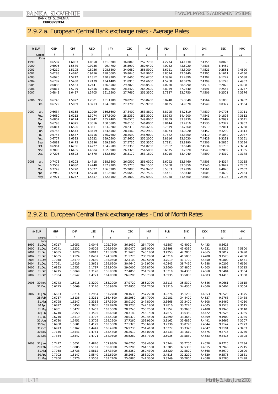**EUROSYSTEM**

### 2.9.2.a. European Central Bank exchange rates - Average Rates

| for EUR |         | GBP            | CHF            | <b>USD</b>     | <b>JPY</b>     | <b>CZK</b> | <b>HUF</b> | PLN             | <b>SKK</b> | <b>DKK</b> | <b>SEK</b> | <b>HRK</b> |
|---------|---------|----------------|----------------|----------------|----------------|------------|------------|-----------------|------------|------------|------------|------------|
|         | Stolpec | $\overline{1}$ | $\overline{2}$ | $\overline{3}$ | $\overline{4}$ | 5          | 6          | $7\overline{ }$ | 8          | 9          | 10         | 11         |
|         | Koda    |                |                |                |                |            |            |                 |            |            |            |            |
| 1999    |         | 0.6587         | 1.6003         | 1.0658         | 121.3200       | 36.8840    | 252.7700   | 4.2274          | 44.1230    | 7.4355     | 8.8075     |            |
| 2000    |         | 0.6095         | 1.5579         | 0.9236         | 99.4700        | 35.5990    | 260.0400   | 4.0082          | 42.6020    | 7.4538     | 8.4452     |            |
| 2001    |         | 0.6219         | 1.5105         | 0.8956         | 108,6800       | 34.0680    | 256.5900   | 3.6721          | 43.3000    | 7.4521     | 9.2551     | 7.4820     |
| 2002    |         | 0.6288         | 1.4670         | 0.9456         | 118,0600       | 30.8040    | 242.9600   | 3.8574          | 42.6940    | 7.4305     | 9.1611     | 7.4130     |
| 2003    |         | 0.6920         | 1.5212         | 1.1312         | 130.9700       | 31.8460    | 253.6200   | 4.3996          | 41.4890    | 7.4307     | 9.1242     | 7.5688     |
| 2004    |         | 0.6787         | 1.5438         | 1.2439         | 134.4400       | 31.8910    | 251.6600   | 4.5268          | 40.0220    | 7.4399     | 9.1243     | 7.4967     |
| 2005    |         | 0.6838         | 1.5483         | 1.2441         | 136.8500       | 29.7820    | 248.0500   | 4.0230          | 38.5990    | 7.4518     | 9.2822     | 7.4008     |
| 2006    |         | 0.6817         | 1.5729         | 1.2556         | 146.0200       | 28.3420    | 264.2600   | 3.8959          | 37.2340    | 7.4591     | 9.2544     | 7.3247     |
| 2007    |         | 0.6843         | 1.6427         | 1.3705         | 161.2500       | 27.7660    | 251.3500   | 3.7837          | 33.7750    | 7.4506     | 9.2501     | 7.3376     |
|         |         |                |                |                |                |            |            |                 |            |            |            |            |
| 2006    | Nov.    | 0.6740         | 1.5922         | 1.2881         | 151.1100       | 28.0290    | 258.8400   | 3.8248          | 35.8840    | 7.4564     | 9.1008     | 7.3482     |
|         | Dec.    | 0.6729         | 1.5969         | 1.3213         | 154.8200       | 27.7780    | 253.9700   | 3.8125          | 34.9670    | 7.4549     | 9.0377     | 7.3564     |
|         |         |                |                |                |                |            |            |                 |            |            |            |            |
| 2007    | Jan.    | 0.6634         | 1.6155         | 1.2999         | 156.5600       | 27.8400    | 253.8800   | 3.8795          | 34.7510    | 7.4539     | 9.0795     | 7.3711     |
|         | Feb.    | 0.6680         | 1.6212         | 1.3074         | 157.6000       | 28.2330    | 253.3000   | 3.8943          | 34.4900    | 7.4541     | 9.1896     | 7.3612     |
|         | Mar.    | 0.6802         | 1.6124         | 1.3242         | 155.2400       | 28.0570    | 249.8600   | 3.8859          | 33.8130    | 7.4494     | 9.2992     | 7.3641     |
|         | Apr.    | 0.6793         | 1.6375         | 1.3516         | 160.6800       | 28.0150    | 246.0000   | 3.8144          | 33.4910    | 7.4530     | 9.2372     | 7.3967     |
|         | May.    | 0.6814         | 1.6506         | 1.3511         | 163.2200       | 28.2310    | 248.4200   | 3.7819          | 33.7360    | 7.4519     | 9.2061     | 7.3258     |
|         | Jun.    | 0.6756         | 1.6543         | 1.3419         | 164.5500       | 28.5460    | 250.2900   | 3.8074          | 34.0020    | 7.4452     | 9.3290     | 7.3313     |
|         | Jul.    | 0.6744         | 1.6567         | 1.3716         | 166.7600       | 28.3590    | 246.9000   | 3.7682          | 33.3260    | 7.4410     | 9.1842     | 7.2947     |
|         | Aug.    | 0.6777         | 1.6383         | 1.3622         | 159.0500       | 27.8600    | 255.2000   | 3.8116          | 33.6030    | 7.4429     | 9.3231     | 7.3161     |
|         | Sep.    | 0.6889         | 1.6475         | 1.3896         | 159.8200       | 27.5730    | 253.3300   | 3.7891          | 33.8290    | 7.4506     | 9.2835     | 7.3134     |
|         | Oct.    | 0.6961         | 1.6706         | 1.4227         | 164.9500       | 27.3350    | 251.0200   | 3.7062          | 33.6240    | 7.4534     | 9.1735     | 7.3284     |
|         | Nov.    | 0.7090         | 1.6485         | 1.4684         | 162.8900       | 26.7320    | 254.5000   | 3.6575          | 33.2320    | 7.4543     | 9.2889     | 7.3365     |
|         | Dec.    | 0.7206         | 1.6592         | 1.4570         | 163.5500       | 26.3170    | 253.1800   | 3.6015          | 33.4040    | 7.4599     | 9.4319     | 7.3178     |
|         |         |                |                |                |                |            |            |                 |            |            |            |            |
| 2008    | Jan.    | 0.7473         | 1.6203         | 1.4718         | 158.6800       | 26.0500    | 256.0300   | 3.6092          | 33.5460    | 7.4505     | 9.4314     | 7.3155     |
|         | Feb.    | 0.7509         | 1.6080         | 1.4748         | 157.9700       | 25.3770    | 262.1500   | 3.5768          | 33.0850    | 7.4540     | 9.3642     | 7.2707     |
|         | Mar.    | 0.7749         | 1.5720         | 1.5527         | 156.5900       | 25.2080    | 259.9400   | 3.5363          | 32.4990    | 7.4561     | 9.4020     | 7.2662     |
|         | Apr.    | 0.7949         | 1.5964         | 1.5750         | 161.5600       | 25.0640    | 253.7500   | 3.4421          | 32.3740    | 7.4603     | 9.3699     | 7.2654     |
|         | May.    | 0.7921         | 1.6247         | 1.5557         | 162.3100       | 25.1000    | 247.6900   | 3.4038          | 31.4660    | 7.4609     | 9.3106     | 7.2539     |

# 2.9.2.b. European Central Bank exchange rates - End of Month Rates

|      | for EUR | GBP          | CHF            | <b>USD</b>     | <b>JPY</b>     | <b>CZK</b> | <b>HUF</b> | PLN            | <b>SKK</b> | <b>DKK</b> | <b>SEK</b> | <b>HRK</b> |
|------|---------|--------------|----------------|----------------|----------------|------------|------------|----------------|------------|------------|------------|------------|
|      | Stolpec | $\mathbf{1}$ | $\overline{2}$ | $\overline{3}$ | $\overline{4}$ | 5          | 6          | $\overline{7}$ | 8          | 9          | 10         | 11         |
|      | Koda    |              |                |                |                |            |            |                |            |            |            |            |
| 1999 | 31.Dec  | 0.6217       | 1.6051         | 1.0046         | 102.7300       | 36.1030    | 254.7000   | 4.1587         | 42.4020    | 7.4433     | 8.5625     |            |
| 2000 | 31.Dec  | 0.6241       | 1.5232         | 0.9305         | 106.9200       | 35.0470    | 265.0000   | 3.8498         | 43.9330    | 7.4631     | 8.8313     | 7.5800     |
| 2001 | 31.Dec  | 0.6085       | 1.4829         | 0.8813         | 115.3300       | 31.9620    | 245.1800   | 3.4953         | 42.7800    | 7.4365     | 9.3012     | 7.3490     |
| 2002 | 31.Dec  | 0.6505       | 1.4524         | 1.0487         | 124.3900       | 31.5770    | 236.2900   | 4.0210         | 41.5030    | 7.4288     | 9.1528     | 7.4750     |
| 2003 | 31.Dec  | 0.7048       | 1.5579         | 1.2630         | 135.0500       | 32.4100    | 262.5000   | 4.7019         | 41.1700    | 7.4450     | 9.0800     | 7.6451     |
| 2004 | 31.Dec  | 0.7051       | 1.5429         | 1.3621         | 139.6500       | 30.4640    | 245.9700   | 4.0845         | 38.7450    | 7.4388     | 9.0206     | 7.6650     |
| 2005 | 31.Dec  | 0.6853       | 1.5551         | 1.1797         | 138,9000       | 29.0000    | 252.8700   | 3.8600         | 37.8800    | 7.4605     | 9.3885     | 7.3715     |
| 2006 | 31.Dec  | 0.6715       | 1.6069         | 1.3170         | 156.9300       | 27.4850    | 251.7700   | 3.8310         | 34.4350    | 7.4560     | 9.0404     | 7.3504     |
| 2007 | 31.Dec  | 0.7334       | 1.6547         | 1.4721         | 164.9300       | 26.6280    | 253.7300   | 3.5935         | 33.5830    | 7.4583     | 9.4415     | 7.3308     |
|      |         |              |                |                |                |            |            |                |            |            |            |            |
| 2006 | 30.Nov  | 0.6743       | 1.5916         | 1.3200         | 153.2900       | 27.9720    | 256.2700   | 3.8113         | 35.5300    | 7.4546     | 9.0661     | 7.3615     |
|      | 31.Dec. | 0.6715       | 1.6069         | 1.3170         | 156.9300       | 27.4850    | 251.7700   | 3.8310         | 34.4350    | 7.4560     | 9.0404     | 7.3504     |
|      |         |              |                |                |                |            |            |                |            |            |            |            |
| 2007 | 31.Jan. | 0.6633       | 1.6214         | 1.2954         | 157.2700       | 28.1630    | 257.2200   | 3.9274         | 35.1200    | 7.4553     | 9.0520     | 7.3675     |
|      | 28.Feb. | 0.6737       | 1.6136         | 1.3211         | 156.4500       | 28.2950    | 254.7000   | 3.9181         | 34.4400    | 7.4527     | 9.2763     | 7.3488     |
|      | 31.Mar. | 0.6798       | 1.6247         | 1.3318         | 157.3200       | 28.0100    | 247.8000   | 3.8668         | 33.3400    | 7.4508     | 9.3462     | 7.4050     |
|      | 30.Apr. | 0.6827       | 1.6458         | 1.3605         | 162.8200       | 28.1230    | 247.1800   | 3.7810         | 33.7270    | 7.4505     | 9.1523     | 7.3615     |
|      | 31.May  | 0.6801       | 1.6477         | 1.3453         | 163.5600       | 28.3240    | 250.2500   | 3.8152         | 33.9680    | 7.4488     | 9.2945     | 7.3140     |
|      | 30.Jun  | 0.6740       | 1.6553         | 1.3505         | 166.6300       | 28.7180    | 246.1500   | 3.7677         | 33.6350    | 7.4422     | 9.2525     | 7.3035     |
|      | 31.Jul  | 0.6740       | 1.6519         | 1.3707         | 163.5900       | 28.0370    | 250.4500   | 3.7890         | 33.3650    | 7.4409     | 9.1900     | 7.3085     |
|      | 31.Aug  | 0.6780       | 1.6451         | 1.3705         | 159.2500       | 27.7260    | 253.9100   | 3.8162         | 33.6890    | 7.4491     | 9.3662     | 7.3207     |
|      | 30.Sep. | 0.6968       | 1.6601         | 1.4179         | 163.5500       | 27.5320    | 250.6900   | 3.7730         | 33.8770    | 7.4544     | 9.2147     | 7.2773     |
|      | 31.Oct  | 0.6973       | 1.6762         | 1.4447         | 166.4900       | 26.9730    | 251.4100   | 3.6377         | 33.3320    | 7.4547     | 9.2191     | 7.3463     |
|      | 30.Nov. | 0.7146       | 1.6541         | 1.4761         | 163.4300       | 26.2610    | 253.0000   | 3.6133         | 33.1610    | 7.4575     | 9.3715     | 7.3240     |
|      | 31.Dec. | 0.7334       | 1.6547         | 1.4721         | 164.9300       | 26.6280    | 253.7300   | 3.5935         | 33.5830    | 7.4583     | 9.4415     | 7.3308     |
|      |         |              |                |                |                |            |            |                |            |            |            |            |
| 2008 | 31.Jan. | 0.7477       | 1.6051         | 1.4870         | 157.9300       | 26.0700    | 259.4600   | 3.6244         | 33.7750    | 7.4528     | 9.4725     | 7.2284     |
|      | 29.Feb. | 0.7652       | 1.5885         | 1.5167         | 158.0300       | 25.2280    | 264.1500   | 3.5305         | 32.5300    | 7.4515     | 9.3948     | 7.2715     |
|      | 31.Mar. | 0.7958       | 1.5738         | 1.5812         | 157.3700       | 25.3350    | 259.4300   | 3.5220         | 32.5820    | 7.4568     | 9.3970     | 7.2690     |
|      | 30.Apr. | 0.7902       | 1.6147         | 1.5540         | 162.6200       | 25.2050    | 253.3200   | 3.4515         | 32.2290    | 7.4620     | 9.3575     | 7.2681     |
|      | 31.May  | 0.7860       | 1.6276         | 1.5508         | 163.7400       | 25.0880    | 241.3300   | 3.3749         | 30.2800    | 7.4588     | 9.3280     | 7.2498     |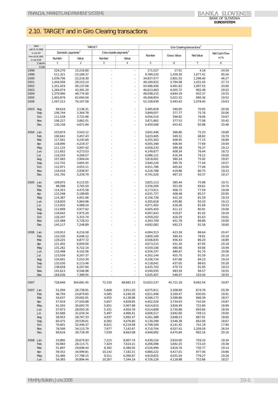## 2.10. TARGET and in Giro Clearing transactions

| Value                          |                |                                | TARGET                             |                |                |             | Giro Clearing transactions' |                |
|--------------------------------|----------------|--------------------------------|------------------------------------|----------------|----------------|-------------|-----------------------------|----------------|
| until 31.12.2006<br>in mio SIT |                | Domestic payments <sup>2</sup> | Cross-border payments <sup>3</sup> |                |                |             |                             | Net Cash Flow  |
| from 01.01.2007                |                |                                |                                    |                | Number         | Gross Value | Net Value                   | in%            |
| in mio EUR                     | Number         | Value                          | Number                             | Value          |                |             |                             |                |
| Column<br>Code                 | $\overline{1}$ | $\overline{2}$                 | $\overline{3}$                     | $\overline{4}$ | $\overline{5}$ | 6           |                             | $\overline{8}$ |
| 1998                           | 224,270        | 15,216.80                      |                                    | ×,             | 171,527        | 17.01       | 4.18                        | 24.59          |
| 1999                           | 511,321        | 23,184.37                      |                                    |                | 9,789,220      | 1,259.30    | 1,077.41                    | 85.56          |
| 2000                           | 1,039,796      | 22,218.30                      |                                    | ×              | 34,837,077     | 2,801.55    | 1,296.40                    | 46.27          |
| 2001                           | 1,444,594      | 29,153.14                      |                                    | ä,             | 48,180,832     | 3,794.08    | 1,431.45                    | 37.73          |
| 2002                           | 1,351,429      | 40,137.66                      |                                    | ×.             | 50,486,456     | 4,461.62    | 1,097.55                    | 24.60          |
| 2003                           | 1,264,074      | 43,391.20                      |                                    | ä,             | 46,613,463     | 4,505.72    | 902.48                      | 20.03          |
| 2004                           | 1,370,990      | 48,774.40                      |                                    | ä,             | 48,598,215     | 4,844.19    | 932.37                      | 19.25          |
| 2005                           | 1,403,876      | 62,694.04                      |                                    |                | 49,368,854     | 5,021.52    | 980.36                      | 19.52          |
| 2006                           | 1,567,213      | 76,107.58                      |                                    | ä,             | 52,108,939     | 5,493.42    | 1,078.40                    | 19.63          |
|                                |                |                                |                                    |                |                |             |                             |                |
| 2003 Aug.                      | 94,616         | 3,136.31                       |                                    | ٠              | 3,485,818      | 340.65      | 70.05                       | 20.56          |
| Sep.                           | 106,744        | 3,364.78                       |                                    |                | 3,849,057      | 377.77      | 75.76                       | 20.06          |
| Oct.                           | 111,528        | 3,722.86                       |                                    | ×.             | 4,056,510      | 396.82      | 78.06                       | 19.67          |
| Nov.                           | 106,227        | 3,862.01                       |                                    | ä,             | 3,871,862      | 377.53      | 77.08                       | 20.42          |
| Dec.                           | 130,156        | 4,671.94                       |                                    |                | 4,450,568      | 453.42      | 92.88                       | 20.48          |
|                                |                |                                |                                    |                |                |             |                             |                |
| 2004<br>Jan.                   | 103,874        | 3,543.12                       |                                    | ä,             | 3,641,446      | 366.80      | 72.23                       | 19.69          |
| Feb.                           | 100,641        | 3,457.43                       |                                    |                | 3,633,405      | 349.31      | 68.82                       | 19.70          |
| Mar.                           | 117,561        | 4,245.60                       |                                    | ٠              | 4,255,363      | 408.45      | 77.15                       | 18.89          |
| Apr.                           | 118,890        | 4,219.37                       |                                    |                | 4,005,348      | 406.94      | 77.69                       | 19.09          |
| May                            | 111,125        | 3,947.42                       |                                    |                | 4,058,333      | 399.38      | 76.37                       | 19.12          |
| Jun.                           | 111,652        | 4,273.53                       |                                    | i,             | 4,149,877      | 408.34      | 76.44                       | 18.72          |
| Jul.                           | 116,243        | 4,266.57                       |                                    | ×,             | 4,086,121      | 416.34      | 79.12                       | 19.00          |
| Aug.                           | 107,083        | 3,904.04                       |                                    |                | 3,818,001      | 380.24      | 75.92                       | 19.97          |
| Sep.                           | 112,742        | 3,665.45                       |                                    | ä,             | 3,940,229      | 395.76      | 77.44                       | 19.57          |
| Oct.                           | 112,971        | 4,053.11                       |                                    | ä,             | 4,051,786      | 405.62      | 77.06                       | 19.00          |
| Nov.                           | 116,416        | 3,938.97                       |                                    | ٠              | 4,216,786      | 419.86      | 80.75                       | 19.23          |
| Dec.                           | 141,792        | 5,259.79                       |                                    |                | 4,741,520      | 487.15      | 93.37                       | 19.17          |
|                                |                |                                |                                    |                |                |             |                             |                |
| 2005<br>Jan.                   | 109,875        | 4,115.05                       |                                    |                | 3,825,113      | 385.44      | 75.98                       | 19.71          |
| Feb.                           | 98,588         | 3,765.59                       |                                    | ٠              | 3,556,269      | 353.28      | 69.61                       | 19.70          |
| Mar.                           | 114,353        | 4,475.58                       |                                    |                | 4,173,911      | 406.72      | 77.59                       | 19.08          |
| Apr.                           | 115,548        | 5,188.89                       |                                    | ä,             | 4,031,727      | 408.48      | 85.57                       | 20.95          |
| May                            | 114,367        | 4,951.66                       |                                    |                | 4,156,728      | 422.16      | 81.59                       | 19.33          |
| Jun.                           | 118,820        | 5,964.96                       |                                    | ×,             | 4,305,618      | 435.80      | 83.33                       | 19.12          |
| Jul.                           | 113,932        | 4,988.24                       |                                    |                | 4,071,402      | 418.26      | 81.69                       | 19.53          |
| Aug.                           | 112,899        | 4,977.62                       |                                    | ×.             | 4,005,450      | 411.12      | 80.91                       | 19.68          |
| Sep.                           | 118,642        | 5,975.29                       |                                    | ä,             | 4,097,643      | 419.97      | 81.02                       | 19.29          |
| Oct.                           | 116,247        | 5,315.74                       |                                    | ٠              | 4,059,202      | 416.29      | 81.63                       | 19.61          |
| Nov.                           | 125,488        | 5,726.53                       |                                    |                | 4,393,709      | 451.78      | 89.89                       | 19.90          |
| Dec.                           | 145,117        | 7,248.89                       |                                    | ×.             | 4,692,082      | 492.23      | 91.56                       | 18.60          |
|                                |                |                                |                                    |                |                |             |                             |                |
| 2006<br>Jan.                   | 120,912        | 6,216.58                       |                                    |                | 4,084,313      | 423.28      | 86.64                       | 20.47          |
| Feb.                           | 110,330        | 6,046.12                       |                                    |                | 3,800,169      | 390.43      | 78.81                       | 20.18          |
| Mar.                           | 129,225        | 6,877.72                       |                                    |                | 4,506,835      | 456.43      | 86.20                       | 18.89          |
| Apr.                           | 121,402        | 6,004.00                       |                                    |                | 4,073,215      | 431.34      | 87.05                       | 20.18          |
| May                            | 131,262        | 6,722.14                       |                                    |                | 4,559,106      | 480.46      | 93.66                       | 19.49          |
| Jun.                           | 132,498        | 6,162.06                       |                                    |                | 4,556,337      | 480.67      | 91.70                       | 19.08          |
| Jul.                           | 123,556        | 6,267.37                       |                                    |                | 4,302,144      | 455.70      | 91.59                       | 20.10          |
| Aug.                           | 120,691        | 5,553.39                       |                                    | ×,             | 4,106,734      | 437.66      | 84.23                       | 19.24          |
| Sep.                           | 133,030        | 6,113.46                       |                                    |                | 4,118,041      | 437.05      | 88.63                       | 20.28          |
| Oct.                           | 138,658        | 6,207.84                       |                                    | ×              | 4,425,703      | 470.74      | 91.95                       | 19.53          |
| Nov.                           | 141,613        | 6,546.96                       |                                    |                | 4,540,935      | 483.59      | 94.57                       | 19.55          |
| Dec.                           | 164,036        | 7,389.95                       |                                    | ×,             | 5,035,407      | 546.07      | 103.40                      | 18.93          |
| 2007                           | 728,846        | 364,681.45                     | 72,150                             | 68,882.13      | 53,652,237     | 45,721.18   | 9,082.54                    | 19.87          |
| 2007 Jan.                      | 51,094         | 28,738.91                      | 5,668                              | 5,911.03       | 4,075,911      | 3,308.69    | 674.78                      | 20.39          |
| Feb.                           | 46,793         | 24,874.65                      | 4,585                              | 4,240.35       | 4,021,948      | 3,169.47    | 630.93                      | 19.91          |
| Mar.                           | 54,637         | 29,065.91                      | 4,955                              | 6,138.88       | 4,566,173      | 3,588.86    | 666.39                      | 18.57          |
| Apr.                           | 57,919         | 27,593.88                      | 5,607                              | 4,828.85       | 4,402,528      | 3,734.63    | 742.04                      | 19.87          |
| May                            | 61,593         | 30,693.70                      | 5,651                              | 5,907.68       | 4,614,810      | 3,826.49    | 722.84                      | 18.89          |
| Jun.                           | 57,973         | 28,093.16                      | 5,331                              | 4,954.76       | 4,514,808      | 3,730.86    | 693.60                      | 18.59          |
| Jul.                           | 62,686         | 31,034.34                      | 5,497                              | 4,906.41       | 4,606,517      | 3,942.60    | 749.13                      | 19.00          |
| Aug.                           | 58,953         | 28,767.33                      | 4,937                              | 5,892.47       | 4,261,388      | 3,698.53    | 687.91                      | 18.60          |
| Sep.                           | 60,475         | 29,539.01                      | 6,582                              | 4,076.85       | 4,130,289      | 3,546.38    | 662.00                      | 18.67          |
| Oct.                           | 70,601         | 32,446.37                      | 8,621                              | 6,219.08       | 4,798,169      | 4,141.42    | 741.18                      | 17.90          |
| Nov.                           | 76,506         | 34,115.79                      | 7,677                              | 7,142.67       | 4,710,704      | 4,557.41    | 1,209.58                    | 26.54          |
| Dec.                           | 69,616         | 39,718.39                      | 7,039                              | 8,663.08       | 4,948,992      | 4,475.84    | 902.16                      | 20.16          |
|                                |                |                                |                                    |                |                |             |                             |                |
| 2008<br>Jan.                   | 53,895         | 30,674.93                      | 7,215                              | 8,907.74       | 4,430,224      | 3,924.00    | 759.10                      | 19.34          |
| Feb.                           | 50,983         | 28,115.71                      | 7,429                              | 7,614.21       | 4,296,098      | 3,692.25    | 715.43                      | 19.38          |
| Mar.                           | 51,897         | 29,698.44                      | 8,382                              | 6,380.05       | 4,526,999      | 3,818.76    | 730.77                      | 19.14          |
| Apr.                           | 59,352         | 34,999.81                      | 10,142                             | 7,182.21       | 4,880,222      | 4,417.01    | 877.40                      | 19.86          |
| May                            | 52,480         | 27,798.15                      | 9,311                              | 6,360.67       | 4,619,825      | 4,031.04    | 776.27                      | 19.26          |
| Jun.                           | 54,383         | 30,894.44                      | 10,267                             | 7,344.14       | 4,726,126      | 4,118.98    | 752.66                      | 18.27          |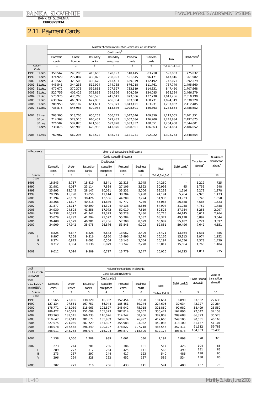**EUROSYSTEM**

# 2.11. Payment Cards

|      |              |                   |                  |                    |                           | Number of cards in circulation - cards issued in Slovenia |                          |                           |                          |
|------|--------------|-------------------|------------------|--------------------|---------------------------|-----------------------------------------------------------|--------------------------|---------------------------|--------------------------|
|      |              |                   |                  |                    | Credit cards <sup>1</sup> |                                                           |                          |                           |                          |
|      |              | Domestic<br>cards | Under<br>licence | Issued by<br>banks | Issued by<br>enterprises  | Personal<br>cards                                         | <b>Business</b><br>cards | Total                     | Debit cards <sup>2</sup> |
|      | Column       | $\mathbf{1}$      | $\mathfrak{D}$   | 3                  | 4                         | 5                                                         | 6                        | $7 = 1 + 2, 3 + 4, 5 + 6$ | 8                        |
|      | Code         |                   |                  |                    |                           |                                                           |                          |                           |                          |
|      | 1998 31.dec. | 350,567           | 243,296          | 415,666            | 178,197                   | 510.145                                                   | 83,718                   | 593.863                   | 775,032                  |
| 1999 | 31.dec.      | 374.929           | 272,887          | 438.823            | 208.993                   | 551.645                                                   | 96.171                   | 647,816                   | 961.982                  |
| 2000 | 31.dec.      | 418,565           | 323,506          | 498.670            | 243.401                   | 629.879                                                   | 112.192                  | 742.071                   | 1,392,379                |
| 2001 | 31.dec.      | 443.541           | 344.238          | 512.994            | 274.785                   | 676.018                                                   | 111.761                  | 787.779                   | 1.495.660                |
| 2002 | 31.dec.      | 477,072           | 370,378          | 539.853            | 307.597                   | 733,119                                                   | 114,331                  | 847.450                   | 1,707,668                |
| 2003 | 31.dec.      | 522.759           | 405.425          | 573.818            | 354.366                   | 804.099                                                   | 124.085                  | 928.184                   | 2.466.579                |
| 2004 | 31.dec.      | 575.976           | 435.260          | 595.595            | 415.641                   | 873.506                                                   | 137.730                  | 1.011.236                 | 2.310.190                |
| 2005 | 31.dec.      | 630,342           | 463.977          | 627,935            | 466.384                   | 933,588                                                   | 160.731                  | 1.094.319                 | 2,330,220                |
| 2006 | 31.dec.      | 700.950           | 506.102          | 651.681            | 555.371                   | 1.043.121                                                 | 163.931                  | 1.207.052                 | 2.412.485                |
| 2007 | 31.dec.      | 738.876           | 545.988          | 670.988            | 613.876                   | 1.098.501                                                 | 186.363                  | 1,284,864                 | 2.486.652                |
|      |              |                   |                  |                    |                           |                                                           |                          |                           |                          |
| 2007 | 31.mar.      | 703.300           | 513,705          | 656,263            | 560,742                   | 1,047,646                                                 | 169,359                  | 1,217,005                 | 2,461,351                |
|      | $30.$ jun.   | 714,368           | 529,516          | 666,451            | 577,433                   | 1.067.684                                                 | 176,200                  | 1,243,884                 | 2,497,675                |
|      | 30. sep.     | 726.582           | 537.826          | 671.580            | 592.828                   | 1.083.857                                                 | 180.551                  | 1,264,408                 | 2,544,001                |
|      | 31.dec.      | 738,876           | 545.988          | 670.988            | 613.876                   | 1.098.501                                                 | 186,363                  | 1,284,864                 | 2,486,652                |
|      | 2008 31.mar. | 760.967           | 562.296          | 674,522            | 648.741                   | 1,121,241                                                 | 202.022                  | 1,323,263                 | 2.548.654                |

| In thousands   |                   |                  |                    |                           | Volume of transactions in Slovenia |                          |                           |                          |                     |                     |
|----------------|-------------------|------------------|--------------------|---------------------------|------------------------------------|--------------------------|---------------------------|--------------------------|---------------------|---------------------|
|                |                   |                  |                    |                           | Cards issued in Slovenia           |                          |                           |                          |                     | Number of           |
|                |                   |                  |                    | Credit cards <sup>1</sup> |                                    |                          |                           |                          | Cards issued        | transaction         |
|                | Domestic<br>cards | Under<br>licence | Issued by<br>banks | Issued by<br>enterprises  | Personal<br>cards                  | <b>Business</b><br>cards | Total                     | Debit cards <sup>2</sup> | abroad <sup>3</sup> | abroad <sup>4</sup> |
| Column         | 1                 | $\mathcal{P}$    | 3                  | 4                         | 5                                  | 6                        | $7 = 1 + 2, 3 + 4, 5 + 6$ | 8                        | $\overline{9}$      | 10                  |
| Code           |                   |                  |                    |                           |                                    |                          |                           |                          |                     |                     |
| 1996           | 18,543            | 5,717            | 18,419             | 5,841                     | 21,315                             | 2,945                    | 24,260                    | ٠                        | 1,212               | 725                 |
| 1997           | 21.981            | 9.017            | 23.114             | 7.884                     | 27.106                             | 3.892                    | 30.998                    | 45                       | 1.755               | 948                 |
| 1998           | 25.993            | 12.245           | 28.147             | 10.091                    | 33.231                             | 5.006                    | 38.238                    | 1,216                    | 2.278               | 1,278               |
| 1999           | 28.396            | 15.798           | 33.050             | 11.144                    | 38.704                             | 5.490                    | 44.194                    | 5.264                    | 2.925               | 1.433               |
| 2000           | 31.794            | 20.139           | 38.426             | 13.506                    | 44.209                             | 7.724                    | 51.933                    | 13.933                   | 3.745               | 1.558               |
| 2001           | 33,366            | 21,697           | 40,218             | 14,846                    | 47,777                             | 7,286                    | 55,063                    | 26,388                   | 4,585               | 1,623               |
| 2002           | 31.877            | 23,117           | 40.599             | 14.394                    | 49,138                             | 5,856                    | 54,994                    | 31,988                   | 4,752               | 1,788               |
| 2003           | 34.930            | 24.598           | 41.556             | 17.972                    | 52.010                             | 7.519                    | 59.528                    | 37.784                   | 5.253               | 2.097               |
| 2004           | 34.338            | 26,377           | 41.342             | 19.373                    | 53,228                             | 7.486                    | 60.715                    | 44.145                   | 5.011               | 2,764               |
| 2005           | 35,079            | 28,292           | 41.794             | 21,577                    | 55,784                             | 7,587                    | 63,371                    | 49,178                   | 5,897               | 3,044               |
| 2006           | 36.408            | 29.579           | 40.281             | 25.706                    | 57.308                             | 8.679                    | 65.987                    | 55.182                   | 7.221               | 3,597               |
| 2007           | 34.909            | 27,942           | 35.975             | 26,876                    | 53,848                             | 9,003                    | 62,851                    | 59,496                   | 7,642               | 4,551               |
|                |                   |                  |                    |                           |                                    |                          |                           |                          |                     |                     |
| 2007           | 8.825             | 6.647            | 8.828              | 6.643                     | 13.062                             | 2.409                    | 15.471                    | 13.864                   | 1.531               | 785                 |
| $\mathbf{I}$   | 8.997             | 7.168            | 9.316              | 6.850                     | 13,896                             | 2,270                    | 16,166                    | 15,313                   | 1,974               | 1,152               |
| $\mathbf{III}$ | 8,374             | 6.823            | 8.693              | 6.504                     | 13,143                             | 2,054                    | 15,197                    | 14,656                   | 2.378               | 1,429               |
| IV             | 8.712             | 7.304            | 9.138              | 6.879                     | 13.747                             | 2.270                    | 16.017                    | 15.664                   | 1.760               | 1,184               |
| 2008           | 9.012             | 7.014            | 9.309              | 6.717                     | 13.779                             | 2.247                    | 16.026                    | 14.723                   | 1,811               | 935                 |

| Until              | Value of transactions in Slovenia |               |           |                |                          |                 |                 |               |                |             |
|--------------------|-----------------------------------|---------------|-----------|----------------|--------------------------|-----------------|-----------------|---------------|----------------|-------------|
| 31.12.2006         |                                   |               |           |                | Cards issued in Slovenia |                 |                 |               |                | Value of    |
| in mio SIT<br>from |                                   |               |           | Credit cards 1 |                          |                 |                 |               | Cards issued   | transaction |
| 01.01.2007         | Domestic                          | Under         | Issued by | Issued by      | Personal                 | <b>Business</b> |                 | Debit cards 2 | abroad3        | abroad4     |
| in mio EUR         | cards                             | licence       | banks     | enterprises    | cards                    | cards           | Total           |               |                |             |
| Column             | $\mathbf{1}$                      | $\mathcal{P}$ | 3         | 4              | 5                        | 6               | $7=1+2,3+4,5+6$ | 8             | $\overline{9}$ | 10          |
| Code               |                                   |               |           |                |                          |                 |                 |               |                |             |
| 1998               | 111.565                           | 73,086        | 138.320   | 46.332         | 152,454                  | 32,198          | 184,651         | 6.890         | 33.552         | 22,638      |
| 1999               | 127.134                           | 97,561        | 167.751   | 56.944         | 185.451                  | 39.244          | 224.695         | 30.034        | 42.727         | 27.284      |
| 2000               | 178.771                           | 143.089       | 218.963   | 102,897        | 245.942                  | 75.918          | 321.860         | 92.982        | 58.499         | 28,552      |
| 2001               | 186.422                           | 170.049       | 251.098   | 105.373        | 287.814                  | 68,657          | 356,471         | 162.896       | 77,047         | 32,158      |
| 2002               | 193.263                           | 189.545       | 266.733   | 116.076        | 314.342                  | 68,466          | 382.809         | 209.688       | 86,323         | 35,523      |
| 2003               | 210.647                           | 207.019       | 281.677   | 135.989        | 340,674                  | 76.992          | 417.665         | 249.105       | 90.031         | 40,168      |
| 2004               | 227.975                           | 221,060       | 287.729   | 161.307        | 355.983                  | 93.052          | 449.035         | 313.100       | 81.157         | 51.101      |
| 2005               | 248.978                           | 237.568       | 296.349   | 190.197        | 378.827                  | 107.718         | 486.546         | 357.411       | 91,612         | 59,788      |
| 2006               | 266.911                           | 245,265       | 296.973   | 215,204        | 393.877                  | 118,300         | 512,177         | 403.573       | 104,853        | 70,435      |
| 2007               | 1.138                             | 1.060         | 1,208     | 989            | 1.661                    | 536             | 2.197           | 1.898         | 570            | 323         |
| 2007               | 273                               | 244           | 281       | 236            | 386                      | 131             | 517             | 426           | 104            | 66          |
| $\mathbf{I}$       | 289                               | 277           | 312       | 254            | 425                      | 141             | 566             | 499           | 131            | 83          |
| $\mathbf{III}$     | 273                               | 267           | 297       | 244            | 417                      | 123             | 540             | 486           | 198            | 95          |
| IV                 | 296                               | 294           | 328       | 262            | 452                      | 137             | 589             | 534           | 138            | 86          |
| 2008               | 302                               | 271           | 318       | 256            | 433                      | 141             | 574             | 488           | 137            | 78          |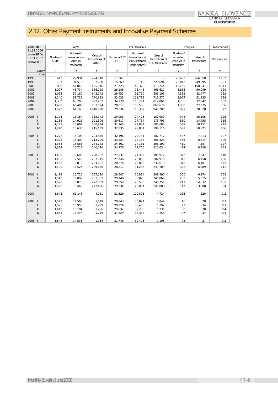# 2.12. Other Payment Instruments and Innovative Payment Schemes

| Value until                                               |                    | ATMs                                                 |                                     |                       | POS terminals                                                  |                                               |                                                  | Cheques                  | Travel cheques |
|-----------------------------------------------------------|--------------------|------------------------------------------------------|-------------------------------------|-----------------------|----------------------------------------------------------------|-----------------------------------------------|--------------------------------------------------|--------------------------|----------------|
| 31.12.2006<br>in mio SIT from<br>01.01.2007<br>in mio EUR | Number of<br>ATMs1 | Volume of<br>transactions at<br>ATMs in<br>thousands | Value of<br>transactions at<br>ATMs | Number of EFT<br>POS1 | Volume of<br>transactions at<br>POS terminals<br>in thousands2 | Value of<br>transactions at<br>POS terminals2 | Number of<br>encashed<br>cheques in<br>thousands | Value of<br>transactions | Value issued   |
| Column                                                    | $\overline{1}$     | $\overline{2}$                                       |                                     | $\overline{4}$        | $\overline{5}$                                                 | $\overline{6}$                                | $\overline{7}$                                   | $\overline{8}$           | 9              |
| Code                                                      |                    |                                                      |                                     |                       |                                                                |                                               |                                                  |                          |                |
| 1998                                                      | 612                | 27,934                                               | 224,010                             | 11,361                | $\cdots$                                                       | $\cdots$                                      | 26,692                                           | 266,650                  | 1.137          |
| 1999                                                      | 757                | 34,515                                               | 307,768                             | 15,269                | 38,149                                                         | 223,694                                       | 23,012                                           | 249,995                  | 953            |
| 2000                                                      | 865                | 41,048                                               | 425,016                             | 21,723                | 49,376                                                         | 313,744                                       | 13,205                                           | 158,841                  | 1,043          |
| 2001                                                      | 1,027              | 46,734                                               | 566,099                             | 26,186                | 73,445                                                         | 466,627                                       | 5,663                                            | 90.049                   | 720            |
| 2002                                                      | 1,095              | 52,160                                               | 642,742                             | 29,452                | 91,750                                                         | 585,103                                       | 4,532                                            | 82,477                   | 782            |
| 2003                                                      | 1,240              | 58,736                                               | 770,682                             | 32,035                | 111,788                                                        | 719,572                                       | 2,967                                            | 51,935                   | 589            |
| 2004                                                      | 1,389              | 63,700                                               | 892,207                             | 34,770                | 110,771                                                        | 812,861                                       | 1,735                                            | 32,342                   | 603            |
| 2005                                                      | 1,490              | 66,485                                               | 983,024                             | 28,817                | 109,508                                                        | 868,676                                       | 1,350<br>921                                     | 27,275                   | 506            |
| 2006                                                      | 1,522              | 64,160                                               | 1,010,028                           | 29,234                | 115,367                                                        | 945,200                                       |                                                  | 20,028                   | 377            |
| 2003                                                      | 1,173              | 13,164                                               | 162,743                             | 30,053                | 24,423                                                         | 152,980                                       | 942                                              | 16,105                   | 125            |
| $\mathbf{II}$                                             | 1,158              | 14,928                                               | 191,306                             | 30,617                | 27,734                                                         | 175,793                                       | 860                                              | 14,458                   | 115            |
| $\mathop{\mathsf{III}}\nolimits$                          | 1,171              | 15,007                                               | 200,994                             | 31,145                | 29,831                                                         | 191,683                                       | 573                                              | 10,451                   | 213            |
| IV                                                        | 1,240              | 15,636                                               | 215,639                             | 32,035                | 29,801                                                         | 199,116                                       | 591                                              | 10,921                   | 136            |
|                                                           |                    |                                                      |                                     |                       |                                                                |                                               |                                                  |                          |                |
| 2004<br>$\blacksquare$                                    | 1,272              | 15,105                                               | 204,576                             | 32,496                | 27,731                                                         | 182,777                                       | 437                                              | 7,813                    | 127            |
| $\mathbf{II}$                                             | 1,322              | 15,300                                               | 213,299                             | 33,321                | 28,133                                                         | 206,328                                       | 455                                              | 8,314                    | 106            |
| $\mathop{\mathsf{III}}\nolimits$                          | 1,354              | 16,583                                               | 234,242                             | 34,302                | 27,181                                                         | 208,101                                       | 419                                              | 7,887                    | 227            |
| IV                                                        | 1,389              | 16,712                                               | 240,090                             | 34,770                | 27,726                                                         | 215,654                                       | 424                                              | 8,328                    | 143            |
|                                                           |                    |                                                      |                                     |                       |                                                                |                                               |                                                  |                          |                |
| 2005<br>$\blacksquare$                                    | 1,409              | 15,600                                               | 220,762                             | 27,031                | 24,382                                                         | 185,977                                       | 373                                              | 7,347                    | 118            |
| $\mathbf{II}$                                             | 1,435              | 17,549                                               | 257,915                             | 27,746                | 25,055                                                         | 202,970                                       | 342                                              | 6,758                    | 106            |
| $\mathop{\mathsf{III}}\nolimits$                          | 1,456              | 16,812                                               | 254,691                             | 28,276                | 28,836                                                         | 230,619                                       | 312                                              | 6,481                    | 172            |
| IV                                                        | 1,490              | 16,524                                               | 249,656                             | 28,817                | 31,235                                                         | 249,109                                       | 322                                              | 6,689                    | 111            |
|                                                           |                    |                                                      |                                     |                       |                                                                |                                               |                                                  |                          |                |
| 2006                                                      | 1,499              | 15,720                                               | 237,180                             | 28,587                | 26,834                                                         | 208,497                                       | 300                                              | 6,274                    | 103            |
| $\mathsf{I}$<br>$\mathbf{III}$                            | 1,510              | 16,099                                               | 253,363                             | 29,148                | 30,026                                                         | 245,869                                       | 263<br>211                                       | 5,515                    | 75<br>105      |
| IV                                                        | 1,522<br>1,522     | 16,876                                               | 272,059                             | 29,259<br>29,234      | 29,506                                                         | 245,751                                       | 147                                              | 4,632                    | 94             |
|                                                           |                    | 15,465                                               | 247,426                             |                       | 29,001                                                         | 245,083                                       |                                                  | 3,608                    |                |
| 2007                                                      | 1,643              | 61,146                                               | 4,731                               | 31,529                | 129,895                                                        | 4,724                                         | 285                                              | 126                      | 1.2            |
| 2007                                                      | 1,547              | 14,565                                               | 1,019                               | 29,843                | 30,821                                                         | 1,044                                         | 46                                               | 28                       | 0.3            |
| $\mathbf{II}$                                             | 1,575              | 15,953                                               | 1,229                               | 29,926                | 33,405                                                         | 1,192                                         | 72                                               | 34                       | 0.3            |
| $\mathop{\mathsf{III}}\nolimits$                          | 1,619              | 15,184                                               | 1,236                               | 29,632                | 32,280                                                         | 1,230                                         | 80                                               | 30                       | 0.4            |
| IV                                                        | 1,643              | 15,444                                               | 1,246                               | 31,529                | 33,388                                                         | 1,258                                         | 87                                               | 34                       | 0.3            |
| 2008 1                                                    | 1,648              | 14,536                                               | 1,164                               | 31,748                | 32,496                                                         | 1,195                                         | 74                                               | 27                       | 0.2            |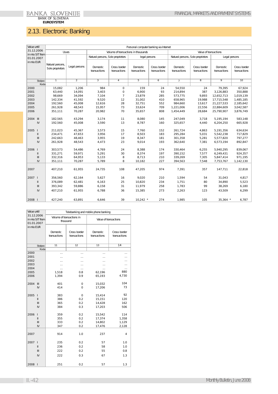**EUROSYSTEM**

## 2.13. Electronic Banking

| Value until  |                 |                                     |                  |                                   |                              | Personal computer banking via Internet |                              |                                   |                              |                          |                              |
|--------------|-----------------|-------------------------------------|------------------|-----------------------------------|------------------------------|----------------------------------------|------------------------------|-----------------------------------|------------------------------|--------------------------|------------------------------|
|              | 31.12.2006      |                                     | Users            |                                   |                              | Volume of transactions in thousands    |                              |                                   | Value of transactions        |                          |                              |
| 01.01.2007   | in mio SIT from |                                     |                  | Natural persons, Sole proprietors |                              | legal persons                          |                              | Natural persons, Sole proprietors |                              | Legal persons            |                              |
| in mio EUR   |                 | Natural persons<br>Sole proprietors | Legal persons    | Domestic<br>transactions          | Cross border<br>transactions | Domestic<br>transactions               | Cross border<br>transactions | Domestic<br>transactions          | Cross border<br>transactions | Domestic<br>transactions | Cross border<br>transactions |
|              | Stolpec         | $\mathbf{1}$                        | $\overline{2}$   | $\overline{3}$                    | $\overline{4}$               | $\overline{5}$                         | 6                            | $\overline{7}$                    | $\overline{8}$               | $\overline{9}$           | 10                           |
|              | Koda            |                                     |                  |                                   |                              |                                        |                              |                                   |                              |                          |                              |
| 2000         |                 | 15,082                              | 1,206            | 984                               | 0                            | 159                                    | 24                           | 54,550                            | 24                           | 79,395                   | 67,924                       |
| 2001         |                 | 63,440                              | 14,091           | 3,403                             | 0                            | 6,900                                  | 93                           | 214,894                           | 387                          | 3,126,883                | 350,888                      |
| 2002<br>2003 |                 | 98.669                              | 34,094           | 7.104                             | $\overline{7}$               | 23.879                                 | 285                          | 573.775                           | 9.893                        | 12.652.713               | 1,019,139                    |
| 2004         |                 | 142.334<br>192.560                  | 41,592<br>45,008 | 9.520<br>12,616                   | 12<br>28                     | 31.002<br>32.751                       | 410<br>552                   | 658,965<br>984,660                | 19,988                       | 17.715.548<br>21,227,533 | 1,485,185<br>2,185,642       |
| 2005         |                 | 261,928                             | 48,543           | 15,957                            | 73                           | 33,624                                 | 709                          | 1,221,006                         | 13,617<br>22,556             | 22,884,609               | 3,042,587                    |
| 2006         |                 | 351,111                             | 70,287           | 20,982                            | 70                           | 35,657                                 | 808                          | 1,454,449                         | 28,684                       | 25,790,907               | 3,876,749                    |
|              |                 |                                     |                  |                                   |                              |                                        |                              |                                   |                              |                          |                              |
| 2004 III     |                 | 182,565                             | 43,294           | 3.174                             | 11                           | 8,080                                  | 145                          | 247,049                           | 3.718                        | 5,195,194                | 583,148                      |
|              | IV              | 192,560                             | 45,008           | 3,590                             | 13                           | 8,787                                  | 160                          | 325,657                           | 4,440                        | 6,204,250                | 665,928                      |
|              |                 |                                     |                  |                                   |                              |                                        |                              |                                   |                              |                          |                              |
| 2005         |                 | 211.023                             | 45,367           | 3,573                             | 15                           | 7,760                                  | 152                          | 261,724                           | 4,863                        | 5,191,356                | 634,634                      |
|              | $\mathbf{I}$    | 234,471                             | 47,653           | 3,956                             | 17                           | 8,503                                  | 183                          | 295,284                           | 5,031                        | 5,542,238                | 717,829                      |
|              | $\mathbf{III}$  | 242,663                             | 48,463           | 3,955                             | 19                           | 8,347                                  | 181                          | 301,358                           | 5,281                        | 5,577,820                | 797,277                      |
|              | IV              | 261,928                             | 48,543           | 4,473                             | 23                           | 9,014                                  | 193                          | 362,640                           | 7,381                        | 6,573,194                | 892,847                      |
|              |                 |                                     |                  |                                   |                              |                                        |                              |                                   |                              |                          |                              |
| 2006         |                 | 303,573                             | 54,486           | 4,769                             | 24                           | 8,388                                  | 174                          | 330,464                           | 6,255                        | 5,940,295                | 839,067                      |
|              | $\mathsf{I}$    | 331,271                             | 59,971           | 5,291                             | 30                           | 8,374                                  | 197                          | 390,152                           | 7,577                        | 6,249,431                | 924,357                      |
|              | $\mathbf{III}$  | 332,316                             | 64,953           | 5,133                             | 8                            | 8,713                                  | 210                          | 339,269                           | 7,305                        | 5,847,414                | 971,195                      |
|              | IV              | 351,111                             | 70,287           | 5,789                             | 8                            | 10,182                                 | 227                          | 394,563                           | 7,548                        | 7,753,767                | 1,142,130                    |
| 2007         |                 | 407,210                             | 61,955           | 24,735                            | 108                          | 47,205                                 | 974                          | 7,391                             | 357                          | 147,711                  | 22,818                       |
| 2007 l       |                 | 356,560                             | 62,164           | 5,627                             | 16                           | 9,020                                  | 210                          | 1,594                             | 54                           | 31,043                   | 4,817                        |
|              | Ш               | 376,089                             | 62,481           | 6,163                             | 25                           | 10,820                                 | 234                          | 1,751                             | 80                           | 34,890                   | 5,523                        |
|              | $\mathbf{III}$  | 393,342                             | 59,886           | 6,158                             | 31                           | 11,979                                 | 258                          | 1,783                             | 99                           | 38,269                   | 6,180                        |
|              | IV              | 407,210                             | 61,955           | 6,788                             | 36                           | 15,385                                 | 273                          | 2,263                             | 123                          | 43,509                   | 6,299                        |
|              |                 |                                     |                  |                                   |                              |                                        |                              |                                   |                              |                          |                              |
| 2008         |                 | 427,240                             | 63,891           | 6,646                             | 39                           | $10,242$ *                             | 274                          | 1,985                             | 105                          | 35,364 *                 | 6,787                        |

| Value until              |                 |                                       |                              | Telebanking and mobile phone banking |                              |  |  |  |
|--------------------------|-----------------|---------------------------------------|------------------------------|--------------------------------------|------------------------------|--|--|--|
| 31.12.2006<br>01.01.2007 | in mio SIT from | Volume of transactions in<br>thousand |                              | Value of transactions                |                              |  |  |  |
| in mio EUR               |                 | Domestic<br>transactions              | Cross border<br>transactions | Domestic<br>transactions             | Cross border<br>transactions |  |  |  |
|                          |                 | $\overline{11}$                       | 12                           | 13                                   | $\overline{14}$              |  |  |  |
|                          | Stolpec<br>Koda |                                       |                              |                                      |                              |  |  |  |
| 2000                     |                 | .                                     | $\cdots$                     | $\ddotsc$                            | $\cdots$                     |  |  |  |
| 2001                     |                 | .                                     | .                            | .                                    | $\cdots$                     |  |  |  |
| 2002                     |                 | .                                     | $\cdots$                     | .                                    | .                            |  |  |  |
| 2003                     |                 | .                                     | $\cdots$                     | .                                    | $\cdots$                     |  |  |  |
| 2004                     |                 | .                                     | $\cdots$                     | .                                    | $\cdots$                     |  |  |  |
| 2005                     |                 | 1,518                                 | 0.8                          | 62,196                               | 880                          |  |  |  |
| 2006                     |                 | 1,394                                 | 0.9                          | 65,193                               | 4,730                        |  |  |  |
| 2004                     | Ш               | 401                                   | 0                            | 15,032                               | 104                          |  |  |  |
|                          | IV              | 414                                   | 0                            | 17,206                               | 73                           |  |  |  |
|                          |                 |                                       |                              |                                      |                              |  |  |  |
| 2005                     | L               | 383                                   | 0                            | 15,414                               | 92                           |  |  |  |
|                          | Ш               | 386                                   | 0.2                          | 15,151                               | 120                          |  |  |  |
|                          | Ш               | 365                                   | 0.2                          | 14,428                               | 162                          |  |  |  |
|                          | IV              | 384                                   | 0.3                          | 17,203                               | 506                          |  |  |  |
| 2006                     |                 |                                       | 0.2                          |                                      |                              |  |  |  |
|                          | L<br>Ш          | 359<br>355                            | 0.2                          | 15,542<br>17,374                     | 114<br>1,358                 |  |  |  |
|                          | Ш               | 333                                   | 0.2                          | 14,802                               | 1,129                        |  |  |  |
|                          | IV              | 347                                   | 0.2                          | 17,476                               | 2,128                        |  |  |  |
|                          |                 |                                       |                              |                                      |                              |  |  |  |
| 2007                     |                 | 914                                   | 1.0                          | 237                                  | 4                            |  |  |  |
|                          |                 |                                       |                              |                                      |                              |  |  |  |
| 2007                     | T               | 235                                   | 0.2                          | 57                                   | 1.0                          |  |  |  |
|                          | Ш               | 236                                   | 0.2                          | 58                                   | 1.0                          |  |  |  |
|                          | Ш               | 222                                   | 0.2                          | 55                                   | 0.8                          |  |  |  |
|                          | IV              | 222                                   | 0.3                          | 67                                   | 1.3                          |  |  |  |
|                          |                 |                                       |                              |                                      |                              |  |  |  |
| 2008                     | T               | 251                                   | 0.2                          | 57                                   | 1.3                          |  |  |  |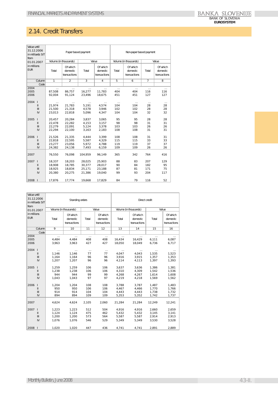### 2.14. Credit Transfers

| Value until<br>31.12.2006<br>in milliards SIT<br>from |                                        | Paper based payment                    |                                      |                                      | Non-paper based payment       |                                      |                            |                                      |  |
|-------------------------------------------------------|----------------------------------------|----------------------------------------|--------------------------------------|--------------------------------------|-------------------------------|--------------------------------------|----------------------------|--------------------------------------|--|
| 01.01.2007                                            |                                        | Volume (in thousands)                  |                                      | Value                                |                               | Volume (in thousands)                |                            | Value                                |  |
| in millions<br><b>EUR</b>                             | Total                                  | Of which<br>domestic<br>transactions   | Total                                | Of which<br>domestic<br>transactions | Total                         | Of which<br>domestic<br>transactions | Total                      | Of which<br>domestic<br>transactions |  |
| Column                                                | $\overline{1}$                         | $\overline{2}$                         | $\overline{3}$                       | $\overline{4}$                       | $\overline{5}$                | $\overline{6}$                       | $\overline{7}$             | $\overline{8}$                       |  |
| Code                                                  |                                        |                                        |                                      |                                      |                               |                                      |                            |                                      |  |
| 2004<br>2005<br>2006                                  | $\cdots$<br>87,508<br>92.004           | $\cdots$<br>86,757<br>91.124           | $\cdots$<br>16,277<br>23,496         | $\cdots$<br>11,783<br>18.675         | $\ldots$<br>404<br>451        | $\cdots$<br>404<br>451               | $\cdots$<br>116<br>127     | .<br>116<br>127                      |  |
| 2004<br>- 1<br>$\mathbf{II}$<br>III<br>IV             | $\ldots$<br>21,974<br>21,500<br>23,013 | $\cdots$<br>21,783<br>21,318<br>22,818 | $\cdots$<br>5,191<br>4,578<br>5,096  | $\cdots$<br>4,574<br>3,946<br>4,347  | $\ldots$<br>104<br>102<br>104 | $\cdots$<br>104<br>102<br>104        | $\ldots$<br>28<br>28<br>32 | $\ldots$<br>28<br>28<br>32           |  |
| 2005<br>$\perp$<br>$\mathsf{II}$<br>III<br>IV         | 20,457<br>22,478<br>22,279<br>22,294   | 20,284<br>22,282<br>22,091<br>22,100   | 3,837<br>4,153<br>5,124<br>3,163     | 3,065<br>3,157<br>3,378<br>2,183     | 95<br>98<br>103<br>108        | 95<br>98<br>103<br>108               | 28<br>31<br>26<br>31       | 28<br>31<br>26<br>31                 |  |
| 2006<br>$\mathbf{I}$<br>$\mathsf{II}$<br>III<br>IV    | 21,526<br>22,818<br>23,277<br>24,382   | 21.335<br>22,595<br>23,056<br>24,138   | 4,444<br>5,587<br>5,972<br>7,493     | 3,399<br>4,329<br>4,788<br>6,159     | 108<br>115<br>119<br>109      | 108<br>115<br>119<br>109             | 31<br>33<br>37<br>26       | 31<br>33<br>37<br>26                 |  |
| 2007                                                  | 76,550                                 | 76,098                                 | 104,959                              | 96.149                               | 365                           | 342                                  | 764                        | 416                                  |  |
| 2007<br>$\blacksquare$<br>$\mathsf{II}$<br>III<br>IV  | 18,337<br>18,908<br>18.925<br>20,380   | 18,203<br>18,785<br>18,834<br>20,275   | 28,025<br>30,377<br>25,171<br>21,386 | 25,903<br>28,017<br>23,188<br>19,040 | 88<br>90<br>87<br>99          | 83<br>84<br>81<br>93                 | 207<br>182<br>171<br>204   | 129<br>95<br>75<br>117               |  |
| 2008<br>- 1                                           | 17,876                                 | 17,774                                 | 19,668                               | 17,829                               | 84                            | 79                                   | 116                        | 52                                   |  |

| Value until<br>31.12.2006<br>in milliards SIT<br>from |                                     | Standing orders                      |                            |                                      |                                     | Direct credit                        |                                     |                                      |  |
|-------------------------------------------------------|-------------------------------------|--------------------------------------|----------------------------|--------------------------------------|-------------------------------------|--------------------------------------|-------------------------------------|--------------------------------------|--|
| 01.01.2007                                            |                                     | Volume (in thousands)                |                            | Value                                |                                     | Volume (in thousands)                |                                     | Value                                |  |
| in millions<br><b>EUR</b>                             | Total                               | Of which<br>domestic<br>transactions | Total                      | Of which<br>domestic<br>transactions | Total                               | Of which<br>domestic<br>transactions | Total                               | Of which<br>domestic<br>transactions |  |
| Column                                                | $\overline{9}$                      | 10                                   | 11                         | $\overline{12}$                      | 13                                  | 14                                   | 15                                  | 16                                   |  |
| Code                                                  |                                     |                                      |                            |                                      |                                     |                                      |                                     |                                      |  |
| 2004<br>2005<br>2006                                  | $\ldots$<br>4,484<br>3,963          | $\cdots$<br>4,484<br>3,963           | $\cdots$<br>408<br>427     | .<br>408<br>427                      | $\cdots$<br>16,434<br>18,050        | $\cdots$<br>16,429<br>18,049         | $\cdots$<br>6,111<br>6,736          | $\cdots$<br>6,087<br>6,717           |  |
| 2004<br>$\overline{1}$<br>$\mathbf{II}$<br>III<br>IV  | $\cdots$<br>1,146<br>1,164<br>1.207 | $\ldots$<br>1,146<br>1,164<br>1.207  | $\ldots$<br>77<br>96<br>96 | $\cdots$<br>77<br>96<br>96           | $\cdots$<br>4,047<br>3,916<br>4.114 | $\cdots$<br>4,043<br>3,915<br>4,113  | $\cdots$<br>1,535<br>1,357<br>1.397 | $\cdots$<br>1,523<br>1,353<br>1,393  |  |
| 2005<br>$\mathbf{I}$<br>$\mathsf{II}$<br>III<br>IV    | 1,259<br>1,238<br>944<br>1.043      | 1,259<br>1,238<br>944<br>1.043       | 106<br>106<br>99<br>97     | 106<br>106<br>99<br>97               | 3,637<br>4,310<br>4,268<br>4.219    | 3,636<br>4,309<br>4,267<br>4,218     | 1,386<br>1,542<br>1,614<br>1.569    | 1,381<br>1,536<br>1,608<br>1,562     |  |
| 2006<br>$\mathbf{I}$<br>Ш<br>III<br>IV                | 1,204<br>950<br>914<br>894          | 1,204<br>950<br>914<br>894           | 108<br>106<br>104<br>109   | 108<br>106<br>104<br>109             | 3,788<br>4,467<br>4,443<br>5,353    | 3,787<br>4,466<br>4,443<br>5,352     | 1,487<br>1.770<br>1,738<br>1,742    | 1,483<br>1,766<br>1,732<br>1,737     |  |
| 2007                                                  | 4,624                               | 4,624                                | 2,105                      | 2,060                                | 21,284                              | 21,284                               | 12,249                              | 12,241                               |  |
| 2007<br>$\mathbf{I}$<br>$\mathbf{II}$<br>III<br>IV    | 1,223<br>1,124<br>1,200<br>1.076    | 1,223<br>1,124<br>1,200<br>1.076     | 512<br>475<br>573<br>546   | 504<br>462<br>564<br>529             | 4,916<br>5,432<br>5,587<br>5,349    | 4,916<br>5,432<br>5,587<br>5,349     | 2,660<br>3,145<br>2,914<br>3,530    | 2,659<br>3,141<br>2,913<br>3,528     |  |
| 2008<br>$\overline{\phantom{a}}$                      | 1,020                               | 1,020                                | 447                        | 436                                  | 4,741                               | 4,741                                | 2,891                               | 2,889                                |  |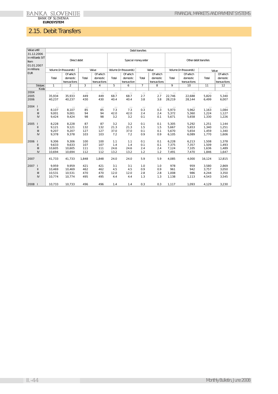**EUROSYSTEM**

### 2.15. Debit Transfers

| Value until          |         |                    |                       |                 |                 |                  |                       | Debit transfers     |                 |                    |                       |                   |                   |
|----------------------|---------|--------------------|-----------------------|-----------------|-----------------|------------------|-----------------------|---------------------|-----------------|--------------------|-----------------------|-------------------|-------------------|
| 31.12.2006           |         |                    |                       |                 |                 |                  |                       |                     |                 |                    |                       |                   |                   |
| in milliards SIT     |         |                    | Direct debit          |                 |                 |                  |                       | Special money order |                 |                    | Other debit transfers |                   |                   |
| from<br>01.01.2007   |         |                    |                       |                 |                 |                  |                       |                     |                 |                    |                       |                   |                   |
| in millions          |         |                    |                       |                 |                 |                  |                       |                     |                 |                    |                       |                   |                   |
| <b>EUR</b>           |         |                    | Volume (in thousands) |                 | Value           |                  | Volume (in thousands) |                     | Value           |                    | Volume (in thousands) |                   | Value             |
|                      |         |                    | Of which              |                 | Of which        |                  | Of which              |                     | Of which        |                    | Of which              |                   | Of which          |
|                      |         | Total              | domestic              | Total           | domestic        | Total            | domestic              | Total               | domestic        | Total              | domestic              | Total             | domestic          |
|                      |         |                    | transactions          |                 | transactions    |                  | transaction           |                     | transactions    |                    | transactions          |                   | transactions      |
|                      | Stolpec | $\overline{1}$     | $\overline{2}$        | 3               | 4               | 5                | 6                     | $\overline{7}$      | 8               | 9                  | 10                    | 11                | 12                |
|                      | Koda    |                    |                       |                 |                 |                  |                       |                     |                 |                    |                       |                   |                   |
| 2004<br>2005         |         | $\ldots$<br>35,934 | $\ldots$<br>35,933    | $\ldots$<br>449 | $\ldots$<br>449 | $\ldots$<br>68.7 | $\cdots$<br>68.7      | $\ldots$<br>2.7     | $\ldots$<br>2.7 | $\cdots$<br>22,746 | $\ldots$<br>22,688    | $\cdots$<br>5,820 | $\ldots$<br>5,340 |
| 2006                 |         | 40,237             | 40,237                | 430             | 430             | 40.4             | 40.4                  | 3.8                 | 3.8             | 28,219             | 28,144                | 6,499             | 6,007             |
|                      |         |                    |                       |                 |                 |                  |                       |                     |                 |                    |                       |                   |                   |
| 2004                 |         | $\ldots$           | $\ldots$              | $\cdots$        | $\ldots$        | $\ldots$         | $\sim$ $\sim$ $\sim$  | $\ldots$            | $\ldots$        | $\cdots$           | $\ldots$              | $\ldots$          | $\ldots$          |
| Ш                    |         | 8,107              | 8,107                 | 85              | 85              | 7.3              | 7.3                   | 0.3                 | 0.3             | 5,973              | 5,962                 | 1,163             | 1,084             |
| Ш                    |         | 9.001              | 9.001                 | 94              | 94              | 42.0             | 42.0                  | 2.4                 | 2.4             | 5,372              | 5,360                 | 1,224             | 1,127             |
| ${\sf IV}$           |         | 9,424              | 9,424                 | 98              | 98              | 3.2              | 3.2                   | 0.1                 | 0.1             | 5,671              | 5,658                 | 1,330             | 1,226             |
|                      |         |                    |                       |                 |                 |                  |                       |                     |                 |                    |                       |                   |                   |
| 2005<br>$\mathbf{I}$ |         | 8,228              | 8,228                 | 87              | 87              | 3.2              | 3.2                   | 0.1                 | 0.1             | 5,305              | 5,292                 | 1,251             | 1,144             |
| $\mathbf{II}$        |         | 9,121              | 9,121                 | 132             | 132             | 21.3             | 21.3                  | 1.5                 | 1.5             | 5,667              | 5,653                 | 1,340             | 1,251             |
| Ш                    |         | 9,207              | 9,207                 | 127             | 127             | 37.0             | 37.0                  | 0.1                 | 0.1             | 5,670              | 5,654                 | 1,459             | 1,340             |
| IV                   |         | 9,378              | 9,378                 | 103             | 103             | 7.2              | 7.2                   | 0.9                 | 0.9             | 6,105              | 6,089                 | 1,770             | 1,606             |
|                      |         |                    |                       |                 |                 |                  |                       |                     |                 |                    |                       |                   |                   |
| 2006                 |         | 9,306              | 9,306                 | 100             | 100             | 1.1              | 1.1                   | 0.1                 | 0.1             | 6,228              | 6,213                 | 1,508             | 1,378             |
| Ш                    |         | 9,633<br>10.605    | 9,633<br>10.605       | 107<br>111      | 107<br>111      | 1.4              | 1.4<br>24.6           | 0.1                 | 0.1             | 7,375              | 7,357                 | 1,509             | 1,493             |
| Ш<br>${\sf IV}$      |         | 10,694             | 10,694                | 112             | 112             | 24.6<br>13.2     | 13.2                  | 2.4<br>1.2          | 2.4<br>1.2      | 7,124<br>7,491     | 7,105<br>7,470        | 1,636<br>1,846    | 1,489<br>1,647    |
|                      |         |                    |                       |                 |                 |                  |                       |                     |                 |                    |                       |                   |                   |
| 2007                 |         | 41,733             | 41,733                | 1,848           | 1,848           | 24.0             | 24.0                  | 5.9                 | 5.9             | 4,085              | 4,000                 | 16,124            | 12,815            |
|                      |         |                    |                       |                 |                 |                  |                       |                     |                 |                    |                       |                   |                   |
| 2007<br>$\mathbf{I}$ |         | 9.959              | 9.959                 | 421             | 421             | 3.1              | 3.1                   | 1.0                 | 1.0             | 978                | 959                   | 3.580             | 2,869             |
| Ш                    |         | 10,469             | 10,469                | 462             | 462             | 4.5              | 4.5                   | 0.9                 | 0.9             | 961                | 942                   | 3,757             | 3,050             |
| Ш                    |         | 10,531             | 10,531                | 470             | 470             | 12.0             | 12.0                  | 2.8                 | 2.8             | 1,008              | 986                   | 4,244             | 3,350             |
| IV                   |         | 10.774             | 10.774                | 495             | 495             | 4.4              | 4.4                   | 1.3                 | 1.3             | 1,138              | 1,113                 | 4,543             | 3,545             |
|                      |         |                    |                       |                 |                 |                  |                       |                     |                 |                    |                       |                   |                   |
| 2008                 |         | 10,733             | 10,733                | 496             | 496             | 1.4              | 1.4                   | 0.3                 | 0.3             | 1,117              | 1,093                 | 4,129             | 3,230             |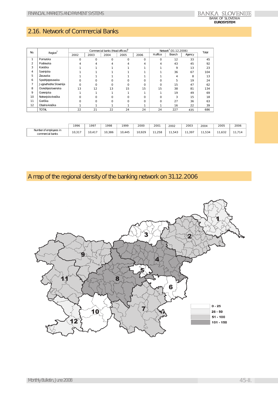### 2.16. Network of Commercial Banks

| No. | Region <sup>2</sup>   |          |          | Commercial banks (Head offices) <sup>1</sup> |          |          |          | Network <sup>3</sup> (31.12.2006) | Total  |     |
|-----|-----------------------|----------|----------|----------------------------------------------|----------|----------|----------|-----------------------------------|--------|-----|
|     |                       | 2002     | 2003     | 2004                                         | 2005     | 2006     | H.office | <b>Branch</b>                     | Agency |     |
| 1   | Pomurska              | $\Omega$ | 0        | $\Omega$                                     | $\Omega$ | $\Omega$ | $\Omega$ | 12                                | 33     | 45  |
| 2   | Podravska             |          |          |                                              |          | 4        | 4        | 43                                | 45     | 92  |
| 3   | Koroška               |          |          |                                              |          |          |          | 9                                 | 13     | 23  |
| 4   | Savinjska             |          |          |                                              |          |          |          | 36                                | 67     | 104 |
| 5   | Zasavska              |          |          |                                              |          |          |          | 4                                 | 8      | 13  |
| 6   | Spodnjeposavska       | $\Omega$ | $\Omega$ | $\Omega$                                     | $\Omega$ | $\Omega$ | $\Omega$ | 5                                 | 19     | 24  |
| 7   | Jugovzhodna Slovenija | $\Omega$ | $\Omega$ | $\Omega$                                     | $\cap$   | $\Omega$ | $\Omega$ | 15                                | 47     | 62  |
| 8   | Osrednjeslovenska     | 13       | 12       | 13                                           | 15       | 15       | 15       | 38                                | 81     | 134 |
| 9   | Gorenjska             |          |          |                                              |          |          |          | 19                                | 49     | 69  |
| 10  | Notranjsko-kraška     | $\Omega$ | $\Omega$ | $\Omega$                                     | $\Omega$ | $\Omega$ | $\Omega$ | 3                                 | 15     | 18  |
| 11  | Goriška               | $\Omega$ | O        | $\Omega$                                     | $\cap$   | $\Omega$ | $\Omega$ | 27                                | 36     | 63  |
| 12  | Obalno-kraška         |          |          |                                              |          |          |          | 16                                | 22     | 39  |
|     | <b>TOTAL</b>          | 22       | 21       | 22                                           | 24       | 24       | 24       | 227                               | 435    | 686 |

|                                            | 1996<br>______ | 1997<br>the contract of the contract of | 1998<br>_____ | 1999             | 2000   | 2001 | 2002 | 2003     | 2004 | 2005  | 2006      |
|--------------------------------------------|----------------|-----------------------------------------|---------------|------------------|--------|------|------|----------|------|-------|-----------|
| Number of employees in<br>commercial banks | 10.317         | 10.117<br>U.41                          | 0.386         | $\sim$<br>10.445 | 10.929 | .258 | .543 | 307<br>ت | ,534 | 1.632 | 74<br>. . |

A map of the regional density of the banking network on 31.12.2006

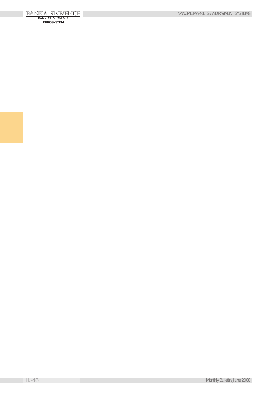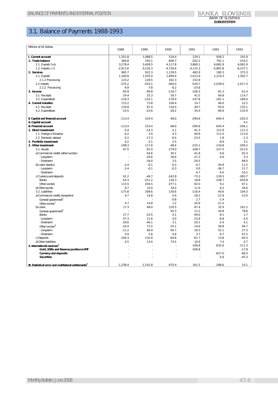# 3.1. Balance of Payments 1988-1993

| Millions of US Dollars                                           | 1988       | 1989       | 1990       | 1991        | 1992       | 1993       |
|------------------------------------------------------------------|------------|------------|------------|-------------|------------|------------|
| I. Current account                                               | 1,351.8    | 1,088.5    | 518.4      | 129.1       | 926.2      | 191.9      |
| 1. Trade balance                                                 | 364.8      | 192.1      | $-608.7$   | $-262.2$    | 791.1      | $-154.2$   |
| 1.1. Exports f.o.b.                                              | 3,278.4    | 3,408.5    | 4,117.8    | 3,869.1     | 6,682.9    | 6,082.9    |
| 1.2. Imports c.i.f.                                              | $-2,913.6$ | $-3,216.3$ | $-4,726.6$ | $-4, 131.3$ | $-5,891.8$ | $-6,237.1$ |
| 2. Services                                                      | 965.7      | 922.3      | 1,139.5    | 482.9       | 180.3      | 375.3      |
| 2.1. Exports                                                     | 1,340.8    | 1,355.4    | 1,699.4    | 1,012.6     | 1,219.3    | 1,392.7    |
| 2.1.2 Processing                                                 | 123.2      | 128.5      | 162.3      | 152.8       |            |            |
| 2.2 Imports                                                      | $-375.2$   | $-433.1$   | $-560.0$   | $-529.7$    | $-1,039.0$ | $-1,017.3$ |
| 2.2.2. Processing                                                | $-4.9$     | $-7.8$     | $-6.2$     | $-25.6$     |            |            |
| 3. Income                                                        | $-93.9$    | $-99.8$    | $-118.7$   | $-106.3$    | $-91.3$    | $-51.4$    |
| 3.1. Receipts                                                    | 24.4       | 25.3       | 59.7       | 41.5        | 69.8       | 114.7      |
| 3.2. Expenditure                                                 | $-118.3$   | $-125.1$   | $-178.4$   | $-147.8$    | $-161.1$   | $-166.0$   |
| 4. Current transfers                                             | 115.2      | 73.8       | 106.4      | 14.7        | 46.0       | 22.2       |
| 4.1. Receipts                                                    | 129.8      | 97.4       | 134.5      | 49.7        | 93.0       | 155.1      |
|                                                                  | $-14.5$    | $-23.6$    | $-28.2$    | $-35.0$     | $-46.9$    | $-132.9$   |
| 4.2. Expenditure                                                 |            |            |            |             |            |            |
| II. Capital and financial account                                | $-113.4$   | 103.4      | $-48.0$    | $-290.6$    | $-645.4$   | $-202.0$   |
| A. Capital account                                               |            |            |            |             |            | 4.1        |
| B. Financial account                                             | $-113.4$   | 103.4      | $-48.0$    | $-290.6$    | $-645.4$   | $-206.1$   |
| 1. Direct investment                                             | $-5.4$     | $-14.3$    | $-2.1$     | $-41.3$     | 112.9      | 111.3      |
| 1.1. Foreign in Slovenia                                         | $-0.2$     | 3.0        | 4.3        | 64.9        | 111.0      | 112.6      |
| 1.2. Domestic abroad                                             | $-5.2$     | $-17.3$    | $-6.5$     | $-23.5$     | 1.8        | $-1.3$     |
| 2. Portfolio investment                                          | 0.2        | 0.1        | 2.5        |             | $-8.9$     | 3.1        |
| 3. Other investment                                              | $-108.3$   | 117.6      | $-48.4$    | $-225.1$    | $-116.8$   | $-209.2$   |
| 3.1. Assets                                                      | 67.5       | $-91.0$    | $-179.0$   | $-108.7$    | $-157.5$   | $-313.5$   |
| a) Commercial credits (other sectors)                            |            | $-54.6$    | 30.1       | $-41.8$     | 6.6        | 93.3       |
| - Long-term                                                      |            | $-20.6$    | 26.6       | $-21.3$     | 6.6        | 5.3        |
| - Short-term                                                     |            | $-34.0$    | 3.5        | $-20.5$     |            | 88.0       |
| b) Loans (banks)                                                 | $-2.4$     | $-0.1$     | $-0.3$     | $-4.7$      | $-30.8$    | 11.5       |
| - Long-term                                                      | $-2.4$     | $-0.1$     | $-0.3$     | 0.0         | $-36.7$    | 21.7       |
| - Short-term                                                     |            |            |            | $-4.7$      | 6.0        | $-10.2$    |
| c) Currency and deposits                                         | 61.2       | $-46.7$    | $-242.8$   | $-73.3$     | $-139.5$   | $-383.7$   |
| <b>Banks</b>                                                     | $-54.3$    | $-251.2$   | 134.3      | 18.8        | $-148.7$   | $-450.8$   |
| Other sectors                                                    | 115.5      | 204.5      | $-377.1$   | $-92.0$     | 9.2        | 67.1       |
| d) Other assets                                                  | 8.7        | 10.4       | 34.0       | 11.0        | 6.2        | $-34.6$    |
| 3.2. Liabilities                                                 | $-175.8$   | 208.6      | 130.6      | $-116.4$    | 40.6       | 104.3      |
| a) Commercial credits (long-term)                                | 4.7        | 14.8       | 0.4        | $-18.2$     | $-12.9$    | $-13.0$    |
| General government <sup>1</sup>                                  |            |            | $-0.8$     | 2.7         | $-1.4$     |            |
| Other sectors                                                    | 4.7        | 14.8       | 1.2        | $-20.9$     | $-11.5$    |            |
| b) Loans                                                         | 17.3       | 48.0       | 120.5      | $-47.4$     | 32.9       | 161.2      |
| General government                                               |            |            | 65.3       | 11.2        | $-16.8$    | 78.6       |
| Banks                                                            | 27.7       | $-24.5$    | 0.1        | $-44.0$     | $-9.1$     | 1.7        |
| - Long-term                                                      | 57.3       | 21.6       | $-3.0$     | $-23.9$     | $-6.8$     | $-2.4$     |
| - Short-term                                                     | $-29.6$    | $-46.1$    | 3.1        | $-20.1$     | $-2.4$     | 4.1        |
| Other sectors <sup>1</sup>                                       | $-10.4$    | 72.5       | 55.1       | $-14.6$     | 58.8       | 94.7       |
| - Long-term                                                      | $-11.2$    | 66.9       | 60.7       | $-18.3$     | 52.1       | 27.3       |
| - Short-term                                                     | 0.9        | 5.6        | $-5.6$     | 3.7         | 6.7        | 67.5       |
| c) Deposits                                                      | $-194.3$   | 132.8      | $-64.8$    | $-61.7$     | 13.8       | $-40.3$    |
| d) Other liabilities                                             | $-3.5$     | 13.0       | 74.5       | 10.9        | 7.4        | $-3.7$     |
| 4. International reserves <sup>3</sup>                           |            |            |            | $-106.8$    | $-632.6$   | $-111.3$   |
| Gold, SDRs and Reserve position in IMF                           |            |            |            | $-106.8$    |            | $-17.8$    |
| Currency and deposits                                            |            |            |            |             | $-627.0$   | $-48.3$    |
| Securities                                                       |            |            |            |             | $-5.6$     | $-45.3$    |
|                                                                  |            |            |            |             |            |            |
| III. Statistical error and multilateral settlements <sup>2</sup> | $-1,238.4$ | $-1,191.8$ | $-470.4$   | 161.5       | $-288.6$   | 10.1       |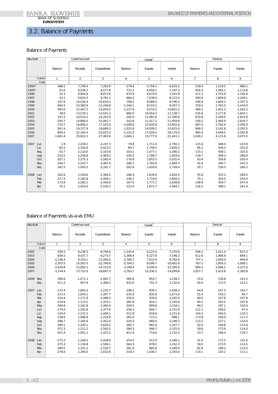**EUROSYSTEM**

### 3.2. Balance of Payments

### Balance of Payments

| Mio EUR      | Current account |                |              |                | Goods <sup>1</sup> |              | Services    |         |             |
|--------------|-----------------|----------------|--------------|----------------|--------------------|--------------|-------------|---------|-------------|
|              |                 |                |              |                |                    |              |             |         |             |
|              | Balance         | Receipts       | Expenditures | Balance        | Exports            | Imports      | Balance     | Exports | Imports     |
|              |                 |                |              |                |                    |              |             |         |             |
| Column       | $\mathbf{1}$    | $\overline{2}$ | 3            | $\overline{4}$ | 5                  | 6            | $7^{\circ}$ | 8       | 9           |
| Code         |                 |                |              |                |                    |              |             |         |             |
| 1994*        | 486.5           | 7.749.4        | $-7.262.9$   | $-279.4$       | 5.756.1            | $-6.035.5$   | 539.4       | 1.519.5 | $-980.1$    |
| 1995*        | $-51.6$         | 8,526.2        | $-8.577.8$   | $-731.3$       | 6,456.1            | $-7,187.5$   | 450.3       | 1,565.1 | $-1, 114.8$ |
| 1996         | 32.3            | 8,904.9        | $-8,872.6$   | $-670.9$       | 6,670.9            | $-7,341.8$   | 511.3       | 1,703.9 | $-1,192.6$  |
| 1997         | 43.1            | 9,824.3        | $-9,781.1$   | $-684.0$       | 7,438.3            | $-8,122.4$   | 560.8       | 1,809.9 | $-1,249.1$  |
| 1998         | $-107.9$        | 10,526.4       | $-10,634.3$  | $-708.2$       | 8,088.3            | $-8,796.5$   | 446.9       | 1,804.2 | $-1,357.3$  |
| 1999         | $-664.2$        | 10.582.6       | $-11.246.8$  | $-1.164.1$     | 8.103.2            | $-9.267.3$   | 329.5       | 1.763.5 | $-1.434.0$  |
| 2000         | $-583.0$        | 12,467.5       | $-13,050.5$  | $-1,227.0$     | 9,574.2            | $-10,801.2$  | 489.2       | 2,051.5 | $-1,562.3$  |
| 2001         | 38.0            | 13,579.1       | $-13,541.2$  | $-684.5$       | 10,454.3           | $-11,138.7$  | 535.6       | 2,177.6 | $-1,642.1$  |
| 2002         | 247.2           | 14,510.2       | $-14,263.0$  | $-265.0$       | 11,081.6           | $-11,346.6$  | 619.8       | 2,439.5 | $-1,819.8$  |
| 2003         | $-195.7$        | 14.866.0       | $-15.061.7$  | $-542.8$       | 11.417.1           | $-11,959.9$  | 540.2       | 2.464.9 | $-1,924.7$  |
| 2004         | $-719.7$        | 16.806.2       | $-17,525.9$  | $-1,008.8$     | 12,932.8           | $-13,941.6$  | 687.6       | 2.782.6 | $-2,095.0$  |
| 2005         | $-561.4$        | 19,127.9       | $-19.689.3$  | $-1,025.8$     | 14,599.2           | $-15,625.0$  | 849.3       | 3,142.8 | $-2,293.5$  |
| 2006         | $-856.5$        | 22,164.4       | $-23,021.0$  | $-1,151.0$     | 17,028.3           | $-18, 179.3$ | 865.6       | 3,449.5 | $-2,583.8$  |
| 2007         | $-1,641.4$      | 25,822.2       | $-27,463.6$  | $-1,664.1$     | 19,777.0           | $-21,441.1$  | 1,040.1     | 4,115.6 | $-3,075.5$  |
| 2007<br>Jun. | 1.9             | 2,249.2        | $-2.247.3$   | $-79.8$        | 1,712.4            | $-1.792.2$   | 125.6       | 349.4   | $-223.9$    |
| Jul.         | $-92.5$         | 2,330.9        | $-2.423.3$   | $-89.7$        | 1.740.5            | $-1,830.2$   | 85.2        | 436.2   | $-351.0$    |
| Aug.         | $-53.7$         | 2,110.0        | $-2.163.6$   | $-103.1$       | 1.477.1            | $-1,580.2$   | 133.1       | 458.1   | $-325.0$    |
| Sep.         | $-210.5$        | 2,258.8        | $-2,469.3$   | $-194.2$       | 1,708.7            | $-1,903.0$   | 118.7       | 399.3   | $-280.6$    |
| Oct.         | $-207.1$        | 2,375.3        | $-2,582.4$   | $-176.9$       | 1,855.5            | $-2,032.4$   | 63.4        | 356.8   | $-293.4$    |
| Nov.         | $-244.7$        | 2,242.7        | $-2,487.4$   | $-186.7$       | 1,782.6            | $-1,969.3$   | 42.4        | 284.7   | $-242.3$    |
| Dec.         | $-341.5$        | 1,950.2        | $-2,291.7$   | $-282.8$       | 1,426.6            | $-1,709.4$   | 50.7        | 336.3   | $-285.5$    |
|              |                 |                |              |                |                    |              |             |         |             |
| 2008<br>Jan. | $-262.6$        | 2,106.6        | $-2,369.2$   | $-186.4$       | 1,634.0            | $-1,820.5$   | 55.8        | 325.3   | $-269.5$    |
| Feb.         | $-217.3$        | 2,182.8        | $-2,400.1$   | $-146.3$       | 1,710.0            | $-1,856.2$   | 70.1        | 324.5   | $-254.4$    |
| Mar.         | $-173.9$        | 2,282.1        | $-2.456.0$   | $-167.0$       | 1.771.7            | $-1,938.8$   | 108.8       | 356.7   | $-247.9$    |
| Apr.         | $-75.1$         | 2,455.0        | $-2,530.1$   | $-122.4$       | 1,871.7            | $-1,994.1$   | 136.2       | 398.1   | $-261.9$    |
|              |                 |                |              |                |                    |              |             |         |             |

| Mio EUR   |        |              | Current account |              |            | $Goods$ <sup>1</sup> |             |             | Services |            |
|-----------|--------|--------------|-----------------|--------------|------------|----------------------|-------------|-------------|----------|------------|
|           |        | Balance      | Receipts        | Expenditures | Balance    | Exports              | Imports     | Balance     | Exports  | Imports    |
|           | Column | $\mathbf{1}$ | $\overline{2}$  | 3            | 4          | 5                    | 6           | $7^{\circ}$ | 8        | 9          |
|           | Code   |              |                 |              |            |                      |             |             |          |            |
| 2002      |        | $-558.3$     | 8,236.3         | $-8,794.6$   | $-1,145.6$ | 6,125.4              | $-7,270.9$  | 596.2       | 1,411.4  | $-815.3$   |
| 2003      |        | $-836.0$     | 8,437.7         | $-9,273.7$   | $-1,368.4$ | 6,227.9              | $-7,596.3$  | 612.8       | 1,496.9  | $-884.1$   |
| 2004      |        | $-2,136.4$   | 9,354.1         | $-11,490.5$  | $-2,766.7$ | 7,015.9              | $-9,782.6$  | 747.1       | 1,694.0  | $-946.9$   |
| 2005      |        | $-2,203.5$   | 10,563.3        | $-12,766.8$  | $-2,794.2$ | 8,008.7              | $-10,802.9$ | 767.2       | 1,856.3  | $-1,089.1$ |
| 2006      |        | $-2,630.8$   | 12,093.1        | $-14,723.9$  | $-3,189.4$ | 9,206.4              | $-12,395.8$ | 869.3       | 2,096.2  | $-1,227.0$ |
| 2007      |        | $-3,144.4$   | 13,752.9        | $-16,897.3$  | $-3,763.7$ | 10,336.2             | $-14,099.8$ | 1,057.7     | 2,423.6  | $-1,365.8$ |
|           |        |              |                 |              |            |                      |             |             |          |            |
| 2006 Nov. |        | $-390.6$     | 1,071.1         | $-1,461.7$   | $-385.6$   | 852.7                | $-1,238.3$  | 15.6        | 156.8    | $-141.2$   |
|           | Dec.   | $-411.3$     | 957.9           | $-1,369.2$   | $-431.6$   | 701.3                | $-1,132.9$  | 50.4        | 172.5    | $-122.1$   |
|           |        |              |                 |              |            |                      |             |             |          |            |
| 2007      | Jan.   | $-172.4$     | 1,063.3         | $-1,235.7$   | $-208.2$   | 830.1                | $-1,038.3$  | 64.6        | 167.3    | $-102.7$   |
|           | Feb.   | $-213.5$     | 1,054.1         | $-1,267.7$   | $-235.9$   | 835.6                | $-1,071.6$  | 55.3        | 150.1    | $-94.7$    |
|           | Mar.   | $-316.4$     | 1,171.9         | $-1,488.3$   | $-335.0$   | 930.0                | $-1,265.0$  | 60.0        | 167.8    | $-107.8$   |
|           | Apr.   | $-219.9$     | 1,113.2         | $-1,333.1$   | $-281.8$   | 824.1                | $-1,105.9$  | 94.5        | 202.2    | $-107.8$   |
|           | May    | $-304.6$     | 1,161.8         | $-1,466.4$   | $-344.5$   | 889.6                | $-1,234.1$  | 84.5        | 187.1    | $-102.6$   |
|           | Jun.   | $-175.0$     | 1,202.6         | $-1,377.6$   | $-256.3$   | 894.7                | $-1,151.0$  | 112.1       | 209.5    | $-97.4$    |
|           | Jul.   | $-134.0$     | 1,272.2         | $-1,406.1$   | $-312.9$   | 918.6                | $-1,231.6$  | 144.2       | 264.5    | $-120.2$   |
|           | Aug.   | $-138.0$     | 1,086.8         | $-1,224.9$   | $-281.0$   | 715.2                | $-996.1$    | 173.8       | 290.9    | $-117.2$   |
|           | Sep.   | $-286.7$     | 1,165.6         | $-1,452.4$   | $-329.3$   | 866.9                | $-1,196.3$  | 113.2       | 227.1    | $-114.0$   |
|           | Oct.   | $-390.1$     | 1,249.1         | $-1,639.2$   | $-382.7$   | 965.0                | $-1,347.7$  | 42.0        | 194.8    | $-152.8$   |
|           | Nov.   | $-372.3$     | 1,211.2         | $-1,583.5$   | $-384.3$   | 946.7                | $-1,331.0$  | 59.8        | 173.9    | $-114.0$   |
|           | Dec.   | $-421.4$     | 1,001.1         | $-1,422.5$   | $-411.8$   | 719.6                | $-1, 131.4$ | 53.7        | 188.4    | $-134.7$   |
|           |        |              |                 |              |            |                      |             |             |          |            |
| 2008      | Jan.   | $-272.3$     | 1,166.5         | $-1,438.9$   | $-254.2$   | 911.9                | $-1,166.1$  | 41.0        | 172.5    | $-131.6$   |
|           | Feb.   | $-375.3$     | 1,130.8         | $-1,506.1$   | $-364.3$   | 878.0                | $-1,242.3$  | 59.0        | 173.5    | $-114.5$   |
|           | Mar.   | $-369.5$     | 1,161.2         | $-1,530.7$   | $-381.0$   | 885.6                | $-1,266.6$  | 82.8        | 196.2    | $-113.5$   |
|           | Apr.   | $-276.6$     | 1,356.0         | $-1,632.6$   | $-318.3$   | 1,036.7              | $-1,355.0$  | 114.1       | 225.2    | $-111.1$   |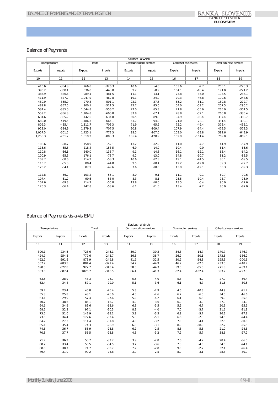### Balance of Payments

|         | Transportations |         | Travel   |         | Communications services |         | <b>Construction services</b> |         | Other business services |
|---------|-----------------|---------|----------|---------|-------------------------|---------|------------------------------|---------|-------------------------|
| Exports | Imports         | Exports | Imports  | Exports | Imports                 | Exports | Imports                      | Exports | Imports                 |
| 10      | 11              | 12      | 13       | 14      | 15                      | 16      | 17                           | 18      | 19                      |
|         |                 |         |          |         |                         |         |                              |         |                         |
| 410.6   | $-354.8$        | 766.8   | $-326.3$ | 10.6    | $-4.6$                  | 103.6   | $-2.7$                       | 205.1   | $-220.3$                |
| 390.2   | $-338.1$        | 836.8   | $-443.0$ | 9.2     | $-8.9$                  | 104.1   | $-18.4$                      | 191.0   | $-221.2$                |
| 383.9   | $-326.6$        | 989.1   | $-481.5$ | 11.1    | $-13.1$                 | 73.8    | $-35.0$                      | 193.5   | $-236.1$                |
| 411.9   | $-327.2$        | 1,047.9 | $-462.8$ | 19.1    | $-24.0$                 | 70.3    | $-46.8$                      | 199.6   | $-247.6$                |
| 480.9   | $-365.9$        | 970.8   | $-501.1$ | 22.1    | $-27.6$                 | 65.2    | $-31.1$                      | 189.8   | $-272.7$                |
| 489.8   | $-357.5$        | 900.1   | $-511.5$ | 22.7    | $-35.0$                 | 54.0    | $-59.2$                      | 207.5   | $-296.2$                |
| 534.4   | $-385.0$        | 1,044.8 | $-556.2$ | 27.0    | $-55.3$                 | 71.8    | $-55.6$                      | 265.0   | $-301.5$                |
| 559.2   | $-356.3$        | 1,104.8 | $-600.8$ | 37.8    | $-67.1$                 | 78.8    | $-52.1$                      | 266.8   | $-335.4$                |
| 634.6   | $-385.2$        | 1,142.6 | $-634.8$ | 60.5    | $-89.0$                 | 94.9    | $-60.4$                      | 337.4   | $-380.7$                |
| 680.0   | $-419.5$        | 1,186.3 | $-664.1$ | 61.7    | $-94.9$                 | 71.0    | $-72.1$                      | 331.4   | $-399.1$                |
| 809.3   | $-485.4$        | 1,311.7 | $-703.3$ | 71.9    | $-95.9$                 | 72.2    | $-49.4$                      | 378.4   | $-455.1$                |
| 923.0   | $-524.9$        | 1,379.8 | $-707.5$ | 90.8    | $-109.4$                | 107.9   | $-64.4$                      | 479.5   | $-572.3$                |
| 1,057.5 | $-601.5$        | 1,425.1 | $-772.3$ | 92.5    | $-107.0$                | 103.0   | $-68.8$                      | 582.6   | $-648.9$                |
| 1,256.3 | $-731.2$        | 1,619.2 | $-803.3$ | 105.4   | $-128.9$                | 152.9   | $-161.4$                     | 769.0   | $-809.1$                |
| 108.6   | $-58.7$         | 158.9   | $-52.1$  | 13.2    | $-12.9$                 | 11.0    | $-7.7$                       | 41.9    | $-57.9$                 |
| 115.6   | $-65.6$         | 218.4   | $-158.5$ | 6.9     | $-14.0$                 | 10.4    | $-9.0$                       | 61.4    | $-65.6$                 |
| 110.8   | $-66.1$         | 240.0   | $-138.7$ | 9.1     | $-14.6$                 | 16.1    | $-12.1$                      | 63.4    | $-64.2$                 |
| 100.9   | $-55.5$         | 176.1   | $-78.7$  | 9.2     | $-13.0$                 | 14.8    | $-10.7$                      | 81.2    | $-88.5$                 |
| 109.7   | $-68.6$         | 114.2   | $-58.3$  | 10.6    | $-12.3$                 | 19.1    | $-44.5$                      | 86.1    | $-69.5$                 |
| 113.7   | $-65.0$         | 88.4    | $-44.8$  | 9.5     | $-10.4$                 | 12.2    | $-12.8$                      | 39.3    | $-72.7$                 |
| 120.2   | $-64.1$         | 87.9    | $-49.6$  | 7.6     | $-10.6$                 | 13.9    | $-12.1$                      | 85.3    | $-89.3$                 |
| 112.8   | $-66.2$         | 103.2   | $-55.1$  | 8.0     | $-9.1$                  | 11.1    | $-9.1$                       | 69.7    | $-90.6$                 |
| 107.4   | $-61.2$         | 90.6    | $-58.0$  | 8.3     | $-8.1$                  | 25.5    | $-10.4$                      | 73.7    | $-75.0$                 |
| 107.6   | $-59.3$         | 114.2   | $-55.8$  | 13.8    | $-10.0$                 | 13.5    | $-6.4$                       | 90.0    | $-77.6$                 |
| 126.3   | $-66.4$         | 147.8   | $-53.6$  | 6.1     | $-11.5$                 | 13.4    | $-7.2$                       | 86.0    | $-87.0$                 |

|         | Services - of which: |         |          |         |                                |         |                              |         |                         |
|---------|----------------------|---------|----------|---------|--------------------------------|---------|------------------------------|---------|-------------------------|
|         | Transportations      | Travel  |          |         | <b>Communications services</b> |         | <b>Construction services</b> |         | Other business services |
| Exports | Imports              | Exports | Imports  | Exports | Imports                        | Exports | Imports                      | Exports | Imports                 |
| 10      | 11                   | 12      | 13       | 14      | 15                             | 16      | 17                           | 18      | 19                      |
|         |                      |         |          |         |                                |         |                              |         |                         |
| 390.1   | $-234.5$             | 723.6   | $-245.1$ | 30.9    | $-30.3$                        | 34.3    | $-14.7$                      | 170.7   | $-176.7$                |
| 424.7   | $-254.8$             | 779.6   | $-248.7$ | 36.3    | $-38.7$                        | 26.9    | $-30.1$                      | 173.5   | $-186.2$                |
| 492.2   | $-291.6$             | 873.9   | $-249.8$ | 41.9    | $-32.5$                        | 30.2    | $-24.8$                      | 195.3   | $-200.5$                |
| 567.2   | $-283.5$             | 884.4   | $-327.4$ | 54.2    | $-44.9$                        | 46.2    | $-32.6$                      | 233.5   | $-248.7$                |
| 698.5   | $-322.8$             | 922.7   | $-348.4$ | 58.5    | $-44.3$                        | 59.5    | $-35.0$                      | 271.8   | $-289.1$                |
| 803.0   | $-387.4$             | 1026.7  | $-318.5$ | 66.4    | $-41.3$                        | 82.4    | $-102.4$                     | 353.7   | $-297.3$                |
|         |                      |         |          |         |                                |         |                              |         |                         |
| 63.5    | $-28.9$              | 48.3    | $-26.7$  | 5.5     | $-4.0$                         | 5.3     | $-4.0$                       | 27.9    | $-59.4$                 |
| 62.4    | $-34.4$              | 57.1    | $-29.0$  | 5.1     | $-3.6$                         | 6.1     | $-4.7$                       | 31.6    | $-30.5$                 |
|         |                      |         |          |         |                                |         |                              |         |                         |
| 59.7    | $-23.4$              | 45.8    | $-26.4$  | 5.3     | $-2.9$                         | 4.6     | $-10.3$                      | 44.9    | $-21.7$                 |
| 55.3    | $-25.8$              | 43.1    | $-26.0$  | 4.5     | $-2.6$                         | 6.7     | $-6.5$                       | 34.5    | $-16.6$                 |
| 63.1    | $-29.9$              | 57.4    | $-27.6$  | 5.2     | $-4.2$                         | 6.1     | $-6.8$                       | 29.0    | $-25.8$                 |
| 70.7    | $-38.6$              | 86.1    | $-18.7$  | 4.9     | $-3.6$                         | 6.0     | $-3.9$                       | 27.9    | $-24.9$                 |
| 64.1    | $-34.9$              | 83.6    | $-18.6$  | 6.8     | $-3.5$                         | 5.9     | $-6.7$                       | 20.3    | $-25.9$                 |
| 68.5    | $-32.3$              | 97.1    | $-20.3$  | 8.9     | $-4.0$                         | 7.0     | $-3.7$                       | 21.6    | $-21.9$                 |
| 73.6    | $-31.0$              | 142.9   | $-38.1$  | 3.9     | $-3.5$                         | 6.9     | $-3.7$                       | 26.3    | $-27.8$                 |
| 73.5    | $-34.4$              | 172.6   | $-32.4$  | 5.8     | $-5.1$                         | 6.6     | $-7.3$                       | 24.5    | $-24.4$                 |
| 64.2    | $-27.3$              | 111.4   | $-31.8$  | $4.0$   | $-3.2$                         | 7.0     | $-4.1$                       | 32.5    | $-30.8$                 |
| 65.1    | $-35.4$              | 74.3    | $-28.9$  | 6.3     | $-3.1$                         | 8.9     | $-38.0$                      | 32.7    | $-25.5$                 |
| 74.6    | $-36.7$              | 55.9    | $-23.8$  | 6.2     | $-2.5$                         | 8.6     | $-5.6$                       | 21.0    | $-24.8$                 |
| 70.8    | $-37.7$              | 56.5    | $-25.8$  | 4.6     | $-3.2$                         | 7.9     | $-5.7$                       | 38.6    | $-27.2$                 |
|         |                      |         |          |         |                                |         |                              |         |                         |
| 71.7    | $-36.2$              | 50.7    | $-32.7$  | 3.9     | $-2.8$                         | 7.6     | $-4.2$                       | 28.4    | $-36.0$                 |
| 68.2    | $-33.4$              | 50.5    | $-34.5$  | 3.7     | $-3.6$                         | 7.8     | $-4.0$                       | 34.0    | $-24.1$                 |
| 68.0    | $-30.7$              | 71.7    | $-30.7$  | 7.2     | $-2.8$                         | 9.0     | $-2.7$                       | 32.1    | $-26.4$                 |
| 79.4    | $-31.0$              | 99.2    | $-25.8$  | 3.0     | $-2.5$                         | 8.0     | $-3.1$                       | 28.8    | $-30.9$                 |
|         |                      |         |          |         |                                |         |                              |         |                         |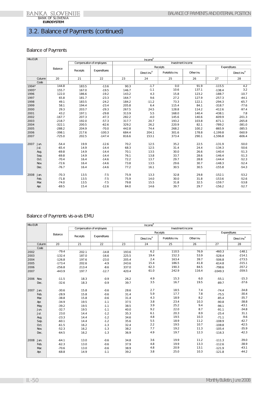**EUROSYSTEM**

# 3.2. Balance of Payments (continued)

### Balance of Payments

| Mio EUR      |          | Income <sup>8</sup> |                           |       |                          |                   |            |            |                          |  |
|--------------|----------|---------------------|---------------------------|-------|--------------------------|-------------------|------------|------------|--------------------------|--|
|              |          |                     | Compensation of employees |       |                          | Investment income |            |            |                          |  |
|              | Balance  |                     |                           |       |                          | Receipts          |            |            | Expenditures             |  |
|              |          | Receipts            | Expenditures              |       | Direct inv. <sup>8</sup> | Portofolio inv.   | Other inv. |            | Direct inv. <sup>8</sup> |  |
| Column       | 20       | 21                  | 22                        | 23    | 24                       | 25                | 26         | 27         | 28                       |  |
| Code         |          |                     |                           |       |                          |                   |            |            |                          |  |
| $1994*$      | 144.8    | 183.5               | $-13.6$                   | 90.3  | $-1.7$                   | 0.0               | 91.9       | $-115.5$   | 4.2                      |  |
| 1995*        | 155.7    | 167.0               | $-19.5$                   | 146.7 | $-1.1$                   | 10.6              | 137.1      | $-138.4$   | 3.2                      |  |
| 1996         | 122.0    | 186.6               | $-19.2$                   | 143.2 | 4.3                      | 15.8              | 123.2      | $-188.7$   | $-10.7$                  |  |
| 1997         | 65.8     | 181.7               | $-23.3$                   | 164.7 | 9.6                      | 27.2              | 127.9      | $-257.3$   | $-44.1$                  |  |
| 1998         | 49.1     | 183.5               | $-24.2$                   | 184.2 | $-11.2$                  | 73.3              | 122.1      | $-294.3$   | $-65.7$                  |  |
| 1999         | 58.1     | 194.4               | $-23.4$                   | 205.8 | 6.4                      | 115.4             | 84.1       | $-318.7$   | $-77.6$                  |  |
| 2000         | 29.3     | 203.7               | $-29.3$                   | 267.5 | 24.5                     | 128.8             | 114.2      | $-412.6$   | $-97.4$                  |  |
| 2001         | 43.2     | 197.1               | $-29.8$                   | 313.9 | 5.5                      | 168.0             | 140.4      | $-438.1$   | 7.8                      |  |
| 2002         | $-167.7$ | 207.3               | $-47.3$                   | 282.2 | $-4.0$                   | 145.6             | 140.6      | $-609.9$   | $-201.3$                 |  |
| 2003         | $-218.7$ | 192.0               | $-57.3$                   | 317.7 | 20.7                     | 193.2             | 103.8      | $-671.1$   | $-265.8$                 |  |
| 2004         | $-322.1$ | 200.5               | $-62.6$                   | 329.2 | 26.2                     | 220.9             | 82.1       | $-789.2$   | $-381.0$                 |  |
| 2005         | $-288.2$ | 204.9               | $-70.0$                   | 442.8 | 74.4                     | 268.2             | 100.2      | $-865.9$   | $-385.5$                 |  |
| 2006         | $-398.1$ | 217.6               | $-100.3$                  | 684.4 | 204.1                    | 301.6             | 178.8      | $-1,199.8$ | $-560.9$                 |  |
| 2007         | $-725.0$ | 202.5               | $-147.4$                  | 816.6 | 153.1                    | 373.4             | 290.1      | $-1,596.8$ | $-606.4$                 |  |
| 2007<br>Jun. | $-54.4$  | 19.9                | $-12.6$                   | 70.2  | 12.5                     | 35.2              | 22.5       | $-131.9$   | $-50.0$                  |  |
| Jul.         | $-65.4$  | 14.9                | $-14.4$                   | 68.3  | 12.5                     | 31.4              | 24.4       | $-134.3$   | $-50.6$                  |  |
| Aug.         | $-69.8$  | 14.9                | $-14.4$                   | 70.1  | 13.5                     | 30.0              | 26.6       | $-140.4$   | $-51.3$                  |  |
| Sep.         | $-69.8$  | 14.9                | $-14.4$                   | 76.1  | 13.8                     | 33.7              | 28.6       | $-146.4$   | $-51.3$                  |  |
| Oct.         | $-70.4$  | 16.4                | $-14.6$                   | 72.2  | 13.7                     | 29.7              | 28.8       | $-144.4$   | $-52.3$                  |  |
| Nov.         | $-72.6$  | 16.4                | $-14.6$                   | 73.8  | 13.5                     | 29.6              | 30.7       | $-148.3$   | $-52.4$                  |  |
| Dec.         | $-76.7$  | 16.4                | $-14.6$                   | 77.2  | 16.1                     | 30.5              | 30.5       | $-155.8$   | $-54.3$                  |  |
| 2008<br>Jan. | $-70.3$  | 13.5                | $-7.5$                    | 75.9  | 13.3                     | 32.8              | 29.8       | $-152.1$   | $-53.2$                  |  |
| Feb.         | $-71.8$  | 13.5                | $-7.5$                    | 75.9  | 14.0                     | 30.0              | 31.8       | $-153.6$   | $-52.6$                  |  |
| Mar.         | $-74.0$  | 13.5                | $-7.5$                    | 79.8  | 15.5                     | 31.8              | 32.5       | $-159.7$   | $-53.8$                  |  |
| Apr.         | $-69.5$  | 15.4                | $-12.6$                   | 84.0  | 14.6                     | 39.7              | 29.7       | $-156.2$   | $-52.7$                  |  |

| Mio EUR |        |          | $hcome8$ |                           |       |                 |                   |            |           |                          |  |  |
|---------|--------|----------|----------|---------------------------|-------|-----------------|-------------------|------------|-----------|--------------------------|--|--|
|         |        |          |          | Compensation of employees |       |                 | Investment income |            |           |                          |  |  |
|         |        | Balance  |          |                           |       |                 | Receipts          |            |           | Expenditures             |  |  |
|         |        |          | Receipts | Expenditures              |       | Direct inv. $8$ | Portofolio inv.   | Other inv. |           | Direct inv. <sup>8</sup> |  |  |
|         | Column | 20       | 21       | 22                        | 23    | 24              | 25                | 26         | 27        | 28                       |  |  |
|         | Code   |          |          |                           |       |                 |                   |            |           |                          |  |  |
| 2002    |        | $-79.4$  | 202.1    | $-14.8$                   | 193.6 | 6.2             | 110.5             | 76.9       | $-460.3$  | $-148.1$                 |  |  |
| 2003    |        | $-132.4$ | 187.0    | $-16.6$                   | 225.5 | 19.4            | 152.3             | 53.9       | $-528.4$  | $-214.1$                 |  |  |
| 2004    |        | $-126.8$ | 197.6    | $-23.0$                   | 205.4 | 2.4             | 163.4             | 39.7       | $-506.8$  | $-273.5$                 |  |  |
| 2005    |        | $-173.4$ | 202.6    | $-4.9$                    | 243.6 | 15.4            | 186.5             | 41.8       | $-614.8$  | $-315.1$                 |  |  |
| 2006    |        | $-256.8$ | 213.4    | $-8.6$                    | 337.0 | 62.3            | 190.3             | 84.5       | $-798.6$  | $-357.2$                 |  |  |
| 2007    |        | $-443.9$ | 197.7    | $-12.7$                   | 420.4 | 61.0            | 242.9             | 116.4      | $-1049.3$ | $-359.5$                 |  |  |
| 2006    | Nov.   | $-11.5$  | 18.3     | $-0.9$                    | 26.2  | 4.9             | 15.3              | 6.0        | $-55.1$   | $-15.3$                  |  |  |
|         | Dec.   | $-32.6$  | 18.3     | $-0.9$                    | 39.7  | 3.5             | 16.7              | 19.5       | $-89.7$   | $-37.6$                  |  |  |
| 2007    | Jan.   | $-30.6$  | 15.8     | $-0.6$                    | 28.6  | 2.7             | 18.5              | 7.4        | $-74.4$   | $-34.8$                  |  |  |
|         | Feb.   | $-28.9$  | 15.8     | $-0.6$                    | 31.4  | 5.9             | 17.7              | 7.8        | $-75.5$   | $-30.4$                  |  |  |
|         | Mar.   | $-38.8$  | 15.8     | $-0.6$                    | 31.4  | 4.3             | 18.9              | 8.2        | $-85.4$   | $-35.7$                  |  |  |
|         | Apr.   | $-34.9$  | 19.5     | $-1.1$                    | 37.5  | 3.8             | 23.4              | 10.3       | $-90.8$   | $-38.8$                  |  |  |
|         | May    | $-39.2$  | 19.5     | $-1.1$                    | 38.5  | 3.9             | 25.2              | 9.4        | $-96.1$   | $-43.1$                  |  |  |
|         | Jun.   | $-32.7$  | 19.5     | $-1.1$                    | 40.0  | 9.2             | 22.0              | 8.7        | $-91.1$   | $-34.8$                  |  |  |
|         | Jul.   | 23.0     | 14.4     | $-1.2$                    | 35.3  | 6.1             | 20.3              | 8.9        | $-25.4$   | 31.1                     |  |  |
|         | Aug.   | $-23.3$  | 14.4     | $-1.2$                    | 34.6  | 4.8             | 19.5              | 10.3       | $-71.1$   | $-9.6$                   |  |  |
|         | Sep.   | $-60.1$  | 14.4     | $-1.2$                    | 35.6  | 5.5             | 18.9              | 11.2       | $-108.9$  | $-42.7$                  |  |  |
|         | Oct.   | $-61.5$  | 16.2     | $-1.3$                    | 32.4  | 2.2             | 19.5              | 10.7       | $-108.8$  | $-42.5$                  |  |  |
|         | Nov.   | $-52.3$  | 16.2     | $-1.3$                    | 38.2  | 7.7             | 19.2              | 11.3       | $-105.4$  | $-35.9$                  |  |  |
|         | Dec.   | $-64.5$  | 16.2     | $-1.3$                    | 36.9  | 4.9             | 19.7              | 12.3       | $-116.3$  | $-42.3$                  |  |  |
| 2008    | Jan.   | $-64.1$  | 13.0     | $-0.6$                    | 34.8  | 3.6             | 19.9              | 11.2       | $-111.3$  | $-39.0$                  |  |  |
|         | Feb.   | $-62.3$  | 13.0     | $-0.6$                    | 37.9  | 4.8             | 19.9              | 13.3       | $-112.6$  | $-38.9$                  |  |  |
|         | Mar.   | $-70.6$  | 13.0     | $-0.6$                    | 38.9  | 4.8             | 20.9              | 13.1       | $-121.9$  | $-43.1$                  |  |  |
|         | Apr.   | $-68.8$  | 14.9     | $-1.1$                    | 39.2  | 3.8             | 25.0              | 10.3       | $-121.8$  | $-44.2$                  |  |  |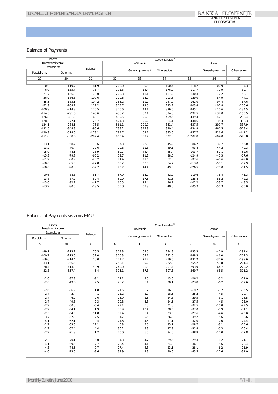### Balance of Payments

| Income            |            |          |       |                    | Current transfers <sup>10</sup> |            |                    |               |  |
|-------------------|------------|----------|-------|--------------------|---------------------------------|------------|--------------------|---------------|--|
| Investment income |            |          |       | In Slovenia        |                                 |            | Abroad             |               |  |
| Expenditures      |            | Balance  |       |                    |                                 |            |                    |               |  |
| Portofolio inv.   | Other inv. |          |       | General government | Other sectors                   |            | General government | Other sectors |  |
| 29                | 30         | 31       | 32    | 33                 | 34                              | 35         | 36                 | 37            |  |
|                   |            |          |       |                    |                                 |            |                    |               |  |
| 0.0               | $-119.7$   | 81.9     | 200.0 | 9.6                | 190.4                           | $-118.2$   | $-100.9$           | $-17.3$       |  |
| $-6.0$            | $-135.7$   | 73.7     | 191.3 | 14.4               | 176.9                           | $-117.7$   | $-77.9$            | $-39.7$       |  |
| $-21.7$           | $-156.3$   | 70.0     | 200.3 | 13.1               | 187.2                           | $-130.3$   | $-77.2$            | $-53.1$       |  |
| $-26.9$           | $-186.3$   | 100.6    | 229.6 | 26.0               | 203.6                           | $-129.0$   | $-84.9$            | $-44.1$       |  |
| $-45.5$           | $-183.1$   | 104.2    | 266.2 | 19.2               | 247.0                           | $-162.0$   | $-94.4$            | $-67.6$       |  |
| $-72.9$           | $-168.2$   | 112.2    | 315.7 | 22.5               | 293.2                           | $-203.4$   | $-102.8$           | $-100.6$      |  |
| $-100.9$          | $-214.3$   | 125.5    | 370.6 | 44.1               | 326.5                           | $-245.1$   | $-110.6$           | $-134.5$      |  |
| $-154.3$          | $-291.6$   | 143.6    | 436.2 | 62.1               | 374.0                           | $-292.5$   | $-137.0$           | $-155.5$      |  |
| $-126.8$          | $-281.9$   | 60.1     | 499.5 | 90.0               | 409.5                           | $-439.4$   | $-147.1$           | $-292.4$      |  |
| $-128.3$          | $-277.1$   | 25.7     | 474.3 | 90.2               | 384.1                           | $-448.6$   | $-135.3$           | $-313.3$      |  |
| $-124.1$          | $-284.1$   | $-76.5$  | 561.1 | 209.7              | 351.4                           | $-637.5$   | $-299.7$           | $-337.9$      |  |
| $-131.5$          | $-348.8$   | $-96.6$  | 738.2 | 347.9              | 390.4                           | $-834.9$   | $-461.5$           | $-373.4$      |  |
| $-120.9$          | $-518.0$   | $-173.1$ | 784.7 | 409.7              | 375.0                           | $-957.7$   | $-516.6$           | $-441.2$      |  |
| $-151.8$          | $-838.6$   | $-292.4$ | 910.4 | 387.7              | 522.8                           | $-1,202.8$ | $-604.0$           | $-598.8$      |  |
|                   |            |          |       |                    |                                 |            |                    |               |  |
| $-13.1$           | $-68.7$    | 10.6     | 97.3  | 52.0               | 45.2                            | $-86.7$    | $-30.7$            | $-56.0$       |  |
| $-13.2$           | $-70.4$    | $-22.6$  | 70.8  | 21.8               | 49.1                            | $-93.4$    | $-44.2$            | $-49.3$       |  |
| $-15.0$           | $-74.1$    | $-13.9$  | 89.7  | 44.4               | 45.4                            | $-103.7$   | $-51.1$            | $-52.6$       |  |
| $-15.3$           | $-79.8$    | $-65.2$  | 59.7  | 21.2               | 38.5                            | $-124.9$   | $-47.3$            | $-77.6$       |  |
| $-11.2$           | $-80.9$    | $-23.2$  | 74.4  | 21.6               | 52.8                            | $-97.6$    | $-48.6$            | $-49.0$       |  |
| $-10.6$           | $-85.3$    | $-27.8$  | 85.2  | 30.5               | 54.7                            | $-113.0$   | $-55.1$            | $-57.9$       |  |
| $-10.6$           | $-90.8$    | $-32.7$  | 93.7  | 44.4               | 49.3                            | $-126.5$   | $-75.0$            | $-51.5$       |  |
|                   |            |          |       |                    |                                 |            |                    |               |  |
| $-10.6$           | $-88.3$    | $-61.7$  | 57.9  | 15.0               | 42.9                            | $-119.6$   | $-78.4$            | $-41.3$       |  |
| $-13.8$           | $-87.2$    | $-69.4$  | 59.0  | 17.5               | 41.5                            | $-128.4$   | $-86.2$            | $-42.2$       |  |
| $-13.6$           | $-92.2$    | $-41.7$  | 60.5  | 24.4               | 36.1                            | $-102.2$   | $-53.7$            | $-48.5$       |  |
| $-13.2$           | $-90.3$    | $-19.5$  | 85.8  | 37.9               | 48.0                            | $-105.3$   | $-50.3$            | $-55.0$       |  |
|                   |            |          |       |                    |                                 |            |                    |               |  |

|                   | Income     | Current transfers <sup>10</sup> |       |                    |               |          |                    |               |
|-------------------|------------|---------------------------------|-------|--------------------|---------------|----------|--------------------|---------------|
| Investment income |            |                                 |       | In Slovenia        |               |          | Abroad             |               |
| Expenditures      |            | Balance                         |       |                    |               |          |                    |               |
| Portofolio inv.   | Other inv. |                                 |       | General government | Other sectors |          | General government | Other sectors |
| 29                | 30         | 31                              | 32    | 33                 | 34            | 35       | 36                 | 37            |
|                   |            |                                 |       |                    |               |          |                    |               |
| $-99.1$           | $-213.2$   | 70.5                            | 303.8 | 69.5               | 234.3         | $-233.3$ | $-41.9$            | $-191.4$      |
| $-100.7$          | $-213.6$   | 52.0                            | 300.3 | 67.7               | 232.6         | $-248.3$ | $-46.0$            | $-202.3$      |
| $-19.0$           | $-214.4$   | 10.0                            | 241.2 | 21.7               | 219.6         | $-231.2$ | $-31.6$            | $-199.6$      |
| $-33.1$           | $-266.5$   | $-3.1$                          | 252.1 | 29.2               | 222.9         | $-255.2$ | $-53.8$            | $-201.4$      |
| $-28.4$           | $-413.0$   | $-53.9$                         | 240.0 | 38.6               | 201.4         | $-293.9$ | $-64.7$            | $-229.2$      |
| $-32.3$           | $-657.4$   | 5.4                             | 375.1 | 67.8               | 307.3         | $-369.7$ | $-68.5$            | $-301.2$      |
|                   |            |                                 |       |                    |               |          |                    |               |
| $-2.6$            | $-37.3$    | $-9.1$                          | 17.1  | 3.5                | 13.6          | $-26.2$  | $-5.2$             | $-21.0$       |
| $-2.6$            | $-49.6$    | 2.5                             | 26.2  | 6.1                | 20.1          | $-23.8$  | $-6.2$             | $-17.6$       |
|                   |            |                                 |       |                    |               |          |                    |               |
| $-2.6$            | $-36.9$    | 1.8                             | 21.5  | 5.2                | 16.3          | $-19.7$  | $-3.2$             | $-16.5$       |
| $-2.7$            | $-42.4$    | $-4.1$                          | 21.2  | 2.7                | 18.5          | $-25.2$  | $-4.5$             | $-20.7$       |
| $-2.7$            | $-46.9$    | $-2.6$                          | 26.9  | 2.6                | 24.3          | $-29.5$  | $-3.1$             | $-26.5$       |
| $-2.7$            | $-49.3$    | 2.3                             | 29.8  | 5.3                | 24.5          | $-27.5$  | $-4.5$             | $-23.0$       |
| $-2.2$            | $-50.8$    | $-5.4$                          | 27.1  | 5.3                | 21.8          | $-32.5$  | $-10.0$            | $-22.5$       |
| $-2.2$            | $-54.1$    | 1.9                             | 38.9  | 10.4               | 28.5          | $-37.0$  | $-5.9$             | $-31.1$       |
| $-2.3$            | $-54.3$    | 11.8                            | 39.4  | $6.4$              | 33.0          | $-27.6$  | $-4.6$             | $-23.0$       |
| $-3.7$            | $-57.8$    | $-7.5$                          | 31.7  | 5.5                | 26.2          | $-39.2$  | $-5.6$             | $-33.6$       |
| $-4.1$            | $-62.1$    | $-10.4$                         | 21.6  | 4.5                | 17.1          | $-32.0$  | $-7.6$             | $-24.4$       |
| $-2.7$            | $-63.6$    | 12.1                            | 40.8  | 5.6                | 35.1          | $-28.7$  | $-3.1$             | $-25.6$       |
| $-2.2$            | $-67.4$    | 4.4                             | 36.2  | 8.3                | 27.9          | $-31.8$  | $-5.3$             | $-26.4$       |
| $-2.2$            | $-71.8$    | 1.2                             | 40.0  | $6.0\,$            | 34.0          | $-38.8$  | $-11.0$            | $-27.8$       |
|                   |            |                                 |       |                    |               |          |                    |               |
| $-2.2$            | $-70.1$    | 5.0                             | 34.3  | 4.7                | 29.6          | $-29.3$  | $-8.2$             | $-21.1$       |
| $-4.1$            | $-69.6$    | $-7.7$                          | 28.4  | 4.1                | 24.3          | $-36.1$  | $-15.6$            | $-20.4$       |
| $-4.3$            | $-74.5$    | $-0.7$                          | 27.4  | 4.3                | 23.1          | $-28.1$  | $-6.2$             | $-21.9$       |
| $-4.0$            | $-73.6$    | $-3.6$                          | 39.9  | 9.3                | 30.6          | $-43.5$  | $-12.6$            | $-31.0$       |
|                   |            |                                 |       |                    |               |          |                    |               |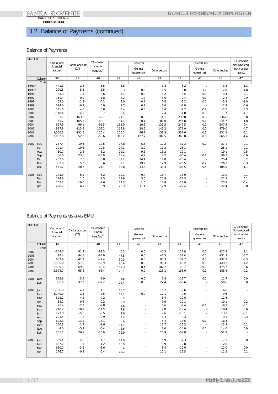**EUROSYSTEM**

# 3.2. Balance of Payments (continued)

### Balance of Payments

| Mio EUR      | Capital and          |                         | CA, of which:<br>Expenditures<br>Receipts |       |                          |               |          |                          |               | CA, of which:                           |
|--------------|----------------------|-------------------------|-------------------------------------------|-------|--------------------------|---------------|----------|--------------------------|---------------|-----------------------------------------|
|              | financial<br>account | Capital account<br>(CA) | Capital<br>$\,$ transfers $^{10}$         |       | General<br>government    | Other sectors |          | General<br>government    | Other sectors | Non-produced,<br>nonfinancial<br>assets |
| Column       | 38                   | 39                      | 40                                        | 41    | 42                       | 43            | 44       | 45                       | 46            | 47                                      |
| Code         |                      |                         |                                           |       |                          |               |          |                          |               |                                         |
| 1994*        | $-441.3$             | $-2.8$                  | $-1.5$                                    | 1.8   | $\overline{\phantom{a}}$ | 1.8           | $-3.2$   | ٠.                       | $-3.2$        | $-1.3$                                  |
| 1995*        | 200.5                | $-5.3$                  | $-3.5$                                    | 2.3   | 0.8                      | 1.5           | $-5.8$   | $-3.1$                   | $-2.8$        | $-1.8$                                  |
| 1996         | $-33.9$              | $-1.5$                  | 0.6                                       | 4.1   | 0.9                      | 3.2           | $-3.5$   | 0.0                      | $-3.4$        | $-2.1$                                  |
| 1997         | $-111.4$             | 0.9                     | 1.8                                       | 4.2   | 1.2                      | 3.0           | $-2.4$   | $-0.1$                   | $-2.3$        | $-0.9$                                  |
| 1998         | 53.0                 | $-1.2$                  | $-0.2$                                    | 3.0   | 0.1                      | 2.8           | $-3.2$   | 0.0                      | $-3.2$        | $-1.0$                                  |
| 1999         | 624.6                | $-0.7$                  | 0.0                                       | 2.7   | 0.1                      | 2.6           | $-2.8$   | $\sim$                   | $-2.8$        | $-0.6$                                  |
| 2000         | 541.6                | 4.0                     | 0.8                                       | 3.4   | 0.0                      | 3.4           | $-2.7$   | $-0.2$                   | $-2.5$        | 3.3                                     |
| 2001         | $-148.4$             | $-4.0$                  | 0.7                                       | 2.4   | $\sim$                   | 2.4           | $-1.8$   | 0.0                      | $-1.7$        | $-4.7$                                  |
| 2002         | 3.1                  | $-163.6$                | $-162.7$                                  | 74.1  | 0.0                      | 74.1          | $-236.8$ | 0.0                      | $-236.8$      | $-0.8$                                  |
| 2003         | 45.7                 | $-165.5$                | $-163.7$                                  | 81.1  | 0.1                      | 81.0          | $-244.8$ | $-0.1$                   | $-244.7$      | $-1.8$                                  |
| 2004         | 697.6                | $-96.1$                 | $-96.5$                                   | 151.0 | 19.5                     | 131.5         | $-247.5$ | 0.0                      | $-247.5$      | 0.4                                     |
| 2005         | 817.8                | $-113.9$                | $-109.2$                                  | 169.8 | 28.6                     | 141.2         | $-279.0$ | 0.0                      | $-279.0$      | $-4.7$                                  |
| 2006         | 1,050.3              | $-131.5$                | $-126.4$                                  | 205.2 | 46.7                     | 158.5         | $-331.6$ | $-0.1$                   | $-331.5$      | $-5.1$                                  |
| 2007         | 2,032.0              | $-52.0$                 | $-50.6$                                   | 315.2 | 127.7                    | 187.5         | $-365.8$ | $-0.8$                   | $-365.1$      | $-1.4$                                  |
| 2007<br>Jun. | 237.4                | $-19.6$                 | $-19.5$                                   | 17.8  | 5.6                      | 12.2          | $-37.3$  | 0.0                      | $-37.2$       | $-0.1$                                  |
| Jul.         | 191.4                | $-10.8$                 | $-10.8$                                   | 14.3  | 3.0                      | 11.3          | $-25.1$  |                          | $-25.1$       | $-0.1$                                  |
| Aug.         | 10.7                 | 2.6                     | 3.2                                       | 22.2  | 9.1                      | 13.2          | $-19.1$  | $\overline{\phantom{a}}$ | $-19.1$       | $-0.5$                                  |
| Sep.         | 56.6                 | $-23.6$                 | $-23.0$                                   | 13.4  | 4.7                      | 8.7           | $-36.4$  | $-0.1$                   | $-36.3$       | $-0.6$                                  |
| Oct.         | 202.6                | 7.0                     | 6.8                                       | 32.2  | 14.4                     | 17.8          | $-25.4$  | $\sim$                   | $-25.4$       | 0.2                                     |
| Nov.         | 353.9                | 5.3                     | 5.6                                       | 32.1  | 19.2                     | 12.9          | $-26.5$  | $-0.2$                   | $-26.3$       | $-0.3$                                  |
| Dec.         | 441.7                | $-20.6$                 | $-21.7$                                   | 83.8  | 44.3                     | 39.4          | $-105.5$ | $-0.4$                   | $-105.0$      | 1.1                                     |
| 2008<br>Jan. | 174.9                | 6.1                     | 6.2                                       | 19.1  | 0.4                      | 18.7          | $-13.0$  |                          | $-13.0$       | $-0.1$                                  |
| Feb.         | 124.8                | 1.6                     | 1.5                                       | 23.9  | 3.0                      | 20.8          | $-22.3$  |                          | $-22.3$       | 0.1                                     |
| Mar.         | 102.2                | $-10.0$                 | $-9.6$                                    | 14.3  | 1.6                      | 12.8          | $-23.9$  |                          | $-23.9$       | $-0.4$                                  |
| Apr.         | 220.7                | 6.1                     | 6.9                                       | 29.3  | 11.4                     | 17.9          | $-22.4$  |                          | $-22.4$       | $-0.8$                                  |

| Mio EUR |        | Capital and          |                         | CA, of which:<br>Expenditures<br>Receipts |       |                       |               |          |                          |               | CA, of which:                           |
|---------|--------|----------------------|-------------------------|-------------------------------------------|-------|-----------------------|---------------|----------|--------------------------|---------------|-----------------------------------------|
|         |        | financial<br>account | Capital account<br>(CA) | Capital<br>transfers <sup>10</sup>        |       | General<br>government | Other sectors |          | General<br>government    | Other sectors | Non-produced,<br>nonfinancial<br>assets |
|         | Column | 38                   | 39                      | 40                                        | 41    | 42                    | 43            | 44       | 45                       | 46            | 47                                      |
|         | Code   |                      |                         |                                           |       |                       |               |          |                          |               |                                         |
| 2002    |        | $-304.3$             | $-81.4$                 | $-82.5$                                   | 45.3  | 0.0                   | 45.3          | $-127.8$ | 0.0                      | $-127.8$      | 1.1                                     |
| 2003    |        | 98.4                 | $-84.5$                 | $-83.9$                                   | 47.5  | 0.0                   | 47.5          | $-131.4$ | 0.0                      | $-131.3$      | $-0.7$                                  |
| 2004    |        | 602.9                | $-42.7$                 | $-42.4$                                   | 90.3  | 0.0                   | 90.3          | $-132.7$ | 0.0                      | $-132.7$      | $-0.3$                                  |
| 2005    |        | 2,535.0              | $-57.0$                 | $-52.9$                                   | 96.4  | 0.0                   | 96.3          | $-149.2$ | 0.0                      | $-149.2$      | $-4.2$                                  |
| 2006    |        | 2,539.5              | $-69.0$                 | $-68.4$                                   | 107.3 | 0.1                   | 107.2         | $-175.7$ | 0.0                      | $-175.7$      | $-0.6$                                  |
| 2007    |        | 2,694.7              | $-65.6$                 | $-65.4$                                   | 123.1 | 0.0                   | 123.1         | $-188.6$ | $-0.2$                   | $-188.4$      | $-0.2$                                  |
| 2006    | Nov.   | 389.6                | $-5.9$                  | $-5.9$                                    | 6.8   | 0.0                   | 6.8           | $-12.7$  | 0.0                      | $-12.7$       | 0.0                                     |
|         | Dec.   | 306.0                | $-37.2$                 | $-37.2$                                   | 22.4  | $0.0\,$               | 22.4          | $-59.6$  |                          | $-59.6$       | $0.0\,$                                 |
| 2007    | Jan.   | $-156.0$             | 4.1                     | 4.1                                       | 10.7  | $\cdot$               | 10.7          | $-6.6$   |                          | $-6.6$        |                                         |
|         | Feb.   | 1,149.0              | 2.5                     | 2.5                                       | 12.1  | $0.0\,$               | 12.1          | $-9.6$   |                          | $-9.6$        |                                         |
|         | Mar.   | $-523.2$             | $-4.2$                  | $-4.2$                                    | 8.4   | ٠                     | 8.4           | $-12.6$  | ٠                        | $-12.6$       |                                         |
|         | Apr.   | 54.2                 | $-0.4$                  | $-0.2$                                    | 9.9   |                       | 9.9           | $-10.1$  |                          | $-10.1$       | $-0.2$                                  |
|         | May    | 21.4                 | $-2.9$                  | $-2.8$                                    | 6.6   |                       | 6.6           | $-9.4$   | $-0.1$                   | $-9.3$        | $-0.1$                                  |
|         | Jun.   | 210.2                | $-10.9$                 | $-11.5$                                   | 7.8   |                       | 7.8           | $-19.4$  |                          | $-19.4$       | 0.6                                     |
|         | Jul.   | 577.8                | $-5.5$                  | $-5.5$                                    | 7.6   |                       | 7.6           | $-13.1$  | ٠                        | $-13.1$       | $-0.1$                                  |
|         | Aug.   | 223.5                | $-1.2$                  | $-0.9$                                    | 8.4   |                       | 8.4           | $-9.3$   | $\overline{\phantom{a}}$ | $-9.3$        | $-0.3$                                  |
|         | Sep.   | 622.3                | $-13.1$                 | $-13.1$                                   | 5.4   |                       | 5.4           | $-18.5$  | $-0.1$                   | $-18.4$       |                                         |
|         | Oct.   | 260.3                | $-1.7$                  | $-1.6$                                    | 11.7  |                       | 11.7          | $-13.3$  | $\cdot$                  | $-13.3$       | $-0.1$                                  |
|         | Nov.   | 4.0                  | $-5.4$                  | $-5.4$                                    | 8.6   |                       | 8.6           | $-14.0$  | 0.0                      | $-14.0$       | 0.0                                     |
|         | Dec.   | 251.1                | $-26.9$                 | $-26.9$                                   | 25.9  |                       | 25.9          | $-52.8$  | $\overline{\phantom{a}}$ | $-52.8$       |                                         |
| 2008    | Jan.   | 389.4                | 4.6                     | 4.7                                       | 11.9  |                       | 11.9          | $-7.3$   |                          | $-7.3$        | 0.0                                     |
|         | Feb.   | $-637.2$             | 1.1                     | 1.2                                       | 13.9  |                       | 13.9          | $-12.8$  |                          | $-12.8$       | $-0.1$                                  |
|         | Mar.   | 630.7                | $-3.6$                  | $-3.6$                                    | 8.4   |                       | 8.4           | $-12.0$  |                          | $-12.0$       | 0.0                                     |
|         | Apr.   | 276.7                | $-0.3$                  | $-0.4$                                    | 12.1  |                       | 12.1          | $-12.5$  |                          | $-12.5$       | 0.1                                     |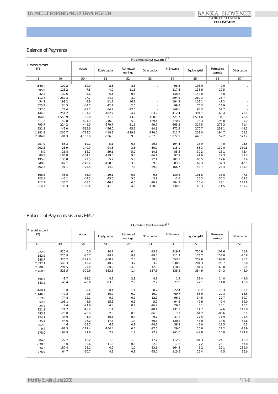### Balance of Payments

|                   | FA, of which: Direct investment <sup>8, 9</sup> |             |                |                       |               |             |                |                        |               |  |
|-------------------|-------------------------------------------------|-------------|----------------|-----------------------|---------------|-------------|----------------|------------------------|---------------|--|
| Financial account |                                                 |             |                |                       |               |             |                |                        |               |  |
| (FA)              |                                                 | Abroad      | Equity capital | Reinvested<br>eamings | Other capital | In Slovenia | Equity capital | Reinvested<br>earnings | Other capital |  |
| 48                | 49                                              | 50          | 51             | 52                    | 53            | 54          | 55             | 56                     | 57            |  |
|                   |                                                 |             |                |                       |               |             |                |                        |               |  |
| $-438.5$          | 109.2                                           | 10.9        | 2.5            | 8.3                   |               | 98.3        | 108.0          | $-9.6$                 |               |  |
| 205.8             | 125.2                                           | 7.8         | $-4.0$         | 11.8                  |               | 117.4       | 136.9          | $-19.5$                |               |  |
| $-32.4$           | 132.6                                           | $-5.6$      | $-5.1$         | $-0.5$                |               | 138.2       | 142.0          | $-3.8$                 |               |  |
| $-112.3$          | 267.3                                           | $-27.7$     | $-24.7$        | $-3.0$                |               | 294.9       | 269.3          | 25.7                   |               |  |
| 54.2              | 199.2                                           | 4.9         | $-11.2$        | 16.1                  |               | 194.3       | 153.1          | 41.2                   |               |  |
| 625.3             | 54.5                                            | $-44.7$     | $-42.1$        | $-2.6$                |               | 99.2        | 75.3           | 23.9                   |               |  |
| 537.6             | 77.4                                            | $-71.7$     | $-54.7$        | $-17.0$               |               | 149.1       | 96.3           | 52.7                   |               |  |
| $-144.3$          | 251.2                                           | $-161.2$    | $-102.7$       | 4.7                   | $-63.2$       | 412.4       | 394.7          | $-60.4$                | 78.1          |  |
| 166.6             | 1,555.9                                         | $-165.8$    | $-71.2$        | 13.9                  | $-108.5$      | 1,721.7     | 1,511.0        | 134.1                  | 76.6          |  |
| 211.2             | $-150.8$                                        | $-421.3$    | $-246.0$       | $-5.9$                | $-169.4$      | 270.5       | $-16.3$        | 195.8                  | 91.0          |  |
| 793.7             | 224.2                                           | $-441.0$    | $-379.7$       | $-11.6$               | $-49.7$       | 665.2       | 317.5          | 276.3                  | 71.4          |  |
| 931.8             | $-43.0$                                         | $-515.6$    | $-456.0$       | $-45.5$               | $-14.1$       | 472.5       | 270.7          | 251.1                  | $-49.3$       |  |
| 1,181.8           | $-206.7$                                        | $-718.5$    | $-418.8$       | $-129.1$              | $-170.5$      | 511.7       | 252.0          | 194.7                  | 65.1          |  |
| 2,084.0           | $-81.3$                                         | $-1, 153.8$ | $-626.0$       | 9.3                   | $-537.0$      | 1,072.5     | 443.1          | 52.2                   | 577.2         |  |
| 257.0             | 85.3                                            | $-19.1$     | $-5.1$         | 6.3                   | $-20.3$       | 104.4       | 13.9           | $-4.0$                 | 94.5          |  |
| 202.3             | $-25.9$                                         | $-140.9$    | $-94.5$        | 3.6                   | $-50.0$       | 115.1       | 66.3           | $-132.0$               | 180.8         |  |
| 8.0               | 26.8                                            | $-58.7$     | $-39.1$        | $-5.0$                | $-14.6$       | 85.5        | 30.2           | $-18.1$                | 73.4          |  |
| 80.3              | $-106.8$                                        | $-204.1$    | $-119.0$       | 9.0                   | $-94.1$       | 97.3        | 41.9           | 22.3                   | 33.2          |  |
| 195.6             | 130.0                                           | 22.5        | $-5.7$         | 5.8                   | 22.4          | 107.5       | 86.5           | 17.6                   | 3.4           |  |
| 348.6             | $-62.1$                                         | $-145.2$    | $-158.3$       | 3.6                   | 9.5           | 83.1        | 69.3           | 32.3                   | $-18.5$       |  |
| 462.3             | 91.1                                            | $-75.5$     | $-14.2$        | 7.6                   | $-69.0$       | 166.7       | $-43.7$        | 24.4                   | 185.9         |  |
|                   |                                                 |             |                |                       |               |             |                |                        |               |  |
| 168.8             | 95.8                                            | $-35.0$     | $-19.1$        | $-6.3$                | $-9.6$        | 130.8       | 101.8          | 36.8                   | $-7.8$        |  |
| 123.1             | $-46.1$                                         | $-44.5$     | $-43.0$        | $-5.5$                | 3.9           | $-1.6$      | 15.3           | 35.2                   | $-52.1$       |  |
| 112.2             | 136.2                                           | $-58.1$     | $-40.8$        | $-6.5$                | $-10.9$       | 194.3       | 16.4           | 29.1                   | 148.8         |  |
| 214.7             | $-36.3$                                         | $-166.4$    | $-41.0$        | $-4.9$                | $-120.5$      | 130.1       | 40.3           | $-11.5$                | 101.2         |  |

|                   |         |          |                |                       | FA, of which: Direct investment <sup>8, 9</sup> |             |                |                       |               |
|-------------------|---------|----------|----------------|-----------------------|-------------------------------------------------|-------------|----------------|-----------------------|---------------|
| Financial account |         |          |                |                       |                                                 |             |                |                       |               |
| (FA)              |         | Abroad   | Equity capital | Reinvested<br>eamings | Other capital                                   | In Slovenia | Equity capital | Reinvested<br>eamings | Other capital |
| 48                | 49      | 50       | 51             | 52                    | 53                                              | 54          | 55             | 56                    | 57            |
|                   |         |          |                |                       |                                                 |             |                |                       |               |
| $-222.9$          | 925.4   | 6.0      | 20.1           | $-0.4$                | $-13.7$                                         | 919.4       | 755.9          | 101.6                 | 61.8          |
| 182.9             | 225.9   | $-85.7$  | $-38.2$        | $-8.9$                | $-38.6$                                         | 311.7       | 173.7          | 158.8                 | $-20.8$       |
| 645.7             | 326.2   | $-227.3$ | $-268.2$       | 2.6                   | 38.3                                            | 553.5       | 257.6          | 199.8                 | 96.1          |
| 2,592.1           | 549.3   | 19.2     | $-10.2$        | $-3.7$                | 33.2                                            | 530.0       | 281.3          | 196.7                 | 52.0          |
| 2,608.6           | 291.5   | $-127.4$ | $-80.2$        | $-34.9$               | $-12.3$                                         | 418.9       | 181.4          | 168.0                 | 69.4          |
| 2,760.3           | 525.5   | $-309.6$ | $-153.3$       | 1.4                   | $-157.8$                                        | 835.2       | 354.9          | 34.3                  | 446.0         |
|                   |         |          |                |                       |                                                 |             |                |                       |               |
| 395.4             | $-9.7$  | $-11.2$  | $-4.2$         | $-2.9$                | $-4.1$                                          | 1.4         | 31.4           | 14.0                  | $-44.0$       |
| 343.2             | 48.4    | $-28.6$  | $-23.0$        | $-2.9$                | $-2.7$                                          | 77.0        | 22.1           | 14.0                  | 40.9          |
|                   |         |          |                |                       |                                                 |             |                |                       |               |
| $-160.1$          | 13.0    | $-9.4$   | 0.4            | $-1.1$                | $-8.7$                                          | 22.4        | 35.2           | 19.3                  | $-32.1$       |
| 1,146.5           | 70.2    | 0.5      | $-10.2$        | $-0.2$                | 10.9                                            | 69.7        | 65.9           | 22.3                  | $-18.5$       |
| $-519.0$          | 74.8    | $-22.1$  | $-9.2$         | $-0.7$                | $-12.2$                                         | 96.9        | 34.5           | 22.7                  | 39.7          |
| 54.6              | 103.1   | 8.5      | 15.3           | $-0.9$                | $-5.9$                                          | 94.6        | 42.9           | $-2.4$                | 54.0          |
| 24.3              | 4.4     | $-21.9$  | $-4.8$         | $-0.4$                | $-16.7$                                         | 26.3        | 6.1            | 10.1                  | 10.1          |
| 221.1             | 121.7   | $-10.2$  | $-1.1$         | 1.0                   | $-10.1$                                         | 131.9       | 14.7           | $-2.6$                | 119.8         |
| 583.3             | $-20.8$ | $-28.5$  | $-2.5$         | 0.6                   | $-26.5$                                         | 7.7         | 61.2           | $-86.6$               | 33.1          |
| 224.7             | 35.9    | $-1.3$   | $-10.1$        | $-0.8$                | 9.7                                             | 37.2        | 27.5           | $-11.9$               | 21.5          |
| 635.4             | 44.0    | $-76.2$  | $-17.3$        | 1.4                   | $-60.3$                                         | 120.2       | 43.0           | 14.6                  | 62.6          |
| 262.0             | 4.6     | $-53.7$  | $-6.2$         | 0.9                   | $-48.3$                                         | 58.3        | 47.0           | 11.5                  | $-0.3$        |
| 9.4               | $-88.3$ | $-117.4$ | $-100.4$       | 0.6                   | $-17.5$                                         | 29.0        | 26.8           | 21.2                  | $-18.9$       |
| 278.0             | 162.9   | 21.8     | $-7.2$         | 1.2                   | 27.9                                            | 141.0       | $-49.8$        | 16.0                  | 174.8         |
|                   |         |          |                |                       |                                                 |             |                |                       |               |
| 384.8             | 127.7   | 15.2     | $-1.5$         | $-1.0$                | 17.7                                            | 112.5       | 101.3          | 24.1                  | $-12.9$       |
| $-638.3$          | $-8.0$  | 9.6      | $-11.8$        | $-0.8$                | 22.2                                            | $-17.6$     | 7.2            | 23.1                  | $-47.8$       |
| 634.3             | 187.4   | 23.1     | 0.9            | $-1.0$                | 23.1                                            | 164.3       | 6.2            | 19.1                  | 139.0         |
| 276.9             | 64.7    | $-50.7$  | $-4.9$         | $-0.8$                | $-45.0$                                         | 115.5       | 26.4           | $-7.5$                | 96.6          |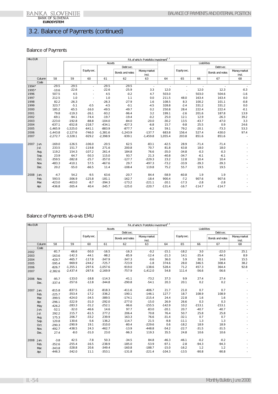**EUROSYSTEM**

# 3.2. Balance of Payments (continued)

### Balance of Payments

| Mio EUR      |            |            |             |            |                 | FA, of which: Portofolio investment <sup>2, 3</sup> |          |             |             |                 |                       |
|--------------|------------|------------|-------------|------------|-----------------|-----------------------------------------------------|----------|-------------|-------------|-----------------|-----------------------|
|              |            |            |             | Assets     |                 |                                                     |          |             | Liabilities |                 |                       |
|              |            |            |             |            | Debt sec.       |                                                     |          |             |             | Debt sec.       |                       |
|              |            |            | Equity sec. |            | Bonds and notes | Money market<br>inst.                               |          | Equity sec. |             | Bonds and notes | Money market<br>inst. |
| Column       | 58         | 59         | 60          | 61         | 62              | 63                                                  | 64       | 65          | 66          | 67              | 68                    |
| Code         |            |            |             |            |                 |                                                     |          |             |             |                 |                       |
| 1994*        | $-29.5$    | $-29.5$    | ×.          | $-29.5$    | $-29.5$         | ٠.                                                  | ٠        | ٠           | ٠.          | ٠               |                       |
| 1995*        | $-10.6$    | $-22.6$    | ÷.          | $-22.6$    | $-25.9$         | 3.3                                                 | 12.0     |             | 12.0        | 12.3            | $-0.3$                |
| 1996         | 507.5      | 4.5        | ٠           | 4.5        | $-0.2$          | 4.7                                                 | 503.0    | $\epsilon$  | 503.0       | 504.6           | $-1.6$                |
| 1997         | 212.5      | 1.0        | ×.          | 1.0        | 1.1             | 0.0                                                 | 211.5    | 48.0        | 163.4       | 163.4           | 0.0                   |
| 1998         | 82.2       | $-26.3$    | ٠           | $-26.3$    | $-27.9$         | 1.6                                                 | 108.5    | 8.3         | 100.2       | 101.1           | $-0.8$                |
| 1999         | 323.7      | $-5.1$     | $-0.5$      | $-4.5$     | $-0.1$          | $-4.5$                                              | 328.8    | $-2.4$      | 331.2       | 331.2           | 0.0                   |
| 2000         | 185.2      | $-65.5$    | $-16.0$     | $-49.5$    | $-49.7$         | 0.2                                                 | 250.8    | 28.4        | 222.4       | 222.4           | $-0.1$                |
| 2001         | 79.8       | $-119.3$   | $-26.1$     | $-93.2$    | $-96.4$         | 3.2                                                 | 199.1    | $-2.6$      | 201.6       | 187.8           | 13.9                  |
| 2002         | $-69.1$    | $-94.1$    | $-74.4$     | $-19.7$    | $-19.4$         | $-0.2$                                              | 25.0     | 12.1        | 12.9        | $-26.3$         | 39.2                  |
| 2003         | $-223.0$   | $-192.8$   | $-88.8$     | $-104.0$   | $-84.0$         | $-20.0$                                             | $-30.2$  | 13.5        | $-43.7$     | $-47.0$         | 3.3                   |
| 2004         | $-637.1$   | $-652.8$   | $-218.7$    | $-434.1$   | $-427.3$        | $-6.8$                                              | 15.7     | $-9.8$      | 25.5        | 0.9             | 24.6                  |
| 2005         | $-1,465.9$ | $-1,525.0$ | $-641.1$    | $-883.9$   | $-877.7$        | $-6.2$                                              | 59.1     | 79.2        | $-20.1$     | $-73.3$         | 53.3                  |
| 2006         | $-1,443.8$ | $-2,127.6$ | $-746.0$    | $-1,381.6$ | $-1,243.9$      | $-137.7$                                            | 683.8    | 156.4       | 527.4       | 430.0           | 97.4                  |
| 2007         | $-2,272.7$ | $-3,328.1$ | $-929.2$    | $-2.398.9$ | $-939.1$        | $-1,459.8$                                          | 1,055.4  | 203.8       | 851.6       | 851.6           |                       |
| 2007<br>Jun. | $-169.0$   | $-126.5$   | $-106.0$    | $-20.5$    | 62.5            | $-83.1$                                             | $-42.5$  | 28.9        | $-71.4$     | $-71.4$         |                       |
| Jul.         | 233.5      | 151.7      | $-119.8$    | 271.6      | 200.8           | 70.7                                                | 81.8     | 63.8        | 18.0        | 18.0            |                       |
| Aug.         | 119.2      | 154.3      | $-107.2$    | 261.4      | 184.8           | 76.6                                                | $-35.0$  | $-34.8$     | $-0.3$      | $-0.3$          |                       |
| Sep.         | 23.9       | 64.7       | $-50.3$     | 115.0      | 93.7            | 21.3                                                | $-40.8$  | $-34.7$     | $-6.1$      | $-6.1$          |                       |
| Oct.         | $-359.5$   | $-382.8$   | $-25.7$     | $-357.0$   | $-127.7$        | $-229.3$                                            | 23.2     | 12.8        | 10.4        | 10.4            |                       |
| Nov.         | $-483.3$   | $-410.1$   | 57.5        | $-467.6$   | 29.7            | $-497.3$                                            | $-73.2$  | $-33.9$     | $-39.3$     | $-39.3$         |                       |
| Dec.         | 20.2       | $-55.0$    | $-66.5$     | 11.4       | $-108.4$        | 119.8                                               | 75.2     | 55.7        | 19.5        | 19.5            |                       |
| 2008<br>Jan. | $-4.7$     | 54.2       | $-9.5$      | 63.6       | $-20.7$         | 84.4                                                | $-58.9$  | $-60.8$     | 1.9         | 1.9             |                       |
| Feb.         | 593.5      | $-306.9$   | $-125.8$    | $-181.1$   | $-162.7$        | $-18.4$                                             | 900.4    | $-7.2$      | 907.6       | 907.6           |                       |
| Mar.         | $-423.0$   | $-403.0$   | $-8.7$      | $-394.3$   | $-173.2$        | $-221.1$                                            | $-20.1$  | $-17.3$     | $-2.8$      | $-2.8$          |                       |
| Apr.         | $-436.8$   | $-305.4$   | 40.4        | $-345.7$   | $-125.0$        | $-220.7$                                            | $-131.4$ | $-16.7$     | $-114.7$    | $-114.7$        |                       |

| Mio EUR |        |            |            |             |            |                 | FA, of which: Portofolio investment <sup>2, 3</sup> |          |             |             |                 |                       |
|---------|--------|------------|------------|-------------|------------|-----------------|-----------------------------------------------------|----------|-------------|-------------|-----------------|-----------------------|
|         |        |            |            |             | Assets     |                 |                                                     |          |             | Liabilities |                 |                       |
|         |        |            |            |             |            | Debt sec.       |                                                     |          |             |             | Debt sec.       |                       |
|         |        |            |            | Equity sec. |            | Bonds and notes | Money market<br>inst.                               |          | Equity sec. |             | Bonds and notes | Money market<br>inst. |
|         | Column | 58         | 59         | 60          | 61         | 62              | 63                                                  | 64       | 65          | 66          | 67              | 68                    |
|         | Code   |            |            |             |            |                 |                                                     |          |             |             |                 |                       |
| 2002    |        | $-81.7$    | $-66.6$    | $-50.0$     | $-16.5$    | $-16.3$         | $-0.2$                                              | $-15.1$  | $-18.2$     | 3.0         | $-22.0$         | 25.1                  |
| 2003    |        | $-163.6$   | $-142.3$   | $-44.1$     | $-98.2$    | $-85.9$         | $-12.4$                                             | $-21.3$  | 14.1        | $-35.4$     | $-44.3$         | 8.9                   |
| 2004    |        | $-429.7$   | $-465.7$   | $-117.8$    | $-347.9$   | $-347.3$        | $-0.6$                                              | 36.0     | 5.9         | 30.1        | 14.6            | 15.5                  |
| 2005    |        | $-595.4$   | $-969.9$   | $-244.2$    | $-725.7$   | $-723.9$        | $-1.8$                                              | 374.6    | 28.0        | 346.5       | 308.4           | 38.2                  |
| 2006    |        | $-826.7$   | $-1,355.1$ | $-297.6$    | $-1,057.6$ | $-919.0$        | $-138.6$                                            | 528.4    | 71.2        | 457.3       | 364.4           | 92.8                  |
| 2007    |        | $-2,382.6$ | $-2,437.4$ | $-267.6$    | $-2,169.9$ | $-757.9$        | $-1,412.0$                                          | 54.8     | 111.4       | $-56.6$     | $-56.6$         |                       |
| 2006    | Nov.   | $-95.7$    | $-133.0$   | $-18.8$     | $-114.3$   | $-41.1$         | $-73.2$                                             | 37.3     | 9.9         | 27.4        | 27.4            |                       |
|         | Dec.   | $-337.4$   | $-357.6$   | $-12.8$     | $-344.8$   | $-290.8$        | $-54.1$                                             | 20.3     | 20.1        | 0.2         | 0.2             |                       |
| 2007    | Jan.   | $-815.8$   | $-837.5$   | $-19.2$     | $-818.3$   | $-411.6$        | $-406.7$                                            | 21.7     | 21.0        | 0.7         | 0.7             |                       |
|         | Feb.   | $-225.7$   | $-353.4$   | $-17.2$     | $-336.2$   | $-190.1$        | $-146.1$                                            | 127.7    | 18.7        | 108.9       | 108.9           |                       |
|         | Mar.   | $-399.5$   | $-424.0$   | $-34.5$     | $-389.5$   | $-174.1$        | $-215.4$                                            | 24.4     | 22.8        | 1.6         | 1.6             |                       |
|         | Apr.   | $-296.1$   | $-322.9$   | $-31.0$     | $-292.0$   | $-277.0$        | $-15.0$                                             | 26.9     | 26.6        | 0.3         | 0.3             |                       |
|         | May    | $-426.2$   | $-283.3$   | $-31.2$     | $-252.1$   | $-96.6$         | $-155.5$                                            | $-142.9$ | 10.2        | $-153.1$    | $-153.1$        |                       |
|         | Jun.   | $-52.1$    | $-32.0$    | $-46.6$     | 14.6       | 97.7            | $-83.0$                                             | $-20.1$  | 20.7        | $-40.7$     | $-40.7$         |                       |
|         | Jul.   | 292.2      | 215.7      | $-61.5$     | 277.2      | 206.4           | 70.8                                                | 76.4     | 50.7        | 25.8        | 25.8            |                       |
|         | Aug.   | 175.3      | 206.7      | $-33.2$     | 239.9      | 163.3           | 76.6                                                | $-31.4$  | $-32.1$     | 0.7         | 0.7             |                       |
|         | Sep.   | 120.8      | 130.6      | $-5.6$      | 136.2      | 114.7           | 21.5                                                | $-9.8$   | $-11.1$     | 1.3         | 1.3             |                       |
|         | Oct.   | $-290.3$   | $-290.9$   | 19.1        | $-310.0$   | $-80.4$         | $-229.6$                                            | 0.6      | $-18.2$     | 18.9        | 18.9            |                       |
|         | Nov.   | $-492.7$   | $-438.5$   | 24.3        | $-462.7$   | $-13.9$         | $-448.8$                                            | $-54.2$  | $-22.7$     | $-31.5$     | $-31.5$         |                       |
|         | Dec.   | 27.4       | $-8.0$     | $-31.0$     | 23.0       | $-96.3$         | 119.3                                               | 35.5     | 24.8        | 10.6        | 10.6            |                       |
| 2008    | Jan.   | $-3.8$     | 42.5       | $-7.8$      | 50.3       | $-34.5$         | 84.8                                                | $-46.3$  | $-46.1$     | $-0.2$      | $-0.2$          |                       |
|         | Feb.   | $-352.6$   | $-255.4$   | $-16.5$     | $-238.9$   | $-185.0$        | $-53.9$                                             | $-97.1$  | $-2.8$      | $-94.3$     | $-94.3$         |                       |
|         | Mar.   | $-343.8$   | $-328.8$   | 20.6        | $-349.4$   | $-160.8$        | $-188.7$                                            | $-15.0$  | $-16.2$     | 1.2         | 1.2             |                       |
|         | Apr.   | $-446.3$   | $-342.0$   | 11.1        | $-353.1$   | $-131.8$        | $-221.4$                                            | $-104.3$ | $-13.5$     | $-90.8$     | $-90.8$         |                       |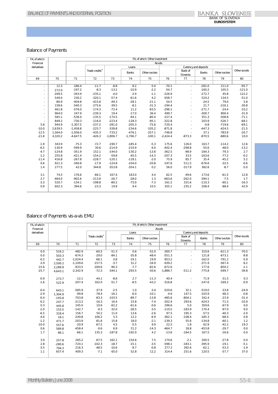### Balance of Payments

| FA, of which: |          |            |                            |            |              | FA, of which: Other investment |            |                     |                       |               |              |
|---------------|----------|------------|----------------------------|------------|--------------|--------------------------------|------------|---------------------|-----------------------|---------------|--------------|
| Financial     |          |            |                            |            |              | Assets                         |            |                     |                       |               |              |
| derivatives   |          |            |                            |            | Loans        |                                |            |                     | Currency and deposits |               |              |
|               |          |            | Trade credits <sup>4</sup> |            | <b>Banks</b> | Other sectors                  |            | Bank of<br>Slovenia | Banks                 | Other sectors | Other assets |
| 69            | 70       | 71         | 72                         | 73         | 74           | 75                             | 76         | 77                  | 78                    | 79            | 80           |
|               |          |            |                            |            |              |                                |            |                     |                       |               |              |
| ÷.            | 12.3     | $-186.4$   | $-11.7$                    | $-8.8$     | $-9.2$       | 0.4                            | $-70.1$    | ÷.                  | $-281.0$              | 211.0         | $-95.7$      |
| ÷.            | 272.0    | $-197.2$   | $-8.3$                     | $-13.2$    | $-10.9$      | $-2.2$                         | $-54.7$    | ÷.                  | $-160.2$              | 105.5         | $-121.0$     |
| ٠             | $-209.5$ | $-343.9$   | $-235.1$                   | $-4.0$     | $-2.9$       | $-1.1$                         | $-226.9$   | ٠                   | $-272.7$              | 45.8          | 122.2        |
| ÷             | 549.0    | 230.2      | $-320.1$                   | $-57.4$    | $-61.6$      | 4.2                            | 658.7      | ÷.                  | 524.2                 | 134.5         | $-51.0$      |
|               | $-80.9$  | $-404.8$   | $-415.8$                   | $-49.3$    | $-28.1$      | $-21.1$                        | 54.5       |                     | $-24.5$               | 79.0          | 5.8          |
| ×.            | 158.6    | $-540.3$   | $-275.6$                   | $-39.5$    | $-8.1$       | $-31.3$                        | $-194.4$   | ٠                   | 21.7                  | $-216.1$      | $-30.8$      |
| ×.            | 461.8    | $-576.0$   | $-174.3$                   | $-72.4$    | 11.2         | $-83.5$                        | $-296.1$   | ٠                   | $-271.7$              | $-24.4$       | $-33.2$      |
|               | 964.0    | 247.9      | $-239.3$                   | 19.4       | $-17.0$      | 36.4                           | 499.7      | ×.                  | $-300.7$              | 800.4         | $-31.9$      |
| ٠             | 565.1    | $-538.4$   | $-135.5$                   | $-174.5$   | $-94.1$      | $-80.4$                        | $-157.4$   | ٠                   | 351.3                 | $-508.8$      | $-71.1$      |
|               | 849.2    | $-730.3$   | $-116.0$                   | $-223.4$   | $-128.3$     | $-95.1$                        | $-322.8$   | ٠                   | 203.9                 | $-526.7$      | $-68.1$      |
| 5.8           | 944.9    | $-1,307.5$ | $-237.2$                   | $-281.0$   | $-205.3$     | $-75.6$                        | $-720.4$   | ×.                  | $-0.8$                | $-719.6$      | $-69.1$      |
| $-10.0$       | 2.639.5  | $-1,458.8$ | $-225.7$                   | $-339.8$   | $-234.6$     | $-105.2$                       | $-871.8$   |                     | $-447.3$              | $-424.5$      | $-21.5$      |
| $-12.5$       | 1,564.0  | $-1,936.0$ | $-435.3$                   | $-733.2$   | $-476.1$     | $-257.1$                       | $-746.8$   |                     | 37.1                  | $-783.9$      | $-20.7$      |
| $-21.8$       | 4,320.2  | $-4,647.5$ | $-426.3$                   | $-1,806.7$ | $-1,706.7$   | $-100.1$                       | $-2,424.4$ | $-873.3$            | $-870.5$              | $-680.6$      | 10.0         |
| $-1.9$        | 343.9    | $-75.3$    | $-72.7$                    | $-190.7$   | $-185.4$     | $-5.3$                         | 175.6      | 126.0               | 163.7                 | $-114.2$      | 12.6         |
| $-6.5$        | $-130.9$ | $-599.9$   | 30.6                       | $-214.9$   | $-210.9$     | $-4.0$                         | $-402.4$   | $-298.8$            | $-55.6$               | $-48.0$       | $-13.2$      |
| $-4.7$        | $-124.8$ | $-351.9$   | 152.1                      | $-144.0$   | $-130.2$     | $-13.8$                        | $-362.5$   | $-98.9$             | $-184.3$              | $-79.3$       | 2.7          |
| $-1.2$        | 255.8    | $-421.4$   | $-154.2$                   | $-59.8$    | $-45.5$      | $-14.3$                        | $-207.3$   | 33.5                | $-163.6$              | $-77.2$       | $-0.2$       |
| $-11.4$       | 416.8    | $-267.8$   | $-228.7$                   | $-120.1$   | $-118.1$     | $-2.0$                         | 75.9       | 85.7                | 35.4                  | $-45.2$       | 5.2          |
| 0.6           | 921.3    | $-340.8$   | $-17.9$                    | $-124.8$   | $-104.0$     | $-20.8$                        | $-197.6$   | 511.5               | $-676.6$              | $-32.5$       | $-0.6$       |
| 1.4           | 277.5    | 42.0       | 344.8                      | $-353.8$   | $-354.1$     | 0.2                            | 56.0       | $-317.9$            | 382.6                 | $-8.7$        | $-5.0$       |
| 3.1           | 74.5     | 176.6      | $-66.1$                    | 167.4      | 163.0        | 4.4                            | 62.5       | $-49.6$             | 173.6                 | $-61.5$       | 12.8         |
| 2.7           | $-464.0$ | $-902.6$   | $-213.9$                   | $-26.7$    | $-28.0$      | 1.3                            | $-663.6$   | $-262.0$            | $-394.1$              | $-7.5$        | 1.7          |
| $-3.3$        | 520.7    | $-134.1$   | $-198.8$                   | $-80.2$    | $-73.0$      | $-7.3$                         | 161.2      | 331.6               | $-110.3$              | $-60.1$       | $-16.3$      |
| 0.9           | 602.3    | 394.6      | $-23.3$                    | 19.9       | 9.4          | 10.5                           | 355.1      | 235.2               | 208.4                 | $-88.4$       | 42.9         |

| FA, of which: |          |            |                            |          |              | FA, of which: Other investment |            |                     |                       |               |              |
|---------------|----------|------------|----------------------------|----------|--------------|--------------------------------|------------|---------------------|-----------------------|---------------|--------------|
| Financial     |          |            |                            |          |              |                                | Assets     |                     |                       |               |              |
| derivatives   |          |            |                            |          | Loans        |                                |            |                     | Currency and deposits |               |              |
|               |          |            | Trade credits <sup>4</sup> |          | <b>Banks</b> | Other sectors                  |            | Bank of<br>Slovenia | <b>Banks</b>          | Other sectors | Other assets |
| 69            | 70       | 71         | 72                         | 73       | 74           | 75                             | 76         | 77                  | 78                    | 79            | 80           |
|               |          |            |                            |          |              |                                |            |                     |                       |               |              |
| 0.0           | 516.2    | $-482.9$   | $-60.5$                    | $-51.3$  | 0.6          | $-52.0$                        | $-300.7$   | ×.                  | 310.6                 | $-611.3$      | $-70.5$      |
| 0.0           | 503.3    | $-674.3$   | $-29.0$                    | $-84.1$  | $-35.8$      | $-48.4$                        | $-551.3$   | $\sim$              | 121.8                 | $-673.1$      | $-9.8$       |
| $-0.2$        | 442.7    | $-1,024.4$ | $-66.1$                    | 0.8      | $-19.1$      | 19.9                           | $-953.2$   | $\sim$              | $-162.0$              | $-791.2$      | $-5.9$       |
| $-3.9$        | 2,500.2  | $-1,109.6$ | $-157.5$                   | $-3.7$   | 31.2         | $-34.9$                        | $-939.2$   | ×.                  | $-371.9$              | $-567.4$      | $-9.2$       |
| $-15.6$       | 2.289.9  | $-933.5$   | $-169.6$                   | $-90.3$  | $-7.7$       | $-82.6$                        | $-672.6$   | ٠                   | 177.6                 | $-850.2$      | $-1.1$       |
| $-25.7$       | 4,643.1  | $-2,342.9$ | $-72.3$                    | $-344.1$ | $-293.5$     | $-50.6$                        | $-1,886.7$ | $-511.2$            | $-775.8$              | $-599.7$      | $-39.8$      |
|               |          |            |                            |          |              |                                |            |                     |                       |               |              |
| $-0.9$        | 273.7    | $-12.1$    | $-44.1$                    | $-8.6$   | 2.7          | $-11.3$                        | 40.4       |                     | 71.9                  | $-31.5$       | 0.3          |
| $-1.6$        | 522.9    | $-207.4$   | 162.0                      | $-51.7$  | $-8.5$       | $-43.2$                        | $-316.8$   |                     | $-147.6$              | $-169.2$      | $-0.9$       |
|               |          |            |                            |          |              |                                |            |                     |                       |               |              |
| $-0.4$        | 643.1    | $-585.9$   | $-37.9$                    | $-2.5$   | 1.0          | $-3.4$                         | $-520.6$   | 32.1                | $-519.0$              | $-33.8$       | $-24.9$      |
| $-2.9$        | 1,304.9  | $-99.8$    | $-78.4$                    | $-16.1$  | $-6.0$       | $-10.1$                        | $-4.6$     | 147.5               | $-103.9$              | $-48.3$       | $-0.8$       |
| $-0.4$        | $-193.8$ | $-703.8$   | $-83.3$                    | $-103.5$ | $-89.7$      | $-13.8$                        | $-485.6$   | $-804.1$            | 342.4                 | $-23.9$       | $-31.4$      |
| $-0.2$        | 247.7    | $-213.2$   | $-16.3$                    | 16.4     | 23.8         | $-7.4$                         | $-202.4$   | 293.6               | $-424.5$              | $-71.5$       | $-10.9$      |
| 0.3           | 445.8    | 245.0      | 10.6                       | $-62.2$  | $-61.6$      | $-0.6$                         | 296.6      | 5.0                 | 359.6                 | $-67.9$       | 0.0          |
| $-2.0$        | 153.5    | $-142.7$   | $-9.3$                     | $-32.0$  | $-28.5$      | $-3.5$                         | $-110.5$   | $-183.9$            | 170.4                 | $-97.0$       | 9.0          |
| $-6.5$        | 318.4    | 156.7      | 50.2                       | 11.0     | 13.6         | $-2.6$                         | 97.5       | 195.3               | $-57.5$               | $-40.3$       | $-2.0$       |
| $-4.6$        | 18.1     | $-249.8$   | 106.2                      | 5.3      | 12.2         | $-6.9$                         | $-362.1$   | $-108.4$            | $-185.3$              | $-68.4$       | 0.8          |
| $-1.2$        | 471.7    | $-203.9$   | $-81.6$                    | 15.8     | 18.0         | $-2.1$                         | $-139.3$   | 55.6                | $-134.8$              | $-60.1$       | 1.2          |
| $-10.0$       | 557.6    | $-20.9$    | $-67.2$                    | 4.5      | $-5.5$       | 9.9                            | 22.5       | 1.8                 | 62.9                  | $-42.2$       | 19.3         |
| 0.6           | 589.8    | $-458.4$   | $-0.6$                     | 6.9      | 21.2         | $-14.3$                        | $-464.7$   | 18.8                | $-453.8$              | $-29.7$       | 0.0          |
| 1.7           | 86.1     | $-66.1$    | 135.3                      | $-187.8$ | $-192.0$     | 4.2                            | $-13.6$    | $-164.5$            | 167.5                 | $-16.6$       | 0.0          |
|               |          |            |                            |          |              |                                |            |                     |                       |               |              |
| 3.0           | 257.8    | 265.2      | $-67.5$                    | 162.1    | 154.6        | 7.5                            | 170.6      | $-2.1$              | 200.5                 | $-27.8$       | 0.0          |
| 2.8           | $-280.6$ | $-724.1$   | $-102.3$                   | $-18.7$  | $-15.1$      | $-3.5$                         | $-598.1$   | $-183.1$            | $-395.9$              | $-19.1$       | $-5.1$       |
| $-3.5$        | 794.3    | 216.3      | $-48.5$                    | $-10.6$  | $-9.7$       | $-0.8$                         | 277.2      | 392.6               | $-62.1$               | $-53.3$       | $-1.9$       |
| 1.1           | 657.4    | 409.3      | $-7.1$                     | 65.0     | 52.8         | 12.2                           | 314.4      | 251.6               | 120.5                 | $-57.7$       | 37.0         |
|               |          |            |                            |          |              |                                |            |                     |                       |               |              |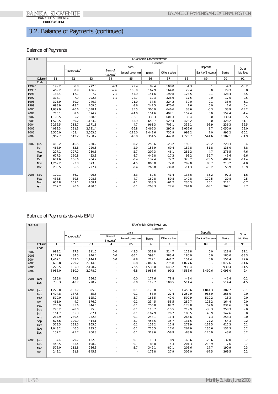**EUROSYSTEM**

# 3.2. Balance of Payments (continued)

### Balance of Payments

| Mio EUR      |          |                            |          |                       |                   | FA, of which. Other investment |               |          |                  |         |             |
|--------------|----------|----------------------------|----------|-----------------------|-------------------|--------------------------------|---------------|----------|------------------|---------|-------------|
|              |          | Liabilities                |          |                       |                   |                                |               |          |                  |         |             |
|              |          |                            |          |                       | Loans             |                                |               |          | Deposits         |         | Other       |
|              |          | Trade credits <sup>4</sup> |          | Bank of               | General governmer | Banks <sup>2</sup>             | Other sectors |          | Bank of Slovenia | Banks   | liabilities |
|              |          |                            |          | Slovenia <sup>6</sup> |                   |                                |               |          |                  |         |             |
| Column       | 81       | 82                         | 83       | 84                    | 85                | 86                             | 87            | 88       | 89               | 90      | 91          |
| Code         |          |                            |          |                       |                   |                                |               |          |                  |         |             |
| 1994*        | 199.2    | $-8.8$                     | 272.5    | $-4.3$                | 79.4              | 89.4                           | 108.0         | $-4.3$   | 0.1              | $-4.3$  | $-60.2$     |
| 1995*        | 469.2    | $-2.9$                     | 436.9    | $-2.6$                | 106.9             | 167.9                          | 164.8         | 29.4     | 0.0              | 29.3    | 5.8         |
| 1996         | 134.4    | 17.1                       | $-7.7$   | $-2.1$                | $-54.9$           | $-141.6$                       | 190.8         | 128.5    | 0.1              | 128.4   | $-3.5$      |
| 1997         | 318.7    | 7.9                        | 292.8    | $-1.1$                | $-22.7$           | $-12.3$                        | 328.9         | 17.5     | 0.0              | 17.5    | 0.5         |
| 1998         | 323.9    | 39.0                       | 240.7    |                       | $-21.0$           | 37.5                           | 224.2         | 39.0     | 0.1              | 38.9    | 5.1         |
| 1999         | 698.9    | $-18.7$                    | 709.6    |                       | $-3.6$            | 242.5                          | 470.6         | 1.6      | 0.0              | 1.6     | 6.4         |
| 2000         | 1,037.9  | $-20.6$                    | 1,038.1  |                       | 85.5              | 305.9                          | 646.6         | 33.6     | $-0.3$           | 33.9    | $-13.2$     |
| 2001         | 716.1    | $-9.6$                     | 574.7    |                       | $-74.0$           | 151.6                          | 497.1         | 152.4    | 0.0              | 152.4   | $-1.4$      |
| 2002         | 1,103.5  | 95.2                       | 838.5    |                       | $-96.1$           | 333.3                          | 601.3         | 130.4    | 0.0              | 130.4   | 39.5        |
| 2003         | 1,579.5  | 59.2                       | 1,123.2  |                       | $-65.9$           | 659.7                          | 529.4         | 428.2    | 0.0              | 428.2   | $-31.1$     |
| 2004         | 2,252.5  | 213.7                      | 1,671.1  |                       | 4.7               | 961.3                          | 705.1         | 335.1    | 98.9             | 236.3   | 32.5        |
| 2005         | 4,098.3  | 291.3                      | 2,731.4  |                       | $-26.8$           | 2,465.3                        | 292.9         | 1,052.6  | 1.7              | 1,050.9 | 23.0        |
| 2006         | 3,500.0  | 468.4                      | 2,063.6  |                       | $-115.0$          | 1,442.6                        | 735.9         | 998.2    | 7.0              | 991.2   | $-30.2$     |
| 2007         | 8,967.7  | 512.2                      | 3,760.7  |                       | $-40.8$           | 3,354.5                        | 447.0         | 4,726.7  | 3,544.6          | 1,182.1 | $-31.9$     |
| 2007<br>Jun. | 419.2    | $-16.5$                    | 230.2    |                       | $-0.2$            | 253.6                          | $-23.2$       | 199.1    | $-29.2$          | 228.3   | 6.4         |
| Jul.         | 468.9    | 53.8                       | 220.5    |                       | $-2.9$            | 153.9                          | 69.4          | 187.8    | 51.8             | 136.0   | 6.8         |
| Aug.         | 227.1    | $-297.2$                   | 250.6    |                       | $-2.7$            | 207.3                          | 46.1          | 281.2    | 4.7              | 276.5   | $-7.6$      |
| Sep.         | 677.3    | 160.8                      | 423.8    |                       | $-8.7$            | 449.8                          | $-17.3$       | 98.2     | 52.7             | 45.6    | $-5.6$      |
| Oct.         | 684.6    | 166.6                      | 204.2    |                       | $-0.4$            | 132.4                          | 72.2          | 328.2    | $-73.5$          | 401.6   | $-14.4$     |
| Nov.         | 1,262.2  | 93.8                       | 873.3    |                       | $-4.5$            | 805.0                          | 72.8          | 299.0    | 85.7             | 213.2   | $-4.0$      |
| Dec.         | 235.5    | 6.5                        | 227.4    |                       | $-0.4$            | 266.8                          | $-39.0$       | $-14.3$  | $-70.2$          | 55.9    | 15.9        |
| 2008<br>Jan. | $-102.1$ | $-66.7$                    | 96.5     |                       | $-5.3$            | 60.5                           | 41.4          | $-133.6$ | $-36.2$          | $-97.3$ | 1.6         |
| Feb.         | 438.5    | 89.5                       | 208.8    |                       | $-4.7$            | 162.8                          | 50.8          | 149.8    | 170.5            | $-20.8$ | $-9.5$      |
| Mar.         | 654.8    | 151.1                      | 268.1    |                       | $-9.1$            | 338.3                          | $-61.2$       | 236.3    | 25.1             | 211.1   | $-0.7$      |
| Apr.         | 207.7    | 90.6                       | $-180.6$ |                       | 0.1               | $-208.3$                       | 27.6          | 294.0    | $-68.1$          | 362.1   | 3.7         |

| Liabilities<br>Deposits<br>Loans<br>Bank of<br>Trade credits <sup>4</sup><br>Banks <sup>2</sup><br>Bank of Slovenia<br>Other sectors<br>Banks<br>General governmer<br>Slovenia <sup>6</sup><br>81<br>82<br>83<br>85<br>86<br>87<br>89<br>Column<br>84<br>88<br>90<br>Code<br>999.2<br>27.3<br>811.0<br>0.0<br>$-43.5$<br>339.8<br>514.7<br>128.8<br>0.0<br>128.8<br>2002<br>84.5<br>946.4<br>0.0<br>599.1<br>383.4<br>185.0<br>1,177.6<br>$-36.1$<br>0.0<br>185.0<br>2003<br>0.0<br>712.1<br>151.4<br>1,467.1<br>149.0<br>1,144.1<br>$-9.8$<br>441.7<br>0.0<br>151.4<br>2004<br>3,609.8<br>229.2<br>$-6.8$<br>2,045.6<br>275.8<br>1,077.6<br>1,077.6<br>2,314.5<br>2005<br>930.4<br>3,223.5<br>195.9<br>$-72.5$<br>1,538.0<br>930.4<br>2,108.7<br>643.2<br>2006<br>6.986.0<br>$-6.8$<br>1,985.6<br>99.2<br>4,588.6<br>1,098.0<br>310.0<br>2.078.0<br>3,490.6<br>2007<br>285.8<br>256.5<br>78.8<br>70.8<br>0.0<br>177.6<br>$-41.4$<br>$-41.4$<br>2006 Nov.<br>228.2<br>730.3<br>$-10.7$<br>0.0<br>119.7<br>108.5<br>514.4<br>514.4<br>Dec.<br>$-133.7$<br>$-95.8$<br>$-173.0$<br>$-382.7$<br>1,229.0<br>0.1<br>77.1<br>1,458.6<br>1,841.3<br>2007<br>Jan.<br>187.5<br>$-58.0$<br>22.4<br>1,252.9<br>1,404.8<br>$-35.6$<br>986.9<br>0.1<br>266.0<br>Feb.<br>510.0<br>134.3<br>$-125.2$<br>$-3.7$<br>$-163.5$<br>500.9<br>519.2<br>$-18.3$<br>42.0<br>Mar.<br>461.0<br>$-4.7$<br>176.0<br>0.1<br>234.5<br>$-58.5$<br>289.7<br>125.2<br>164.4<br>Apr.<br>256.8<br>87.2<br>200.9<br>35.6<br>344.0<br>0.1<br>$-178.8$<br>52.9<br>$-231.6$<br>May<br>296.2<br>$-28.0$<br>95.3<br>219.9<br>258.3<br>110.7<br>$-15.5$<br>$-38.3$<br>0.1<br>Jun.<br>$-87.1$<br>161.7<br>65.3<br>$-107.9$<br>20.7<br>183.5<br>0.1<br>40.9<br>142.6<br>Jul.<br>267.9<br>$-230.4$<br>232.8<br>244.1<br>$-11.4$<br>265.6<br>7.3<br>258.3<br>0.1<br>Aug.<br>675.6<br>129.9<br>453.5<br>131.5<br>54.3<br>414.1<br>$-3.7$<br>$-35.7$<br>77.2<br>Sep.<br>578.5<br>133.5<br>165.0<br>152.2<br>12.8<br>279.9<br>$-132.5$<br>0.1<br>412.3<br>Oct.<br>46.5<br>733.6<br>716.5<br>267.9<br>1,048.2<br>0.1<br>17.0<br>136.6<br>131.3<br>Nov.<br>152.2<br>$-25.7$<br>260.8<br>319.6<br>$-58.9$<br>$-83.0$<br>43.0<br>0.1<br>$-126.0$<br>Dec.<br>$-7.4$<br>$-79.7$<br>132.3<br>113.3<br>18.9<br>$-60.6$<br>$-28.6$<br>$-32.0$<br>0.1<br>2008<br>Jan.<br>43.4<br>198.2<br>183.8<br>14.3<br>201.3<br>218.9<br>443.5<br>0.1<br>$-17.6$<br>Feb. | Mio EUR | FA, of which. Other investment |  |  |  |  |  |  |  |  |  |             |  |
|--------------------------------------------------------------------------------------------------------------------------------------------------------------------------------------------------------------------------------------------------------------------------------------------------------------------------------------------------------------------------------------------------------------------------------------------------------------------------------------------------------------------------------------------------------------------------------------------------------------------------------------------------------------------------------------------------------------------------------------------------------------------------------------------------------------------------------------------------------------------------------------------------------------------------------------------------------------------------------------------------------------------------------------------------------------------------------------------------------------------------------------------------------------------------------------------------------------------------------------------------------------------------------------------------------------------------------------------------------------------------------------------------------------------------------------------------------------------------------------------------------------------------------------------------------------------------------------------------------------------------------------------------------------------------------------------------------------------------------------------------------------------------------------------------------------------------------------------------------------------------------------------------------------------------------------------------------------------------------------------------------------------------------------------------------------------------------------------------------------------------------------------------------------------------------------------------------------------------------------------------------------------------------------------------------------------------------------------------------------------------------------------------|---------|--------------------------------|--|--|--|--|--|--|--|--|--|-------------|--|
|                                                                                                                                                                                                                                                                                                                                                                                                                                                                                                                                                                                                                                                                                                                                                                                                                                                                                                                                                                                                                                                                                                                                                                                                                                                                                                                                                                                                                                                                                                                                                                                                                                                                                                                                                                                                                                                                                                                                                                                                                                                                                                                                                                                                                                                                                                                                                                                                  |         |                                |  |  |  |  |  |  |  |  |  |             |  |
|                                                                                                                                                                                                                                                                                                                                                                                                                                                                                                                                                                                                                                                                                                                                                                                                                                                                                                                                                                                                                                                                                                                                                                                                                                                                                                                                                                                                                                                                                                                                                                                                                                                                                                                                                                                                                                                                                                                                                                                                                                                                                                                                                                                                                                                                                                                                                                                                  |         |                                |  |  |  |  |  |  |  |  |  | Other       |  |
|                                                                                                                                                                                                                                                                                                                                                                                                                                                                                                                                                                                                                                                                                                                                                                                                                                                                                                                                                                                                                                                                                                                                                                                                                                                                                                                                                                                                                                                                                                                                                                                                                                                                                                                                                                                                                                                                                                                                                                                                                                                                                                                                                                                                                                                                                                                                                                                                  |         |                                |  |  |  |  |  |  |  |  |  | liabilities |  |
|                                                                                                                                                                                                                                                                                                                                                                                                                                                                                                                                                                                                                                                                                                                                                                                                                                                                                                                                                                                                                                                                                                                                                                                                                                                                                                                                                                                                                                                                                                                                                                                                                                                                                                                                                                                                                                                                                                                                                                                                                                                                                                                                                                                                                                                                                                                                                                                                  |         |                                |  |  |  |  |  |  |  |  |  |             |  |
|                                                                                                                                                                                                                                                                                                                                                                                                                                                                                                                                                                                                                                                                                                                                                                                                                                                                                                                                                                                                                                                                                                                                                                                                                                                                                                                                                                                                                                                                                                                                                                                                                                                                                                                                                                                                                                                                                                                                                                                                                                                                                                                                                                                                                                                                                                                                                                                                  |         |                                |  |  |  |  |  |  |  |  |  | 91          |  |
|                                                                                                                                                                                                                                                                                                                                                                                                                                                                                                                                                                                                                                                                                                                                                                                                                                                                                                                                                                                                                                                                                                                                                                                                                                                                                                                                                                                                                                                                                                                                                                                                                                                                                                                                                                                                                                                                                                                                                                                                                                                                                                                                                                                                                                                                                                                                                                                                  |         |                                |  |  |  |  |  |  |  |  |  |             |  |
|                                                                                                                                                                                                                                                                                                                                                                                                                                                                                                                                                                                                                                                                                                                                                                                                                                                                                                                                                                                                                                                                                                                                                                                                                                                                                                                                                                                                                                                                                                                                                                                                                                                                                                                                                                                                                                                                                                                                                                                                                                                                                                                                                                                                                                                                                                                                                                                                  |         |                                |  |  |  |  |  |  |  |  |  | 32.1        |  |
|                                                                                                                                                                                                                                                                                                                                                                                                                                                                                                                                                                                                                                                                                                                                                                                                                                                                                                                                                                                                                                                                                                                                                                                                                                                                                                                                                                                                                                                                                                                                                                                                                                                                                                                                                                                                                                                                                                                                                                                                                                                                                                                                                                                                                                                                                                                                                                                                  |         |                                |  |  |  |  |  |  |  |  |  | $-38.3$     |  |
|                                                                                                                                                                                                                                                                                                                                                                                                                                                                                                                                                                                                                                                                                                                                                                                                                                                                                                                                                                                                                                                                                                                                                                                                                                                                                                                                                                                                                                                                                                                                                                                                                                                                                                                                                                                                                                                                                                                                                                                                                                                                                                                                                                                                                                                                                                                                                                                                  |         |                                |  |  |  |  |  |  |  |  |  | 22.6        |  |
|                                                                                                                                                                                                                                                                                                                                                                                                                                                                                                                                                                                                                                                                                                                                                                                                                                                                                                                                                                                                                                                                                                                                                                                                                                                                                                                                                                                                                                                                                                                                                                                                                                                                                                                                                                                                                                                                                                                                                                                                                                                                                                                                                                                                                                                                                                                                                                                                  |         |                                |  |  |  |  |  |  |  |  |  | $-11.6$     |  |
|                                                                                                                                                                                                                                                                                                                                                                                                                                                                                                                                                                                                                                                                                                                                                                                                                                                                                                                                                                                                                                                                                                                                                                                                                                                                                                                                                                                                                                                                                                                                                                                                                                                                                                                                                                                                                                                                                                                                                                                                                                                                                                                                                                                                                                                                                                                                                                                                  |         |                                |  |  |  |  |  |  |  |  |  | $-11.5$     |  |
|                                                                                                                                                                                                                                                                                                                                                                                                                                                                                                                                                                                                                                                                                                                                                                                                                                                                                                                                                                                                                                                                                                                                                                                                                                                                                                                                                                                                                                                                                                                                                                                                                                                                                                                                                                                                                                                                                                                                                                                                                                                                                                                                                                                                                                                                                                                                                                                                  |         |                                |  |  |  |  |  |  |  |  |  | 9.4         |  |
|                                                                                                                                                                                                                                                                                                                                                                                                                                                                                                                                                                                                                                                                                                                                                                                                                                                                                                                                                                                                                                                                                                                                                                                                                                                                                                                                                                                                                                                                                                                                                                                                                                                                                                                                                                                                                                                                                                                                                                                                                                                                                                                                                                                                                                                                                                                                                                                                  |         |                                |  |  |  |  |  |  |  |  |  | $-0.2$      |  |
|                                                                                                                                                                                                                                                                                                                                                                                                                                                                                                                                                                                                                                                                                                                                                                                                                                                                                                                                                                                                                                                                                                                                                                                                                                                                                                                                                                                                                                                                                                                                                                                                                                                                                                                                                                                                                                                                                                                                                                                                                                                                                                                                                                                                                                                                                                                                                                                                  |         |                                |  |  |  |  |  |  |  |  |  | $-1.5$      |  |
|                                                                                                                                                                                                                                                                                                                                                                                                                                                                                                                                                                                                                                                                                                                                                                                                                                                                                                                                                                                                                                                                                                                                                                                                                                                                                                                                                                                                                                                                                                                                                                                                                                                                                                                                                                                                                                                                                                                                                                                                                                                                                                                                                                                                                                                                                                                                                                                                  |         |                                |  |  |  |  |  |  |  |  |  | $-0.1$      |  |
|                                                                                                                                                                                                                                                                                                                                                                                                                                                                                                                                                                                                                                                                                                                                                                                                                                                                                                                                                                                                                                                                                                                                                                                                                                                                                                                                                                                                                                                                                                                                                                                                                                                                                                                                                                                                                                                                                                                                                                                                                                                                                                                                                                                                                                                                                                                                                                                                  |         |                                |  |  |  |  |  |  |  |  |  | 0.0         |  |
|                                                                                                                                                                                                                                                                                                                                                                                                                                                                                                                                                                                                                                                                                                                                                                                                                                                                                                                                                                                                                                                                                                                                                                                                                                                                                                                                                                                                                                                                                                                                                                                                                                                                                                                                                                                                                                                                                                                                                                                                                                                                                                                                                                                                                                                                                                                                                                                                  |         |                                |  |  |  |  |  |  |  |  |  | 0.0         |  |
|                                                                                                                                                                                                                                                                                                                                                                                                                                                                                                                                                                                                                                                                                                                                                                                                                                                                                                                                                                                                                                                                                                                                                                                                                                                                                                                                                                                                                                                                                                                                                                                                                                                                                                                                                                                                                                                                                                                                                                                                                                                                                                                                                                                                                                                                                                                                                                                                  |         |                                |  |  |  |  |  |  |  |  |  | 0.0         |  |
|                                                                                                                                                                                                                                                                                                                                                                                                                                                                                                                                                                                                                                                                                                                                                                                                                                                                                                                                                                                                                                                                                                                                                                                                                                                                                                                                                                                                                                                                                                                                                                                                                                                                                                                                                                                                                                                                                                                                                                                                                                                                                                                                                                                                                                                                                                                                                                                                  |         |                                |  |  |  |  |  |  |  |  |  | 0.0         |  |
|                                                                                                                                                                                                                                                                                                                                                                                                                                                                                                                                                                                                                                                                                                                                                                                                                                                                                                                                                                                                                                                                                                                                                                                                                                                                                                                                                                                                                                                                                                                                                                                                                                                                                                                                                                                                                                                                                                                                                                                                                                                                                                                                                                                                                                                                                                                                                                                                  |         |                                |  |  |  |  |  |  |  |  |  | 9.0         |  |
|                                                                                                                                                                                                                                                                                                                                                                                                                                                                                                                                                                                                                                                                                                                                                                                                                                                                                                                                                                                                                                                                                                                                                                                                                                                                                                                                                                                                                                                                                                                                                                                                                                                                                                                                                                                                                                                                                                                                                                                                                                                                                                                                                                                                                                                                                                                                                                                                  |         |                                |  |  |  |  |  |  |  |  |  | 0.0         |  |
|                                                                                                                                                                                                                                                                                                                                                                                                                                                                                                                                                                                                                                                                                                                                                                                                                                                                                                                                                                                                                                                                                                                                                                                                                                                                                                                                                                                                                                                                                                                                                                                                                                                                                                                                                                                                                                                                                                                                                                                                                                                                                                                                                                                                                                                                                                                                                                                                  |         |                                |  |  |  |  |  |  |  |  |  | 0.0         |  |
|                                                                                                                                                                                                                                                                                                                                                                                                                                                                                                                                                                                                                                                                                                                                                                                                                                                                                                                                                                                                                                                                                                                                                                                                                                                                                                                                                                                                                                                                                                                                                                                                                                                                                                                                                                                                                                                                                                                                                                                                                                                                                                                                                                                                                                                                                                                                                                                                  |         |                                |  |  |  |  |  |  |  |  |  | 0.2         |  |
|                                                                                                                                                                                                                                                                                                                                                                                                                                                                                                                                                                                                                                                                                                                                                                                                                                                                                                                                                                                                                                                                                                                                                                                                                                                                                                                                                                                                                                                                                                                                                                                                                                                                                                                                                                                                                                                                                                                                                                                                                                                                                                                                                                                                                                                                                                                                                                                                  |         |                                |  |  |  |  |  |  |  |  |  | 0.1         |  |
|                                                                                                                                                                                                                                                                                                                                                                                                                                                                                                                                                                                                                                                                                                                                                                                                                                                                                                                                                                                                                                                                                                                                                                                                                                                                                                                                                                                                                                                                                                                                                                                                                                                                                                                                                                                                                                                                                                                                                                                                                                                                                                                                                                                                                                                                                                                                                                                                  |         |                                |  |  |  |  |  |  |  |  |  | 0.2         |  |
|                                                                                                                                                                                                                                                                                                                                                                                                                                                                                                                                                                                                                                                                                                                                                                                                                                                                                                                                                                                                                                                                                                                                                                                                                                                                                                                                                                                                                                                                                                                                                                                                                                                                                                                                                                                                                                                                                                                                                                                                                                                                                                                                                                                                                                                                                                                                                                                                  |         |                                |  |  |  |  |  |  |  |  |  | 0.2         |  |
|                                                                                                                                                                                                                                                                                                                                                                                                                                                                                                                                                                                                                                                                                                                                                                                                                                                                                                                                                                                                                                                                                                                                                                                                                                                                                                                                                                                                                                                                                                                                                                                                                                                                                                                                                                                                                                                                                                                                                                                                                                                                                                                                                                                                                                                                                                                                                                                                  |         |                                |  |  |  |  |  |  |  |  |  | 0.7         |  |
|                                                                                                                                                                                                                                                                                                                                                                                                                                                                                                                                                                                                                                                                                                                                                                                                                                                                                                                                                                                                                                                                                                                                                                                                                                                                                                                                                                                                                                                                                                                                                                                                                                                                                                                                                                                                                                                                                                                                                                                                                                                                                                                                                                                                                                                                                                                                                                                                  |         |                                |  |  |  |  |  |  |  |  |  | 0.7         |  |
| 578.0<br>112.8<br>256.3<br>$-3.7$<br>342.1<br>208.6<br>$-82.1$<br>17.7<br>190.9<br>Mar.                                                                                                                                                                                                                                                                                                                                                                                                                                                                                                                                                                                                                                                                                                                                                                                                                                                                                                                                                                                                                                                                                                                                                                                                                                                                                                                                                                                                                                                                                                                                                                                                                                                                                                                                                                                                                                                                                                                                                                                                                                                                                                                                                                                                                                                                                                          |         |                                |  |  |  |  |  |  |  |  |  | 0.3         |  |
| 91.8<br>$-145.8$<br>$-173.8$<br>27.9<br>248.1<br>302.0<br>$-67.5$<br>369.5<br>Apr.                                                                                                                                                                                                                                                                                                                                                                                                                                                                                                                                                                                                                                                                                                                                                                                                                                                                                                                                                                                                                                                                                                                                                                                                                                                                                                                                                                                                                                                                                                                                                                                                                                                                                                                                                                                                                                                                                                                                                                                                                                                                                                                                                                                                                                                                                                               |         |                                |  |  |  |  |  |  |  |  |  | 0.2         |  |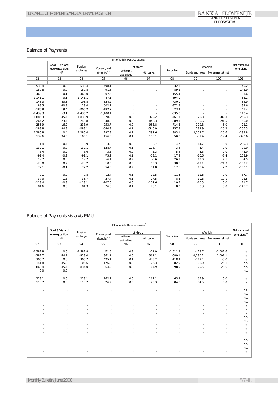### Balance of Payments

|            |                                               |                     |                                   | FA, of which: Reserve assets' |                         |            |                 |                                 |                             |
|------------|-----------------------------------------------|---------------------|-----------------------------------|-------------------------------|-------------------------|------------|-----------------|---------------------------------|-----------------------------|
|            | Gold, SDRs and<br>reserve positions<br>in IMF | Foreign<br>exchange | Currency and<br>deposits $^{2,5}$ | with mon.                     | of which:<br>with banks | Securities | Bonds and notes | of which:<br>Money market inst. | Net errors and<br>omissions |
|            |                                               |                     |                                   | authorities                   |                         |            |                 |                                 |                             |
| 92         | 93                                            | 94                  | 95                                | 96                            | 97                      | 98         | 99              | 100                             | 101                         |
|            |                                               |                     |                                   |                               |                         |            |                 |                                 |                             |
| $-530.4$   | 0.0                                           | $-530.4$            | $-498.1$                          |                               | ×.                      | $-32.3$    |                 |                                 | $-45.2$                     |
| $-180.8$   | 0.0                                           | $-180.8$            | $-91.6$                           |                               |                         | $-89.2$    |                 |                                 | $-148.9$                    |
| $-463.1$   | $-0.1$                                        | $-463.0$            | $-307.6$                          |                               |                         | $-155.4$   |                 |                                 | 1.6                         |
| $-1,141.1$ | 0.1                                           | $-1,141.1$          | $-447.1$                          |                               |                         | $-694.0$   |                 |                                 | 68.2                        |
| $-146.3$   | $-40.5$                                       | $-105.8$            | 624.2                             |                               |                         | $-730.0$   |                 |                                 | 54.9                        |
| 88.5       | $-40.9$                                       | 129.4               | 502.2                             |                               |                         | $-372.8$   |                 |                                 | 39.6                        |
| $-186.8$   | 19.4                                          | $-206.2$            | $-182.7$                          |                               |                         | $-23.4$    |                 |                                 | 41.4                        |
| $-1,439.3$ | $-3.1$                                        | $-1,436.2$          | $-1,100.4$                        |                               |                         | $-335.8$   |                 |                                 | 110.4                       |
| $-1,885.3$ | $-45.4$                                       | $-1,839.9$          | $-378.8$                          | 0.3                           | $-379.2$                | $-1,461.1$ | $-378.8$        | $-1,082.3$                      | $-250.3$                    |
| $-264.2$   | $-23.4$                                       | $-240.8$            | 848.3                             | 0.0                           | 848.3                   | $-1,089.1$ | $-2,180.6$      | 1,091.5                         | 150.0                       |
| 255.9      | 16.9                                          | 238.9               | 953.7                             | 0.0                           | 953.8                   | $-714.8$   | $-709.8$        | $-5.0$                          | 22.2                        |
| $-188.8$   | 94.3                                          | $-283.1$            | $-540.9$                          | $-0.1$                        | $-540.9$                | 257.8      | 282.9           | $-25.2$                         | $-256.5$                    |
| 1,280.8    | 0.4                                           | 1.280.4             | 297.3                             | $-0.2$                        | 297.6                   | 983.1      | 1.009.7         | $-26.6$                         | $-193.8$                    |
| 139.6      | 34.5                                          | 105.1               | 156.0                             | $-0.1$                        | 156.1                   | $-50.8$    | $-31.4$         | $-19.4$                         | $-390.6$                    |
| $-1.4$     | $-0.4$                                        | $-0.9$              | 13.8                              | 0.0                           | 13.7                    | $-14.7$    | $-14.7$         | 0.0                             | $-239.3$                    |
| 132.1      | 0.0                                           | 132.1               | 128.7                             | $-0.1$                        | 128.7                   | 3.4        | 3.4             | 0.0                             | $-99.0$                     |
| $-8.4$     | 0.2                                           | $-8.6$              | $-3.3$                            | 0.0                           | $-3.3$                  | $-5.4$     | $-5.3$          | 0.0                             | 43.0                        |
| $-91.4$    | $-0.2$                                        | $-91.1$             | $-73.2$                           | $-0.1$                        | $-73.1$                 | $-17.9$    | $-10.6$         | $-7.4$                          | 153.9                       |
| 19.7       | 0.0                                           | 19.7                | $-6.4$                            | 0.2                           | $-6.6$                  | 26.1       | 19.0            | 7.1                             | 4.5                         |
| $-28.0$    | 0.2                                           | $-28.2$             | 10.3                              | 0.0                           | 10.3                    | $-38.5$    | $-17.1$         | $-21.3$                         | $-109.2$                    |
| 72.1       | $-0.1$                                        | 72.2                | 54.6                              | $-0.2$                        | 54.8                    | 17.6       | 15.4            | 2.2                             | $-100.1$                    |
| 0.1        | 0.9                                           | $-0.8$              | $-12.4$                           | 0.1                           | $-12.5$                 | 11.6       | 11.6            | 0.0                             | 87.7                        |
| 37.0       | 1.3                                           | 35.7                | 27.4                              | $-0.1$                        | 27.5                    | 8.3        | $-10.8$         | 19.1                            | 92.5                        |
| $-118.4$   | $-0.3$                                        | $-118.1$            | $-107.6$                          | 0.0                           | $-107.6$                | $-10.5$    | $-10.5$         | 0.0                             | 71.7                        |
| 84.6       | 0.3                                           | 84.3                | 76.0                              | $-0.1$                        | 76.1                    | 8.3        | 8.3             | 0.0                             | $-145.7$                    |

|            |                   |                                                     |                   | FA, of which: Reserve assets <sup>7</sup> |            |            |                 |                    |                        |
|------------|-------------------|-----------------------------------------------------|-------------------|-------------------------------------------|------------|------------|-----------------|--------------------|------------------------|
|            | Gold, SDRs and    | Net errors and<br>Foreign<br>of which:<br>of which: |                   |                                           |            |            |                 |                    |                        |
|            | reserve positions |                                                     | Currency and      |                                           |            |            |                 |                    | $\,$ omissions $^{11}$ |
|            | in IMF            | exchange                                            | deposits $^{2,5}$ | with mon.<br>authorities                  | with banks | Securities | Bonds and notes | Money market inst. |                        |
| 92         | 93                | 94                                                  | 95                | 96                                        | 97         | 98         | 99              | 100                | 101                    |
|            |                   |                                                     |                   |                                           |            |            |                 |                    |                        |
| $-1,582.8$ | 0.0               | $-1,582.8$                                          | $-71.5$           | 0.3                                       | $-71.9$    | $-1,511.3$ | $-428.7$        | $-1,082.6$         | n.s.                   |
| $-382.7$   | $-54.7$           | $-328.0$                                            | 361.1             | 0.0                                       | 361.1      | $-689.1$   | $-1,780.2$      | 1,091.1            | n.s.                   |
| 306.7      | $0.0$             | 306.7                                               | 425.1             | $-0.1$                                    | 425.2      | $-118.4$   | $-113.4$        | $-5.0$             | n.s.                   |
| 141.8      | 35.2              | 106.6                                               | $-176.3$          | 0.0                                       | $-176.3$   | 282.9      | 308.0           | $-25.1$            | n.s.                   |
| 869.4      | 35.4              | 834.0                                               | $-64.9$           | $0.0\,$                                   | $-64.9$    | 898.9      | 925.5           | $-26.6$            | n.s.                   |
| 0.0        | 0.0               |                                                     |                   |                                           |            |            |                 |                    | n.s.                   |
|            |                   |                                                     |                   |                                           |            |            |                 |                    |                        |
| 228.1      | 0.0               | 228.1                                               | 162.2             | 0.0                                       | 162.1      | 65.9       | 65.9            | $0.0\,$            | n.s.                   |
| 110.7      | 0.0               | 110.7                                               | 26.2              | $0.0\,$                                   | 26.3       | 84.5       | 84.5            | $0.0\,$            | n.s.                   |
|            |                   |                                                     |                   |                                           |            |            |                 |                    |                        |
|            |                   |                                                     |                   |                                           |            |            |                 |                    | n.s.                   |
|            |                   |                                                     |                   |                                           |            |            |                 |                    | n.s.                   |
|            |                   |                                                     |                   |                                           |            |            |                 |                    | n.s.                   |
|            |                   |                                                     |                   |                                           |            |            |                 |                    | n.s.                   |
|            |                   |                                                     |                   |                                           |            |            |                 |                    | n.s.                   |
|            |                   |                                                     |                   |                                           |            |            |                 |                    | n.s.                   |
|            |                   |                                                     |                   |                                           |            |            |                 |                    | n.s.                   |
|            |                   |                                                     |                   |                                           |            |            |                 |                    | n.s.                   |
|            |                   |                                                     |                   |                                           |            |            |                 |                    | n.s.                   |
|            |                   |                                                     |                   |                                           |            |            |                 |                    | n.s.                   |
|            |                   |                                                     |                   |                                           |            |            |                 |                    | n.s.                   |
|            |                   |                                                     |                   |                                           |            |            |                 |                    | n.s.                   |
|            |                   |                                                     |                   |                                           |            |            |                 |                    |                        |
|            |                   |                                                     |                   |                                           |            |            |                 |                    | n.s.                   |
|            |                   |                                                     |                   |                                           |            |            |                 |                    | n.s.                   |
|            |                   |                                                     |                   |                                           |            |            |                 |                    | n.s.                   |
|            |                   |                                                     |                   |                                           |            |            |                 |                    | n.s.                   |
|            |                   |                                                     |                   |                                           |            |            |                 |                    |                        |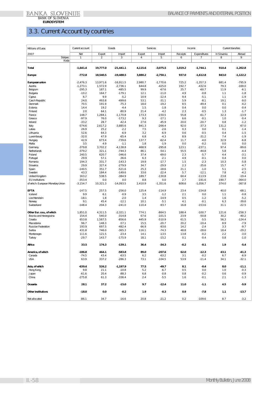**EUROSYSTEM**

## 3.3. Current Account by countries

| Millions of Euros                 | Current account |                | Goods                |                | Services            |              | Income              | Current transfers |                   |
|-----------------------------------|-----------------|----------------|----------------------|----------------|---------------------|--------------|---------------------|-------------------|-------------------|
| 2007                              | Net             | Export         | Import               | Export         | Import              | Receipts     | Expenditures        | In Slovenia       | Abroad            |
| Stolpec                           | 1               | $\overline{a}$ | 3                    | $\overline{4}$ | 5                   | 6            | 7                   | 8                 | 9                 |
| Koda                              |                 |                |                      |                |                     |              |                     |                   |                   |
| Total                             | $-1,641.4$      | 19,777.0       | $-21,441.1$          | 4,115.6        | $-3,075.5$          | 1,019.2      | $-1,744.1$          | 910.4             | $-1,202.8$        |
|                                   |                 |                |                      |                |                     |              |                     |                   |                   |
| Europe                            | $-772.8$        | 18,540.5       | $-19,488.5$          | 3,880.2        | $-2,750.1$          | 937.0        | $-1,612.8$          | 843.0             | $-1,122.2$        |
| European union                    | $-2,476.3$      | 13,971.6       | $-16,911.5$          | 2,980.7        | $-1,770.6$          | 725.2        | $-1,357.3$          | 681.4             | $-795.9$          |
| Austria                           | $-1,273.1$      | 1,572.9        | $-2,736.1$           | 644.8          | $-425.0$            | 192.7        | $-432.6$            | 79.3              | $-169.0$          |
| Belgium                           | $-295.3$        | 187.1          | $-485.5$             | 99.9           | $-67.6$             | 25.7         | $-60.7$             | 11.9              | $-6.1$            |
| Bulgaria                          | $-10.2$         | 164.7          | $-179.1$             | 12.1           | $-11.0$             | 4.9          | $-0.8$              | 1.1               | $-1.8$            |
| Cyprus                            | 6.7             | 9.9            | $-5.2$               | 10.9           | $-12.4$             | 9.4          | $-5.1$              | 1.1               | $-1.9$            |
| Czech Republic                    | 24.0            | 493.8          | $-499.6$             | 53.1           | $-31.1$             | 5.9          | $-8.1$              | 19.1              | $-9.0$            |
| Denmark                           | 70.5            | 191.9          | $-75.3$              | 18.0           | $-19.2$             | 8.5          | $-49.4$             | 0.1               | $-4.2$            |
| Estonia                           | 14.4            | 19.2<br>64.1   | $-4.4$<br>$-80.9$    | 1.5<br>21.4    | $-1.8$<br>$-4.2$    | 0.4          | 0.0<br>$-0.5$       | 0.0<br>1.3        | $-0.4$            |
| Finland<br>France                 | 2.0<br>148.7    | 1,284.1        | $-1,170.8$           | 173.3          | $-150.5$            | 2.3<br>55.8  | $-61.7$             | 32.3              | $-1.7$<br>$-13.9$ |
| Greece                            | $-97.9$         | 76.0           | $-173.2$             | 9.3            | $-17.1$             | 6.6          | $-0.1$              | 1.0               | $-0.4$            |
| Ireland                           | $-33.2$         | 28.7           | $-42.4$              | 27.6           | $-45.9$             | 20.0         | $-20.7$             | 0.8               | $-1.2$            |
| Italy                             | $-574.6$        | 2,617.2        | $-3,885.6$           | 841.3          | $-266.4$            | 92.0         | $-37.3$             | 131.2             | $-67.0$           |
| Latvia                            | 26.9            | 25.2           | $-2.2$               | 7.5            | $-2.6$              | 0.3          | 0.0                 | 0.1               | $-1.4$            |
| Lithuania                         | 52.6            | 64.3           | $-6.9$               | 3.2            | $-6.9$              | 0.6          | $-0.5$              | 0.4               | $-1.5$            |
| Luxembourg                        | $-32.0$         | 47.9           | $-65.4$              | 6.8            | $-4.3$              | 8.9          | $-31.2$             | 7.4               | $-1.9$            |
| Hungary                           | 42.9            | 673.4          | $-739.6$             | 137.7          | $-62.4$             | 11.7         | $-4.0$              | 32.9              | $-6.8$            |
| Malta                             | 3.5             | 4.9            | $-1.1$               | 1.8            | $-1.9$              | 0.0          | $-0.2$              | 0.0               | 0.0               |
| Germany                           | $-379.8$        | 3,702.2        | $-4,138.8$           | 468.9          | $-295.8$            | 123.1        | $-237.1$            | 97.4              | $-99.6$           |
| Netherlands                       | $-379.2$        | 321.1          | $-744.3$             | 86.1           | $-54.1$             | 55.5         | $-44.8$             | 5.8               | $-4.4$            |
| Poland                            | 240.5           | 620.7          | $-346.6$             | 37.4           | $-69.0$             | 2.3          | $-5.7$              | 4.4               | $-3.1$            |
| Portugal                          | 29.9            | 57.1           | $-36.6$              | 6.3            | $-2.1$              | 4.9          | $-0.1$              | 0.4               | 0.0               |
| Romania                           | 194.3           | 331.7          | $-143.3$             | 19.9           | $-17.7$             | 1.5          | $-2.3$              | 10.3              | $-5.8$            |
| Slovakia                          | 29.9            | 327.4          | $-279.9$             | 34.7           | $-29.9$             | 2.3          | $-35.6$             | 15.7              | $-4.7$            |
| Spain                             | $-140.5$        | 351.7          | $-521.6$             | 25.3           | $-18.6$             | 21.1<br>5.7  | $-1.0$              | 5.1<br>7.8        | $-2.5$            |
| Sweden<br>United Kingdom          | 43.3<br>163.2   | 184.4<br>538.5 | $-149.6$<br>$-384.9$ | 33.6<br>189.7  | $-22.4$<br>$-130.8$ | 60.4         | $-12.1$<br>$-113.9$ | 23.8              | $-4.2$<br>$-19.4$ |
| EU institutions                   | $-353.4$        | 0.0            | 0.0                  | 8.8            | 0.0                 | 2.7          | $-191.6$            | 190.7             | $-364.0$          |
| of which: European Monetary Union | $-3,154.7$      | 10,321.3       | $-14,093.5$          | 2,410.9        | $-1,351.6$          | 608.6        | $-1,056.7$          | 374.0             | $-367.8$          |
|                                   |                 |                |                      |                |                     |              |                     |                   |                   |
| <b>EFTA</b>                       | $-147.5$        | 257.5          | $-256.0$             | 125.4          | $-114.9$            | 23.4         | $-154.8$            | 40.0              | $-68.1$           |
| Iceland                           | 9.9             | 6.1            | $-0.9$               | 3.5            | $-1.2$              | 2.1          | 0.0                 | 1.1               | $-0.8$            |
| Liechtenstein                     | $-18.1$         | 1.8            | $-2.0$               | 1.4            | $-14.9$             | 0.5          | $-1.2$              | 1.6               | $-5.2$            |
| Norway                            | 9.1             | 45.4           | $-12.1$              | 10.1           | $-5.1$              | 4.1          | $-0.1$              | 6.3               | $-39.6$           |
| Switzerland                       | $-148.4$        | 204.3          | $-241.0$             | 110.4          | $-93.7$             | 16.8         | $-153.6$            | 31.1              | $-22.5$           |
| Other Eur. cou., of which         | 1,851.0         | 4,311.5        | $-2,321.1$           | 774.1          | $-864.5$            | 188.4        | $-100.7$            | 121.6             | $-258.3$          |
| Bosnia and Herzegovina            | 154.4           | 540.0          | $-314.8$             | 67.6           | $-101.5$            | 23.9         | $-50.8$             | 30.2              | $-40.2$           |
| Croatia                           | 653.8           | 1,587.5        | $-856.6$             | 445.9          | $-510.9$            | 61.5         | $-5.5$              | 56.3              | $-124.4$          |
| Macedonia                         | 96.7            | 148.3          | $-57.1$              | 15.5           | $-20.7$             | 20.2         | $-10.4$             | 8.9               | $-7.9$            |
| Russian Federation                | 193.9           | 697.5          | $-482.4$             | 66.9           | $-93.6$             | 14.2         | $-2.4$              | 3.3               | $-9.7$            |
| Serbia                            | 431.8           | 746.0          | $-365.3$             | 116.1          | $-74.3$             | 48.8         | $-28.6$             | 18.4              | $-29.2$           |
| Montenegro                        | 111.6           | 121.5          | $-23.4$              | 14.1           | $-13.5$             | 13.8         | $-0.2$              | 2.2               | $-3.0$            |
| Turkey                            | $-29.7$         | 143.7          | $-175.9$             | 18.1           | $-15.2$             | 0.1          | $-0.4$              | 0.8               | $-1.0$            |
|                                   |                 |                |                      |                |                     |              |                     |                   |                   |
| Africa                            | 33.5            | 174.3          | $-139.1$             | 36.4           | $-34.3$             | $-0.2$       | $-0.1$              | 1.9               | $-5.4$            |
|                                   | $-186.8$        |                | $-583.8$             | 89.0           | $-207.6$            | 62.0         | $-12.3$             | 43.1              | $-41.3$           |
| America, of which                 |                 | 464.1          |                      |                |                     |              |                     |                   |                   |
| canaga<br><b>USA</b>              | $-14.5$<br>63.9 | 43.4<br>337.2  | -63.5<br>$-286.3$    | 6.2<br>73.1    | -63.2<br>$-104.5$   | -3.I<br>53.9 | -0.2<br>$-11.4$     | 6.1<br>34.1       | $-6.9$<br>$-32.1$ |
|                                   |                 |                |                      |                |                     |              |                     |                   |                   |
| Asia, of which                    | $-639.4$        | 526.2          | $-1,197.9$           | 77.5           | $-49.7$             | 8.1          | $-0.4$              | 8.0               | $-11.1$           |
| Hong Kong                         | 9.8             | 21.1           | $-10.8$              | 5.2            | $-6.7$              | 0.5          | 0.0                 | 1.0               | $-0.3$            |
| Japan                             | $-61.6$         | 20.4           | $-88.3$              | 6.8            | $-0.8$              | 0.8          | $-0.2$              | 0.6               | $-0.9$            |
| China                             | $-275.8$        | 61.3           | $-336.4$             | 2.4            | $-5.5$              | 1.6          | $-0.1$              | 2.1               | $-1.3$            |
|                                   |                 |                |                      |                |                     |              |                     |                   |                   |
| Oceania                           | 28.1            | 37.2           | $-15.0$              | 9.7            | $-12.4$             | 11.0         | $-1.1$              | 4.5               | $-5.9$            |
|                                   |                 |                |                      |                |                     |              |                     |                   |                   |
| Other institutions                | $-18.0$         | $0.0\,$        | $-0.2$               | 1.9            | $-0.3$              | 0.9          | $-7.8$              | 1.1               | $-13.7$           |
| Not allocated                     | $-86.1$         | 34.7           | $-16.6$              | 20.8           | $-21.2$             | 0.2          | $-109.6$            | 8.7               | $-3.2$            |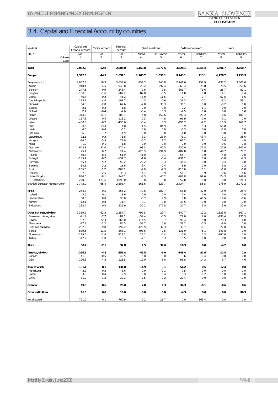#### BANKA SLOVENIJE BANK OF SLOVENIA **EUROSYSTEM**

# 3.4. Capital and Financial Account by countries

| Mio EUR                                              | Capital and           | Capital account       | Financial             | Direct investment    |                  |                        | Portfolio investment          | Loans                |                  |
|------------------------------------------------------|-----------------------|-----------------------|-----------------------|----------------------|------------------|------------------------|-------------------------------|----------------------|------------------|
|                                                      | financial account     |                       | account               |                      |                  |                        |                               |                      |                  |
| 2007<br>Column                                       | Net<br>$\mathbf{1}$   | Net<br>$\overline{2}$ | Net<br>$\overline{3}$ | Abroad<br>$\sqrt{4}$ | In Slovenia<br>5 | Assets<br>6            | Liabilities<br>$\overline{7}$ | Assets<br>8          | Liabilities<br>9 |
| Code                                                 |                       |                       |                       |                      |                  |                        |                               |                      |                  |
|                                                      |                       |                       |                       |                      |                  |                        |                               |                      |                  |
| Total                                                | 2,032.0               | $-52.0$               | 2,084.0               | $-1,153.8$           | 1,072.5          | $-3,328.1$             | 1,055.4                       | $-1,806.7$           | 3,760.7          |
|                                                      |                       |                       |                       |                      |                  |                        |                               |                      |                  |
| Europe                                               | 1,592.6               | $-44.5$               | 1,637.1               | $-1.100.7$           | 1,058.1          | $-3, 143.1$            | 213.1                         | $-1,776.7$           | 3.793.5          |
|                                                      |                       |                       |                       |                      |                  |                        |                               |                      |                  |
| European union<br>Austria                            | 3,657.8<br>940.4      | 18.3<br>$-4.5$        | 3,639.6<br>945.0      | $-357.7$<br>$-26.2$  | 845.8<br>597.4   | $-2,741.6$<br>$-263.4$ | 158.9<br>28.8                 | $-437.2$<br>$-70.5$  | 3,601.0<br>251.6 |
| Belgium                                              | $-247.5$              | 0.9                   | $-248.4$              | 0.6                  | $-9.5$           | $-361.7$               | $-71.6$                       | $-26.7$              | 82.1             |
| Bulgaria                                             | $-108.8$              | $-1.6$                | $-107.2$              | $-87.8$              | $-0.5$           | $-11.8$                | 0.8                           | $-14.1$              | 0.4              |
| Cyprus                                               | $-46.4$               | $-0.2$                | $-46.2$               | $-48.0$              | 11.5             | $-2.7$                 | $-0.7$                        | $-67.6$              | 6.6              |
| Czech Republic                                       | $-113.1$              | $-4.4$                | $-108.7$              | 4.3                  | $-0.6$           | $-39.3$                | $-0.2$                        | $-3.2$               | $-59.1$          |
| Denmark                                              | 64.8                  | $-2.8$                | 67.6                  | $-2.8$               | 36.3             | 36.1                   | 0.0                           | $-0.2$               | 0.0              |
| Estonia                                              | $-2.1$                | $-0.3$                | $-1.8$                | 0.0                  | 0.0              | $-2.2$                 | $-1.1$                        | $0.0\,$              | 0.0              |
| Finland                                              | $-2.4$                | $-0.4$                | $-2.0$                | $-0.4$               | 3.3              | $-2.5$                 | 0.0                           | 0.0                  | 0.0              |
| France                                               | $-314.2$              | $-14.1$               | $-300.1$              | $-4.8$               | $-152.6$         | $-390.3$               | 23.2                          | $-8.6$               | 180.1            |
| Greece                                               | $-117.8$              | 0.4                   | $-118.2$              | $-0.3$               | $-4.8$           | $-96.9$                | 0.0                           | $-0.1$               | 0.0              |
| Ireland                                              | $-430.8$              | $-0.2$                | $-430.6$              | $-0.4$               | 5.3              | $-298.7$               | $-2.2$                        | $-13.5$              | 262.7            |
| Italy                                                | $-8.6$                | $-13.4$<br>$-0.4$     | 4.8                   | 1.5<br>0.0           | 84.9<br>0.0      | 13.9                   | 5.3<br>0.0                    | $-65.8$<br>$-1.0$    | 15.7<br>0.0      |
| Latvia<br>Lithuania                                  | $-6.6$<br>$-6.0$      | $-1.2$                | $-6.2$<br>$-4.9$      | 0.0                  | 0.0              | $-5.3$<br>$-4.0$       | 0.0                           | $0.0\,$              | 0.0              |
| Luxembourg                                           | $-72.1$               | $-0.3$                | $-71.8$               | $-3.3$               | 23.9             | $-71.1$                | 43.4                          | $-7.1$               | $-35.6$          |
| Hungary                                              | $-84.6$               | $-5.5$                | $-79.0$               | $-6.7$               | 1.7              | $-66.2$                | 1.1                           | 0.9                  | 4.0              |
| Malta                                                | $-1.9$                | $-0.1$                | $-1.8$                | 0.0                  | 0.0              | 0.0                    | 0.0                           | $-0.5$               | $-0.8$           |
| Germany                                              | 643.3                 | $-31.0$               | 674.4                 | $-93.3$              | 86.5             | $-435.0$               | 27.8                          | $-27.9$              | 1,241.0          |
| Netherlands                                          | 25.1                  | 0.7                   | 24.4                  | $-123.5$             | 191.9            | $-182.8$               | 0.8                           | $-49.7$              | 77.7             |
| Poland                                               | $-60.3$               | $-8.4$                | $-51.9$               | 41.0                 | 0.1              | $-55.7$                | 0.0                           | $-4.8$               | 0.0              |
| Portugal                                             | $-135.4$              | $-0.7$                | $-134.7$              | $-1.6$               | $-0.4$           | $-131.2$               | 0.0                           | $-5.0$               | $-2.3$           |
| Romania                                              | $-55.4$               | $-5.2$                | $-50.2$               | 20.2                 | 0.3              | $-44.4$                | 0.0                           | 0.4                  | 0.0              |
| Slovakia                                             | $-14.8$               | $-3.2$                | $-11.6$               | $-3.4$               | $-0.4$           | $-8.9$                 | 0.0                           | 3.8                  | $-0.3$           |
| Spain                                                | $-205.5$              | $-2.2$                | $-203.2$              | $-9.9$               | $-2.3$           | $-215.0$               | 0.1                           | $-1.0$               | $-0.8$           |
| Sweden                                               | $-37.8$               | $-2.5$                | $-35.3$               | $-4.7$               | 13.9             | $-56.7$                | 3.9                           | $-0.6$               | 4.6              |
| United Kingdom                                       | 836.0                 | $-8.1$<br>127.6       | 844.1<br>3,093.0      | $-8.3$<br>0.0        | $-40.2$<br>0.0   | $-102.8$               | 99.6<br>0.0                   | $-74.3$              | 1,249.0          |
| EU institutions<br>of which: European Monetary Union | 3,220.6<br>2,743.0    | $-65.4$               | 2,808.4               | $-261.6$             | 823.7            | 57.0<br>$-2,434.7$     | 55.5                          | 0.0<br>$-275.9$      | 324.3<br>2,072.2 |
|                                                      |                       |                       |                       |                      |                  |                        |                               |                      |                  |
| <b>EFTA</b>                                          | 254.7                 | $-0.5$                | 255.2                 | 49.6                 | 182.7            | $-58.8$                | 42.0                          | $-15.9$              | 25.4             |
| Iceland                                              | 3.5                   | $-0.1$                | 3.6                   | 0.0                  | 0.0              | 2.4                    | 0.0                           | $0.0\,$              | 0.0              |
| Liechtenstein                                        | 30.0                  | 0.0                   | 30.0                  | $-0.7$               | 9.9              | 0.0                    | 40.5                          | $-19.6$              | $-1.6$           |
| Norway                                               | $-12.1$               | $-0.8$                | $-11.4$               | 0.1                  | 0.0              | $-33.5$                | 0.0                           | 0.0                  | 0.0              |
| Switzerland                                          | 233.4                 | 0.4                   | 232.9                 | 50.2                 | 172.8            | $-27.7$                | 1.5                           | 3.6                  | 27.0             |
|                                                      |                       |                       |                       |                      |                  |                        |                               |                      |                  |
| Other Eur. cou., of which                            | $-2,319.9$<br>$-91.9$ | $-62.3$<br>$-7.7$     | $-2,257.7$            | $-792.5$             | 29.7             | $-342.7$               | 12.2                          | $-1,323.6$           | 167.1            |
| Bosnia and Herzegovina<br>Croatia                    | $-787.3$              | $-22.3$               | $-84.2$<br>$-765.0$   | $-54.4$<br>$-114.5$  | $-0.5$<br>$-5.7$ | $-29.0$<br>$-90.4$     | 2.0<br>5.0                    | $-133.4$<br>$-578.3$ | 130.5<br>0.0     |
| Macedonia                                            | $-87.8$               | $-2.2$                | $-85.5$               | $-58.7$              | 0.0              | $-38.2$                | $-0.3$                        | $-9.0$               | 0.0              |
| Russian Federation                                   | $-202.0$              | $-9.8$                | $-192.2$              | $-129.9$             | 32.3             | $-39.7$                | $-0.1$                        | $-77.0$              | 36.6             |
| Serbia                                               | $-879.6$              | $-11.5$               | $-868.1$              | $-403.6$             | 2.5              | $-131.0$               | 5.1                           | $-343.8$             | 0.0              |
| Montenegro                                           | $-229.6$              | $-1.4$                | $-228.3$              | $-27.2$              | $-0.4$           | $-5.8$                 | 0.3                           | $-167.6$             | 0.0              |
| Turkey                                               | $-17.2$               | $-1.0$                | $-16.3$               | $-2.1$               | 0.3              | $-10.5$                | 0.0                           | 0.0                  | 0.0              |
|                                                      |                       |                       |                       |                      |                  |                        |                               |                      |                  |
| Africa                                               | 30.7                  | $-2.1$                | 32.8                  | 1.5                  | 37.6             | $-10.3$                | 0.0                           | $-4.2$               | 0.0              |
|                                                      |                       |                       |                       |                      |                  |                        |                               |                      |                  |
| America, of which                                    | $-256.6$              | $-4.8$                | $-251.8$              | $-41.5$              | $-6.0$           | $-148.4$               | $-21.6$                       | $-12.8$              | 2.9              |
| Canada<br><b>USA</b>                                 | $-41.0$<br>$-126.3$   | $-0.5$<br>$-4.8$      | $-40.5$<br>$-121.5$   | $-5.8$<br>$-19.0$    | 0.8<br>$-5.0$    | $-9.6$<br>$-96.8$      | 0.4<br>$-14.3$                | $0.0\,$<br>9.7       | $0.0\,$<br>4.6   |
|                                                      |                       |                       |                       |                      |                  |                        |                               |                      |                  |
| Asia, of which                                       | $-131.1$              | $-0.1$                | $-131.0$              | $-14.9$              | 3.1              | $-56.2$                | 0.5                           | $-12.4$              | 0.0              |
| Hong Kong                                            | $-8.9$                | $-0.3$                | $-8.6$                | 0.0                  | $-0.1$           | $-7.5$                 | $0.0\,$                       | $0.0\,$              | $0.0\,$          |
| Japan                                                | 3.3                   | 0.4                   | 2.9                   | 0.0                  | 0.4              | 5.3                    | 0.2                           | 1.0                  | $0.0\,$          |
| China                                                | $-31.0$               | 1.3                   | $-32.3$               | $-2.5$               | $-0.2$           | $-20.4$                | 0.0                           | 0.0                  | $0.0\,$          |
|                                                      |                       |                       |                       |                      |                  |                        |                               |                      |                  |
| Oceania                                              | 19.3                  | $-0.6$                | 20.0                  | 2.0                  | 1.3              | 34.3                   | $-0.1$                        | $-0.6$               | 0.6              |
|                                                      |                       |                       |                       |                      |                  |                        | 0.0                           |                      |                  |
| Other institutions                                   | 16.0                  | 0.0                   | 16.0                  | 0.0                  | 0.0              | $-4.3$                 |                               | 0.0                  | $-36.3$          |
| Not allocated                                        | 761.0                 | 0.1                   | 760.9                 | $-0.2$               | $-21.7$          | 0.0                    | 863.4                         | 0.0                  | 0.0              |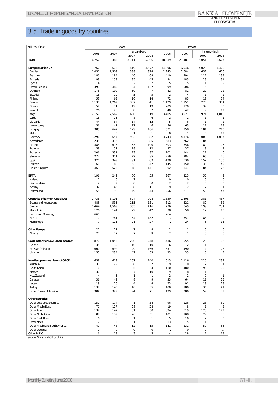# 3.5. Trade in goods by countries

| Millions of EUR                      |                      | Exports             |                |                     |                     | Imports             |                     |                     |
|--------------------------------------|----------------------|---------------------|----------------|---------------------|---------------------|---------------------|---------------------|---------------------|
|                                      | 2006                 | 2007                | January-March  |                     | 2006                | 2007                | January-March       |                     |
|                                      |                      |                     | 2007           | 2008                |                     |                     | 2007                | 2008                |
| Total                                | 16,757               | 19,385              | 4,711          | 5,006               | 18,339              | 21,487              | 5,051               | 5,627               |
|                                      |                      |                     |                |                     |                     |                     |                     |                     |
| European Union 27                    | 11,767               | 13,675              | 3,419          | 3,572               | 14,896              | 16,946              | 4,023               | 4,420               |
| Austria                              | 1,451                | 1,509               | 388            | 374                 | 2,245               | 2.684               | 652                 | 676                 |
| Belgium                              | 186                  | 184                 | 46             | 69                  | 410                 | 494                 | 117                 | 133                 |
| Bulgaria                             | 98                   | 159                 | 35             | 45                  | 94                  | 183                 | 23                  | 31                  |
| Cyprus                               | 4                    | 10                  | $\overline{2}$ | $\overline{c}$      | 5                   | 5                   | 1                   | 2                   |
| Czech Republic                       | 390                  | 489                 | 124            | 127                 | 399                 | 506                 | 115                 | 132                 |
| Denmark                              | 176                  | 190                 | 50             | 47                  | 82                  | 82                  | 22                  | 22                  |
| Estonia                              | 16                   | 19                  | 5              | 5                   | $\overline{2}$      | $\overline{4}$      | $\mathbf{1}$        | $\overline{2}$      |
| Finland                              | 53                   | 63                  | 16             | 14                  | 72                  | 83                  | 19                  | 24                  |
| France                               | 1,135                | 1,262               | 307            | 341                 | 1,129               | 1,151               | 270                 | 304                 |
| Greece                               | 59                   | 71                  | 19             | 19                  | 209                 | 170                 | 39                  | 33                  |
| Ireland                              | 26                   | 28                  | 8              | $\overline{7}$      | 40                  | 42                  | 9                   | 12                  |
| Italy                                | 2,157                | 2,562               | 630            | 619                 | 3,405               | 3,927               | 921                 | 1,048               |
| Latvia                               | 18                   | 25                  | 8              | 6                   | $\overline{2}$      | $\overline{2}$      | 1                   | 1                   |
| Lithuania                            | 44                   | 64                  | 14             | 12                  | 5                   | 6                   | $\mathbf{1}$        | $\overline{2}$      |
| Luxembourg                           | 56                   | 47                  | 17             | 6                   | 56                  | 63                  | 11                  | 13                  |
| Hungary                              | 385                  | 647                 | 129            | 166                 | 671                 | 758                 | 181                 | 213                 |
| Malta                                | 3                    | 5                   | 1              | $\mathbf{1}$        | $\mathsf{O}\xspace$ | 1                   | $\mathbf 0$         | 12                  |
| Germany                              | 3,296                | 3,654               | 933            | 982                 | 3,743               | 4,176               | 1,008               | 1,087               |
| Netherlands                          | 235                  | 316                 | 83             | 85                  | 683                 | 762                 | 184                 | 192                 |
| Poland                               | 488                  | 616                 | 153            | 190                 | 303                 | 356                 | 80                  | 106                 |
| Portugal                             | 58                   | 57                  | 18             | 12                  | 37                  | 37                  | 9                   | 9                   |
| Romania                              | 206                  | 331                 | 73             | 87                  | 101                 | 144                 | 21                  | 40                  |
| Slovakia                             | 272                  | 311                 | 72             | 85                  | 259                 | 284                 | 65                  | 76                  |
| Spain                                | 321                  | 349                 | 91             | 83                  | 498                 | 530                 | 152                 | 130                 |
| Sweden                               | 168                  | 182                 | 52             | 47                  | 145                 | 150                 | 36                  | 45                  |
| United Kingdom                       | 469                  | 525                 | 148            | 141                 | 302                 | 347                 | 84                  | 76                  |
| <b>EFTA</b>                          | 196                  | 242                 | 60             | 55                  | 267                 | 225                 | 56                  | 49                  |
| Iceland                              | $\overline{7}$       | 6                   | $\overline{2}$ | $\mathbf{1}$        | $\mathsf{O}\xspace$ | $\mathsf{O}\xspace$ | $\mathbf 0$         | $\mathsf{O}\xspace$ |
| Liechenstein                         | $\overline{2}$       | $\overline{2}$      | $\mathbf 0$    | $\mathbf 0$         | $\overline{2}$      | $\overline{2}$      | $\mathbf 0$         | 0                   |
| Norway                               | 32                   | 45                  | 8              | 11                  | 9                   | 12                  | $\overline{2}$      | 1                   |
| Switzerland                          | 155                  | 190                 | 49             | 43                  | 256                 | 211                 | 53                  | 47                  |
| Countries of former Yugoslavia       | 2,736                | 3,101               | 694            | 798                 | 1,350               | 1,608               | 381                 | 437                 |
| Bosnia and Herzegovina               | 485                  | 535                 | 115            | 131                 | 312                 | 321                 | 82                  | 82                  |
| Croatia                              | 1,464                | 1,569               | 365            | 416                 | 736                 | 849                 | 199                 | 234                 |
| Macedonia                            | 126                  | 144                 | 29             | 42                  | 38                  | 58                  | 12                  | 10                  |
| Serbia and Montenegro                | 661                  | $\cdots$            | $\cdots$       |                     | 264                 | $\ddotsc$           |                     | $\cdots$            |
| Serbia                               |                      | 741                 | 164            | 182                 | $\cdots$            | 357                 | 83                  | 99                  |
| Montenegro                           | $\cdots$<br>$\cdots$ | 111                 | 21             | 27                  | $\cdots$            | 24                  | 5                   | 13                  |
|                                      |                      |                     |                |                     |                     |                     |                     |                     |
| Other Europe                         | 27                   | 27                  | $\overline{7}$ | 8                   | $\overline{2}$      | 1                   | $\mathbf 0$         | 0                   |
| Albania                              | 27                   | 27                  | 7              | 8                   | $\overline{2}$      | 1                   | $\mathbf 0$         | 0                   |
| Coun. of former Sov. Union, of which | 870                  | 1,055               | 220            | 248                 | 436                 | 555                 | 128                 | 166                 |
| Belarus                              | 35                   | 39                  | 10             | 10                  | 6                   | $\overline{2}$      | 1                   | 2                   |
| Russian federation                   | 600                  | 692                 | 149            | 166                 | 357                 | 490                 | 114                 | 128                 |
| Ukraine                              | 150                  | 234                 | 42             | 53                  | 23                  | 35                  | 6                   | 5                   |
| Non-European members of OECD         | 658                  | 619                 | 167            | 140                 | 615                 | 1,116               | 225                 | 239                 |
| Australia                            | 33                   | 29                  | 8              | 7                   | 9                   | 10                  | $\overline{a}$      | $\mathbf{1}$        |
| South Korea                          | 16                   | 18                  | 5              | $\overline{4}$      | 110                 | 480                 | 96                  | 103                 |
| Mexico                               | 30                   | 33                  | $\overline{7}$ | 10                  | 9                   | 8                   | 1                   | 2                   |
| New Zealand                          | $\overline{4}$       | 5                   | $\mathbf{1}$   | $\mathbf{1}$        | $\overline{2}$      | $\overline{2}$      | $\mathsf{O}\xspace$ | $\mathbf{1}$        |
| Canada                               | 36                   | 42                  | 8              | 9                   | 33                  | 64                  | 11                  | 25                  |
| Japan                                | 19                   | 20                  | $\overline{4}$ | $\overline{4}$      | 73                  | 91                  | 19                  | 28                  |
| Turkey                               | 137                  | 143                 | 40             | 35                  | 180                 | 180                 | 36                  | 41                  |
| United States of America             | 384                  | 329                 | 94             | 71                  | 199                 | 280                 | 59                  | 39                  |
|                                      |                      |                     |                |                     |                     |                     |                     |                     |
| Other countries                      |                      |                     |                |                     |                     |                     |                     |                     |
| Other developed countries            | 150                  | 174                 | 41             | 34                  | 96                  | 126                 | 28                  | 30                  |
| Other Middle East                    | 71                   | 127                 | 28             | 28                  | 19                  | 8                   | $\mathbf{1}$        | $\overline{a}$      |
| Other Asia                           | 137                  | 147                 | 31             | 50                  | 394                 | 519                 | 120                 | 172                 |
| Other North Africa                   | 87                   | 139                 | 26             | 51                  | 101                 | 108                 | 29                  | 36                  |
| Other East Africa                    | 6                    | 6                   | 1              | $\mathbf{1}$        | 5                   | 10                  | $\overline{2}$      | 3                   |
| Other Africa                         | $\overline{7}$       | 5                   | $\mathbf{1}$   | $\mathbf{1}$        | 13                  | 5                   | $\mathbf{1}$        | $\overline{2}$      |
| Other Middle and South America       | 40                   | 48                  | 12             | 15                  | 141                 | 232                 | 50                  | 56                  |
| Other Oceania                        | $\mathsf{O}\xspace$  | $\mathsf{O}\xspace$ | $\mathsf O$    | $\mathsf{O}\xspace$ | $\ddotsc$           | $\mathsf{O}\xspace$ | $\mathbf 0$         | $\cdots$            |
| Other N.E.C.                         | 6                    | 19                  | 3              | 5                   | $\overline{4}$      | 28                  | $\overline{7}$      | 13                  |

Source: Statistical Office of RS.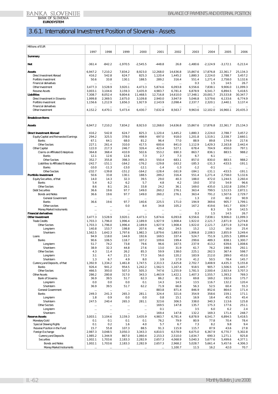**EUROSYSTEM**

### 3.6.1. International Investment Position of Slovenia - Assets

| Millions of EUR                                               |                      |                     |                     |                     |                  |                  |                    |                    |                  |                    |
|---------------------------------------------------------------|----------------------|---------------------|---------------------|---------------------|------------------|------------------|--------------------|--------------------|------------------|--------------------|
|                                                               |                      |                     |                     |                     |                  |                  |                    |                    |                  |                    |
|                                                               | 1997                 | 1998                | 1999                | 2000                | 2001             | 2002             | 2003               | 2004               | 2005             | 2006               |
| Summary                                                       |                      |                     |                     |                     |                  |                  |                    |                    |                  |                    |
|                                                               |                      |                     |                     |                     |                  |                  |                    |                    |                  |                    |
| Net                                                           | $-361.4$             | $-842.2$            | $-1,970.5$          | $-2,545.5$          | $-448.8$         | 26.8             | $-1,480.6$         | $-2,124.9$         | $-3,172.1$       | $-5,213.4$         |
| Assets                                                        | 6,947.2              | 7,210.2             | 7,834.2             | 8,923.0             | 12,268.0         | 14,636.8         | 15,867.6           | 17,876.8           | 22,361.7         | 25,134.3           |
| Direct Investment Abroad                                      | 416.2                | 542.8               | 624.7               | 825.3               | 1,120.4          | 1,445.2          | 1,880.3            | 2,224.0            | 2,788.7          | 3,457.2            |
| Portfolio Investment                                          | 50.6                 | 33.8                | 130.1               | 188.5               | 289.2            | 316.4            | 551.4              | 1,271.4            | 2,758.0          | 5,132.6            |
| Financial derivatives                                         | $\cdots$             | $\cdots$            | $\cdots$            | $\cdots$            | $\cdots$         | $\cdots$         | 0.3                | 1.5                | 14.5             | 26.7               |
| Other Investment                                              | 3,477.3              | 3,528.9             | 3,920.1             | 4,473.3             | 5,874.6          | 6,093.8          | 6,556.6            | 7,838.1            | 9,906.0          | 11,099.3           |
| <b>Reserve Assets</b>                                         | 3,003.1              | 3,104.6             | 3,159.3             | 3,435.9             | 4,983.7          | 6,781.4          | 6,878.9            | 6,541.7            | 6,894.5          | 5,418.5            |
| Liabilities                                                   | 7,308.7              | 8,052.4             | 9,804.6             | 11,468.5            | 12,716.8         | 14,610.0         | 17,348.1           | 20,001.7           | 25,533.8         | 30,347.7           |
| Direct Investment in Slovenia                                 | 1,999.8              | 2,369.5             | 2,675.0             | 3,109.8             | 2,940.0          | 3,947.9          | 5,046.8            | 5,579.6            | 6,133.6          | 6,774.9            |
| Portfolio Investment                                          | 1,156.6              | 1,212.9             | 1,656.3             | 1,927.9             | 2,143.9          | 2,098.4          | 2,337.7            | 2,320.1            | 2,440.1          | 3,137.4            |
| Financial derivatives                                         | $\cdots$             | $\cdots$            | $\cdots$            | $\cdots$            | $\cdots$         | $\cdots$         | $\ddotsc$          |                    |                  |                    |
| Other Investment                                              | 4,152.2              | 4,470.1             | 5,473.4             | 6,430.7             | 7,632.8          | 8,563.7          | 9,963.6            | 12,102.0           | 16,960.1         | 20,435.3           |
|                                                               |                      |                     |                     |                     |                  |                  |                    |                    |                  |                    |
| <b>Breakdown Items</b>                                        |                      |                     |                     |                     |                  |                  |                    |                    |                  |                    |
|                                                               |                      |                     |                     |                     |                  |                  |                    |                    |                  |                    |
| Assets                                                        | 6,947.2              | 7,210.2             | 7,834.2             | 8,923.0             | 12,268.0         | 14,636.8         | 15,867.6           | 17,876.8           | 22,361.7         | 25,134.3           |
|                                                               |                      |                     |                     |                     |                  |                  |                    |                    |                  |                    |
| Direct Investment Abroad                                      | 416.2<br>294.2       | 542.8<br>325.5      | 624.7<br>378.0      | 825.3<br>498.9      | 1,120.4<br>697.0 | 1,445.2<br>918.0 | 1,880.3<br>1,201.8 | 2,224.0<br>1.519.1 | 2,788.7          | 3,457.2<br>2,660.1 |
| <b>Equity Capital and Reinvested Earnings</b><br><b>Banks</b> | 67.1                 | 64.1                | 68.0                | 81.2                | 96.4             | 77.0             | 88.9               | 89.8               | 2,338.7<br>174.9 | 217.6              |
| <b>Other Sectors</b>                                          | 227.1                | 261.4               | 310.0               | 417.5               | 600.6            | 841.0            | 1,112.9            | 1,429.3            | 2,163.8          | 2,442.4            |
| Other Capital                                                 | 122.0                | 217.3               | 246.7               | 326.4               | 423.4            | 527.1            | 678.4              | 704.9              | 450.0            | 797.1              |
| Claims on Affiliated Enterprises                              | 364.8                | 368.4               | 410.9               | 502.6               | 553.2            | 690.3            | 863.7              | 836.1              | 883.5            | 988.2              |
| <b>Banks</b>                                                  | 12.1                 | 12.6                | 12.6                | 7.3                 | 2.7              | 7.3              | 6.7                | 6.1                | $\cdots$         | $\cdots$           |
| <b>Other Sectors</b>                                          | 352.7                | 355.8               | 398.3               | 495.3               | 550.4            | 683.1            | 857.0              | 830.0              | 883.5            | 988.2              |
| Liabilities to Affiliated Enterprises                         | $-242.7$             | $-151.1$            | $-164.2$            | $-176.2$            | $-129.8$         | $-163.2$         | $-185.3$           | $-131.3$           | $-433.5$         | $-191.1$           |
| Banks                                                         | $-10.0$              | $-11.3$             | $-13.0$             | $-12.1$             | $-1.4$           | $-1.3$           | $-1.2$             | $-0.1$             | $\ddotsc$        | $\cdots$           |
| <b>Other Sectors</b>                                          | $-232.7$             | $-139.8$            | $-151.2$            | $-164.2$            | $-128.4$         | $-161.9$         | $-184.1$           | $-131.1$           | $-433.5$         | $-191.1$           |
| Portfolio Investment                                          | 50.6                 | 33.8                | 130.1               | 188.5               | 289.2            | 316.4            | 551.4              | 1,271.4            | 2,758.0          | 5,132.6            |
| Equity Securities, of that                                    | 14.0                 | 14.3                | 32.3                | 39.5                | 29.0             | 40.3             | 188.0              | 472.0              | 1,244.5          | 2,260.4            |
| <b>Banks</b>                                                  | 5.4                  | 6.2                 | 6.2                 | 5.7                 | 4.8              | 4.2              | 19.0               | 37.0               | 54.9             | 96.6               |
| <b>Other Sectors</b>                                          | 8.6                  | 8.1                 | 26.1                | 33.8                | 24.2             | 36.1             | 169.0              | 435.0              | 1,102.8          | 2,056.7            |
| <b>Debt Securities</b>                                        | 36.6                 | 19.6                | 97.7                | 149.0               | 260.2            | 276.1            | 363.4              | 799.5              | 1,513.5          | 2,872.1            |
| Bonds and Notes                                               | 36.6                 | 19.6                | 97.7                | 149.0               | 260.2            | 276.1            | 363.4              | 791.2              | 1,507.6          | 2,729.7            |
| General Government                                            | $\cdots$             | $\ldots$            | $\ldots$            | $\ddotsc$           | $\ddotsc$        | $\cdots$         | 1.3                | 2.0                | 60.2             | 90.9               |
| <b>Banks</b>                                                  | 36.6                 | 19.6                | 97.7                | 140.6               | 225.5            | 171.0            | 194.9              | 369.6              | 905.7            | 1,799.1            |
| Other sectors                                                 | $\cdots$             | $\cdots$            | 0.0                 | 8.4                 | 34.8             | 105.2            | 167.2              | 419.6              | 541.7            | 839.7              |
| Money Market Instruments                                      | $\cdots$             | $\cdots$            | $\cdots$            | $\cdots$            | $\cdots$         | $\ldots$         | $\cdots$           | 8.3                | 5.9              | 142.5              |
| <b>Financial derivatives</b>                                  | $\cdots$             | $\cdots$            | $\cdots$            | $\cdots$            | $\cdots$         | $\cdots$         | 0.3                | 1.5                | 14.5             | 26.7               |
| Other Investment                                              | 3,477.3              | 3,528.9             | 3,920.1             | 4,473.3             | 5,874.6          | 6,093.8          | 6,556.6            | 7,838.1            | 9,906.0          | 11,099.3           |
| <b>Trade Credits</b>                                          | 1,703.3              | 1,796.0             | 1,996.4             | 2,189.9             | 1,927.9          | 1,908.4          | 1,922.0            | 2,121.7            | 2,871.9          | 3,274.8            |
| <b>Other Sectors</b>                                          | 1,703.3<br>140.8     | 1,796.0<br>153.7    | 1,996.4<br>198.8    | 2,189.9<br>207.6    | 1,927.9<br>48.2  | 1,908.4<br>24.5  | 1,922.0<br>15.2    | 2,121.7<br>13.2    | 2,871.9<br>16.0  | 3,274.8<br>25.4    |
| Long-term<br>Short-term                                       | 1,562.5              | 1,642.3             | 1,797.6             | 1,982.3             | 1,879.6          | 1,883.9          | 1,906.8            | 2,108.5            | 2,855.9          | 3,249.4            |
| Loans                                                         | 94.9                 | 118.0               | 144.9               | 192.6               | 169.5            | 337.4            | 524.7              | 751.9              | 1,205.5          | 1,899.4            |
| <b>Banks</b>                                                  | 90.6                 | 106.5               | 118.7               | 107.2               | 109.6            | 199.4            | 299.6              | 489.3              | 838.1            | 1,300.7            |
| Long-term                                                     | 51.7                 | 74.2                | 73.8                | 79.6                | 96.6             | 167.5            | 237.9              | 413.2              | 639.6            | 1,008.6            |
| Short-term                                                    | 38.9                 | 32.3                | 44.8                | 27.6                | 13.0             | 31.9             | 61.7               | 76.2               | 198.5            | 292.1              |
| <b>Other Sectors</b>                                          | 4.3                  | 11.4                | 26.2                | 85.3                | 59.9             | 138.0            | 225.1              | 262.5              | 367.4            | 598.7              |
| Long-term                                                     | 3.1                  | 4.7                 | 21.3                | 77.3                | 56.0             | 120.2            | 183.9              | 212.0              | 289.0            | 453.0              |
| Short-term                                                    | 1.3                  | 6.7                 | 4.9                 | 8.0                 | 3.9              | 17.9             | 41.2               | 50.5               | 78.4             | 145.7              |
| Currency and Deposits, of that                                | 1,392.9              | 1,334.2             | 1,461.8             | 1,747.5             | 2,313.3          | 2,425.8          | 2,702.7            | 3,408.9            | 4,435.3          | 5,155.8            |
| Banks                                                         | 926.4                | 941.2               | 954.5               | 1,242.2             | 1,562.5          | 1,167.4          | 918.5              | 905.7              | 1,506.5          | 1,445.7            |
| Other Sectors                                                 | 466.5                | 393.0               | 507.3               | 505.3               | 747.6            | 1,255.9          | 1,781.5            | 2,500.4            | 2,923.4          | 3,707.3            |
| Other Assets                                                  | 286.2                | 280.8               | 317.0               | 343.3               | 1,463.9          | 1,422.1          | 1,407.3            | 1,555.7            | 1,393.2          | 769.3              |
| Bank of Slovenia                                              | 36.9                 | 39.5                | 51.7                | 62.3                | 86.2             | 81.3             | 69.8               | 169.2              | 192.6            | 175.7              |
| Long-term                                                     | 0.0                  | 0.0                 | 0.0                 | 0.1                 | 14.3             | 14.5             | 13.5               | 116.7              | 132.2            | 120.4              |
| Short-term                                                    | 36.9                 | 39.5                | 51.7                | 62.2                | 71.9             | 66.8             | 56.3               | 52.5               | 60.4             | 55.3               |
| General Government                                            |                      |                     | $\cdots$            | $\cdots$            | 883.8            | 871.4            | 846.9              | 852.6              | 864.0            | 171.4              |
| Banks                                                         | 249.3                | 241.3               | 265.3               | 281.1               | 324.4            | 321.6            | 354.9              | 358.6              | 159.1            | 171.1              |
| Long-term                                                     | 1.8                  | 0.9                 | 0.0                 | 0.0                 | 0.8              | 15.1             | 16.9               | 18.4               | 45.5             | 45.4               |
| Short-term                                                    | 247.5                | 240.4               | 265.3               | 281.1               | 323.6            | 306.5            | 338.0              | 340.3              | 113.6            | 125.8              |
| Other Sectors                                                 |                      |                     | $\cdots$            | $\cdots$            | 169.5<br>0.1     | 147.8            | 135.7<br>3.5       | 175.3              | 177.6<br>6.2     | 251.1<br>2.4       |
| Long-term<br>Short-term                                       | $\cdots$             | $\cdots$            | $\cdots$            | $\cdots$            | 169.4            | <br>147.8        | 132.2              | 6.0<br>169.3       | 171.4            | 248.7              |
| <b>Reserve Assets</b>                                         | $\ddotsc$<br>3,003.1 | $\cdots$<br>3,104.6 | $\cdots$<br>3,159.3 | $\cdots$<br>3,435.9 | 4,983.7          | 6,781.4          | 6,878.9            | 6,541.7            | 6,894.5          | 5,418.5            |
| Monetary Gold                                                 | 0.1                  | 0.1                 | 0.1                 | 0.1                 | 76.2             | 79.9             | 80.9               | 77.8               | 70.4             | 78.4               |
| Special Drawing Rights                                        | 0.1                  | 0.2                 | 1.6                 | 4.0                 | 5.7              | 6.7              | 7.3                | 8.2                | 9.8              | 9.4                |
| Reserve Position in the Fund                                  | 15.7                 | 55.8                | 107.3               | 88.5                | 91.3             | 115.9            | 115.7              | 87.9               | 43.6             | 27.8               |
| Foreign Exchange                                              | 2,987.3              | 3,048.5             | 3,050.3             | 3,343.3             | 4,810.5          | 6,578.9          | 6,675.0            | 6,367.9            | 6,770.7          | 5,302.8            |
| <b>Currency and Deposits</b>                                  | 1,985.2              | 1,344.9             | 867.0               | 1,060.4             | 2,153.3          | 2,510.0          | 1,634.7            | 690.3              | 1,271.1          | 925.8              |
| Securities                                                    | 1,002.1              | 1,703.6             | 2,183.3             | 2,282.9             | 2,657.3          | 4,068.9          | 5,040.3            | 5,677.6            | 5,499.6          | 4,377.1            |
| Bonds and Notes                                               | 1,002.1              | 1,703.6             | 2,183.3             | 2,282.9             | 2,657.3          | 2,968.2          | 5,028.7            | 5,661.4            | 5,457.6          | 4,306.3            |
| Money Market Instruments                                      |                      |                     |                     |                     |                  | 1,100.7          | 11.5               | 16.2               | 42.0             | 70.7               |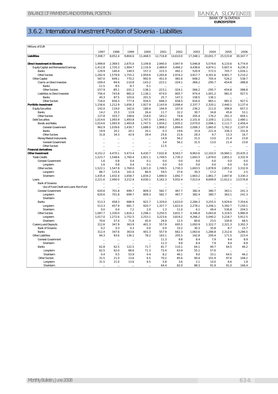#### BANKA SLOVENIJE BANK OF SLOVENIA **EUROSYSTEM**

### 3.6.2. International Investment Position of Slovenia - Liabilities

| Milliane of |  |
|-------------|--|

| Millions of EUR                               |             |                      |                      |             |                      |                      |                       |                        |                                  |                        |
|-----------------------------------------------|-------------|----------------------|----------------------|-------------|----------------------|----------------------|-----------------------|------------------------|----------------------------------|------------------------|
|                                               | 1997        | 1998                 | 1999                 | 2000        | 2001                 | 2002                 | 2003                  | 2004                   | 2005                             | 2006                   |
| Liabilities                                   | 7.308.7     | 8,052.4              | 9,804.6              | 11,468.5    | 12,716.8             | 14,610.0             | 17,348.1              | 20,001.7               | 25,533.8                         | 30,347.7               |
| Direct Investment in Slovenia                 | 1.999.8     | 2,369.5              | 2,675.0              | 3,109.8     | 2,940.0              | 3,947.9              | 5,046.8               | 5,579.6                | 6,133.6                          | 6,774.9                |
| <b>Equity Capital and Reinvested Earnings</b> | 1,412.8     | 1,720.3              | 1,904.7              | 2,116.9     | 2,489.0              | 3,466.2              | 4,438.6               | 4,874.1                | 5,607.4                          | 6,236.3                |
| <b>Banks</b>                                  | 129.9       | 140.4                | 149.5                | 157.3       | 223.3                | 492.1                | 520.9                 | 572.5                  | 705.7                            | 1,026.1                |
| <b>Other Sectors</b>                          | 1,282.9     | 1,579.9              | 1,755.2              | 1,959.6     | 2,265.8              | 2,974.2              | 3,917.7               | 4,301.6                | 4,901.7                          | 5,210.2                |
| Other Capital                                 | 587.0       | 649.1                | 770.2                | 992.9       | 451.0                | 481.6                | 608.2                 | 705.4                  | 526.2                            | 538.7                  |
| Claims on Direct Investors                    | $-169.4$    | $-94.6$              | $-110.8$             | $-143.2$    | $-223.1$             | $-324.1$             | $-366.2$              | $-295.7$               | $-454.8$                         | $-388.8$               |
| <b>Banks</b>                                  | $-11.5$     | $-9.5$               | $-9.7$               | $-5.1$      |                      |                      |                       |                        |                                  |                        |
| Other Sectors                                 | $-157.9$    | $-85.1$              | $-101.2$             | $-138.1$    | $\cdots$<br>$-223.1$ | $\sim$<br>$-324.1$   | $\ddotsc$<br>$-366.2$ | $\ddotsc$<br>$-295.7$  | $\ddot{\phantom{a}}$<br>$-454.8$ | $-388.8$               |
| Liabilities to Direct Investors               | 756.4       | 743.8                | 881.0                | 1,136.1     | 674.0                | 805.7                | 974.4                 | 1,001.2                | 981.0                            | 927.5                  |
| Banks                                         | 40.3        | 87.5                 | 103.6                | 201.5       | 25.7                 | 147.2                | 158.5                 | 136.1                  |                                  |                        |
| Other Sectors                                 | 716.0       | 656.3                | 777.4                | 934.5       | 648.3                | 658.5                | 816.0                 | 865.1                  | $\cdots$<br>981.0                | $\ddotsc$<br>927.5     |
| Portfolio Investment                          | 1,156.6     | 1,212.9              | 1,656.3              | 1,927.9     | 2,143.9              | 2,098.4              | 2,337.7               | 2,320.1                | 2,440.1                          | 3,137.4                |
| <b>Equity Securities</b>                      | 142.0       | 119.0                | 162.6                | 180.4       | 194.9                | 107.0                | 236.2                 | 211.0                  | 306.9                            | 657.2                  |
| Banks                                         | 14.2        | 15.3                 | 13.9                 | 26.4        | 11.7                 | 32.2                 | 30.7                  | 34.8                   | 45.6                             | 53.1                   |
| <b>Other Sectors</b>                          | 127.8       | 103.7                | 148.6                | 154.0       | 183.2                | 74.8                 | 205.4                 | 176.2                  | 261.3                            | 604.1                  |
| <b>Debt Securities</b>                        | 1,014.6     | 1,093.9              | 1,493.8              | 1,747.5     | 1,949.1              | 1,991.4              | 2,101.6               | 2,109.1                | 2,133.1                          | 2,480.1                |
| Bonds and Notes                               | 1,014.6     | 1,093.9              | 1,493.8              | 1,747.5     | 1,934.2              | 1,935.2              | 2,070.0               | 2,096.1                | 2,111.7                          | 2,456.4                |
| General Government                            | 962.9       | 1,039.6              | 1,430.7              | 1,688.0     | 1,908.2              | 1,894.0              | 2,008.3               | 1,865.0                | 1,762.2                          | 2,107.9                |
| Banks                                         | 19.9        | 20.1                 | 20.1                 | 20.1        | 0.3                  | 19.6                 | 33.4                  | 221.4                  | 336.3                            | 331.8                  |
| <b>Other Sectors</b>                          | 31.8        | 34.3                 | 42.9                 | 39.4        | 25.6                 | 21.6                 | 28.3                  | 9.7                    | 13.3                             | 16.7                   |
| Money Market Instruments                      |             |                      | $\ddot{\phantom{a}}$ |             | 14.9                 | 56.2                 | 31.5                  | 13.0                   | 21.4                             | 23.8                   |
| General Government                            | $\ddotsc$   | $\ddotsc$            |                      | ă.          | 3.4                  | 56.2                 | 31.5                  | 13.0                   | 21.4                             | 23.8                   |
| <b>Other Sectors</b>                          | $\cdots$    | $\ddotsc$            | $\ddotsc$            | $\ddotsc$   | 11.5                 |                      |                       |                        |                                  |                        |
| <b>Financial derivatives</b>                  | $\cdots$    | $\ddotsc$            | ă.                   | $\ddotsc$   |                      | $\ddotsc$            | $\cdots$              | $\ddotsc$<br>$\ddotsc$ | $\ddotsc$                        | $\ddotsc$<br>$\ddotsc$ |
| Other Investment                              | <br>4,152.2 | $\ddotsc$<br>4,470.1 | $\ddotsc$<br>5,473.4 | <br>6,430.7 | <br>7,632.8          | $\ddotsc$<br>8,563.7 | $\ddotsc$<br>9,963.6  | 12,102.0               | <br>16,960.1                     | 20,435.3               |
| <b>Trade Credits</b>                          | 1,523.7     | 1,548.6              | 1,760.4              | 1,921.1     | 1,749.5              | 1,730.3              | 1,693.5               | 1,879.0                | 2,855.2                          | 3,332.9                |
| General Government                            | 1.6         | 0.8                  | 0.4                  | 0.1         | 0.0                  | 0.0                  | 0.0                   | 0.0                    | 0.0                              | 0.0                    |
| Long-term                                     | 1.6         | 0.8                  | 0.4                  | 0.1         | 0.0                  | 0.0                  | 0.0                   | 0.0                    | 0.0                              | 0.0                    |
| Other sectors                                 | 1.522.1     | 1,547.8              | 1,760.0              | 1.921.0     | 1.749.5              | 1.730.3              | 1.693.5               | 1,878.9                | 2.855.2                          | 3.332.9                |
| Long-term                                     | 86.7        | 115.4                | 101.4                | 86.9        | 59.5                 | 37.6                 | 30.3                  | 17.2                   | 7.4                              | 2.5                    |
| Short-term                                    | 1,435.4     | 1,432.4              | 1,658.7              | 1,834.2     | 1,690.0              | 1,692.7              | 1,663.2               | 1,861.7                | 2,847.8                          | 3.330.3                |
| Loans                                         | 2,221.6     | 2,490.0              | 3,212.9              | 4,030.1     | 5,162.3              | 5,932.4              | 7,013.4               | 8,699.9                | 11,612.1                         | 13,576.8               |
| Bank of Slovenia                              | $\ddotsc$   | $\ddotsc$            | $\ddotsc$            | $\cdots$    | $\ddotsc$            | $\ddotsc$            | $\cdots$              | $\ddotsc$              | $\ddotsc$                        |                        |
| Use of Fund Credit and Loans from Fund        | $\ddotsc$   |                      |                      |             |                      |                      |                       | $\ddotsc$              |                                  |                        |
| General Government                            | 620.6       | 701.8                | 699.7                | 809.3       | 582.7                | 467.7                | 382.4                 | 380.7                  | 363.1                            | 241.3                  |
| Long-term                                     | 620.6       | 701.8                | 699.7                | 809.3       | 582.7                | 467.7                | 382.4                 | 380.7                  | 363.1                            | 241.3                  |
| Short-term                                    | $\cdots$    | $\cdots$             | $\ddotsc$            |             | $\ddotsc$            | $\ddotsc$            | $\ddotsc$             | $\ddotsc$              | $\ddotsc$                        |                        |
| <b>Banks</b>                                  | 513.3       | 458.3                | 688.9                | 922.7       | 1,329.0              | 1,633.0              | 2,284.3               | 3,255.5                | 5,929.6                          | 7,354.6                |
| Long-term                                     | 513.3       | 457.9                | 681.7                | 920.7       | 1,327.7              | 1,622.0              | 2,278.1               | 3,206.1                | 5,392.7                          | 7,150.1                |
| Short-term                                    | 0.0         | 0.4                  | 7.2                  | 2.0         | 1.3                  | 11.0                 | 6.1                   | 49.4                   | 536.8                            | 204.5                  |
| Other Sectors                                 | 1,087.7     | 1,330.0              | 1,824.2              | 2,298.1     | 3,250.5              | 3,831.7              | 4,346.8               | 5,063.8                | 5,319.5                          | 5,980.9                |
| Long-term                                     | 1,017.0     | 1,272.6              | 1,752.5              | 2,253.1     | 3,223.6              | 3,819.2              | 4,266.2               | 5,040.2                | 5,218.7                          | 5,912.5                |
| Short-term                                    | 70.6        | 57.4                 | 71.8                 | 45.0        | 26.9                 | 12.5                 | 80.6                  | 23.5                   | 100.8                            | 68.5                   |
| Currency and Deposits                         | 312.6       | 347.9                | 363.9                | 401.3       | 557.9                | 695.5                | 1,093.9               | 1,322.7                | 2,321.3                          | 3,302.3                |
| Bank of Slovenia                              | 0.2         | 0.3                  | 0.3                  | 0.0         | 0.0                  | 33.2                 | 30.3                  | 35.8                   | 8.7                              | 15.7                   |
| <b>Banks</b>                                  | 312.4       | 347.6                | 363.6                | 401.3       | 557.9                | 662.3                | 1,063.6               | 1,286.8                | 2,312.6                          | 3,286.5                |
| Other Liabilities                             | 94.3        | 83.6                 | 136.1                | 78.2        | 163.1                | 205.5                | 162.8                 | 200.4                  | 171.5                            | 223.4                  |
| General Government                            | $\cdots$    | $\cdots$             | $\ddot{\phantom{a}}$ | $\ddotsc$   | 11.3                 | 9.8                  | 8.4                   | 7.9                    | 9.4                              | 8.9                    |
| Short-term                                    | $\cdots$    | $\cdots$             | $\ddotsc$            | $\cdots$    | 11.3                 | 9.8                  | 8.4                   | 7.9                    | 9.4                              | 8.9                    |
| <b>Banks</b>                                  | 62.8        | 62.5                 | 122.5                | 71.7        | 81.7                 | 110.1                | 64.1                  | 90.7                   | 64.5                             | 46.2                   |
| Long-term                                     | 62.5        | 62.0                 | 68.6                 | 71.3        | 73.4                 | 63.9                 | 55.1                  | 57.6                   | $\cdots$                         | $\cdots$               |
| Short-term                                    | 0.4         | 0.5                  | 53.9                 | 0.4         | 8.2                  | 46.1                 | 9.0                   | 33.1                   | 64.5                             | 46.2                   |
| Other Sectors                                 | 31.5        | 21.0                 | 13.6                 | 6.5         | 70.2                 | 85.6                 | 90.4                  | 101.9                  | 97.6                             | 168.2                  |
| Long-term                                     | 31.5        | 21.0                 | 13.6                 | 6.5         | 5.8                  | 3.6                  | 2.1                   | 10.0                   | 6.6                              | 1.8                    |
| Short-term                                    | $\cdots$    | $\cdots$             | $\cdots$             | $\ddotsc$   | 64.4                 | 82.0                 | 88.3                  | 91.9                   | 91.0                             | 166.4                  |
|                                               |             |                      |                      |             |                      |                      |                       |                        |                                  |                        |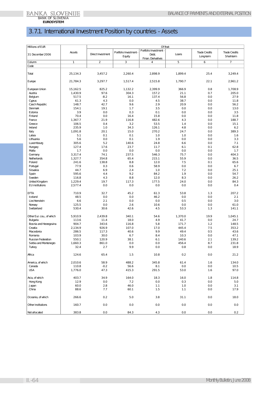**EUROSYSTEM**

# 3.7.1. International Investment Position by countries - Assets

| Millions of EUR           |              | Of that:          |                                  |                                                       |         |                                   |                                    |  |  |  |  |
|---------------------------|--------------|-------------------|----------------------------------|-------------------------------------------------------|---------|-----------------------------------|------------------------------------|--|--|--|--|
| 31 December 2006          | Assets       | Direct Investment | Portfolio Investment -<br>Equity | Portfolio Investment -<br>Debt:<br>Finan. Derivatives | Loans   | <b>Trade Credits</b><br>Long-term | <b>Trade Credits</b><br>Short-term |  |  |  |  |
| Column                    | $\mathbf{1}$ | $\overline{a}$    | $\overline{3}$                   | 4                                                     | 5       | 6                                 | $\overline{7}$                     |  |  |  |  |
| Code                      |              |                   |                                  |                                                       |         |                                   |                                    |  |  |  |  |
| Total                     | 25,134.3     | 3,457.2           | 2,260.4                          | 2,898.9                                               | 1,899.4 | 25.4                              | 3,249.4                            |  |  |  |  |
| Europe                    | 21,784.3     | 3,297.7           | 1,517.4                          | 2,515.8                                               | 1,790.7 | 22.1                              | 2,961.2                            |  |  |  |  |
| European Union            | 15,162.5     | 825.2             | 1,132.2                          | 2,399.9                                               | 366.9   | 0.8                               | 1,708.9                            |  |  |  |  |
| Austria                   | 1,430.9      | 97.6              | 304.3                            | 157.2                                                 | 21.1    | 0.7                               | 205.0                              |  |  |  |  |
| Belgium                   | 517.5        | $-8.2$            | 16.1                             | 137.4                                                 | 56.8    | 0.0                               | 27.9                               |  |  |  |  |
| Cyprus                    | 61.3         | 4.3               | 0.0                              | 4.5                                                   | 38.7    | 0.0                               | 11.8                               |  |  |  |  |
| Czech Republic            | 148.7        | 42.7              | 9.6                              | 2.9                                                   | 20.9    | 0.0                               | 56.2                               |  |  |  |  |
|                           |              |                   | 1.7                              | 3.5                                                   |         |                                   |                                    |  |  |  |  |
| Denmark                   | 154.1        | 19.1              |                                  |                                                       | 0.0     | 0.0                               | 13.0                               |  |  |  |  |
| Estonia                   | 3.9          | 0.0               | 0.3                              | 0.1                                                   | 0.0     | 0.0                               | 3.5                                |  |  |  |  |
| Finland                   | 70.4         | 0.0               | 16.4                             | 15.8                                                  | 0.0     | 0.0                               | 11.8                               |  |  |  |  |
| France                    | 1,367.7      | 21.9              | 116.8                            | 482.6                                                 | 4.3     | 0.0                               | 188.7                              |  |  |  |  |
| Greece                    | 106.5        | 0.4               | 3.2                              | 53.5                                                  | 1.4     | 0.0                               | 15.1                               |  |  |  |  |
| Ireland                   | 235.9        | 1.0               | 34.3                             | 126.1                                                 | 4.8     | 0.0                               | 6.2                                |  |  |  |  |
| Italy                     | 1,091.8      | 20.1              | 15.0                             | 270.2                                                 | 24.7    | 0.0                               | 389.3                              |  |  |  |  |
| Latvia                    | 5.1          | 0.1               | 0.1                              | 1.0                                                   | 1.0     | 0.0                               | 1.6                                |  |  |  |  |
| Lithuania                 | 5.6          | 0.0               | 0.1                              | 1.9                                                   | 0.0     | 0.0                               | 3.3                                |  |  |  |  |
| Luxembourg                | 305.6        | 5.2               | 140.6                            | 24.8                                                  | 6.6     | 0.0                               | 7.1                                |  |  |  |  |
| Hungary                   | 127.4        | 17.6              | 23.7                             | 11.7                                                  | 6.1     | 0.1                               | 62.8                               |  |  |  |  |
| Malta                     | 1.7          | 0.0               | 0.0                              | 0.0                                                   | 0.0     | 0.0                               | 1.7                                |  |  |  |  |
| Germany                   | 3,317.4      | 74.1              | 237.5                            | 546.3                                                 | 75.7    | 0.0                               | 404.3                              |  |  |  |  |
| Netherlands               | 1,327.7      | 354.8             | 65.4                             | 215.1                                                 | 55.9    | 0.0                               | 36.5                               |  |  |  |  |
| Poland                    | 241.6        | 138.8             | 8.8                              | 12.0                                                  | 7.5     | 0.1                               | 65.6                               |  |  |  |  |
| Portugal                  | 77.9         | 0.3               | 0.6                              | 58.9                                                  | 0.0     | 0.0                               | 6.7                                |  |  |  |  |
| Slovakia                  | 44.7         | 6.9               | 2.4                              | 1.0                                                   | 7.2     | 0.0                               | 25.1                               |  |  |  |  |
| Spain                     | 595.6        | 4.4               | 9.2                              | 84.2                                                  | 1.9     | 0.0                               | 54.7                               |  |  |  |  |
| Sweden                    | 116.8        | 4.3               | 8.8                              | 12.0                                                  | 8.3     | 0.0                               | 26.2                               |  |  |  |  |
| United Kingdom            | 1,229.4      | 19.7              | 117.3                            | 177.5                                                 | 24.0    | 0.0                               | 84.3                               |  |  |  |  |
| EU institutions           | 2,577.4      | 0.0               | 0.0                              | 0.0                                                   | 0.0     | 0.0                               | 0.4                                |  |  |  |  |
|                           |              |                   |                                  |                                                       |         |                                   |                                    |  |  |  |  |
| EFTA                      | 710.9        | 32.7              | 45.2                             | 61.3                                                  | 53.8    | 1.3                               | 207.2                              |  |  |  |  |
| Iceland                   | 48.5         | 0.0               | 0.0                              | 46.2                                                  | 0.0     | 0.0                               | 2.1                                |  |  |  |  |
| Liechtenstein             | 6.6          | 2.1               | 0.0                              | 0.0                                                   | 0.5     | 0.0                               | 3.0                                |  |  |  |  |
| Norway                    | 125.5        | 0.0               | 2.6                              | 10.6                                                  | 0.0     | 0.0                               | 61.0                               |  |  |  |  |
| Switzerland               | 530.4        | 30.6              | 42.6                             | 4.5                                                   | 53.3    | 1.3                               | 141.1                              |  |  |  |  |
|                           |              |                   |                                  |                                                       |         |                                   |                                    |  |  |  |  |
| Other Eur. cou., of which | 5,910.9      | 2,439.8           | 340.1                            | 54.6                                                  | 1,370.0 | 19.9                              | 1,045.1                            |  |  |  |  |
| Bulgaria                  | 113.6        | 11.4              | 18.0                             | 4.9                                                   | 41.7    | 0.0                               | 24.7                               |  |  |  |  |
| Bosnia and Herzegovina    | 904.7        | 343.6             | 116.8                            | 5.8                                                   | 171.7   | 1.2                               | 148.5                              |  |  |  |  |
| Croatia                   | 2,134.9      | 926.9             | 107.0                            | 17.0                                                  | 445.4   | 7.5                               | 353.2                              |  |  |  |  |
| Macedonia                 | 286.5        | 117.3             | 40.6                             | 9.9                                                   | 49.4    | 0.5                               | 43.6                               |  |  |  |  |
| Romania                   | 103.9        | 30.0              | 6.7                              | 8.4                                                   | 10.3    | 0.0                               | 47.1                               |  |  |  |  |
| Russian Federation        | 550.1        | 120.9             | 38.1                             | 6.1                                                   | 140.6   | 2.1                               | 139.2                              |  |  |  |  |
| Serbia and Montenegro     | 1,660.3      | 861.0             | 0.0                              | 0.0                                                   | 456.4   | 8.7                               | 231.8                              |  |  |  |  |
| Turkey                    | 32.4         | 2.7               | 9.9                              | 0.0                                                   | 0.8     | 0.0                               | 18.9                               |  |  |  |  |
|                           | 124.6        |                   |                                  | 10.8                                                  |         |                                   | 21.2                               |  |  |  |  |
| Africa                    |              | 65.4              | 1.5                              |                                                       | 0.2     | $0.0\,$                           |                                    |  |  |  |  |
| America, of which         | 2,010.6      | 58.9              | 488.2                            | 345.8                                                 | 61.4    | 1.6                               | 134.0                              |  |  |  |  |
| Canada                    | 110.8        | $-0.2$            | 56.6                             | 8.1                                                   | 0.0     | $0.0\,$                           | 10.5                               |  |  |  |  |
| <b>USA</b>                | 1,776.0      | 47.3              | 415.3                            | 291.5                                                 | 53.0    | 1.6                               | 97.0                               |  |  |  |  |
| Asia, of which            | 403.7        | 34.9              | 164.0                            | 18.3                                                  | 16.0    | 1.8                               | 114.8                              |  |  |  |  |
| Hong Kong                 | 12.9         | 0.0               | 7.2                              | 0.0                                                   | 0.3     | 0.0                               | $5.0\,$                            |  |  |  |  |
|                           |              |                   |                                  |                                                       |         |                                   |                                    |  |  |  |  |
| Japan                     | 60.0         | 2.8               | 46.0                             | 1.1                                                   | 1.0     | 0.0                               | 3.1                                |  |  |  |  |
| China                     | 88.6         | 7.7               | 60.1                             | 1.5                                                   | 1.1     | 0.0                               | 17.9                               |  |  |  |  |
| Oceania, of which         | 266.6        | 0.2               | 5.0                              | 3.8                                                   | 31.1    | 0.0                               | 18.0                               |  |  |  |  |
| Other institutions        | 160.7        | 0.0               | 0.0                              | 0.0                                                   | 0.0     | 0.0                               | 0.0                                |  |  |  |  |
| Not allocated             | 383.8        | 0.0               | 84.3                             | 4.3                                                   | 0.0     | 0.0                               | 0.2                                |  |  |  |  |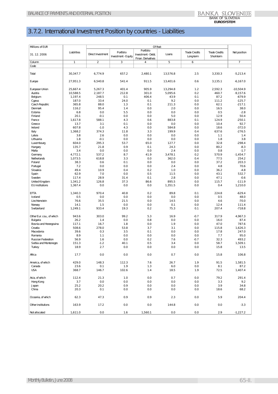# 3.7.2. International Investment Position by countries - Liabilities

| Millions of EUR           |              |                   |                                  | $\overline{O}f$ that:                                 |          |                                   |                                    |                |
|---------------------------|--------------|-------------------|----------------------------------|-------------------------------------------------------|----------|-----------------------------------|------------------------------------|----------------|
| 31.12.2006                | Liabilities  | Direct Investment | Portfolio<br>Investment - Equity | Portfolio<br>Investment - Debt;<br>Finan. Derivatives | Loans    | <b>Trade Credits</b><br>Long-term | <b>Trade Credits</b><br>Short-term | Net position   |
| Column                    | $\mathbf{1}$ | $\overline{2}$    | 3                                | $\overline{4}$                                        | 5        | 6                                 |                                    | $\overline{7}$ |
| Code                      |              |                   |                                  |                                                       |          |                                   |                                    |                |
| Total                     | 30,347.7     | 6,774.9           | 657.2                            | 2,480.1                                               | 13,576.8 | 2.5                               | 3,330.3                            | $-5,213.4$     |
| Europe                    | 27,951.3     | 6,540.8           | 541.4                            | 911.5                                                 | 13,401.6 | 0.6                               | 3,135.1                            | $-6,167.0$     |
| European Union            | 25,667.4     | 5,267.3           | 401.4                            | 905.9                                                 | 13,294.8 | 1.2                               | 2,592.3                            | $-10,504.9$    |
| Austria                   | 10,588.5     | 2,187.7           | 212.8                            | 301.0                                                 | 5,095.6  | 0.2                               | 460.7                              | $-9,157.6$     |
| Belgium                   | 1,197.4      | 248.5             | 0.1                              | 406.4                                                 | 43.9     | 0.1                               | 87.2                               | $-679.9$       |
| Cyprus                    | 187.0        | 33.4              | 24.0                             | 0.1                                                   | 9.2      | 0.0                               | 111.2                              | $-125.7$       |
| Czech Republic            | 365.8        | 88.0              | 1.3                              | 0.1                                                   | 211.3    | 0.0                               | 62.1                               | $-217.1$       |
| Denmark                   | 116.2        | 95.4              | 1.4                              | 0.0                                                   | 2.0      | 0.0                               | 16.5                               | 38.0           |
| Estonia                   | 6.8          | 0.0               | 5.5                              | 0.0                                                   | 0.0      | 0.0                               | 0.5                                | $-2.8$         |
| Finland                   | 20.1         | $-0.1$            | 0.0                              | 0.0                                                   | 5.0      | 0.0                               | 12.9                               | 50.4           |
| France                    | 1,617.8      | 588.1             | 4.3                              | 0.6                                                   | 883.8    | 0.1                               | 124.9                              | $-250.1$       |
| Greece                    | 13.7         | 3.1               | 0.1                              | 0.0                                                   | 0.0      | 0.0                               | 10.4                               | 92.7           |
| Ireland                   | 607.8        | $-1.0$            | 4.3                              | 0.0                                                   | 584.8    | 0.0                               | 18.6                               | $-372.0$       |
|                           |              |                   |                                  |                                                       |          |                                   |                                    |                |
| Italy                     | 1,368.2      | 374.3             | 11.8                             | 3.3                                                   | 199.9    | 0.4                               | 637.6                              | $-276.5$       |
| Latvia                    | 3.8          | 2.6               | 0.0                              | 0.0                                                   | 0.0      | 0.0                               | 1.1                                | 1.4            |
| Lithuania                 | 1.8          | $-0.1$            | 0.0                              | 0.0                                                   | 0.0      | 0.0                               | 1.8                                | 3.8            |
| Luxembourg                | 604.0        | 295.3             | 53.7                             | 65.0                                                  | 127.7    | 0.0                               | 32.8                               | $-298.4$       |
| Hungary                   | 135.7        | 21.8              | 0.9                              | 0.1                                                   | 24.3     | 0.0                               | 80.2                               | $-8.3$         |
| Malta                     | 3.4          | 0.0               | 0.0                              | 0.0                                                   | 2.4      | 0.0                               | 0.8                                | $-1.7$         |
| Germany                   | 4,772.1      | 537.2             | 8.7                              | 41.9                                                  | 3,478.1  | 0.2                               | 570.9                              | $-1,454.7$     |
| Netherlands               | 1,073.5      | 618.8             | 3.3                              | 0.0                                                   | 362.0    | 0.4                               | 77.5                               | 254.2          |
| Poland                    | 38.3         | 0.6               | 0.1                              | 0.0                                                   | 0.0      | 0.0                               | 37.2                               | 203.3          |
| Portugal                  | 7.2          | 0.0               | 0.0                              | 0.0                                                   | 2.4      | 0.0                               | 4.8                                | 70.6           |
| Slovakia                  | 49.4         | 10.9              | 0.4                              | 0.2                                                   | 1.0      | 0.0                               | 36.2                               | $-4.8$         |
| Spain                     | 62.9         | 7.0               | 0.0                              | 0.5                                                   | 11.5     | 0.0                               | 43.1                               | 532.7          |
| Sweden                    | 117.4        | 28.9              | 31.4                             | 0.1                                                   | 2.8      | 0.0                               | 47.1                               | $-0.6$         |
| United Kingdom            | 1,341.2      | 126.8             | 37.3                             | 86.6                                                  | 895.5    | 0.0                               | 115.7                              | $-111.9$       |
| EU institutions           | 1,367.4      | 0.0               | 0.0                              | 0.0                                                   | 1,351.5  | 0.0                               | 0.4                                | 1,210.0        |
| EFTA                      | 1,340.3      | 970.4             | 40.8                             | 0.2                                                   | 89.8     | 0.1                               | 224.8                              | $-629.4$       |
| Iceland                   | 0.5          | 0.0               | 0.0                              | 0.0                                                   | 0.0      | 0.0                               | 0.5                                | 48.0           |
| Liechtenstein             | 76.6         | 35.5              | 21.5                             | 0.0                                                   | 14.5     | 0.0                               | 4.6                                | $-70.0$        |
| Norway                    | 14.1         | 1.5               | 0.0                              | 0.0                                                   | 0.1      | 0.0                               | 12.4                               | 111.4          |
| Switzerland               | 1,249.1      | 933.4             | 19.3                             | 0.2                                                   | 75.3     | 0.1                               | 207.4                              | $-718.8$       |
| Other Eur. cou., of which | 943.6        | 303.0             | 99.2                             | 5.3                                                   | 16.9     | $-0.7$                            | 317.9                              | 4,967.3        |
| Bulgaria                  | 26.2         | 1.4               | 0.0                              | 0.8                                                   | 0.0      | 0.0                               | 16.0                               | 87.4           |
| Bosnia and Herzegovina    | 117.1        | 16.7              | 1.8                              | 0.0                                                   | 1.9      | 0.0                               | 47.0                               | 787.6          |
| Croatia                   | 508.6        | 278.0             | 53.8                             | 3.7                                                   | 3.1      | 0.0                               | 115.8                              | 1,626.3        |
| Macedonia                 | 39.6         | 0.3               | 3.5                              | 0.1                                                   | 0.0      | 0.0                               | 17.8                               | 247.0          |
| Romania                   | 8.9          | 1.1               | 0.0                              | 0.0                                                   | 0.0      | 0.0                               | 7.7                                | 95.0           |
| Russian Federation        | 56.9         | 1.6               | 0.0                              | 0.2                                                   | 7.6      | $-0.7$                            | 32.3                               | 493.2          |
| Serbia and Montenegro     | 151.3        | $-1.2$            | 40.1                             | 0.5                                                   | 3.4      | 0.0                               | 58.7                               | 1,509.1        |
| Turkey                    | 18.9         | 2.7               | 0.0                              | 0.0                                                   | 0.0      | 0.0                               | 15.8                               | 13.5           |
| Africa                    | 17.7         | 0.0               | 0.0                              | 0.0                                                   | 0.7      | 0.0                               | 15.8                               | 106.8          |
| America, of which         | 429.0        | 148.3             | 112.3                            | 7.6                                                   | 26.7     | 1.9                               | 91.5                               | 1,581.5        |
| Canada                    | 23.6         | 0.1               | 1.9                              | 1.3                                                   | $6.0\,$  | 0.0                               | 8.1                                | 87.2           |
| <b>USA</b>                | 368.7        |                   |                                  |                                                       |          | 1.9                               |                                    |                |
|                           |              | 146.7             | 102.6                            | 1.4                                                   | 18.5     |                                   | 72.5                               | 1,407.4        |
| Asia, of which            | 112.4        | 21.3              | 1.0                              | 0.0                                                   | 0.7      | 0.0                               | 79.2                               | 291.4          |
| Hong Kong                 | 3.7          | 0.0               | 0.0                              | 0.0                                                   | 0.0      | 0.0                               | 3.3                                | 9.2            |
| Japan                     | 25.2         | 20.2              | 0.9                              | 0.0                                                   | 0.0      | 0.0                               | 3.9                                | 34.8           |
| China                     | 20.3         | 0.1               | 0.0                              | 0.0                                                   | 0.0      | 0.0                               | 18.6                               | 68.2           |
| Oceania, of which         | 62.3         | 47.3              | 0.9                              | 0.9                                                   | 2.3      | 0.0                               | 5.9                                | 204.4          |
| Other institutions        | 163.9        | 17.2              | 0.0                              | 0.0                                                   | 144.8    | 0.0                               | 0.0                                | $-3.3$         |
| Not allocated             | 1,611.0      | 0.0               | 1.6                              | 1,560.1                                               | 0.0      | 0.0                               | 2.9                                | $-1,227.2$     |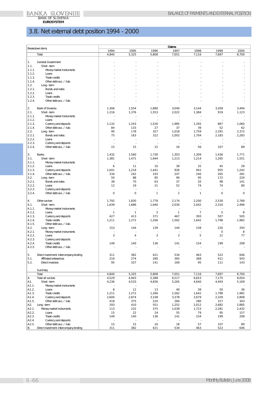BANKA SLOVENIJE BANK OF SLOVENIA

**EUROSYSTEM**

# 3.8. Net external debt position 1994 - 2000

|        | Breakdown items                         |              |       |              | Claims         |                          |             |             |
|--------|-----------------------------------------|--------------|-------|--------------|----------------|--------------------------|-------------|-------------|
|        |                                         | 1994         | 1995  | 1996         | 1997           | 1998                     | 1999        | 2000        |
|        | Total                                   | 4,840        | 5,325 | 5,808        | 7,051          | 7,116                    | 7,697       | 8,700       |
|        |                                         |              |       |              |                |                          |             |             |
| 1.     | General Government                      |              |       |              |                |                          |             |             |
| 1.1.   | Short - term                            |              |       |              |                |                          |             |             |
|        |                                         |              |       |              |                |                          |             |             |
| 1.1.1. | Money market instruments                |              |       |              |                |                          |             |             |
| 1.1.2. | Loans                                   |              |       |              |                |                          |             |             |
| 1.1.3. | Trade credits                           |              |       |              |                |                          |             |             |
| 1.1.4. | Other debt ass. / liab.                 |              |       |              |                |                          |             |             |
| 1.2.   | Long - term                             |              |       |              |                |                          |             |             |
| 1.2.1. | Bonds and notes                         |              |       |              |                |                          |             |             |
|        |                                         |              |       |              |                |                          |             |             |
| 1.2.2. | Loans                                   |              |       |              |                |                          |             |             |
| 1.2.3. | Trade credits                           |              |       |              |                |                          |             |             |
| 1.2.4. | Other debt ass. / liab.                 |              |       |              |                |                          |             |             |
|        |                                         |              |       |              |                |                          |             |             |
| 2.     | Bank of Slovenia                        | 1,306        | 1,554 | 1,880        | 3,040          | 3,144                    | 3,209       | 3,494       |
| 2.1.   | Short - term                            | 1,216        | 1,376 | 1,553        | 2,022          | 1,384                    | 919         | 1,123       |
| 2.1.1. | Money market instruments                |              |       |              |                |                          |             |             |
|        |                                         |              |       |              |                |                          |             |             |
| 2.1.2. | Loans                                   |              |       |              |                |                          | ٠           |             |
| 2.1.3. | Currency and deposits                   | 1,132        | 1,243 | 1,526        | 1,985          | 1,345                    | 867         | 1,060       |
| 2.1.4. | Other debt ass. / liab.                 | 84           | 133   | 27           | 37             | 39                       | 52          | 62          |
| 2.2.   | Long - term                             | 90           | 178   | 327          | 1,018          | 1,759                    | 2,291       | 2,372       |
| 2.2.1. | Bonds and notes                         | 75           | 163   | 312          | 1,002          | 1,704                    | 2,183       | 2,283       |
| 2.2.2. | Loans                                   |              |       |              |                |                          |             |             |
|        |                                         |              |       |              |                |                          |             |             |
| 2.2.3. | Currency and deposits                   |              |       |              |                |                          |             |             |
| 2.2.4. | Other debt ass. / liab.                 | 15           | 15    | 15           | 16             | 56                       | 107         | 89          |
|        |                                         |              |       |              |                |                          |             |             |
| 3.     | <b>Banks</b>                            | 1,432        | 1,560 | 1,730        | 1,303          | 1,309                    | 1,436       | 1,771       |
| 3.1.   | Short - term                            | 1,381        | 1,471 | 1,644        | 1,213          | 1,214                    | 1,265       | 1,551       |
| 3.1.1. | Money market instruments                |              |       |              |                |                          |             |             |
| 3.1.2. |                                         | 6            | 11    | 10           | 39             | 32                       | 45          | 28          |
|        | Loans                                   |              |       |              |                |                          |             |             |
| 3.1.3. | Currency and deposits                   | 1,041        | 1,218 | 1,441        | 926            | 941                      | 955         | 1,242       |
| 3.1.4. | Other debt ass. / liab.                 | 334          | 242   | 193          | 247            | 240                      | 265         | 281         |
| 3.2.   | Long - term                             | 50           | 88    | 85           | 90             | 95                       | 172         | 220         |
| 3.2.1. | Bonds and notes                         | 38           | 70    | 63           | 37             | 20                       | 98          | 141         |
| 3.2.2. | Loans                                   | 12           | 19    | 21           | 52             | 74                       | 74          | 80          |
| 3.2.3. | Currency and deposits                   |              |       |              |                |                          |             |             |
|        |                                         |              |       |              |                |                          |             | $\mathbf 0$ |
| 3.2.4. | Other debt ass. / liab.                 | $\mathbf 0$  | 0     | $\mathbf{1}$ | $\overline{2}$ | 1                        | $\mathbf 0$ |             |
|        |                                         |              |       |              |                |                          |             |             |
| 4.     | Other sectors                           | 1,792        | 1,830 | 1,778        | 2,174          | 2,200                    | 2,530       | 2,789       |
| 4.1.   | Short - term                            | 1,639        | 1,686 | 1,640        | 2,030          | 2,042                    | 2,310       | 2,496       |
| 4.1.1. | Money market instruments                |              |       |              |                |                          |             |             |
| 4.1.2. | Loans                                   | $\mathbf{1}$ | 1     | 3            | 1              | $\overline{7}$           | 5           | 8           |
| 4.1.3. |                                         |              |       | 371          |                | 393                      | 507         |             |
|        | Currency and deposits                   | 427          | 413   |              | 467            |                          |             | 505         |
| 4.1.4. | Trade credits                           | 1,211        | 1,272 | 1,266        | 1,562          | 1,642                    | 1,798       | 1,982       |
| 4.1.5. | Other debt ass. / liab.                 |              |       |              |                |                          |             |             |
| 4.2.   | Long - term                             | 153          | 144   | 139          | 144            | 158                      | 220         | 293         |
| 4.2.1. | Money market instruments                |              |       |              |                |                          | 0           | 8           |
| 4.2.2. | Loans                                   | 3            | 4     | 3            | 3              | 5                        | 21          | 77          |
|        |                                         |              |       |              |                | $\overline{\phantom{a}}$ |             |             |
| 4.2.3. | Currency and deposits                   |              |       |              |                |                          |             |             |
| 4.2.4. | Trade credits                           | 149          | 140   | 136          | 141            | 154                      | 199         | 208         |
| 4.2.5. | Other debt ass. / liab.                 |              |       |              |                |                          |             |             |
|        |                                         |              |       |              |                |                          |             |             |
| 5.     | Direct investment: intercompany lending | 311          | 382   | 421          | 534            | 463                      | 522         | 646         |
| 5.1.   | Affiliated enterprises                  | 216          | 274   | 280          | 365            | 368                      | 411         | 503         |
| 5.2.   | Direct investors                        | 95           | 107   | 141          | 169            | 95                       | 111         | 143         |
|        |                                         |              |       |              |                |                          |             |             |
|        |                                         |              |       |              |                |                          |             |             |
|        | Summary                                 |              |       |              |                |                          |             |             |
|        | Total                                   | 4,840        | 5,325 | 5,808        | 7,051          | 7,116                    | 7,697       | 8,700       |
| A.     | Total all sectors                       | 4,529        | 4,943 | 5,388        | 6,517          | 6,653                    | 7,175       | 8,054       |
| A.1.   | Short - term                            | 4,236        | 4,533 | 4,836        | 5,265          | 4,640                    | 4,493       | 5,169       |
| A.1.1. | Money market instruments                |              |       |              |                |                          |             |             |
| A.1.2. | Loans                                   | 8            | 12    | 13           | 40             | 39                       | 50          | 36          |
|        |                                         |              |       |              |                |                          |             |             |
| A.1.3. | Trade credits                           | 1,211        | 1,272 | 1,266        | 1,562          | 1,642                    | 1,798       | 1,982       |
| A.1.4. | Currency and deposits                   | 2,600        | 2,874 | 3,338        | 3,378          | 2,679                    | 2,329       | 2,808       |
| A.1.5. | Other debt ass. / liab.                 | 418          | 375   | 220          | 284            | 280                      | 317         | 343         |
| A.2.   | Long - term                             | 293          | 410   | 551          | 1,252          | 2,012                    | 2,682       | 2,885       |
| A.2.1. | Money market instruments                | 113          | 232   | 375          | 1,039          | 1,723                    | 2,281       | 2,432       |
| A.2.2. | Loans                                   | 15           | 22    | 24           | 55             | 79                       | 95          | 157         |
|        |                                         |              |       |              |                |                          |             |             |
| A.2.3. | Trade credits                           | 149          | 140   | 136          | 141            | 154                      | 199         | 208         |
| A.2.4. | Currency and deposits                   |              |       |              |                |                          |             |             |
| A.2.5. | Other debt ass. / liab.                 | 15           | 15    | 16           | 18             | 57                       | 107         | 89          |
| В.     | Direct investment: intercompany lending | 311          | 382   | 421          | 534            | 463                      | 522         | 646         |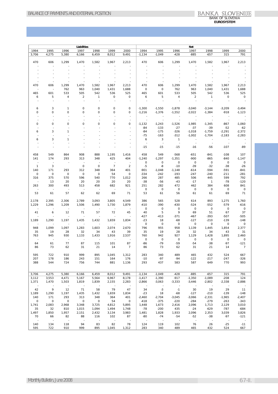| 1994<br>1995<br>1996<br>1997<br>1998<br>1999<br>2000<br>1994<br>1995<br>1996<br>1997<br>1998<br>1999<br>2000<br>9,491<br>$-885$<br>791<br>3,706<br>4,275<br>5,380<br>6,459<br>8,012<br>$-1,049$<br>$-428$<br>$-657$<br>6,166<br>$-1, 134$<br>315<br>2,213<br>470<br>606<br>1,299<br>1,470<br>1,582<br>1,967<br>2,213<br>470<br>606<br>1,299<br>1,470<br>1,582<br>1,967<br>$\overline{\phantom{a}}$<br>470<br>606<br>1,299<br>1,470<br>1,582<br>1,967<br>2,213<br>470<br>1,299<br>1,470<br>1,582<br>1,967<br>2,213<br>606<br>762<br>963<br>1,040<br>1,431<br>1,688<br>0<br>0<br>762<br>963<br>1,040<br>1,431<br>1,688<br>505<br>542<br>525<br>533<br>505<br>525<br>601<br>533<br>536<br>465<br>601<br>542<br>536<br>465<br>$\mathsf O$<br>2<br>$\overline{0}$<br>5<br>4<br>$\overline{2}$<br>$\overline{1}$<br>$\mathbf 0$<br>5<br>4<br>$\overline{1}$<br>$\mathbf 0$<br>6<br>6<br>$\cdot$<br>$\overline{\phantom{a}}$<br>×<br>×<br>$\overline{\phantom{a}}$<br>×,<br>3<br>$\mathbf{1}$<br>$\mathsf{O}\xspace$<br>$\mathbf 0$<br>$\mathbf 0$<br>$-3,494$<br>0<br>$-1,300$<br>$-1,550$<br>$-1,878$<br>$-3,040$<br>$-3,144$<br>$-3,209$<br>6<br>$\mathsf{O}\xspace$<br>$\circ$<br>$\mathsf{O}\xspace$<br>0<br>$-1,552$<br>$-2,022$<br>$-1,123$<br>0<br>0<br>0<br>$-1,216$<br>$-1,376$<br>$-1,384$<br>$-918$<br>×<br>٠.<br>$\sim$<br>$\sim$<br>$\sim$<br>$\sim$<br>÷.<br>$\sim$<br>$\sim$<br>$\sim$<br>$\sim$<br>$\epsilon$<br>$\mathsf{O}\xspace$<br>$\mathsf{O}\xspace$<br>$\mathbf 0$<br>$\mathsf{O}\xspace$<br>0<br>$\mathbf 0$<br>$-1,985$<br>$-1,060$<br>0<br>$-1,132$<br>$-1,243$<br>$-1,526$<br>$-1,345$<br>$-867$<br>$-84$<br>$-133$<br>$-27$<br>$-37$<br>$-39$<br>$-52$<br>$-62$<br>$\overline{\phantom{a}}$<br>٠<br>3<br>$-326$<br>$-1,759$<br>$-2,291$<br>$-2,372$<br>1<br>$-84$<br>$-175$<br>$-1,018$<br>6<br>٠<br>$-2,283$<br>$-75$<br>$-163$<br>$-312$<br>$-1,002$<br>$-1,704$<br>$-2,183$<br>3<br>$\overline{1}$<br>$\mathbf{1}$<br>6<br>3<br>6<br>$\sim$<br>$\sim$<br>$\sim$<br>$\sim$<br>$\overline{\phantom{a}}$<br>$\sim$<br>$\sim$<br>$\cdot$<br>$\sim$<br>$-107$<br>$-89$<br>$-15$<br>$-15$<br>$-15$<br>$-56$<br>$-16$<br>٠<br>549<br>908<br>888<br>1,195<br>458<br>549<br>$-108$<br>107<br>458<br>864<br>1,416<br>$-568$<br>$-651$<br>$-841$<br>425<br>$-900$<br>$-1,147$<br>141<br>174<br>293<br>313<br>348<br>404<br>$-1,240$<br>$-1,297$<br>$-1,351$<br>$-865$<br>$-840$<br>$\circ$<br>$\mathbf 0$<br>$\overline{0}$<br>$\circ$<br>$\mathbf 0$<br>$\overline{0}$<br>$\sim$<br>0<br>$\sim$<br>$\cdot$<br>$\sim$<br>$\sim$<br>٠.<br>$\sim$<br>$\overline{7}$<br>$\overline{2}$<br>$\overline{3}$<br>$\mathbf 0$<br>$\mathbf 0$<br>$-5$<br>-8<br>$-10$<br>$-39$<br>$-32$<br>$-38$<br>$-26$<br>$\overline{1}$<br>293<br>312<br>348<br>401<br>$-901$<br>$-1,048$<br>$-594$<br>$-591$<br>$-841$<br>140<br>171<br>364<br>$-1,148$<br>$-614$<br>$\mathsf O$<br>$\mathsf O$<br>$\circ$<br>$-281$<br>$\overline{0}$<br>$\mathbf 0$<br>54<br>0<br>$-334$<br>$-242$<br>$-193$<br>$-247$<br>$-240$<br>$-211$<br>375<br>570<br>596<br>540<br>770<br>287<br>485<br>506<br>445<br>599<br>792<br>316<br>1,012<br>266<br>20<br>20<br>$-120$<br>13<br>20<br>20<br>20<br>$-38$<br>$-56$<br>$-43$<br>$-17$<br>$\overline{1}$<br>$-78$<br>300<br>493<br>513<br>458<br>682<br>921<br>251<br>282<br>472<br>384<br>841<br>263<br>462<br>608<br>$\overline{0}$<br>$\mathbf 0$<br>$\overline{0}$<br>$\mathbf 0$<br>$\mathbf 0$<br>$\mathbf 0$<br>$\circ$<br>$\sim$<br>$\sim$<br>$\sim$<br>$\sim$<br>$\sim$<br>$\sim$<br>$\sim$<br>57<br>62<br>62<br>69<br>71<br>53<br>69<br>71<br>53<br>61<br>61<br>56<br>61<br>61<br>2,178<br>2,395<br>2,306<br>2,789<br>3,093<br>3,805<br>4,549<br>386<br>565<br>528<br>614<br>893<br>1,275<br>1,760<br>1,229<br>1,296<br>1,209<br>1,506<br>1,490<br>1,730<br>1,879<br>$-390$<br>$-430$<br>$-524$<br>$-552$<br>$-579$<br>$-616$<br>$-410$<br>$\mathsf{O}\xspace$<br>$\mathbf 0$<br>$\mathsf O$<br>$\circ$<br>$\circ$<br>$\circ$<br>$\overline{\mathbf{0}}$<br>$\sim$<br>$\sim$<br>$\sim$<br>$\sim$<br>9<br>5<br>69<br>37<br>12<br>71<br>72<br>45<br>40<br>51<br>67<br>41<br>6<br>57<br>$-427$<br>$-467$<br>$-393$<br>$-507$<br>$-505$<br>$-413$<br>$-371$<br>$\overline{\phantom{a}}$<br>$\overline{\phantom{a}}$<br>$-23$<br>$-127$<br>$-210$<br>$-139$<br>$-148$<br>1,189<br>1,290<br>1,197<br>1,435<br>1,432<br>1,659<br>1,834<br>18<br>$-68$<br>$\mathsf{O}\xspace$<br>$\mathsf{O}\xspace$<br>$\circ$<br>$\mathbf 0$<br>$\overline{0}$<br>0<br>$\mathbf 0$<br>$\sim$<br>1,099<br>1,283<br>796<br>955<br>1,139<br>948<br>1,097<br>1,603<br>2,074<br>2,670<br>958<br>1,445<br>1,854<br>2,377<br>19<br>32<br>34<br>39<br>35<br>19<br>28<br>32<br>31<br>35<br>28<br>43<br>34<br>43<br>930<br>1,133<br>1,433<br>1,916<br>760<br>942<br>927<br>1,129<br>1,428<br>1,895<br>2,460<br>763<br>945<br>2,537<br>$\mathbf 0$<br>$\circ$<br>$\mathbf 0$<br>$\mathbf 0$<br>$\mathbf 0$<br>0<br>0<br>$\sim$<br>$\sim$<br>$\sim$<br>$\sim$<br>$-79$<br>$-59$<br>$-54$<br>$-38$<br>$-97$<br>$-121$<br>77<br>87<br>115<br>101<br>87<br>$-86$<br>64<br>61<br>73<br>21<br>14<br>$\overline{7}$<br>73<br>62<br>21<br>14<br>$\overline{7}$<br>86<br>62<br>31<br>86<br>31<br>595<br>722<br>910<br>999<br>895<br>1,045<br>1,312<br>283<br>340<br>489<br>465<br>432<br>524<br>667<br>$-326$<br>207<br>178<br>151<br>176<br>$-10$<br>$-97$<br>$-94$<br>$-122$<br>$-217$<br>$-247$<br>186<br>243<br>164<br>587<br>993<br>388<br>544<br>724<br>756<br>744<br>881<br>1,136<br>293<br>437<br>583<br>649<br>770<br>4,275<br>9,491<br>$-1,049$<br>$-885$<br>$-657$<br>315<br>791<br>3,706<br>5,380<br>6,166<br>6,459<br>8,012<br>$-1, 134$<br>$-428$<br>3,553<br>5,564<br>$-1,390$<br>$-917$<br>$-1,350$<br>$-1,089$<br>124<br>3,112<br>4,471<br>5,167<br>6,967<br>8,178<br>$-1,417$<br>$-208$<br>1,371<br>1,470<br>1,503<br>1,819<br>1,839<br>2,155<br>2,283<br>$-2,866$<br>$-3,063$<br>$-3,333$<br>$-3,446$<br>$-2,802$<br>$-2,338$<br>$-2,886$<br>×<br>$\cdot$<br>$\sim$<br>$\cdot$<br>$\cdot$<br>$\sim$<br>$\overline{\phantom{a}}$<br>$\sim$<br>$\cdot$<br>$\overline{\phantom{a}}$<br>9<br>79<br>$-3$<br>19<br>29<br>42<br>12<br>71<br>58<br>47<br>34<br>$-1$<br>30<br>11<br>1,189<br>1,290<br>1,197<br>1,432<br>1,659<br>$-23$<br>18<br>$-127$<br>$-210$<br>$-139$<br>$-148$<br>1,435<br>1,834<br>$-68$<br>140<br>171<br>293<br>313<br>348<br>401<br>$-2,704$<br>$-3,045$<br>$-3,066$<br>$-2,407$<br>364<br>$-2,460$<br>$-2,331$<br>$-1,965$<br>$\mathsf{O}$<br>$\mathsf{O}$<br>$\mathsf{O}\xspace$<br>$\mathsf{O}\xspace$<br>$\mathsf{O}\xspace$<br>54<br>$\mathsf{O}\xspace$<br>$-418$<br>$-375$<br>$-220$<br>$-284$<br>$-279$<br>$-343$<br>$-263$<br>1,741<br>2,083<br>2,968<br>3,725<br>5,895<br>1,448<br>1,673<br>2,416<br>2,096<br>1,713<br>2,129<br>3,010<br>3,348<br>4,812<br>32<br>1,094<br>$-200$<br>$-629$<br>35<br>810<br>1,015<br>1,494<br>1,748<br>$-78$<br>435<br>$-24$<br>$-787$<br>$-684$<br>1,497<br>1,850<br>1,957<br>2,151<br>2,432<br>3,983<br>1,481<br>1,828<br>1,933<br>2,096<br>2,353<br>3,039<br>3,826<br>3,134<br>70<br>66<br>116<br>102<br>$-80$<br>$-74$<br>$-54$<br>$-52$<br>$-38$<br>$-97$<br>$-121$<br>82<br>88<br>87<br>$\sim$<br>$\sim$<br>$\cdot$<br>$\cdot$<br>$\overline{\phantom{a}}$<br>$\cdot$<br>×<br>×<br>$\cdot$<br>$\cdot$<br>$\cdot$<br>÷,<br>$\overline{\phantom{a}}$<br>134<br>94<br>83<br>82<br>78<br>76<br>$-25$<br>140<br>118<br>124<br>119<br>102<br>26<br>$-11$ |     |     |     | Liabilities |     |       |       |     |     |     | Net |     |     |     |
|---------------------------------------------------------------------------------------------------------------------------------------------------------------------------------------------------------------------------------------------------------------------------------------------------------------------------------------------------------------------------------------------------------------------------------------------------------------------------------------------------------------------------------------------------------------------------------------------------------------------------------------------------------------------------------------------------------------------------------------------------------------------------------------------------------------------------------------------------------------------------------------------------------------------------------------------------------------------------------------------------------------------------------------------------------------------------------------------------------------------------------------------------------------------------------------------------------------------------------------------------------------------------------------------------------------------------------------------------------------------------------------------------------------------------------------------------------------------------------------------------------------------------------------------------------------------------------------------------------------------------------------------------------------------------------------------------------------------------------------------------------------------------------------------------------------------------------------------------------------------------------------------------------------------------------------------------------------------------------------------------------------------------------------------------------------------------------------------------------------------------------------------------------------------------------------------------------------------------------------------------------------------------------------------------------------------------------------------------------------------------------------------------------------------------------------------------------------------------------------------------------------------------------------------------------------------------------------------------------------------------------------------------------------------------------------------------------------------------------------------------------------------------------------------------------------------------------------------------------------------------------------------------------------------------------------------------------------------------------------------------------------------------------------------------------------------------------------------------------------------------------------------------------------------------------------------------------------------------------------------------------------------------------------------------------------------------------------------------------------------------------------------------------------------------------------------------------------------------------------------------------------------------------------------------------------------------------------------------------------------------------------------------------------------------------------------------------------------------------------------------------------------------------------------------------------------------------------------------------------------------------------------------------------------------------------------------------------------------------------------------------------------------------------------------------------------------------------------------------------------------------------------------------------------------------------------------------------------------------------------------------------------------------------------------------------------------------------------------------------------------------------------------------------------------------------------------------------------------------------------------------------------------------------------------------------------------------------------------------------------------------------------------------------------------------------------------------------------------------------------------------------------------------------------------------------------------------------------------------------------------------------------------------------------------------------------------------------------------------------------------------------------------------------------------------------------------------------------------------------------------------------------------------------------------------------------------------------------------------------------------------------------------------------------------------------------------------------------------------------------------------------------------------------------------------------------------------------------------------------------------------------------------------------------------------------------------------------------------------------------------------------------------------------------------------------------------------------------------------------------------------------------------------------------------------------------------------------------------------------------------------------------------------------------------------------------------------------------------------------------------------------------------------------------------------------------------------------------------------------------------------------------------------------------------------------------------------------------------------------------------------------------------------------------------------------------------------------------------------------------------------------------------------------------------------------------------------------------------------------------------------------------------------------------------------------------------------------------------------------------------------------------------------------------------------------------------------------------------------------------------------------------------------------------------------------------------------------------------------------------------------------------------------------------------------------------------------------------------------------------------------------------------------------------------------------------------------------------------------------------------------------------------------------------------------------------------------------------------------------------------------------------------------------------------------------------------------------------------------------------------------------------------------------------------|-----|-----|-----|-------------|-----|-------|-------|-----|-----|-----|-----|-----|-----|-----|
|                                                                                                                                                                                                                                                                                                                                                                                                                                                                                                                                                                                                                                                                                                                                                                                                                                                                                                                                                                                                                                                                                                                                                                                                                                                                                                                                                                                                                                                                                                                                                                                                                                                                                                                                                                                                                                                                                                                                                                                                                                                                                                                                                                                                                                                                                                                                                                                                                                                                                                                                                                                                                                                                                                                                                                                                                                                                                                                                                                                                                                                                                                                                                                                                                                                                                                                                                                                                                                                                                                                                                                                                                                                                                                                                                                                                                                                                                                                                                                                                                                                                                                                                                                                                                                                                                                                                                                                                                                                                                                                                                                                                                                                                                                                                                                                                                                                                                                                                                                                                                                                                                                                                                                                                                                                                                                                                                                                                                                                                                                                                                                                                                                                                                                                                                                                                                                                                                                                                                                                                                                                                                                                                                                                                                                                                                                                                                                                                                                                                                                                                                                                                                                                                                                                                                                                                                                                                                                                                                                                                                                                                                                                                                                                                                                                                                                                                                                                                                           |     |     |     |             |     |       |       |     |     |     |     |     |     |     |
|                                                                                                                                                                                                                                                                                                                                                                                                                                                                                                                                                                                                                                                                                                                                                                                                                                                                                                                                                                                                                                                                                                                                                                                                                                                                                                                                                                                                                                                                                                                                                                                                                                                                                                                                                                                                                                                                                                                                                                                                                                                                                                                                                                                                                                                                                                                                                                                                                                                                                                                                                                                                                                                                                                                                                                                                                                                                                                                                                                                                                                                                                                                                                                                                                                                                                                                                                                                                                                                                                                                                                                                                                                                                                                                                                                                                                                                                                                                                                                                                                                                                                                                                                                                                                                                                                                                                                                                                                                                                                                                                                                                                                                                                                                                                                                                                                                                                                                                                                                                                                                                                                                                                                                                                                                                                                                                                                                                                                                                                                                                                                                                                                                                                                                                                                                                                                                                                                                                                                                                                                                                                                                                                                                                                                                                                                                                                                                                                                                                                                                                                                                                                                                                                                                                                                                                                                                                                                                                                                                                                                                                                                                                                                                                                                                                                                                                                                                                                                           |     |     |     |             |     |       |       |     |     |     |     |     |     |     |
|                                                                                                                                                                                                                                                                                                                                                                                                                                                                                                                                                                                                                                                                                                                                                                                                                                                                                                                                                                                                                                                                                                                                                                                                                                                                                                                                                                                                                                                                                                                                                                                                                                                                                                                                                                                                                                                                                                                                                                                                                                                                                                                                                                                                                                                                                                                                                                                                                                                                                                                                                                                                                                                                                                                                                                                                                                                                                                                                                                                                                                                                                                                                                                                                                                                                                                                                                                                                                                                                                                                                                                                                                                                                                                                                                                                                                                                                                                                                                                                                                                                                                                                                                                                                                                                                                                                                                                                                                                                                                                                                                                                                                                                                                                                                                                                                                                                                                                                                                                                                                                                                                                                                                                                                                                                                                                                                                                                                                                                                                                                                                                                                                                                                                                                                                                                                                                                                                                                                                                                                                                                                                                                                                                                                                                                                                                                                                                                                                                                                                                                                                                                                                                                                                                                                                                                                                                                                                                                                                                                                                                                                                                                                                                                                                                                                                                                                                                                                                           |     |     |     |             |     |       |       |     |     |     |     |     |     |     |
|                                                                                                                                                                                                                                                                                                                                                                                                                                                                                                                                                                                                                                                                                                                                                                                                                                                                                                                                                                                                                                                                                                                                                                                                                                                                                                                                                                                                                                                                                                                                                                                                                                                                                                                                                                                                                                                                                                                                                                                                                                                                                                                                                                                                                                                                                                                                                                                                                                                                                                                                                                                                                                                                                                                                                                                                                                                                                                                                                                                                                                                                                                                                                                                                                                                                                                                                                                                                                                                                                                                                                                                                                                                                                                                                                                                                                                                                                                                                                                                                                                                                                                                                                                                                                                                                                                                                                                                                                                                                                                                                                                                                                                                                                                                                                                                                                                                                                                                                                                                                                                                                                                                                                                                                                                                                                                                                                                                                                                                                                                                                                                                                                                                                                                                                                                                                                                                                                                                                                                                                                                                                                                                                                                                                                                                                                                                                                                                                                                                                                                                                                                                                                                                                                                                                                                                                                                                                                                                                                                                                                                                                                                                                                                                                                                                                                                                                                                                                                           |     |     |     |             |     |       |       |     |     |     |     |     |     |     |
|                                                                                                                                                                                                                                                                                                                                                                                                                                                                                                                                                                                                                                                                                                                                                                                                                                                                                                                                                                                                                                                                                                                                                                                                                                                                                                                                                                                                                                                                                                                                                                                                                                                                                                                                                                                                                                                                                                                                                                                                                                                                                                                                                                                                                                                                                                                                                                                                                                                                                                                                                                                                                                                                                                                                                                                                                                                                                                                                                                                                                                                                                                                                                                                                                                                                                                                                                                                                                                                                                                                                                                                                                                                                                                                                                                                                                                                                                                                                                                                                                                                                                                                                                                                                                                                                                                                                                                                                                                                                                                                                                                                                                                                                                                                                                                                                                                                                                                                                                                                                                                                                                                                                                                                                                                                                                                                                                                                                                                                                                                                                                                                                                                                                                                                                                                                                                                                                                                                                                                                                                                                                                                                                                                                                                                                                                                                                                                                                                                                                                                                                                                                                                                                                                                                                                                                                                                                                                                                                                                                                                                                                                                                                                                                                                                                                                                                                                                                                                           |     |     |     |             |     |       |       |     |     |     |     |     |     |     |
|                                                                                                                                                                                                                                                                                                                                                                                                                                                                                                                                                                                                                                                                                                                                                                                                                                                                                                                                                                                                                                                                                                                                                                                                                                                                                                                                                                                                                                                                                                                                                                                                                                                                                                                                                                                                                                                                                                                                                                                                                                                                                                                                                                                                                                                                                                                                                                                                                                                                                                                                                                                                                                                                                                                                                                                                                                                                                                                                                                                                                                                                                                                                                                                                                                                                                                                                                                                                                                                                                                                                                                                                                                                                                                                                                                                                                                                                                                                                                                                                                                                                                                                                                                                                                                                                                                                                                                                                                                                                                                                                                                                                                                                                                                                                                                                                                                                                                                                                                                                                                                                                                                                                                                                                                                                                                                                                                                                                                                                                                                                                                                                                                                                                                                                                                                                                                                                                                                                                                                                                                                                                                                                                                                                                                                                                                                                                                                                                                                                                                                                                                                                                                                                                                                                                                                                                                                                                                                                                                                                                                                                                                                                                                                                                                                                                                                                                                                                                                           |     |     |     |             |     |       |       |     |     |     |     |     |     |     |
|                                                                                                                                                                                                                                                                                                                                                                                                                                                                                                                                                                                                                                                                                                                                                                                                                                                                                                                                                                                                                                                                                                                                                                                                                                                                                                                                                                                                                                                                                                                                                                                                                                                                                                                                                                                                                                                                                                                                                                                                                                                                                                                                                                                                                                                                                                                                                                                                                                                                                                                                                                                                                                                                                                                                                                                                                                                                                                                                                                                                                                                                                                                                                                                                                                                                                                                                                                                                                                                                                                                                                                                                                                                                                                                                                                                                                                                                                                                                                                                                                                                                                                                                                                                                                                                                                                                                                                                                                                                                                                                                                                                                                                                                                                                                                                                                                                                                                                                                                                                                                                                                                                                                                                                                                                                                                                                                                                                                                                                                                                                                                                                                                                                                                                                                                                                                                                                                                                                                                                                                                                                                                                                                                                                                                                                                                                                                                                                                                                                                                                                                                                                                                                                                                                                                                                                                                                                                                                                                                                                                                                                                                                                                                                                                                                                                                                                                                                                                                           |     |     |     |             |     |       |       |     |     |     |     |     |     |     |
|                                                                                                                                                                                                                                                                                                                                                                                                                                                                                                                                                                                                                                                                                                                                                                                                                                                                                                                                                                                                                                                                                                                                                                                                                                                                                                                                                                                                                                                                                                                                                                                                                                                                                                                                                                                                                                                                                                                                                                                                                                                                                                                                                                                                                                                                                                                                                                                                                                                                                                                                                                                                                                                                                                                                                                                                                                                                                                                                                                                                                                                                                                                                                                                                                                                                                                                                                                                                                                                                                                                                                                                                                                                                                                                                                                                                                                                                                                                                                                                                                                                                                                                                                                                                                                                                                                                                                                                                                                                                                                                                                                                                                                                                                                                                                                                                                                                                                                                                                                                                                                                                                                                                                                                                                                                                                                                                                                                                                                                                                                                                                                                                                                                                                                                                                                                                                                                                                                                                                                                                                                                                                                                                                                                                                                                                                                                                                                                                                                                                                                                                                                                                                                                                                                                                                                                                                                                                                                                                                                                                                                                                                                                                                                                                                                                                                                                                                                                                                           |     |     |     |             |     |       |       |     |     |     |     |     |     |     |
|                                                                                                                                                                                                                                                                                                                                                                                                                                                                                                                                                                                                                                                                                                                                                                                                                                                                                                                                                                                                                                                                                                                                                                                                                                                                                                                                                                                                                                                                                                                                                                                                                                                                                                                                                                                                                                                                                                                                                                                                                                                                                                                                                                                                                                                                                                                                                                                                                                                                                                                                                                                                                                                                                                                                                                                                                                                                                                                                                                                                                                                                                                                                                                                                                                                                                                                                                                                                                                                                                                                                                                                                                                                                                                                                                                                                                                                                                                                                                                                                                                                                                                                                                                                                                                                                                                                                                                                                                                                                                                                                                                                                                                                                                                                                                                                                                                                                                                                                                                                                                                                                                                                                                                                                                                                                                                                                                                                                                                                                                                                                                                                                                                                                                                                                                                                                                                                                                                                                                                                                                                                                                                                                                                                                                                                                                                                                                                                                                                                                                                                                                                                                                                                                                                                                                                                                                                                                                                                                                                                                                                                                                                                                                                                                                                                                                                                                                                                                                           |     |     |     |             |     |       |       |     |     |     |     |     |     |     |
|                                                                                                                                                                                                                                                                                                                                                                                                                                                                                                                                                                                                                                                                                                                                                                                                                                                                                                                                                                                                                                                                                                                                                                                                                                                                                                                                                                                                                                                                                                                                                                                                                                                                                                                                                                                                                                                                                                                                                                                                                                                                                                                                                                                                                                                                                                                                                                                                                                                                                                                                                                                                                                                                                                                                                                                                                                                                                                                                                                                                                                                                                                                                                                                                                                                                                                                                                                                                                                                                                                                                                                                                                                                                                                                                                                                                                                                                                                                                                                                                                                                                                                                                                                                                                                                                                                                                                                                                                                                                                                                                                                                                                                                                                                                                                                                                                                                                                                                                                                                                                                                                                                                                                                                                                                                                                                                                                                                                                                                                                                                                                                                                                                                                                                                                                                                                                                                                                                                                                                                                                                                                                                                                                                                                                                                                                                                                                                                                                                                                                                                                                                                                                                                                                                                                                                                                                                                                                                                                                                                                                                                                                                                                                                                                                                                                                                                                                                                                                           |     |     |     |             |     |       |       |     |     |     |     |     |     |     |
|                                                                                                                                                                                                                                                                                                                                                                                                                                                                                                                                                                                                                                                                                                                                                                                                                                                                                                                                                                                                                                                                                                                                                                                                                                                                                                                                                                                                                                                                                                                                                                                                                                                                                                                                                                                                                                                                                                                                                                                                                                                                                                                                                                                                                                                                                                                                                                                                                                                                                                                                                                                                                                                                                                                                                                                                                                                                                                                                                                                                                                                                                                                                                                                                                                                                                                                                                                                                                                                                                                                                                                                                                                                                                                                                                                                                                                                                                                                                                                                                                                                                                                                                                                                                                                                                                                                                                                                                                                                                                                                                                                                                                                                                                                                                                                                                                                                                                                                                                                                                                                                                                                                                                                                                                                                                                                                                                                                                                                                                                                                                                                                                                                                                                                                                                                                                                                                                                                                                                                                                                                                                                                                                                                                                                                                                                                                                                                                                                                                                                                                                                                                                                                                                                                                                                                                                                                                                                                                                                                                                                                                                                                                                                                                                                                                                                                                                                                                                                           |     |     |     |             |     |       |       |     |     |     |     |     |     |     |
|                                                                                                                                                                                                                                                                                                                                                                                                                                                                                                                                                                                                                                                                                                                                                                                                                                                                                                                                                                                                                                                                                                                                                                                                                                                                                                                                                                                                                                                                                                                                                                                                                                                                                                                                                                                                                                                                                                                                                                                                                                                                                                                                                                                                                                                                                                                                                                                                                                                                                                                                                                                                                                                                                                                                                                                                                                                                                                                                                                                                                                                                                                                                                                                                                                                                                                                                                                                                                                                                                                                                                                                                                                                                                                                                                                                                                                                                                                                                                                                                                                                                                                                                                                                                                                                                                                                                                                                                                                                                                                                                                                                                                                                                                                                                                                                                                                                                                                                                                                                                                                                                                                                                                                                                                                                                                                                                                                                                                                                                                                                                                                                                                                                                                                                                                                                                                                                                                                                                                                                                                                                                                                                                                                                                                                                                                                                                                                                                                                                                                                                                                                                                                                                                                                                                                                                                                                                                                                                                                                                                                                                                                                                                                                                                                                                                                                                                                                                                                           |     |     |     |             |     |       |       |     |     |     |     |     |     |     |
|                                                                                                                                                                                                                                                                                                                                                                                                                                                                                                                                                                                                                                                                                                                                                                                                                                                                                                                                                                                                                                                                                                                                                                                                                                                                                                                                                                                                                                                                                                                                                                                                                                                                                                                                                                                                                                                                                                                                                                                                                                                                                                                                                                                                                                                                                                                                                                                                                                                                                                                                                                                                                                                                                                                                                                                                                                                                                                                                                                                                                                                                                                                                                                                                                                                                                                                                                                                                                                                                                                                                                                                                                                                                                                                                                                                                                                                                                                                                                                                                                                                                                                                                                                                                                                                                                                                                                                                                                                                                                                                                                                                                                                                                                                                                                                                                                                                                                                                                                                                                                                                                                                                                                                                                                                                                                                                                                                                                                                                                                                                                                                                                                                                                                                                                                                                                                                                                                                                                                                                                                                                                                                                                                                                                                                                                                                                                                                                                                                                                                                                                                                                                                                                                                                                                                                                                                                                                                                                                                                                                                                                                                                                                                                                                                                                                                                                                                                                                                           |     |     |     |             |     |       |       |     |     |     |     |     |     |     |
|                                                                                                                                                                                                                                                                                                                                                                                                                                                                                                                                                                                                                                                                                                                                                                                                                                                                                                                                                                                                                                                                                                                                                                                                                                                                                                                                                                                                                                                                                                                                                                                                                                                                                                                                                                                                                                                                                                                                                                                                                                                                                                                                                                                                                                                                                                                                                                                                                                                                                                                                                                                                                                                                                                                                                                                                                                                                                                                                                                                                                                                                                                                                                                                                                                                                                                                                                                                                                                                                                                                                                                                                                                                                                                                                                                                                                                                                                                                                                                                                                                                                                                                                                                                                                                                                                                                                                                                                                                                                                                                                                                                                                                                                                                                                                                                                                                                                                                                                                                                                                                                                                                                                                                                                                                                                                                                                                                                                                                                                                                                                                                                                                                                                                                                                                                                                                                                                                                                                                                                                                                                                                                                                                                                                                                                                                                                                                                                                                                                                                                                                                                                                                                                                                                                                                                                                                                                                                                                                                                                                                                                                                                                                                                                                                                                                                                                                                                                                                           |     |     |     |             |     |       |       |     |     |     |     |     |     |     |
|                                                                                                                                                                                                                                                                                                                                                                                                                                                                                                                                                                                                                                                                                                                                                                                                                                                                                                                                                                                                                                                                                                                                                                                                                                                                                                                                                                                                                                                                                                                                                                                                                                                                                                                                                                                                                                                                                                                                                                                                                                                                                                                                                                                                                                                                                                                                                                                                                                                                                                                                                                                                                                                                                                                                                                                                                                                                                                                                                                                                                                                                                                                                                                                                                                                                                                                                                                                                                                                                                                                                                                                                                                                                                                                                                                                                                                                                                                                                                                                                                                                                                                                                                                                                                                                                                                                                                                                                                                                                                                                                                                                                                                                                                                                                                                                                                                                                                                                                                                                                                                                                                                                                                                                                                                                                                                                                                                                                                                                                                                                                                                                                                                                                                                                                                                                                                                                                                                                                                                                                                                                                                                                                                                                                                                                                                                                                                                                                                                                                                                                                                                                                                                                                                                                                                                                                                                                                                                                                                                                                                                                                                                                                                                                                                                                                                                                                                                                                                           |     |     |     |             |     |       |       |     |     |     |     |     |     |     |
|                                                                                                                                                                                                                                                                                                                                                                                                                                                                                                                                                                                                                                                                                                                                                                                                                                                                                                                                                                                                                                                                                                                                                                                                                                                                                                                                                                                                                                                                                                                                                                                                                                                                                                                                                                                                                                                                                                                                                                                                                                                                                                                                                                                                                                                                                                                                                                                                                                                                                                                                                                                                                                                                                                                                                                                                                                                                                                                                                                                                                                                                                                                                                                                                                                                                                                                                                                                                                                                                                                                                                                                                                                                                                                                                                                                                                                                                                                                                                                                                                                                                                                                                                                                                                                                                                                                                                                                                                                                                                                                                                                                                                                                                                                                                                                                                                                                                                                                                                                                                                                                                                                                                                                                                                                                                                                                                                                                                                                                                                                                                                                                                                                                                                                                                                                                                                                                                                                                                                                                                                                                                                                                                                                                                                                                                                                                                                                                                                                                                                                                                                                                                                                                                                                                                                                                                                                                                                                                                                                                                                                                                                                                                                                                                                                                                                                                                                                                                                           |     |     |     |             |     |       |       |     |     |     |     |     |     |     |
|                                                                                                                                                                                                                                                                                                                                                                                                                                                                                                                                                                                                                                                                                                                                                                                                                                                                                                                                                                                                                                                                                                                                                                                                                                                                                                                                                                                                                                                                                                                                                                                                                                                                                                                                                                                                                                                                                                                                                                                                                                                                                                                                                                                                                                                                                                                                                                                                                                                                                                                                                                                                                                                                                                                                                                                                                                                                                                                                                                                                                                                                                                                                                                                                                                                                                                                                                                                                                                                                                                                                                                                                                                                                                                                                                                                                                                                                                                                                                                                                                                                                                                                                                                                                                                                                                                                                                                                                                                                                                                                                                                                                                                                                                                                                                                                                                                                                                                                                                                                                                                                                                                                                                                                                                                                                                                                                                                                                                                                                                                                                                                                                                                                                                                                                                                                                                                                                                                                                                                                                                                                                                                                                                                                                                                                                                                                                                                                                                                                                                                                                                                                                                                                                                                                                                                                                                                                                                                                                                                                                                                                                                                                                                                                                                                                                                                                                                                                                                           |     |     |     |             |     |       |       |     |     |     |     |     |     |     |
|                                                                                                                                                                                                                                                                                                                                                                                                                                                                                                                                                                                                                                                                                                                                                                                                                                                                                                                                                                                                                                                                                                                                                                                                                                                                                                                                                                                                                                                                                                                                                                                                                                                                                                                                                                                                                                                                                                                                                                                                                                                                                                                                                                                                                                                                                                                                                                                                                                                                                                                                                                                                                                                                                                                                                                                                                                                                                                                                                                                                                                                                                                                                                                                                                                                                                                                                                                                                                                                                                                                                                                                                                                                                                                                                                                                                                                                                                                                                                                                                                                                                                                                                                                                                                                                                                                                                                                                                                                                                                                                                                                                                                                                                                                                                                                                                                                                                                                                                                                                                                                                                                                                                                                                                                                                                                                                                                                                                                                                                                                                                                                                                                                                                                                                                                                                                                                                                                                                                                                                                                                                                                                                                                                                                                                                                                                                                                                                                                                                                                                                                                                                                                                                                                                                                                                                                                                                                                                                                                                                                                                                                                                                                                                                                                                                                                                                                                                                                                           |     |     |     |             |     |       |       |     |     |     |     |     |     |     |
|                                                                                                                                                                                                                                                                                                                                                                                                                                                                                                                                                                                                                                                                                                                                                                                                                                                                                                                                                                                                                                                                                                                                                                                                                                                                                                                                                                                                                                                                                                                                                                                                                                                                                                                                                                                                                                                                                                                                                                                                                                                                                                                                                                                                                                                                                                                                                                                                                                                                                                                                                                                                                                                                                                                                                                                                                                                                                                                                                                                                                                                                                                                                                                                                                                                                                                                                                                                                                                                                                                                                                                                                                                                                                                                                                                                                                                                                                                                                                                                                                                                                                                                                                                                                                                                                                                                                                                                                                                                                                                                                                                                                                                                                                                                                                                                                                                                                                                                                                                                                                                                                                                                                                                                                                                                                                                                                                                                                                                                                                                                                                                                                                                                                                                                                                                                                                                                                                                                                                                                                                                                                                                                                                                                                                                                                                                                                                                                                                                                                                                                                                                                                                                                                                                                                                                                                                                                                                                                                                                                                                                                                                                                                                                                                                                                                                                                                                                                                                           |     |     |     |             |     |       |       |     |     |     |     |     |     |     |
|                                                                                                                                                                                                                                                                                                                                                                                                                                                                                                                                                                                                                                                                                                                                                                                                                                                                                                                                                                                                                                                                                                                                                                                                                                                                                                                                                                                                                                                                                                                                                                                                                                                                                                                                                                                                                                                                                                                                                                                                                                                                                                                                                                                                                                                                                                                                                                                                                                                                                                                                                                                                                                                                                                                                                                                                                                                                                                                                                                                                                                                                                                                                                                                                                                                                                                                                                                                                                                                                                                                                                                                                                                                                                                                                                                                                                                                                                                                                                                                                                                                                                                                                                                                                                                                                                                                                                                                                                                                                                                                                                                                                                                                                                                                                                                                                                                                                                                                                                                                                                                                                                                                                                                                                                                                                                                                                                                                                                                                                                                                                                                                                                                                                                                                                                                                                                                                                                                                                                                                                                                                                                                                                                                                                                                                                                                                                                                                                                                                                                                                                                                                                                                                                                                                                                                                                                                                                                                                                                                                                                                                                                                                                                                                                                                                                                                                                                                                                                           |     |     |     |             |     |       |       |     |     |     |     |     |     |     |
|                                                                                                                                                                                                                                                                                                                                                                                                                                                                                                                                                                                                                                                                                                                                                                                                                                                                                                                                                                                                                                                                                                                                                                                                                                                                                                                                                                                                                                                                                                                                                                                                                                                                                                                                                                                                                                                                                                                                                                                                                                                                                                                                                                                                                                                                                                                                                                                                                                                                                                                                                                                                                                                                                                                                                                                                                                                                                                                                                                                                                                                                                                                                                                                                                                                                                                                                                                                                                                                                                                                                                                                                                                                                                                                                                                                                                                                                                                                                                                                                                                                                                                                                                                                                                                                                                                                                                                                                                                                                                                                                                                                                                                                                                                                                                                                                                                                                                                                                                                                                                                                                                                                                                                                                                                                                                                                                                                                                                                                                                                                                                                                                                                                                                                                                                                                                                                                                                                                                                                                                                                                                                                                                                                                                                                                                                                                                                                                                                                                                                                                                                                                                                                                                                                                                                                                                                                                                                                                                                                                                                                                                                                                                                                                                                                                                                                                                                                                                                           |     |     |     |             |     |       |       |     |     |     |     |     |     |     |
|                                                                                                                                                                                                                                                                                                                                                                                                                                                                                                                                                                                                                                                                                                                                                                                                                                                                                                                                                                                                                                                                                                                                                                                                                                                                                                                                                                                                                                                                                                                                                                                                                                                                                                                                                                                                                                                                                                                                                                                                                                                                                                                                                                                                                                                                                                                                                                                                                                                                                                                                                                                                                                                                                                                                                                                                                                                                                                                                                                                                                                                                                                                                                                                                                                                                                                                                                                                                                                                                                                                                                                                                                                                                                                                                                                                                                                                                                                                                                                                                                                                                                                                                                                                                                                                                                                                                                                                                                                                                                                                                                                                                                                                                                                                                                                                                                                                                                                                                                                                                                                                                                                                                                                                                                                                                                                                                                                                                                                                                                                                                                                                                                                                                                                                                                                                                                                                                                                                                                                                                                                                                                                                                                                                                                                                                                                                                                                                                                                                                                                                                                                                                                                                                                                                                                                                                                                                                                                                                                                                                                                                                                                                                                                                                                                                                                                                                                                                                                           |     |     |     |             |     |       |       |     |     |     |     |     |     |     |
|                                                                                                                                                                                                                                                                                                                                                                                                                                                                                                                                                                                                                                                                                                                                                                                                                                                                                                                                                                                                                                                                                                                                                                                                                                                                                                                                                                                                                                                                                                                                                                                                                                                                                                                                                                                                                                                                                                                                                                                                                                                                                                                                                                                                                                                                                                                                                                                                                                                                                                                                                                                                                                                                                                                                                                                                                                                                                                                                                                                                                                                                                                                                                                                                                                                                                                                                                                                                                                                                                                                                                                                                                                                                                                                                                                                                                                                                                                                                                                                                                                                                                                                                                                                                                                                                                                                                                                                                                                                                                                                                                                                                                                                                                                                                                                                                                                                                                                                                                                                                                                                                                                                                                                                                                                                                                                                                                                                                                                                                                                                                                                                                                                                                                                                                                                                                                                                                                                                                                                                                                                                                                                                                                                                                                                                                                                                                                                                                                                                                                                                                                                                                                                                                                                                                                                                                                                                                                                                                                                                                                                                                                                                                                                                                                                                                                                                                                                                                                           |     |     |     |             |     |       |       |     |     |     |     |     |     |     |
|                                                                                                                                                                                                                                                                                                                                                                                                                                                                                                                                                                                                                                                                                                                                                                                                                                                                                                                                                                                                                                                                                                                                                                                                                                                                                                                                                                                                                                                                                                                                                                                                                                                                                                                                                                                                                                                                                                                                                                                                                                                                                                                                                                                                                                                                                                                                                                                                                                                                                                                                                                                                                                                                                                                                                                                                                                                                                                                                                                                                                                                                                                                                                                                                                                                                                                                                                                                                                                                                                                                                                                                                                                                                                                                                                                                                                                                                                                                                                                                                                                                                                                                                                                                                                                                                                                                                                                                                                                                                                                                                                                                                                                                                                                                                                                                                                                                                                                                                                                                                                                                                                                                                                                                                                                                                                                                                                                                                                                                                                                                                                                                                                                                                                                                                                                                                                                                                                                                                                                                                                                                                                                                                                                                                                                                                                                                                                                                                                                                                                                                                                                                                                                                                                                                                                                                                                                                                                                                                                                                                                                                                                                                                                                                                                                                                                                                                                                                                                           |     |     |     |             |     |       |       |     |     |     |     |     |     |     |
|                                                                                                                                                                                                                                                                                                                                                                                                                                                                                                                                                                                                                                                                                                                                                                                                                                                                                                                                                                                                                                                                                                                                                                                                                                                                                                                                                                                                                                                                                                                                                                                                                                                                                                                                                                                                                                                                                                                                                                                                                                                                                                                                                                                                                                                                                                                                                                                                                                                                                                                                                                                                                                                                                                                                                                                                                                                                                                                                                                                                                                                                                                                                                                                                                                                                                                                                                                                                                                                                                                                                                                                                                                                                                                                                                                                                                                                                                                                                                                                                                                                                                                                                                                                                                                                                                                                                                                                                                                                                                                                                                                                                                                                                                                                                                                                                                                                                                                                                                                                                                                                                                                                                                                                                                                                                                                                                                                                                                                                                                                                                                                                                                                                                                                                                                                                                                                                                                                                                                                                                                                                                                                                                                                                                                                                                                                                                                                                                                                                                                                                                                                                                                                                                                                                                                                                                                                                                                                                                                                                                                                                                                                                                                                                                                                                                                                                                                                                                                           |     |     |     |             |     |       |       |     |     |     |     |     |     |     |
|                                                                                                                                                                                                                                                                                                                                                                                                                                                                                                                                                                                                                                                                                                                                                                                                                                                                                                                                                                                                                                                                                                                                                                                                                                                                                                                                                                                                                                                                                                                                                                                                                                                                                                                                                                                                                                                                                                                                                                                                                                                                                                                                                                                                                                                                                                                                                                                                                                                                                                                                                                                                                                                                                                                                                                                                                                                                                                                                                                                                                                                                                                                                                                                                                                                                                                                                                                                                                                                                                                                                                                                                                                                                                                                                                                                                                                                                                                                                                                                                                                                                                                                                                                                                                                                                                                                                                                                                                                                                                                                                                                                                                                                                                                                                                                                                                                                                                                                                                                                                                                                                                                                                                                                                                                                                                                                                                                                                                                                                                                                                                                                                                                                                                                                                                                                                                                                                                                                                                                                                                                                                                                                                                                                                                                                                                                                                                                                                                                                                                                                                                                                                                                                                                                                                                                                                                                                                                                                                                                                                                                                                                                                                                                                                                                                                                                                                                                                                                           |     |     |     |             |     |       |       |     |     |     |     |     |     |     |
|                                                                                                                                                                                                                                                                                                                                                                                                                                                                                                                                                                                                                                                                                                                                                                                                                                                                                                                                                                                                                                                                                                                                                                                                                                                                                                                                                                                                                                                                                                                                                                                                                                                                                                                                                                                                                                                                                                                                                                                                                                                                                                                                                                                                                                                                                                                                                                                                                                                                                                                                                                                                                                                                                                                                                                                                                                                                                                                                                                                                                                                                                                                                                                                                                                                                                                                                                                                                                                                                                                                                                                                                                                                                                                                                                                                                                                                                                                                                                                                                                                                                                                                                                                                                                                                                                                                                                                                                                                                                                                                                                                                                                                                                                                                                                                                                                                                                                                                                                                                                                                                                                                                                                                                                                                                                                                                                                                                                                                                                                                                                                                                                                                                                                                                                                                                                                                                                                                                                                                                                                                                                                                                                                                                                                                                                                                                                                                                                                                                                                                                                                                                                                                                                                                                                                                                                                                                                                                                                                                                                                                                                                                                                                                                                                                                                                                                                                                                                                           |     |     |     |             |     |       |       |     |     |     |     |     |     |     |
|                                                                                                                                                                                                                                                                                                                                                                                                                                                                                                                                                                                                                                                                                                                                                                                                                                                                                                                                                                                                                                                                                                                                                                                                                                                                                                                                                                                                                                                                                                                                                                                                                                                                                                                                                                                                                                                                                                                                                                                                                                                                                                                                                                                                                                                                                                                                                                                                                                                                                                                                                                                                                                                                                                                                                                                                                                                                                                                                                                                                                                                                                                                                                                                                                                                                                                                                                                                                                                                                                                                                                                                                                                                                                                                                                                                                                                                                                                                                                                                                                                                                                                                                                                                                                                                                                                                                                                                                                                                                                                                                                                                                                                                                                                                                                                                                                                                                                                                                                                                                                                                                                                                                                                                                                                                                                                                                                                                                                                                                                                                                                                                                                                                                                                                                                                                                                                                                                                                                                                                                                                                                                                                                                                                                                                                                                                                                                                                                                                                                                                                                                                                                                                                                                                                                                                                                                                                                                                                                                                                                                                                                                                                                                                                                                                                                                                                                                                                                                           |     |     |     |             |     |       |       |     |     |     |     |     |     |     |
|                                                                                                                                                                                                                                                                                                                                                                                                                                                                                                                                                                                                                                                                                                                                                                                                                                                                                                                                                                                                                                                                                                                                                                                                                                                                                                                                                                                                                                                                                                                                                                                                                                                                                                                                                                                                                                                                                                                                                                                                                                                                                                                                                                                                                                                                                                                                                                                                                                                                                                                                                                                                                                                                                                                                                                                                                                                                                                                                                                                                                                                                                                                                                                                                                                                                                                                                                                                                                                                                                                                                                                                                                                                                                                                                                                                                                                                                                                                                                                                                                                                                                                                                                                                                                                                                                                                                                                                                                                                                                                                                                                                                                                                                                                                                                                                                                                                                                                                                                                                                                                                                                                                                                                                                                                                                                                                                                                                                                                                                                                                                                                                                                                                                                                                                                                                                                                                                                                                                                                                                                                                                                                                                                                                                                                                                                                                                                                                                                                                                                                                                                                                                                                                                                                                                                                                                                                                                                                                                                                                                                                                                                                                                                                                                                                                                                                                                                                                                                           |     |     |     |             |     |       |       |     |     |     |     |     |     |     |
|                                                                                                                                                                                                                                                                                                                                                                                                                                                                                                                                                                                                                                                                                                                                                                                                                                                                                                                                                                                                                                                                                                                                                                                                                                                                                                                                                                                                                                                                                                                                                                                                                                                                                                                                                                                                                                                                                                                                                                                                                                                                                                                                                                                                                                                                                                                                                                                                                                                                                                                                                                                                                                                                                                                                                                                                                                                                                                                                                                                                                                                                                                                                                                                                                                                                                                                                                                                                                                                                                                                                                                                                                                                                                                                                                                                                                                                                                                                                                                                                                                                                                                                                                                                                                                                                                                                                                                                                                                                                                                                                                                                                                                                                                                                                                                                                                                                                                                                                                                                                                                                                                                                                                                                                                                                                                                                                                                                                                                                                                                                                                                                                                                                                                                                                                                                                                                                                                                                                                                                                                                                                                                                                                                                                                                                                                                                                                                                                                                                                                                                                                                                                                                                                                                                                                                                                                                                                                                                                                                                                                                                                                                                                                                                                                                                                                                                                                                                                                           |     |     |     |             |     |       |       |     |     |     |     |     |     |     |
|                                                                                                                                                                                                                                                                                                                                                                                                                                                                                                                                                                                                                                                                                                                                                                                                                                                                                                                                                                                                                                                                                                                                                                                                                                                                                                                                                                                                                                                                                                                                                                                                                                                                                                                                                                                                                                                                                                                                                                                                                                                                                                                                                                                                                                                                                                                                                                                                                                                                                                                                                                                                                                                                                                                                                                                                                                                                                                                                                                                                                                                                                                                                                                                                                                                                                                                                                                                                                                                                                                                                                                                                                                                                                                                                                                                                                                                                                                                                                                                                                                                                                                                                                                                                                                                                                                                                                                                                                                                                                                                                                                                                                                                                                                                                                                                                                                                                                                                                                                                                                                                                                                                                                                                                                                                                                                                                                                                                                                                                                                                                                                                                                                                                                                                                                                                                                                                                                                                                                                                                                                                                                                                                                                                                                                                                                                                                                                                                                                                                                                                                                                                                                                                                                                                                                                                                                                                                                                                                                                                                                                                                                                                                                                                                                                                                                                                                                                                                                           |     |     |     |             |     |       |       |     |     |     |     |     |     |     |
|                                                                                                                                                                                                                                                                                                                                                                                                                                                                                                                                                                                                                                                                                                                                                                                                                                                                                                                                                                                                                                                                                                                                                                                                                                                                                                                                                                                                                                                                                                                                                                                                                                                                                                                                                                                                                                                                                                                                                                                                                                                                                                                                                                                                                                                                                                                                                                                                                                                                                                                                                                                                                                                                                                                                                                                                                                                                                                                                                                                                                                                                                                                                                                                                                                                                                                                                                                                                                                                                                                                                                                                                                                                                                                                                                                                                                                                                                                                                                                                                                                                                                                                                                                                                                                                                                                                                                                                                                                                                                                                                                                                                                                                                                                                                                                                                                                                                                                                                                                                                                                                                                                                                                                                                                                                                                                                                                                                                                                                                                                                                                                                                                                                                                                                                                                                                                                                                                                                                                                                                                                                                                                                                                                                                                                                                                                                                                                                                                                                                                                                                                                                                                                                                                                                                                                                                                                                                                                                                                                                                                                                                                                                                                                                                                                                                                                                                                                                                                           |     |     |     |             |     |       |       |     |     |     |     |     |     |     |
|                                                                                                                                                                                                                                                                                                                                                                                                                                                                                                                                                                                                                                                                                                                                                                                                                                                                                                                                                                                                                                                                                                                                                                                                                                                                                                                                                                                                                                                                                                                                                                                                                                                                                                                                                                                                                                                                                                                                                                                                                                                                                                                                                                                                                                                                                                                                                                                                                                                                                                                                                                                                                                                                                                                                                                                                                                                                                                                                                                                                                                                                                                                                                                                                                                                                                                                                                                                                                                                                                                                                                                                                                                                                                                                                                                                                                                                                                                                                                                                                                                                                                                                                                                                                                                                                                                                                                                                                                                                                                                                                                                                                                                                                                                                                                                                                                                                                                                                                                                                                                                                                                                                                                                                                                                                                                                                                                                                                                                                                                                                                                                                                                                                                                                                                                                                                                                                                                                                                                                                                                                                                                                                                                                                                                                                                                                                                                                                                                                                                                                                                                                                                                                                                                                                                                                                                                                                                                                                                                                                                                                                                                                                                                                                                                                                                                                                                                                                                                           |     |     |     |             |     |       |       |     |     |     |     |     |     |     |
|                                                                                                                                                                                                                                                                                                                                                                                                                                                                                                                                                                                                                                                                                                                                                                                                                                                                                                                                                                                                                                                                                                                                                                                                                                                                                                                                                                                                                                                                                                                                                                                                                                                                                                                                                                                                                                                                                                                                                                                                                                                                                                                                                                                                                                                                                                                                                                                                                                                                                                                                                                                                                                                                                                                                                                                                                                                                                                                                                                                                                                                                                                                                                                                                                                                                                                                                                                                                                                                                                                                                                                                                                                                                                                                                                                                                                                                                                                                                                                                                                                                                                                                                                                                                                                                                                                                                                                                                                                                                                                                                                                                                                                                                                                                                                                                                                                                                                                                                                                                                                                                                                                                                                                                                                                                                                                                                                                                                                                                                                                                                                                                                                                                                                                                                                                                                                                                                                                                                                                                                                                                                                                                                                                                                                                                                                                                                                                                                                                                                                                                                                                                                                                                                                                                                                                                                                                                                                                                                                                                                                                                                                                                                                                                                                                                                                                                                                                                                                           |     |     |     |             |     |       |       |     |     |     |     |     |     |     |
|                                                                                                                                                                                                                                                                                                                                                                                                                                                                                                                                                                                                                                                                                                                                                                                                                                                                                                                                                                                                                                                                                                                                                                                                                                                                                                                                                                                                                                                                                                                                                                                                                                                                                                                                                                                                                                                                                                                                                                                                                                                                                                                                                                                                                                                                                                                                                                                                                                                                                                                                                                                                                                                                                                                                                                                                                                                                                                                                                                                                                                                                                                                                                                                                                                                                                                                                                                                                                                                                                                                                                                                                                                                                                                                                                                                                                                                                                                                                                                                                                                                                                                                                                                                                                                                                                                                                                                                                                                                                                                                                                                                                                                                                                                                                                                                                                                                                                                                                                                                                                                                                                                                                                                                                                                                                                                                                                                                                                                                                                                                                                                                                                                                                                                                                                                                                                                                                                                                                                                                                                                                                                                                                                                                                                                                                                                                                                                                                                                                                                                                                                                                                                                                                                                                                                                                                                                                                                                                                                                                                                                                                                                                                                                                                                                                                                                                                                                                                                           |     |     |     |             |     |       |       |     |     |     |     |     |     |     |
|                                                                                                                                                                                                                                                                                                                                                                                                                                                                                                                                                                                                                                                                                                                                                                                                                                                                                                                                                                                                                                                                                                                                                                                                                                                                                                                                                                                                                                                                                                                                                                                                                                                                                                                                                                                                                                                                                                                                                                                                                                                                                                                                                                                                                                                                                                                                                                                                                                                                                                                                                                                                                                                                                                                                                                                                                                                                                                                                                                                                                                                                                                                                                                                                                                                                                                                                                                                                                                                                                                                                                                                                                                                                                                                                                                                                                                                                                                                                                                                                                                                                                                                                                                                                                                                                                                                                                                                                                                                                                                                                                                                                                                                                                                                                                                                                                                                                                                                                                                                                                                                                                                                                                                                                                                                                                                                                                                                                                                                                                                                                                                                                                                                                                                                                                                                                                                                                                                                                                                                                                                                                                                                                                                                                                                                                                                                                                                                                                                                                                                                                                                                                                                                                                                                                                                                                                                                                                                                                                                                                                                                                                                                                                                                                                                                                                                                                                                                                                           |     |     |     |             |     |       |       |     |     |     |     |     |     |     |
|                                                                                                                                                                                                                                                                                                                                                                                                                                                                                                                                                                                                                                                                                                                                                                                                                                                                                                                                                                                                                                                                                                                                                                                                                                                                                                                                                                                                                                                                                                                                                                                                                                                                                                                                                                                                                                                                                                                                                                                                                                                                                                                                                                                                                                                                                                                                                                                                                                                                                                                                                                                                                                                                                                                                                                                                                                                                                                                                                                                                                                                                                                                                                                                                                                                                                                                                                                                                                                                                                                                                                                                                                                                                                                                                                                                                                                                                                                                                                                                                                                                                                                                                                                                                                                                                                                                                                                                                                                                                                                                                                                                                                                                                                                                                                                                                                                                                                                                                                                                                                                                                                                                                                                                                                                                                                                                                                                                                                                                                                                                                                                                                                                                                                                                                                                                                                                                                                                                                                                                                                                                                                                                                                                                                                                                                                                                                                                                                                                                                                                                                                                                                                                                                                                                                                                                                                                                                                                                                                                                                                                                                                                                                                                                                                                                                                                                                                                                                                           |     |     |     |             |     |       |       |     |     |     |     |     |     |     |
|                                                                                                                                                                                                                                                                                                                                                                                                                                                                                                                                                                                                                                                                                                                                                                                                                                                                                                                                                                                                                                                                                                                                                                                                                                                                                                                                                                                                                                                                                                                                                                                                                                                                                                                                                                                                                                                                                                                                                                                                                                                                                                                                                                                                                                                                                                                                                                                                                                                                                                                                                                                                                                                                                                                                                                                                                                                                                                                                                                                                                                                                                                                                                                                                                                                                                                                                                                                                                                                                                                                                                                                                                                                                                                                                                                                                                                                                                                                                                                                                                                                                                                                                                                                                                                                                                                                                                                                                                                                                                                                                                                                                                                                                                                                                                                                                                                                                                                                                                                                                                                                                                                                                                                                                                                                                                                                                                                                                                                                                                                                                                                                                                                                                                                                                                                                                                                                                                                                                                                                                                                                                                                                                                                                                                                                                                                                                                                                                                                                                                                                                                                                                                                                                                                                                                                                                                                                                                                                                                                                                                                                                                                                                                                                                                                                                                                                                                                                                                           |     |     |     |             |     |       |       |     |     |     |     |     |     |     |
|                                                                                                                                                                                                                                                                                                                                                                                                                                                                                                                                                                                                                                                                                                                                                                                                                                                                                                                                                                                                                                                                                                                                                                                                                                                                                                                                                                                                                                                                                                                                                                                                                                                                                                                                                                                                                                                                                                                                                                                                                                                                                                                                                                                                                                                                                                                                                                                                                                                                                                                                                                                                                                                                                                                                                                                                                                                                                                                                                                                                                                                                                                                                                                                                                                                                                                                                                                                                                                                                                                                                                                                                                                                                                                                                                                                                                                                                                                                                                                                                                                                                                                                                                                                                                                                                                                                                                                                                                                                                                                                                                                                                                                                                                                                                                                                                                                                                                                                                                                                                                                                                                                                                                                                                                                                                                                                                                                                                                                                                                                                                                                                                                                                                                                                                                                                                                                                                                                                                                                                                                                                                                                                                                                                                                                                                                                                                                                                                                                                                                                                                                                                                                                                                                                                                                                                                                                                                                                                                                                                                                                                                                                                                                                                                                                                                                                                                                                                                                           |     |     |     |             |     |       |       |     |     |     |     |     |     |     |
|                                                                                                                                                                                                                                                                                                                                                                                                                                                                                                                                                                                                                                                                                                                                                                                                                                                                                                                                                                                                                                                                                                                                                                                                                                                                                                                                                                                                                                                                                                                                                                                                                                                                                                                                                                                                                                                                                                                                                                                                                                                                                                                                                                                                                                                                                                                                                                                                                                                                                                                                                                                                                                                                                                                                                                                                                                                                                                                                                                                                                                                                                                                                                                                                                                                                                                                                                                                                                                                                                                                                                                                                                                                                                                                                                                                                                                                                                                                                                                                                                                                                                                                                                                                                                                                                                                                                                                                                                                                                                                                                                                                                                                                                                                                                                                                                                                                                                                                                                                                                                                                                                                                                                                                                                                                                                                                                                                                                                                                                                                                                                                                                                                                                                                                                                                                                                                                                                                                                                                                                                                                                                                                                                                                                                                                                                                                                                                                                                                                                                                                                                                                                                                                                                                                                                                                                                                                                                                                                                                                                                                                                                                                                                                                                                                                                                                                                                                                                                           |     |     |     |             |     |       |       |     |     |     |     |     |     |     |
|                                                                                                                                                                                                                                                                                                                                                                                                                                                                                                                                                                                                                                                                                                                                                                                                                                                                                                                                                                                                                                                                                                                                                                                                                                                                                                                                                                                                                                                                                                                                                                                                                                                                                                                                                                                                                                                                                                                                                                                                                                                                                                                                                                                                                                                                                                                                                                                                                                                                                                                                                                                                                                                                                                                                                                                                                                                                                                                                                                                                                                                                                                                                                                                                                                                                                                                                                                                                                                                                                                                                                                                                                                                                                                                                                                                                                                                                                                                                                                                                                                                                                                                                                                                                                                                                                                                                                                                                                                                                                                                                                                                                                                                                                                                                                                                                                                                                                                                                                                                                                                                                                                                                                                                                                                                                                                                                                                                                                                                                                                                                                                                                                                                                                                                                                                                                                                                                                                                                                                                                                                                                                                                                                                                                                                                                                                                                                                                                                                                                                                                                                                                                                                                                                                                                                                                                                                                                                                                                                                                                                                                                                                                                                                                                                                                                                                                                                                                                                           |     |     |     |             |     |       |       |     |     |     |     |     |     |     |
|                                                                                                                                                                                                                                                                                                                                                                                                                                                                                                                                                                                                                                                                                                                                                                                                                                                                                                                                                                                                                                                                                                                                                                                                                                                                                                                                                                                                                                                                                                                                                                                                                                                                                                                                                                                                                                                                                                                                                                                                                                                                                                                                                                                                                                                                                                                                                                                                                                                                                                                                                                                                                                                                                                                                                                                                                                                                                                                                                                                                                                                                                                                                                                                                                                                                                                                                                                                                                                                                                                                                                                                                                                                                                                                                                                                                                                                                                                                                                                                                                                                                                                                                                                                                                                                                                                                                                                                                                                                                                                                                                                                                                                                                                                                                                                                                                                                                                                                                                                                                                                                                                                                                                                                                                                                                                                                                                                                                                                                                                                                                                                                                                                                                                                                                                                                                                                                                                                                                                                                                                                                                                                                                                                                                                                                                                                                                                                                                                                                                                                                                                                                                                                                                                                                                                                                                                                                                                                                                                                                                                                                                                                                                                                                                                                                                                                                                                                                                                           |     |     |     |             |     |       |       |     |     |     |     |     |     |     |
|                                                                                                                                                                                                                                                                                                                                                                                                                                                                                                                                                                                                                                                                                                                                                                                                                                                                                                                                                                                                                                                                                                                                                                                                                                                                                                                                                                                                                                                                                                                                                                                                                                                                                                                                                                                                                                                                                                                                                                                                                                                                                                                                                                                                                                                                                                                                                                                                                                                                                                                                                                                                                                                                                                                                                                                                                                                                                                                                                                                                                                                                                                                                                                                                                                                                                                                                                                                                                                                                                                                                                                                                                                                                                                                                                                                                                                                                                                                                                                                                                                                                                                                                                                                                                                                                                                                                                                                                                                                                                                                                                                                                                                                                                                                                                                                                                                                                                                                                                                                                                                                                                                                                                                                                                                                                                                                                                                                                                                                                                                                                                                                                                                                                                                                                                                                                                                                                                                                                                                                                                                                                                                                                                                                                                                                                                                                                                                                                                                                                                                                                                                                                                                                                                                                                                                                                                                                                                                                                                                                                                                                                                                                                                                                                                                                                                                                                                                                                                           |     |     |     |             |     |       |       |     |     |     |     |     |     |     |
|                                                                                                                                                                                                                                                                                                                                                                                                                                                                                                                                                                                                                                                                                                                                                                                                                                                                                                                                                                                                                                                                                                                                                                                                                                                                                                                                                                                                                                                                                                                                                                                                                                                                                                                                                                                                                                                                                                                                                                                                                                                                                                                                                                                                                                                                                                                                                                                                                                                                                                                                                                                                                                                                                                                                                                                                                                                                                                                                                                                                                                                                                                                                                                                                                                                                                                                                                                                                                                                                                                                                                                                                                                                                                                                                                                                                                                                                                                                                                                                                                                                                                                                                                                                                                                                                                                                                                                                                                                                                                                                                                                                                                                                                                                                                                                                                                                                                                                                                                                                                                                                                                                                                                                                                                                                                                                                                                                                                                                                                                                                                                                                                                                                                                                                                                                                                                                                                                                                                                                                                                                                                                                                                                                                                                                                                                                                                                                                                                                                                                                                                                                                                                                                                                                                                                                                                                                                                                                                                                                                                                                                                                                                                                                                                                                                                                                                                                                                                                           |     |     |     |             |     |       |       |     |     |     |     |     |     |     |
|                                                                                                                                                                                                                                                                                                                                                                                                                                                                                                                                                                                                                                                                                                                                                                                                                                                                                                                                                                                                                                                                                                                                                                                                                                                                                                                                                                                                                                                                                                                                                                                                                                                                                                                                                                                                                                                                                                                                                                                                                                                                                                                                                                                                                                                                                                                                                                                                                                                                                                                                                                                                                                                                                                                                                                                                                                                                                                                                                                                                                                                                                                                                                                                                                                                                                                                                                                                                                                                                                                                                                                                                                                                                                                                                                                                                                                                                                                                                                                                                                                                                                                                                                                                                                                                                                                                                                                                                                                                                                                                                                                                                                                                                                                                                                                                                                                                                                                                                                                                                                                                                                                                                                                                                                                                                                                                                                                                                                                                                                                                                                                                                                                                                                                                                                                                                                                                                                                                                                                                                                                                                                                                                                                                                                                                                                                                                                                                                                                                                                                                                                                                                                                                                                                                                                                                                                                                                                                                                                                                                                                                                                                                                                                                                                                                                                                                                                                                                                           |     |     |     |             |     |       |       |     |     |     |     |     |     |     |
|                                                                                                                                                                                                                                                                                                                                                                                                                                                                                                                                                                                                                                                                                                                                                                                                                                                                                                                                                                                                                                                                                                                                                                                                                                                                                                                                                                                                                                                                                                                                                                                                                                                                                                                                                                                                                                                                                                                                                                                                                                                                                                                                                                                                                                                                                                                                                                                                                                                                                                                                                                                                                                                                                                                                                                                                                                                                                                                                                                                                                                                                                                                                                                                                                                                                                                                                                                                                                                                                                                                                                                                                                                                                                                                                                                                                                                                                                                                                                                                                                                                                                                                                                                                                                                                                                                                                                                                                                                                                                                                                                                                                                                                                                                                                                                                                                                                                                                                                                                                                                                                                                                                                                                                                                                                                                                                                                                                                                                                                                                                                                                                                                                                                                                                                                                                                                                                                                                                                                                                                                                                                                                                                                                                                                                                                                                                                                                                                                                                                                                                                                                                                                                                                                                                                                                                                                                                                                                                                                                                                                                                                                                                                                                                                                                                                                                                                                                                                                           |     |     |     |             |     |       |       |     |     |     |     |     |     |     |
|                                                                                                                                                                                                                                                                                                                                                                                                                                                                                                                                                                                                                                                                                                                                                                                                                                                                                                                                                                                                                                                                                                                                                                                                                                                                                                                                                                                                                                                                                                                                                                                                                                                                                                                                                                                                                                                                                                                                                                                                                                                                                                                                                                                                                                                                                                                                                                                                                                                                                                                                                                                                                                                                                                                                                                                                                                                                                                                                                                                                                                                                                                                                                                                                                                                                                                                                                                                                                                                                                                                                                                                                                                                                                                                                                                                                                                                                                                                                                                                                                                                                                                                                                                                                                                                                                                                                                                                                                                                                                                                                                                                                                                                                                                                                                                                                                                                                                                                                                                                                                                                                                                                                                                                                                                                                                                                                                                                                                                                                                                                                                                                                                                                                                                                                                                                                                                                                                                                                                                                                                                                                                                                                                                                                                                                                                                                                                                                                                                                                                                                                                                                                                                                                                                                                                                                                                                                                                                                                                                                                                                                                                                                                                                                                                                                                                                                                                                                                                           |     |     |     |             |     |       |       |     |     |     |     |     |     |     |
|                                                                                                                                                                                                                                                                                                                                                                                                                                                                                                                                                                                                                                                                                                                                                                                                                                                                                                                                                                                                                                                                                                                                                                                                                                                                                                                                                                                                                                                                                                                                                                                                                                                                                                                                                                                                                                                                                                                                                                                                                                                                                                                                                                                                                                                                                                                                                                                                                                                                                                                                                                                                                                                                                                                                                                                                                                                                                                                                                                                                                                                                                                                                                                                                                                                                                                                                                                                                                                                                                                                                                                                                                                                                                                                                                                                                                                                                                                                                                                                                                                                                                                                                                                                                                                                                                                                                                                                                                                                                                                                                                                                                                                                                                                                                                                                                                                                                                                                                                                                                                                                                                                                                                                                                                                                                                                                                                                                                                                                                                                                                                                                                                                                                                                                                                                                                                                                                                                                                                                                                                                                                                                                                                                                                                                                                                                                                                                                                                                                                                                                                                                                                                                                                                                                                                                                                                                                                                                                                                                                                                                                                                                                                                                                                                                                                                                                                                                                                                           |     |     |     |             |     |       |       |     |     |     |     |     |     |     |
|                                                                                                                                                                                                                                                                                                                                                                                                                                                                                                                                                                                                                                                                                                                                                                                                                                                                                                                                                                                                                                                                                                                                                                                                                                                                                                                                                                                                                                                                                                                                                                                                                                                                                                                                                                                                                                                                                                                                                                                                                                                                                                                                                                                                                                                                                                                                                                                                                                                                                                                                                                                                                                                                                                                                                                                                                                                                                                                                                                                                                                                                                                                                                                                                                                                                                                                                                                                                                                                                                                                                                                                                                                                                                                                                                                                                                                                                                                                                                                                                                                                                                                                                                                                                                                                                                                                                                                                                                                                                                                                                                                                                                                                                                                                                                                                                                                                                                                                                                                                                                                                                                                                                                                                                                                                                                                                                                                                                                                                                                                                                                                                                                                                                                                                                                                                                                                                                                                                                                                                                                                                                                                                                                                                                                                                                                                                                                                                                                                                                                                                                                                                                                                                                                                                                                                                                                                                                                                                                                                                                                                                                                                                                                                                                                                                                                                                                                                                                                           |     |     |     |             |     |       |       |     |     |     |     |     |     |     |
|                                                                                                                                                                                                                                                                                                                                                                                                                                                                                                                                                                                                                                                                                                                                                                                                                                                                                                                                                                                                                                                                                                                                                                                                                                                                                                                                                                                                                                                                                                                                                                                                                                                                                                                                                                                                                                                                                                                                                                                                                                                                                                                                                                                                                                                                                                                                                                                                                                                                                                                                                                                                                                                                                                                                                                                                                                                                                                                                                                                                                                                                                                                                                                                                                                                                                                                                                                                                                                                                                                                                                                                                                                                                                                                                                                                                                                                                                                                                                                                                                                                                                                                                                                                                                                                                                                                                                                                                                                                                                                                                                                                                                                                                                                                                                                                                                                                                                                                                                                                                                                                                                                                                                                                                                                                                                                                                                                                                                                                                                                                                                                                                                                                                                                                                                                                                                                                                                                                                                                                                                                                                                                                                                                                                                                                                                                                                                                                                                                                                                                                                                                                                                                                                                                                                                                                                                                                                                                                                                                                                                                                                                                                                                                                                                                                                                                                                                                                                                           |     |     |     |             |     |       |       |     |     |     |     |     |     |     |
|                                                                                                                                                                                                                                                                                                                                                                                                                                                                                                                                                                                                                                                                                                                                                                                                                                                                                                                                                                                                                                                                                                                                                                                                                                                                                                                                                                                                                                                                                                                                                                                                                                                                                                                                                                                                                                                                                                                                                                                                                                                                                                                                                                                                                                                                                                                                                                                                                                                                                                                                                                                                                                                                                                                                                                                                                                                                                                                                                                                                                                                                                                                                                                                                                                                                                                                                                                                                                                                                                                                                                                                                                                                                                                                                                                                                                                                                                                                                                                                                                                                                                                                                                                                                                                                                                                                                                                                                                                                                                                                                                                                                                                                                                                                                                                                                                                                                                                                                                                                                                                                                                                                                                                                                                                                                                                                                                                                                                                                                                                                                                                                                                                                                                                                                                                                                                                                                                                                                                                                                                                                                                                                                                                                                                                                                                                                                                                                                                                                                                                                                                                                                                                                                                                                                                                                                                                                                                                                                                                                                                                                                                                                                                                                                                                                                                                                                                                                                                           |     |     |     |             |     |       |       |     |     |     |     |     |     |     |
|                                                                                                                                                                                                                                                                                                                                                                                                                                                                                                                                                                                                                                                                                                                                                                                                                                                                                                                                                                                                                                                                                                                                                                                                                                                                                                                                                                                                                                                                                                                                                                                                                                                                                                                                                                                                                                                                                                                                                                                                                                                                                                                                                                                                                                                                                                                                                                                                                                                                                                                                                                                                                                                                                                                                                                                                                                                                                                                                                                                                                                                                                                                                                                                                                                                                                                                                                                                                                                                                                                                                                                                                                                                                                                                                                                                                                                                                                                                                                                                                                                                                                                                                                                                                                                                                                                                                                                                                                                                                                                                                                                                                                                                                                                                                                                                                                                                                                                                                                                                                                                                                                                                                                                                                                                                                                                                                                                                                                                                                                                                                                                                                                                                                                                                                                                                                                                                                                                                                                                                                                                                                                                                                                                                                                                                                                                                                                                                                                                                                                                                                                                                                                                                                                                                                                                                                                                                                                                                                                                                                                                                                                                                                                                                                                                                                                                                                                                                                                           |     |     |     |             |     |       |       |     |     |     |     |     |     |     |
|                                                                                                                                                                                                                                                                                                                                                                                                                                                                                                                                                                                                                                                                                                                                                                                                                                                                                                                                                                                                                                                                                                                                                                                                                                                                                                                                                                                                                                                                                                                                                                                                                                                                                                                                                                                                                                                                                                                                                                                                                                                                                                                                                                                                                                                                                                                                                                                                                                                                                                                                                                                                                                                                                                                                                                                                                                                                                                                                                                                                                                                                                                                                                                                                                                                                                                                                                                                                                                                                                                                                                                                                                                                                                                                                                                                                                                                                                                                                                                                                                                                                                                                                                                                                                                                                                                                                                                                                                                                                                                                                                                                                                                                                                                                                                                                                                                                                                                                                                                                                                                                                                                                                                                                                                                                                                                                                                                                                                                                                                                                                                                                                                                                                                                                                                                                                                                                                                                                                                                                                                                                                                                                                                                                                                                                                                                                                                                                                                                                                                                                                                                                                                                                                                                                                                                                                                                                                                                                                                                                                                                                                                                                                                                                                                                                                                                                                                                                                                           |     |     |     |             |     |       |       |     |     |     |     |     |     |     |
|                                                                                                                                                                                                                                                                                                                                                                                                                                                                                                                                                                                                                                                                                                                                                                                                                                                                                                                                                                                                                                                                                                                                                                                                                                                                                                                                                                                                                                                                                                                                                                                                                                                                                                                                                                                                                                                                                                                                                                                                                                                                                                                                                                                                                                                                                                                                                                                                                                                                                                                                                                                                                                                                                                                                                                                                                                                                                                                                                                                                                                                                                                                                                                                                                                                                                                                                                                                                                                                                                                                                                                                                                                                                                                                                                                                                                                                                                                                                                                                                                                                                                                                                                                                                                                                                                                                                                                                                                                                                                                                                                                                                                                                                                                                                                                                                                                                                                                                                                                                                                                                                                                                                                                                                                                                                                                                                                                                                                                                                                                                                                                                                                                                                                                                                                                                                                                                                                                                                                                                                                                                                                                                                                                                                                                                                                                                                                                                                                                                                                                                                                                                                                                                                                                                                                                                                                                                                                                                                                                                                                                                                                                                                                                                                                                                                                                                                                                                                                           |     |     |     |             |     |       |       |     |     |     |     |     |     |     |
|                                                                                                                                                                                                                                                                                                                                                                                                                                                                                                                                                                                                                                                                                                                                                                                                                                                                                                                                                                                                                                                                                                                                                                                                                                                                                                                                                                                                                                                                                                                                                                                                                                                                                                                                                                                                                                                                                                                                                                                                                                                                                                                                                                                                                                                                                                                                                                                                                                                                                                                                                                                                                                                                                                                                                                                                                                                                                                                                                                                                                                                                                                                                                                                                                                                                                                                                                                                                                                                                                                                                                                                                                                                                                                                                                                                                                                                                                                                                                                                                                                                                                                                                                                                                                                                                                                                                                                                                                                                                                                                                                                                                                                                                                                                                                                                                                                                                                                                                                                                                                                                                                                                                                                                                                                                                                                                                                                                                                                                                                                                                                                                                                                                                                                                                                                                                                                                                                                                                                                                                                                                                                                                                                                                                                                                                                                                                                                                                                                                                                                                                                                                                                                                                                                                                                                                                                                                                                                                                                                                                                                                                                                                                                                                                                                                                                                                                                                                                                           |     |     |     |             |     |       |       |     |     |     |     |     |     |     |
|                                                                                                                                                                                                                                                                                                                                                                                                                                                                                                                                                                                                                                                                                                                                                                                                                                                                                                                                                                                                                                                                                                                                                                                                                                                                                                                                                                                                                                                                                                                                                                                                                                                                                                                                                                                                                                                                                                                                                                                                                                                                                                                                                                                                                                                                                                                                                                                                                                                                                                                                                                                                                                                                                                                                                                                                                                                                                                                                                                                                                                                                                                                                                                                                                                                                                                                                                                                                                                                                                                                                                                                                                                                                                                                                                                                                                                                                                                                                                                                                                                                                                                                                                                                                                                                                                                                                                                                                                                                                                                                                                                                                                                                                                                                                                                                                                                                                                                                                                                                                                                                                                                                                                                                                                                                                                                                                                                                                                                                                                                                                                                                                                                                                                                                                                                                                                                                                                                                                                                                                                                                                                                                                                                                                                                                                                                                                                                                                                                                                                                                                                                                                                                                                                                                                                                                                                                                                                                                                                                                                                                                                                                                                                                                                                                                                                                                                                                                                                           |     |     |     |             |     |       |       |     |     |     |     |     |     |     |
|                                                                                                                                                                                                                                                                                                                                                                                                                                                                                                                                                                                                                                                                                                                                                                                                                                                                                                                                                                                                                                                                                                                                                                                                                                                                                                                                                                                                                                                                                                                                                                                                                                                                                                                                                                                                                                                                                                                                                                                                                                                                                                                                                                                                                                                                                                                                                                                                                                                                                                                                                                                                                                                                                                                                                                                                                                                                                                                                                                                                                                                                                                                                                                                                                                                                                                                                                                                                                                                                                                                                                                                                                                                                                                                                                                                                                                                                                                                                                                                                                                                                                                                                                                                                                                                                                                                                                                                                                                                                                                                                                                                                                                                                                                                                                                                                                                                                                                                                                                                                                                                                                                                                                                                                                                                                                                                                                                                                                                                                                                                                                                                                                                                                                                                                                                                                                                                                                                                                                                                                                                                                                                                                                                                                                                                                                                                                                                                                                                                                                                                                                                                                                                                                                                                                                                                                                                                                                                                                                                                                                                                                                                                                                                                                                                                                                                                                                                                                                           |     |     |     |             |     |       |       |     |     |     |     |     |     |     |
|                                                                                                                                                                                                                                                                                                                                                                                                                                                                                                                                                                                                                                                                                                                                                                                                                                                                                                                                                                                                                                                                                                                                                                                                                                                                                                                                                                                                                                                                                                                                                                                                                                                                                                                                                                                                                                                                                                                                                                                                                                                                                                                                                                                                                                                                                                                                                                                                                                                                                                                                                                                                                                                                                                                                                                                                                                                                                                                                                                                                                                                                                                                                                                                                                                                                                                                                                                                                                                                                                                                                                                                                                                                                                                                                                                                                                                                                                                                                                                                                                                                                                                                                                                                                                                                                                                                                                                                                                                                                                                                                                                                                                                                                                                                                                                                                                                                                                                                                                                                                                                                                                                                                                                                                                                                                                                                                                                                                                                                                                                                                                                                                                                                                                                                                                                                                                                                                                                                                                                                                                                                                                                                                                                                                                                                                                                                                                                                                                                                                                                                                                                                                                                                                                                                                                                                                                                                                                                                                                                                                                                                                                                                                                                                                                                                                                                                                                                                                                           |     |     |     |             |     |       |       |     |     |     |     |     |     |     |
|                                                                                                                                                                                                                                                                                                                                                                                                                                                                                                                                                                                                                                                                                                                                                                                                                                                                                                                                                                                                                                                                                                                                                                                                                                                                                                                                                                                                                                                                                                                                                                                                                                                                                                                                                                                                                                                                                                                                                                                                                                                                                                                                                                                                                                                                                                                                                                                                                                                                                                                                                                                                                                                                                                                                                                                                                                                                                                                                                                                                                                                                                                                                                                                                                                                                                                                                                                                                                                                                                                                                                                                                                                                                                                                                                                                                                                                                                                                                                                                                                                                                                                                                                                                                                                                                                                                                                                                                                                                                                                                                                                                                                                                                                                                                                                                                                                                                                                                                                                                                                                                                                                                                                                                                                                                                                                                                                                                                                                                                                                                                                                                                                                                                                                                                                                                                                                                                                                                                                                                                                                                                                                                                                                                                                                                                                                                                                                                                                                                                                                                                                                                                                                                                                                                                                                                                                                                                                                                                                                                                                                                                                                                                                                                                                                                                                                                                                                                                                           |     |     |     |             |     |       |       |     |     |     |     |     |     |     |
|                                                                                                                                                                                                                                                                                                                                                                                                                                                                                                                                                                                                                                                                                                                                                                                                                                                                                                                                                                                                                                                                                                                                                                                                                                                                                                                                                                                                                                                                                                                                                                                                                                                                                                                                                                                                                                                                                                                                                                                                                                                                                                                                                                                                                                                                                                                                                                                                                                                                                                                                                                                                                                                                                                                                                                                                                                                                                                                                                                                                                                                                                                                                                                                                                                                                                                                                                                                                                                                                                                                                                                                                                                                                                                                                                                                                                                                                                                                                                                                                                                                                                                                                                                                                                                                                                                                                                                                                                                                                                                                                                                                                                                                                                                                                                                                                                                                                                                                                                                                                                                                                                                                                                                                                                                                                                                                                                                                                                                                                                                                                                                                                                                                                                                                                                                                                                                                                                                                                                                                                                                                                                                                                                                                                                                                                                                                                                                                                                                                                                                                                                                                                                                                                                                                                                                                                                                                                                                                                                                                                                                                                                                                                                                                                                                                                                                                                                                                                                           |     |     |     |             |     |       |       |     |     |     |     |     |     |     |
|                                                                                                                                                                                                                                                                                                                                                                                                                                                                                                                                                                                                                                                                                                                                                                                                                                                                                                                                                                                                                                                                                                                                                                                                                                                                                                                                                                                                                                                                                                                                                                                                                                                                                                                                                                                                                                                                                                                                                                                                                                                                                                                                                                                                                                                                                                                                                                                                                                                                                                                                                                                                                                                                                                                                                                                                                                                                                                                                                                                                                                                                                                                                                                                                                                                                                                                                                                                                                                                                                                                                                                                                                                                                                                                                                                                                                                                                                                                                                                                                                                                                                                                                                                                                                                                                                                                                                                                                                                                                                                                                                                                                                                                                                                                                                                                                                                                                                                                                                                                                                                                                                                                                                                                                                                                                                                                                                                                                                                                                                                                                                                                                                                                                                                                                                                                                                                                                                                                                                                                                                                                                                                                                                                                                                                                                                                                                                                                                                                                                                                                                                                                                                                                                                                                                                                                                                                                                                                                                                                                                                                                                                                                                                                                                                                                                                                                                                                                                                           |     |     |     |             |     |       |       |     |     |     |     |     |     |     |
|                                                                                                                                                                                                                                                                                                                                                                                                                                                                                                                                                                                                                                                                                                                                                                                                                                                                                                                                                                                                                                                                                                                                                                                                                                                                                                                                                                                                                                                                                                                                                                                                                                                                                                                                                                                                                                                                                                                                                                                                                                                                                                                                                                                                                                                                                                                                                                                                                                                                                                                                                                                                                                                                                                                                                                                                                                                                                                                                                                                                                                                                                                                                                                                                                                                                                                                                                                                                                                                                                                                                                                                                                                                                                                                                                                                                                                                                                                                                                                                                                                                                                                                                                                                                                                                                                                                                                                                                                                                                                                                                                                                                                                                                                                                                                                                                                                                                                                                                                                                                                                                                                                                                                                                                                                                                                                                                                                                                                                                                                                                                                                                                                                                                                                                                                                                                                                                                                                                                                                                                                                                                                                                                                                                                                                                                                                                                                                                                                                                                                                                                                                                                                                                                                                                                                                                                                                                                                                                                                                                                                                                                                                                                                                                                                                                                                                                                                                                                                           |     |     |     |             |     |       |       |     |     |     |     |     |     |     |
|                                                                                                                                                                                                                                                                                                                                                                                                                                                                                                                                                                                                                                                                                                                                                                                                                                                                                                                                                                                                                                                                                                                                                                                                                                                                                                                                                                                                                                                                                                                                                                                                                                                                                                                                                                                                                                                                                                                                                                                                                                                                                                                                                                                                                                                                                                                                                                                                                                                                                                                                                                                                                                                                                                                                                                                                                                                                                                                                                                                                                                                                                                                                                                                                                                                                                                                                                                                                                                                                                                                                                                                                                                                                                                                                                                                                                                                                                                                                                                                                                                                                                                                                                                                                                                                                                                                                                                                                                                                                                                                                                                                                                                                                                                                                                                                                                                                                                                                                                                                                                                                                                                                                                                                                                                                                                                                                                                                                                                                                                                                                                                                                                                                                                                                                                                                                                                                                                                                                                                                                                                                                                                                                                                                                                                                                                                                                                                                                                                                                                                                                                                                                                                                                                                                                                                                                                                                                                                                                                                                                                                                                                                                                                                                                                                                                                                                                                                                                                           |     |     |     |             |     |       |       |     |     |     |     |     |     |     |
|                                                                                                                                                                                                                                                                                                                                                                                                                                                                                                                                                                                                                                                                                                                                                                                                                                                                                                                                                                                                                                                                                                                                                                                                                                                                                                                                                                                                                                                                                                                                                                                                                                                                                                                                                                                                                                                                                                                                                                                                                                                                                                                                                                                                                                                                                                                                                                                                                                                                                                                                                                                                                                                                                                                                                                                                                                                                                                                                                                                                                                                                                                                                                                                                                                                                                                                                                                                                                                                                                                                                                                                                                                                                                                                                                                                                                                                                                                                                                                                                                                                                                                                                                                                                                                                                                                                                                                                                                                                                                                                                                                                                                                                                                                                                                                                                                                                                                                                                                                                                                                                                                                                                                                                                                                                                                                                                                                                                                                                                                                                                                                                                                                                                                                                                                                                                                                                                                                                                                                                                                                                                                                                                                                                                                                                                                                                                                                                                                                                                                                                                                                                                                                                                                                                                                                                                                                                                                                                                                                                                                                                                                                                                                                                                                                                                                                                                                                                                                           |     |     |     |             |     |       |       |     |     |     |     |     |     |     |
|                                                                                                                                                                                                                                                                                                                                                                                                                                                                                                                                                                                                                                                                                                                                                                                                                                                                                                                                                                                                                                                                                                                                                                                                                                                                                                                                                                                                                                                                                                                                                                                                                                                                                                                                                                                                                                                                                                                                                                                                                                                                                                                                                                                                                                                                                                                                                                                                                                                                                                                                                                                                                                                                                                                                                                                                                                                                                                                                                                                                                                                                                                                                                                                                                                                                                                                                                                                                                                                                                                                                                                                                                                                                                                                                                                                                                                                                                                                                                                                                                                                                                                                                                                                                                                                                                                                                                                                                                                                                                                                                                                                                                                                                                                                                                                                                                                                                                                                                                                                                                                                                                                                                                                                                                                                                                                                                                                                                                                                                                                                                                                                                                                                                                                                                                                                                                                                                                                                                                                                                                                                                                                                                                                                                                                                                                                                                                                                                                                                                                                                                                                                                                                                                                                                                                                                                                                                                                                                                                                                                                                                                                                                                                                                                                                                                                                                                                                                                                           | 595 | 722 | 910 | 999         | 895 | 1,045 | 1,312 | 283 | 340 | 489 | 465 | 432 | 524 | 667 |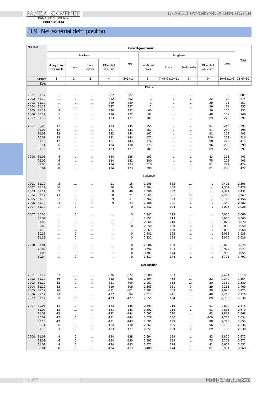# 3.9. Net external debt position

| Mio EUR      |                            |                             |                     |                      |                          |                     | General government   |                       |                                 |                          |                |                |
|--------------|----------------------------|-----------------------------|---------------------|----------------------|--------------------------|---------------------|----------------------|-----------------------|---------------------------------|--------------------------|----------------|----------------|
|              |                            |                             |                     | Short-term           |                          |                     |                      | Long-term             |                                 |                          |                |                |
|              |                            | Money market<br>instruments | Loans               | Trade<br>credits     | Other debt<br>ass./liab. | Total               | Bonds and<br>notes   | Loans                 | Trade credits                   | Other debt<br>ass./liab. | Total          | Total          |
|              | Stolpec                    | $\mathbf{1}$                | $\overline{2}$      | $\sqrt{3}$           | $\overline{4}$           | $5 = 1 +  4$        | $\boldsymbol{6}$     | $7 = 8 + 9 + 10 + 11$ | 8                               | 9                        | $10=6++9$      | $11 = 5 + 10$  |
|              | Koda                       |                             |                     |                      |                          |                     |                      |                       |                                 |                          |                |                |
|              |                            |                             |                     |                      |                          |                     | Claims               |                       |                                 |                          |                |                |
| 2001         | 31.12                      |                             |                     |                      | 887                      | 887                 | $\cdots$             | $\cdots$              | $\cdots$                        | $\cdots$                 | $\cdots$       | 887            |
| 2002         | 31.12                      | $\cdots$                    | $\cdots$            | $\cdots$             | 852                      | 852                 | $\cdots$             | $\cdots$              | $\cdots$                        | 22                       | 22             | 874            |
| 2003         | 31.12.                     | $\cdots$                    | $\cdots$            | $\cdots$             | 829                      | 829                 | $\mathbf{1}$         | $\cdots$              | $\cdots$                        | 20                       | 21             | 851            |
| 2004<br>2005 | 31.12.<br>31.12.           | $\cdots$<br>$\overline{c}$  | $\cdots$<br>        | $\cdots$<br>         | 827<br>830               | 827<br>832          | $\overline{2}$<br>60 | $\cdots$<br>$\cdots$  | $\cdots$<br>$\cdots$            | 29<br>39                 | 31<br>100      | 857<br>931     |
| 2006         | 31.12.                     | $\mathbf{1}$                | $\cdots$            | $\cdots$             | 126                      | 127                 | 91                   | $\cdots$              | $\cdots$                        | 48                       | 139            | 266            |
| 2007         | 31.12.                     | 3                           |                     |                      | 123                      | 127                 | 181                  | $\cdots$              | $\cdots$                        | 89                       | 270            | 397            |
|              |                            |                             |                     |                      |                          |                     |                      |                       |                                 |                          |                |                |
| 2007         | 30.06<br>31.07             | 12<br>12                    | <br>$\cdots$        | <br>$\cdots$         | 133<br>131               | 145<br>143          | 155<br>161           | $\cdots$<br>$\cdots$  | <br>$\cdots$                    | 91<br>91                 | 246<br>252     | 391<br>395     |
|              | 31.08.                     | 12                          | $\cdots$            |                      | 132                      | 144                 | 167                  | $\cdots$              | $\cdots$                        | 92                       | 259            | 403            |
|              | 30.09                      | 12                          | $\cdots$            | $\cdots$             | 131                      | 144                 | 172                  | $\cdots$              | $\cdots$                        | 100                      | 272            | 416            |
|              | 31.10                      | 12                          | $\cdots$            | $\cdots$             | 131                      | 143                 | 174                  |                       | $\cdots$                        | 98                       | 272            | 415            |
|              | 30.11<br>31.12.            | 6<br>3                      | $\cdots$            | $\cdots$             | 124<br>123               | 130<br>127          | 173<br>181           | $\cdots$              | $\cdots$                        | 96<br>89                 | 269<br>270     | 399<br>397     |
|              |                            |                             |                     |                      |                          |                     |                      | $\cdots$              | $\cdots$                        |                          |                |                |
| 2008         | 31.01                      | 4                           |                     |                      | 124                      | 128                 | 192                  |                       | $\cdots$                        | 83                       | 275            | 403            |
|              | 29.02                      | 6                           | $\cdots$            | $\cdots$             | 124                      | 131                 | 200                  | $\cdots$              | $\cdots$                        | 75                       | 275            | 405            |
|              | 31.03<br>30.04             | 8<br>8                      |                     | $\cdots$             | 124<br>124               | 133<br>133          | 210<br>209           |                       | $\cdots$                        | 81<br>81                 | 291<br>290     | 424<br>422     |
|              |                            |                             |                     | $\cdots$             |                          |                     |                      | $\cdots$              | $\cdots$                        |                          |                |                |
|              |                            |                             |                     |                      |                          |                     | Liabilities          |                       |                                 |                          |                |                |
|              | 2001 31.12                 | 3                           | $\cdots$            |                      | 11                       | 15                  | 1,908                | 583                   | $\cdots$                        | $\ddotsc$                | 2,491          | 2,506          |
| 2002         | 31.12.                     | 56                          |                     |                      | 10                       | 66                  | 1,894                | 468                   | $\cdots$                        | $\cdots$                 | 2,362          | 2,428          |
| 2003         | 31.12                      | 32                          | $\cdots$            | $\cdots$             | 8                        | 40                  | 2,008                | 382                   | $\cdots$                        | $\cdots$                 | 2,391          | 2,431          |
| 2004<br>2005 | 31.12.<br>31.12.           | 13<br>21                    |                     |                      | 8<br>9                   | 21<br>31            | 1,865<br>1,762       | 381<br>363            | 0<br>0                          | $\cdots$                 | 2,246<br>2,125 | 2,267<br>2,156 |
| 2006         | 31.12                      | 24                          | $\cdots$<br>        | <br>$\cdots$         | 9                        | 33                  | 2,108                | 241                   | $\cdots$                        | $\cdots$<br>$\cdots$     | 2,349          | 2,382          |
| 2007         | 31.12.                     | $\cdots$                    | 0                   | $\cdots$             | $\cdots$                 | $\mathsf{O}\xspace$ | 2,832                | 194                   | $\cdots$                        | $\cdots$                 | 3,026          | 3,026          |
| 2007         | 30.06                      | $\cdots$                    | $\mathsf O$         |                      | $\cdots$                 | 0                   | 2,847                | 219                   | $\cdots$                        | $\cdots$                 | 3,066          | 3,066          |
|              | 31.07                      |                             | $\cdots$            |                      | $\cdots$                 | $\cdots$            | 2,852                | 213                   |                                 | $\ddotsc$                | 3,065          | 3,065          |
|              | 31.08                      | $\cdots$                    | $\cdots$            | $\cdots$             | $\cdots$                 | $\cdots$            | 2,860                | 210                   | $\cdots$                        | $\cdots$                 | 3,070          | 3,070          |
|              | 30.09<br>31.10.            |                             | 0                   |                      | $\cdots$                 | 0                   | 2,850<br>2,869       | 200<br>199            | $\cdots$                        | $\cdots$                 | 3,050<br>3,068 | 3,050<br>3,068 |
|              | 30.11                      | $\cdots$<br>$\cdots$        | $\ldots$<br>0       | <br>$\cdots$         | $\cdots$<br>$\cdots$     | <br>$\mathsf 0$     | 2,841                | 195                   | $\cdots$<br>$\cdots$            | $\cdots$<br>$\cdots$     | 3,035          | 3,035          |
|              | 31.12.                     | $\cdots$                    | 0                   | $\cdots$             | $\cdots$                 | 0                   | 2,832                | 194                   | $\cdots$                        | $\cdots$                 | 3,026          | 3,026          |
|              |                            |                             |                     |                      |                          |                     |                      |                       |                                 |                          |                |                |
| 2008         | 31.01<br>29.02.            | <br>$\cdots$                | 0<br>0              | $\cdots$             | $\cdots$<br>$\cdots$     | 0<br>0              | 2,886<br>3,794       | 189<br>183            | $\bar{\phantom{a}}$<br>$\cdots$ | $\ddotsc$<br>$\cdots$    | 3,075<br>3,977 | 3,075<br>3,977 |
|              | 31.03.                     | $\cdots$                    | $\mathbf 0$         |                      | $\cdots$                 | 0                   | 3,781                | 174                   | $\cdots$                        | $\cdots$                 | 3,955          | 3,955          |
|              | 30.04.                     | $\cdots$                    | $\mathsf{O}\xspace$ | $\cdots$             | $\cdots$                 | 0                   | 3,617                | 174                   | $\ldots$                        | $\cdots$                 | 3,791          | 3,791          |
|              |                            |                             |                     |                      |                          |                     | Net position         |                       |                                 |                          |                |                |
|              |                            |                             |                     |                      |                          |                     |                      |                       |                                 |                          |                |                |
|              | 2001 31.12.<br>2002 31.12. | 3<br>56                     | $\cdots$            | $\cdots$             | $-876$                   | $-872$<br>$-786$    | 1,908                | 583<br>468            | $\cdots$                        | $\ldots$                 | 2,491          | 1,619          |
|              | 2003 31.12.                | 32                          | <br>$\cdots$        | $\cdots$<br>$\cdots$ | $-842$<br>$-821$         | $-790$              | 1,894<br>2,007       | 382                   | $\cdots$<br>$\ldots$            | $-22$<br>$-20$           | 2,340<br>2,369 | 1,554<br>1,580 |
| 2004         | 31.12.                     | 13                          |                     | $\ldots$             | $-819$                   | $-806$              | 1,863                | 381                   | $\mathsf{O}\xspace$             | $-29$                    | 2,215          | 1,409          |
|              | 2005 31.12.                | 20                          | $\cdots$            | $\cdots$             | $-821$                   | $-801$              | 1,702                | 363                   | $\mathsf{O}\xspace$             | $-39$                    | 2,026          | 1,225          |
|              | 2006 31.12.                | 23                          |                     |                      | $-117$                   | $-94$               | 2,017                | 241                   | $\cdots$                        | $-48$                    | 2,210          | 2,116          |
|              | 2007 31.12.                | $-3$                        | $\mathsf{O}\xspace$ | $\cdots$             | $-123$                   | $-127$              | 2,651                | 194                   | $\cdots$                        | $-89$                    | 2,756          | 2,630          |
| 2007         | 30.06.                     | $-12$                       | $\mathsf{O}\xspace$ | $\cdots$             | $-133$                   | $-145$              | 2,693                | 219                   | $\cdots$                        | $-91$                    | 2,820          | 2,675          |
|              | 31.07.                     | $-12$                       | $\ldots$            | $\ldots$             | $-131$                   | $-143$              | 2,692                | 213                   | $\cdots$                        | $-91$                    | 2,813          | 2,670          |
|              | 31.08.                     | $-12$                       | $\ddotsc$           | $\cdots$             | $-132$                   | $-144$              | 2,693                | 210                   | $\cdots$                        | $-92$                    | 2,811          | 2,668          |
|              | 30.09.<br>31.10.           | $-12$<br>$-12$              | $\mathsf{O}\xspace$ | $\ldots$<br>$\cdots$ | $-131$<br>$-131$         | $-144$<br>$-143$    | 2,678<br>2,695       | 200<br>199            | $\cdots$<br>$\cdots$            | $-100$<br>$-98$          | 2,778<br>2,796 | 2,634<br>2,653 |
|              | 30.11.                     | $-6$                        | 0                   | $\cdots$             | $-124$                   | $-130$              | 2,667                | 195                   | $\cdots$                        | $-96$                    | 2,766          | 2,636          |
|              | 31.12.                     | $-3$                        | 0                   | $\cdots$             | $-123$                   | $-127$              | 2,651                | 194                   | $\cdots$                        | $-89$                    | 2,756          | 2,630          |
| 2008         | 31.01.                     | $-4$                        | $\mathsf{O}\xspace$ |                      | $-124$                   | $-128$              | 2,694                | 189                   |                                 | $-83$                    | 2,800          | 2,672          |
|              | 29.02.                     | $-6$                        | 0                   | $\cdots$<br>$\ldots$ | $-124$                   | $-130$              | 3,593                | 183                   | $\cdots$<br>$\cdots$            | $-75$                    | 3,702          | 3,572          |
|              | 31.03.                     | -8                          | 0                   | $\ldots$             | $-124$                   | $-133$              | 3,572                | 174                   | $\ldots$                        | $-81$                    | 3,664          | 3,532          |
|              | 30.04.                     | -8                          | $\mathsf{O}\xspace$ |                      | $-124$                   | $-133$              | 3,408                | 174                   |                                 | $-81$                    | 3,501          | 3,368          |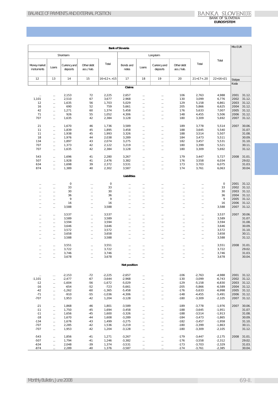| Short-term<br>Long-term<br>Total<br>Total<br>Total<br>Money market<br>Currency and<br>Other debt<br>Bonds and<br>Currency and<br>Other debt<br>Loans<br>Loans<br>instruments<br>deposits<br>ass./liab.<br>deposits<br>ass./liab.<br>notes<br>12<br>13<br>14<br>15<br>19<br>20<br>$16 = 12 +  + 15$<br>17<br>18<br>$21 = 17 +20$<br>$22 = 16 + 21$<br>Stolpec<br>Koda<br>Claims<br>2,153<br>72<br>2,225<br>2,657<br>2,763<br>4,988<br>2001<br>31.12<br>106<br>$\cdots$<br>$\cdots$<br>$\ddotsc$<br>$\cdots$<br>1,101<br>2,510<br>67<br>3,677<br>2,968<br>130<br>3,099<br>6,776<br>2002<br>31.12<br>$\cdots$<br>$\cdots$<br>$\cdots$<br>1,703<br>5,029<br>129<br>2003<br>31.12.<br>12<br>1,635<br>56<br>5,158<br>6,861<br>$\cdots$<br>$\cdots$<br>$\cdots$<br>16<br>690<br>52<br>759<br>5,661<br>205<br>5,866<br>2004<br>31.12<br>6,625<br>$\ldots$<br>$\cdots$<br>$\cdots$<br>1,271<br>1,374<br>5,458<br>5,633<br>7,007<br>2005<br>31.12<br>42<br>60<br>176<br>$\cdots$<br>$\ddotsc$<br>$\cdots$<br>71<br>926<br>55<br>1,052<br>4,306<br>148<br>4,455<br>5,506<br>2006<br>31.12<br>$\ldots$<br>$\cdots$<br>$\cdots$<br>31.12.<br>707<br>2,384<br>3,309<br>2007<br>1,635<br>42<br>3,128<br>180<br>5,692<br>$\ldots$<br>$\cdots$<br>$\cdots$<br>21<br>1,670<br>1,736<br>3,589<br>189<br>3,778<br>5,514<br>2007<br>30.06<br>46<br>$\cdots$<br>$\ddotsc$<br>$\cdots$<br>11<br>1,839<br>45<br>1,895<br>3,458<br>3,645<br>5,540<br>31.07<br>188<br>$\ldots$<br>$\cdots$<br>$\cdots$<br>11<br>1,993<br>31.08<br>1,938<br>45<br>3,326<br>188<br>3,514<br>5,507<br>$\cdots$<br>$\cdots$<br>$\cdots$<br>18<br>1,976<br>44<br>2,038<br>3,289<br>184<br>3,473<br>5,511<br>30.09<br>$\cdots$<br>$\ldots$<br>$\cdots$<br>134<br>1,897<br>2,074<br>3,275<br>5,531<br>43<br>182<br>3,457<br>31.10<br>$\ldots$<br>$\cdots$<br>$\cdots$<br>707<br>1,373<br>42<br>2,122<br>3,219<br>180<br>3,399<br>5,521<br>30.11.<br>$\ldots$<br>$\ddotsc$<br>$\cdots$<br>707<br>1,635<br>42<br>2,384<br>3,128<br>3,309<br>180<br>5,692<br>$\cdots$<br>$\cdots$<br>$\cdots$<br>2,280<br>2008<br>31.01.<br>543<br>1,696<br>41<br>3,267<br>179<br>3,447<br>5,727<br>$\ddotsc$<br>$\ddotsc$<br>$\cdots$<br>507<br>1,928<br>41<br>2,476<br>3,382<br>176<br>3,558<br>6,034<br>29.02<br>$\ddotsc$<br>$\ddotsc$<br>$\cdots$<br>634<br>1,698<br>39<br>2,372<br>3,531<br>173<br>3,703<br>6,075<br>31.03<br>$\ldots$<br>$\cdots$<br>$\cdots$<br>874<br>1,389<br>40<br>2,302<br>3,587<br>174<br>3,761<br>6,063<br>$\cdots$<br>$\ddotsc$<br>$\cdots$<br>Liabilities<br>$\mathbf 0$<br>$\mathbf 0$<br>$\mathsf O$<br>2001<br>31.12.<br>$\cdots$<br>$\cdots$<br>$\ddotsc$<br>$\cdots$<br><br><br>33<br>33<br>33<br>2002<br>31.12<br>$\cdots$<br>$\cdots$<br><br>$\cdots$<br>$\cdots$<br><br>$\ddotsc$<br>$\ddotsc$<br>30<br>30<br>30<br>2003<br>31.12<br>$\cdots$<br>$\cdots$<br><br>$\cdots$<br>$\cdots$<br><br>$\cdots$<br>$\cdots$<br>36<br>36<br>2004<br>31.12<br>36<br>$\cdots$<br>$\cdots$<br><br>$\cdots$<br><br><br>$\ddotsc$<br><br>9<br>9<br>9<br>2005<br>31.12<br>$\cdots$<br>$\cdots$<br>$\cdots$<br>$\cdots$<br>$\cdots$<br><br>$\cdots$<br>$\cdots$<br>2006<br>31.12<br>16<br>16<br>16<br>$\cdots$<br>$\cdots$<br><br>$\ddotsc$<br><br><br>$\ddotsc$<br><br>3,588<br>3,588<br>2007<br>31.12<br>3,588<br>$\cdots$<br>$\cdots$<br>$\cdots$<br>$\cdots$<br>$\cdots$<br>$\cdots$<br><br>$\cdots$<br>3,537<br>3,537<br>2007<br>30.06<br>3,537<br>$\cdots$<br>$\cdots$<br>$\cdots$<br><br>$\cdots$<br><br><br><br>3,589<br>3,589<br>3,589<br>31.07<br>$\cdots$<br>$\cdots$<br>$\ddotsc$<br>$\cdots$<br><br><br>$\ddotsc$<br><br>3,594<br>3,594<br>3,594<br>31.08<br>$\cdots$<br>$\cdots$<br>$\cdots$<br>$\cdots$<br>$\cdots$<br>$\cdots$<br><br>$\cdots$<br>30.09<br>3,646<br>3,646<br>3,646<br>$\cdots$<br><br>$\ldots$<br>$\cdots$<br>$\cdots$<br>$\cdots$<br><br>$\cdots$<br>3,572<br>3,572<br>3,572<br>31.10<br>$\cdots$<br>$\cdots$<br>$\cdots$<br>$\ddotsc$<br>$\cdots$<br>$\cdots$<br><br>$\cdots$<br>3,658<br>3,658<br>30.11<br>3,658<br>$\cdots$<br>$\cdots$<br><br>$\cdots$<br><br><br>$\ddotsc$<br><br>3,588<br>3,588<br>3,588<br>$\cdots$<br>$\cdots$<br>$\cdots$<br>$\cdots$<br>$\cdots$<br>$\cdots$<br><br>$\cdots$<br>2008<br>3,551<br>3,551<br>3,551<br>$\cdots$<br>$\cdots$<br>$\cdots$<br>$\ddotsc$<br>$\ddotsc$<br><br>$\cdots$<br><br>3,722<br>3,722<br>3,722<br>29.02.<br>$\cdots$<br>$\ldots$<br>$\ddotsc$<br>$\cdots$<br>$\cdots$<br>$\cdots$<br>$\cdots$<br>$\cdots$<br>3,746<br>31.03<br>3,746<br>3,746<br>30.04.<br>3,678<br>3,678<br>3,678<br>$\cdots$<br>$\cdots$<br>$\cdots$<br>$\cdots$<br>$\ldots$<br>$\ddotsc$<br>$\cdots$<br><br>Net position<br>$-2,153$<br>$-72$<br>$-2,225$<br>$-2,657$<br>$-106$<br>$-2,763$<br>$-4,988$<br>2001<br>31.12.<br>$\cdots$<br>$\cdots$<br>$\cdots$<br>$\ddotsc$<br>$-3,099$<br>31.12.<br>$-1,101$<br>$-2,477$<br>$-67$<br>$-3,644$<br>$-2,968$<br>$-130$<br>$-6,743$<br>2002<br>$\cdots$<br><br>$-12$<br>$-1,604$<br>$-56$<br>$-1,672$<br>$-5,029$<br>$-129$<br>$-6,830$<br>2003<br>31.12.<br>$-5,158$<br>$\ldots$<br>$\cdots$<br>$\cdots$<br>$-16$<br>$-654$<br>$-723$<br>2004<br>31.12.<br>$-52$<br>$-5,661$<br>$-205$<br>$-5,866$<br>$-6,589$<br>$\cdots$<br>$\cdots$<br>$\cdots$<br>$-42$<br>$-1,262$<br>$-1,365$<br>$-5,458$<br>$-176$<br>$-5,633$<br>$-6,998$<br>2005<br>31.12.<br>-60<br>$\ldots$<br>$\cdots$<br>$\cdots$<br>$-71$<br>$-910$<br>$-55$<br>$-1,036$<br>$-4,306$<br>$-4,455$<br>2006<br>31.12<br>$-148$<br>$-5,491$<br>$\cdots$<br>$\cdots$<br>$\cdots$<br>$-707$<br>1,953<br>$-42$<br>1,204<br>$-3,128$<br>$-180$<br>$-3,309$<br>$-2,105$<br>2007<br>31.12.<br>$\cdots$<br>$\cdots$<br>$\cdots$<br>$-21$<br>1,868<br>1,801<br>$-3,589$<br>$-189$<br>$-3,778$<br>$-1,976$<br>2007<br>30.06<br>$-46$<br>$\ldots$<br>$\cdots$<br>$\ddotsc$<br>1,750<br>1,694<br>$-3,458$<br>$-188$<br>$-3,645$<br>$-1,951$<br>31.07.<br>$-11$<br>$-45$<br>$\cdots$<br><br>$-11$<br>$-45$<br>1,600<br>$-3,326$<br>$-188$<br>$-3,514$<br>$-1,913$<br>31.08<br>1,656<br>$\ldots$<br>$\cdots$<br>$\ddotsc$<br>$-18$<br>1,670<br>$-3,289$<br>$-3,473$<br>30.09.<br>-44<br>1,608<br>$-184$<br>$-1,865$<br>$\cdots$<br>$\cdots$<br>$\cdots$<br>$-134$<br>1,676<br>1,499<br>$-3,275$<br>$-182$<br>$-3,457$<br>$-1,958$<br>31.10.<br>$-43$<br>$\cdots$<br>$\cdots$<br>$\cdots$<br>$-707$<br>2,285<br>$-42$<br>$-3,219$<br>$-3,399$<br>$-1,863$<br>1,536<br>$-180$<br>30.11.<br>$\cdots$<br>$\cdots$<br>$\cdots$<br>$-707$<br>1,953<br>$-42$<br>1,204<br>$-3,128$<br>$-180$<br>$-3,309$<br>$-2,105$<br>31.12.<br>$\ldots$<br>$\cdots$<br>$\cdots$<br>$-543$<br>1,856<br>$-41$<br>1,271<br>$-3,267$<br>$-179$<br>$-3,447$<br>$-2,175$<br>2008<br>$\ldots$<br>$\cdots$<br>$\cdots$<br>$-507$<br>1,794<br>1,246<br>$-3,382$<br>$-3,558$<br>$-2,312$<br>29.02.<br>$-41$<br>$-176$<br>$\ldots$<br>$\cdots$<br>$\cdots$<br>$-634$<br>2,048<br>$-39$<br>1,374<br>$-3,531$<br>$-173$<br>$-3,703$<br>$-2,329$<br>31.03.<br>$\ddotsc$<br>$\cdots$<br>$\cdots$<br>$-874$<br>2,289<br>$-40$<br>1,376<br>$-3,587$<br>$-174$<br>$-3,761$<br>$-2,385$<br> |  |  | <b>Bank of Slovenia</b> |  |  | Mio EUR |  |
|-------------------------------------------------------------------------------------------------------------------------------------------------------------------------------------------------------------------------------------------------------------------------------------------------------------------------------------------------------------------------------------------------------------------------------------------------------------------------------------------------------------------------------------------------------------------------------------------------------------------------------------------------------------------------------------------------------------------------------------------------------------------------------------------------------------------------------------------------------------------------------------------------------------------------------------------------------------------------------------------------------------------------------------------------------------------------------------------------------------------------------------------------------------------------------------------------------------------------------------------------------------------------------------------------------------------------------------------------------------------------------------------------------------------------------------------------------------------------------------------------------------------------------------------------------------------------------------------------------------------------------------------------------------------------------------------------------------------------------------------------------------------------------------------------------------------------------------------------------------------------------------------------------------------------------------------------------------------------------------------------------------------------------------------------------------------------------------------------------------------------------------------------------------------------------------------------------------------------------------------------------------------------------------------------------------------------------------------------------------------------------------------------------------------------------------------------------------------------------------------------------------------------------------------------------------------------------------------------------------------------------------------------------------------------------------------------------------------------------------------------------------------------------------------------------------------------------------------------------------------------------------------------------------------------------------------------------------------------------------------------------------------------------------------------------------------------------------------------------------------------------------------------------------------------------------------------------------------------------------------------------------------------------------------------------------------------------------------------------------------------------------------------------------------------------------------------------------------------------------------------------------------------------------------------------------------------------------------------------------------------------------------------------------------------------------------------------------------------------------------------------------------------------------------------------------------------------------------------------------------------------------------------------------------------------------------------------------------------------------------------------------------------------------------------------------------------------------------------------------------------------------------------------------------------------------------------------------------------------------------------------------------------------------------------------------------------------------------------------------------------------------------------------------------------------------------------------------------------------------------------------------------------------------------------------------------------------------------------------------------------------------------------------------------------------------------------------------------------------------------------------------------------------------------------------------------------------------------------------------------------------------------------------------------------------------------------------------------------------------------------------------------------------------------------------------------------------------------------------------------------------------------------------------------------------------------------------------------------------------------------------------------------------------------------------------------------------------------------------------------------------------------------------------------------------------------------------------------------------------------------------------------------------------------------------------------------------------------------------------------------------------------------------------------------------------------------------------------------------------------------------------------------------------------------------------------------------------------------------------------------------------------------------------------------------------------------------------------------------------------------------------------------------------------------------------------------------------------------------------------------------------------------------------------------------------------------------------------------------------------------------------------------------------------------------------------------------------------------------------------------------------------------------------------------------------------------------------------------------------------------------------------------------------------------------------------------------------------------------------------------------------------------------------------------------------------------------------------------------------------------------------------------------------------------------------------------------------------------------------------------------------------------------------------------------------------------------------------------------------------------------------------------------------------------------------|--|--|-------------------------|--|--|---------|--|
|                                                                                                                                                                                                                                                                                                                                                                                                                                                                                                                                                                                                                                                                                                                                                                                                                                                                                                                                                                                                                                                                                                                                                                                                                                                                                                                                                                                                                                                                                                                                                                                                                                                                                                                                                                                                                                                                                                                                                                                                                                                                                                                                                                                                                                                                                                                                                                                                                                                                                                                                                                                                                                                                                                                                                                                                                                                                                                                                                                                                                                                                                                                                                                                                                                                                                                                                                                                                                                                                                                                                                                                                                                                                                                                                                                                                                                                                                                                                                                                                                                                                                                                                                                                                                                                                                                                                                                                                                                                                                                                                                                                                                                                                                                                                                                                                                                                                                                                                                                                                                                                                                                                                                                                                                                                                                                                                                                                                                                                                                                                                                                                                                                                                                                                                                                                                                                                                                                                                                                                                                                                                                                                                                                                                                                                                                                                                                                                                                                                                                                                                                                                                                                                                                                                                                                                                                                                                                                                                                                                                                                                             |  |  |                         |  |  |         |  |
| 31.12.<br>30.04.<br>31.12.<br>31.01.<br>31.01.<br>30.04.                                                                                                                                                                                                                                                                                                                                                                                                                                                                                                                                                                                                                                                                                                                                                                                                                                                                                                                                                                                                                                                                                                                                                                                                                                                                                                                                                                                                                                                                                                                                                                                                                                                                                                                                                                                                                                                                                                                                                                                                                                                                                                                                                                                                                                                                                                                                                                                                                                                                                                                                                                                                                                                                                                                                                                                                                                                                                                                                                                                                                                                                                                                                                                                                                                                                                                                                                                                                                                                                                                                                                                                                                                                                                                                                                                                                                                                                                                                                                                                                                                                                                                                                                                                                                                                                                                                                                                                                                                                                                                                                                                                                                                                                                                                                                                                                                                                                                                                                                                                                                                                                                                                                                                                                                                                                                                                                                                                                                                                                                                                                                                                                                                                                                                                                                                                                                                                                                                                                                                                                                                                                                                                                                                                                                                                                                                                                                                                                                                                                                                                                                                                                                                                                                                                                                                                                                                                                                                                                                                                                    |  |  |                         |  |  |         |  |
|                                                                                                                                                                                                                                                                                                                                                                                                                                                                                                                                                                                                                                                                                                                                                                                                                                                                                                                                                                                                                                                                                                                                                                                                                                                                                                                                                                                                                                                                                                                                                                                                                                                                                                                                                                                                                                                                                                                                                                                                                                                                                                                                                                                                                                                                                                                                                                                                                                                                                                                                                                                                                                                                                                                                                                                                                                                                                                                                                                                                                                                                                                                                                                                                                                                                                                                                                                                                                                                                                                                                                                                                                                                                                                                                                                                                                                                                                                                                                                                                                                                                                                                                                                                                                                                                                                                                                                                                                                                                                                                                                                                                                                                                                                                                                                                                                                                                                                                                                                                                                                                                                                                                                                                                                                                                                                                                                                                                                                                                                                                                                                                                                                                                                                                                                                                                                                                                                                                                                                                                                                                                                                                                                                                                                                                                                                                                                                                                                                                                                                                                                                                                                                                                                                                                                                                                                                                                                                                                                                                                                                                             |  |  |                         |  |  |         |  |
|                                                                                                                                                                                                                                                                                                                                                                                                                                                                                                                                                                                                                                                                                                                                                                                                                                                                                                                                                                                                                                                                                                                                                                                                                                                                                                                                                                                                                                                                                                                                                                                                                                                                                                                                                                                                                                                                                                                                                                                                                                                                                                                                                                                                                                                                                                                                                                                                                                                                                                                                                                                                                                                                                                                                                                                                                                                                                                                                                                                                                                                                                                                                                                                                                                                                                                                                                                                                                                                                                                                                                                                                                                                                                                                                                                                                                                                                                                                                                                                                                                                                                                                                                                                                                                                                                                                                                                                                                                                                                                                                                                                                                                                                                                                                                                                                                                                                                                                                                                                                                                                                                                                                                                                                                                                                                                                                                                                                                                                                                                                                                                                                                                                                                                                                                                                                                                                                                                                                                                                                                                                                                                                                                                                                                                                                                                                                                                                                                                                                                                                                                                                                                                                                                                                                                                                                                                                                                                                                                                                                                                                             |  |  |                         |  |  |         |  |
|                                                                                                                                                                                                                                                                                                                                                                                                                                                                                                                                                                                                                                                                                                                                                                                                                                                                                                                                                                                                                                                                                                                                                                                                                                                                                                                                                                                                                                                                                                                                                                                                                                                                                                                                                                                                                                                                                                                                                                                                                                                                                                                                                                                                                                                                                                                                                                                                                                                                                                                                                                                                                                                                                                                                                                                                                                                                                                                                                                                                                                                                                                                                                                                                                                                                                                                                                                                                                                                                                                                                                                                                                                                                                                                                                                                                                                                                                                                                                                                                                                                                                                                                                                                                                                                                                                                                                                                                                                                                                                                                                                                                                                                                                                                                                                                                                                                                                                                                                                                                                                                                                                                                                                                                                                                                                                                                                                                                                                                                                                                                                                                                                                                                                                                                                                                                                                                                                                                                                                                                                                                                                                                                                                                                                                                                                                                                                                                                                                                                                                                                                                                                                                                                                                                                                                                                                                                                                                                                                                                                                                                             |  |  |                         |  |  |         |  |
|                                                                                                                                                                                                                                                                                                                                                                                                                                                                                                                                                                                                                                                                                                                                                                                                                                                                                                                                                                                                                                                                                                                                                                                                                                                                                                                                                                                                                                                                                                                                                                                                                                                                                                                                                                                                                                                                                                                                                                                                                                                                                                                                                                                                                                                                                                                                                                                                                                                                                                                                                                                                                                                                                                                                                                                                                                                                                                                                                                                                                                                                                                                                                                                                                                                                                                                                                                                                                                                                                                                                                                                                                                                                                                                                                                                                                                                                                                                                                                                                                                                                                                                                                                                                                                                                                                                                                                                                                                                                                                                                                                                                                                                                                                                                                                                                                                                                                                                                                                                                                                                                                                                                                                                                                                                                                                                                                                                                                                                                                                                                                                                                                                                                                                                                                                                                                                                                                                                                                                                                                                                                                                                                                                                                                                                                                                                                                                                                                                                                                                                                                                                                                                                                                                                                                                                                                                                                                                                                                                                                                                                             |  |  |                         |  |  |         |  |
|                                                                                                                                                                                                                                                                                                                                                                                                                                                                                                                                                                                                                                                                                                                                                                                                                                                                                                                                                                                                                                                                                                                                                                                                                                                                                                                                                                                                                                                                                                                                                                                                                                                                                                                                                                                                                                                                                                                                                                                                                                                                                                                                                                                                                                                                                                                                                                                                                                                                                                                                                                                                                                                                                                                                                                                                                                                                                                                                                                                                                                                                                                                                                                                                                                                                                                                                                                                                                                                                                                                                                                                                                                                                                                                                                                                                                                                                                                                                                                                                                                                                                                                                                                                                                                                                                                                                                                                                                                                                                                                                                                                                                                                                                                                                                                                                                                                                                                                                                                                                                                                                                                                                                                                                                                                                                                                                                                                                                                                                                                                                                                                                                                                                                                                                                                                                                                                                                                                                                                                                                                                                                                                                                                                                                                                                                                                                                                                                                                                                                                                                                                                                                                                                                                                                                                                                                                                                                                                                                                                                                                                             |  |  |                         |  |  |         |  |
|                                                                                                                                                                                                                                                                                                                                                                                                                                                                                                                                                                                                                                                                                                                                                                                                                                                                                                                                                                                                                                                                                                                                                                                                                                                                                                                                                                                                                                                                                                                                                                                                                                                                                                                                                                                                                                                                                                                                                                                                                                                                                                                                                                                                                                                                                                                                                                                                                                                                                                                                                                                                                                                                                                                                                                                                                                                                                                                                                                                                                                                                                                                                                                                                                                                                                                                                                                                                                                                                                                                                                                                                                                                                                                                                                                                                                                                                                                                                                                                                                                                                                                                                                                                                                                                                                                                                                                                                                                                                                                                                                                                                                                                                                                                                                                                                                                                                                                                                                                                                                                                                                                                                                                                                                                                                                                                                                                                                                                                                                                                                                                                                                                                                                                                                                                                                                                                                                                                                                                                                                                                                                                                                                                                                                                                                                                                                                                                                                                                                                                                                                                                                                                                                                                                                                                                                                                                                                                                                                                                                                                                             |  |  |                         |  |  |         |  |
|                                                                                                                                                                                                                                                                                                                                                                                                                                                                                                                                                                                                                                                                                                                                                                                                                                                                                                                                                                                                                                                                                                                                                                                                                                                                                                                                                                                                                                                                                                                                                                                                                                                                                                                                                                                                                                                                                                                                                                                                                                                                                                                                                                                                                                                                                                                                                                                                                                                                                                                                                                                                                                                                                                                                                                                                                                                                                                                                                                                                                                                                                                                                                                                                                                                                                                                                                                                                                                                                                                                                                                                                                                                                                                                                                                                                                                                                                                                                                                                                                                                                                                                                                                                                                                                                                                                                                                                                                                                                                                                                                                                                                                                                                                                                                                                                                                                                                                                                                                                                                                                                                                                                                                                                                                                                                                                                                                                                                                                                                                                                                                                                                                                                                                                                                                                                                                                                                                                                                                                                                                                                                                                                                                                                                                                                                                                                                                                                                                                                                                                                                                                                                                                                                                                                                                                                                                                                                                                                                                                                                                                             |  |  |                         |  |  |         |  |
|                                                                                                                                                                                                                                                                                                                                                                                                                                                                                                                                                                                                                                                                                                                                                                                                                                                                                                                                                                                                                                                                                                                                                                                                                                                                                                                                                                                                                                                                                                                                                                                                                                                                                                                                                                                                                                                                                                                                                                                                                                                                                                                                                                                                                                                                                                                                                                                                                                                                                                                                                                                                                                                                                                                                                                                                                                                                                                                                                                                                                                                                                                                                                                                                                                                                                                                                                                                                                                                                                                                                                                                                                                                                                                                                                                                                                                                                                                                                                                                                                                                                                                                                                                                                                                                                                                                                                                                                                                                                                                                                                                                                                                                                                                                                                                                                                                                                                                                                                                                                                                                                                                                                                                                                                                                                                                                                                                                                                                                                                                                                                                                                                                                                                                                                                                                                                                                                                                                                                                                                                                                                                                                                                                                                                                                                                                                                                                                                                                                                                                                                                                                                                                                                                                                                                                                                                                                                                                                                                                                                                                                             |  |  |                         |  |  |         |  |
|                                                                                                                                                                                                                                                                                                                                                                                                                                                                                                                                                                                                                                                                                                                                                                                                                                                                                                                                                                                                                                                                                                                                                                                                                                                                                                                                                                                                                                                                                                                                                                                                                                                                                                                                                                                                                                                                                                                                                                                                                                                                                                                                                                                                                                                                                                                                                                                                                                                                                                                                                                                                                                                                                                                                                                                                                                                                                                                                                                                                                                                                                                                                                                                                                                                                                                                                                                                                                                                                                                                                                                                                                                                                                                                                                                                                                                                                                                                                                                                                                                                                                                                                                                                                                                                                                                                                                                                                                                                                                                                                                                                                                                                                                                                                                                                                                                                                                                                                                                                                                                                                                                                                                                                                                                                                                                                                                                                                                                                                                                                                                                                                                                                                                                                                                                                                                                                                                                                                                                                                                                                                                                                                                                                                                                                                                                                                                                                                                                                                                                                                                                                                                                                                                                                                                                                                                                                                                                                                                                                                                                                             |  |  |                         |  |  |         |  |
|                                                                                                                                                                                                                                                                                                                                                                                                                                                                                                                                                                                                                                                                                                                                                                                                                                                                                                                                                                                                                                                                                                                                                                                                                                                                                                                                                                                                                                                                                                                                                                                                                                                                                                                                                                                                                                                                                                                                                                                                                                                                                                                                                                                                                                                                                                                                                                                                                                                                                                                                                                                                                                                                                                                                                                                                                                                                                                                                                                                                                                                                                                                                                                                                                                                                                                                                                                                                                                                                                                                                                                                                                                                                                                                                                                                                                                                                                                                                                                                                                                                                                                                                                                                                                                                                                                                                                                                                                                                                                                                                                                                                                                                                                                                                                                                                                                                                                                                                                                                                                                                                                                                                                                                                                                                                                                                                                                                                                                                                                                                                                                                                                                                                                                                                                                                                                                                                                                                                                                                                                                                                                                                                                                                                                                                                                                                                                                                                                                                                                                                                                                                                                                                                                                                                                                                                                                                                                                                                                                                                                                                             |  |  |                         |  |  |         |  |
|                                                                                                                                                                                                                                                                                                                                                                                                                                                                                                                                                                                                                                                                                                                                                                                                                                                                                                                                                                                                                                                                                                                                                                                                                                                                                                                                                                                                                                                                                                                                                                                                                                                                                                                                                                                                                                                                                                                                                                                                                                                                                                                                                                                                                                                                                                                                                                                                                                                                                                                                                                                                                                                                                                                                                                                                                                                                                                                                                                                                                                                                                                                                                                                                                                                                                                                                                                                                                                                                                                                                                                                                                                                                                                                                                                                                                                                                                                                                                                                                                                                                                                                                                                                                                                                                                                                                                                                                                                                                                                                                                                                                                                                                                                                                                                                                                                                                                                                                                                                                                                                                                                                                                                                                                                                                                                                                                                                                                                                                                                                                                                                                                                                                                                                                                                                                                                                                                                                                                                                                                                                                                                                                                                                                                                                                                                                                                                                                                                                                                                                                                                                                                                                                                                                                                                                                                                                                                                                                                                                                                                                             |  |  |                         |  |  |         |  |
|                                                                                                                                                                                                                                                                                                                                                                                                                                                                                                                                                                                                                                                                                                                                                                                                                                                                                                                                                                                                                                                                                                                                                                                                                                                                                                                                                                                                                                                                                                                                                                                                                                                                                                                                                                                                                                                                                                                                                                                                                                                                                                                                                                                                                                                                                                                                                                                                                                                                                                                                                                                                                                                                                                                                                                                                                                                                                                                                                                                                                                                                                                                                                                                                                                                                                                                                                                                                                                                                                                                                                                                                                                                                                                                                                                                                                                                                                                                                                                                                                                                                                                                                                                                                                                                                                                                                                                                                                                                                                                                                                                                                                                                                                                                                                                                                                                                                                                                                                                                                                                                                                                                                                                                                                                                                                                                                                                                                                                                                                                                                                                                                                                                                                                                                                                                                                                                                                                                                                                                                                                                                                                                                                                                                                                                                                                                                                                                                                                                                                                                                                                                                                                                                                                                                                                                                                                                                                                                                                                                                                                                             |  |  |                         |  |  |         |  |
|                                                                                                                                                                                                                                                                                                                                                                                                                                                                                                                                                                                                                                                                                                                                                                                                                                                                                                                                                                                                                                                                                                                                                                                                                                                                                                                                                                                                                                                                                                                                                                                                                                                                                                                                                                                                                                                                                                                                                                                                                                                                                                                                                                                                                                                                                                                                                                                                                                                                                                                                                                                                                                                                                                                                                                                                                                                                                                                                                                                                                                                                                                                                                                                                                                                                                                                                                                                                                                                                                                                                                                                                                                                                                                                                                                                                                                                                                                                                                                                                                                                                                                                                                                                                                                                                                                                                                                                                                                                                                                                                                                                                                                                                                                                                                                                                                                                                                                                                                                                                                                                                                                                                                                                                                                                                                                                                                                                                                                                                                                                                                                                                                                                                                                                                                                                                                                                                                                                                                                                                                                                                                                                                                                                                                                                                                                                                                                                                                                                                                                                                                                                                                                                                                                                                                                                                                                                                                                                                                                                                                                                             |  |  |                         |  |  |         |  |
|                                                                                                                                                                                                                                                                                                                                                                                                                                                                                                                                                                                                                                                                                                                                                                                                                                                                                                                                                                                                                                                                                                                                                                                                                                                                                                                                                                                                                                                                                                                                                                                                                                                                                                                                                                                                                                                                                                                                                                                                                                                                                                                                                                                                                                                                                                                                                                                                                                                                                                                                                                                                                                                                                                                                                                                                                                                                                                                                                                                                                                                                                                                                                                                                                                                                                                                                                                                                                                                                                                                                                                                                                                                                                                                                                                                                                                                                                                                                                                                                                                                                                                                                                                                                                                                                                                                                                                                                                                                                                                                                                                                                                                                                                                                                                                                                                                                                                                                                                                                                                                                                                                                                                                                                                                                                                                                                                                                                                                                                                                                                                                                                                                                                                                                                                                                                                                                                                                                                                                                                                                                                                                                                                                                                                                                                                                                                                                                                                                                                                                                                                                                                                                                                                                                                                                                                                                                                                                                                                                                                                                                             |  |  |                         |  |  |         |  |
|                                                                                                                                                                                                                                                                                                                                                                                                                                                                                                                                                                                                                                                                                                                                                                                                                                                                                                                                                                                                                                                                                                                                                                                                                                                                                                                                                                                                                                                                                                                                                                                                                                                                                                                                                                                                                                                                                                                                                                                                                                                                                                                                                                                                                                                                                                                                                                                                                                                                                                                                                                                                                                                                                                                                                                                                                                                                                                                                                                                                                                                                                                                                                                                                                                                                                                                                                                                                                                                                                                                                                                                                                                                                                                                                                                                                                                                                                                                                                                                                                                                                                                                                                                                                                                                                                                                                                                                                                                                                                                                                                                                                                                                                                                                                                                                                                                                                                                                                                                                                                                                                                                                                                                                                                                                                                                                                                                                                                                                                                                                                                                                                                                                                                                                                                                                                                                                                                                                                                                                                                                                                                                                                                                                                                                                                                                                                                                                                                                                                                                                                                                                                                                                                                                                                                                                                                                                                                                                                                                                                                                                             |  |  |                         |  |  |         |  |
|                                                                                                                                                                                                                                                                                                                                                                                                                                                                                                                                                                                                                                                                                                                                                                                                                                                                                                                                                                                                                                                                                                                                                                                                                                                                                                                                                                                                                                                                                                                                                                                                                                                                                                                                                                                                                                                                                                                                                                                                                                                                                                                                                                                                                                                                                                                                                                                                                                                                                                                                                                                                                                                                                                                                                                                                                                                                                                                                                                                                                                                                                                                                                                                                                                                                                                                                                                                                                                                                                                                                                                                                                                                                                                                                                                                                                                                                                                                                                                                                                                                                                                                                                                                                                                                                                                                                                                                                                                                                                                                                                                                                                                                                                                                                                                                                                                                                                                                                                                                                                                                                                                                                                                                                                                                                                                                                                                                                                                                                                                                                                                                                                                                                                                                                                                                                                                                                                                                                                                                                                                                                                                                                                                                                                                                                                                                                                                                                                                                                                                                                                                                                                                                                                                                                                                                                                                                                                                                                                                                                                                                             |  |  |                         |  |  |         |  |
|                                                                                                                                                                                                                                                                                                                                                                                                                                                                                                                                                                                                                                                                                                                                                                                                                                                                                                                                                                                                                                                                                                                                                                                                                                                                                                                                                                                                                                                                                                                                                                                                                                                                                                                                                                                                                                                                                                                                                                                                                                                                                                                                                                                                                                                                                                                                                                                                                                                                                                                                                                                                                                                                                                                                                                                                                                                                                                                                                                                                                                                                                                                                                                                                                                                                                                                                                                                                                                                                                                                                                                                                                                                                                                                                                                                                                                                                                                                                                                                                                                                                                                                                                                                                                                                                                                                                                                                                                                                                                                                                                                                                                                                                                                                                                                                                                                                                                                                                                                                                                                                                                                                                                                                                                                                                                                                                                                                                                                                                                                                                                                                                                                                                                                                                                                                                                                                                                                                                                                                                                                                                                                                                                                                                                                                                                                                                                                                                                                                                                                                                                                                                                                                                                                                                                                                                                                                                                                                                                                                                                                                             |  |  |                         |  |  |         |  |
|                                                                                                                                                                                                                                                                                                                                                                                                                                                                                                                                                                                                                                                                                                                                                                                                                                                                                                                                                                                                                                                                                                                                                                                                                                                                                                                                                                                                                                                                                                                                                                                                                                                                                                                                                                                                                                                                                                                                                                                                                                                                                                                                                                                                                                                                                                                                                                                                                                                                                                                                                                                                                                                                                                                                                                                                                                                                                                                                                                                                                                                                                                                                                                                                                                                                                                                                                                                                                                                                                                                                                                                                                                                                                                                                                                                                                                                                                                                                                                                                                                                                                                                                                                                                                                                                                                                                                                                                                                                                                                                                                                                                                                                                                                                                                                                                                                                                                                                                                                                                                                                                                                                                                                                                                                                                                                                                                                                                                                                                                                                                                                                                                                                                                                                                                                                                                                                                                                                                                                                                                                                                                                                                                                                                                                                                                                                                                                                                                                                                                                                                                                                                                                                                                                                                                                                                                                                                                                                                                                                                                                                             |  |  |                         |  |  |         |  |
|                                                                                                                                                                                                                                                                                                                                                                                                                                                                                                                                                                                                                                                                                                                                                                                                                                                                                                                                                                                                                                                                                                                                                                                                                                                                                                                                                                                                                                                                                                                                                                                                                                                                                                                                                                                                                                                                                                                                                                                                                                                                                                                                                                                                                                                                                                                                                                                                                                                                                                                                                                                                                                                                                                                                                                                                                                                                                                                                                                                                                                                                                                                                                                                                                                                                                                                                                                                                                                                                                                                                                                                                                                                                                                                                                                                                                                                                                                                                                                                                                                                                                                                                                                                                                                                                                                                                                                                                                                                                                                                                                                                                                                                                                                                                                                                                                                                                                                                                                                                                                                                                                                                                                                                                                                                                                                                                                                                                                                                                                                                                                                                                                                                                                                                                                                                                                                                                                                                                                                                                                                                                                                                                                                                                                                                                                                                                                                                                                                                                                                                                                                                                                                                                                                                                                                                                                                                                                                                                                                                                                                                             |  |  |                         |  |  |         |  |
|                                                                                                                                                                                                                                                                                                                                                                                                                                                                                                                                                                                                                                                                                                                                                                                                                                                                                                                                                                                                                                                                                                                                                                                                                                                                                                                                                                                                                                                                                                                                                                                                                                                                                                                                                                                                                                                                                                                                                                                                                                                                                                                                                                                                                                                                                                                                                                                                                                                                                                                                                                                                                                                                                                                                                                                                                                                                                                                                                                                                                                                                                                                                                                                                                                                                                                                                                                                                                                                                                                                                                                                                                                                                                                                                                                                                                                                                                                                                                                                                                                                                                                                                                                                                                                                                                                                                                                                                                                                                                                                                                                                                                                                                                                                                                                                                                                                                                                                                                                                                                                                                                                                                                                                                                                                                                                                                                                                                                                                                                                                                                                                                                                                                                                                                                                                                                                                                                                                                                                                                                                                                                                                                                                                                                                                                                                                                                                                                                                                                                                                                                                                                                                                                                                                                                                                                                                                                                                                                                                                                                                                             |  |  |                         |  |  |         |  |
|                                                                                                                                                                                                                                                                                                                                                                                                                                                                                                                                                                                                                                                                                                                                                                                                                                                                                                                                                                                                                                                                                                                                                                                                                                                                                                                                                                                                                                                                                                                                                                                                                                                                                                                                                                                                                                                                                                                                                                                                                                                                                                                                                                                                                                                                                                                                                                                                                                                                                                                                                                                                                                                                                                                                                                                                                                                                                                                                                                                                                                                                                                                                                                                                                                                                                                                                                                                                                                                                                                                                                                                                                                                                                                                                                                                                                                                                                                                                                                                                                                                                                                                                                                                                                                                                                                                                                                                                                                                                                                                                                                                                                                                                                                                                                                                                                                                                                                                                                                                                                                                                                                                                                                                                                                                                                                                                                                                                                                                                                                                                                                                                                                                                                                                                                                                                                                                                                                                                                                                                                                                                                                                                                                                                                                                                                                                                                                                                                                                                                                                                                                                                                                                                                                                                                                                                                                                                                                                                                                                                                                                             |  |  |                         |  |  |         |  |
|                                                                                                                                                                                                                                                                                                                                                                                                                                                                                                                                                                                                                                                                                                                                                                                                                                                                                                                                                                                                                                                                                                                                                                                                                                                                                                                                                                                                                                                                                                                                                                                                                                                                                                                                                                                                                                                                                                                                                                                                                                                                                                                                                                                                                                                                                                                                                                                                                                                                                                                                                                                                                                                                                                                                                                                                                                                                                                                                                                                                                                                                                                                                                                                                                                                                                                                                                                                                                                                                                                                                                                                                                                                                                                                                                                                                                                                                                                                                                                                                                                                                                                                                                                                                                                                                                                                                                                                                                                                                                                                                                                                                                                                                                                                                                                                                                                                                                                                                                                                                                                                                                                                                                                                                                                                                                                                                                                                                                                                                                                                                                                                                                                                                                                                                                                                                                                                                                                                                                                                                                                                                                                                                                                                                                                                                                                                                                                                                                                                                                                                                                                                                                                                                                                                                                                                                                                                                                                                                                                                                                                                             |  |  |                         |  |  |         |  |
|                                                                                                                                                                                                                                                                                                                                                                                                                                                                                                                                                                                                                                                                                                                                                                                                                                                                                                                                                                                                                                                                                                                                                                                                                                                                                                                                                                                                                                                                                                                                                                                                                                                                                                                                                                                                                                                                                                                                                                                                                                                                                                                                                                                                                                                                                                                                                                                                                                                                                                                                                                                                                                                                                                                                                                                                                                                                                                                                                                                                                                                                                                                                                                                                                                                                                                                                                                                                                                                                                                                                                                                                                                                                                                                                                                                                                                                                                                                                                                                                                                                                                                                                                                                                                                                                                                                                                                                                                                                                                                                                                                                                                                                                                                                                                                                                                                                                                                                                                                                                                                                                                                                                                                                                                                                                                                                                                                                                                                                                                                                                                                                                                                                                                                                                                                                                                                                                                                                                                                                                                                                                                                                                                                                                                                                                                                                                                                                                                                                                                                                                                                                                                                                                                                                                                                                                                                                                                                                                                                                                                                                             |  |  |                         |  |  |         |  |
|                                                                                                                                                                                                                                                                                                                                                                                                                                                                                                                                                                                                                                                                                                                                                                                                                                                                                                                                                                                                                                                                                                                                                                                                                                                                                                                                                                                                                                                                                                                                                                                                                                                                                                                                                                                                                                                                                                                                                                                                                                                                                                                                                                                                                                                                                                                                                                                                                                                                                                                                                                                                                                                                                                                                                                                                                                                                                                                                                                                                                                                                                                                                                                                                                                                                                                                                                                                                                                                                                                                                                                                                                                                                                                                                                                                                                                                                                                                                                                                                                                                                                                                                                                                                                                                                                                                                                                                                                                                                                                                                                                                                                                                                                                                                                                                                                                                                                                                                                                                                                                                                                                                                                                                                                                                                                                                                                                                                                                                                                                                                                                                                                                                                                                                                                                                                                                                                                                                                                                                                                                                                                                                                                                                                                                                                                                                                                                                                                                                                                                                                                                                                                                                                                                                                                                                                                                                                                                                                                                                                                                                             |  |  |                         |  |  |         |  |
|                                                                                                                                                                                                                                                                                                                                                                                                                                                                                                                                                                                                                                                                                                                                                                                                                                                                                                                                                                                                                                                                                                                                                                                                                                                                                                                                                                                                                                                                                                                                                                                                                                                                                                                                                                                                                                                                                                                                                                                                                                                                                                                                                                                                                                                                                                                                                                                                                                                                                                                                                                                                                                                                                                                                                                                                                                                                                                                                                                                                                                                                                                                                                                                                                                                                                                                                                                                                                                                                                                                                                                                                                                                                                                                                                                                                                                                                                                                                                                                                                                                                                                                                                                                                                                                                                                                                                                                                                                                                                                                                                                                                                                                                                                                                                                                                                                                                                                                                                                                                                                                                                                                                                                                                                                                                                                                                                                                                                                                                                                                                                                                                                                                                                                                                                                                                                                                                                                                                                                                                                                                                                                                                                                                                                                                                                                                                                                                                                                                                                                                                                                                                                                                                                                                                                                                                                                                                                                                                                                                                                                                             |  |  |                         |  |  |         |  |
|                                                                                                                                                                                                                                                                                                                                                                                                                                                                                                                                                                                                                                                                                                                                                                                                                                                                                                                                                                                                                                                                                                                                                                                                                                                                                                                                                                                                                                                                                                                                                                                                                                                                                                                                                                                                                                                                                                                                                                                                                                                                                                                                                                                                                                                                                                                                                                                                                                                                                                                                                                                                                                                                                                                                                                                                                                                                                                                                                                                                                                                                                                                                                                                                                                                                                                                                                                                                                                                                                                                                                                                                                                                                                                                                                                                                                                                                                                                                                                                                                                                                                                                                                                                                                                                                                                                                                                                                                                                                                                                                                                                                                                                                                                                                                                                                                                                                                                                                                                                                                                                                                                                                                                                                                                                                                                                                                                                                                                                                                                                                                                                                                                                                                                                                                                                                                                                                                                                                                                                                                                                                                                                                                                                                                                                                                                                                                                                                                                                                                                                                                                                                                                                                                                                                                                                                                                                                                                                                                                                                                                                             |  |  |                         |  |  |         |  |
|                                                                                                                                                                                                                                                                                                                                                                                                                                                                                                                                                                                                                                                                                                                                                                                                                                                                                                                                                                                                                                                                                                                                                                                                                                                                                                                                                                                                                                                                                                                                                                                                                                                                                                                                                                                                                                                                                                                                                                                                                                                                                                                                                                                                                                                                                                                                                                                                                                                                                                                                                                                                                                                                                                                                                                                                                                                                                                                                                                                                                                                                                                                                                                                                                                                                                                                                                                                                                                                                                                                                                                                                                                                                                                                                                                                                                                                                                                                                                                                                                                                                                                                                                                                                                                                                                                                                                                                                                                                                                                                                                                                                                                                                                                                                                                                                                                                                                                                                                                                                                                                                                                                                                                                                                                                                                                                                                                                                                                                                                                                                                                                                                                                                                                                                                                                                                                                                                                                                                                                                                                                                                                                                                                                                                                                                                                                                                                                                                                                                                                                                                                                                                                                                                                                                                                                                                                                                                                                                                                                                                                                             |  |  |                         |  |  |         |  |
|                                                                                                                                                                                                                                                                                                                                                                                                                                                                                                                                                                                                                                                                                                                                                                                                                                                                                                                                                                                                                                                                                                                                                                                                                                                                                                                                                                                                                                                                                                                                                                                                                                                                                                                                                                                                                                                                                                                                                                                                                                                                                                                                                                                                                                                                                                                                                                                                                                                                                                                                                                                                                                                                                                                                                                                                                                                                                                                                                                                                                                                                                                                                                                                                                                                                                                                                                                                                                                                                                                                                                                                                                                                                                                                                                                                                                                                                                                                                                                                                                                                                                                                                                                                                                                                                                                                                                                                                                                                                                                                                                                                                                                                                                                                                                                                                                                                                                                                                                                                                                                                                                                                                                                                                                                                                                                                                                                                                                                                                                                                                                                                                                                                                                                                                                                                                                                                                                                                                                                                                                                                                                                                                                                                                                                                                                                                                                                                                                                                                                                                                                                                                                                                                                                                                                                                                                                                                                                                                                                                                                                                             |  |  |                         |  |  |         |  |
|                                                                                                                                                                                                                                                                                                                                                                                                                                                                                                                                                                                                                                                                                                                                                                                                                                                                                                                                                                                                                                                                                                                                                                                                                                                                                                                                                                                                                                                                                                                                                                                                                                                                                                                                                                                                                                                                                                                                                                                                                                                                                                                                                                                                                                                                                                                                                                                                                                                                                                                                                                                                                                                                                                                                                                                                                                                                                                                                                                                                                                                                                                                                                                                                                                                                                                                                                                                                                                                                                                                                                                                                                                                                                                                                                                                                                                                                                                                                                                                                                                                                                                                                                                                                                                                                                                                                                                                                                                                                                                                                                                                                                                                                                                                                                                                                                                                                                                                                                                                                                                                                                                                                                                                                                                                                                                                                                                                                                                                                                                                                                                                                                                                                                                                                                                                                                                                                                                                                                                                                                                                                                                                                                                                                                                                                                                                                                                                                                                                                                                                                                                                                                                                                                                                                                                                                                                                                                                                                                                                                                                                             |  |  |                         |  |  |         |  |
|                                                                                                                                                                                                                                                                                                                                                                                                                                                                                                                                                                                                                                                                                                                                                                                                                                                                                                                                                                                                                                                                                                                                                                                                                                                                                                                                                                                                                                                                                                                                                                                                                                                                                                                                                                                                                                                                                                                                                                                                                                                                                                                                                                                                                                                                                                                                                                                                                                                                                                                                                                                                                                                                                                                                                                                                                                                                                                                                                                                                                                                                                                                                                                                                                                                                                                                                                                                                                                                                                                                                                                                                                                                                                                                                                                                                                                                                                                                                                                                                                                                                                                                                                                                                                                                                                                                                                                                                                                                                                                                                                                                                                                                                                                                                                                                                                                                                                                                                                                                                                                                                                                                                                                                                                                                                                                                                                                                                                                                                                                                                                                                                                                                                                                                                                                                                                                                                                                                                                                                                                                                                                                                                                                                                                                                                                                                                                                                                                                                                                                                                                                                                                                                                                                                                                                                                                                                                                                                                                                                                                                                             |  |  |                         |  |  |         |  |
|                                                                                                                                                                                                                                                                                                                                                                                                                                                                                                                                                                                                                                                                                                                                                                                                                                                                                                                                                                                                                                                                                                                                                                                                                                                                                                                                                                                                                                                                                                                                                                                                                                                                                                                                                                                                                                                                                                                                                                                                                                                                                                                                                                                                                                                                                                                                                                                                                                                                                                                                                                                                                                                                                                                                                                                                                                                                                                                                                                                                                                                                                                                                                                                                                                                                                                                                                                                                                                                                                                                                                                                                                                                                                                                                                                                                                                                                                                                                                                                                                                                                                                                                                                                                                                                                                                                                                                                                                                                                                                                                                                                                                                                                                                                                                                                                                                                                                                                                                                                                                                                                                                                                                                                                                                                                                                                                                                                                                                                                                                                                                                                                                                                                                                                                                                                                                                                                                                                                                                                                                                                                                                                                                                                                                                                                                                                                                                                                                                                                                                                                                                                                                                                                                                                                                                                                                                                                                                                                                                                                                                                             |  |  |                         |  |  |         |  |
|                                                                                                                                                                                                                                                                                                                                                                                                                                                                                                                                                                                                                                                                                                                                                                                                                                                                                                                                                                                                                                                                                                                                                                                                                                                                                                                                                                                                                                                                                                                                                                                                                                                                                                                                                                                                                                                                                                                                                                                                                                                                                                                                                                                                                                                                                                                                                                                                                                                                                                                                                                                                                                                                                                                                                                                                                                                                                                                                                                                                                                                                                                                                                                                                                                                                                                                                                                                                                                                                                                                                                                                                                                                                                                                                                                                                                                                                                                                                                                                                                                                                                                                                                                                                                                                                                                                                                                                                                                                                                                                                                                                                                                                                                                                                                                                                                                                                                                                                                                                                                                                                                                                                                                                                                                                                                                                                                                                                                                                                                                                                                                                                                                                                                                                                                                                                                                                                                                                                                                                                                                                                                                                                                                                                                                                                                                                                                                                                                                                                                                                                                                                                                                                                                                                                                                                                                                                                                                                                                                                                                                                             |  |  |                         |  |  |         |  |
|                                                                                                                                                                                                                                                                                                                                                                                                                                                                                                                                                                                                                                                                                                                                                                                                                                                                                                                                                                                                                                                                                                                                                                                                                                                                                                                                                                                                                                                                                                                                                                                                                                                                                                                                                                                                                                                                                                                                                                                                                                                                                                                                                                                                                                                                                                                                                                                                                                                                                                                                                                                                                                                                                                                                                                                                                                                                                                                                                                                                                                                                                                                                                                                                                                                                                                                                                                                                                                                                                                                                                                                                                                                                                                                                                                                                                                                                                                                                                                                                                                                                                                                                                                                                                                                                                                                                                                                                                                                                                                                                                                                                                                                                                                                                                                                                                                                                                                                                                                                                                                                                                                                                                                                                                                                                                                                                                                                                                                                                                                                                                                                                                                                                                                                                                                                                                                                                                                                                                                                                                                                                                                                                                                                                                                                                                                                                                                                                                                                                                                                                                                                                                                                                                                                                                                                                                                                                                                                                                                                                                                                             |  |  |                         |  |  |         |  |
|                                                                                                                                                                                                                                                                                                                                                                                                                                                                                                                                                                                                                                                                                                                                                                                                                                                                                                                                                                                                                                                                                                                                                                                                                                                                                                                                                                                                                                                                                                                                                                                                                                                                                                                                                                                                                                                                                                                                                                                                                                                                                                                                                                                                                                                                                                                                                                                                                                                                                                                                                                                                                                                                                                                                                                                                                                                                                                                                                                                                                                                                                                                                                                                                                                                                                                                                                                                                                                                                                                                                                                                                                                                                                                                                                                                                                                                                                                                                                                                                                                                                                                                                                                                                                                                                                                                                                                                                                                                                                                                                                                                                                                                                                                                                                                                                                                                                                                                                                                                                                                                                                                                                                                                                                                                                                                                                                                                                                                                                                                                                                                                                                                                                                                                                                                                                                                                                                                                                                                                                                                                                                                                                                                                                                                                                                                                                                                                                                                                                                                                                                                                                                                                                                                                                                                                                                                                                                                                                                                                                                                                             |  |  |                         |  |  |         |  |
|                                                                                                                                                                                                                                                                                                                                                                                                                                                                                                                                                                                                                                                                                                                                                                                                                                                                                                                                                                                                                                                                                                                                                                                                                                                                                                                                                                                                                                                                                                                                                                                                                                                                                                                                                                                                                                                                                                                                                                                                                                                                                                                                                                                                                                                                                                                                                                                                                                                                                                                                                                                                                                                                                                                                                                                                                                                                                                                                                                                                                                                                                                                                                                                                                                                                                                                                                                                                                                                                                                                                                                                                                                                                                                                                                                                                                                                                                                                                                                                                                                                                                                                                                                                                                                                                                                                                                                                                                                                                                                                                                                                                                                                                                                                                                                                                                                                                                                                                                                                                                                                                                                                                                                                                                                                                                                                                                                                                                                                                                                                                                                                                                                                                                                                                                                                                                                                                                                                                                                                                                                                                                                                                                                                                                                                                                                                                                                                                                                                                                                                                                                                                                                                                                                                                                                                                                                                                                                                                                                                                                                                             |  |  |                         |  |  |         |  |
|                                                                                                                                                                                                                                                                                                                                                                                                                                                                                                                                                                                                                                                                                                                                                                                                                                                                                                                                                                                                                                                                                                                                                                                                                                                                                                                                                                                                                                                                                                                                                                                                                                                                                                                                                                                                                                                                                                                                                                                                                                                                                                                                                                                                                                                                                                                                                                                                                                                                                                                                                                                                                                                                                                                                                                                                                                                                                                                                                                                                                                                                                                                                                                                                                                                                                                                                                                                                                                                                                                                                                                                                                                                                                                                                                                                                                                                                                                                                                                                                                                                                                                                                                                                                                                                                                                                                                                                                                                                                                                                                                                                                                                                                                                                                                                                                                                                                                                                                                                                                                                                                                                                                                                                                                                                                                                                                                                                                                                                                                                                                                                                                                                                                                                                                                                                                                                                                                                                                                                                                                                                                                                                                                                                                                                                                                                                                                                                                                                                                                                                                                                                                                                                                                                                                                                                                                                                                                                                                                                                                                                                             |  |  |                         |  |  |         |  |
|                                                                                                                                                                                                                                                                                                                                                                                                                                                                                                                                                                                                                                                                                                                                                                                                                                                                                                                                                                                                                                                                                                                                                                                                                                                                                                                                                                                                                                                                                                                                                                                                                                                                                                                                                                                                                                                                                                                                                                                                                                                                                                                                                                                                                                                                                                                                                                                                                                                                                                                                                                                                                                                                                                                                                                                                                                                                                                                                                                                                                                                                                                                                                                                                                                                                                                                                                                                                                                                                                                                                                                                                                                                                                                                                                                                                                                                                                                                                                                                                                                                                                                                                                                                                                                                                                                                                                                                                                                                                                                                                                                                                                                                                                                                                                                                                                                                                                                                                                                                                                                                                                                                                                                                                                                                                                                                                                                                                                                                                                                                                                                                                                                                                                                                                                                                                                                                                                                                                                                                                                                                                                                                                                                                                                                                                                                                                                                                                                                                                                                                                                                                                                                                                                                                                                                                                                                                                                                                                                                                                                                                             |  |  |                         |  |  |         |  |
|                                                                                                                                                                                                                                                                                                                                                                                                                                                                                                                                                                                                                                                                                                                                                                                                                                                                                                                                                                                                                                                                                                                                                                                                                                                                                                                                                                                                                                                                                                                                                                                                                                                                                                                                                                                                                                                                                                                                                                                                                                                                                                                                                                                                                                                                                                                                                                                                                                                                                                                                                                                                                                                                                                                                                                                                                                                                                                                                                                                                                                                                                                                                                                                                                                                                                                                                                                                                                                                                                                                                                                                                                                                                                                                                                                                                                                                                                                                                                                                                                                                                                                                                                                                                                                                                                                                                                                                                                                                                                                                                                                                                                                                                                                                                                                                                                                                                                                                                                                                                                                                                                                                                                                                                                                                                                                                                                                                                                                                                                                                                                                                                                                                                                                                                                                                                                                                                                                                                                                                                                                                                                                                                                                                                                                                                                                                                                                                                                                                                                                                                                                                                                                                                                                                                                                                                                                                                                                                                                                                                                                                             |  |  |                         |  |  |         |  |
|                                                                                                                                                                                                                                                                                                                                                                                                                                                                                                                                                                                                                                                                                                                                                                                                                                                                                                                                                                                                                                                                                                                                                                                                                                                                                                                                                                                                                                                                                                                                                                                                                                                                                                                                                                                                                                                                                                                                                                                                                                                                                                                                                                                                                                                                                                                                                                                                                                                                                                                                                                                                                                                                                                                                                                                                                                                                                                                                                                                                                                                                                                                                                                                                                                                                                                                                                                                                                                                                                                                                                                                                                                                                                                                                                                                                                                                                                                                                                                                                                                                                                                                                                                                                                                                                                                                                                                                                                                                                                                                                                                                                                                                                                                                                                                                                                                                                                                                                                                                                                                                                                                                                                                                                                                                                                                                                                                                                                                                                                                                                                                                                                                                                                                                                                                                                                                                                                                                                                                                                                                                                                                                                                                                                                                                                                                                                                                                                                                                                                                                                                                                                                                                                                                                                                                                                                                                                                                                                                                                                                                                             |  |  |                         |  |  |         |  |
|                                                                                                                                                                                                                                                                                                                                                                                                                                                                                                                                                                                                                                                                                                                                                                                                                                                                                                                                                                                                                                                                                                                                                                                                                                                                                                                                                                                                                                                                                                                                                                                                                                                                                                                                                                                                                                                                                                                                                                                                                                                                                                                                                                                                                                                                                                                                                                                                                                                                                                                                                                                                                                                                                                                                                                                                                                                                                                                                                                                                                                                                                                                                                                                                                                                                                                                                                                                                                                                                                                                                                                                                                                                                                                                                                                                                                                                                                                                                                                                                                                                                                                                                                                                                                                                                                                                                                                                                                                                                                                                                                                                                                                                                                                                                                                                                                                                                                                                                                                                                                                                                                                                                                                                                                                                                                                                                                                                                                                                                                                                                                                                                                                                                                                                                                                                                                                                                                                                                                                                                                                                                                                                                                                                                                                                                                                                                                                                                                                                                                                                                                                                                                                                                                                                                                                                                                                                                                                                                                                                                                                                             |  |  |                         |  |  |         |  |
|                                                                                                                                                                                                                                                                                                                                                                                                                                                                                                                                                                                                                                                                                                                                                                                                                                                                                                                                                                                                                                                                                                                                                                                                                                                                                                                                                                                                                                                                                                                                                                                                                                                                                                                                                                                                                                                                                                                                                                                                                                                                                                                                                                                                                                                                                                                                                                                                                                                                                                                                                                                                                                                                                                                                                                                                                                                                                                                                                                                                                                                                                                                                                                                                                                                                                                                                                                                                                                                                                                                                                                                                                                                                                                                                                                                                                                                                                                                                                                                                                                                                                                                                                                                                                                                                                                                                                                                                                                                                                                                                                                                                                                                                                                                                                                                                                                                                                                                                                                                                                                                                                                                                                                                                                                                                                                                                                                                                                                                                                                                                                                                                                                                                                                                                                                                                                                                                                                                                                                                                                                                                                                                                                                                                                                                                                                                                                                                                                                                                                                                                                                                                                                                                                                                                                                                                                                                                                                                                                                                                                                                             |  |  |                         |  |  |         |  |
|                                                                                                                                                                                                                                                                                                                                                                                                                                                                                                                                                                                                                                                                                                                                                                                                                                                                                                                                                                                                                                                                                                                                                                                                                                                                                                                                                                                                                                                                                                                                                                                                                                                                                                                                                                                                                                                                                                                                                                                                                                                                                                                                                                                                                                                                                                                                                                                                                                                                                                                                                                                                                                                                                                                                                                                                                                                                                                                                                                                                                                                                                                                                                                                                                                                                                                                                                                                                                                                                                                                                                                                                                                                                                                                                                                                                                                                                                                                                                                                                                                                                                                                                                                                                                                                                                                                                                                                                                                                                                                                                                                                                                                                                                                                                                                                                                                                                                                                                                                                                                                                                                                                                                                                                                                                                                                                                                                                                                                                                                                                                                                                                                                                                                                                                                                                                                                                                                                                                                                                                                                                                                                                                                                                                                                                                                                                                                                                                                                                                                                                                                                                                                                                                                                                                                                                                                                                                                                                                                                                                                                                             |  |  |                         |  |  |         |  |
|                                                                                                                                                                                                                                                                                                                                                                                                                                                                                                                                                                                                                                                                                                                                                                                                                                                                                                                                                                                                                                                                                                                                                                                                                                                                                                                                                                                                                                                                                                                                                                                                                                                                                                                                                                                                                                                                                                                                                                                                                                                                                                                                                                                                                                                                                                                                                                                                                                                                                                                                                                                                                                                                                                                                                                                                                                                                                                                                                                                                                                                                                                                                                                                                                                                                                                                                                                                                                                                                                                                                                                                                                                                                                                                                                                                                                                                                                                                                                                                                                                                                                                                                                                                                                                                                                                                                                                                                                                                                                                                                                                                                                                                                                                                                                                                                                                                                                                                                                                                                                                                                                                                                                                                                                                                                                                                                                                                                                                                                                                                                                                                                                                                                                                                                                                                                                                                                                                                                                                                                                                                                                                                                                                                                                                                                                                                                                                                                                                                                                                                                                                                                                                                                                                                                                                                                                                                                                                                                                                                                                                                             |  |  |                         |  |  |         |  |
|                                                                                                                                                                                                                                                                                                                                                                                                                                                                                                                                                                                                                                                                                                                                                                                                                                                                                                                                                                                                                                                                                                                                                                                                                                                                                                                                                                                                                                                                                                                                                                                                                                                                                                                                                                                                                                                                                                                                                                                                                                                                                                                                                                                                                                                                                                                                                                                                                                                                                                                                                                                                                                                                                                                                                                                                                                                                                                                                                                                                                                                                                                                                                                                                                                                                                                                                                                                                                                                                                                                                                                                                                                                                                                                                                                                                                                                                                                                                                                                                                                                                                                                                                                                                                                                                                                                                                                                                                                                                                                                                                                                                                                                                                                                                                                                                                                                                                                                                                                                                                                                                                                                                                                                                                                                                                                                                                                                                                                                                                                                                                                                                                                                                                                                                                                                                                                                                                                                                                                                                                                                                                                                                                                                                                                                                                                                                                                                                                                                                                                                                                                                                                                                                                                                                                                                                                                                                                                                                                                                                                                                             |  |  |                         |  |  |         |  |
|                                                                                                                                                                                                                                                                                                                                                                                                                                                                                                                                                                                                                                                                                                                                                                                                                                                                                                                                                                                                                                                                                                                                                                                                                                                                                                                                                                                                                                                                                                                                                                                                                                                                                                                                                                                                                                                                                                                                                                                                                                                                                                                                                                                                                                                                                                                                                                                                                                                                                                                                                                                                                                                                                                                                                                                                                                                                                                                                                                                                                                                                                                                                                                                                                                                                                                                                                                                                                                                                                                                                                                                                                                                                                                                                                                                                                                                                                                                                                                                                                                                                                                                                                                                                                                                                                                                                                                                                                                                                                                                                                                                                                                                                                                                                                                                                                                                                                                                                                                                                                                                                                                                                                                                                                                                                                                                                                                                                                                                                                                                                                                                                                                                                                                                                                                                                                                                                                                                                                                                                                                                                                                                                                                                                                                                                                                                                                                                                                                                                                                                                                                                                                                                                                                                                                                                                                                                                                                                                                                                                                                                             |  |  |                         |  |  |         |  |
|                                                                                                                                                                                                                                                                                                                                                                                                                                                                                                                                                                                                                                                                                                                                                                                                                                                                                                                                                                                                                                                                                                                                                                                                                                                                                                                                                                                                                                                                                                                                                                                                                                                                                                                                                                                                                                                                                                                                                                                                                                                                                                                                                                                                                                                                                                                                                                                                                                                                                                                                                                                                                                                                                                                                                                                                                                                                                                                                                                                                                                                                                                                                                                                                                                                                                                                                                                                                                                                                                                                                                                                                                                                                                                                                                                                                                                                                                                                                                                                                                                                                                                                                                                                                                                                                                                                                                                                                                                                                                                                                                                                                                                                                                                                                                                                                                                                                                                                                                                                                                                                                                                                                                                                                                                                                                                                                                                                                                                                                                                                                                                                                                                                                                                                                                                                                                                                                                                                                                                                                                                                                                                                                                                                                                                                                                                                                                                                                                                                                                                                                                                                                                                                                                                                                                                                                                                                                                                                                                                                                                                                             |  |  |                         |  |  |         |  |
|                                                                                                                                                                                                                                                                                                                                                                                                                                                                                                                                                                                                                                                                                                                                                                                                                                                                                                                                                                                                                                                                                                                                                                                                                                                                                                                                                                                                                                                                                                                                                                                                                                                                                                                                                                                                                                                                                                                                                                                                                                                                                                                                                                                                                                                                                                                                                                                                                                                                                                                                                                                                                                                                                                                                                                                                                                                                                                                                                                                                                                                                                                                                                                                                                                                                                                                                                                                                                                                                                                                                                                                                                                                                                                                                                                                                                                                                                                                                                                                                                                                                                                                                                                                                                                                                                                                                                                                                                                                                                                                                                                                                                                                                                                                                                                                                                                                                                                                                                                                                                                                                                                                                                                                                                                                                                                                                                                                                                                                                                                                                                                                                                                                                                                                                                                                                                                                                                                                                                                                                                                                                                                                                                                                                                                                                                                                                                                                                                                                                                                                                                                                                                                                                                                                                                                                                                                                                                                                                                                                                                                                             |  |  |                         |  |  |         |  |
|                                                                                                                                                                                                                                                                                                                                                                                                                                                                                                                                                                                                                                                                                                                                                                                                                                                                                                                                                                                                                                                                                                                                                                                                                                                                                                                                                                                                                                                                                                                                                                                                                                                                                                                                                                                                                                                                                                                                                                                                                                                                                                                                                                                                                                                                                                                                                                                                                                                                                                                                                                                                                                                                                                                                                                                                                                                                                                                                                                                                                                                                                                                                                                                                                                                                                                                                                                                                                                                                                                                                                                                                                                                                                                                                                                                                                                                                                                                                                                                                                                                                                                                                                                                                                                                                                                                                                                                                                                                                                                                                                                                                                                                                                                                                                                                                                                                                                                                                                                                                                                                                                                                                                                                                                                                                                                                                                                                                                                                                                                                                                                                                                                                                                                                                                                                                                                                                                                                                                                                                                                                                                                                                                                                                                                                                                                                                                                                                                                                                                                                                                                                                                                                                                                                                                                                                                                                                                                                                                                                                                                                             |  |  |                         |  |  |         |  |
|                                                                                                                                                                                                                                                                                                                                                                                                                                                                                                                                                                                                                                                                                                                                                                                                                                                                                                                                                                                                                                                                                                                                                                                                                                                                                                                                                                                                                                                                                                                                                                                                                                                                                                                                                                                                                                                                                                                                                                                                                                                                                                                                                                                                                                                                                                                                                                                                                                                                                                                                                                                                                                                                                                                                                                                                                                                                                                                                                                                                                                                                                                                                                                                                                                                                                                                                                                                                                                                                                                                                                                                                                                                                                                                                                                                                                                                                                                                                                                                                                                                                                                                                                                                                                                                                                                                                                                                                                                                                                                                                                                                                                                                                                                                                                                                                                                                                                                                                                                                                                                                                                                                                                                                                                                                                                                                                                                                                                                                                                                                                                                                                                                                                                                                                                                                                                                                                                                                                                                                                                                                                                                                                                                                                                                                                                                                                                                                                                                                                                                                                                                                                                                                                                                                                                                                                                                                                                                                                                                                                                                                             |  |  |                         |  |  |         |  |
|                                                                                                                                                                                                                                                                                                                                                                                                                                                                                                                                                                                                                                                                                                                                                                                                                                                                                                                                                                                                                                                                                                                                                                                                                                                                                                                                                                                                                                                                                                                                                                                                                                                                                                                                                                                                                                                                                                                                                                                                                                                                                                                                                                                                                                                                                                                                                                                                                                                                                                                                                                                                                                                                                                                                                                                                                                                                                                                                                                                                                                                                                                                                                                                                                                                                                                                                                                                                                                                                                                                                                                                                                                                                                                                                                                                                                                                                                                                                                                                                                                                                                                                                                                                                                                                                                                                                                                                                                                                                                                                                                                                                                                                                                                                                                                                                                                                                                                                                                                                                                                                                                                                                                                                                                                                                                                                                                                                                                                                                                                                                                                                                                                                                                                                                                                                                                                                                                                                                                                                                                                                                                                                                                                                                                                                                                                                                                                                                                                                                                                                                                                                                                                                                                                                                                                                                                                                                                                                                                                                                                                                             |  |  |                         |  |  |         |  |
|                                                                                                                                                                                                                                                                                                                                                                                                                                                                                                                                                                                                                                                                                                                                                                                                                                                                                                                                                                                                                                                                                                                                                                                                                                                                                                                                                                                                                                                                                                                                                                                                                                                                                                                                                                                                                                                                                                                                                                                                                                                                                                                                                                                                                                                                                                                                                                                                                                                                                                                                                                                                                                                                                                                                                                                                                                                                                                                                                                                                                                                                                                                                                                                                                                                                                                                                                                                                                                                                                                                                                                                                                                                                                                                                                                                                                                                                                                                                                                                                                                                                                                                                                                                                                                                                                                                                                                                                                                                                                                                                                                                                                                                                                                                                                                                                                                                                                                                                                                                                                                                                                                                                                                                                                                                                                                                                                                                                                                                                                                                                                                                                                                                                                                                                                                                                                                                                                                                                                                                                                                                                                                                                                                                                                                                                                                                                                                                                                                                                                                                                                                                                                                                                                                                                                                                                                                                                                                                                                                                                                                                             |  |  |                         |  |  |         |  |
|                                                                                                                                                                                                                                                                                                                                                                                                                                                                                                                                                                                                                                                                                                                                                                                                                                                                                                                                                                                                                                                                                                                                                                                                                                                                                                                                                                                                                                                                                                                                                                                                                                                                                                                                                                                                                                                                                                                                                                                                                                                                                                                                                                                                                                                                                                                                                                                                                                                                                                                                                                                                                                                                                                                                                                                                                                                                                                                                                                                                                                                                                                                                                                                                                                                                                                                                                                                                                                                                                                                                                                                                                                                                                                                                                                                                                                                                                                                                                                                                                                                                                                                                                                                                                                                                                                                                                                                                                                                                                                                                                                                                                                                                                                                                                                                                                                                                                                                                                                                                                                                                                                                                                                                                                                                                                                                                                                                                                                                                                                                                                                                                                                                                                                                                                                                                                                                                                                                                                                                                                                                                                                                                                                                                                                                                                                                                                                                                                                                                                                                                                                                                                                                                                                                                                                                                                                                                                                                                                                                                                                                             |  |  |                         |  |  |         |  |
|                                                                                                                                                                                                                                                                                                                                                                                                                                                                                                                                                                                                                                                                                                                                                                                                                                                                                                                                                                                                                                                                                                                                                                                                                                                                                                                                                                                                                                                                                                                                                                                                                                                                                                                                                                                                                                                                                                                                                                                                                                                                                                                                                                                                                                                                                                                                                                                                                                                                                                                                                                                                                                                                                                                                                                                                                                                                                                                                                                                                                                                                                                                                                                                                                                                                                                                                                                                                                                                                                                                                                                                                                                                                                                                                                                                                                                                                                                                                                                                                                                                                                                                                                                                                                                                                                                                                                                                                                                                                                                                                                                                                                                                                                                                                                                                                                                                                                                                                                                                                                                                                                                                                                                                                                                                                                                                                                                                                                                                                                                                                                                                                                                                                                                                                                                                                                                                                                                                                                                                                                                                                                                                                                                                                                                                                                                                                                                                                                                                                                                                                                                                                                                                                                                                                                                                                                                                                                                                                                                                                                                                             |  |  |                         |  |  |         |  |
|                                                                                                                                                                                                                                                                                                                                                                                                                                                                                                                                                                                                                                                                                                                                                                                                                                                                                                                                                                                                                                                                                                                                                                                                                                                                                                                                                                                                                                                                                                                                                                                                                                                                                                                                                                                                                                                                                                                                                                                                                                                                                                                                                                                                                                                                                                                                                                                                                                                                                                                                                                                                                                                                                                                                                                                                                                                                                                                                                                                                                                                                                                                                                                                                                                                                                                                                                                                                                                                                                                                                                                                                                                                                                                                                                                                                                                                                                                                                                                                                                                                                                                                                                                                                                                                                                                                                                                                                                                                                                                                                                                                                                                                                                                                                                                                                                                                                                                                                                                                                                                                                                                                                                                                                                                                                                                                                                                                                                                                                                                                                                                                                                                                                                                                                                                                                                                                                                                                                                                                                                                                                                                                                                                                                                                                                                                                                                                                                                                                                                                                                                                                                                                                                                                                                                                                                                                                                                                                                                                                                                                                             |  |  |                         |  |  |         |  |
|                                                                                                                                                                                                                                                                                                                                                                                                                                                                                                                                                                                                                                                                                                                                                                                                                                                                                                                                                                                                                                                                                                                                                                                                                                                                                                                                                                                                                                                                                                                                                                                                                                                                                                                                                                                                                                                                                                                                                                                                                                                                                                                                                                                                                                                                                                                                                                                                                                                                                                                                                                                                                                                                                                                                                                                                                                                                                                                                                                                                                                                                                                                                                                                                                                                                                                                                                                                                                                                                                                                                                                                                                                                                                                                                                                                                                                                                                                                                                                                                                                                                                                                                                                                                                                                                                                                                                                                                                                                                                                                                                                                                                                                                                                                                                                                                                                                                                                                                                                                                                                                                                                                                                                                                                                                                                                                                                                                                                                                                                                                                                                                                                                                                                                                                                                                                                                                                                                                                                                                                                                                                                                                                                                                                                                                                                                                                                                                                                                                                                                                                                                                                                                                                                                                                                                                                                                                                                                                                                                                                                                                             |  |  |                         |  |  |         |  |
|                                                                                                                                                                                                                                                                                                                                                                                                                                                                                                                                                                                                                                                                                                                                                                                                                                                                                                                                                                                                                                                                                                                                                                                                                                                                                                                                                                                                                                                                                                                                                                                                                                                                                                                                                                                                                                                                                                                                                                                                                                                                                                                                                                                                                                                                                                                                                                                                                                                                                                                                                                                                                                                                                                                                                                                                                                                                                                                                                                                                                                                                                                                                                                                                                                                                                                                                                                                                                                                                                                                                                                                                                                                                                                                                                                                                                                                                                                                                                                                                                                                                                                                                                                                                                                                                                                                                                                                                                                                                                                                                                                                                                                                                                                                                                                                                                                                                                                                                                                                                                                                                                                                                                                                                                                                                                                                                                                                                                                                                                                                                                                                                                                                                                                                                                                                                                                                                                                                                                                                                                                                                                                                                                                                                                                                                                                                                                                                                                                                                                                                                                                                                                                                                                                                                                                                                                                                                                                                                                                                                                                                             |  |  |                         |  |  |         |  |
|                                                                                                                                                                                                                                                                                                                                                                                                                                                                                                                                                                                                                                                                                                                                                                                                                                                                                                                                                                                                                                                                                                                                                                                                                                                                                                                                                                                                                                                                                                                                                                                                                                                                                                                                                                                                                                                                                                                                                                                                                                                                                                                                                                                                                                                                                                                                                                                                                                                                                                                                                                                                                                                                                                                                                                                                                                                                                                                                                                                                                                                                                                                                                                                                                                                                                                                                                                                                                                                                                                                                                                                                                                                                                                                                                                                                                                                                                                                                                                                                                                                                                                                                                                                                                                                                                                                                                                                                                                                                                                                                                                                                                                                                                                                                                                                                                                                                                                                                                                                                                                                                                                                                                                                                                                                                                                                                                                                                                                                                                                                                                                                                                                                                                                                                                                                                                                                                                                                                                                                                                                                                                                                                                                                                                                                                                                                                                                                                                                                                                                                                                                                                                                                                                                                                                                                                                                                                                                                                                                                                                                                             |  |  |                         |  |  |         |  |
|                                                                                                                                                                                                                                                                                                                                                                                                                                                                                                                                                                                                                                                                                                                                                                                                                                                                                                                                                                                                                                                                                                                                                                                                                                                                                                                                                                                                                                                                                                                                                                                                                                                                                                                                                                                                                                                                                                                                                                                                                                                                                                                                                                                                                                                                                                                                                                                                                                                                                                                                                                                                                                                                                                                                                                                                                                                                                                                                                                                                                                                                                                                                                                                                                                                                                                                                                                                                                                                                                                                                                                                                                                                                                                                                                                                                                                                                                                                                                                                                                                                                                                                                                                                                                                                                                                                                                                                                                                                                                                                                                                                                                                                                                                                                                                                                                                                                                                                                                                                                                                                                                                                                                                                                                                                                                                                                                                                                                                                                                                                                                                                                                                                                                                                                                                                                                                                                                                                                                                                                                                                                                                                                                                                                                                                                                                                                                                                                                                                                                                                                                                                                                                                                                                                                                                                                                                                                                                                                                                                                                                                             |  |  |                         |  |  |         |  |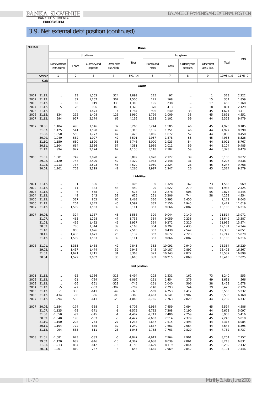| Mio EUR      |                  |                             |                |                          |                          | <b>Banks</b>     |                     |                |                          |                          |                  |                  |
|--------------|------------------|-----------------------------|----------------|--------------------------|--------------------------|------------------|---------------------|----------------|--------------------------|--------------------------|------------------|------------------|
|              |                  |                             |                | Short-term               |                          |                  |                     |                | Long-term                |                          |                  | Total            |
|              |                  | Money market<br>instruments | Loans          | Currency and<br>deposits | Other debt<br>ass./liab. | Total            | Bonds and<br>notes  | Loans          | Currency and<br>deposits | Other debt<br>ass./liab. | Total            |                  |
|              | Stolpec          | 1                           | $\overline{2}$ | 3                        | $\overline{4}$           | $5 = 1 + .4$     | 6                   | $\overline{7}$ | 8                        | 9                        | $10=6+9$         | $11 = 5 + 9$     |
|              | Koda             |                             |                |                          |                          |                  |                     |                |                          |                          |                  |                  |
|              |                  |                             |                |                          |                          | Claims           |                     |                |                          |                          |                  |                  |
| 2001         | 31.12            | $\ddotsc$                   | 13             | 1,563                    | 324                      | 1,899            | 225                 | 97             | $\cdots$                 | $\mathbf{1}$             | 323              | 2,222            |
| 2002         | 31.12            | $\ldots$                    | 32             | 1,167                    | 307                      | 1,506            | 171                 | 168            | $\cdots$                 | 15                       | 354              | 1,859            |
| 2003         | 31.12            | $\cdots$                    | 62             | 919                      | 338                      | 1,318            | 195                 | 238            | $\cdots$                 | 17                       | 450              | 1,768            |
| 2004<br>2005 | 31.12<br>31.12   | 5<br>$\mathbf{1}$           | 76<br>199      | 906<br>1,473             | 340<br>114               | 1,328<br>1,787   | 370<br>906          | 413<br>640     | $\cdots$<br>33           | 18<br>45                 | 801              | 2,129<br>3,411   |
| 2006         | 31.12.           | 134                         | 292            | 1,408                    | 126                      | 1,960            | 1,799               | 1,009          | 38                       | 45                       | 1,624<br>2,891   | 4,851            |
| 2007         | 31.12.           | 994                         | 927            | 2,174                    | 62                       | 4,156            | 3,118               | 2,102          | 59                       | 44                       | 5,323            | 9,479            |
|              |                  |                             |                |                          |                          |                  |                     |                |                          |                          |                  |                  |
| 2007         | 30.06.           | 1,184                       | 498            | 1,546                    | 37                       | 3,265            | 3,244               | 1,585          | 46                       | 45                       | 4,920            | 8,185            |
|              | 31.07            | 1,125                       | 541            | 1,598                    | 49                       | 3,313            | 3,135               | 1,751          | 46                       | 44                       | 4,977            | 8,290            |
|              | 31.08            | 1,050                       | 550            | 1,777                    | 47                       | 3,425            | 3,065               | 1,872          | 52                       | 44                       | 5,033            | 8,458            |
|              | 30.09            | 1,040                       | 582            | 1,927                    | 42                       | 3,591            | 2,957               | 1,878          | 56                       | 45                       | 4,936            | 8,526            |
|              | 31.10.           | 1,150                       | 650            | 1,890                    | 56                       | 3,746            | 3,000               | 1,923          | 54                       | 44                       | 5,021            | 8,767            |
|              | 30.11            | 1,104<br>994                | 664<br>927     | 2,556                    | 57<br>62                 | 4,381            | 2,989               | 2,011          | 59                       | 44<br>44                 | 5,104            | 9,485            |
|              | 31.12.           |                             |                | 2,174                    |                          | 4,156            | 3,118               | 2,102          | 59                       |                          | 5,323            | 9,479            |
| 2008         | 31.01.           | 1,081                       | 742            | 2,020                    | 48                       | 3,892            | 2,970               | 2,127          | 39                       | 45                       | 5,180            | 9,072            |
|              | 29.02.           | 1,120                       | 747            | 2,420                    | 42                       | 4,329            | 2,983               | 2,148          | 31                       | 45                       | 5,207            | 9,536            |
|              | 31.03            | 1,213                       | 737            | 2,523                    | 48                       | 4,520            | 2,950               | 2,224          | 28                       | 45                       | 5,247            | 9,768            |
|              | 30.04.           | 1,201                       | 703            | 2,319                    | 41                       | 4,265            | 2,997               | 2,247          | 26                       | 45                       | 5,314            | 9,579            |
|              |                  |                             |                |                          |                          | Liabilities      |                     |                |                          |                          |                  |                  |
| 2001         | 31.12            | $\cdots$                    | $\mathbf{1}$   | 396                      | 8                        | 406              | $\mathsf{O}\xspace$ | 1,328          | 162                      | 73                       | 1,563            | 1,969            |
| 2002         | 31.12.           |                             | 11             | 383                      | 46                       | 440              | 20                  | 1,622          | 279                      | 64                       | 1,985            | 2,425            |
| 2003         | 31.12.           | $\cdots$                    | 6              | 558                      | 9                        | 573              | 33                  | 2,278          | 506                      | 55                       | 2,873            | 3,445            |
| 2004         | 31.12            |                             | 49             | 543                      | 33                       | 625              | 221                 | 3,206          | 744                      | 58                       | 4,229            | 4,854            |
| 2005         | 31.12.           | $\cdots$                    | 537            | 862                      | 65                       | 1,463            | 336                 | 5,393          | 1,450                    | $\cdots$                 | 7,179            | 8,643            |
| 2006         | 31.12            | $\ldots$                    | 204            | 1,342                    | 46                       | 1,592            | 332                 | 7,150          | 1,945                    | $\cdots$                 | 9,427            | 11,019           |
| 2007         | 31.12.           | $\cdots$                    | 1,509          | 1,563                    | 39                       | 3,111            | 353                 | 9,866          | 2,887                    | $\cdots$                 | 13,106           | 16,216           |
| 2007         | 30.06            | $\cdots$                    | 324            | 1,187                    | 46                       | 1,558            | 329                 | 9,044          | 2,140                    | $\cdots$                 | 11,514           | 13,071           |
|              | 31.07.<br>31.08  | $\cdots$                    | 463<br>459     | 1,228<br>1,432           | 47                       | 1,738<br>1,937   | 354<br>354          | 9,059<br>9,272 | 2,236<br>2,310           | $\cdots$                 | 11,649<br>11,936 | 13,387<br>13,874 |
|              | 30.09            | $\cdots$                    | 780            | 1,344                    | 46<br>39                 | 2,163            | 354                 | 9,392          | 2,435                    | $\cdots$                 | 12,181           | 14,344           |
|              | 31.10.           | $\cdots$<br>$\cdots$        | 858            | 1,626                    | 29                       | 2,513            | 353                 | 9,438          | 2,547                    | $\cdots$<br>$\cdots$     | 12,338           | 14,851           |
|              | 30.11            | $\ldots$                    | 1,436          | 1,671                    | 25                       | 3,132            | 352                 | 9,672          | 2,723                    | $\cdots$                 | 12,747           | 15,879           |
|              | 31.12.           | $\cdots$                    | 1,509          | 1,563                    | 39                       | 3,111            | 353                 | 9,866          | 2,887                    | $\cdots$                 | 13,106           | 16,216           |
| 2008         | 31.01            | $\cdots$                    | 1,365          | 1,438                    | 42                       | 2,845            | 353                 | 10,091         | 2,940                    | $\cdots$                 | 13,384           | 16,229           |
|              | 29.02            |                             | 1,437          | 1,474                    | 32                       | 2,943            | 345                 | 10,187         | 2,892                    | $\cdots$                 | 13,425           | 16,367           |
|              | 31.03.           | $\cdots$                    | 1,621          | 1,711                    | 31                       | 3,363            | 321                 | 10,343         | 2,872                    | $\cdots$                 | 13,537           | 16,899           |
|              | 30.04.           |                             | 1,522          | 2,052                    | 35                       | 3,610            | 332                 | 10,215         | 2,868                    |                          | 13,415           | 17,025           |
|              |                  |                             |                |                          |                          | Net position     |                     |                |                          |                          |                  |                  |
|              |                  |                             |                |                          |                          |                  |                     |                |                          |                          |                  |                  |
| 2001         | 31.12.           | $\cdots$                    | $-12$          | $-1,166$                 | $-315$                   | $-1,494$         | $-225$              | 1,231          | 162                      | 73                       | 1,240            | $-253$           |
| 2002         | 31.12.<br>31.12. | $\cdots$                    | $-21$          | $-784$                   | $-260$                   | $-1,066$         | $-151$              | 1,454          | 279                      | 49                       | 1,631            | 566              |
| 2003<br>2004 | 31.12.           | $\ldots$<br>$-5$            | $-56$<br>$-27$ | $-361$<br>$-363$         | $-329$<br>$-307$         | $-745$<br>$-702$ | $-161$<br>$-148$    | 2,040<br>2,793 | 506<br>744               | 38<br>39                 | 2,423<br>3,428   | 1,678<br>2,726   |
| 2005         | 31.12.           | $-1$                        | 338            | $-611$                   | $-49$                    | $-323$           | $-569$              | 4,753          | 1,417                    | $-45$                    | 5,555            | 5,232            |
| 2006         | 31.12.           | $-134$                      | $-88$          | $-66$                    | $-80$                    | $-368$           | $-1,467$            | 6,141          | 1,907                    | $-45$                    | 6,536            | 6,168            |
|              | 2007 31.12.      | $-994$                      | 583            | $-611$                   | $-23$                    | $-1,045$         | $-2,765$            | 7,763          | 2,829                    | $-44$                    | 7,782            | 6,737            |
| 2007         | 30.06.           | $-1,184$                    | $-174$         | $-358$                   | 9                        | $-1,708$         | $-2,914$            | 7,459          | 2,094                    | $-45$                    | 6,594            | 4,886            |
|              | 31.07.           | $-1,125$                    | $-78$          | $-371$                   | $-1$                     | $-1,575$         | $-2,782$            | 7,308          | 2,190                    | $-44$                    | 6,672            | 5,097            |
|              | 31.08.           | $-1,050$                    | $-92$          | $-345$                   | $-1$                     | $-1,487$         | $-2,711$            | 7,400          | 2,259                    | $-44$                    | 6,903            | 5,416            |
|              | 30.09.           | $-1,040$                    | 198            | $-583$                   | $-3$                     | $-1,427$         | $-2,603$            | 7,514          | 2,379                    | $-45$                    | 7,245            | 5,818            |
|              | 31.10.           | $-1,150$                    | 208            | $-264$                   | $-27$                    | $-1,233$         | $-2,647$            | 7,515          | 2,493                    | $-44$                    | 7,317            | 6,084            |
|              | 30.11.           | $-1,104$                    | 772            | $-885$                   | $-32$                    | $-1,249$         | $-2,637$            | 7,661          | 2,664                    | $-44$                    | 7,644            | 6,395            |
|              | 31.12.           | $-994$                      | 583            | $-611$                   | $-23$                    | $-1,045$         | $-2,765$            | 7,763          | 2,829                    | $-44$                    | 7,782            | 6,737            |
| 2008         | 31.01.           | $-1,081$                    | 623            | $-583$                   | $-6$                     | $-1,047$         | $-2,617$            | 7,964          | 2,901                    | $-45$                    | 8,204            | 7,157            |
|              | 29.02.           | $-1,120$                    | 689            | $-946$                   | $-10$                    | $-1,387$         | $-2,638$            | 8,039          | 2,861                    | $-45$                    | 8,218            | 6,831            |
|              | 31.03.           | $-1,213$                    | 884            | $-812$                   | $-16$                    | $-1,158$         | $-2,629$            | 8,119          | 2,844                    | -45                      | 8,289            | 7,132            |

30.04. -1,201 819 -267 -6 -655 -2,665 7,969 2,842 -45 8,101 7,446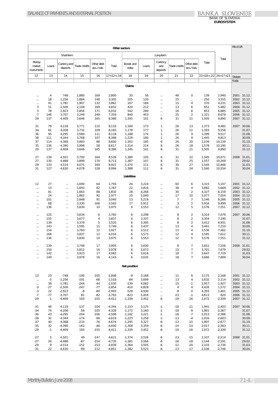|                                |                |                          |                |                          | Other sectors        |                      |                |                              |                      |                          |                |                      | Mio EUR         |                            |
|--------------------------------|----------------|--------------------------|----------------|--------------------------|----------------------|----------------------|----------------|------------------------------|----------------------|--------------------------|----------------|----------------------|-----------------|----------------------------|
|                                |                | Short-term               |                |                          |                      |                      |                | Long-term                    |                      |                          |                |                      |                 |                            |
| Money<br>market<br>instruments | Loans          | Currency and<br>deposits | Trade credits  | Other debt<br>ass./liab. | Total                | Bonds and<br>notes   | Loans          | Currency<br>and<br>deposits  | Trade credits        | Other debt<br>ass./liab. | Total          | Total                |                 |                            |
| 12                             | 13             | 14                       | 15             | 16                       | $17 = 12 +16$        | 18                   | 19             | 20                           | 21                   | 22                       |                | $23=18+.22$ 24=17+23 |                 |                            |
|                                |                |                          |                |                          |                      |                      |                |                              |                      |                          |                |                      | Stolpec<br>Koda |                            |
|                                |                |                          |                |                          |                      | Claims               |                |                              |                      |                          |                |                      |                 |                            |
|                                | $\overline{4}$ | 748                      | 1,880          | 169                      | 2,800                | 35                   | 56             | $\cdots$                     | 48                   | $\mathsf{O}\xspace$      | 139            | 2,940                |                 | 2001 31.12                 |
|                                | 18             | 1,256                    | 1,884          | 148                      | 3,305                | 105                  | 120            | $\ldots$                     | 25                   |                          | 250            | 3,555                |                 | 2002 31.12.                |
| $\cdots$                       | 41             | 1,781                    | 1,907          | 132                      | 3,862                | 167                  | 184            | $\cdots$                     | 15                   | 4                        | 370            | 4,231                |                 | 2003 31.12.                |
| 3                              | 51             | 2,500                    | 2,108          | 169                      | 4,832                | 420                  | 212            | $\cdots$                     | 13                   | 6                        | 651            | 5,482                |                 | 2004 31.12                 |
| 3<br>$\overline{7}$            | 78<br>146      | 2,923<br>3,707           | 2,856<br>3,249 | 171<br>249               | 6,032<br>7,359       | 542<br>840           | 289<br>453     | $\cdots$                     | 16<br>25             | 6<br>$\sqrt{2}$          | 853<br>1,321   | 6,885<br>8,679       |                 | 2005 31.12.<br>2006 31.12. |
| 29                             | 137            | 4,409                    | 3,646          | 165                      | 8,386                | 1,345                | 101            | $\ldots$<br>6                | 31                   | 21                       | 1,505          | 9,890                |                 | 2007 31.12                 |
|                                |                |                          |                |                          |                      |                      |                |                              |                      |                          |                |                      |                 |                            |
| 31                             | 79             | 4,118                    | 3,771          | 110                      | 8,110                | 1,160                | 173            | $\mathbf{1}$                 | 26                   | 13                       | 1,373          | 9,482                |                 | 2007 30.06                 |
| 34                             | 81             | 4,208                    | 3,732          | 109                      | 8,165                | 1,178                | 177            | $\mathbf{1}$                 | 26                   | 11                       | 1,393          | 9,558                |                 | 31.07.                     |
| 36<br>38                       | 95<br>111      | 4,295<br>4,344           | 3,580<br>3,768 | 111<br>107               | 8,118<br>8,368       | 1,188<br>1,229       | 174<br>180     | $\mathbf{1}$<br>$\mathbf{1}$ | 26<br>26             | 9<br>9                   | 1,399          | 9,517<br>9,813       |                 | 31.08<br>30.09             |
| 37                             | 114            | 4,368                    | 3,993          | 88                       | 8,600                | 1,302                | 185            | 6                            | 26                   | 20                       | 1,445<br>1,539 | 10,139               |                 | 31.10                      |
| 35                             | 136            | 4,390                    | 3,998          | 58                       | 8,617                | 1,314                | 214            | 6                            | 26                   | 18                       | 1,578          | 10,195               |                 | 30.11.                     |
| 29                             | 137            | 4,409                    | 3,646          | 165                      | 8,386                | 1,345                | 101            | 6                            | 31                   | 21                       | 1,505          | 9,890                |                 | 31.12.                     |
|                                |                |                          |                |                          |                      |                      |                |                              |                      |                          |                |                      |                 |                            |
| 27                             | 134            | 4,501                    | 3,700          | 164                      | 8,526                | 1,380                | 105            | 6                            | 31                   | 22                       | 1,545          | 10,071               | 2008            | 31.01.                     |
| 27<br>29                       | 130<br>133     | 4,488<br>4,514           | 3,899<br>4,075 | 170<br>169               | 8,713<br>8,921       | 1,387<br>1,370       | 107<br>111     | 6<br>6                       | 31<br>30             | 25<br>27                 | 1,557<br>1,545 | 10,269<br>10,466     |                 | 29.02.<br>31.03.           |
| 31                             | 127            | 4,630                    | 4,078          | 128                      | 8,994                | 1,388                | 111            | 6                            | 31                   | 24                       | 1,560          | 10,554               |                 | 30.04.                     |
|                                |                |                          |                |                          |                      |                      |                |                              |                      |                          |                |                      |                 |                            |
|                                |                |                          |                |                          |                      | Liabilities          |                |                              |                      |                          |                |                      |                 |                            |
| 12                             | 27             | $\cdots$                 | 1,690          | 64                       | 1,793                | 26                   | 3,224          | $\cdots$                     | 60                   | 6                        | 3,315          | 5,107                |                 | 2001 31.12.                |
|                                | 13             | $\cdots$                 | 1,693          | 82                       | 1,787                | 22                   | 3,819          | $\cdots$                     | 38                   | 4                        | 3,882          | 5,669                |                 | 2002 31.12.                |
| $\cdots$                       | 81             | $\cdots$                 | 1,663          | 88                       | 1,832                | 28                   | 4,266          | $\cdots$                     | 30                   | $\overline{2}$           | 4,327          | 6,159                |                 | 2003 31.12.                |
|                                | 24<br>101      | $\cdots$                 | 1,862<br>2,848 | 92<br>91                 | 1,977<br>3,040       | 10<br>13             | 5,040<br>5,219 | $\cdots$                     | 17<br>$\overline{7}$ | 10<br>$\overline{7}$     | 5,077<br>5,246 | 7,054<br>8,286       | 2004            | 31.12.<br>2005 31.12.      |
| $\cdots$<br>                   | 68             | $\cdots$<br>$\cdots$     | 3,330          | 166                      | 3,565                | 17                   | 5,912          | $\cdots$<br>$\cdots$         | 3                    | $\sqrt{2}$               | 5,934          | 9,499                | 2006            | 31.12                      |
| $\cdots$                       | 136            | $\cdots$                 | 3,830          | 10                       | 3,975                | 6                    | 3,553          | $\cdots$                     | 12                   | 5                        | 3,576          | 7,551                |                 | 2007 31.12                 |
|                                |                |                          |                |                          |                      |                      |                |                              |                      |                          |                |                      |                 |                            |
| $\cdots$                       | 125<br>155     | $\cdots$                 | 3,634<br>3,677 | 6<br>$\overline{4}$      | 3,765<br>3,837       | 6<br>6               | 3,298<br>3,337 | $\cdots$                     | 8<br>8               | $\sqrt{2}$<br>$\sqrt{2}$ | 3,314<br>3,354 | 7,079<br>7,190       | 2007            | 30.06<br>31.07.            |
| <br>$\cdots$                   | 139            | $\cdots$<br>$\cdots$     | 3,376          | 5                        | 3,520                | 6                    | 3,395          | $\cdots$<br>$\cdots$         | 8                    | $\overline{c}$           | 3,412          | 6,931                |                 | 31.08                      |
|                                | 143            | $\cdots$                 | 3,595          | 11                       | 3,749                | 6                    | 3,437          | $\cdots$                     | 13                   | $\overline{4}$           | 3,461          | 7,210                |                 | 30.09                      |
| $\cdots$                       | 154            | $\cdots$                 | 3,760          | 12                       | 3,927                | 6                    | 3,512          | $\cdots$                     | 13                   | 4                        | 3,536          | 7,462                |                 | 31.10                      |
|                                | 168            | $\cdots$                 | 3,837          | 12                       | 4,016                | 6                    | 3,573          | $\cdots$                     | 12                   | 4                        | 3,595          | 7,612                |                 | 30.11                      |
| $\cdots$                       | 136            | $\cdots$                 | 3,830          | 10                       | 3,975                | 6                    | 3,553          | $\cdots$                     | 12                   | 5                        | 3,576          | 7,551                |                 | 31.12.                     |
| $\cdots$                       | 139            | $\cdots$                 | 3,748          | 17                       | 3,905                | 6                    | 3,630          | $\cdots$                     | 8                    | $\overline{7}$           | 3,651          | 7,556                | 2008            | 31.01.                     |
|                                | 150            | $\cdots$                 | 3,812          | 16                       | 3,978                | 6                    | 3,673          | $\cdots$                     | 15                   | $\overline{7}$           | 3,701          | 7,679                |                 | 29.02.                     |
|                                | 142            |                          | 3,923          | 17                       | 4,082                | 6                    | 3,616          |                              | 18                   | 7                        | 3,647          | 7,729                |                 | 31.03.                     |
|                                | 149            | $\cdots$                 | 3,978          | 16                       | 4,143                | 6                    | 3,635          | $\cdots$                     | 18                   | $\boldsymbol{7}$         | 3,666          | 7,809                |                 | 30.04.                     |
|                                |                |                          |                |                          |                      | Net position         |                |                              |                      |                          |                |                      |                 |                            |
| 12                             | 23             | $-748$                   | $-190$         | $-105$                   | $-1,008$             | $-9$                 | 3,168          | $\cdots$                     | 11                   | 6                        | 3,175          | 2,168                |                 | 2001 31.12.                |
| $\ldots$                       | $-5$           | $-1,256$                 | $-191$         | $-66$                    | $-1,518$             | $-84$                | 3,699          | $\cdots$                     | 13                   | 4                        | 3,632          | 2,114                |                 | 2002 31.12.                |
| $\ddotsc$                      | 39             | $-1,781$                 | $-244$         | $-44$                    | $-2,030$             | $-139$               | 4,082          | $\cdots$                     | 15                   | $-1$                     | 3,957          | 1,927                |                 | 2003 31.12.                |
| $-3$                           | $-27$          | $-2,500$                 | $-247$         | $-77$                    | $-2,854$             | $-410$               | 4,828          | $\ldots$                     | $\overline{4}$       | $\overline{4}$           | 4,426          | 1,572                |                 | 2004 31.12.                |
| $-3$                           | 22             | $-2,923$                 | -8             | $-80$                    | $-2,993$             | $-528$               | 4,930          | $\cdots$                     | -9                   | $\mathbf 0$              | 4,393          | 1,401                |                 | 2005 31.12.                |
| $-7$                           | $-77$          | $-3,707$                 | 81             | $-82$                    | $-3,793$             | $-823$               | 5,459          | $\ldots$                     | $-23$                | $-1$                     | 4,613          | 820                  |                 | 2006 31.12.                |
| $-29$                          | $-1$           | $-4,409$                 | 183            | $-155$                   | $-4,411$             | $-1,339$             | 3,452          | $-6$                         | $-19$                | $-16$                    | 2,072          | $-2,339$             |                 | 2007 31.12.                |
| $-31$                          | 46             | $-4,118$                 | $-137$         | $-104$                   | $-4,344$             | $-1,153$             | 3,125          | $-1$                         | $-18$                | $-11$                    | 1,941          | $-2,403$             |                 | 2007 30.06                 |
| $-34$                          | 74             | $-4,208$                 | $-56$          | $-105$                   | $-4,328$             | $-1,172$             | 3,160          | $-1$                         | $-18$                | -9                       | 1,961          | $-2,367$             |                 | 31.07                      |
| $-36$                          | 43             | $-4,295$                 | $-204$         | $-106$                   | $-4,598$             | $-1,182$             | 3,221          | $-1$                         | $-18$                | $-7$                     | 2,013          | $-2,586$             |                 | 31.08                      |
| $-38$                          | 32             | $-4,344$                 | $-174$         | $-96$                    | $-4,619$             | $-1,223$             | 3,258          | $-1$                         | $-13$                | $-4$                     | 2,016          | $-2,603$             |                 | 30.09                      |
| $-37$                          | 40             | $-4,368$                 | $-233$         | $-76$                    | $-4,674$             | $-1,295$             | 3,327          | $-6$                         | $-13$                | $-15$                    | 1,997          | $-2,677$             |                 | 31.10.                     |
| $-35$<br>$-29$                 | 32<br>$-1$     | $-4,390$<br>$-4,409$     | $-162$<br>183  | $-46$<br>$-155$          | $-4,600$<br>$-4,411$ | $-1,308$<br>$-1,339$ | 3,359<br>3,452 | $-6$<br>$-6$                 | $-14$<br>$-19$       | $-14$<br>$-16$           | 2,017<br>2,072 | $-2,583$<br>$-2,339$ |                 | 30.11<br>31.12.            |
| $-27$                          | 5              | $-4,501$                 | 49             | $-147$                   |                      | $-1,374$             | 3,526          |                              | $-23$                |                          |                |                      |                 | 2008 31.01.                |
| $-27$                          | 20             | $-4,488$                 | $-87$          | $-154$                   | $-4,621$<br>$-4,735$ | $-1,381$             | 3,566          | $-6$<br>-6                   | $-16$                | $-15$<br>$-18$           | 2,107<br>2,144 | $-2,514$<br>$-2,591$ |                 | 29.02.                     |
| $-29$                          | 9              | $-4,514$                 | $-152$         | $-153$                   | $-4,839$             | $-1,364$             | 3,505          | -6                           | $-12$                | $-20$                    | 2,103          | $-2,736$             |                 | 31.03.                     |
| $-31$                          | 22             | $-4,630$                 | $-99$          | $-112$                   | $-4,851$             | $-1,382$             | 3,523          | -6                           | $-13$                | $-17$                    | 2,106          | $-2,746$             |                 | 30.04.                     |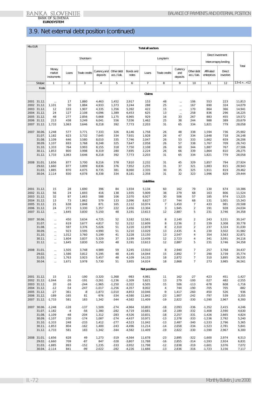# 3.9. Net external debt position (continued)

| Mio EUR |                            |                                |                |                  |                          |                          |                      | Total all sectors |                      |                             |                          |                           |                      |                  |
|---------|----------------------------|--------------------------------|----------------|------------------|--------------------------|--------------------------|----------------------|-------------------|----------------------|-----------------------------|--------------------------|---------------------------|----------------------|------------------|
|         |                            |                                |                |                  |                          |                          |                      |                   |                      |                             |                          |                           | Direct investment:   |                  |
|         |                            |                                |                | Short-term       |                          |                          |                      |                   | Long-term            |                             |                          |                           | Intercomapny lending |                  |
|         |                            |                                |                |                  |                          |                          |                      |                   |                      |                             |                          |                           |                      | Total            |
|         |                            | Money<br>market<br>instruments | Loans          | Trade credits    | Currency and<br>deposits | Other debt<br>ass./liab. | Bonds and<br>notes   | Loans             | Trade credits        | Currency<br>and<br>deposits | Other debt<br>ass./liab. | Affiliated<br>enterprises | Direct<br>investors  |                  |
|         | Stolpec                    | $\mathbf{1}$                   | $\overline{2}$ | 3                | $\overline{4}$           | 5                        | 6                    | $\overline{7}$    | 8                    | 9                           | 10                       | 11                        | 12                   | $13 = 1 +  + 12$ |
|         | Koda                       |                                |                |                  |                          |                          |                      |                   |                      |                             |                          |                           |                      |                  |
|         |                            |                                |                |                  |                          |                          |                      | Claims            |                      |                             |                          |                           |                      |                  |
|         |                            |                                |                |                  |                          |                          |                      |                   |                      |                             |                          |                           |                      |                  |
|         | 2001 31.12                 | $\ldots$                       | 17             | 1,880            | 4,463                    | 1,452                    | 2,917                | 153               | 48                   | $\cdots$                    | 106                      | 553                       | 223                  | 11,813           |
|         | 2002 31.12                 | 1,101                          | 50             | 1,884            | 4,933                    | 1,373                    | 3,244                | 288               | 25                   | $\cdots$                    | 167                      | 690                       | 324                  | 14,079           |
|         | 2003 31.12<br>2004 31.12   | 12<br>24                       | 103<br>127     | 1,907<br>2,108   | 4,335<br>4,096           | 1,356<br>1,389           | 5,392<br>6,453       | 422<br>625        | 15<br>13             | $\cdots$                    | 170<br>258               | 864<br>836                | 366<br>296           | 14,941<br>16,225 |
|         | 2005 31.12                 | 48                             | 277            | 2,856            | 5,668                    | 1,175                    | 6,965                | 929               | 16                   | $\cdots$<br>33              | 267                      | 883                       | 455                  | 19,572           |
|         | 2006 31.12                 | 213                            | 438            | 3,249            | 6,041                    | 556                      | 7,036                | 1,462             | 25                   | 38                          | 244                      | 988                       | 389                  | 20,679           |
|         | 2007 31.12                 | 1,733                          | 1,063          | 3,646            | 8,218                    | 392                      | 7,773                | 2,203             | 31                   | 65                          | 334                      | 1,821                     | 779                  | 28,058           |
|         |                            |                                |                |                  |                          |                          |                      |                   |                      |                             |                          |                           |                      |                  |
|         | 2007 30.06                 | 1,248                          | 577            | 3,771            | 7,333                    | 326                      | 8,146                | 1,758             | 26                   | 48                          | 338                      | 1,594                     | 736                  | 25,902           |
|         | 31.07<br>31.08             | 1,182<br>1,109                 | 623<br>646     | 3,732<br>3,580   | 7,645<br>8,010           | 334<br>335               | 7,931<br>7,746       | 1,928<br>2,047    | 26<br>26             | 47<br>53                    | 334<br>333               | 1,648<br>1,662            | 718<br>659           | 26,148<br>26,206 |
|         | 30.09                      | 1,107                          | 693            | 3,768            | 8,248                    | 325                      | 7,647                | 2,058             | 26                   | 57                          | 338                      | 1,767                     | 709                  | 26,743           |
|         | 31.10                      | 1,333                          | 764            | 3,993            | 8,155                    | 318                      | 7,750                | 2,108             | 26                   | 60                          | 344                      | 1,887                     | 767                  | 27,506           |
|         | 30.11                      | 1,853                          | 800            | 3,998            | 8,319                    | 280                      | 7,695                | 2,224             | 26                   | 66                          | 339                      | 1,864                     | 810                  | 28,275           |
|         | 31.12                      | 1,733                          | 1,063          | 3,646            | 8,218                    | 392                      | 7,773                | 2,203             | 31                   | 65                          | 334                      | 1,821                     | 779                  | 28,058           |
|         | 2008 31.01                 | 1,656                          |                | 3,700            |                          | 378                      |                      |                   |                      |                             | 329                      |                           | 794                  |                  |
|         | 29.02                      | 1,660                          | 877<br>877     | 3,899            | 8,216<br>8,836           | 376                      | 7,810<br>7,952       | 2,232<br>2,255    | 31<br>31             | 45<br>37                    | 321                      | 1,857<br>1,883            | 815                  | 27,924<br>28,943 |
|         | 31.03                      | 1,885                          | 870            | 4,075            | 8,735                    | 381                      | 8,060                | 2,335             | 30                   | 35                          | 325                      | 1,911                     | 819                  | 29,462           |
|         | 30.04                      | 2,114                          | 830            | 4,078            | 8,338                    | 334                      | 8,181                | 2,358             | 31                   | 32                          | 323                      | 1,996                     | 829                  | 29,444           |
|         |                            |                                |                |                  |                          |                          |                      |                   |                      |                             |                          |                           |                      |                  |
|         |                            |                                |                |                  |                          |                          |                      | Liabilities       |                      |                             |                          |                           |                      |                  |
|         | 2001 31.12                 | 15                             | 28             | 1,690            | 396                      | 84                       | 1,934                | 5,134             | 60                   | 162                         | 79                       | 130                       | 674                  | 10,386           |
|         | 2002 31.12                 | 56                             | 24             | 1,693            | 416                      | 138                      | 1,935                | 5,909             | 38                   | 279                         | 68                       | 163                       | 806                  | 11,524           |
|         | 2003 31.12                 | 32                             | 87             | 1,663            | 588                      | 106                      | 2,070                | 6,927             | 30                   | 506                         | 57                       | 185                       | 974                  | 13,225           |
|         | 2004 31.12                 | 13                             | 73             | 1,862            | 579                      | 133                      | 2,096                | 8,627             | 17                   | 744                         | 68                       | 131                       | 1,001                | 15,343           |
|         | 2005 31.12                 | 21                             | 638            | 2,848            | 871                      | 165                      | 2,112                | 10,974            | $\overline{7}$       | 1,450                       | 7                        | 433                       | 981                  | 20,508           |
|         | 2006 31.12                 | 24                             | 273            | 3,330            | 1,357                    | 222                      | 2,456                | 13,304            | 3                    | 1,945                       | $\overline{c}$           | 191                       | 928                  | 24,034           |
|         | 2007 31.12                 | $\cdots$                       | 1,645          | 3,830            | 5,150                    | 48                       | 3,191                | 13,613            | 12                   | 2,887                       | 5                        | 231                       | 3,746                | 34,358           |
|         | 2007 30.06                 | $\ldots$                       | 450            | 3,634            | 4,725                    | 52                       | 3,182                | 12,561            | 8                    | 2,140                       | $\overline{2}$           | 243                       | 3,151                | 30,147           |
|         | 31.07                      | $\ldots$                       | 619            | 3,677            | 4,817                    | 52                       | 3,212                | 12,609            | 8                    | 2,236                       | $\overline{c}$           | 239                       | 3,308                | 30,778           |
|         | 31.08                      | $\cdots$                       | 597            | 3,376            | 5,026                    | 51                       | 3,220                | 12,878            | 8                    | 2,310                       | $\overline{2}$           | 237                       | 3,324                | 31,030           |
|         | 30.09                      | $\ddotsc$                      | 923            | 3,595            | 4,990                    | 51                       | 3,210                | 13,029            | 13                   | 2,435                       | $\overline{4}$           | 230                       | 3,502                | 31,982           |
|         | 31.10                      | $\cdots$                       | 1,012          | 3,760            | 5,199                    | 41                       | 3,228                | 13,150            | 13                   | 2,547                       | 4                        | 354                       | 3,563                | 32,871           |
|         | 30.11<br>31.12             | $\ldots$                       | 1,604<br>1,645 | 3,837<br>3,830   | 5,329<br>5,150           | 37<br>48                 | 3,199<br>3,191       | 13,439<br>13,613  | 12<br>12             | 2,723<br>2,887              | 4<br>5                   | 341<br>231                | 3,591<br>3,746       | 34,116<br>34,358 |
|         |                            | $\cdots$                       |                |                  |                          |                          |                      |                   |                      |                             |                          |                           |                      |                  |
|         | 2008 31.01                 | $\cdots$                       | 1,505          | 3,748            | 4,989                    | 59                       | 3,245                | 13,910            | 8                    | 2,940                       | 7                        | 257                       | 3,768                | 34,437           |
|         | 29.02                      |                                | 1,586          | 3,812            | 5,195                    | 48                       | 4,145                | 14,044            | 15                   | 2,892                       | $\overline{7}$           | 290                       | 3,739                | 35,774           |
|         | 31.03.                     | $\ldots$                       | 1,763          | 3,923            | 5,457                    | 48                       | 4,109                | 14,133            | 18                   | 2,872                       | $\overline{\phantom{a}}$ | 310                       | 3,895                | 36,535           |
|         | 30.04.                     | $\cdots$                       | 1,671          | 3,978            | 5,730                    | 51                       | 3,955                | 14,024            | 18                   | 2,868                       | $\overline{7}$           | 273                       | 3,985                | 36,561           |
|         |                            |                                |                |                  |                          |                          |                      | Net position      |                      |                             |                          |                           |                      |                  |
|         |                            |                                |                |                  |                          |                          |                      |                   |                      |                             |                          |                           |                      |                  |
|         | 2001 31.12.                | 15                             | 11             | $-190$           | $-3,320$                 | $-1,368$                 | $-983$               | 4,981             | 11                   | 162                         | $-27$                    | $-423$                    | 451                  | $-1,427$         |
|         | 2002 31.12.                | $-1,044$                       | $-26$          | $-191$           | $-3,261$                 | $-1,236$                 | $-1,309$             | 5,621             | 13                   | 279                         | $-100$                   | $-527$                    | 482                  | $-2,555$         |
|         | 2003 31.12.                | 20                             | $-16$          | $-244$           | $-1,965$                 | $-1,250$                 | $-3,322$             | 6,505             | 15                   | 506                         | $-113$                   | $-678$                    | 608                  | $-1,716$         |
|         | 2004 31.12.<br>2005 31.12. | $-12$<br>$-27$                 | $-54$<br>361   | $-247$<br>-8     | $-1,017$<br>$-1,873$     | $-1,256$<br>$-1,010$     | $-4,357$<br>$-4,853$ | 8,002<br>10,046   | $\overline{4}$<br>-9 | 744<br>1,417                | $-190$<br>$-260$         | $-705$<br>$-450$          | 705<br>526           | $-882$<br>936    |
|         | 2006 31.12.                | $-189$                         | $-165$         | 81               | $-976$                   | $-334$                   | $-4,580$             | 11,842            | $-23$                | 1,907                       | $-242$                   | $-797$                    | 539                  | 3,355            |
|         | 2007 31.12.                | $-1,733$                       | 581            | 183              | 1,342                    | $-344$                   | $-4,582$             | 11,409            | $-19$                | 2,822                       | $-330$                   | $-1,590$                  | 2,967                | 6,300            |
|         |                            |                                |                |                  |                          |                          |                      |                   |                      |                             |                          |                           |                      |                  |
|         | 2007 30.06.                | $-1,248$                       | $-128$         | $-137$           | 1,509                    | $-274$                   | $-4,964$             | 10,803            | $-18$                | 2,093                       | $-336$                   | $-1,352$                  | 2,415                | 4,246            |
|         | 31.07.                     | $-1,182$                       | $-4$           | $-56$            | 1,380                    | $-282$                   | $-4,719$             | 10,681            | $-18$                | 2,189                       | $-332$                   | $-1,408$                  | 2,590                | 4,630            |
|         | 31.08.<br>30.09.           | $-1,109$                       | $-48$          | $-204$           | 1,312                    | $-283$                   | $-4,526$             | 10,831            | $-18$                | 2,257                       | $-331$                   | $-1,426$                  | 2,665                | 4,824            |
|         | 31.10.                     | $-1,107$<br>$-1,333$           | 230<br>248     | $-174$<br>$-233$ | 1,087<br>1,412           | $-274$<br>$-277$         | $-4,437$<br>$-4,523$ | 10,971<br>11,042  | $-13$<br>$-13$       | 2,378<br>2,487              | $-333$<br>$-340$         | $-1,536$<br>$-1,533$      | 2,792<br>2,796       | 5,240<br>5,365   |
|         | 30.11.                     | $-1,853$                       | 804            | $-162$           | 1,400                    | $-243$                   | $-4,496$             | 11,214            | $-14$                | 2,658                       | $-334$                   | $-1,523$                  | 2,781                | 5,841            |
|         | 31.12.                     | $-1,733$                       | 581            | 183              | 1,342                    | $-344$                   | $-4,582$             | 11,409            | $-19$                | 2,822                       | $-330$                   | $-1,590$                  | 2,967                | 6,300            |
|         |                            |                                |                |                  |                          |                          |                      |                   |                      |                             |                          |                           |                      |                  |
|         | 2008 31.01                 | $-1,656$                       | 628            | 49               | 1,273                    | $-319$                   | $-4,564$             | 11,678            | $-23$                | 2,895                       | $-322$                   | $-1,600$                  | 2,974                | 6,513            |
|         | 29.02.<br>31.03.           | $-1,660$<br>$-1,885$           | 709<br>893     | $-87$<br>$-152$  | 847<br>1,235             | $-328$<br>$-333$         | $-3,807$<br>$-3,952$ | 11,788<br>11,798  | $-16$<br>$-12$       | 2,855<br>2,838              | $-314$<br>$-319$         | $-1,593$<br>$-1,601$      | 2,924<br>3,076       | 6,831<br>7,072   |
|         | 30.04.                     | $-2,114$                       | 841            | -99              | 2,022                    | $-282$                   | $-4,226$             | 11,666            | $-13$                | 2,836                       | $-316$                   | $-1,723$                  | 3,156                | 7,117            |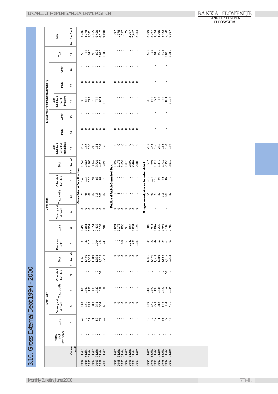|                                         | Total                                              | $= 6 + 12 + 19$<br>$\overline{5}$ |      |                              | 3,706                                                          | 4,275                   |                                                    | 5,381<br>6,165                                                 | 6,459             |                   | 8,012<br>9,490                          |                                     | L60'I | 1,178                                    |       | 1,657<br>1,875 | 2,007 |                                             | 2,462<br>2,883           |                                            |                   |                           |         | 2,609<br>3,097<br>3,724<br>4,290             | 4,452 | 5,550 | 6,607                                                                      |
|-----------------------------------------|----------------------------------------------------|-----------------------------------|------|------------------------------|----------------------------------------------------------------|-------------------------|----------------------------------------------------|----------------------------------------------------------------|-------------------|-------------------|-----------------------------------------|-------------------------------------|-------|------------------------------------------|-------|----------------|-------|---------------------------------------------|--------------------------|--------------------------------------------|-------------------|---------------------------|---------|----------------------------------------------|-------|-------|----------------------------------------------------------------------------|
|                                         | Total                                              | $\frac{1}{2}$                     |      |                              | 595<br>722<br>999                                              |                         |                                                    |                                                                |                   |                   | 895<br>1045<br>1312                     |                                     |       |                                          |       |                |       | 00000000                                    |                          |                                            | 595               |                           |         | 722<br>999<br>895                            |       |       | 1,045<br>1,312                                                             |
|                                         | Other                                              | $\frac{8}{18}$                    |      |                              | 0000000                                                        |                         |                                                    |                                                                |                   |                   |                                         |                                     |       |                                          |       |                |       | 00000000                                    |                          |                                            |                   |                           | ٠       |                                              |       |       |                                                                            |
|                                         | Arrears                                            | $\overline{1}$                    |      |                              | $\circ\circ\circ\circ\circ\circ\circ$                          |                         |                                                    |                                                                |                   |                   |                                         |                                     |       |                                          |       |                |       | 00000000                                    |                          |                                            |                   |                           |         |                                              |       |       |                                                                            |
| Direct investment: Intercompany lending | liabilities to<br>investors<br>direct<br>Debt      | $\frac{6}{2}$                     |      |                              | 884<br>842544<br>84446                                         |                         |                                                    |                                                                |                   | 881               | 1,136                                   |                                     |       |                                          |       |                |       | $\circ \circ \circ \circ \circ \circ \circ$ |                          |                                            |                   |                           |         | 388<br>544<br>756<br>756                     | 744   | 881   | 1,136                                                                      |
|                                         | Other                                              | $\frac{5}{1}$                     |      |                              | 0000000                                                        |                         |                                                    |                                                                |                   |                   |                                         |                                     |       |                                          |       |                |       | 00000000                                    |                          |                                            |                   |                           |         |                                              |       |       |                                                                            |
|                                         | Arrears                                            | $\overline{1}$                    |      |                              | 00000000                                                       |                         |                                                    |                                                                |                   |                   |                                         |                                     |       |                                          |       |                |       | 00000000                                    |                          |                                            |                   |                           | $\cdot$ | $\cdot$                                      |       |       |                                                                            |
|                                         | labilities to<br>enterprises<br>affiliated<br>Debt | $\frac{3}{2}$                     |      |                              | 57887572                                                       |                         |                                                    |                                                                |                   |                   |                                         |                                     |       |                                          |       |                |       | 0 0 0 0 0 0 0                               |                          |                                            |                   |                           |         |                                              |       |       |                                                                            |
|                                         | Total                                              | $= 7 +  + 1$                      |      |                              | 1,741                                                          | 2,083<br>2,968<br>3,347 |                                                    |                                                                | 3,726             |                   | 4,811<br>5,895                          |                                     | 1,097 | 1,178                                    | 1,657 | 1,875          | 2,007 |                                             | 2,462<br>2,883           |                                            | 644               | 905<br>1.311              |         |                                              |       |       | $\frac{1}{1}$ , 472<br>$\frac{2}{2}$ , 350<br>$\frac{2}{3}$ , 512          |
|                                         | Other debt<br>liabilities                          | $\frac{2}{1}$<br>$\overline{1}$   |      | Gross External Debt Position | 140                                                            | 134                     |                                                    | 7840878                                                        |                   |                   |                                         | Public and Publicly Guaranteed Debt |       |                                          |       |                |       | $\circ\circ\circ\circ\circ\circ\circ$       |                          | Non-guaranteed privat sector external debt | 140               | $\frac{134}{118}$         |         |                                              |       |       | <b>98287</b>                                                               |
|                                         | Trade credits                                      | $\frac{1}{2}$                     |      |                              | 288515                                                         |                         |                                                    |                                                                |                   |                   | $\frac{5}{8}$                           |                                     |       |                                          |       |                |       |                                             |                          |                                            |                   |                           |         |                                              |       |       |                                                                            |
| Long - term                             | Currency and<br>deposits                           | $\circ$                           |      |                              | 0000000                                                        |                         |                                                    |                                                                |                   |                   |                                         |                                     |       |                                          |       |                |       | 00000000                                    |                          |                                            |                   |                           |         |                                              |       |       |                                                                            |
|                                         | Loans                                              | ${}^{\circ}$                      |      |                              | 1,496                                                          | 1,851                   | 1,957                                              | 2,151                                                          | 2,433             |                   | 3,134<br>3,983                          |                                     | 1,091 | 1,173<br>990<br>967<br>967               |       |                |       |                                             | 1,031<br>1,195           |                                            |                   | $405$<br>$678$<br>$1,067$ |         | 1,239<br>1,466                               |       |       | 2,103                                                                      |
|                                         | Bonds and<br>notes                                 |                                   |      |                              |                                                                |                         |                                                    |                                                                |                   |                   | 35<br>810 10 14 48<br>10 14 94<br>1, 48 |                                     |       |                                          |       |                |       |                                             |                          |                                            |                   |                           |         |                                              |       |       | 5382538                                                                    |
|                                         | Total                                              | $= 1 +  + 5$<br>∘                 |      |                              | 1,371                                                          |                         |                                                    | $1,470$<br>$1,503$<br>$1,838$<br>$1,838$<br>$2,153$<br>$2,283$ |                   |                   |                                         |                                     |       |                                          |       |                |       | 00000000                                    |                          |                                            | 1,371             |                           |         |                                              |       |       | $\begin{array}{c}\n1.470 \\ 1.503 \\ 1.833 \\ 1.533 \\ 2.753\n\end{array}$ |
|                                         | Other debt<br>liabilities                          | ம                                 |      |                              | $\circ \circ \circ \circ \circ \underset{\omega}{\circ} \circ$ |                         |                                                    |                                                                |                   |                   |                                         |                                     |       |                                          |       |                |       | 00000000                                    |                          |                                            |                   |                           |         |                                              |       |       | $\circ \circ \circ \circ \circ \underset{\omega}{\circ} \circ$             |
|                                         | Trade credits                                      | 4                                 |      |                              | 1.189<br>1.290<br>1.145                                        |                         |                                                    |                                                                |                   |                   | $1,432$<br>$1,659$<br>$1,834$           |                                     |       |                                          |       |                |       | 00000000                                    |                          |                                            |                   |                           |         |                                              |       |       |                                                                            |
| Short - term                            | Currency and<br>deposits                           | $\sim$                            |      |                              | 140                                                            |                         |                                                    | $7737840$<br>$7873840$                                         |                   |                   |                                         |                                     |       |                                          |       |                |       | $\circ\circ\circ\circ\circ\circ\circ$       |                          |                                            |                   |                           |         |                                              |       |       | 25878845                                                                   |
|                                         | Loans                                              | $\sim$                            |      |                              | ねっぽけのやけ                                                        |                         |                                                    |                                                                |                   |                   |                                         |                                     |       |                                          |       |                |       | $\circ\circ\circ\circ\circ\circ\circ$       |                          |                                            |                   |                           |         |                                              |       |       | ねっぺけ 8 2 5                                                                 |
|                                         | instruments<br>Money<br>market                     |                                   |      |                              | $\circ\circ\circ\circ\circ\circ\circ$                          |                         |                                                    |                                                                |                   |                   |                                         |                                     |       |                                          |       |                |       | 00000000                                    |                          |                                            |                   |                           |         |                                              |       |       | 00000000                                                                   |
|                                         |                                                    | Column                            | Code |                              | $31.$ dec<br>1994                                              | $31.$ dec<br>1995       | $31.\text{dec}$<br>$31.\text{dec}$<br>1996<br>1997 |                                                                | $31.$ dec<br>1998 | $31$ .dec<br>1999 | $31$ .dec<br>2000                       |                                     | 1994  | ander<br>Sider<br>Sider<br>Sider<br>1995 | 1996  | 1997           | 1998  | 1999                                        | 31.dec<br>31.dec<br>2000 |                                            | $31$ .dec<br>1994 | 1995                      | 1996    | 31.dec<br>31.dec<br>31.dec<br>31.dec<br>1997 | 1998  | 1999  | $31.\text{dec}$<br>$31.\text{dec}$<br>2000                                 |

3.10. Gross External Debt 1994 - 2000

3.10. Gross External Debt 1994 - 2000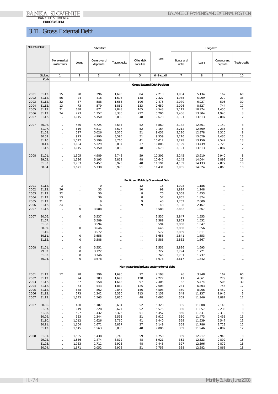BANKA SLOVENIJE BANK OF SLOVENIA

**EUROSYSTEM**

## 3.11. Gross External Debt

| Millions of EUR |                  |                             |                | Short-term                |                |                                             |                                     |                    | Long-term        |                          |                |
|-----------------|------------------|-----------------------------|----------------|---------------------------|----------------|---------------------------------------------|-------------------------------------|--------------------|------------------|--------------------------|----------------|
|                 |                  | Money market<br>instruments | Loans          | Currency and<br>deposuits | Trade credits  | Other debt<br>liabilities                   | Total                               | Bonds and<br>notes | Loans            | Currency and<br>deposits | Trade credits  |
|                 | Stolpec          | $\mathbf{1}$                | $\overline{a}$ | 3                         | $\overline{4}$ | 5                                           | $6 = 1 +  + 5$                      | $\overline{7}$     | 8                | 9                        | 10             |
|                 | Koda             |                             |                |                           |                |                                             |                                     |                    |                  |                          |                |
|                 |                  |                             |                |                           |                |                                             | <b>Gross External Debt Position</b> |                    |                  |                          |                |
| 2001            | 31.12            | 15                          | 28             | 396                       | 1,690          | 84                                          | 2,213                               | 1,934              | 5,134            | 162                      | 60             |
| 2002            | 31.12.           | 56                          | 24             | 416                       | 1,693          | 138                                         | 2,327                               | 1,935              | 5,909            | 279                      | 38             |
| 2003            | 31.12.           | 32                          | 87             | 588                       | 1,663          | 106                                         | 2,475                               | 2,070              | 6,927            | 506                      | 30             |
| 2004            | 31.12.           | 13                          | 73             | 579                       | 1,862          | 133                                         | 2,659                               | 2,096              | 8,627            | 744                      | 17             |
| 2005            | 31.12.           | 21                          | 638            | 871                       | 2,848          | 165                                         | 4,543                               | 2,112              | 10,974           | 1,450                    | $\overline{7}$ |
| 2006            | 31.12.           | 24                          | 273            | 1,357                     | 3,330          | 222                                         | 5,206                               | 2,456              | 13,304           | 1,945                    | 3              |
| 2007            | 31.12.           | $\ldots$                    | 1,645          | 5,150                     | 3,830          | 48                                          | 10,673                              | 3,191              | 13,613           | 2,887                    | 12             |
| 2007            | 30.06.           |                             | 450            | 4,725                     | 3,634          | 52                                          | 8,860                               | 3,182              | 12,561           | 2,140                    | 8              |
|                 | 31.07.           | $\cdots$                    | 619            | 4,817                     | 3,677          | 52                                          | 9,164                               | 3,212              | 12,609           | 2,236                    | 8              |
|                 | 31.08.           | $\cdots$                    | 597            | 5,026                     | 3,376          | 51                                          | 9,051                               | 3,220              | 12,878           | 2,310                    | 8              |
|                 | 30.09            | $\cdots$                    | 923            | 4,990                     | 3,595          | 51                                          | 9,559                               | 3,210              | 13,029           | 2,435                    | 13             |
|                 | 31.10.           | u.                          | 1,012          | 5,199                     | 3,760          | 41                                          | 10,012                              | 3,228              | 13,150           | 2,547                    | 13             |
|                 | 30.11            | $\ldots$                    | 1,604          | 5,329                     | 3,837          | 37                                          | 10,806                              | 3,199              | 13,439           | 2,723                    | 12             |
|                 | 31.12.           | $\cdots$                    | 1,645          | 5,150                     | 3,830          | 48                                          | 10,673                              | 3,191              | 13,613           | 2,887                    | 12             |
| 2008            | 31.01.           | $\cdots$                    | 1,505          | 4,989                     | 3,748          | 59                                          | 10,301                              | 3,245              | 13,910           | 2,940                    | 8              |
|                 | 29.02.           | $\ldots$                    | 1,586          | 5,195                     | 3,812          | 48                                          | 10,642                              | 4,145              | 14,044           | 2,892                    | 15             |
|                 | 31.03.           | $\ldots$                    | 1,763          | 5,457                     | 3,923          | 48                                          | 11,191                              | 4,109              | 14,133           | 2,872                    | 18             |
|                 | 30.04.           | $\cdots$                    | 1,671          | 5,730                     | 3,978          | 51                                          | 11,431                              | 3,955              | 14,024           | 2,868                    | 18             |
|                 |                  |                             |                |                           |                |                                             |                                     |                    |                  |                          |                |
|                 |                  |                             |                |                           |                | Public and Publicly Guaranteed Debt         |                                     |                    |                  |                          |                |
| 2001            | 31.12.           | 3                           | $\cdots$       | $\mathbf 0$               | $\cdots$       | 12                                          | 15                                  | 1,908              | 1,186            |                          | $\cdots$       |
| 2002            | 31.12.           | 56                          | $\ddotsc$      | 33                        | $\cdots$       | 10                                          | 99                                  | 1,894              | 1,248            | $\cdots$                 | $\cdots$       |
| 2003            | 31.12.           | 32                          | $\cdots$       | 30                        | $\cdots$       | 8                                           | 70                                  | 2,008              | 1,453            |                          | $\cdots$       |
| 2004            | 31.12.           | 13                          | $\cdots$       | 36                        | $\cdots$       | 8                                           | 57                                  | 1,865              | 1,824            | $\cdots$                 | $\cdots$       |
| 2005            | 31.12.           | 21                          | $\cdots$       | 9                         | $\ddotsc$      | 9                                           | 40                                  | 1,762              | 2,009            |                          | $\cdots$       |
| 2006            | 31.12.           | 24                          | $\cdots$       | 16                        | $\cdots$       | 9                                           | 48                                  | 2,108              | 2,167            | $\cdots$                 | $\cdots$       |
| 2007            | 31.12.           | $\cdots$                    | 0              | 3,588                     | $\cdots$       | $\cdots$                                    | 3,588                               | 2,832              | 1,667            |                          | $\cdots$       |
| 2007            | 30.06.           |                             | $\mathbf 0$    | 3,537                     | $\ddotsc$      | $\cdots$                                    | 3,537                               | 2,847              | 1,553            | $\ddotsc$                | $\cdots$       |
|                 | 31.07.           | $\cdots$                    | $\cdots$       | 3,589                     | $\cdots$       | $\cdots$                                    | 3,589                               | 2,852              | 1,552            | $\cdots$                 | $\cdots$       |
|                 | 31.08.           |                             |                | 3,594                     | $\cdots$       | $\cdots$                                    | 3,594                               | 2,860              | 1,547            |                          | $\cdots$       |
|                 | 30.09.           | $\cdots$                    | 0              | 3,646                     | $\cdots$       | $\cdots$                                    | 3,646                               | 2,850              | 1,556            | $\cdots$                 | $\cdots$       |
|                 | 31.10.           |                             | $\cdots$       | 3,572                     | $\ddotsc$      | $\cdots$                                    | 3,572                               | 2,869              | 1,611            |                          | $\cdots$       |
|                 | 30.11.           | $\cdots$                    | $\mathsf O$    | 3,658                     | $\cdots$       | $\cdots$                                    | 3,658                               | 2,841              | 1,653            | $\cdots$                 | $\cdots$       |
|                 | 31.12.           | $\ldots$                    | 0              | 3,588                     | $\cdots$       | $\cdots$                                    | 3,588                               | 2,832              | 1,667            |                          | $\cdots$       |
| 2008            | 31.01            | $\ddotsc$                   | 0              | 3,551                     | $\ddotsc$      | $\cdots$                                    | 3,551                               | 2,886              | 1,693            |                          | $\cdots$       |
|                 | 29.02.           | $\ldots$                    | 0              | 3,722                     | $\cdots$       | $\cdots$                                    | 3,722                               | 3,794              | 1,721            |                          | $\cdots$       |
|                 | 31.03.           |                             | 0              | 3,746                     |                |                                             | 3,746                               | 3,781              | 1,737            |                          |                |
|                 | 30.04.           |                             | 0              | 3,678                     | $\ldots$       | $\cdots$                                    | 3,678                               | 3,617              | 1,742            |                          | $\cdots$       |
|                 |                  |                             |                |                           |                | Non-guaranteed private sector external debt |                                     |                    |                  |                          |                |
|                 |                  |                             |                |                           |                |                                             |                                     |                    |                  |                          |                |
| 2001            | 31.12.           | 12                          | 28             | 396                       | 1,690          | 72                                          | 2,198                               | 26                 | 3,948            | 162                      | 60             |
| 2002            | 31.12.           | $\ldots$                    | 24             | 383                       | 1,693          | 128                                         | 2,227                               | 41                 | 4,661            | 279                      | 38             |
| 2003<br>2004    | 31.12.<br>31.12. | $\ldots$                    | 87<br>73       | 558<br>543                | 1,663<br>1,862 | 97                                          | 2,405                               | 62<br>231          | 5,474            | 506<br>744               | 30<br>17       |
| 2005            | 31.12.           | $\ldots$                    | 638            | 862                       | 2,848          | 125<br>156                                  | 2,603<br>4,503                      | 350                | 6,803<br>8,966   | 1,450                    | $\overline{7}$ |
| 2006            | 31.12.           | u.                          | 273            | 1,342                     | 3,330          | 213                                         | 5,158                               | 349                | 11,137           | 1,945                    | $\mathbf{3}$   |
| 2007            | 31.12.           | $\ldots$<br>$\ldots$        | 1,645          | 1,563                     | 3,830          | 48                                          | 7,086                               | 359                | 11,946           | 2,887                    | 12             |
|                 |                  |                             |                |                           |                |                                             |                                     |                    |                  |                          |                |
| 2007            | 30.06.           |                             | 450            | 1,187                     | 3,634          | 52                                          | 5,323                               | 335                | 11,008           | 2,140                    | 8              |
|                 | 31.07.           | $\mathbf{r}$                | 619            | 1,228                     | 3,677          | 52                                          | 5,575                               | 360                | 11,057           | 2,236                    | 8              |
|                 | 31.08.           | $\ldots$                    | 597            | 1,432                     | 3,376          | 51                                          | 5,457                               | 360                | 11,331           | 2,310                    | 8              |
|                 | 30.09.           | $\ldots$                    | 923            | 1,344                     | 3,595          | 51                                          | 5,912                               | 360<br>359         | 11,473           | 2,435                    | 13<br>13       |
|                 | 31.10.<br>30.11. | m.                          | 1,012<br>1,604 | 1,626<br>1,671            | 3,760<br>3,837 | 41<br>37                                    | 6,440<br>7,149                      | 358                | 11,539<br>11,786 | 2,547<br>2,723           | 12             |
|                 | 31.12.           | $\ldots$<br>$\ldots$        | 1,645          | 1,563                     | 3,830          | 48                                          | 7,086                               | 359                | 11,946           | 2,887                    | 12             |
|                 |                  |                             |                |                           |                |                                             |                                     |                    |                  |                          |                |
| 2008            | 31.01.           |                             | 1,505          | 1,438                     | 3,748          | 59                                          | 6,750                               | 359                | 12,217           | 2,940                    | 8              |
|                 | 29.02.           | $\ldots$                    | 1,586          | 1,474                     | 3,812          | 48                                          | 6,921                               | 352                | 12,323           | 2,892                    | 15             |
|                 | 31.03.<br>30.04. | m.                          | 1,763<br>1,671 | 1,711<br>2,052            | 3,923<br>3,978 | 48<br>51                                    | 7,445<br>7,753                      | 327<br>338         | 12,396<br>12,282 | 2,872<br>2,868           | 18<br>18       |
|                 |                  |                             |                |                           |                |                                             |                                     |                    |                  |                          |                |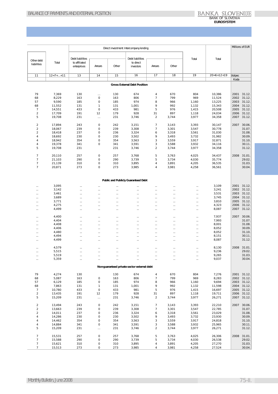|                          |                  |                              |              |          | Direct investment: Intercompany lending     |                  |          |          |                |         | Millions of EUR     |
|--------------------------|------------------|------------------------------|--------------|----------|---------------------------------------------|------------------|----------|----------|----------------|---------|---------------------|
|                          |                  |                              |              |          |                                             |                  |          |          |                |         |                     |
| Other debt               |                  | Debt liabilities             |              |          | Debt liabilities                            |                  |          | Total    | Total          |         |                     |
| liabilities              | Total            | to affiliated<br>enterprises | Arrears      | Other    | to direct<br>investors                      | Arrears          | Other    |          |                |         |                     |
| 11                       | $12 = 7 +  + 11$ | 13                           | 14           | 15       | 16                                          | 17               | 18       | 19       | $20=6+12+19$   | Stolpec |                     |
|                          |                  |                              |              |          |                                             |                  |          |          |                | Koda    |                     |
|                          |                  |                              |              |          | <b>Gross External Debt Position</b>         |                  |          |          |                |         |                     |
|                          |                  |                              |              |          |                                             |                  |          |          |                |         |                     |
| 79                       | 7,369            | 130                          | $\cdots$     | 130      | 674                                         | 4                | 670      | 804      | 10,386         |         | 2001 31.12<br>31.12 |
| 68                       | 8,229            | 163                          | 0            | 163      | 806                                         | $\overline{7}$   | 799      | 969      | 11,524         | 2002    |                     |
| 57                       | 9,590            | 185                          | 0            | 185      | 974                                         | 8                | 966      | 1,160    | 13,225         |         | 2003 31.12          |
| 68                       | 11,552           | 131                          | $\mathbf{1}$ | 131      | 1,001                                       | 9                | 992      | 1,132    | 15,343         |         | 2004 31.12          |
| $\overline{7}$           | 14,551           | 433                          | 0            | 433      | 981                                         | 5                | 976      | 1,415    | 20,508         | 2005    | 31.12               |
| $\overline{2}$           | 17,709           | 191                          | 12           | 179      | 928                                         | 31               | 897      | 1,118    | 24,034         | 2006    | 31.12               |
| 5                        | 19,708           | 231                          | $\ldots$     | 231      | 3,746                                       | 2                | 3,744    | 3,977    | 34,358         |         | 2007 31.12          |
| $\overline{c}$           | 17,894           | 243                          | 0            | 242      | 3,151                                       | $\overline{7}$   | 3,143    | 3,393    | 30,147         |         | 2007 30.06          |
| $\overline{2}$           | 18,067           | 239                          | $\mathbf 0$  | 239      | 3,308                                       | 7                | 3,301    | 3,547    | 30,778         |         | 31.07               |
| $\overline{c}$           | 18,418           | 237                          | 0            | 236      | 3,324                                       | 6                | 3,318    | 3,561    | 31,030         |         | 31.08               |
| $\overline{4}$           | 18,692           | 230                          | $\mathbf 0$  | 230      | 3,502                                       | 9                | 3,493    | 3,732    | 31,982         |         | 30.09               |
| 4                        | 18,942           | 354                          | 0            | 354      | 3,563                                       | 3                | 3,559    | 3,917    | 32,871         |         | 31.10               |
| $\overline{4}$           | 19,378           | 341                          | 0            | 341      | 3,591                                       | 3                | 3,588    | 3,932    | 34,116         |         | 30.11               |
| 5                        | 19,708           | 231                          |              | 231      | 3,746                                       | 2                | 3,744    | 3,977    | 34,358         |         | 31.12               |
|                          |                  |                              |              |          |                                             |                  |          |          |                |         |                     |
| $\overline{7}$           | 20,110           | 257                          | 0            | 257      | 3,768                                       | 5                | 3,763    | 4,025    | 34,437         | 2008    | 31.01               |
| $\overline{7}$           | 21,103           | 290                          | 0            | 290      | 3,739                                       | 5                | 3,734    | 4,030    | 35,774         |         | 29.02               |
| $\overline{\mathcal{I}}$ | 21,139           | 310                          | $\mathbf 0$  | 310      | 3,895                                       | 4                | 3,891    | 4,205    | 36,535         |         | 31.03               |
| $\overline{7}$           | 20,871           | 273                          | 0            | 273      | 3,985                                       | 4                | 3,981    | 4,258    | 36,561         |         | 30.04               |
|                          |                  |                              |              |          |                                             |                  |          |          |                |         |                     |
|                          |                  |                              |              |          |                                             |                  |          |          |                |         |                     |
|                          |                  |                              |              |          | Public and Publicly Guaranteed Debt         |                  |          |          |                |         |                     |
| $\cdots$                 | 3,095            |                              |              |          |                                             |                  |          | $\cdots$ | 3,109          | 2001    | 31.12               |
| $\cdots$                 | 3,142            | $\ddotsc$                    |              | $\cdots$ | $\cdots$                                    | $\cdots$         | $\cdots$ | $\cdots$ | 3,241          |         | 2002 31.12          |
| $\cdots$                 | 3,461            |                              |              |          |                                             | $\ddotsc$        |          | $\cdots$ | 3,531          |         | 2003 31.12          |
| $\cdots$                 | 3,689            | $\ddotsc$                    |              | $\cdots$ | $\cdots$                                    | $\cdots$         | $\cdots$ | $\cdots$ | 3,745          |         | 2004 31.12          |
| $\cdots$                 | 3,771            |                              |              |          |                                             |                  |          | $\cdots$ | 3,810          | 2005    | 31.12               |
| $\cdots$                 | 4,275            | $\ddotsc$                    |              | $\cdots$ | $\cdots$                                    | $\cdots$         |          | $\cdots$ | 4,323          | 2006    | 31.12               |
| $\cdots$                 | 4,499            |                              |              | $\cdots$ |                                             |                  |          | $\cdots$ | 8,087          |         | 2007 31.12.         |
|                          |                  |                              |              |          |                                             |                  |          |          |                |         |                     |
| $\cdots$                 | 4,400<br>4,404   |                              |              |          |                                             | $\cdots$         |          | $\cdots$ | 7,937<br>7,993 | 2007    | 30.06<br>31.07      |
| $\cdots$                 | 4,408            | $\cdots$                     | $\cdots$     | $\cdots$ | $\cdots$                                    | $\cdots$         | $\cdots$ | $\cdots$ | 8,001          |         | 31.08               |
| $\cdots$                 |                  |                              |              | $\cdots$ |                                             | $\ddotsc$        |          | $\cdots$ |                |         |                     |
| $\cdots$                 | 4,406            | $\ddotsc$                    |              | $\cdots$ | $\cdots$                                    | $\cdots$         | $\cdots$ | $\cdots$ | 8,052          |         | 30.09               |
| $\cdots$                 | 4,480            |                              |              |          |                                             |                  |          | $\cdots$ | 8,052          |         | 31.10.              |
| $\cdots$                 | 4,494            | $\ddotsc$                    |              | $\cdots$ | $\cdots$                                    | $\cdots$         |          | $\cdots$ | 8,151          |         | 30.11               |
| $\cdots$                 | 4,499            |                              |              | $\cdots$ |                                             |                  |          | $\cdots$ | 8,087          |         | 31.12.              |
| $\cdots$                 | 4,579            |                              |              |          |                                             |                  |          | $\cdots$ | 8,130          | 2008    | 31.01               |
| $\cdots$                 | 5,515            |                              |              |          |                                             |                  |          |          | 9,236          |         | 29.02.              |
| $\cdots$                 | 5,519            | $\cdots$                     |              |          |                                             |                  |          | $\cdots$ | 9,265          |         | 31.03               |
| $\cdots$                 | 5,359            | $\ddotsc$                    |              |          |                                             |                  |          | $\cdots$ | 9,037          |         | 30.04               |
|                          |                  |                              |              |          |                                             |                  |          |          |                |         |                     |
|                          |                  |                              |              |          | Non-quaranteed private sector external debt |                  |          |          |                |         |                     |
| 79                       | 4,274            | 130                          |              | 130      | 674                                         | 4                | 670      | 804      | 7,276          |         | 2001 31.12.         |
| 68                       | 5,087            | 163                          | 0            | 163      | 806                                         | $\boldsymbol{7}$ | 799      | 969      | 8,283          |         | 2002 31.12.         |
|                          |                  |                              |              |          |                                             |                  |          |          |                |         |                     |
| 57                       | 6,129            | 185                          | 0            | 185      | 974                                         | 8                | 966      | 1,160    | 9,694          |         | 2003 31.12.         |
| 68                       | 7,863            | 131                          | $\mathbf{1}$ | 131      | 1,001                                       | 9                | 992      | 1,132    | 11,598         |         | 2004 31.12.         |
| $\overline{7}$           | 10,780           | 433                          | 0            | 433      | 981                                         | 5                | 976      | 1,415    | 16,697         |         | 2005 31.12.         |
| $\sqrt{2}$               | 13,435           | 191                          | 12           | 179      | 928                                         | 31               | 897      | 1,118    | 19,711         |         | 2006 31.12.         |
| 5                        | 15,209           | 231                          | $\cdots$     | 231      | 3,746                                       | $\overline{c}$   | 3,744    | 3,977    | 26,271         |         | 2007 31.12.         |
| $\overline{2}$           | 13,494           | 243                          | 0            | 242      | 3,151                                       | 7                | 3,143    | 3,393    | 22,210         |         | 2007 30.06          |
| $\overline{c}$           | 13,663           | 239                          | 0            | 239      | 3,308                                       | 7                | 3,301    | 3,547    | 22,785         |         | 31.07.              |
| $\overline{c}$           | 14,011           | 237                          | 0            | 236      | 3,324                                       | 6                | 3,318    | 3,561    | 23,029         |         | 31.08               |
| $\overline{4}$           |                  | 230                          | 0            | 230      |                                             | 9                |          |          |                |         | 30.09               |
|                          | 14,286           |                              |              |          | 3,502                                       |                  | 3,493    | 3,732    | 23,930         |         |                     |
| 4                        | 14,462           | 354                          | 0            | 354      | 3,563                                       | 3                | 3,559    | 3,917    | 24,818         |         | 31.10.              |
| $\overline{4}$           | 14,884           | 341                          | 0            | 341      | 3,591                                       | 3                | 3,588    | 3,932    | 25,965         |         | 30.11               |
| 5                        | 15,209           | 231                          | $\ldots$     | 231      | 3,746                                       | 2                | 3,744    | 3,977    | 26,271         |         | 31.12               |
| $\overline{7}$           | 15,531           | 257                          | 0            | 257      | 3,768                                       | 5                | 3,763    | 4,025    | 26,306         |         | 2008 31.01.         |
| $\boldsymbol{7}$         | 15,588           | 290                          | 0            | 290      | 3,739                                       | 5                | 3,734    | 4,030    | 26,538         |         | 29.02.              |
| $\boldsymbol{7}$         | 15,621           | 310                          | 0            | 310      | 3,895                                       | 4                | 3,891    | 4,205    | 27,270         |         | 31.03.              |
| $\overline{7}$           | 15,513           | 273                          | 0            | 273      | 3,985                                       | 4                | 3,981    | 4,258    | 27,524         |         | 30.04.              |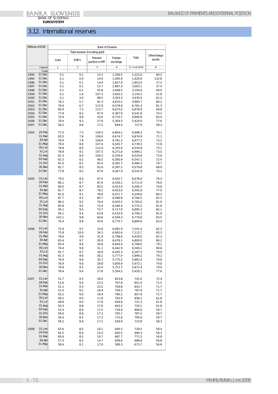## 3.12. International reserves

|              | Millions of EUR  |              |                |                                 | Bank of Slovenia    |                     |                         |
|--------------|------------------|--------------|----------------|---------------------------------|---------------------|---------------------|-------------------------|
|              |                  |              |                | Total reserves (including gold) |                     |                     |                         |
|              |                  | Gold         | SDR's          | Reserve<br>position in IMF      | Foreign<br>exchange | Total               | Other foreign<br>assets |
|              | Column           | 1            | $\overline{2}$ | $\overline{3}$                  | $\overline{4}$      | $5 = 1 + 2 + 3 + 4$ | 6                       |
| 1994         | Code<br>31.Dec   | 0.1          | 0.1            | 15.3                            | 1,206.5             | 1,222.0             | 84.2                    |
| 1995         | 31.Dec           | 0.1          | 0.0            | 14.9                            | 1,405.9             | 1,420.9             | 132.8                   |
| 1996         | 31.Dec           | 0.1          | 0.1            | 14.9                            | 1,837.9             | 1,853.0             | 27.2                    |
| 1997         | 31.Dec           | 0.1          | 0.1            | 15.7                            | 2,987.3             | 3,003.1             | 37.4                    |
| 1998         | 31.Dec           | 0.1          | 0.2            | 55.8                            | 3,048.5             | 3,104.6             | 40.0                    |
| 1999         | 31.Dec           | 0.1          | 1.6            | 107.3                           | 3,050.3             | 3,159.3             | 51.8                    |
| 2000         | 31.Dec           | 0.1          | 4.0            | 88.5                            | 3,343.3             | 3,435.9             | 62.4                    |
| 2001         | 31.Dec           | 76.2         | 5.7            | 91.3                            | 4,810.5             | 4,983.7             | 86.2                    |
| 2002         | 31.Dec<br>31.Dec | 79.9         | 6.7            | 115.9                           | 6,578.9             | 6,781.4             | 81.3                    |
| 2003<br>2004 | 31.Dec           | 80.9<br>77.8 | 7.3<br>8.2     | 115.7<br>87.9                   | 6,675.0<br>6,367.9  | 6,878.9<br>6,541.8  | 69.8<br>74.2            |
| 2005         | 31.Dec           | 70.4         | 9.8            | 43.6                            | 6,770.7             | 6,894.6             | 83.4                    |
| 2006         | 31.Dec           | 78.4         | 9.3            | 27.8                            | 5,304.5             | 5,420.0             | 77.6                    |
| 2007         | 31.Dec           | 58.2         | 8.6            | 17.1                            | 644.0               | 727.9               | 58.3                    |
|              | 29.Feb           |              |                |                                 |                     |                     |                         |
| 2004         | 31.Mar           | 77.5<br>83.5 | 7.3<br>7.8     | 109.3<br>108.9                  | 6,804.2<br>6,674.7  | 6,998.3<br>6,874.9  | 70.1<br>71.1            |
|              | 30.Apr           | 79.4         | 7.8            | 108.9                           | 6,781.2             | 6,977.2             | 73.2                    |
|              | 31.May           | 78.0         | 8.0            | 107.6                           | 6,545.7             | 6,739.3             | 72.6                    |
|              | 30.Jun           | 78.8         | 8.0            | 112.0                           | 6,355.9             | 6,554.8             | 73.1                    |
|              | $31$ .Jul        | 78.8         | 8.1            | 107.3                           | 6,271.8             | 6,466.1             | 73.5                    |
|              | 31.Aug           | 81.3         | 8.4            | 100.5                           | 6,334.6             | 6,524.8             | 73.6                    |
|              | 30.Sep           | 81.5         | 8.2            | 96.5                            | 6,360.9             | 6,547.1             | 72.4                    |
|              | 31.Oct           | 81.0         | 8.1            | 92.4                            | 6,302.7             | 6,484.3             | 70.7                    |
|              | 30.Nov<br>31.Dec | 82.7<br>77.8 | 8.3<br>8.2     | 91.6<br>87.9                    | 6,397.2             | 6,579.8<br>6,541.8  | 68.9<br>74.2            |
|              |                  |              |                |                                 | 6,367.9             |                     |                         |
| 2005         | 31.Jan           | 79.5         | 8.4            | 87.4                            | 6,502.7             | 6,678.0             | 76.3                    |
|              | 28.Feb           | 80.1         | 8.7            | 87.0                            | 6,536.1             | 6,711.9             | 76.0                    |
|              | 31.Mar<br>30.Apr | 80.0         | 8.7<br>8.7     | 83.5                            | 6,423.0             | 6,595.2             | 76.8                    |
|              | 31.May           | 81.7<br>81.0 | 9.1            | 78.2<br>78.8                    | 6,423.0<br>6,071.7  | 6,591.6<br>6,240.6  | 77.0<br>80.2            |
|              | 30.Jun           | 87.7         | 9.3            | 80.7                            | 6,586.8             | 6,764.5             | 82.2                    |
|              | $31$ .Jul        | 86.2         | 9.2            | 76.4                            | 6,593.2             | 6,765.0             | 81.9                    |
|              | 31.Aug           | 85.8         | 9.5            | 73.4                            | 6,546.4             | 6,715.2             | 81.6                    |
|              | 30.Sep           | 95.1         | 9.5            | 73.7                            | 6,717.0             | 6,895.3             | 82.1                    |
|              | 31.Oct           | 94.1         | 9.4            | 63.8                            | 6,532.9             | 6,700.2             | 81.9                    |
|              | 30.Nov           | 102.1        | 9.8            | 64.6                            | 6,594.3             | 6,770.8             | 83.5                    |
|              | 31.Dec           | 70.4         | 9.8            | 43.6                            | 6,770.7             | 6,894.6             | 83.4                    |
| 2006         | 31.Jan           | 75.9         | 9.7            | 33.8                            | 6,981.9             | 7,101.4             | 82.3                    |
|              | 28.Feb           | 75.8         | 10.0           | 34.3                            | 6,992.6             | 7,112.7             | 83.3                    |
|              | 31.Mar           | 78.6         | 9.9            | 31.9                            | 6,798.6             | 6,919.0             | 82.2                    |
|              | 30.Apr<br>31.May | 83.4<br>83.4 | 9.7<br>9.6     | 30.9<br>30.6                    | 6,676.1<br>6,644.4  | 6,800.0<br>6,768.0  | 80.2<br>79.1            |
|              | 30.Jun           | 76.4         | 9.8            | 31.1                            | 6,442.9             | 6,560.2             | 80.6                    |
|              | $31$ .Jul        | 81.7         | 9.7            | 30.8                            | 6,045.3             | 6,167.5             | 79.9                    |
|              | 31.Aug           | 81.5         | 9.6            | 30.2                            | 5,777.9             | 5,899.2             | 79.2                    |
|              | 30.Sep           | 76.9         | 9.6            | 30.7                            | 5,775.2             | 5,892.4             | 79.8                    |
|              | 31.Oct           | 76.9         | 9.6            | 28.8                            | 5,856.9             | 5,972.1             | 79.8                    |
|              | 30.Nov           | 76.8         | 9.5            | 32.4                            | 5,753.7             | 5,872.4             | 79.9                    |
|              | 31.Dec           | 78.4         | 9.4            | 27.8                            | 5,304.5             | 5,420.1             | 77.6                    |
| 2007         | 31.Jan           | 51.7         | 9.5            | 26.0                            | 653.8               | 741.0               | 72.4                    |
|              | 28.Feb           | 51.6         | 9.4            | 23.2                            | 767.8               | 851.9               | 72.5                    |
|              | 31.Mar           | 51.1         | 9.3            | 23.5                            | 769.8               | 853.7               | 71.7                    |
|              | 30.Apr<br>31.May | 51.0         | 9.2            | 18.4                            | 709.3               | 787.9               | 71.7                    |
|              | $30.J$ un        | 50.2<br>49.2 | 9.0<br>9.0     | 18.4                            | 780.1               | 857.8               | 71.7                    |
|              | 31.Jul           | 49.8         | 9.0            | 17.9<br>17.8                    | 782.0<br>644.8      | 858.1<br>721.3      | 61.8<br>61.8            |
|              | 31.Aug           | 50.3         | 8.8            | 17.8                            | 643.3               | 720.1               | 61.8                    |
|              | 30.Sep           | 53.3         | 8.9            | 17.5                            | 726.9               | 806.6               | 59.7                    |
|              | 31.Oct           | 56.0         | 8.8            | 17.3                            | 705.1               | 787.2               | 59.7                    |
|              | 30.Nov           | 54.4         | 8.5            | 17.2                            | 715.6               | 795.6               | 59.7                    |
|              | 31.Dec           | 58.2         | 8.6            | 17.1                            | 639.9               | 723.8               | 58.3                    |
| 2008         | 31.Jan           | 63.6         | 8.5            | 16.1                            | 640.3               | 728.5               | 58.4                    |
|              | 29.Feb           | 65.5         | 8.4            | 15.0                            | 600.5               | 689.3               | 58.3                    |
|              | 31.Mar           | 60.6         | 8.5            | 14.7                            | 687.7               | 771.5               | 56.8                    |
|              | 30.Apr<br>31.May | 57.3         | 8.2            | 14.7                            | 608.6               | 688.8               | 56.8                    |
|              |                  | 58.4         | 8.1            | 17.9                            | 589.3               | 673.7               | 56.8                    |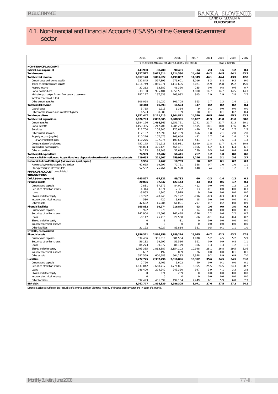## 4.1. Non-financial and Financial Accounts (ESA 95) of the General Government sector

|                                                                                              | 2004       | 2005        | 2006                                                            | 2007        | 2004       | 2005             | 2006             | 2007       |
|----------------------------------------------------------------------------------------------|------------|-------------|-----------------------------------------------------------------|-------------|------------|------------------|------------------|------------|
|                                                                                              |            |             | till 31.12.2006 Millions of SIT, after 1.1.2007 Millions of EUR |             |            |                  | share in GDP (%) |            |
| NON-FINANCIAL ACCOUNT                                                                        |            |             |                                                                 |             |            |                  |                  |            |
| Deficit (-) or surplus (+)                                                                   | $-143,930$ | $-98,700$   | $-90,431$                                                       | $-24$       | $-2.3$     | $-1.5$           | $-1.2$           | $-0.1$     |
| Total revenue                                                                                | 2,827,517  | 3,012,514   | 3,214,380                                                       | 14,496      | 44.2       | 44.5             | 44.1             | 43.2       |
| Total current revenue                                                                        | 2,817,170  | 3,001,922   | 3,199,857                                                       | 14,349      | 44.1       | 44.4             | 43.9             | 42.8       |
| Current taxes on income, wealth                                                              | 531,845    | 597,899     | 679,601                                                         | 3,016       | 8.3        | 8.8              | 9.3              | 9.0        |
| Taxes on production and imports                                                              | 1,016,749  | 1,066,071   | 1,110,695                                                       | 5.021       | 15.9       | 15.8             | 15.2             | 15.0       |
| Property income                                                                              | 37,212     | 53,882      | 46,320                                                          | 235         | 0.6        | 0.8              | 0.6              | 0.7        |
| Social contributions                                                                         | 938,130    | 995,401     | 1,058,501                                                       | 4,800       | 14.7       | 14.7             | 14.5             | 14.3       |
| Market output, output for own final use and payments                                         | 187,177    | 197,639     | 203,032                                                         | 915         | 2.9        | 2.9              | 2.8              | 2.7        |
| for other non-market output                                                                  |            |             |                                                                 |             |            |                  |                  |            |
| Other current transfers                                                                      | 106,058    | 91,030      | 101,708                                                         | 363         | 1.7        | 1.3              | 1.4              | 1.1        |
| Total capital revenue                                                                        | 10,348     | 10,593      | 14,523                                                          | 147         | 0.2        | 0.2              | 0.2              | 0.4        |
| Capital taxes                                                                                | 3,755      | 1,913       | 1,354                                                           | 9           | 0.1        | 0.0              | 0.0              | 0.0        |
| Other capital transfers and investment grants                                                | 6,593      | 8,680       | 13,169                                                          | 138         | 0.1        | 0.1              | 0.2              | 0.4        |
| Total expenditure                                                                            | 2,971,447  | 3,111,215   | 3,304,811                                                       | 14,520      | 46.5       | 46.0             | 45.3             | 43.3       |
| Total current expenditure                                                                    | 2,676,793  | 2,832,505   | 2,988,381                                                       | 13,007      | 41.9       | 41.8             | 41.0             | 38.8       |
| Current transfers                                                                            | 1,384,196  | 1,468,947   | 1,551,721                                                       | 6,741       | 21.7       | 21.7             | 21.3             | 20.1       |
| Social benefits                                                                              | 1,159,335  | 1,217,708   | 1,285,259                                                       | 5,595       | 18.1       | 18.0             | 17.6             | 16.7       |
| Subsidies                                                                                    | 112,704    | 108,340     | 120,673                                                         | 490         | 1.8        | 1.6              | 1.7              | 1.5        |
| Other current transfers                                                                      | 112,157    | 142,899     | 145,789                                                         | 656         | 1.8        | 2.1              | 2.0              | 2.0        |
| Property income (payable)                                                                    | 110,276    | 107,075     | 103,664                                                         | 441         | 1.7        | 1.6              | 1.4              | 1.3        |
| of which: interest rates                                                                     | 110,276    | 107,075     | 103,664                                                         | 441         | 1.7        | 1.6              | 1.4              | 1.3        |
| Compensation of employees                                                                    | 752,175    | 791,911     | 833,931                                                         | 3,640       | 11.8       | 11.7             | 11.4             | 10.9       |
| Intermediate consumption                                                                     | 396,023    | 426,129     | 466,431                                                         | 2,056       | 6.2        | 6.3              | 6.4              |            |
| Other expenditure                                                                            | 34,123     | 38,443      | 32,634                                                          | 129         | 0.5        | 0.6              | 0.4              | 6.1<br>0.4 |
|                                                                                              |            |             |                                                                 |             |            |                  |                  |            |
| Total capital expenditure                                                                    | 74,999     | 67,202      | 56,441                                                          | 267         | 1.2<br>3.4 | 1.0<br>3.1       | 0.8              | 0.8        |
| Gross capital formation and Acquisitions less disposals of non-financial non-produced assets | 219,655    | 211,507     | 259,989                                                         | 1,246       |            |                  | 3.6              | 3.7        |
| Net receipts from EU Budget (net receiver +, net payer -)                                    | 9,906      | 5,767       | 16,769                                                          | 90          | 0.2        | 0.1              | 0.2              | 0.3        |
| Payments by Member State to EU Budget                                                        | 42,655     | 69,997      | 70,751                                                          | 358         | 0.7<br>0.8 | 1.0              | 1.0              | 1.1        |
| EU expenditure in Member State                                                               | 52,562     | 75,764      | 87,520                                                          | 448         |            | 1.1              | 1.2              | 1.3        |
| FINANCIAL ACCOUNT, consolidated                                                              |            |             |                                                                 |             |            |                  |                  |            |
| <b>TRANSACTIONS</b>                                                                          |            |             |                                                                 |             |            |                  | $-1.2$           | $-0.1$     |
| Deficit (-) or surplus (+)                                                                   | $-145,827$ | $-97,821$   | $-89,732$                                                       | $-50$       | $-2.3$     | $-1.4$           |                  |            |
| <b>Financial assets</b>                                                                      | 20,005     | $-37,847$   | 127,143                                                         | 43<br>412   | 0.3<br>0.0 | $-0.6$<br>$-0.6$ | 1.7<br>1.2       | 0.1<br>1.2 |
| Currency and deposits                                                                        | 2,881      | $-37,679$   | 84,001                                                          | 103         | $-0.1$     | 0.0              | 0.0              | 0.3        |
| Securities other than shares<br>Loans                                                        | $-4,314$   | 3,371       | $-2,332$                                                        | 9           | 0.0        | 0.0              | 0.0              | 0.0        |
|                                                                                              | $-3,053$   | 1,840       | 2,979                                                           |             |            |                  |                  |            |
| Shares and other equity                                                                      | $-18,722$  | $-20,943$   | $-22,122$                                                       | $-796$      | $-0.3$     | $-0.3$           | $-0.3$           | $-2.4$     |
| Insurance technical reserves                                                                 | 530        | $-420$      | 3,616                                                           | 18          | 0.0        | 0.0              | 0.0              | 0.1        |
| Other assets                                                                                 | 42,682     | 15,984      | 61,001                                                          | 297         | 0.7        | 0.2              | 0.8              | 0.9        |
| <b>Financial liabilities</b>                                                                 | 165,832    | 59,974      | 216,875                                                         | 93          | 2.6        | 0.9              | 3.0              | 0.3        |
| Currency and deposits                                                                        | 922        | 678         | 133                                                             | 34          | 0.0        | 0.0              | 0.0              | 0.1        |
| Securities other than shares                                                                 | 141,904    | 42,609      | 162,498                                                         | $-226$      | 2.2        | 0.6              | 2.2              | $-0.7$     |
| Loans                                                                                        | $-8,117$   | 25,715      | $-29.538$                                                       | -66         | $-0.1$     | 0.4              | $-0.4$           | $-0.2$     |
| Shares and other equity                                                                      | 0          | $-1$        | $-31$                                                           | 0           | 0.0        | 0.0              | 0.0              | 0.0        |
| Insurance technical reserves                                                                 | 0          | $\mathbf 0$ | $\Omega$                                                        | $\mathbf 0$ | 0.0        | 0.0              | 0.0              | 0.0        |
| Other liabilities                                                                            | 31,122     | $-9,027$    | 83,814                                                          | 351         | 0.5        | $-0.1$           | 1.1              | 1.0        |
| STOCKS, consolidated                                                                         |            |             |                                                                 |             |            |                  |                  |            |
| <b>Financial assets</b>                                                                      | 2,856,371  | 2,866,156   | 3,189,274                                                       | 16,025      | 44.7       | 42.3             | 43.7             | 47.8       |
| Currency and deposits                                                                        | 334,406    | 301,518     | 381,534                                                         | 1,978       | 5.2        | 4.5              | 5.2              | 5.9        |
| Securities other than shares                                                                 | 56,132     | 59,992      | 59,516                                                          | 361         | 0.9        | 0.9              | 0.8              | 1.1        |
| Loans                                                                                        | 84,273     | 90,077      | 86,179                                                          | 366         | 1.3        | 1.3              | 1.2              | 1.1        |
| Shares and other equity                                                                      | 1,793,385  | 1,813,387   | 2,154,103                                                       | 10,948      | 28.1       | 26.8             | 29.5             | 32.6       |
| Insurance technical reserves                                                                 | 607        | 192         | 3,809                                                           | 26          | 0.0        | 0.0              | 0.1              | 0.1        |
| Other assets                                                                                 | 587,569    | 600,989     | 504,133                                                         | 2,348       | 9.2        | 8.9              | 6.9              | 7.0        |
| Liabilities                                                                                  | 2,272,725  | 2,337,796   | 2,516,096                                                       | 10,392      | 35.6       | 34.5             | 34.5             | 31.0       |
| Currency and deposits                                                                        | 2,790      | 3,469       | 3,602                                                           | 40          | 0.0        | 0.1              | 0.0              | 0.1        |
| Securities other than shares                                                                 | 1,631,042  | 1,658,717   | 1,774,801                                                       | 6,955       | 25.5       | 24.5             | 24.3             | 20.7       |
| Loans                                                                                        | 246,400    | 274,240     | 243,320                                                         | 947         | 3.9        | 4.1              | 3.3              | 2.8        |
| Shares and other equity                                                                      | 0          | 271         | 269                                                             | 0           | 0.0        | 0.0              | 0.0              | 0.0        |
| Insurance technical reserves                                                                 | $\Omega$   | $\Omega$    | $\cap$                                                          | $\mathbf 0$ | 0.0        | 0.0              | 0.0              | 0.0        |
| Other liabilities                                                                            | 392,493    | 401,099     | 494,104                                                         | 2,449       | 6.1        | 5.9              | 6.8              | 7.3        |
| <b>EDP</b> debt                                                                              | 1,762,777  | 1,858,339   | 1,986,305                                                       | 8.071       | 27.6       | 27.5             | 27.2             | 24.1       |

Source: Statistical Office of the Republic of Slovenia, Bank of Slovenia, Ministry of Finance and computations in Bank of Slovenia.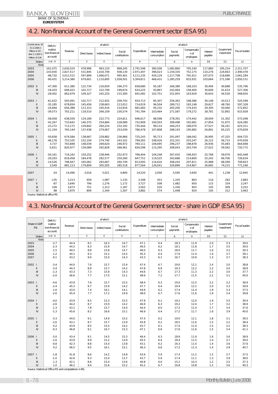#### BANKA SLOVENIJE BANK OF SLOVENIA

**EUROSYSTEM**

## 4.2. Non-financial Account of the General Government sector (ESA 95)

| Current prices, till               | Deficit /                |                |                | of which       |                |             |                | of which  |             |          |            |               |
|------------------------------------|--------------------------|----------------|----------------|----------------|----------------|-------------|----------------|-----------|-------------|----------|------------|---------------|
| 31.12.2006 in<br>Millions of SIT,  | surplus                  | Revenue        |                |                | Social         | Expenditure | Intermediate   | Social    | Compensatio | Interest | Government | Fiscal burden |
| after 1.1.2007 in                  | (non-financial           |                | Direct taxes   | Indirect taxes | contributions  |             | consumption    | payments  | n of        | payable  | investment |               |
| Millions of EUR                    | account)                 |                |                |                |                |             |                |           | employees   |          |            |               |
| Stolpec                            | $1 = 2 - 6$              | $\overline{2}$ | $\overline{3}$ | $\overline{4}$ | $\overline{5}$ | 6           | $\overline{7}$ | 8         | 9           | 10       | 11         | 12            |
| Koda                               |                          |                |                |                |                |             |                |           |             |          |            |               |
| 2003                               | $-161,075$<br>$-143.930$ | 2,630,524      | 478,996        | 963,120        | 868,245        | 2,791,598   | 380,506        | 1,082,860 | 705,240     | 117,860  | 195,224    | 2,311,707     |
| 2004                               |                          | 2,827,517      | 531.845        | 1,016,749      | 938,130        | 2,971,447   | 396,023        | 1,159,335 | 752,175     | 110,276  | 224,663    | 2,490,478     |
| 2005                               | $-98,720$                | 3,012,515      | 597.899        | 1,066,071      | 995,401        | 3,111,235   | 426,129        | 1,217,708 | 791,911     | 107,075  | 218,686    | 2,661,284     |
| 2006                               | $-90,431$                | 3,214,380      | 679,601        | 1,110,695      | 1,058,501      | 3,304,811   | 466,431        | 1,285,259 | 833,931     | 103,664  | 271,596    | 2,850,151     |
| 2002 ll                            | $-47,300$                | 611,380        | 122,734        | 216,659        | 196,373        | 658,680     | 95,187         | 266,380   | 168,103     | 30,494   | 40,688     | 535,796       |
| $\mathbf{III}$                     | $-18.203$                | 606.022        | 102.717        | 222.799        | 199,674        | 624,225     | 93.867         | 242.064   | 158.400     | 30.606   | 41.614     | 527,306       |
| $\mathsf{IV}$                      | $-28,402$                | 662,679        | 109,327        | 242,220        | 215,300        | 691,082     | 102,751        | 251,955   | 163,929     | 30,643   | 44,526     | 568,650       |
|                                    |                          |                |                |                |                |             |                |           |             |          |            |               |
| 2003                               | $-61,622$                | 593,091        | 102,717        | 212,932        | 209,743        | 654,713     | 85,307         | 256,362   | 168,386     | 30,148   | 43,513     | 525,599       |
| $\mathbf{H}$                       | $-35,185$                | 678,834        | 145,456        | 238,663        | 213,012        | 714,019     | 96,504         | 289,712   | 183,148     | 29,627   | 48,760     | 597,328       |
| $\ensuremath{\mathsf{III}}\xspace$ | $-24,694$                | 656,388        | 112,313        | 245,416        | 214,916        | 681,083     | 95,232         | 265,200   | 174,433     | 29,305   | 50,060     | 572,852       |
| IV                                 | $-39,573$                | 702,211        | 118,510        | 266,109        | 230,574        | 741,784     | 103,464        | 271,587   | 179,272     | 28,781   | 52,892     | 615,928       |
|                                    |                          |                |                |                |                |             |                |           |             |          |            |               |
| 2004<br>- 1                        | $-58,058$                | 638,559        | 124,189        | 222,773        | 224,811        | 696,617     | 88,598         | 278,391   | 174,442     | 28,004   | 51,302     | 572,048       |
| $\mathbf{H}$                       | $-42,267$                | 710,642        | 140,375        | 254,684        | 228,089        | 752,909     | 100,503        | 308,498   | 192,681     | 27,854   | 51,975     | 624,280       |
| $\mathop{\mathsf{III}}\nolimits$   | $-22,272$                | 713,172        | 129,842        | 260,224        | 232,192        | 735,444     | 99,114         | 284,253   | 189,070     | 27,527   | 56,161     | 623,311       |
| IV                                 | $-21,334$                | 765,144        | 137,438        | 279,067        | 253,039        | 786,478     | 107,808        | 288,193   | 195,982     | 26,891   | 65,225     | 670,839       |
|                                    |                          |                |                |                |                |             |                |           |             |          |            |               |
| 2005                               | $-50,658$                | 674,584        | 138,667        | 228,882        | 236,866        | 725,243     | 95,713         | 291,097   | 186,042     | 26,995   | 47,325     | 604,725       |
| $\mathbf{H}$                       | $-46,178$                | 753,105        | 152,104        | 274,740        | 243,101        | 799,283     | 108,426        | 322,331   | 203,247     | 26,122   | 56,715     | 670,939       |
| $\mathbf{III}$                     | 3,737                    | 763,848        | 148,039        | 269,620        | 246,972        | 760,111     | 106,695        | 296,237   | 198,878     | 26,936   | 55,083     | 664,848       |
| IV                                 | $-5,621$                 | 820,977        | 159,089        | 292,828        | 268,461        | 826,598     | 115,295        | 308,043   | 203,744     | 27,022   | 59,562     | 720,772       |
| 2006                               | $-50,161$                | 716,242        | 150,252        | 238,946        | 252,973        | 766,404     | 104,248        | 307,435   | 196,453     | 25,768   | 59.076     | 642,448       |
| $\,$ II                            | $-29,293$                | 818,458        | 184,478        | 282,577        | 259,260        | 847,751     | 119,525        | 342,686   | 214,800     | 25,242   | 69,706     | 726,634       |
| $\mathop{\mathsf{III}}\nolimits$   | $-14,526$                | 798.567        | 165.062        | 283.667        | 260.749        | 813.093     | 116,616        | 308,242   | 207,811     | 25,988   | 68,599     | 709.823       |
| IV                                 | 3,549                    | 881,113        | 179,809        | 305,505        | 285,518        | 877,564     | 126,041        | 326,896   | 214,867     | 26,665   | 74,215     | 771,246       |
|                                    |                          |                |                |                |                |             |                |           |             |          |            |               |
| 2007                               | $-24$                    | 14.496         | 3,016          | 5,021          | 4,800          | 14,520      | 2,056          | 5,595     | 3,640       | 441      | 1,238      | 12,845        |
|                                    |                          |                |                |                |                |             |                |           |             |          |            |               |
| 2007                               | $-135$                   | 3,213          | 659            | 1,087          | 1,135          | 3,348       | 453            | 1,335     | 863         | 116      | 283        | 2,883         |
| $\mathbf{H}$                       | $-87$                    | 3,640          | 796            | 1,276          | 1,172          | 3,727       | 508            | 1,482     | 950         | 115      | 334        | 3,247         |
| $\mathop{\mathsf{III}}\nolimits$   | 109                      | 3,673          | 751            | 1,313          | 1,187          | 3,563       | 520            | 1,330     | 903         | 105      | 309        | 3,252         |
| IV                                 | 88                       | 3,970          | 809            | 1,344          | 1,307          | 3,882       | 574            | 1,448     | 924         | 105      | 312        | 3,463         |
| Source: Statistical office RS      |                          |                |                |                |                |             |                |           |             |          |            |               |

## 4.3. Non-financial Account of the General Government sector - share in GDP (ESA 95)

|                                    | Deficit /                             |                | of which<br>of which |                |                         |             |                             |                    |                                  |                     |                          |                 |
|------------------------------------|---------------------------------------|----------------|----------------------|----------------|-------------------------|-------------|-----------------------------|--------------------|----------------------------------|---------------------|--------------------------|-----------------|
| Share in GDP<br>(%)                | surplus<br>(non-financial<br>account) | Revenue        | Direct taxes         | Indirect taxes | Social<br>contributions | Expenditure | Intermediate<br>consumption | Social<br>payments | Compensatio<br>n of<br>employees | Interest<br>payable | Government<br>investment | Fiscal burden   |
| Stolpec                            | $1 = 2 - 6$                           | $\overline{2}$ | $\overline{3}$       | $\overline{4}$ | $\overline{5}$          | 6           | $\overline{7}$              | 8                  | $\overline{9}$                   | $\overline{10}$     | 11                       | $\overline{12}$ |
| Kodal                              |                                       |                |                      |                |                         |             |                             |                    |                                  |                     |                          |                 |
| 2003                               | $-2.7$                                | 44.4           | 8.1                  | 16.3           | 14.7                    | 47.1        | $6.4$                       | 18.3               | 11.9                             | 2.0                 | 3.3                      | 39.0            |
| 2004                               | $-2.3$                                | 44.2           | 8.3                  | 15.9           | 14.7                    | 46.5        | 6.2                         | 18.1               | 11.8                             | 1.7                 | 3.5                      | 39.0            |
| 2005                               | $-1.5$                                | 44.5           | 8.8                  | 15.8           | 14.7                    | 46.0        | 6.3                         | 18.0               | 11.7                             | 1.6                 | 3.2                      | 39.3            |
| 2006                               | $-1.2$                                | 44.1           | 9.3                  | 15.2           | 14.5                    | 45.3        | $6.4$                       | 17.6               | 11.4                             | 1.4                 | 3.7                      | 39.1            |
| 2007                               | $-0.1$                                | 43.2           | 9.0                  | 15.0           | 14.3                    | 43.3        | 6.1                         | 16.7               | 10.9                             | 1.3                 | 3.7                      | 38.3            |
| $2002$                             | $-3.4$                                | 44.0           | 7.6                  | 15.7           | 15.4                    | 47.4        | 6.7                         | 19.0               | 12.1                             | 2.4                 | 3.0                      | 38.8            |
| $\mathbf{H}$                       | $-3.4$                                | 44.3           | 8.9                  | 15.7           | 14.2                    | 47.8        | 6.9                         | 19.3               | 12.2                             | 2.2                 | 3.0                      | 38.9            |
| $\ensuremath{\mathsf{III}}\xspace$ | $-1.3$                                | 43.3           | 7.3                  | 15.9           | 14.3                    | 44.6        | 6.7                         | 17.3               | 11.3                             | 2.2                 | 3.0                      | 37.7            |
| IV                                 | $-2.0$                                | 46.6           | 7.7                  | 17.0           | 15.1                    | 48.6        | 7.2                         | 17.7               | 11.5                             | 2.2                 | 3.1                      | 40.0            |
| 2003                               | $-4.6$                                | 43.9           | 7.6                  | 15.7           | 15.5                    | 48.4        | 6.3                         | 19.0               | 12.5                             | 2.2                 | 3.2                      | 38.9            |
| Ш                                  | $-2.4$                                | 45.3           | 9.7                  | 15.9           | 14.2                    | 47.7        | 6.4                         | 19.4               | 12.2                             | 2.0                 | 3.3                      | 39.9            |
| $\ensuremath{\mathsf{III}}\xspace$ | $-1.6$                                | 43.0           | 7.4                  | 16.1           | 14.1                    | 44.6        | 6.2                         | 17.4               | 11.4                             | 1.9                 | 3.3                      | 37.5            |
| ${\sf IV}$                         | $-2.6$                                | 45.4           | 7.7                  | 17.2           | 14.9                    | 48.0        | 6.7                         | 17.6               | 11.6                             | 1.9                 | 3.4                      | 39.8            |
| $2004$                             | $-4.0$                                | 43.9           | 8.5                  | 15.3           | 15.5                    | 47.9        | 6.1                         | 19.2               | 12.0                             | 1.9                 | 3.5                      | 39.4            |
| $\mathbf{H}$                       | $-2.6$                                | 44.2           | 8.7                  | 15.9           | 14.2                    | 46.9        | 6.3                         | 19.2               | 12.0                             | 1.7                 | 3.2                      | 38.9            |
| $\mathbf{III}$                     | $-1.3$                                | 43.1           | 7.8                  | 15.7           | 14.0                    | 44.4        | 6.0                         | 17.2               | 11.4                             | 1.7                 | 3.4                      | 37.6            |
| IV.                                | $-1.3$                                | 45.6           | 8.2                  | 16.6           | 15.1                    | 46.9        | 6.4                         | 17.2               | 11.7                             | 1.6                 | 3.9                      | 40.0            |
| 2005<br>- 1                        | $-3.3$                                | 44.0           | 9.1                  | 14.9           | 15.5                    | 47.4        | 6.2                         | 19.0               | 12.1                             | 1.8                 | 3.1                      | 39.5            |
| II                                 | $-2.6$                                | 43.1           | 8.7                  | 15.7           | 13.9                    | 45.8        | 6.2                         | 18.5               | 11.6                             | 1.5                 | 3.2                      | 38.4            |
| $\mathbf{III}$                     | 0.2                                   | 43.9           | 8.5                  | 15.5           | 14.2                    | 43.7        | 6.1                         | 17.0               | 11.4                             | 1.5                 | 3.2                      | 38.3            |
| IV                                 | $-0.3$                                | 46.8           | 9.1                  | 16.7           | 15.3                    | 47.1        | 6.6                         | 17.6               | 11.6                             | 1.5                 | 3.4                      | 41.1            |
| 2006                               | $-3.0$                                | 43.4           | 9.1                  | 14.5           | 15.3                    | 46.4        | 6.3                         | 18.6               | 11.9                             | 1.6                 | 3.6                      | 38.9            |
| $\mathsf{II}$                      | $-1.6$                                | 43.9           | 9.9                  | 15.2           | 13.9                    | 45.5        | $6.4$                       | 18.4               | 11.5                             | 1.4                 | 3.7                      | 39.0            |
| $\ensuremath{\mathsf{III}}\xspace$ | $-0.8$                                | 42.3           | 8.8                  | 15.0           | 13.8                    | 43.1        | 6.2                         | 16.3               | 11.0                             | 1.4                 | 3.6                      | 37.6            |
| IV.                                | 0.2                                   | 46.5           | 9.5                  | 16.1           | 15.1                    | 46.3        | 6.6                         | 17.2               | 11.3                             | 1.4                 | 3.9                      | 40.7            |
| 2007<br>- 1                        | $-1.8$                                | 41.8           | 8.6                  | 14.2           | 14.8                    | 43.6        | 5.9                         | 17.4               | 11.2                             | 1.5                 | 3.7                      | 37.5            |
| $\mathsf{II}$                      | $-1.0$                                | 42.6           | 9.3                  | 15.0           | 13.7                    | 43.7        | 5.9                         | 17.4               | 11.1                             | 1.3                 | 3.9                      | 38.0            |
| $\ensuremath{\mathsf{III}}\xspace$ | 1.3                                   | 42.1           | 8.6                  | 15.0           | 13.6                    | 40.8        | 6.0                         | 15.2               | 10.3                             | 1.2                 | 3.5                      | 37.3            |
| IV.                                | 1.0                                   | 46.2           | 9.4                  | 15.6           | 15.2                    | 45.2        | 6.7                         | 16.8               | 10.8                             | 1.2                 | 3.6                      | 40.3            |

Source: Statistical Office RS and computations in BS.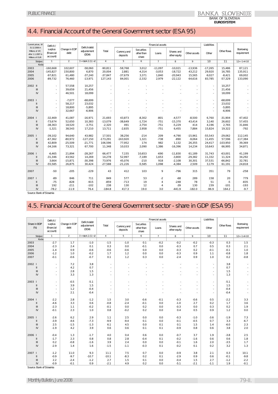# 4.4. Financial Account of the General Government sector (ESA 95)

| Current prices, till | Deficit /      |                |                                   |                |                |            | Financial assets |              |              | Liabilities              |             |                    |
|----------------------|----------------|----------------|-----------------------------------|----------------|----------------|------------|------------------|--------------|--------------|--------------------------|-------------|--------------------|
| 31.12.2006 in        | surplus        | Change in EDP  | Deficit-debt                      |                |                | Securities |                  |              |              |                          |             | Borrowing          |
| Millions of SIT,     | (financial     | debt           | adjustement                       | Total          | Currency and   | other than | Loans            | Shares and   | Other assets | Other                    | Other flows | requirement        |
| after 1.1.2007 in    | account)       |                | (DDA)                             |                | deposits       | share      |                  | other equity |              |                          |             |                    |
| Millions of EUR      |                |                |                                   |                |                |            |                  |              |              |                          |             |                    |
| Stolpec<br>Koda      | $\mathbf{1}$   | $\overline{2}$ | $3 = \frac{\text{tab4.2}}{1} + 2$ | $\overline{4}$ | $\overline{5}$ | 6          | $\overline{7}$   | 8            | 9            | 10                       | 11          | $12 = -1 + 4 - 10$ |
| 2003                 | $-160,668$     | 102.607        | $-58,060$                         | $-90,811$      | $-58,768$      | 3,012      | $-11,097$        | $-10,021$    | $-13,936$    | $-17,265$                | 15,486      | 87,121             |
| 2004                 | $-145,827$     | 150.800        | 6,870                             | 20.004         | 2,881          | $-4,314$   | $-3,053$         | $-18.722$    | 43,212       | 29.920                   | 16.785      | 135,911            |
| 2005                 | $-97,821$      | 61,480         | $-37,240$                         | $-37,847$      | $-37,679$      | 3,371      | 1,840            | $-20,943$    | 15,565       | $-9,027$                 | $-8,421$    | 69,002             |
| 2006                 | $-89,732$      | 76,460         | $-13,971$                         | 127,143        | 84,001         | $-2,332$   | 2,979            | $-22,122$    | 64,616       | 83,785                   | $-57,329$   | 133,090            |
|                      |                |                |                                   |                |                |            |                  |              |              |                          |             |                    |
| 2002 ll              | $\overline{a}$ | 57,558         | 10,257                            | ٠              |                |            |                  |              | ×,           | ÷                        | 10,257      |                    |
| $\mathbf{III}$       | ٠              | 39.659         | 21.456                            | ٠              |                |            |                  |              | ×,           | $\sim$                   | 21.456      |                    |
| $\mathsf{IV}$        | ٠              | 46,501         | 18,099                            | ٠              |                |            |                  |              | ä,           | ٠                        | 18,099      |                    |
|                      |                |                |                                   |                |                |            |                  |              |              |                          |             |                    |
| 2003                 | ÷              | $-7,077$       | $-68,699$                         |                |                |            |                  |              |              | ٠                        | $-68,699$   |                    |
| $\mathbf{II}$        | $\overline{a}$ | 58,217         | 23,032                            |                |                |            |                  |              |              | $\overline{\phantom{a}}$ | 23,032      |                    |
| $\mathbf{III}$       | ٠              | 18,800         | $-5,895$                          | ٠              |                |            |                  |              |              | ÷                        | $-5,895$    |                    |
| IV                   |                | 32,667         | $-6,906$                          |                |                |            |                  |              |              |                          | $-6,906$    |                    |
|                      |                |                |                                   |                |                |            |                  |              |              |                          |             |                    |
| 2004                 | $-32.469$      | 41,087         | $-16,971$                         | 21,693         | 43,873         | $-8,302$   | $-801$           | $-4,577$     | $-8,500$     | 6,760                    | $-31,904$   | 47,402             |
| $\mathbf{H}$         | $-73,674$      | 52,650         | 10,383                            | $-13,079$      | $-38,649$      | $-1,724$   | $-751$           | $-15,370$    | 43,414       | 3.140                    | 26,602      | 57,455             |
| III                  | $-38,363$      | 18,520         | $-3,751$                          | $-2,320$       | 491            | 2,754      | $-751$           | $-5,229$     | 414          | 4,196                    | 2,765       | 31,846             |
| IV                   | $-1,321$       | 38,543         | 17,210                            | 13,711         | $-2,835$       | 2,958      | $-751$           | 6,455        | 7,884        | 15,824                   | 19,322      | $-792$             |
|                      |                |                |                                   |                |                |            |                  |              |              |                          |             |                    |
| 2005                 | $-39,102$      | 94,640         | 43,982                            | 17,501         | 38,256         | $-214$     | 209              | $-4,790$     | $-15,961$    | $-55,543$                | $-29,062$   | 112,145            |
| $\mathbf{II}$        | $-67,362$      | $-80,972$      | $-127,150$                        | $-173,291$     | $-163,920$     | 1,321      | $-738$           | $-890$       | $-9,064$     | 11,455                   | 57,596      | $-117,384$         |
| $\mathbf{III}$       | 42,809         | $-25,509$      | $-21,771$                         | 106.596        | 77,952         | 174        | 982              | 1,132        | 26,355       | 24,417                   | $-103.950$  | 39,369             |
| IV                   | $-34,166$      | 73,321         | 67,700                            | 11,348         | 10,033         | 2,090      | 1,386            | $-16,396$    | 14,234       | 10,643                   | 66,995      | 34,871             |
|                      |                |                |                                   |                |                |            |                  |              |              |                          |             |                    |
| 2006                 | $-6,465$       | 21,894         | $-28,267$                         | 66,477         | 7,155          | 10,653     | $-690$           | $-11,830$    | 61,189       | 31,743                   | $-63,001$   | 41,199             |
| $\mathbf{II}$        | $-31,346$      | 43,562         | 14,269                            | 14,278         | 52,997         | $-7,189$   | 1,653            | $-3.800$     | $-29,382$    | 11,332                   | 11,324      | 34,292             |
| $\mathbf{III}$       | 3,664          | $-15,871$      | $-30,398$                         | 73,976         | 45,076         | $-210$     | 918              | $-2,108$     | 30,301       | 37,531                   | $-66,842$   | 32,781             |
| IV                   | $-55,585$      | 26,875         | 30,424                            | $-27,588$      | $-21,226$      | $-5,585$   | 1,098            | $-4,384$     | 2,509        | 3,179                    | 61,191      | 24,818             |
|                      |                |                |                                   |                |                |            |                  |              |              |                          |             |                    |
| 2007                 | $-50$          | $-205$         | $-229$                            | 43             | 412            | 103        | 9                | $-796$       | 315          | 351                      | 79          | $-258$             |
|                      |                |                |                                   |                |                |            |                  |              |              |                          |             |                    |
| $2007$               | $-89$          | 846            | 711                               | 849            | 577            | 53         | $-2$             | $-68$        | 289          | 158                      | 20          | 779                |
| $\mathbf{I}$         | $-75$          | $-828$         | $-915$                            | $-859$         | $-713$         | 19         | $\overline{4}$   | $-248$       | 78           | 51                       | $-5$        | $-835$             |
| III                  | 192            | $-211$         | $-102$                            | 238            | 130            | 12         | $\Delta$         | $-39$        | 130          | 239                      | $-101$      | $-193$             |
| IV                   | $-78.2$        | $-11.9$        | 76.4                              | $-184.8$       | 417.3          | 19.0       | 3.0              | $-441.9$     | $-182.0$     | $-96.9$                  | 164.2       | $-9.7$             |

Source: Bank of Slovenia

## 4.5. Financial Account of the General Government sector - share in GDP (ESA 95)

|                            | Deficit /                         |                       |                                      |                |                          |                                   | Financial assets |                            |              | Liabilities |             |                          |
|----------------------------|-----------------------------------|-----------------------|--------------------------------------|----------------|--------------------------|-----------------------------------|------------------|----------------------------|--------------|-------------|-------------|--------------------------|
| Share in BDP<br>$(\%)$     | surplus<br>(financial<br>account) | Change in EDP<br>debt | Deficit-debt<br>adjustement<br>(DDA) | Total          | Currency and<br>deposits | Securities<br>other than<br>share | Loans            | Shares and<br>other equity | Other assets | Other       | Other flows | Borrowing<br>requirement |
| Stolpec                    | $\overline{1}$                    | $\overline{2}$        | $3 = \frac{\text{tab4.2}}{1} + 2$    | $\overline{4}$ | $\overline{5}$           | $\overline{6}$                    | $\overline{7}$   | 8                          | 9            | 10          | 11          | $12 = -1 + 4 - 10$       |
| Koda                       |                                   |                       |                                      |                |                          |                                   |                  |                            |              |             |             |                          |
| 2003                       | $-2.7$                            | 1.7                   | $-1.0$                               | $-1.5$         | $-1.0$                   | 0.1                               | $-0.2$           | $-0.2$                     | $-0.2$       | $-0.3$      | 0.3         | 1.5                      |
| 2004                       | $-2.3$                            | 2.4                   | 0.1                                  | 0.3            | 0.0                      | $-0.1$                            | 0.0              | $-0.3$                     | 0.7          | 0.5         | 0.3         | 2.1                      |
| 2005                       | $-1.4$                            | 0.9                   | $-0.6$                               | $-0.6$         | $-0.6$                   | 0.0                               | 0.0              | $-0.3$                     | 0.2          | $-0.1$      | $-0.1$      | 1.0                      |
| 2006                       | $-1.2$                            | 1.0                   | $-0.2$                               | 1.7            | 1.2                      | 0.0                               | 0.0              | $-0.3$                     | 0.9          | 1.1         | $-0.8$      | 1.8                      |
| 2007                       | $-0.1$                            | $-0.6$                | $-0.7$                               | 0.1            | 1.2                      | 0.3                               | 0.0              | $-2.4$                     | 0.9          | 1.0         | 0.2         | $-0.8$                   |
| 2002                       | ×                                 | 7.2                   | 3.8                                  | ÷              |                          |                                   |                  |                            |              | L.          | 3.8         | $\sim$                   |
| $\mathbf{I}$               | ä,                                | 4.2                   | 0.7                                  | $\sim$         |                          |                                   |                  |                            | ×,           | ä,          | 0.7         | ÷.                       |
| III                        | ÷                                 | 2.8                   | 1.5                                  | $\sim$         |                          |                                   |                  |                            | ÷            | ä,          | 1.5         |                          |
| IV                         | ä,                                | 3.3                   | 1.3                                  | $\sim$         |                          |                                   |                  |                            | ÷            | ÷           | 1.3         |                          |
| 2003                       | ÷,                                | $-0.5$                | $-5.1$                               |                |                          |                                   |                  |                            | ÷,           | ÷.          | $-5.1$      |                          |
| $\mathbf{I}$               | ÷                                 | 3.9                   | 1.5                                  | $\sim$         |                          |                                   |                  |                            | $\sim$       | $\sim$      | 1.5         |                          |
|                            |                                   |                       |                                      |                |                          |                                   |                  |                            |              |             |             |                          |
| $\mathbf{III}$             | ÷,                                | 1.2                   | $-0.4$                               | ÷              |                          |                                   |                  |                            |              | ÷.          | $-0.4$      |                          |
| IV                         | ×                                 | 2.1                   | $-0.4$                               | ÷              |                          |                                   |                  |                            | ×,           | ÷           | $-0.4$      |                          |
| 2004                       | $-2.2$                            | 2.8                   | $-1.2$                               | 1.5            | 3.0                      | $-0.6$                            | $-0.1$           | $-0.3$                     | $-0.6$       | 0.5         | $-2.2$      | 3.3                      |
| $\ensuremath{\mathsf{II}}$ | $-4.6$                            | 3.3                   | 0.6                                  | $-0.8$         | $-2.4$                   | $-0.1$                            | 0.0              | $-1.0$                     | 2.7          | 0.2         | 1.7         | 3.6                      |
| $\mathbf{III}$             | $-2.3$                            | 1.1                   | $-0.2$                               | $-0.1$         | 0.0                      | 0.2                               | 0.0              | $-0.3$                     | 0.0          | 0.3         | 0.2         | 1.9                      |
| IV                         | $-0.1$                            | 2.3                   | 1.0                                  | 0.8            | $-0.2$                   | 0.2                               | 0.0              | 0.4                        | 0.5          | 0.9         | 1.2         | 0.0                      |
| 2005<br>- 1                | $-2.6$                            | 6.2                   | 2.9                                  | 1.1            | 2.5                      | 0.0                               | 0.0              | $-0.3$                     | $-1.0$       | $-3.6$      | $-1.9$      | 7.3                      |
| $\mathbf{I}$               | $-3.9$                            | $-4.6$                | $-7.3$                               | $-9.9$         | $-9.4$                   | 0.1                               | 0.0              | $-0.1$                     | $-0.5$       | 0.7         | 3.3         | $-6.7$                   |
| III                        | 2.5                               | $-1.5$                | $-1.3$                               | 6.1            | 4.5                      | 0.0                               | 0.1              | 0.1                        | 1.5          | 1.4         | $-6.0$      | 2.3                      |
| IV                         | $-1.9$                            | 4.2                   | 3.9                                  | 0.6            | 0.6                      | 0.1                               | 0.1              | $-0.9$                     | 0.8          | 0.6         | 3.8         | 2.0                      |
|                            |                                   |                       |                                      |                |                          |                                   |                  |                            |              |             |             |                          |
| 2006                       | $-0.4$                            | 1.3                   | $-1.7$                               | 4.0            | 0.4                      | 0.6                               | 0.0              | $-0.7$                     | 3.7          | 1.9         | $-3.8$      | 2.5                      |
| $\mathbf{II}$              | $-1.7$                            | 2.3                   | 0.8                                  | 0.8            | 2.8                      | $-0.4$                            | 0.1              | $-0.2$                     | $-1.6$       | 0.6         | 0.6         | 1.8                      |
| $\mathbf{III}$             | 0.2                               | $-0.8$                | $-1.6$                               | 3.9            | 2.4                      | 0.0                               | 0.0              | $-0.1$                     | 1.6          | 2.0         | $-3.5$      | 1.7                      |
| IV                         | $-2.9$                            | 1.4                   | 1.6                                  | $-1.5$         | $-1.1$                   | $-0.3$                            | 0.1              | $-0.2$                     | 0.1          | 0.2         | 3.2         | 1.3                      |
| 2007                       | $-1.2$                            | 11.0                  | 9.3                                  | 11.1           | 7.5                      | 0.7                               | 0.0              | $-0.9$                     | 3.8          | 2.1         | 0.3         | 10.1                     |
| $\mathbf{II}$              | $-0.9$                            | $-9.7$                | $-10.7$                              | $-10.1$        | $-8.3$                   | 0.2                               | 0.1              | $-2.9$                     | 0.9          | 0.6         | $-0.1$      | $-9.8$                   |
| $\mathbf{III}$             | 2.2                               | $-2.4$                | $-1.2$                               | 2.7            | 1.5                      | 0.1                               | 0.0              | $-0.4$                     | 1.5          | 2.7         | $-1.2$      | $-2.2$                   |
| IV                         | $-0.9$                            | $-0.1$                | 0.9                                  | $-2.1$         | 4.9                      | 0.2                               | 0.0              | $-5.1$                     | $-2.1$       | $-1.1$      | 1.9         | $-0.1$                   |

Source: Bank of Slovenia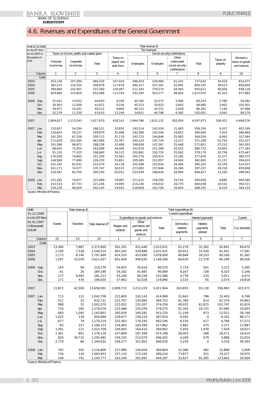# 4.6. Revenues and Expenditures of the General Government

| Until 31.12.2006             |                        |                                                                                             |                |                                       |                | Total revenue (I) |                                                          |                |                      |                                             |  |  |  |
|------------------------------|------------------------|---------------------------------------------------------------------------------------------|----------------|---------------------------------------|----------------|-------------------|----------------------------------------------------------|----------------|----------------------|---------------------------------------------|--|--|--|
| in mio SIT from              |                        | Tax revenues<br>Taxes on income, profits and capital gains<br>Social security contributions |                |                                       |                |                   |                                                          |                |                      |                                             |  |  |  |
| 01.01.2007 in                |                        |                                                                                             |                |                                       |                |                   |                                                          |                |                      |                                             |  |  |  |
| thousands of<br>EUR          | Personal<br>income tax | Corporate<br>income tax                                                                     | Total          | Taxes on<br>payroll and<br>work force | Employees      | Employers         | Other<br>unallocable<br>social security<br>contributions | Total          | Taxes on<br>property | Domestics<br>taxes on goods<br>and services |  |  |  |
| Column                       | $\mathbf{1}$           | $\overline{2}$                                                                              | $\overline{3}$ | $\overline{4}$                        | $\overline{5}$ | 6                 | $\overline{7}$                                           | $\overline{8}$ | $\overline{9}$       | 10                                          |  |  |  |
| Code                         |                        |                                                                                             |                |                                       |                |                   |                                                          |                |                      |                                             |  |  |  |
| 2003                         | 353,126                | 107,394                                                                                     | 460,520        | 107,424                               | 446,924        | 229,466           | 61,242                                                   | 737,632        | 34,419               | 814,577                                     |  |  |  |
| 2004                         | 382,523                | 124,355                                                                                     | 506,878        | 117,676                               | 480,317        | 257,391           | 62,995                                                   | 800,702        | 39,513               | 856,604                                     |  |  |  |
| 2005                         | 394,860                | 142,401                                                                                     | 537,260        | 126,097                               | 511,343        | 379,274           | 64,993                                                   | 955,611        | 40,834               | 938,118                                     |  |  |  |
| 2006                         | 429.666                | 225.820                                                                                     | 655,486        | 113,334                               | 542,290        | 403.277           | 68,404                                                   | 1.013.970      | 45,322               | 977,082                                     |  |  |  |
|                              |                        |                                                                                             |                |                                       |                |                   |                                                          |                |                      |                                             |  |  |  |
| Sep.<br>2006                 | 31.052                 | 13,552                                                                                      | 44,603         | 9,249                                 | 45,182         | 33,575            | 5,496                                                    | 84,253         | 3,780                | 56,082                                      |  |  |  |
| Oct.                         | 30,363                 | 11,509                                                                                      | 41,871         | 9,226                                 | 45,213         | 33,623            | 5,643                                                    | 84,480         | 3,402                | 103,301                                     |  |  |  |
| Nov.                         | 34,971                 | 14,241                                                                                      | 49,212         | 9,804                                 | 46,122         | 34,331            | 5,939                                                    | 86,391         | 7,140                | 97,968                                      |  |  |  |
| Dec.                         | 52,279                 | 11,330                                                                                      | 63,610         | 13,249                                | 54,821         | 40,798            | 6,382                                                    | 102,001        | 3,043                | 89,279                                      |  |  |  |
|                              |                        |                                                                                             |                |                                       |                |                   |                                                          |                |                      |                                             |  |  |  |
| 2007                         | 1,804,427              | 1,113,243                                                                                   | 2,917,670      | 418,141                               | 2,464,786      | 1,831,132         | 302,054                                                  | 4,597,973      | 206,421              | 4,498,576                                   |  |  |  |
|                              |                        |                                                                                             |                |                                       |                |                   |                                                          |                |                      |                                             |  |  |  |
| 2007<br>Jan.                 | 133,857                | 54,294                                                                                      | 188,151        | 32,835                                | 193,314        | 143,559           | 21,483                                                   | 358,356        | 6,207                | 403,169                                     |  |  |  |
| Feb.                         | 130,643                | 59,227                                                                                      | 189,870        | 32,096                                | 192,366        | 143,246           | 24,852                                                   | 360,464        | 7,914                | 286,860                                     |  |  |  |
| Mar.                         | 142.355                | 67,358                                                                                      | 209.713        | 31.119                                | 193.725        | 144.846           | 25,983                                                   | 364,554        | 8,063                | 327,584                                     |  |  |  |
| Apr.                         | 171,829                | 291,065                                                                                     | 462,894        | 32,767                                | 200,223        | 147,729           | 23,157                                                   | 371,109        | 10,750               | 332,537                                     |  |  |  |
| May                          | 191,386                | 96,872                                                                                      | 288,258        | 32,408                                | 198,836        | 147.567           | 25,448                                                   | 371,851        | 27,215               | 363,303                                     |  |  |  |
| Jun.                         | 88,045                 | 75,054                                                                                      | 163,099        | 34,495                                | 203,919        | 151,289           | 25,525                                                   | 380,733        | 19,993               | 277,183                                     |  |  |  |
| Jul.                         | 91,135                 | 77,525                                                                                      | 168,660        | 34,122                                | 202,862        | 150,735           | 25,582                                                   | 379,179        | 20,758               | 475,447                                     |  |  |  |
| Aug.                         | 176,509                | 74,845                                                                                      | 251,354        | 33,563                                | 202,276        | 150,415           | 25,185                                                   | 377,876        | 31,377               | 395,375                                     |  |  |  |
| Sep.                         | 148,569                | 77,690                                                                                      | 226,259        | 33,851                                | 205,065        | 152,057           | 24,943                                                   | 382,065        | 15,157               | 264,633                                     |  |  |  |
| Oct.                         | 152,342                | 81,031                                                                                      | 233,374        | 34,118                                | 205,498        | 153,020           | 26,584                                                   | 385,102        | 16,339               | 514,537                                     |  |  |  |
| Nov.                         | 161.171                | 74,577                                                                                      | 235,747        | 36,515                                | 213,063        | 157,846           | 26,349                                                   | 397,257        | 29,318               | 459,906                                     |  |  |  |
| Dec.                         | 216,587                | 83,705                                                                                      | 300,293        | 50,251                                | 253,639        | 188,824           | 26,964                                                   | 469,427        | 13,330               | 398,043                                     |  |  |  |
|                              |                        |                                                                                             |                |                                       |                |                   |                                                          |                |                      |                                             |  |  |  |
| 2008<br>Jan.                 | 152,292                | 70,677                                                                                      | 222,969        | 19,987                                | 211,615        | 158,290           | 24,754                                                   | 394,658        | 8,685                | 404,585                                     |  |  |  |
| Feb.                         | 153,523                | 67,723                                                                                      | 221,246        | 19,495                                | 214,236        | 159,032           | 26,770                                                   | 400,038        | 10,532               | 354,721                                     |  |  |  |
| Mar.                         | 159,216                | 90,929                                                                                      | 250,145        | 19,933                                | 218,958        | 162,794           | 26,604                                                   | 408,355        | 8,319                | 340,133                                     |  |  |  |
| Source: Ministry of Finance. |                        |                                                                                             |                |                                       |                |                   |                                                          |                |                      |                                             |  |  |  |

| Until           |        | Total revenue (I) |                                                        | Total expenditure (II)<br>Current expenditure |                |           |           |             |         |                |
|-----------------|--------|-------------------|--------------------------------------------------------|-----------------------------------------------|----------------|-----------|-----------|-------------|---------|----------------|
| 31.12.2006      |        |                   | Expenditure on goods and services<br>Interest payments |                                               |                |           |           |             |         |                |
| in mio SIT from |        |                   |                                                        |                                               |                |           |           |             |         | Current        |
| 01.01.2007      | Grants | Transfers         | Total revenue $(1)^2$                                  |                                               | Other          |           | Domestics | Interest    |         |                |
| in thousands    |        |                   |                                                        | Wages and                                     | purchases aof  | Total     | interest  | payments    | Total   | Cur. transfers |
| of EUR          |        |                   |                                                        | salaries                                      | goods and      |           | payments  | abroad      |         |                |
|                 |        |                   |                                                        |                                               | services       |           |           |             |         |                |
| Column          | 22     | 23                | 24                                                     | $\mathbf{1}$                                  | $\overline{2}$ | 3         | 4         | 5           | 6       | $\overline{7}$ |
| Code            |        |                   |                                                        |                                               |                |           |           |             |         |                |
| 2003            | 13,384 | 7,887             | 2,375,840                                              | 561,191                                       | 451,440        | 1,012,631 | 61,279    | 31,382      | 92,661  | 69,470         |
| 2004            | 2,100  | 7,528             | 2,540,514                                              | 601,542                                       | 429,888        | 1,031,431 | 60,911    | 31,030      | 91,941  | 77,581         |
| 2005            | 2,173  | 8,140             | 2,797,480                                              | 624,310                                       | 453,690        | 1,078,000 | 60,848    | 28,333      | 89,180  | 91,362         |
| 2006            | 1,287  | 10,259            | 3,021,927                                              | 651,456                                       | 496,830        | 1,148,286 | 68,620    | 21,578      | 90,199  | 96,556         |
|                 |        |                   |                                                        |                                               |                |           |           |             |         |                |
| Sep.<br>2006    | 154    | 94                | 219,270                                                | 54,955                                        | 35,616         | 90,570    | 2,714     | 501         | 3,215   | 3,395          |
| Oct.            | 61     | 26                | 264,180                                                | 54,182                                        | 41,887         | 96,069    | 8,167     | 158         | 8,325   | 5,146          |
| Nov.            | 177    | 9.483             | 281.213                                                | 55,248                                        | 46,338         | 101.586   | 4.778     | 233         | 5,011   | 6,475          |
| Dec.            | 171    | 476               | 296,635                                                | 57,962                                        | 62,028         | 119,990   | 2,510     | 65          | 2,574   | 19,918         |
|                 |        |                   |                                                        |                                               |                |           |           |             |         |                |
| 2007            | 11.872 | 42,500            | 13,658,091                                             | 2,809,715                                     | 2,212,229      | 5,021,944 | 263,853   | 93,130      | 356,983 | 423,371        |
|                 |        |                   |                                                        |                                               |                |           |           |             |         |                |
| 2007<br>Jan.    | 713    | 112               | 1,042,708                                              | 222,845                                       | 192,143        | 414,988   | 31,643    | 786         | 32,429  | 6,748          |
| Feb.            | 411    | 31                | 932.721                                                | 223,767                                       | 145.985        | 369,752   | 61,760    | 614         | 62,374  | 54,843         |
| Mar.            | 988    | 32                | 1.001.570                                              | 222.052                                       | 152.207        | 374.259   | 40,932    | 61,815      | 102.747 | 42,819         |
| Apr.            | 726    | 265               | 1,279,579                                              | 223,498                                       | 155,076        | 378,575   | 62,355    | 24,725      | 87,080  | 10,003         |
| May             | 683    | 1,045             | 1,163,801                                              | 283,939                                       | 169,281        | 453,220   | 11,149    | 873         | 12,021  | 39,748         |
| Jun.            | 1,422  | 139               | 950.999                                                | 229,677                                       | 158.233        | 387.910   | 6,182     | $\mathsf O$ | 6,182   | 88,171         |
| Jul.            | 677    | 79                | 1,174,219                                              | 232,363                                       | 170,183        | 402,546   | 6,150     | 617         | 6,768   | 57,273         |
| Aug.            | $-93$  | 227               | 1,186,153                                              | 234,463                                       | 183,399        | 417,862   | 2,802     | 475         | 3,277   | 12,987         |
| Sep.            | 1,391  | 121               | 1,013,709                                              | 230,493                                       | 164,410        | 394,902   | 5,450     | 1,978       | 7,428   | 18,027         |
| Oct.            | 1,361  | 801               | 1,276,118                                              | 227.809                                       | 187.389        | 415.198   | 26,003    | 568         | 26,571  | 18,014         |
| Nov.            | 820    | 39,715            | 1,292,482                                              | 234,232                                       | 212,070        | 446,302   | 4,209     | 679         | 4,888   | 25,554         |
| Dec.            | 2,774  | $-66$             | 1,344,032                                              | 244,577                                       | 321,852        | 566,430   | 5,220     | $\mathsf O$ | 5,220   | 49,184         |
|                 |        |                   |                                                        |                                               |                |           |           |             |         |                |
| 2008<br>Jan.    | 742    | 355               | 1,116,800                                              | 227,980                                       | 156,824        | 384,804   | 22,386    | 482         | 22,868  | 5,008          |
| Feb.            | 734    | 124               | 1,083,953                                              | 227,110                                       | 172,106        | 399,216   | 73,877    | 351         | 74,227  | 34,975         |
| Mar.            | 148    | 741               | 1,104,777                                              | 242,246                                       | 201,942        | 444,187   | 32,637    | 91,305      | 123,942 | 20,564         |

Source: Ministry of Finance.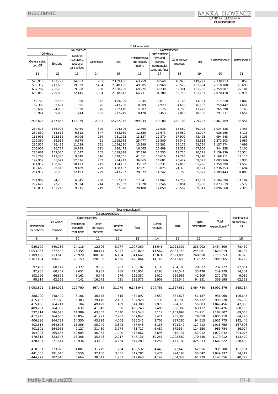|               |                |               |              |            | Total revenue (I) |                 |              |                    |                 |                 |
|---------------|----------------|---------------|--------------|------------|-------------------|-----------------|--------------|--------------------|-----------------|-----------------|
|               |                | Tax revenues  |              |            |                   | Nontax revenue  |              |                    |                 |                 |
|               | Of which:      | Taxes on      |              |            |                   | Administrative  |              |                    |                 |                 |
| General sales |                | international |              |            | Enterpreneurial   | fees and        | Other nontax |                    | Current revenue | Capital revenue |
| tax, VAT      | <b>Excises</b> | trade and     | Other taxes  | Total      | and property      | charges,        | revenues     | Total              |                 |                 |
|               |                | transactions  |              |            | income            | nonindustrial   |              |                    |                 |                 |
|               |                |               |              |            |                   | sales and fines |              |                    |                 |                 |
| 11            | 12             | 13            | 14           | 15         | 16                | 17              | 18           | 19                 | 20              | 21              |
|               | 197,792        | 34,653        |              |            | 63,759            |                 |              |                    | 2,338,713       |                 |
| 525,918       |                |               | 261<br>7.484 | 2,189,486  |                   | 36,540          | 48,928       | 149,227<br>161.994 |                 | 15,857          |
| 539,317       | 217,600        | 19,339        |              | 2,348,195  | 49,505            | 33,960          | 78,529       |                    | 2,510,188       | 20,698          |
| 607.702       | 230,283        | 9,360         | 950          | 2,608,230  | 69,225            | 30,230          | 52,301       | 151.756            | 2,759,987       | 27,181          |
| 650,858       | 229.083        | 12,145        | 1,304        | 2,818,643  | 64.731            | 34,280          | 52,756       | 151.767            | 2,970,410       | 39,971          |
| 42,763        | 6,565          | 960           | 372          | 199,299    | 7.945             | 2,811           | 4,165        | 14,921             | 214,220         | 4,802           |
| 62,399        | 32,691         | 895           | 75           | 243,250    | 8,609             | 2,923           | 4,659        | 16,192             | 259,442         | 4,651           |
| 65,687        | 24,039         | 1,528         | 76           | 252,118    | 5,307             | 3,176           | 4,788        | 13,272             | 265,390         | 6,163           |
| 68,961        | 9,859          | 1,444         | 125          | 272,749    | 8,120             | 3,453           | 7,015        | 18,588             | 291,337         | 4,651           |
|               |                |               |              |            |                   |                 |              |                    |                 |                 |
| 2,906,674     | 1,157,853      | 117,079       | 2,081        | 12,757,942 | 299.944           | 149.100         | 260.183      | 709,227            | 13.467.169      | 136,551         |
| 234,578       | 136,926        | 5,460         | 329          | 994,506    | 12,795            | 11,538          | 15,589       | 39,923             | 1,034,428       | 7,455           |
| 239,530       | 18,612         | 6,313         | $-347$       | 883,169    | 12,355            | 11,673          | 18,969       | 42,997             | 926,166         | 6,113           |
| 165,995       | 123,881        | 9,706         | 284          | 951,023    | 13,137            | 12,379          | 17,909       | 43,425             | 994,448         | 6,103           |
| 206,360       | 86,916         | 8,879         | 51           | 1,218,988  | 25,477            | 11,589          | 16,548       | 53,615             | 1,272,603       | 5,986           |
| 230,527       | 96,436         | 11,034        | 151          | 1,094,220  | 15,298            | 13,281          | 35,175       | 63,754             | 1,157,974       | 4,099           |
| 203,906       | 36,774         | 10.749        | 221          | 886,473    | 16,065            | 12,489          | 29,312       | 57,866             | 944,338         | 5,100           |
| 280,061       | 159,030        | 11,547        | 105          | 1,089,818  | 37,836            | 12,555          | 19,730       | 70.121             | 1,159,939       | 13,524          |
| 248,266       | 113,345        | 9,640         | 316          | 1,099,501  | 41,511            | 10,616          | 17,283       | 69,410             | 1,168,911       | 17,110          |
| 197,959       | 35,021         | 12,026        | 252          | 934,243    | 36,865            | 11,681          | 20,477       | 69,023             | 1,003,266       | 8,930           |
| 314,912       | 160,070        | 10,423        | 211          | 1,194,103  | 35,012            | 13,231          | 17,053       | 65,296             | 1,259,399       | 14,557          |
| 319,663       | 99,910         | 9,109         | 279          | 1,168,132  | 32,921            | 13,825          | 21,375       | 68,121             | 1,236,253       | 15,694          |
| 264,917       | 90,933         | 12,193        | 229          | 1,243,767  | 20,672            | 14,242          | 30,763       | 65,677             | 1,309,443       | 31,880          |
|               |                |               |              |            |                   |                 |              |                    |                 |                 |
| 274,909       | 94,755         | 6,345         | 208          | 1,057,437  | 17,541            | 11,862          | 17,759       | 47,162             | 1,104,599       | 11,104          |
| 292,629       | 27,238         | 9,324         | 214          | 1,015,569  | 13,820            | 13,246          | 30,884       | 57,950             | 1,073,519       | 9,577           |
| 145,811       | 151,210        | 9,915         | 219          | 1,037,020  | 20,180            | 12,859          | 26,502       | 59,541             | 1,096,560       | 7,328           |

|              |           |                   |                     |           | Total expenditure (II) |          |            |             |                               |                     |
|--------------|-----------|-------------------|---------------------|-----------|------------------------|----------|------------|-------------|-------------------------------|---------------------|
|              |           |                   | Current expenditure |           |                        |          |            |             |                               |                     |
|              |           | Current transfers |                     |           |                        |          |            |             |                               | Nonfinancial        |
|              | Of which: | Transfers to      | Other               |           |                        | Current  |            | Capital     | Total                         | balance $(A = 1.5)$ |
| Transfers to |           | nonprofit         | domestics           | Transfers | Total                  | reserves | Total      | expenditure | expenditure (II) <sup>2</sup> | $\parallel$ .)      |
| households   | Pension   | institutions      | transfers           | abroad    |                        |          |            |             |                               |                     |
|              |           |                   |                     |           |                        |          |            |             |                               |                     |
| 8            | 9         | 10                | 11                  | 12        | 13                     | 14       | 15         | 16          | 17                            | 18                  |
|              |           |                   |                     |           |                        |          |            |             |                               |                     |
| 986,100      | 640,236   | 24,116            | 12,606              | 5,077     | 1,097,369              | 18,646   | 2,221,307  | 233,002     | 2,454,309                     | $-78,469$           |
| 1,053,367    | 677,533   | 25,455            | 88,171              | 5,247     | 1,249,820              | 11,567   | 2,384,758  | 244,061     | 2,628,819                     | $-88,305$           |
| 1,109,196    | 713.648   | 26,920            | 108,010             | 6,154     | 1,341,641              | 13,074   | 2,521,895  | 248,658     | 2,770,553                     | 26,928              |
| 1,167,404    | 756,593   | 29,159            | 120,389             | 6,556     | 1,420,064              | 14,145   | 2,672,693  | 312,972     | 2,985,665                     | 36,262              |
|              |           |                   |                     |           |                        |          |            |             |                               |                     |
| 92.482       | 60.117    | 2,372             | 9.636               | 1,297     | 109.182                | 1.133    | 204.100    | 28,022      | 232.122                       | $-12.851$           |
| 92,935       | 60,207    | 2,652             | 9,931               | 288       | 110,952                | 1,195    | 216,541    | 33,438      | 249,979                       | 14,201              |
| 102,296      | 66,825    | 3,162             | 9,748               | 676       | 122,357                | 1.012    | 229,966    | 42,209      | 272,175                       | 9,039               |
| 98,919       | 62,521    | 4,141             | 16,073              | 521       | 139,573                | 2,909    | 265,047    | 94,151      | 359,198                       | $-62,563$           |
|              |           |                   |                     |           |                        |          |            |             |                               |                     |
| 5,093,321    | 3,354,926 | 127,790           | 467,484             | 31,979    | 6,143,945              | 104,765  | 11,627,637 | 1,464,740   | 13,092,376                    | 565,714             |
|              |           |                   |                     |           |                        |          |            |             |                               |                     |
| 388,090      | 248,499   | 3,166             | 36,578              | 315       | 434,897                | 2,559    | 884,873    | 51,187      | 936,060                       | 106,648             |
| 415,482      | 271,979   | 6,383             | 29,118              | 2,101     | 507,928                | 2,735    | 942,788    | 55,732      | 998,520                       | $-65,799$           |
| 415,466      | 264.241   | 6.184             | 49.429              | 489       | 514,388                | 2.978    | 994.373    | 55.083      | 1,049,456                     | $-47,886$           |
| 409,207      | 264,332   | 6,632             | 41,849              | 558       | 468,249                | 2,406    | 936,309    | 63,117      | 999,426                       | 280,153             |
| 537,714      | 386,078   | 11,389            | 43,353              | 7,340     | 639,543                | 3,112    | 1,107,897  | 74,911      | 1,182,807                     | $-19,006$           |
| 412,245      | 264.658   | 13.854            | 41,297              | 2,281     | 557,847                | 3,421    | 955.360    | 79.859      | 1,035,219                     | $-84,220$           |
| 406,396      | 264,789   | 14,350            | 43,214              | 4,008     | 525,241                | 2,705    | 937,260    | 94,513      | 1,031,773                     | 142,446             |
| 403,614      | 264,878   | 11.856            | 35,249              | 3,342     | 467,048                | 3,155    | 891,342    | 127,413     | 1,018,755                     | 167,398             |
| 401,101      | 264.955   | 9.127             | 31.489              | 3,974     | 463.717                | 6,487    | 872.534    | 114,250     | 986.784                       | 26,924              |
| 404,995      | 265,657   | 12,605            | 36,963              | 1,090     | 473,667                | 3,695    | 919,131    | 152,912     | 1,072,042                     | 204,076             |
| 470,513      | 323,346   | 13,308            | 35,543              | 2,217     | 547,136                | 10,256   | 1,008,582  | 170,430     | 1,179,012                     | 113,470             |
| 428,497      | 271,514   | 18,936            | 43,402              | 4,264     | 544,283                | 61,256   | 1.177.189  | 425,333     | 1,602,522                     | $-258,490$          |
|              |           |                   |                     |           |                        |          |            |             |                               |                     |
| 418,051      | 273,025   | 4,001             | 31,719              | 1,754     | 460,532                | 4,440    | 872,643    | 62,656      | 935,300                       | 181,501             |
| 441.065      | 291.043   | 5.550             | 32.160              | 3,531     | 517,281                | 3.471    | 994.195    | 55,542      | 1,049,737                     | 34,217              |
| 444,277      | 282,646   | 6,664             | 38,611              | 1,933     | 512,048                | 4,149    | 1,084,327  | 61,229      | 1,145,556                     | $-40,779$           |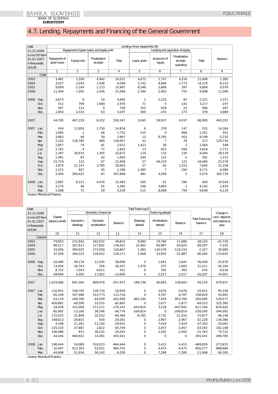BANKA SLOVENIJE BANK OF SLOVENIA

**EUROSYSTEM**

# 4.7. Lending, Repayments and Financing of the General Government

| Until                                |                 | Lending minus repayments (B)                                                 |                |                           |                |              |                        |                                       |        |                |  |
|--------------------------------------|-----------------|------------------------------------------------------------------------------|----------------|---------------------------|----------------|--------------|------------------------|---------------------------------------|--------|----------------|--|
| 31.12.2006                           |                 | Lending and aguisition of equity<br>Repayment of given loans and equity sold |                |                           |                |              |                        |                                       |        |                |  |
| 01.01.2007<br>in thousands<br>of EUR | in mio SIT from | Repayment of<br>given loans                                                  | Equity sold    | Privatization<br>receipts | Total          | Loans given  | Acquision of<br>equity | Privatization<br>receipts<br>spending | Total  | Balance        |  |
|                                      |                 | $\mathbf{1}$                                                                 | $\overline{2}$ | 3                         | $\overline{4}$ | 5            | 6                      | $\overline{7}$                        | 8      | $\overline{9}$ |  |
|                                      | Code            |                                                                              |                |                           |                |              |                        |                                       |        |                |  |
| 2003                                 |                 | 3,481                                                                        | 1,599          | 4,942                     | 10,021         | 4,675        | 1,747                  | 4,254                                 | 11,406 | $-1,385$       |  |
| 2004                                 |                 | 3,527                                                                        | 1,043          | 1,436                     | 6,006          | 2,742        | 8,084                  | 1,773                                 | 14,219 | $-8,212$       |  |
| 2005                                 |                 | 9,609                                                                        | 5,164          | 1,113                     | 15,887         | 6,546        | 2,806                  | 397                                   | 9,808  | 6,078          |  |
| 2006                                 |                 | 11,344                                                                       | 7,205          | 2,545                     | 21,094         | 2,784        | 2,902                  | 755                                   | 9,998  | 11,096         |  |
|                                      |                 |                                                                              |                |                           |                |              |                        |                                       |        |                |  |
| 2006                                 | Sep.            | 4,673                                                                        | 9              | 10                        | 4,692          | $\mathbf{1}$ | 2,233                  | 87                                    | 2,321  | 2,371          |  |
|                                      | Oct.            | 512                                                                          | 799            | 1,660                     | 2,970          | 71           | 5                      | 141                                   | 3,217  | $-247$         |  |
|                                      | Nov.            | 567                                                                          | 133            | 9                         | 709            | 355          | 618                    | 23                                    | 996    | $-287$         |  |
|                                      | Dec.            | 1,850                                                                        | 2,333          | 63                        | 4,247          | 360          | $-255$                 | 273                                   | 378    | 3,869          |  |
| 2007                                 |                 | 44,785                                                                       | 497,229        | 8,332                     | 550,347        | 5,043        | 58,937                 | 4,037                                 | 86,995 | 463,352        |  |
| 2007                                 | Jan.            | 434                                                                          | 12,650         | 1,750                     | 14,834         | 6            | 378                    | 147                                   | 531    | 14,304         |  |
|                                      | Feb.            | 1,685                                                                        | $\mathbf{1}$   | 66                        | 1,752          | 235          | $\mathbf 0$            | 966                                   | 1,201  | 551            |  |
|                                      | Mar.            | 3,863                                                                        | 46             | 58                        | 3,967          | 13           | 8,783                  | 403                                   | 9,199  | $-5,232$       |  |
|                                      | Apr.            | 2,102                                                                        | 126,785        | 969                       | 129,857        | 41           | $\overline{7}$         | 79                                    | 127    | 129,730        |  |
|                                      | May             | 1,857                                                                        | 74             | 81                        | 2,012          | 1,423        | 38                     | $\overline{2}$                        | 1,464  | 548            |  |
|                                      | Jun.            | 1,761                                                                        | $\overline{4}$ | 77                        | 1,842          | 13           | 622                    | 269                                   | 3,614  | $-1,772$       |  |
|                                      | Jul.            | 1,397                                                                        | 30,970         | 1,305                     | 33,672         | 119          | 110                    | 235                                   | 4,094  | 29,578         |  |
|                                      | Aug.            | 1,481                                                                        | 83             | 42                        | 1,605          | 244          | 122                    | $-1$                                  | 391    | 1,215          |  |
|                                      | Sep.            | 21,719                                                                       | 122            | 67                        | 21,909         | 57           | 44,216                 | 121                                   | 44,485 | $-22,576$      |  |
|                                      | Oct.            | 3,970                                                                        | 21,147         | 3,785                     | 28,903         | 27           | 65                     | 1,553                                 | 7,645  | 21,258         |  |
|                                      | Nov.            | 1,215                                                                        | 927            | 45                        | 2,186          | 2,385        | $\overline{7}$         | 260                                   | 9,171  | $-6,985$       |  |
|                                      | Dec.            | 3,300                                                                        | 304,422        | 87                        | 307,808        | 481          | 4,589                  | 5                                     | 5,074  | 302,734        |  |
| 2008                                 | Jan.            | 2,687                                                                        | 8,121          | 4,676                     | 15,483         | 505          | 41                     | 394                                   | 940    | 14,544         |  |
|                                      | Feb.            | 2,275                                                                        | 46             | 61                        | 2,382          | 296          | 3,893                  | $\overline{2}$                        | 4,192  | $-1,810$       |  |
|                                      | Mar.            | 5,398                                                                        | 72             | 59                        | 5,529          | $-115$       | 8,968                  | 794                                   | 9,648  | $-4,119$       |  |

Source: Ministry of Finance.

| Until        |                 |                   |            |                     |             | Total financing (C) |                  |             |                 |                 |
|--------------|-----------------|-------------------|------------|---------------------|-------------|---------------------|------------------|-------------|-----------------|-----------------|
| 31.12.2006   |                 |                   |            | Domestics financing |             |                     | Financing abroad |             |                 | Change in       |
|              | in mio SIT from | Overall           |            |                     |             |                     |                  |             | Total financing | cash, deposits  |
| 01.01.2007   |                 | balance $(A + B)$ | Domestics  | Domestic            | Balance     | Drawings            | Amortization     | Balance     | balance         | and statistical |
| in thousands |                 |                   | drawings   | amortization        |             | abroad              | abroad           |             |                 | error           |
| of EUR       |                 |                   |            |                     |             |                     |                  |             |                 |                 |
|              |                 | 10                | 11         | 12                  | 13          | 14                  | 15               | 16          | 17              | 18              |
|              | Column          |                   |            |                     |             |                     |                  |             |                 |                 |
| 2003         |                 | $-79,853$         | 231,842    | 182,032             | 49,810      | 8,080               | 19,766           | $-11,686$   | 38,124          | $-41,730$       |
| 2004         |                 | $-96.517$         | 267.613    | 127.691             | 139.922     | 10.362              | 60.987           | $-50.625$   | 89.297          | $-7.220$        |
| 2005         |                 | 33,006            | 399,925    | 273,058             | 126,867     | 1.383               | 130,576          | $-129,193$  | $-2,327$        | 30,680          |
| 2006         |                 | 47,358            | 344,223    | 226,052             | 118,171     | 2,068               | 33,955           | $-31,887$   | 86,284          | 133,642         |
|              |                 |                   |            |                     |             |                     |                  |             |                 |                 |
| 2006         | Sep.            | $-10,480$         | 49,134     | 11,035              | 38,099      | $\Omega$            | 1,641            | $-1,641$    | 36,458          | 25,978          |
|              | Oct.            | 13,954            | 30,763     | 556                 | 30,207      | 1,378               | 375              | 1,003       | 31,211          | 45,164          |
|              | Nov.            | 8.752             | 7.043      | 6,611               | 431         | 0                   | 765              | $-765$      | $-334$          | 8,418           |
|              | Dec.            | $-58,694$         | 4,262      | 17,952              | $-13,690$   | 0                   | 2,517            | $-2,517$    | $-16,207$       | $-74,901$       |
|              |                 |                   |            |                     |             |                     |                  |             |                 |                 |
| 2007         |                 | 1.029.066         | 691.504    | 899.476             | $-207.972$  | 199.736             | 40.893           | 158.843     | $-49.129$       | 979.937         |
|              |                 |                   |            |                     |             |                     |                  |             |                 |                 |
| 2007         | Jan.            | 120,951           | 108,795    | 128,734             | $-19.939$   | $\Omega$            | 5,676            | $-5,676$    | $-25,615$       | 95,336          |
|              | Feb.            | $-65.248$         | 347.488    | 233.773             | 113.716     | $\Omega$            | 4.787            | $-4.787$    | 108.929         | 43.681          |
|              | Mar.            | $-53,118$         | $-196.706$ | 64,299              | $-261,006$  | 861,160             | 7.459            | 853.700     | 592,695         | 539,577         |
|              | Apr.            | 409,882           | $-49,590$  | 33,255              | $-82,845$   | $\Omega$            | 1,677            | $-1,677$    | $-84,523$       | 325,360         |
|              | May             | $-18.458$         | 101.069    | 271,211             | $-170.142$  | $-443.824$          | 3.218            | $-447.042$  | $-617,184$      | $-635,642$      |
|              | Jun.            | $-85,992$         | $-13,180$  | 36,596              | $-49,776$   | $-208,814$          | $\Omega$         | $-208,814$  | $-258,590$      | $-344,582$      |
|              | Jul.            | 172.025           | $-31.808$  | 32.552              | $-64,360$   | $-8.785$            | 2.731            | $-11.516$   | $-75,877$       | 96,148          |
|              | Aug.            | 168,613           | $-28,831$  | 430                 | $-29,261$   | 0                   | 2.967            | $-2,967$    | $-32,228$       | 136,386         |
|              | Sep.            | 4,348             | 21,261     | 51,192              | $-29,931$   | 0                   | 7,419            | $-7,419$    | $-37,350$       | $-33,002$       |
|              | Oct.            | 225,333           | $-37.887$  | 2,822               | $-40.709$   | 0                   | 2,457            | $-2,457$    | $-43,165$       | 182,168         |
|              | Nov.            | 106,486           | 971        | 30,232              | $-29,261$   | 0                   | 2,502            | $-2,502$    | $-31,763$       | 74,722          |
|              | Dec.            | 44,244            | 469,922    | 14,381              | 455,541     | $\Omega$            | $\mathbf 0$      | $\mathbf 0$ | 455,541         | 499,785         |
|              |                 |                   |            |                     |             |                     |                  |             |                 |                 |
| 2008         | Jan.            | 196,044           | 54,080     | 518,523             | $-464, 444$ | $\Omega$            | 5,415            | $-5,415$    | $-469,859$      | $-273,815$      |
|              | Feb.            | 32.407            | 913.303    | 52.551              | 860.752     | 0                   | 4,475            | $-4,475$    | 856.277         | 888.684         |
|              | Mar.            | $-44,898$         | 51,934     | 56,142              | $-4.209$    | 0                   | 7.289            | $-7,289$    | $-11,498$       | $-56,395$       |

Source: Ministry of Finance.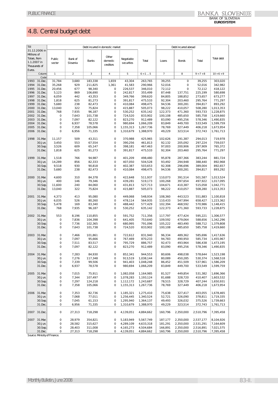# 4.8. Central budget debt

| Till         |                    |                          |                | Debt incurred in domestic market |                     |                    |                    |                    | Debt incurred abroad |                    |                        |
|--------------|--------------------|--------------------------|----------------|----------------------------------|---------------------|--------------------|--------------------|--------------------|----------------------|--------------------|------------------------|
|              | 31.12.2006 in      |                          |                |                                  |                     |                    |                    |                    |                      |                    |                        |
| Millions of  |                    |                          |                |                                  |                     |                    |                    |                    |                      |                    |                        |
| Tolars, from |                    | Public                   | Bank of        |                                  | Other               | Negotiable         |                    |                    |                      |                    | Total debt             |
| 1.1.2007 in  |                    | sector                   | Slovenia       | <b>Banks</b>                     | domestic            | securities         | Total              | Loans              | <b>Bonds</b>         | Total              |                        |
| Thousands of |                    |                          |                |                                  | creditors           |                    |                    |                    |                      |                    |                        |
| Euros.       |                    |                          |                |                                  |                     |                    |                    |                    |                      |                    |                        |
|              | Column             | $\mathbf{1}$             | $\overline{2}$ | 3                                | $\overline{4}$      | 5                  | $6 = 1  5$         | $\overline{7}$     | 8                    | $9 = 7 + 8$        | $10 = 6 + 9$           |
|              | Code               |                          |                |                                  |                     |                    |                    |                    |                      |                    |                        |
|              | 1993 31.Dec.       | 31,784                   | 3,680          | 183,338                          | 1,659               | 43,304             | 263,765            | 39,255             | $\mathsf O$          | 39,255             | 303,020                |
| 1994         | 31.Dec.            | 35,268                   | 929            | 211,825                          | 1,361               | 41,583             | 290,966            | 52,016             | 0                    | 52,016             | 342,982                |
| 1995         | 31.Dec.            | 20,456                   | 677            | 98,340                           | 0                   | 226,537            | 346,010            | 72,112             | 0                    | 72,112             | 418,122                |
|              | 1996 31.Dec.       | 5,123                    | 869            | 106,690                          | $\mathsf{O}\xspace$ | 242,817            | 355,499            | 87,448             | 137,751              | 225,199            | 580,698                |
|              | 1997 31.Dec.       | 6,059                    | 442            | 43,353                           | 0                   | 349,766            | 399,620            | 84,805             | 188,852              | 273,657            | 673,277                |
| 1998         | 31.Dec.            | 1,818                    | 625            | 81,273                           | 0                   | 391,817            | 475,533            | 92,304             | 203,460              | 295,764            | 771,297                |
| 1999         | 31.Dec.            | 5,680                    | 238            | 82,473                           | 0                   | 410,084            | 498,475            | 94,536             | 300,281              | 394,817            | 893,292                |
| 2000         | 31.Dec.            | 13,040                   | 322            | 75,824                           | $\mathsf{O}\xspace$ | 415,887            | 505,073            | 98,222             | 410,057              | 508,280            | 1,013,353              |
| 2001         | 31.Dec.            | 768                      | 7,935          | 96,187                           | 0                   | 530,252            | 635,142            | 122,373            | 471,360              | 593,733            | 1,228,875              |
|              | 2002 31.Dec.       | 0                        | 7,643          | 101,738                          | 0                   | 724,520            | 833,902            | 100,108            | 485,650              | 585,758            | 1,419,660              |
|              | 2003 31.Dec.       | 0                        | 7,097          | 82,122                           | 0                   | 823,270            | 912,489            | 83,090             | 495,256              | 578,346            | 1,490,835              |
| 2004         | 31.Dec.            | $\mathsf{O}\xspace$      | 6,937          | 78,578                           | 0                   | 980,694            | 1,066,209          | 83,849             | 449,700              | 533,549            | 1,599,759              |
|              | 2005 31.Dec.       | $\mathsf{O}\xspace$      | 7,358          | 105,066                          | 0                   | 1,155,313          | 1,267,736          | 78,769             | 327,449              | 406,218            | 1,673,954              |
|              | 2006 31.Dec.       | $\mathsf{O}\xspace$      | 6,956          | 71,335                           | 0                   | 1,310,679          | 1,388,970          | 49,229             | 323,514              | 372,743            | 1,761,713              |
|              |                    |                          |                |                                  |                     |                    |                    |                    |                      |                    |                        |
| 1998         | 31.Mar.            | 11,157                   | 509            | 43,311                           | 0                   | 370,988            | 425,965            | 102,626            | 191,387              | 294,013            | 719,978                |
|              | 30.Jun.            | 3,450                    | 553            | 67,554                           | 0                   | 390,256            | 461,813            | 92,132             | 205,092              | 297,224            | 759,037                |
|              | 30.Sep.            | 3,526                    | 609            | 65,147                           | 0                   | 398,181            | 467,463            | 97,003             | 200,906              | 297,909            | 765,372                |
|              | 31.Dec.            | 1,818                    | 625            | 81,273                           | $\mathsf{O}\xspace$ | 391,817            | 475,533            | 92,304             | 203,460              | 295,764            | 771,297                |
|              |                    |                          |                |                                  |                     |                    |                    |                    |                      |                    |                        |
| 1999         | 31.Mar.            | 1,518                    | 766            | 94,987                           | 0                   | 401,209            | 498,480            | 95,878             | 287,366              | 383,244            | 881,724                |
|              | 30.Jun.            | 14,289                   | 856            | 82,333                           | 0                   | 407,050            | 504,528            | 93,492             | 294,948              | 388,440            | 892,968                |
|              | 30.Sep.            | 9,518                    | 930            | 90,818                           | 0                   | 402,387            | 503,653            | 92,308             | 296,696              | 389,004            | 892,657                |
|              | 31.Dec.            | 5,680                    | 238            | 82,473                           | 0                   | 410,084            | 498,475            | 94,536             | 300,281              | 394,817            | 893,292                |
|              |                    |                          |                |                                  |                     |                    |                    |                    |                      |                    |                        |
| 2000         | 31.Mar.            | 4,600                    | 310            | 84,378                           | 0                   | 422,648            | 511,937            | 110,073            | 391,514              | 501,587            | 1,013,524              |
|              | 30.Jun.            | 400                      | 146            | 79,346                           | $\mathsf{O}\xspace$ | 439,281            | 519,173            | 100,268            | 397,654              | 497,922            | 1,017,095              |
|              | 30.Sep.            | 11,600                   | 240            | 84,060                           | 0                   | 431,813            | 527,713            | 104,671            | 410,387              | 515,058            | 1,042,771              |
|              | 31.Dec.            | 13,040                   | 322            | 75,824                           | 0                   | 415,887            | 505,073            | 98,222             | 410,057              | 508,280            | 1,013,353              |
|              |                    |                          |                |                                  |                     |                    |                    |                    |                      |                    |                        |
| 2001         | 31.Mar.            | 4,373                    | 413            | 95,080                           | $\mathsf{O}\xspace$ | 449,068            | 548,934            | 108,360            | 443,523              | 551,883            | 1,100,818              |
|              | 30.Jun.            | 6,035                    | 526            | 80,260                           | 0                   | 478,114            | 564,935            | 110,433            | 547,994              | 658,427            | 1,223,362              |
|              | 30.Sep.            | 5,478                    | 169            | 83,340                           | 0                   | 488,442            | 577,429            | 102,394            | 468,592              | 570,986            | 1,148,415              |
|              | 31.Dec.            | 768                      | 7,935          | 96,187                           | 0                   | 530,252            | 635,142            | 122,373            | 471,360              | 593,733            | 1,228,875              |
|              |                    |                          |                |                                  |                     |                    |                    |                    |                      |                    |                        |
|              | 2002 31.Mar.       | 553                      | 8,196          | 110,855                          | 0                   | 591,752            | 711,356            | 117,797            | 477,424              | 595,221            | 1,306,577              |
|              | 30.Jun.            | 0                        | 7,836          | 104,398                          | 0                   | 641,405            | 753,640            | 109,592            | 479,064              | 588,656            | 1,342,296              |
|              | 30.Sep.<br>31.Dec. | 0<br>$\mathsf{O}\xspace$ | 7,736<br>7,643 | 102,365<br>101,738               | 0<br>0              | 680,995<br>724,520 | 791,096<br>833,902 | 105,222<br>100,108 | 483,490<br>485,650   | 588,712<br>585,758 | 1,379,808<br>1,419,660 |
|              |                    |                          |                |                                  |                     |                    |                    |                    |                      |                    |                        |
| 2003         | 31.Mar.            | 0                        | 7,466          | 101,861                          | 0                   | 722,612            | 831,940            | 96,334             | 489,362              | 585,696            | 1,417,636              |
|              | 30.Jun.            | 0                        | 7,097          | 95,666                           | 0                   | 767,469            | 870,233            | 94,783             | 490,950              | 585,734            | 1,455,967              |
|              | 30.Sep.            | $\mathsf{O}\xspace$      | 7,511          | 83,517                           | $\mathsf{O}\xspace$ | 795,729            | 886,757            | 92,473             | 493,964              | 586,438            | 1,473,195              |
|              | 31.Dec.            | 0                        | 7,097          | 82,122                           | 0                   | 823,270            | 912,489            | 83,090             | 495,256              | 578,346            | 1,490,835              |
|              |                    |                          |                |                                  |                     |                    |                    |                    |                      |                    |                        |
|              | 2004 31.Mar.       |                          | 7,283          | 84,930                           |                     | 852,341            | 944,553            | 80,606             | 498,038              | 578,644            | 1,523,198              |
|              | 30.Jun.            | 0                        | 7,276          | 117,348                          | 0                   | 913,519            | 1,038,144          | 80,089             | 450,285              | 530,374            | 1,568,518              |
|              | 30.Sep.            | 0                        | 7,339          | 99,506                           | 0                   | 941,403            | 1,048,248          | 86,452             | 451,509              | 537,961            | 1,586,209              |
|              | 31.Dec.            | 0                        | 6,937          | 78,578                           | 0                   | 980,694            | 1,066,209          | 83,849             | 449,700              | 533,549            | 1,599,759              |
|              |                    |                          |                |                                  |                     |                    |                    |                    |                      |                    |                        |
|              | 2005 31.Mar.       | 0                        | 7,015          | 75,911                           | 0                   | 1,082,058          | 1,164,985          | 81,527             | 449,854              | 531,382            | 1,696,366              |
|              | 30.Jun.            | 0                        | 7,344          | 107,497                          | 0                   | 1,078,283          | 1,193,124          | 81,688             | 328,720              | 410,407            | 1,603,532              |
|              | 30.Sep.            | 0                        | 7,297          | 124,218                          | 0                   | 1,112,172          | 1,243,687          | 78,515             | 328,729              | 407,244            | 1,650,931              |
|              | 31.Dec.            | 0                        | 7,358          | 105,066                          | 0                   | 1,155,313          | 1,267,736          | 78,769             | 327,449              | 406,218            | 1,673,954              |
|              |                    |                          |                |                                  |                     |                    |                    |                    |                      |                    |                        |
|              | 2006 31.Mar.       | 0                        | 7,353          | 82,736                           | 0                   | 1,185,321          | 1,275,410          | 75,638             | 327,417              | 403,055            | 1,678,465              |
|              | 30.Jun.            | 0                        | 7,068          | 77,011                           | 0                   | 1,256,445          | 1,340,524          | 52,721             | 326,090              | 378,811            | 1,719,335              |
|              | 30.Sep.            | 0                        | 7,045          | 61,153                           | 0                   | 1,295,940          | 1,364,137          | 49,493             | 326,032              | 375,526            | 1,739,663              |
|              | 31.Dec.            | 0                        | 6,956          | 71,335                           | $\mathsf{O}\xspace$ | 1,310,679          | 1,388,970          | 49,229             | 323,514              | 372,743            | 1,761,713              |
|              |                    |                          |                |                                  |                     |                    |                    |                    |                      |                    |                        |
|              | 2007 31.Dec.       | 0                        | 27,313         | 718,298                          | 0                   | 4,139,051          | 4,884,662          | 160,796            | 2,350,000            | 2,510,796          | 7,395,458              |
|              |                    |                          |                |                                  |                     |                    |                    |                    |                      |                    |                        |
|              | 2007 31.Mar.       | 0                        | 28,979         | 354,821                          | 0                   | 5,183,949          | 5,567,749          | 187,177            | 2,350,000            | 2,537,177          | 8,104,926              |
|              | 30.Jun.            | 0                        | 28,582         | 315,627                          | 0                   | 4,289,109          | 4,633,318          | 181,291            | 2,350,000            | 2,531,291          | 7,164,609              |
|              | 30.Sep.            | 0                        | 28,403         | 311,008                          | 0                   | 4, 165, 273        | 4,504,684          | 166,891            | 2,350,000            | 2,516,891          | 7,021,575              |
|              | 31.Dec.            | 0                        | 27,313         | 718,298                          | 0                   | 4,139,051          | 4,884,662          | 160,796            | 2,350,000            | 2,510,796          | 7,395,458              |

Source: Ministry of Finance.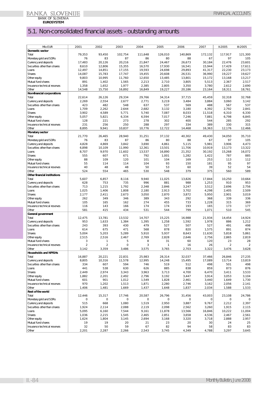# 5.1. Non-consolidated financial assets - outstanding amounts

| Mio EUR                      | 2001           | 2002           | 2003        | 2004                | 2005         | 2006    | 2007    | $II-2005$      | III-2005    |
|------------------------------|----------------|----------------|-------------|---------------------|--------------|---------|---------|----------------|-------------|
|                              |                |                |             |                     |              |         |         |                |             |
| Domestic sector              |                |                |             |                     |              |         |         |                |             |
| Total                        | 79,353         | 93,450         | 102,754     | 111,648             | 126,010      | 140,869 | 172,132 | 117,917        | 121,300     |
| Monetary gold and SDRs       | 76             | 83             | 87          | 86                  | 80           | 88      | 67      | 97             | 105         |
|                              |                |                |             |                     |              |         |         |                |             |
| Currency and deposits        | 17.483         | 20.126         | 20,216      | 21,847              | 24,467       | 26,673  | 30,184  | 22,476         | 23.601      |
| Securities other than shares | 8,610          | 12,806         | 15,355      | 16,570              | 17,930       | 16,541  | 15,944  | 17,429         | 17,611      |
|                              |                |                | 17.155      |                     | 24.698       |         |         |                |             |
| Loans                        | 12,497         | 14,851         |             | 19,593              |              | 29,893  | 41,317  | 22,230         | 23,173      |
| Shares                       | 14,087         | 15,783         | 17,747      | 19,455              | 20,608       | 26,531  | 36,990  | 19,227         | 19,627      |
| Other equity                 | 9,803          | 10,995         | 11,760      | 12,650              | 13,485       | 13,801  | 15,172  | 13,168         | 13,217      |
|                              |                |                |             |                     |              |         |         |                |             |
| Mutual fund shares           | 891            | 1,402          | 1,565       | 2,213               | 2,710        | 3,805   | 5,513   | 2,367          | 2,517       |
| Insurance technical reserves | 1,358          | 1,652          | 1,977       | 2,385               | 2,805        | 3,350   | 3,780   | 2,612          | 2,690       |
| Other                        | 14,548         | 15,750         | 16,892      | 16,849              | 19,227       | 20,186  | 23,164  | 18,311         | 18,761      |
|                              |                |                |             |                     |              |         |         |                |             |
| Non-financial corporations   |                |                |             |                     |              |         |         |                |             |
| Total                        | 22,614         | 26,126         | 29,334      | 29,766              | 34,314       | 37,715  | 45,459  | 32,318         | 32,768      |
|                              |                |                |             |                     |              |         |         |                |             |
| Currency and deposits        | 2,269          | 2,554          | 2,677       | 2,771               | 3,219        | 3,484   | 3,884   | 3,060          | 3,142       |
| Securities other than shares | 423            | 482            | 548         | 637                 | 537          | 569     | 488     | 567            | 537         |
| Loans                        | 1,709          | 2,262          | 2,644       | 2,682               | 3,132        | 3,180   | 4,392   | 2,792          | 2,841       |
|                              |                |                |             |                     |              |         |         |                |             |
| Shares                       | 3,902          | 4,589          | 5,771       | 5,740               | 7,087        | 8,033   | 11,518  | 6,310          | 6,330       |
| Other equity                 | 5,057          | 5,821          | 6,334       | 6,594               | 7,017        | 7,246   | 7,881   | 6,798          | 6,845       |
|                              |                |                |             |                     |              |         |         |                | 292         |
| Mutual fund shares           | 128            | 221            | 273         | 278                 | 302          | 400     | 544     | 285            |             |
| Insurance technical reserves | 231            | 256            | 250         | 288                 | 297          | 334     | 389     | 330            | 315         |
| Other                        | 8,895          | 9,941          | 10,837      | 10,776              | 12,722       | 14,468  | 16,363  | 12,176         | 12,466      |
|                              |                |                |             |                     |              |         |         |                |             |
| Monetary sector              |                |                |             |                     |              |         |         |                |             |
| Total                        | 21,770         | 26,465         | 28,940      | 31,251              | 37,132       | 40,302  | 49,430  | 34,050         | 35,710      |
| Monetary gold and SDRs       | 76             | 83             | 87          | 86                  | 80           | 88      | 67      | 97             | 105         |
|                              |                |                |             |                     |              |         |         |                |             |
| Currency and deposits        | 4,828          | 4,869          | 3,842       | 3,690               | 4,861        | 5,115   | 5,981   | 3,906          | 4,473       |
| Securities other than shares | 6,898          | 10,109         | 11,990      | 12,361              | 13,501       | 11,706  | 10,919  | 13,173         | 13,322      |
|                              |                |                |             |                     |              |         |         |                |             |
| Loans                        | 8,707          | 9,970          | 11,602      | 13,537              | 16,890       | 21,352  | 30,192  | 15,268         | 16,072      |
| Shares                       | 555            | 607            | 671         | 792                 | 1,001        | 1,282   | 1,422   | 787            | 885         |
| Other equity                 | 88             | 109            | 120         | 101                 | 104          | 169     | 253     | 113            | 112         |
|                              |                |                |             |                     |              |         |         |                |             |
| Mutual fund shares           | 55             | 114            | 114         | 104                 | 93           | 150     | 181     | 95             | 97          |
| Insurance technical reserves | 40             | 48             | 48          | 50                  | 53           | 60      | 39      | 52             | 54          |
|                              | 524            | 554            | 465         | 530                 | 548          | 379     | 375     | 560            | 589         |
| Other                        |                |                |             |                     |              |         |         |                |             |
| Other financial institutions |                |                |             |                     |              |         |         |                |             |
| Total                        | 5,607          | 6,857          | 8,116       | 9,940               | 11,025       | 13.826  | 17,844  | 10,250         | 10,664      |
|                              |                |                |             |                     |              |         |         |                |             |
| Currency and deposits        | 628            | 753            | 735         | 996                 | 881          | 988     | 1,253   | 910            | 953         |
| Securities other than shares | 713            | 1,215          | 1,792       | 2,348               | 2,846        | 3,247   | 3,512   | 2,696          | 2,756       |
| Loans                        | 1,025          | 1,406          | 1,808       | 2,180               | 2,913        | 3,702   | 4,298   | 2,405          | 2,509       |
|                              |                |                |             |                     |              |         |         |                |             |
| Shares                       | 2,177          | 2,411          | 2,673       | 3,050               | 2,870        | 3,872   | 5,950   | 2,901          | 3,019       |
| Other equity                 | 262            | 349            | 346         | 389                 | 343          | 292     | 368     | 339            | 336         |
|                              |                |                |             |                     |              |         |         |                |             |
| Mutual fund shares           | 105            | 165            | 162         | 274                 | 455          | 733     | 1,228   | 315            | 369         |
| Insurance technical reserves | 116            | 143            | 166         | 174                 | 174          | 193     | 165     | 173            | 177         |
| Other                        | 581            | 415            | 434         | 531                 | 544          | 799     | 1,071   | 510            | 545         |
|                              |                |                |             |                     |              |         |         |                |             |
| General government           |                |                |             |                     |              |         |         |                |             |
| Total                        | 12,475         | 13,781         | 13,532      | 14,707              | 15,225       | 16,988  | 21,934  | 14,454         | 14,924      |
| Currency and deposits        | 953            | 1,633          | 1,384       | 1,395               | 1,258        | 1,592   | 1,978   | 886            | 1,212       |
|                              |                |                |             |                     |              |         |         |                |             |
| Securities other than shares | 243            | 393            | 430         | 479                 | 527          | 507     | 527     | 491            | 498         |
| Loans                        | 614            | 675            | 471         | 568                 | 878          | 820     | 1,575   | 891            | 874         |
|                              |                |                |             |                     |              |         |         |                |             |
| Shares                       | 5,004          | 5,203          | 5,289       | 5,910               | 5,937        | 8,643   | 11,630  | 5,818          | 5,861       |
| Other equity                 | 2,515          | 2,516          | 2,467       | 2,769               | 2,828        | 2,646   | 2,756   | 2,865          | 2,819       |
| Mutual fund shares           | 3              | $\mathbf{1}$   | 5           | 8                   | 31           | 60      | 120     | 23             | 28          |
|                              |                |                |             |                     |              |         |         |                |             |
| Insurance technical reserves | $\overline{2}$ | $\overline{2}$ | $\mathbf 0$ | 3                   | $\mathbf{1}$ | 16      | 26      | $\overline{2}$ | 2           |
| Other                        | 3,142          | 3,359          | 3,486       | 3,575               | 3,765        | 2,703   | 3,322   | 3,476          | 3,628       |
|                              |                |                |             |                     |              |         |         |                |             |
| Households and NPISHs        |                |                |             |                     |              |         |         |                |             |
| Total                        | 16,887         | 20,221         | 22,831      | 25,983              | 28,314       | 32,037  | 37,466  | 26,846         | 27,235      |
| Currency and deposits        | 8,805          | 10,316         | 11,578      | 12,995              | 14,248       | 15,495  | 17,089  | 13,714         | 13,819      |
|                              |                |                |             |                     |              |         |         |                |             |
| Securities other than shares | 334            | 607            | 594         | 746                 | 519          | 512     | 498     | 501            | 498         |
| Loans                        | 441            | 538            | 630         | 626                 | 885          | 838     | 859     | 873            | 876         |
| Shares                       | 2,449          | 2,974          | 3,343       | 3,963               | 3,713        | 4,700   | 6,470   | 3,411          | 3,533       |
|                              |                |                |             |                     |              |         |         |                |             |
| Other equity                 | 1,882          | 2,201          | 2,492       | 2,796               | 3,192        | 3,447   | 3,914   | 3,053          | 3,104       |
| Mutual fund shares           | 601            | 901            | 1,012       | 1,549               | 1,828        | 2,461   | 3,440   | 1,649          | 1,730       |
| Insurance technical reserves |                |                |             |                     |              |         |         |                |             |
|                              | 970            | 1,202          | 1,513       | 1,871               | 2,280        | 2,746   | 3,162   | 2,056          | 2,141       |
| Other                        | 1,406          | 1,481          | 1,669       | 1,437               | 1,648        | 1,837   | 2,034   | 1,588          | 1,533       |
| Rest of the world            |                |                |             |                     |              |         |         |                |             |
|                              |                |                |             |                     |              |         |         |                |             |
| Total                        | 12,446         | 15,317         | 17,746      | 20,587              | 26,796       | 31,456  | 43,003  | 23,108         | 24,786      |
| Monetary gold and SDRs       | 0              | $\mathbf 0$    | 0           | $\mathsf{O}\xspace$ | $\mathbf 0$  | 0       | 0       | 0              | $\mathbf 0$ |
| Currency and deposits        | 515            | 668            | 1,080       | 1,519               | 2,950        | 3,887   | 9,767   | 2,212          | 2,397       |
|                              |                |                |             |                     |              |         |         |                |             |
| Securities other than shares | 1,924          | 2,114          | 2,088       | 2,119               | 2,098        | 2,562   | 3,260   | 1,915          | 2,115       |
| Loans                        | 5,095          | 6,160          | 7,544       | 9,161               | 11,878       | 13,566  | 16,846  | 10,222         | 11,004      |
|                              |                |                |             |                     |              |         |         |                |             |
| Shares                       | 1,036          | 2,215          | 1,545       | 2,465               | 2,851        | 3,658   | 4,536   | 2,467          | 2,561       |
| Other equity                 | 1,624          | 1,804          | 3,145       | 2,694               | 3,168        | 3,320   | 3,718   | 2,888          | 2,957       |
| Mutual fund shares           | 19             | 19             | 20          | 21                  | 23           | 20      | 30      | 24             | 25          |
|                              |                |                |             |                     |              |         |         |                |             |
| Insurance technical reserves | 32             | 50             | 59          | 67                  | 82           | 94      | 58      | 83             | 83          |
| Other                        | 2,201          | 2,287          | 2,266       | 2,543               | 3,745        | 4,349   | 4,788   | 3,297          | 3,645       |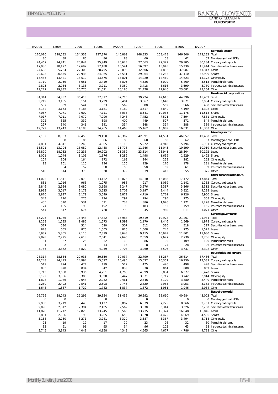| IV-2005          | $1-2006$         | II-2006             | III-2006         | IV-2006          | $I-2007$         | II-2007          | III-2007         | IV-2007        |                                                              |
|------------------|------------------|---------------------|------------------|------------------|------------------|------------------|------------------|----------------|--------------------------------------------------------------|
|                  |                  |                     |                  |                  |                  |                  |                  |                | Domestic sector                                              |
| 126,010          | 128,582          | 134,333             | 137,870          | 140,869          | 148,833          | 158,478          | 166,306          | 172,132 Total  |                                                              |
| 80               | 88               | 86                  | 86               | 88               | 60               | 58               | 62               | 67             | Monetary gold and SDRs                                       |
| 24,467           | 24,741           | 25,844              | 25,949           | 26,673           | 27,563           | 27,372           | 29,105           |                | 30,184 Currency and deposits                                 |
| 17,930           | 18,177           | 17,692              | 17,188           | 16,541           | 16,097           | 15,945           | 15,239           |                | 15,944 Securities other than shares                          |
| 24,698           | 25,724           | 27,308              | 28,755           | 29,893           | 32,606           | 34,832           | 37,987           | 41,317 Loans   |                                                              |
| 20,608<br>13,485 | 20,655<br>13,421 | 22,933<br>13,510    | 24,065<br>13,575 | 26,531<br>13,801 | 29,064<br>14,220 | 34,238<br>14,469 | 37,110<br>14,623 | 36,990 Shares  | 15,172 Other equity                                          |
| 2,710            | 2,959            | 3,051               | 3,419            | 3,805            | 4,326            | 5,009            | 5,409            |                | 5,513 Mutual fund shares                                     |
| 2,805            | 2,984            | 3,133               | 3,211            | 3,350            | 3,418            | 3,616            | 3,690            |                | 3,780   Insurance technical reserves                         |
| 19,227           | 19,832           | 20,775              | 21,621           | 20,186           | 21,478           | 22,940           | 23,081           | 23,164 Other   |                                                              |
|                  |                  |                     |                  |                  |                  |                  |                  |                | Non-financial corporations                                   |
| 34,314           | 34,887           | 36,418              | 37,317           | 37,715           | 39,724           | 42,616           | 44,396           | 45,459 Total   |                                                              |
| 3,219            | 3,185            | 3,151               | 3,299            | 3,484            | 3,667            | 3,648            | 3,871            |                | 3,884 Currency and deposits                                  |
| 537              | 539              | 544                 | 533              | 569              | 588              | 562              | 566              |                | 488 Securities other than shares                             |
| 3,132            | 3,173            | 3,188               | 3,181            | 3,180            | 3,517            | 3,840            | 4,199            | 4,392 Loans    |                                                              |
| 7,087            | 7,071            | 7,602               | 7,711            | 8,033            | 8,541            | 10,035           | 11,176           | 11,518 Shares  |                                                              |
| 7,017            | 7,011            | 7,072               | 7,090            | 7,246            | 7,452            | 7,521            | 7,594            | 7,881          | Other equity                                                 |
| 302              | 325              | 332                 | 398              | 400              | 449              | 527              | 571              |                | 544 Mutual fund shares                                       |
| 297              | 340              | 341                 | 341              | 334              | 348              | 394              | 388              | 389            | Insurance technical reserves                                 |
| 12,722           | 13,243           | 14,188              | 14,765           | 14,468           | 15,162           | 16,089           | 16,031           | 16,363 Other   |                                                              |
|                  |                  |                     |                  |                  |                  |                  |                  |                | Monetary sector                                              |
| 37,132<br>80     | 38,503<br>88     | 39,458<br>86        | 39,450<br>86     | 40,302           | 42,391           | 44,531<br>58     | 46,857           | 49,430 Total   | 67 Monetary gold and SDRs                                    |
|                  |                  |                     |                  | 88               | 60<br>5,272      |                  | 62<br>5,794      | 5,981          |                                                              |
| 4,861<br>13,501  | 4,841<br>13,704  | 5,249<br>13,080     | 4,805<br>12,488  | 5,115<br>11,706  | 11,246           | 4,918<br>11,045  | 10,290           |                | Currency and deposits<br>10,919 Securities other than shares |
| 16,890           | 18,052           | 19,236              | 20,202           | 21,352           | 23,514           | 25,941           | 28,304           | 30.192 Loans   |                                                              |
| 1,001            | 1,044            | 1,101               | 1,176            | 1,282            | 1,498            | 1,659            | 1,529            |                | 1,422 Shares                                                 |
| 104              | 104              | 164                 | 172              | 169              | 244              | 258              | 282              |                | 253 Other equity                                             |
| 93               | 101              | 115                 | 136              | 150              | 159              | 176              | 178              | 181            | Mutual fund shares                                           |
| 53               | 54               | 57                  | 58               | 60               | 58               | 62               | 61               | 39             | Insurance technical reserves                                 |
| 548              | 514              | 370                 | 328              | 379              | 339              | 413              | 355              | 375            | Other                                                        |
|                  |                  |                     |                  |                  |                  |                  |                  |                | Other financial institutions                                 |
| 11,025           | 11,541           | 12,078              | 13,132           | 13,826           | 14,310           | 16,086           | 17,172           | 17,844   Total |                                                              |
| 881              | 1,016            | 966                 | 1,075            | 988              | 917              | 1,059            | 1,141            |                | 1,253 Currency and deposits                                  |
| 2,846            | 2,924            | 3,080               | 3,168            | 3,247            | 3,276            | 3,317            | 3,366            |                | 3,512 Securities other than shares                           |
| 2,913            | 3,017            | 3,179               | 3,525            | 3,702            | 3,197            | 3,444            | 3,822            | 4,298 Loans    |                                                              |
| 2,870            | 2,997            | 3,179               | 3,549            | 3,872            | 4,710            | 5,761            | 6,226            |                | 5,950 Shares                                                 |
| 343              | 276              | 276                 | 274              | 292              | 294              | 295              | 275              |                | 368 Other equity                                             |
| 455              | 510              | 531                 | 621              | 733              | 886              | 1,076            | 1,171            |                | 1,228 Mutual fund shares                                     |
| 174              | 185              | 193                 | 192              | 193              | 183              | 153              | 159              | 165            | Insurance technical reserves                                 |
| 544              | 617              | 674                 | 728              | 799              | 845              | 980              | 1,011            | 1,071          | <b>Other</b>                                                 |
|                  | 14,966           |                     |                  | 16,988           | 19,619           | 19,978           | 21,267           | 21,934 Total   | General government                                           |
| 15,225<br>1,258  | 1,285            | 16,443<br>1,485     | 17,322<br>1,673  | 1,592            | 2,170            | 1,446            | 1,569            |                | 1,978 Currency and deposits                                  |
| 527              | 536              | 514                 | 520              | 507              | 512              | 530              | 518              |                | 527 Securities other than shares                             |
| 878              | 655              | 870                 | 1,005            | 820              | 1,508            | 745              | 775              | 1,575   Loans  |                                                              |
| 5,937            | 5,855            | 7,115               | 7,379            | 8,643            | 9,415            | 10,949           | 11,801           | 11,630 Shares  |                                                              |
| 2,828            | 2,725            | 2,613               | 2,641            | 2,646            | 2,659            | 2,677            | 2,730            |                | 2,756 Other equity                                           |
| 31               | 37               | 25                  | 32               | 60               | 86               | 100              | 109              |                | 120 Mutual fund shares                                       |
| 1                | $\sqrt{2}$       | $\mathbf{1}$        | 13               | 16               | 8                | 24               | 28               |                | 26 Insurance technical reserves                              |
| 3,765            | 3,872            | 3,820               | 4,059            | 2,703            | 3,260            | 3,506            | 3,737            | 3,322 Other    |                                                              |
|                  |                  |                     |                  |                  |                  |                  |                  |                | Households and NPISHs                                        |
| 28,314           | 28,684           | 29,936              | 30,650           | 32,037           | 32,790           | 35,267           | 36,614           | 37,466 Total   |                                                              |
| 14,248           | 14,413           | 14,994              | 15,097           | 15,495           | 15,537           | 16,301           | 16,730           |                | 17,089 Currency and deposits                                 |
| 519              | 474              | 474                 | 479              | 512              | 475              | 490              | 498              |                | 498 Securities other than shares                             |
| 885              | 828              | 834                 | 842              | 838              | 870              | 861              | 888              |                | 859 Loans                                                    |
| 3,713            | 3,688            | 3,936               | 4,251            | 4,700            | 4,899            | 5,834            | 6,377            |                | $6,470$ Shares                                               |
| 3,192            | 3,306            | 3,385               | 3,398            | 3,447            | 3,571            | 3,717            | 3,742            |                | 3,914 Other equity<br>3,440 Mutual fund shares               |
| 1,828<br>2,280   | 1,986<br>2,402   | 2,048<br>2,541      | 2,232<br>2,608   | 2,461<br>2,746   | 2,746<br>2,820   | 3,129<br>2,983   | 3,380<br>3,053   |                | 3,162   Insurance technical reserves                         |
| 1,648            | 1,587            | 1,722               | 1,742            | 1,837            | 1,872            | 1,951            | 1,946            | $2,034$ Other  |                                                              |
|                  |                  |                     |                  |                  |                  |                  |                  |                | Rest of the world                                            |
| 26,796           | 28,043           | 29,295              | 29,854           | 31,456           | 36,292           | 38,610           | 40,684           | 43.003 Total   |                                                              |
| 0                | 0                | $\mathsf{O}\xspace$ | 0                | 0                | 0                | 0                | 0                |                | 0   Monetary gold and SDRs                                   |
| 2,950            | 3,719            | 3,445               | 3,427            | 3,887            | 6,879            | 7,275            | 8,366            |                | 9,767 Currency and deposits                                  |
| 2,098            | 2,312            | 2,394               | 2,405            | 2,562            | 3,630            | 3,314            | 3,326            |                | 3,260 Securities other than shares                           |
| 11,878           | 11,712           | 12,828              | 13,245           | 13,566           | 13,735           | 15,374           | 16,048           | 16,846 Loans   |                                                              |
| 2,851            | 2,986            | 3,198               | 3,265            | 3,658            | 3,978            | 4,475            | 4,569            |                | 4,536 Shares                                                 |
| 3,168            | 3,260            | 3,271               | 3,241            | 3,320            | 3,387            | 3,367            | 3,494            |                | 3,718 Other equity                                           |
| 23               | 19               | 19                  | 17               | 20               | 23               | 26               | 32               |                | 30 Mutual fund shares                                        |
| 82               | 91               | 91                  | 95               | 94               | 96               | 102              | 63               |                | 58   Insurance technical reserves                            |
| 3,745            | 3,943            | 4,048               | 4,158            | 4,349            | 4,565            | 4,677            | 4,786            | 4,788 Other    |                                                              |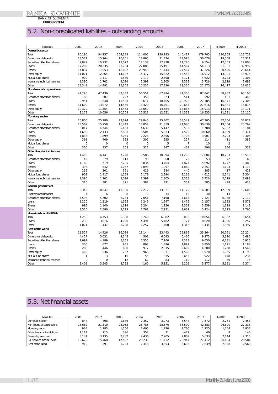# 5.2. Non-consolidated liabilities - outstanding amounts

| Mio EUR                      | 2001                | 2002        | 2003          | 2004        | 2005          | 2006           | 2007    | II-2005        | III-2005       |
|------------------------------|---------------------|-------------|---------------|-------------|---------------|----------------|---------|----------------|----------------|
| Domestic sector              |                     |             |               |             |               |                |         |                |                |
| Total                        | 80,196              | 94,257      | 104,389       | 114,005     | 129,283       | 146,417        | 179,705 | 120,168        | 123,758        |
| Currency and deposits        | 13,571              | 15,764      | 16,751        | 18,865      | 21,374        | 24,095         | 30,676  | 19,568         | 20,311         |
| Securities other than shares | 7,842               | 10,732      | 12,077        | 12,134      | 12,928        | 11,780         | 9,554   | 12,563         | 12,800         |
| Loans                        | 17,285              | 20,335      | 23,764        | 27,885      | 35,191        | 41,567         | 54,313  | 31,331         | 32,992         |
| Shares                       | 14,837              | 17,553      | 18,692        | 20,943      | 21,444        | 27,587         | 37,326  | 20,426         | 20,641         |
| Other equity                 | 11,021              | 12,264      | 14,147        | 14,377      | 15,322        | 15,553         | 16,912  | 14,991         | 14,975         |
| Mutual fund shares           | 909                 | 1,417       | 1,569         | 2,179       | 2,398         | 3,171          | 4,622   | 2,243          | 2,308          |
| Insurance technical reserves | 1,390               | 1,702       | 2,024         | 2,391       | 2,805         | 3,333          | 3,726   | 2,629          | 2,698          |
| Other                        | 13,341              | 14,492      | 15,365        | 15,232      | 17,820        | 19,330         | 22,575  | 16,417         | 17,033         |
|                              |                     |             |               |             |               |                |         |                |                |
| Non-financial corporations   | 41,295              | 47,436      |               | 56,551      |               | 71,305         | 87,841  | 58,937         | 60,106         |
| Total                        | 185                 | 207         | 52,387<br>227 | 350         | 62,984<br>523 | 511            | 592     | 431            | 445            |
| Securities other than shares |                     |             |               |             |               |                |         |                |                |
| Loans                        | 9,951               | 11,648      | 13,533        | 15,611      | 18,465        | 20,920         | 27,185  | 16,871         | 17,305         |
| Shares                       | 11,609              | 13,972      | 14,456        | 16,420      | 16,761        | 20,657         | 27,616  | 15,881         | 16,075         |
| Other equity                 | 10,379              | 11,554      | 13,463        | 13,659      | 14,584        | 14,886         | 15,913  | 14,163         | 14,171         |
| Other                        | 9,172               | 10,056      | 10,708        | 10,511      | 12,651        | 14,332         | 16,535  | 11,591         | 12,110         |
| Monetary sector              |                     |             |               |             |               |                |         |                |                |
| Total                        | 20,806              | 25,280      | 27,674        | 29,846      | 35,402        | 38,542         | 47,705  | 32,306         | 33,872         |
| Currency and deposits        | 13,567              | 15,758      | 16,743        | 18,854      | 21,359        | 24,080         | 30,636  | 19,554         | 20,297         |
| Securities other than shares | 3,017               | 4,744       | 5,453         | 4,639       | 5,147         | 3,532          | 1,788   | 5,092          | 5.181          |
| Loans                        | 1,690               | 2,133       | 2,821         | 3,504       | 5,833         | 7,520          | 10,660  | 4,609          | 5,371          |
| Shares                       | 1,836               | 1,899       | 2,065         | 2,226       | 2,356         | 2,708          | 3,901   | 2,293          | 2,306          |
| Other equity                 | 391                 | 409         | 323           | 302         | 355           | 227            | 114     | 411            | 383            |
| Mutual fund shares           | $\mathsf{O}\xspace$ | $\mathbf 0$ | $\mathbf 0$   | $\mathbf 0$ | 5             | $\overline{7}$ | 10      | $\overline{2}$ | $\overline{4}$ |
| Other                        | 306                 | 337         | 269           | 322         | 347           | 469            | 596     | 346            | 332            |
| Other financial institutions |                     |             |               |             |               |                |         |                |                |
| Total                        | 4,493               | 6,141       | 7,720         | 9,588       | 10,994        | 14,298         | 17,804  | 10,253         | 10,518         |
| Securities other than shares | 42                  | 79          | 113           | 93          | 60            | 72             | 53      | 72             | 65             |
| Loans                        | 1,189               | 1,719       | 2,225         | 3,034       | 3,764         | 4,874          | 5,692   | 3,272          | 3,489          |
| Shares                       | 396                 | 542         | 1,057         | 1,093       | 1,097         | 1,860          | 2,251   | 1,123          | 1,113          |
| Other equity                 | 252                 | 301         | 361           | 416         | 384           | 440            | 885     | 417            | 421            |
| Mutual fund shares           | 909                 | 1,417       | 1,569         | 2,179       | 2,394         | 3,165          | 4,612   | 2,241          | 2,304          |
| Insurance technical reserves | 1,390               | 1,702       | 2,024         | 2,391       | 2,805         | 3,333          | 3,726   | 2,629          | 2,698          |
| Other                        | 316                 | 381         | 371           | 382         | 491           | 552            | 585     | 498            | 428            |
| General government           |                     |             |               |             |               |                |         |                |                |
| Total                        | 9,345               | 10,647      | 11,300        | 12,272      | 13,021        | 14,179         | 16,301  | 12,309         | 12,608         |
| Currency and deposits        | $\overline{4}$      | 6           | 8             | 12          | 14            | 15             | 40      | 13             | 14             |
| Securities other than shares | 4,598               | 5,702       | 6,284         | 7,051       | 7,198         | 7,665          | 7,121   | 6,968          | 7,110          |
| Loans                        | 1,220               | 1,219       | 1,165         | 1,245       | 1,647         | 1,476          | 2,157   | 1,583          | 1,571          |
| Shares                       | 996                 | 1,140       | 1,114         | 1,204       | 1,230         | 2,362          | 3,559   | 1,129          | 1,148          |
| Other                        | 2,526               | 2,580       | 2,729         | 2,761       | 2,931         | 2,661          | 3,424   | 2,615          | 2,765          |
| Households and NPISHs        |                     |             |               |             |               |                |         |                |                |
| Total                        | 4,258               | 4,753       | 5,308         | 5,748       | 6,882         | 8,093          | 10,054  | 6,362          | 6,654          |
| Loans                        | 3,236               | 3,616       | 4,020         | 4,491       | 5,482         | 6,777          | 8,620   | 4,996          | 5,257          |
| Other                        | 1,021               | 1,137       | 1,288         | 1,257       | 1,400         | 1,316          | 1,434   | 1,366          | 1,397          |
| Rest of the world            |                     |             |               |             |               |                |         |                |                |
| Total                        | 11,527              | 14,426      | 16,024        | 18,144      | 23,443        | 25,819         | 35,364  | 20,761         | 22,224         |
| Currency and deposits        | 4,427               | 5,031       | 4,545         | 4,501       | 6,043         | 6,466          | 9,275   | 5,120          | 5,686          |
| Securities other than shares | 2,692               | 4,189       | 5,365         | 6,555       | 7,100         | 7,323          | 9,650   | 6,781          | 6,926          |
| Loans                        | 306                 | 677         | 935           | 868         | 1,386         | 1,892          | 3,850   | 1,121          | 1,184          |
| Shares                       | 286                 | 446         | 600           | 977         | 2,015         | 2,602          | 4,200   | 1,268          | 1,546          |
|                              | 406                 | 536         | 757           | 966         |               |                | 1,978   |                | 1,199          |
| Other equity                 | $\mathbf{1}$        |             |               |             | 1,331         | 1,568          |         | 1,065          |                |
| Mutual fund shares           |                     | 3           | 16            | 55          | 335           | 653            | 922     | 148            | 234            |
| Insurance technical reserves | $\Omega$            | $\circ$     | 12            | 62          | 83            | 110            | 112     | 66             | 75             |
| Other                        | 3.408               | 3,545       | 3.793         | 4.160       | 5,151         | 5,205          | 5,377   | 5.191          | 5,374          |

## 5.3. Net financial assets

| Mio EUR                      | 2001      | 2002      | 2003      | 2004      | 2005           | 2006      | 2007      | $II - 2005$ | III-2005  |
|------------------------------|-----------|-----------|-----------|-----------|----------------|-----------|-----------|-------------|-----------|
| Domestic sector              | $-844$    | $-808$    | $-1.636$  | $-2.357$  | $-3.273$       | $-5.548$  | $-7.572$  | $-2,251$    | $-2.458$  |
| Non-financial corporations   | $-18.682$ | $-21.310$ | $-23,052$ | $-26.785$ | $-28.670$      | $-33.590$ | $-42.383$ | $-26.620$   | $-27,338$ |
| Monetary sector              | 964       | 185       | .266      | .405      | .730           | 1.760     | .725      | 1.744       | 1.837     |
| Other financial institutions | 1.114     | 715       | 396       | 352       | 3 <sup>1</sup> | $-472$    | 40        |             | 146       |
| General government           | 3.131     | 3.135     | 2.232     | 2.436     | 2.205          | 2.809     | 5.633     | 2.144       | 2.315     |
| Households and NPISHs        | 12.629    | 15.468    | 17.522    | 20.235    | 21.432         | 23.944    | 27.412    | 20.484      | 20.581    |
| Rest of the world            | 919       | 891       | .723      | 2.443     | 3.353          | 5.636     | .639      | 2.348       | 2,563     |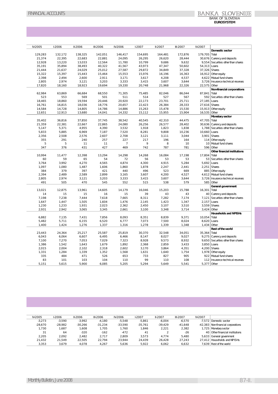| IV-2005 | $1-2006$ | II-2006 | III-2006 | IV-2006        | $1-2007$ | II-2007 | III-2007 | IV-2007       |                                      |
|---------|----------|---------|----------|----------------|----------|---------|----------|---------------|--------------------------------------|
|         |          |         |          |                |          |         |          |               | Domestic sector                      |
| 129,283 | 132,172  | 138,325 | 142,051  | 146,417        | 154,695  | 164,481 | 172,876  | 179,705       | Total                                |
| 21,374  | 22,395   | 22,683  | 22,881   | 24,095         | 26,295   | 26,620  | 28,444   | 30,676        | Currency and deposits                |
| 12,928  | 13,220   | 13,033  | 12,564   | 11,780         | 10,799   | 9,686   | 9,632    | 9,554         | Securities other than shares         |
| 35,191  | 35,894   | 38,493  | 40,322   | 41,567         | 43,973   | 47,347  | 50,602   | 54,313 Loans  |                                      |
| 21,444  | 21,637   | 24,029  | 25,012   | 27,587         | 29,872   | 34,849  |          |               |                                      |
|         |          |         |          |                |          |         | 37,328   | 37,326 Shares |                                      |
| 15,322  | 15,397   | 15,443  | 15,464   | 15,553         | 15,976   | 16,196  | 16,363   |               | 16,912 Other equity                  |
| 2,398   | 2,494    | 2,600   | 2,911    | 3,171          | 3,617    | 4,208   | 4,537    |               | 4,622 Mutual fund shares             |
| 2,805   | 2,974    | 3,121   | 3,203    | 3,333          | 3,415    | 3,607   | 3,644    |               | 3,726   Insurance technical reserves |
| 17,820  | 18,160   | 18,923  | 19,694   | 19,330         | 20,748   | 21,968  | 22,326   | 22,575 Other  |                                      |
|         |          |         |          |                |          |         |          |               | Non-financial corporations           |
| 62,984  | 63,869   | 66,684  | 68,550   | 71,305         | 75,485   | 82,046  | 86,044   | 87.841        | Total                                |
| 523     | 553      | 569     | 501      | 511            | 514      | 527     | 567      | 592           | Securities other than shares         |
| 18,465  | 18,860   | 19,594  | 20,446   | 20,920         | 22,173   | 23,701  | 25,711   | 27,185 Loans  |                                      |
| 16,761  | 16,815   | 18,036  | 18,776   | 20,657         | 22,423   | 26,384  | 28,333   | 27,616        | Shares                               |
| 14,584  | 14,728   | 14,805  | 14,786   | 14,886         | 15,263   | 15,478  | 15,530   |               | 15,913 Other equity                  |
| 12,651  | 12,913   | 13,680  | 14.041   | 14,332         | 15,112   | 15,955  | 15,904   | 16,535 Other  |                                      |
|         |          |         |          |                |          |         |          |               |                                      |
|         |          |         |          |                |          |         |          |               | Monetary sector                      |
| 35,402  | 36,816   | 37,850  | 37,745   | 38,542         | 40,545   | 42,310  | 44,475   | 47,705        | Total                                |
| 21,359  | 22,381   | 22,667  | 22,865   | 24,080         | 26,256   | 26,577  | 28,402   | 30,636        | Currency and deposits                |
| 5,147   | 5,371    | 4,955   | 4,390    | 3,532          | 1,918    | 1,823   | 1,838    | 1,788         | Securities other than shares         |
| 5,833   | 5,885    | 6,969   | 7,187    | 7,520          | 8,281    | 9,808   | 10,236   | 10,660 Loans  |                                      |
| 2,356   | 2,508    | 2,576   | 2,607    | 2,708          | 3,121    | 3,111   | 3,044    | 3,901         | Shares                               |
| 355     | 291      | 240     | 257      | 227            | 217      | 196     | 164      | 114           | Other equity                         |
| 5       | 5        | 11      | 11       | $\overline{7}$ | 9        | 8       | 10       | 10            | Mutual fund shares                   |
| 347     | 376      | 431     | 427      | 469            | 742      | 787     | 781      |               | 596 Other                            |
|         |          |         |          |                |          |         |          |               | Other financial institutions         |
| 10,994  | 11,477   | 12,398  | 13,294   | 14,298         | 14,268   | 16,084  | 17,198   | 17,804        | Total                                |
| 60      | 59       | 65      | 54       | 72             | 56       | 53      | 53       | 53            | Securities other than shares         |
| 3,764   | 3,992    | 4,270   | 4,565    | 4,874          | 4,300    | 4,915   | 5,284    | 5,692 Loans   |                                      |
|         |          |         | 1,606    | 1,860          |          |         | 2,441    | 2,251         | Shares                               |
| 1,097   | 1,080    | 1,487   |          |                | 1,878    | 2,247   |          |               |                                      |
| 384     | 379      | 397     | 421      | 440            | 496      | 523     | 669      | 885           | Other equity                         |
| 2,394   | 2,489    | 2,589   | 2,899    | 3,165          | 3,607    | 4,200   | 4,527    |               | 4,612 Mutual fund shares             |
| 2,805   | 2,974    | 3,121   | 3,203    | 3,333          | 3,415    | 3,607   | 3,644    | 3,726         | Insurance technical reserves         |
| 491     | 505      | 470     | 545      | 552            | 515      | 538     | 579      | 585           | Other                                |
|         |          |         |          |                |          |         |          |               | General government                   |
| 13,021  | 12,875   | 13,961  | 14,605   | 14.179         | 16,046   | 15,203  | 15,788   | 16,301        | Total                                |
| 14      | 15       | 15      | 16       | 15             | 39       | 43      | 43       | 40            | Currency and deposits                |
| 7,198   | 7,238    | 7,444   | 7,618    | 7,665          | 8,311    | 7,282   | 7,174    | 7,121         | Securities other than shares         |
| 1,647   | 1,447    | 1,505   | 1,604    | 1,476          | 2,145    | 1,423   | 1,347    | 2,157         | Loans                                |
| 1,230   | 1,233    | 1,931   | 2,023    | 2,362          | 2,450    | 3,107   | 3,510    | 3,559         | Shares                               |
| 2,931   | 2,942    | 3,065   | 3,345    | 2,661          | 3,100    | 3,348   | 3,714    | 3,424         | Other                                |
|         |          |         |          |                |          |         |          |               | Households and NPISHs                |
|         |          |         |          |                |          |         |          |               |                                      |
| 6,882   | 7,135    | 7,431   | 7,856    | 8,093          | 8,351    | 8,839   | 9,371    | 10,054        | Total                                |
| 5,482   | 5,711    | 6,155   | 6,520    | 6,777          | 7,073    | 7,500   | 8,024    | 8,620 Loans   |                                      |
| 1,400   | 1,424    | 1,276   | 1,337    | 1,316          | 1,278    | 1,339   | 1,348    | 1,434 Other   |                                      |
|         |          |         |          |                |          |         |          |               | Rest of the world                    |
| 23,443  | 24,364   | 25,217  | 25,587   | 25,819         | 30,370   | 32,548  | 34,051   | 35,364        | Total                                |
| 6,043   | 6,064    | 6,607   | 6,495    | 6,466          | 8,147    | 8,027   | 9,027    | 9,275         | Currency and deposits                |
| 7,100   | 7,270    | 7,053   | 7,029    | 7,323          | 8,928    | 9,573   | 8,932    |               | 9,650 Securities other than shares   |
| 1,386   | 1,542    | 1,643   | 1,679    | 1,892          | 2,368    | 2,859   | 3,433    | 3,850 Loans   |                                      |
| 2,015   | 2,004    | 2,102   | 2,318    | 2,602          | 3,170    | 3,864   | 4,351    | 4,200         | Shares                               |
| 1,331   | 1,284    | 1,339   | 1,352    | 1,568          | 1,631    | 1,640   | 1,754    | 1,978         | Other equity                         |
| 335     | 484      | 471     | 526      | 653            | 733      | 827     | 905      |               | 922 Mutual fund shares               |
|         |          |         |          |                |          |         |          |               |                                      |
| 83      | 101      | 103     | 104      | 110            | 99       | 110     | 108      |               | 112 Insurance technical reserves     |
| 5,151   | 5,615    | 5.900   | 6.085    | 5.205          | 5.294    | 5.649   | 5,541    | 5.377 Other   |                                      |

| IV-2005   | <b>I-2006</b> | $II - 2006$ | $III-2006$ | IV-2006   | $-2007$   | $II - 2007$ | $III-2007$ | IV-2007 |                                    |  |
|-----------|---------------|-------------|------------|-----------|-----------|-------------|------------|---------|------------------------------------|--|
| $-3.273$  | $-3.590$      | $-3.992$    | $-4.180$   | $-5.548$  | $-5.861$  | $-6.004$    | $-6.570$   |         | -7.572 Domestic sector             |  |
| $-28,670$ | $-28.982$     | $-30.266$   | $-31.234$  | $-33.590$ | $-35.761$ | $-39.429$   | $-41.648$  |         | -42,383 Non-financial corporations |  |
| 1.730     | 687.          | .608        | .705       | 1.760     | 846.      | 2.221       | 2.382      |         | 1,725   Monetary sector            |  |
| 31        | 64            | $-320$      | $-162$     | $-472$    | 41        |             | $-26$      |         | 40 Other financial institutions    |  |
| 2.205     | 2.092         | 2.482       | 2.717      | 2.809     | 3.573     | 4.774       | 5.480      |         | 5,633 General government           |  |
| 21,432    | 21.549        | 22.505      | 22.794     | 23.944    | 24.439    | 26.428      | 27.243     |         | 27.412 Households and NPISHs       |  |
| 3,353     | 3.679         | 4.078       | 4.267      | 5.636     | 5.922     | 6.062       | 6,632      |         | 7.639 Rest of the world            |  |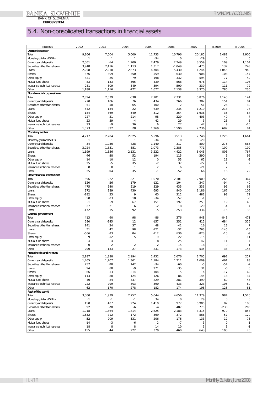## 5.4. Non-consolidated transactions in financial assets

|                              |              |                     | 2004           |                |                | 2007       |                     |                |
|------------------------------|--------------|---------------------|----------------|----------------|----------------|------------|---------------------|----------------|
| Mio EUR                      | 2002         | 2003                |                | 2005           | 2006           |            | II-2005             | III-2005       |
| Domestic sector              |              |                     |                |                |                |            |                     |                |
| Total                        | 9,806        | 7,004               | 5,000          | 11,733         | 10,796         | 20,185     | 2,481               | 2,900          |
| Monetary gold and SDRs       | 1            | $\mathbf{1}$        | $\mathbf{1}$   | $-34$          | 0              | $-29$      | $\circ$             | $\Omega$       |
| Currency and deposits        | 2,501        | $-14$               | 1,200          | 2,479          | 2,249          | 3,559      | 109                 | 1,104          |
|                              |              |                     |                |                |                |            |                     |                |
| Securities other than shares | 3,948        | 2,416               | 1,113          | 1,317          | $-1,049$       | $-475$     | 137                 | 243            |
| Loans                        | 2,258        | 2,210               | 2,673          | 4,704          | 5,430          | 11,244     | 1,045               | 940            |
| Shares                       | $-876$       | 809                 | $-350$         | 559            | 630            | 908        | 108                 | 157            |
| Other equity                 | 421          | 25                  | $-79$          | 198            | 332            | 594        | 77                  | 49             |
|                              | 83           |                     |                | 439            |                |            |                     |                |
| Mutual fund shares           |              | 133                 | 365            |                | 568            | 676        | 114                 | 106            |
| Insurance technical reserves | 281          | 309                 | 349            | 394            | 500            | 339        | 111                 | 72             |
| Other                        | 1,188        | 1,116               | $-272$         | 1,677          | 2,138          | 3,370      | 780                 | 230            |
| Non-financial corporations   |              |                     |                |                |                |            |                     |                |
| Total                        | 2,394        | 2,079               | $-638$         | 2,701          | 2,731          | 5,876      | 1,145               | 144            |
|                              |              |                     |                |                |                |            |                     |                |
| Currency and deposits        | 270          | 106                 | 76             | 434            | 266            | 382        | 151                 | 84             |
| Securities other than shares | 51           | 50                  | 65             | $-100$         | $\overline{2}$ | $-51$      | $-26$               | $-30$          |
| Loans                        | 542          | 134                 | 22             | 639            | 235            | 1,219      | 218                 | 76             |
| Shares                       | 184          | 869                 | $-540$         | 312            | 354            | 1,636      | 36                  | $-67$          |
| Other equity                 | 227          | $-21$               | $-214$         | 98             | 229            | 403        | 49                  | $\overline{7}$ |
|                              |              |                     |                |                |                |            |                     |                |
| Mutual fund shares           | 23           | 59                  | $-4$           | 42             | 29             | 3          | 23                  | 6              |
| Insurance technical reserves | 23           | $-9$                | 36             | 6              | 27             | 47         | 9                   | $-15$          |
| Other                        | 1,073        | 892                 | $-78$          | 1,269          | 1,590          | 2,236      | 687                 | 84             |
| Monetary sector              |              |                     |                |                |                |            |                     |                |
| Total                        | 4,217        | 2,204               | 2,025          | 5,596          | 3,513          | 7,748      | 1,226               | 1,661          |
|                              |              |                     |                |                |                |            |                     |                |
| Monetary gold and SDRs       | $\mathbf{1}$ | $\mathbf{1}$        | $\mathbf{1}$   | $-34$          | 0              | $-29$      | $\mathsf{O}\xspace$ | $\mathbf 0$    |
| Currency and deposits        | $-34$        | $-1,056$            | $-428$         | 1,140          | 317            | 809        | 276                 | 566            |
| Securities other than shares | 3,024        | 1,831               | 351            | 1,073          | $-1,385$       | $-771$     | 109                 | 199            |
| Loans                        | 1,199        | 1,556               | 2,131          | 3,222          | 4,422          | 8,045      | 805                 | 767            |
| Shares                       | $-46$        | $-38$               | 52             | 194            | 115            | $-390$     | 6                   | 98             |
|                              |              |                     |                |                |                |            |                     |                |
| Other equity                 | 14           | 10                  | $-12$          | $\mathbf 0$    | 53             | 62         | 11                  | $-2$           |
| Mutual fund shares           | 25           | $-5$                | $-35$          | $-2$           | 37             | $-22$      | $\mathbf{1}$        | $\overline{2}$ |
| Insurance technical reserves | 8            | $\mathsf{O}\xspace$ | $\mathbf{1}$   | $\overline{c}$ | 6              | $-21$      | $\overline{2}$      | 3              |
| Other                        | 25           | $-94$               | $-35$          | $-1$           | $-52$          | 66         | 16                  | 29             |
|                              |              |                     |                |                |                |            |                     |                |
| Other financial institutions |              |                     |                |                |                |            |                     |                |
| Total                        | 596          | 922                 | 1,321          | 1,070          | 2,101          | 2,909      | 265                 | 367            |
| Currency and deposits        | 120          | $-26$               | 179            | $-121$         | 104            | 347        | $-94$               | 40             |
| Securities other than shares | 475          | 540                 | 519            | 329            | 435            | 336        | 95                  | 68             |
| Loans                        | 372          | 389                 | 430            | 693            | 840            | 1,186      | 167                 | 106            |
|                              | $-282$       | 25                  | 9              | 60             | 312            |            | 98                  | 72             |
| Shares                       |              |                     |                |                |                | 481        |                     |                |
| Other equity                 | 58           | $-33$               | 18             | $-34$          | $-57$          | $-1$       | $\mathsf{O}\xspace$ | $-5$           |
| Mutual fund shares           | $-1$         | $-9$                | 67             | 151            | 197            | 253        | 19                  | 48             |
| Insurance technical reserves | 27           | 21                  | 6              | $-2$           | 18             | $-29$      | $-4$                | $\overline{4}$ |
| Other                        | $-172$       | 15                  | 92             | $-5$           | 253            | 336        | $-15$               | 33             |
|                              |              |                     |                |                |                |            |                     |                |
| General government           |              |                     |                |                |                |            |                     |                |
| Total                        | 413          | $-90$               | 98             | $-86$          | 376            | 948        | $-848$              | 471            |
| Currency and deposits        | 680          | $-245$              | 12             | $-157$         | 351            | 412        | $-684$              | 325            |
| Securities other than shares | 141          | 24                  | 37             | 48             | $-41$          | 16         | 13                  | $\overline{7}$ |
| Loans                        | 51           | 42                  | 98             | $-121$         | $-32$          | 763        | $-140$              | $-15$          |
|                              |              |                     |                |                |                |            |                     |                |
| Shares                       | -666         | $-33$               | $-84$          | $-112$         | $-136$         | $-823$     | $-15$               | $-9$           |
| Other equity                 | 9            | $-12$               | 5              | 9              | 22             | $-15$      | $\mathsf{O}\xspace$ | 11             |
| Mutual fund shares           | $-4$         | 4                   | $\mathbf{1}$   | 18             | 25             | 42         | 11                  | 4              |
| Insurance technical reserves | $\mathbf 0$  | $-2$                | $\overline{2}$ | $-2$           | 15             | 18         | $\mathsf{O}\xspace$ | 1              |
| Other                        | 200          | 133                 | 27             | 231            | 173            | 535        | $-33$               | 146            |
|                              |              |                     |                |                |                |            |                     |                |
| Households and NPISHs        |              |                     |                |                |                |            |                     |                |
| Total                        | 2,187        | 1,888               | 2,194          | 2,452          | 2,076          | 2,705      | 692                 | 257            |
| Currency and deposits        | 1,465        | 1,207               | 1,361          | 1,184          | 1,211          | 1,609      | 461                 | 88             |
| Securities other than shares | 257          | $-28$               | 142            | $-34$          | $-60$          | $-5$       | $-54$               | $-2$           |
| Loans                        | 94           | 88                  | $-9$           | 271            | $-35$          | 31         | $-6$                | 6              |
|                              |              |                     |                |                |                |            |                     |                |
| Shares                       | $-66$        | $-13$               | 214            | 104            | $-15$          | $\sqrt{4}$ | $-17$               | 62             |
| Other equity                 | 113          | 80                  | 124            | 126            | 86             | 145        | 18                  | 37             |
| Mutual fund shares           | 40           | 84                  | 337            | 229            | 281            | 399        | 60                  | 46             |
| Insurance technical reserves | 222          | 299                 | 303            | 390            | 433            | 323        | 105                 | 80             |
| Other                        | 62           | 170                 | $-278$         | 182            | 174            | 198        | 125                 | $-61$          |
|                              |              |                     |                |                |                |            |                     |                |
| Rest of the world            |              |                     |                |                |                |            |                     |                |
| Total                        | 3,000        | 1,939               | 2,757          | 5,044          | 4,656          | 11,379     | 984                 | 1,510          |
| Monetary gold and SDRs       | $-1$         | $-1$                | $-1$           | 34             | 0              | 29         | $\mathsf{O}\xspace$ | $\mathbf 0$    |
| Currency and deposits        | 150          | 407                 | 224            | 1,419          | 977            | 5,905      | 87                  | 180            |
| Securities other than shares | 92           | $-78$               | $-6$           | $-4$           | 487            | 778        | $-230$              | 205            |
|                              |              |                     |                |                |                |            |                     |                |
| Loans                        | 1,018        | 1,364               | 1,814          | 2,625          | 2,183          | 3,315      | 979                 | 858            |
| Shares                       | 1,532        | $-712$              | 172            | 369            | 372            | 566        | 57                  | 120            |
| Other equity                 | 52           | 909                 | 331            | 206            | 176            | 133        | $-12$               | 73             |
| Mutual fund shares           | $-14$        | $-3$                | $-6$           | $\overline{2}$ | $-7$           | 3          | $\mathsf{O}\xspace$ | $\overline{1}$ |
| Insurance technical reserves | 18           | 8                   | 8              | 14             | 10             | 5          | 3                   | $-1$           |
|                              |              |                     |                |                |                |            |                     |                |
| Other                        | 155          | 44                  | 222            | 379            | 460            | 643        | 100                 | 75             |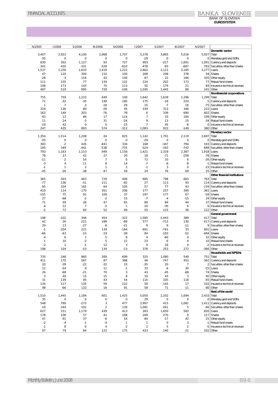### BANKA SLOVENIJE BANK OF SLOVENIA

**EUROSYSTEM**

| IV-2005        | <b>I-2006</b>          | <b>II-2006</b>               | <b>III-2006</b>      | IV-2006                      | $I-2007$            | II-2007             | III-2007             | IV-2007          |                                                           |
|----------------|------------------------|------------------------------|----------------------|------------------------------|---------------------|---------------------|----------------------|------------------|-----------------------------------------------------------|
|                |                        |                              |                      |                              |                     |                     |                      |                  | Domestic sector                                           |
| 3,407<br>$-35$ | 2,922<br>$\mathbf 0$   | 4,100<br>$\mathsf{O}\xspace$ | 2,068<br>$\mathsf O$ | 1,707<br>$\mathsf{O}\xspace$ | 5,378<br>$-29$      | 3,865<br>$\circ$    | 5,016<br>$\mathbf 0$ | 5,927 Total      | 0   Monetary gold and SDRs                                |
| 830            | 302                    | 1,127                        | 93                   | 727                          | 993                 | $-217$              | 1,691                |                  | 1,091 Currency and deposits                               |
| 341            | 420                    | $-331$                       | $-529$               | $-610$                       | $-478$              | $-93$               | $-687$               |                  | 783 Securities other than shares                          |
| 1,537          | 1,156                  | 1,633                        | 1,419                | 1,222                        | 2,662               | 2,121               | 3,185                |                  | 3,277 Loans                                               |
| 47             | 120                    | 300                          | 110                  | 100                          | 268                 | 208                 | 378                  |                  | 54 Shares                                                 |
| $-28$          | $-3$                   | 154                          | 42                   | 140                          | 87                  | 22                  | 166                  |                  | 320 Other equity                                          |
| 111            | 235                    | 77                           | 134                  | 122                          | 224                 | 202                 | 173                  | 77               | Mutual fund shares                                        |
| 108            | 173                    | 143                          | 70                   | 113                          | 55                  | 179                 | 21                   | 84               | Insurance technical reserves                              |
| 497            | 519                    | 995                          | 729                  | $-106$                       | 1,595               | 1,445               | 89                   | 241              | Other                                                     |
|                |                        |                              |                      |                              |                     |                     |                      |                  | Non-financial corporations                                |
| 755<br>71      | 759<br>$-32$           | 1,223<br>$-35$               | 649<br>148           | 100<br>185                   | 1,642<br>175        | 1,639<br>$-18$      | 1,296<br>220         | 1,299 Total<br>5 | Currency and deposits                                     |
| $\mathbf{1}$   | $-7$                   | $-3$                         | $-18$                | 29                           | 15                  | $-7$                | 16                   |                  | -75 Securities other than shares                          |
| 324            | 136                    | 80                           | $-26$                | 45                           | 339                 | 313                 | 346                  | 222              | Loans                                                     |
| 163            | 149                    | 203                          | $-76$                | 78                           | 6                   | 339                 | 690                  |                  | 602 Shares                                                |
| $-43$          | 12                     | 86                           | 17                   | 114                          | $\overline{7}$      | 33                  | 164                  |                  | 199 Other equity                                          |
| 11             | 24                     | $-3$                         | 31                   | $-24$                        | 9                   | 13                  | 15                   |                  | -34   Mutual fund shares                                  |
| $-19$          | 42                     | $\mathsf O$                  | $\mathbf 0$          | $-15$                        | $\overline{7}$      | 45                  | $-6$                 | $\mathbf 0$      | Insurance technical reserves                              |
| 247            | 435                    | 893                          | 574                  | $-312$                       | 1,083               | 922                 | $-149$               |                  | 380 Other                                                 |
|                |                        |                              |                      |                              |                     |                     |                      |                  | Monetary sector                                           |
| 1,354          | 1,514                  | 1,208                        | $-34$                | 825                          | 1,142               | 1,791               | 2,119                | 2,697   Total    |                                                           |
| $-35$          | $\mathbf 0$            | $\mathbf 0$                  | $\mathbf 0$          | $\mathsf{O}\xspace$          | $-29$               | $\mathbf 0$         | $\mathbf 0$          |                  | 0   Monetary gold and SDRs                                |
| 383            | $-2$                   | 426                          | $-441$               | 334                          | 168                 | $-347$              | 794                  |                  | 193 Currency and deposits                                 |
| 195            | 349                    | $-441$                       | $-538$               | $-755$                       | $-524$              | $-193$              | $-742$               | 688              | Securities other than shares                              |
| 793            | 1,163                  | 1,153                        | 949                  | 1,156                        | 1,421               | 2,319               | 2,387                | 1,918            | Loans                                                     |
| 78             | 27                     | 42                           | 27                   | 20                           | 18                  | $-71$               | $-258$               |                  | -78 Shares                                                |
| $-11$<br>$-3$  | $-2$<br>$\overline{4}$ | 54                           | $\overline{7}$       | $-5$                         | 72<br>$-7$          | 10                  | 6                    |                  | -26 Other equity                                          |
| $-1$           | $\mathbf{1}$           | 11<br>$\overline{2}$         | 8<br>$\mathbf{1}$    | 14<br>$\overline{2}$         | $-1$                | $-6$<br>3           | -8<br>$\mathbf 0$    | $-23$            | -1 Mutual fund shares<br>Insurance technical reserves     |
| $-45$          | $-26$                  | $-38$                        | $-47$                | 59                           | 24                  | 76                  | $-59$                | 25               | Other                                                     |
|                |                        |                              |                      |                              |                     |                     |                      |                  | Other financial institutions                              |
| 365            | 503                    | 463                          | 729                  | 406                          | 685                 | 798                 | 663                  |                  | $763$ Total                                               |
| $-77$          | 136                    | $-51$                        | 111                  | $-92$                        | 27                  | 113                 | 93                   | 114              | Currency and deposits                                     |
| 95             | 104                    | 162                          | 64                   | 105                          | 57                  | 77                  | 43                   | 159              | Securities other than shares                              |
| 410            | 114                    | 170                          | 351                  | 206                          | 177                 | 257                 | 390                  | 361              | Loans                                                     |
| $-155$         | 75                     | 91                           | 109                  | 37                           | 297                 | 177                 | 67                   |                  | -59 Shares                                                |
| 27             | $-68$                  | $-2$                         | $-2$                 | 15                           | $-7$                | $-4$                | $-15$                | 24               | Other equity                                              |
| 71             | 59                     | 26                           | 47                   | 65                           | 89                  | 84                  | 44                   | 37               | Mutual fund shares                                        |
| $-4$           | 12                     | $\overline{7}$               | $-2$                 | $\mathbf{1}$                 | $-10$               | $-30$               | 6                    | 6                | Insurance technical reserves                              |
| $-2$           | 72                     | 60                           | 52                   | 69                           | 55                  | 123                 | 36                   |                  | $122$ Other                                               |
|                |                        |                              |                      |                              |                     |                     |                      |                  | General government                                        |
| 198            | $-102$                 | 346                          | 454                  | $-322$                       | 1,585               | $-1,443$            | 389                  |                  | 417 Total                                                 |
| 42<br>29       | 30<br>13               | 221<br>$-27$                 | 188<br>$-6$          | $-89$<br>$-21$               | 577<br>9            | $-713$<br>9         | 130<br>$-11$         | 417<br>9         | Currency and deposits<br>Securities other than shares     |
| $-1$           | $-204$                 | 221                          | 134                  | $-184$                       | 691                 | $-761$              | 33                   | 801              | Loans                                                     |
| -66            | $-63$                  | $-15$                        | $-19$                | $-39$                        | $-94$               | $-193$              | $-52$                |                  | $-484$ Shares                                             |
| $-4$           | 6                      | $\mathbf{1}$                 | 5                    | 8                            | $\overline{4}$      | $-60$               | 9                    |                  | 32 Other equity                                           |
| $\mathbf{1}$   | 10                     | $-2$                         | 5                    | 12                           | 23                  | 6                   | $\overline{4}$       |                  | 10 Mutual fund shares                                     |
| $-2$           | $\mathbf{1}$           | $-1$                         | 12                   | $\sqrt{3}$                   | $\mathsf{O}\xspace$ | 16                  | $\overline{4}$       | $-2$             | Insurance technical reserves                              |
| 198            | 104                    | $-53$                        | 134                  | $-13$                        | 376                 | 253                 | 272                  |                  | $-366$ Other                                              |
|                |                        |                              |                      |                              |                     |                     |                      |                  | Households and NPISHs                                     |
| 735            | 248                    | 860                          | 269                  | 699                          | 325                 | 1,080               | 549                  |                  | 751 Total                                                 |
| 411            | 170                    | 567                          | 87                   | 388                          | 46                  | 747                 | 453                  |                  | 362 Currency and deposits                                 |
| 20             | $-39$                  | $-22$                        | $-32$                | 33                           | $-35$               | 20                  | $\overline{7}$       |                  | 2 Securities other than shares                            |
| 12             | $-54$                  | 9                            | 11                   | $-1$                         | 33                  | $-6$                | 30                   |                  | $-25$ Loans                                               |
| 26             | $-68$                  | $-21$                        | 70                   | 3                            | 43                  | $-45$               | $-68$                |                  | 74 Shares                                                 |
| 3              | 49                     | 15                           | 15                   | 8                            | 10                  | 43                  | 3                    |                  | 90 Other equity                                           |
| 31             | 139                    | 45<br>135                    | 43<br>59             | 54<br>122                    | 110<br>59           | 105<br>145          | 118<br>17            |                  | 65 Mutual fund shares<br>102 Insurance technical reserves |
| 134<br>98      | 117<br>$-66$           | 132                          | 16                   | 91                           | 58                  | 71                  | $-11$                |                  | 80 Other                                                  |
|                |                        |                              |                      |                              |                     |                     |                      |                  | Rest of the world                                         |
| 1,510          | 1,445                  | 1,184                        | 601                  | 1,425                        | 5,050               | 2,202               | 1,694                | $2,433$ Total    |                                                           |
| 35             | $\mathbf 0$            | $\mathsf{O}\xspace$          | $\mathsf{O}\xspace$  | 0                            | 29                  | $\mathsf{O}\xspace$ | $\mathsf{O}\xspace$  |                  | 0   Monetary gold and SDRs                                |
| 548            | 769                    | $-273$                       | 3                    | 477                          | 2,997               | 415                 | 1,081                |                  | 1,411 Currency and deposits                               |
| $-19$          | 244                    | 102                          | $\overline{c}$       | 139                          | 1,081               | $-261$              | 5                    |                  | -46 Securities other than shares                          |
| 627            | 151                    | 1,179                        | 439                  | 413                          | 263                 | 1,650               | 583                  |                  | 820 Loans                                                 |
| 178            | 106                    | 57                           | 41                   | 168                          | 169                 | 270                 | $\mathsf O$          |                  | 127 Shares                                                |
| 47             | 91                     | 37                           | -6                   | 54                           | 84                  | $-17$               | 42                   |                  | 25 Other equity                                           |
| $-2$           | $-4$                   | $-1$                         | $-4$                 | $\mathbf{1}$                 | 1                   | $\mathbf 0$         | 3                    |                  | -1 Mutual fund shares                                     |
| $-1$           | 8                      | $\mathsf O$                  | 4                    | $-2$                         | $\overline{2}$      | 5                   | $\sqrt{2}$           |                  | -5   Insurance technical reserves                         |
| 97             | 79                     | 84                           | 122                  | 175                          | 423                 | 140                 | $-21$                |                  | $102$ Other                                               |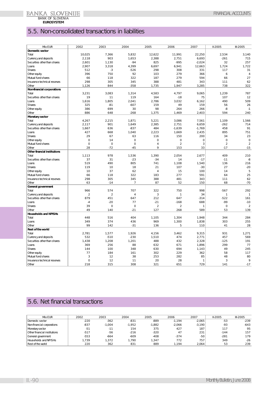## 5.5. Non-consolidated transactions in liabilities

| Mio EUR                      | 2002           | 2003                | 2004           | 2005           | 2006                    | 2007         | II-2005                 | III-2005       |
|------------------------------|----------------|---------------------|----------------|----------------|-------------------------|--------------|-------------------------|----------------|
| Domestic sector              |                |                     |                |                |                         |              |                         |                |
| Total                        | 10.025         | 7,366               | 5,832          | 12,622         | 11,991                  | 22,250       | 2.534                   | 3.140          |
| Currency and deposits        | 2,118          | 903                 | 1,653          | 2,388          | 2,751                   | 6,693        | $-261$                  | 715            |
| Securities other than shares | 2,601          | 1,130               | $-94$          | 825            | $-995$                  | $-2,024$     | 32                      | 257            |
| Loans                        | 2,907          | 3,318               | 4,399          | 6,697          | 6,941                   | 12,663       | 1,724                   | 1,722          |
| Shares                       | 512            | $-3$                | $-526$         | 298            | 308                     | 331          | 117                     | 31             |
| Other equity                 | 396            | 750                 | 92             | 103            | 279                     | 366          | 6                       | $\overline{4}$ |
| Mutual fund shares           | 66             | 118                 | 322            | 187            | 279                     | 594          | 66                      | 27             |
| Insurance technical reserves | 298            | 305                 | 345            | 388            | 481                     | 343          | 111                     | 62             |
| Other                        | 1,126          | 844                 | $-358$         | 1,735          | 1,947                   | 3,285        | 738                     | 322            |
| Non-financial corporations   |                |                     |                |                |                         |              |                         |                |
| Total                        | 3,231          | 3,083               | 1,314          | 4,583          | 4,797                   | 9,065        | 1,239                   | 787            |
| Securities other than shares | 19             | 11                  | 119            | 164            | $-18$                   | 75           | 107                     | 12             |
| Loans                        | 1,616          | 1,805               | 2,041          | 2,786          | 3,032                   | 6,162        | 490                     | 509            |
| Shares                       | 325            | $-81$               | $-607$         | 159            | 49                      | 159          | 56                      | 26             |
| Other equity                 | 386            | 699                 | 30             | 98             | 264                     | 266          | -8                      | $-1$           |
| Other                        | 886            | 648                 | $-268$         | 1,375          | 1,469                   | 2,403        | 594                     | 240            |
| Monetary sector              |                |                     |                |                |                         |              |                         |                |
|                              |                |                     |                |                |                         |              |                         |                |
| Total                        | 4.267          | 2,215               | 1.871          | 5,221          | 3.086                   | 7.561        | 1.109                   | 1,566          |
| Currency and deposits        | 2,117          | 901                 | 1,649          | 2,385          | 2,751                   | 6,659        | $-262$                  | 714            |
| Securities other than shares | 1,667          | 636                 | $-837$         | 484            | $-1,639$                | $-1,769$     | 458                     | 91             |
| Loans                        | 427            | 668                 | 1,040          | 2,223          | 1,669                   | 2,435        | 895                     | 751            |
| Shares                       | 29             | 67                  | 63             | 116            | 150                     | 200          | 34                      | 23             |
| Other equity                 | $\mathbf 0$    | 14                  | 0              | $\mathbf 0$    | 0                       | $\mathbf 0$  | $\mathbf 0$             | $\mathbf 0$    |
| Mutual fund shares           | $\mathbf 0$    | $\mathsf{O}\xspace$ | $\mathbf 0$    | $\overline{4}$ | $\overline{\mathbf{c}}$ | 3            | $\overline{\mathbf{c}}$ | $\overline{a}$ |
| Other                        | 28             | $-72$               | $-45$          | 9              | 153                     | 33           | $-17$                   | $-15$          |
| Other financial institutions |                |                     |                |                |                         |              |                         |                |
| Total                        | 1,113          | 978                 | 1,536          | 1,390          | 2,054                   | 2,677        | 409                     | 210            |
| Securities other than shares | 37             | 31                  | $-23$          | $-34$          | 14                      | $-17$        | $-11$                   | -8             |
| Loans                        | 519            | 490                 | 805            | 741            | 1,108                   | 1,540        | 136                     | 216            |
| Shares                       | 119            | 10                  | 18             | 21             | 107                     | $-30$        | 27                      | $-20$          |
| Other equity                 | 10             | 37                  | 62             | $\overline{4}$ | 15                      | 100          | 14                      | 5              |
| Mutual fund shares           | 66             | 118                 | 322            | 183            | 277                     | 591          | 64                      | 25             |
| Insurance technical reserves | 298            | 305                 | 345            | 388            | 481                     | 343          | 111                     | 62             |
| Other                        | 63             | $-14$               | $\overline{7}$ | 87             | 52                      | 150          | 68                      | $-70$          |
| General government           |                |                     |                |                |                         |              |                         |                |
| Total                        | 966            | 574                 | 707            | 322            | 750                     | 998          | $-567$                  | 292            |
| Currency and deposits        | $\overline{a}$ | $\overline{2}$      | $\sqrt{4}$     | 3              | $\mathbf{1}$            | 34           | $\mathbf{1}$            | $\mathbf{1}$   |
| Securities other than shares | 879            | 451                 | 647            | 212            | 647                     | $-314$       | $-522$                  | 161            |
| Loans                        | $-4$           | $-20$               | 77             | $-21$          | $-168$                  | 688          | $-99$                   | $-10$          |
| Shares                       | 39             | $\mathsf{O}\xspace$ | $\mathbf 0$    | $\overline{2}$ | $\overline{\mathbf{c}}$ | $\mathbf{1}$ | $\mathbf 0$             | $\overline{2}$ |
| Other                        | 49             | 140                 | $-21$          | 127            | 268                     | 589          | 53                      | 139            |
| Households and NPISHs        |                |                     |                |                |                         |              |                         |                |
| Total                        | 448            | 516                 | 404            | 1,105          | 1,304                   | 1,948        | 344                     | 284            |
| Loans                        | 349            | 374                 | 436            | 969            | 1,300                   | 1,838        | 303                     | 255            |
| Other                        | 99             | 142                 | $-31$          | 136            | 5                       | 110          | 41                      | 28             |
| Rest of the world            |                |                     |                |                |                         |              |                         |                |
| Total                        | 2,781          | 1,577               | 1,926          | 4,156          | 3,462                   | 9,315        | 931                     | 1,271          |
| Currency and deposits        | 532            | $-510$              | $-230$         | 1,510          | 474                     | 2,771        | 457                     | 569            |
| Securities other than shares | 1,438          | 1,208               | 1,201          | 488            | 432                     | 2,328        | $-125$                  | 191            |
|                              |                | 256                 | 88             |                | 671                     |              | 299                     | 77             |
| Loans                        | 369            |                     |                | 632            |                         | 1,896        |                         |                |
| Shares                       | 144            | 100                 | 348            | 630            | 694                     | 1,143        | 49                      | 245            |
| Other equity                 | 77             | 184                 | 161            | 302            | 229                     | 362          | 58                      | 117            |
| Mutual fund shares           | 3              | 12                  | 38             | 253            | 282                     | 85           | 48                      | 80             |
| Insurance technical reserves | $\overline{0}$ | 12                  | 11             | 20             | 28                      | 1            | 3                       | 9              |
| Other                        | 218            | 315                 | 308            | 321            | 651                     | 729          | 141                     | $-17$          |

## 5.6. Net financial transactions

| Mio EUR                      | 2002   | 2003     | 2004     | 2005     | 2006     | 2007     | $II - 2005$ | $III-2005$ |
|------------------------------|--------|----------|----------|----------|----------|----------|-------------|------------|
| Domestic sector              | $-220$ | $-362$   | $-831$   | $-889$   | $-1.194$ | $-2.065$ | $-53$       | $-239$     |
| Non-financial corporations   | $-837$ | $-1.004$ | $-1.952$ | $-1.882$ | $-2.066$ | $-3.190$ | $-93$       | $-643$     |
| Monetary sector              | $-51$  | $-11$    | 154      | 375      | 427      | 187      | 117         | 95         |
| Other financial institutions | $-517$ | $-56$    | $-216$   | $-320$   | 47       | 231      | $-144$      | 157        |
| General government           | $-553$ | $-664$   | $-609$   | $-408$   | $-374$   | $-50$    | $-281$      | 179        |
| Households and NPISHs        | .739   | .372     | .790     | .347     | 772      | 757      | 349         | $-26$      |
| Rest of the world            | 220    | 362      | 831      | 889      | .194     | 2.064    | 53          | 239        |